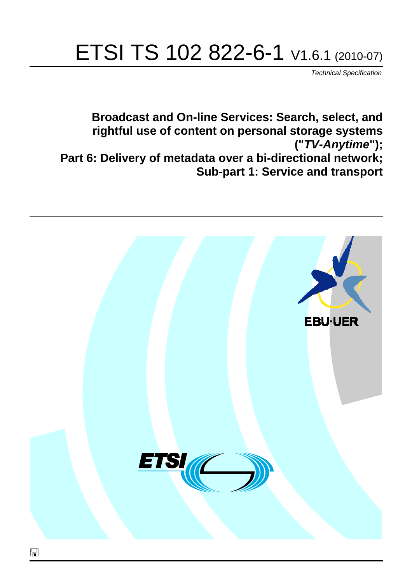# ETSI TS 102 822-6-1 V1.6.1 (2010-07)

*Technical Specification*

**Broadcast and On-line Services: Search, select, and rightful use of content on personal storage systems ("***TV-Anytime***"); Part 6: Delivery of metadata over a bi-directional network; Sub-part 1: Service and transport**

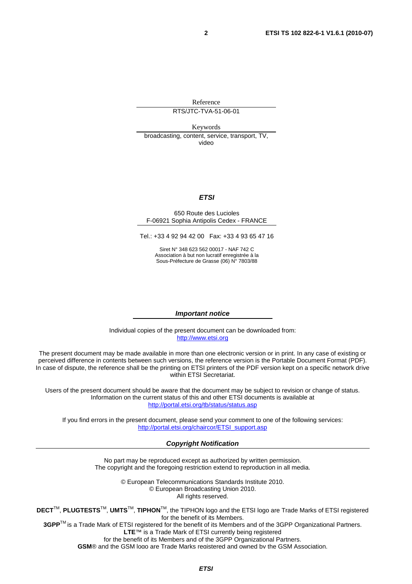Reference

RTS/JTC-TVA-51-06-01

Keywords

broadcasting, content, service, transport, TV, video

#### *ETSI*

#### 650 Route des Lucioles F-06921 Sophia Antipolis Cedex - FRANCE

Tel.: +33 4 92 94 42 00 Fax: +33 4 93 65 47 16

Siret N° 348 623 562 00017 - NAF 742 C Association à but non lucratif enregistrée à la Sous-Préfecture de Grasse (06) N° 7803/88

#### *Important notice*

Individual copies of the present document can be downloaded from: [http://www.etsi.org](http://www.etsi.org/)

The present document may be made available in more than one electronic version or in print. In any case of existing or perceived difference in contents between such versions, the reference version is the Portable Document Format (PDF). In case of dispute, the reference shall be the printing on ETSI printers of the PDF version kept on a specific network drive within ETSI Secretariat.

Users of the present document should be aware that the document may be subject to revision or change of status. Information on the current status of this and other ETSI documents is available at <http://portal.etsi.org/tb/status/status.asp>

If you find errors in the present document, please send your comment to one of the following services: [http://portal.etsi.org/chaircor/ETSI\\_support.asp](http://portal.etsi.org/chaircor/ETSI_support.asp)

#### *Copyright Notification*

No part may be reproduced except as authorized by written permission. The copyright and the foregoing restriction extend to reproduction in all media.

> © European Telecommunications Standards Institute 2010. © European Broadcasting Union 2010. All rights reserved.

**DECT**TM, **PLUGTESTS**TM, **UMTS**TM, **TIPHON**TM, the TIPHON logo and the ETSI logo are Trade Marks of ETSI registered for the benefit of its Members. **3GPP**TM is a Trade Mark of ETSI registered for the benefit of its Members and of the 3GPP Organizational Partners.

**LTE**™ is a Trade Mark of ETSI currently being registered

for the benefit of its Members and of the 3GPP Organizational Partners.

**GSM**® and the GSM logo are Trade Marks registered and owned by the GSM Association.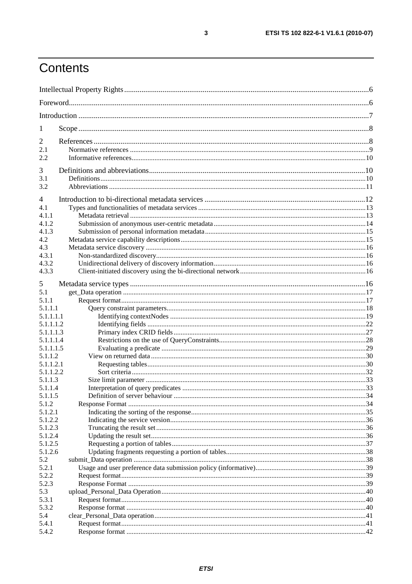## Contents

| 1                |  |  |
|------------------|--|--|
| 2                |  |  |
| 2.1              |  |  |
| 2.2              |  |  |
|                  |  |  |
| 3<br>3.1         |  |  |
| 3.2              |  |  |
|                  |  |  |
| $\overline{4}$   |  |  |
| 4.1              |  |  |
| 4.1.1            |  |  |
| 4.1.2            |  |  |
| 4.1.3            |  |  |
| 4.2              |  |  |
| 4.3              |  |  |
| 4.3.1            |  |  |
| 4.3.2            |  |  |
| 4.3.3            |  |  |
| 5                |  |  |
| 5.1              |  |  |
| 5.1.1            |  |  |
| 5.1.1.1          |  |  |
| 5.1.1.1.1        |  |  |
| 5.1.1.1.2        |  |  |
| 5.1.1.1.3        |  |  |
| 5.1.1.1.4        |  |  |
| 5.1.1.1.5        |  |  |
| 5.1.1.2          |  |  |
| 5.1.1.2.1        |  |  |
| 5.1.1.2.2        |  |  |
| 5.1.1.3          |  |  |
| 5.1.1.4          |  |  |
| 5.1.1.5          |  |  |
| 5.1.2<br>5.1.2.1 |  |  |
| 5.1.2.2          |  |  |
| 5.1.2.3          |  |  |
| 5.1.2.4          |  |  |
| 5.1.2.5          |  |  |
| 5.1.2.6          |  |  |
| 5.2              |  |  |
| 5.2.1            |  |  |
| 5.2.2            |  |  |
| 5.2.3            |  |  |
| 5.3              |  |  |
| 5.3.1            |  |  |
| 5.3.2            |  |  |
| 5.4              |  |  |
| 5.4.1            |  |  |
| 5.4.2            |  |  |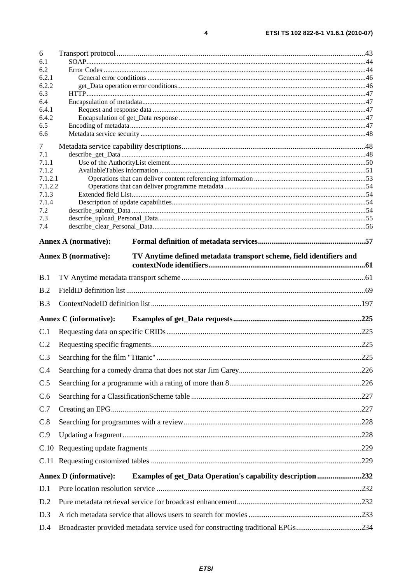| 6                  |                                                                                                    |  |
|--------------------|----------------------------------------------------------------------------------------------------|--|
| 6.1                |                                                                                                    |  |
| 6.2<br>6.2.1       |                                                                                                    |  |
| 6.2.2              |                                                                                                    |  |
| 6.3                |                                                                                                    |  |
| 6.4<br>6.4.1       |                                                                                                    |  |
| 6.4.2              |                                                                                                    |  |
| 6.5                |                                                                                                    |  |
| 6.6                |                                                                                                    |  |
| 7<br>7.1           |                                                                                                    |  |
| 7.1.1              |                                                                                                    |  |
| 7.1.2              |                                                                                                    |  |
| 7.1.2.1<br>7.1.2.2 |                                                                                                    |  |
| 7.1.3              |                                                                                                    |  |
| 7.1.4              |                                                                                                    |  |
| 7.2<br>7.3         |                                                                                                    |  |
| 7.4                |                                                                                                    |  |
|                    | <b>Annex A (normative):</b>                                                                        |  |
|                    | <b>Annex B</b> (normative):<br>TV Anytime defined metadata transport scheme, field identifiers and |  |
|                    |                                                                                                    |  |
| B.1                |                                                                                                    |  |
| B.2                |                                                                                                    |  |
| B.3                |                                                                                                    |  |
|                    | <b>Annex C</b> (informative):                                                                      |  |
| C.1                |                                                                                                    |  |
| C.2                |                                                                                                    |  |
| C.3                |                                                                                                    |  |
| C.4                |                                                                                                    |  |
| C.5                |                                                                                                    |  |
| C.6                |                                                                                                    |  |
| C.7                |                                                                                                    |  |
| C.8                |                                                                                                    |  |
| C.9                |                                                                                                    |  |
|                    |                                                                                                    |  |
|                    |                                                                                                    |  |
|                    | <b>Annex D</b> (informative):<br><b>Examples of get_Data Operation's capability description232</b> |  |
| D.1                |                                                                                                    |  |
| D.2                |                                                                                                    |  |
| D.3                |                                                                                                    |  |
|                    |                                                                                                    |  |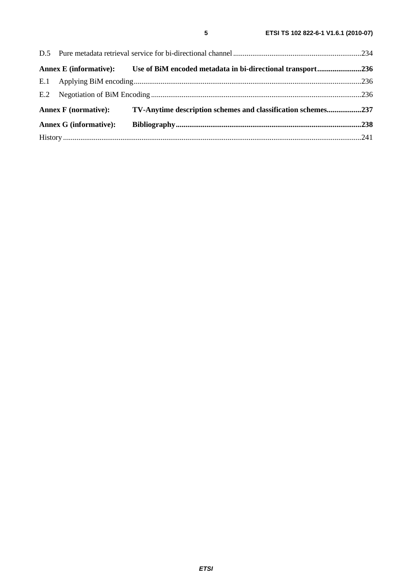|                               |                             | Annex E (informative): Use of BiM encoded metadata in bi-directional transport236 |  |
|-------------------------------|-----------------------------|-----------------------------------------------------------------------------------|--|
|                               |                             |                                                                                   |  |
|                               |                             |                                                                                   |  |
|                               | <b>Annex F</b> (normative): | TV-Anytime description schemes and classification schemes237                      |  |
| <b>Annex G (informative):</b> |                             |                                                                                   |  |
|                               |                             |                                                                                   |  |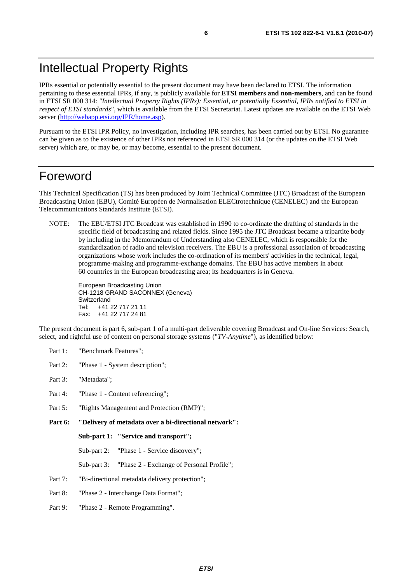IPRs essential or potentially essential to the present document may have been declared to ETSI. The information pertaining to these essential IPRs, if any, is publicly available for **ETSI members and non-members**, and can be found in ETSI SR 000 314: *"Intellectual Property Rights (IPRs); Essential, or potentially Essential, IPRs notified to ETSI in respect of ETSI standards"*, which is available from the ETSI Secretariat. Latest updates are available on the ETSI Web server [\(http://webapp.etsi.org/IPR/home.asp\)](http://webapp.etsi.org/IPR/home.asp).

Pursuant to the ETSI IPR Policy, no investigation, including IPR searches, has been carried out by ETSI. No guarantee can be given as to the existence of other IPRs not referenced in ETSI SR 000 314 (or the updates on the ETSI Web server) which are, or may be, or may become, essential to the present document.

## Foreword

This Technical Specification (TS) has been produced by Joint Technical Committee (JTC) Broadcast of the European Broadcasting Union (EBU), Comité Européen de Normalisation ELECtrotechnique (CENELEC) and the European Telecommunications Standards Institute (ETSI).

NOTE: The EBU/ETSI JTC Broadcast was established in 1990 to co-ordinate the drafting of standards in the specific field of broadcasting and related fields. Since 1995 the JTC Broadcast became a tripartite body by including in the Memorandum of Understanding also CENELEC, which is responsible for the standardization of radio and television receivers. The EBU is a professional association of broadcasting organizations whose work includes the co-ordination of its members' activities in the technical, legal, programme-making and programme-exchange domains. The EBU has active members in about 60 countries in the European broadcasting area; its headquarters is in Geneva.

European Broadcasting Union CH-1218 GRAND SACONNEX (Geneva) Switzerland Tel: +41 22 717 21 11 Fax: +41 22 717 24 81

The present document is part 6, sub-part 1 of a multi-part deliverable covering Broadcast and On-line Services: Search, select, and rightful use of content on personal storage systems ("*TV-Anytime*"), as identified below:

- Part 1: "Benchmark Features";
- Part 2: "Phase 1 System description";
- Part 3: "Metadata";
- Part 4: "Phase 1 Content referencing":
- Part 5: "Rights Management and Protection (RMP)";
- **Part 6: "Delivery of metadata over a bi-directional network":**

**Sub-part 1: "Service and transport";** 

Sub-part 2: "Phase 1 - Service discovery";

- Sub-part 3: "Phase 2 Exchange of Personal Profile";
- Part 7: "Bi-directional metadata delivery protection";
- Part 8: "Phase 2 Interchange Data Format";
- Part 9: "Phase 2 Remote Programming".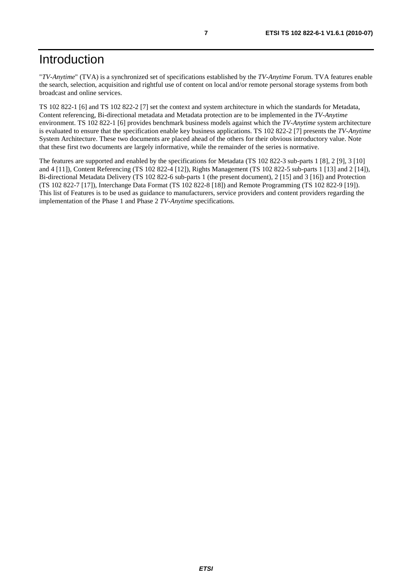"*TV-Anytime*" (TVA) is a synchronized set of specifications established by the *TV-Anytime* Forum. TVA features enable the search, selection, acquisition and rightful use of content on local and/or remote personal storage systems from both broadcast and online services.

TS 102 822-1 [6] and TS 102 822-2 [7] set the context and system architecture in which the standards for Metadata, Content referencing, Bi-directional metadata and Metadata protection are to be implemented in the *TV-Anytime* environment. TS 102 822-1 [6] provides benchmark business models against which the *TV-Anytime* system architecture is evaluated to ensure that the specification enable key business applications. TS 102 822-2 [7] presents the *TV-Anytime* System Architecture. These two documents are placed ahead of the others for their obvious introductory value. Note that these first two documents are largely informative, while the remainder of the series is normative.

The features are supported and enabled by the specifications for Metadata (TS 102 822-3 sub-parts 1 [8], 2 [9], 3 [10] and 4 [11]), Content Referencing (TS 102 822-4 [12]), Rights Management (TS 102 822-5 sub-parts 1 [13] and 2 [14]), Bi-directional Metadata Delivery (TS 102 822-6 sub-parts 1 (the present document), 2 [15] and 3 [16]) and Protection (TS 102 822-7 [17]), Interchange Data Format (TS 102 822-8 [18]) and Remote Programming (TS 102 822-9 [19]). This list of Features is to be used as guidance to manufacturers, service providers and content providers regarding the implementation of the Phase 1 and Phase 2 *TV-Anytime* specifications.

*ETSI*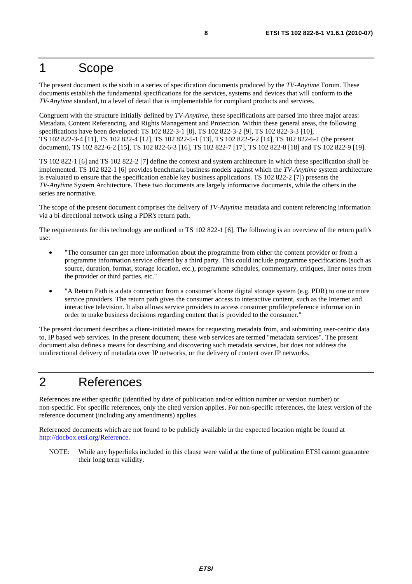## 1 Scope

The present document is the sixth in a series of specification documents produced by the *TV-Anytime* Forum. These documents establish the fundamental specifications for the services, systems and devices that will conform to the *TV-Anytime* standard, to a level of detail that is implementable for compliant products and services.

Congruent with the structure initially defined by *TV-Anytime*, these specifications are parsed into three major areas: Metadata, Content Referencing, and Rights Management and Protection. Within these general areas, the following specifications have been developed: TS 102 822-3-1 [8], TS 102 822-3-2 [9], TS 102 822-3-3 [10], TS 102 822-3-4 [11], TS 102 822-4 [12], TS 102 822-5-1 [13], TS 102 822-5-2 [14], TS 102 822-6-1 (the present document), TS 102 822-6-2 [15], TS 102 822-6-3 [16], TS 102 822-7 [17], TS 102 822-8 [18] and TS 102 822-9 [19].

TS 102 822-1 [6] and TS 102 822-2 [7] define the context and system architecture in which these specification shall be implemented. TS 102 822-1 [6] provides benchmark business models against which the *TV-Anytime* system architecture is evaluated to ensure that the specification enable key business applications. TS 102 822-2 [7]) presents the *TV-Anytime* System Architecture. These two documents are largely informative documents, while the others in the series are normative.

The scope of the present document comprises the delivery of *TV-Anytime* metadata and content referencing information via a bi-directional network using a PDR's return path.

The requirements for this technology are outlined in TS 102 822-1 [6]. The following is an overview of the return path's use:

- "The consumer can get more information about the programme from either the content provider or from a programme information service offered by a third party. This could include programme specifications (such as source, duration, format, storage location, etc.), programme schedules, commentary, critiques, liner notes from the provider or third parties, etc."
- "A Return Path is a data connection from a consumer's home digital storage system (e.g. PDR) to one or more service providers. The return path gives the consumer access to interactive content, such as the Internet and interactive television. It also allows service providers to access consumer profile/preference information in order to make business decisions regarding content that is provided to the consumer."

The present document describes a client-initiated means for requesting metadata from, and submitting user-centric data to, IP based web services. In the present document, these web services are termed "metadata services". The present document also defines a means for describing and discovering such metadata services, but does not address the unidirectional delivery of metadata over IP networks, or the delivery of content over IP networks.

## 2 References

References are either specific (identified by date of publication and/or edition number or version number) or non-specific. For specific references, only the cited version applies. For non-specific references, the latest version of the reference document (including any amendments) applies.

Referenced documents which are not found to be publicly available in the expected location might be found at [http://docbox.etsi.org/Reference.](http://docbox.etsi.org/Reference)

NOTE: While any hyperlinks included in this clause were valid at the time of publication ETSI cannot guarantee their long term validity.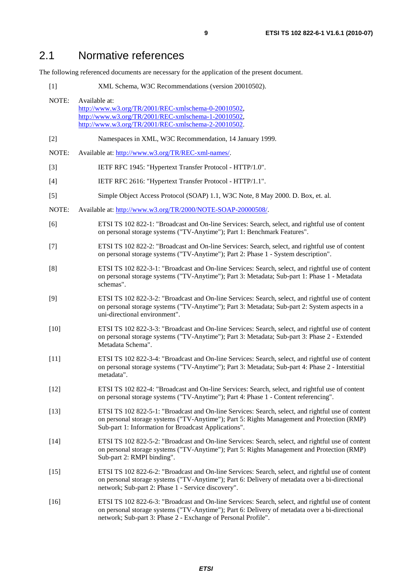## 2.1 Normative references

The following referenced documents are necessary for the application of the present document.

| NOTE:  | Available at:<br>http://www.w3.org/TR/2001/REC-xmlschema-0-20010502,<br>http://www.w3.org/TR/2001/REC-xmlschema-1-20010502,<br>http://www.w3.org/TR/2001/REC-xmlschema-2-20010502.                                                                                   |  |
|--------|----------------------------------------------------------------------------------------------------------------------------------------------------------------------------------------------------------------------------------------------------------------------|--|
| $[2]$  | Namespaces in XML, W3C Recommendation, 14 January 1999.                                                                                                                                                                                                              |  |
| NOTE:  | Available at: http://www.w3.org/TR/REC-xml-names/.                                                                                                                                                                                                                   |  |
| $[3]$  | IETF RFC 1945: "Hypertext Transfer Protocol - HTTP/1.0".                                                                                                                                                                                                             |  |
| $[4]$  | IETF RFC 2616: "Hypertext Transfer Protocol - HTTP/1.1".                                                                                                                                                                                                             |  |
| $[5]$  | Simple Object Access Protocol (SOAP) 1.1, W3C Note, 8 May 2000. D. Box, et. al.                                                                                                                                                                                      |  |
| NOTE:  | Available at: http://www.w3.org/TR/2000/NOTE-SOAP-20000508/.                                                                                                                                                                                                         |  |
| [6]    | ETSI TS 102 822-1: "Broadcast and On-line Services: Search, select, and rightful use of content<br>on personal storage systems ("TV-Anytime"); Part 1: Benchmark Features".                                                                                          |  |
| $[7]$  | ETSI TS 102 822-2: "Broadcast and On-line Services: Search, select, and rightful use of content<br>on personal storage systems ("TV-Anytime"); Part 2: Phase 1 - System description".                                                                                |  |
| [8]    | ETSI TS 102 822-3-1: "Broadcast and On-line Services: Search, select, and rightful use of content<br>on personal storage systems ("TV-Anytime"); Part 3: Metadata; Sub-part 1: Phase 1 - Metadata<br>schemas".                                                       |  |
| [9]    | ETSI TS 102 822-3-2: "Broadcast and On-line Services: Search, select, and rightful use of content<br>on personal storage systems ("TV-Anytime"); Part 3: Metadata; Sub-part 2: System aspects in a<br>uni-directional environment".                                  |  |
| $[10]$ | ETSI TS 102 822-3-3: "Broadcast and On-line Services: Search, select, and rightful use of content<br>on personal storage systems ("TV-Anytime"); Part 3: Metadata; Sub-part 3: Phase 2 - Extended<br>Metadata Schema".                                               |  |
| $[11]$ | ETSI TS 102 822-3-4: "Broadcast and On-line Services: Search, select, and rightful use of content<br>on personal storage systems ("TV-Anytime"); Part 3: Metadata; Sub-part 4: Phase 2 - Interstitial<br>metadata".                                                  |  |
| $[12]$ | ETSI TS 102 822-4: "Broadcast and On-line Services: Search, select, and rightful use of content<br>on personal storage systems ("TV-Anytime"); Part 4: Phase 1 - Content referencing".                                                                               |  |
| $[13]$ | ETSI TS 102 822-5-1: "Broadcast and On-line Services: Search, select, and rightful use of content<br>on personal storage systems ("TV-Anytime"); Part 5: Rights Management and Protection (RMP)<br>Sub-part 1: Information for Broadcast Applications".              |  |
| $[14]$ | ETSI TS 102 822-5-2: "Broadcast and On-line Services: Search, select, and rightful use of content<br>on personal storage systems ("TV-Anytime"); Part 5: Rights Management and Protection (RMP)<br>Sub-part 2: RMPI binding".                                        |  |
| $[15]$ | ETSI TS 102 822-6-2: "Broadcast and On-line Services: Search, select, and rightful use of content<br>on personal storage systems ("TV-Anytime"); Part 6: Delivery of metadata over a bi-directional<br>network; Sub-part 2: Phase 1 - Service discovery".            |  |
| $[16]$ | ETSI TS 102 822-6-3: "Broadcast and On-line Services: Search, select, and rightful use of content<br>on personal storage systems ("TV-Anytime"); Part 6: Delivery of metadata over a bi-directional<br>network; Sub-part 3: Phase 2 - Exchange of Personal Profile". |  |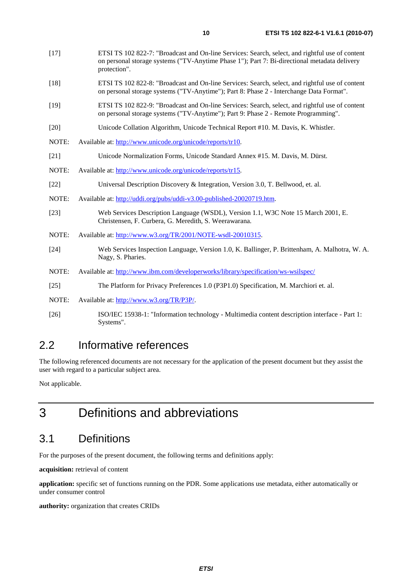- [18] ETSI TS 102 822-8: "Broadcast and On-line Services: Search, select, and rightful use of content on personal storage systems ("TV-Anytime"); Part 8: Phase 2 - Interchange Data Format".
- [19] ETSI TS 102 822-9: "Broadcast and On-line Services: Search, select, and rightful use of content on personal storage systems ("TV-Anytime"); Part 9: Phase 2 - Remote Programming".
- [20] Unicode Collation Algorithm, Unicode Technical Report #10. M. Davis, K. Whistler.
- NOTE: Available at: [http://www.unicode.org/unicode/reports/tr10.](http://www.unicode.org/unicode/reports/tr10)
- [21] Unicode Normalization Forms, Unicode Standard Annex #15. M. Davis, M. Dürst.
- NOTE: Available at: [http://www.unicode.org/unicode/reports/tr15.](http://www.unicode.org/unicode/reports/tr15)
- [22] Universal Description Discovery & Integration, Version 3.0, T. Bellwood, et. al.
- NOTE: Available at: [http://uddi.org/pubs/uddi-v3.00-published-20020719.htm.](http://uddi.org/pubs/uddi-v3.00-published-20020719.htm)
- [23] Web Services Description Language (WSDL), Version 1.1, W3C Note 15 March 2001, E. Christensen, F. Curbera, G. Meredith, S. Weerawarana.
- NOTE: Available at:<http://www.w3.org/TR/2001/NOTE-wsdl-20010315>.
- [24] Web Services Inspection Language, Version 1.0, K. Ballinger, P. Brittenham, A. Malhotra, W. A. Nagy, S. Pharies.
- NOTE: Available at:<http://www.ibm.com/developerworks/library/specification/ws-wsilspec/>
- [25] The Platform for Privacy Preferences 1.0 (P3P1.0) Specification, M. Marchiori et. al.
- NOTE: Available at:<http://www.w3.org/TR/P3P/>.
- [26] ISO/IEC 15938-1: "Information technology Multimedia content description interface Part 1: Systems".

## 2.2 Informative references

The following referenced documents are not necessary for the application of the present document but they assist the user with regard to a particular subject area.

Not applicable.

## 3 Definitions and abbreviations

## 3.1 Definitions

For the purposes of the present document, the following terms and definitions apply:

**acquisition:** retrieval of content

**application:** specific set of functions running on the PDR. Some applications use metadata, either automatically or under consumer control

**authority:** organization that creates CRIDs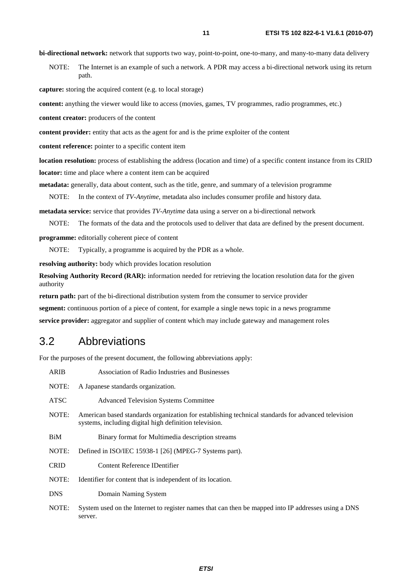**bi-directional network:** network that supports two way, point-to-point, one-to-many, and many-to-many data delivery

NOTE: The Internet is an example of such a network. A PDR may access a bi-directional network using its return path.

**capture:** storing the acquired content (e.g. to local storage)

**content:** anything the viewer would like to access (movies, games, TV programmes, radio programmes, etc.)

**content creator:** producers of the content

**content provider:** entity that acts as the agent for and is the prime exploiter of the content

**content reference:** pointer to a specific content item

**location resolution:** process of establishing the address (location and time) of a specific content instance from its CRID **locator:** time and place where a content item can be acquired

**metadata:** generally, data about content, such as the title, genre, and summary of a television programme

NOTE: In the context of *TV-Anytime*, metadata also includes consumer profile and history data.

**metadata service:** service that provides *TV-Anytime* data using a server on a bi-directional network

NOTE: The formats of the data and the protocols used to deliver that data are defined by the present document.

**programme:** editorially coherent piece of content

NOTE: Typically, a programme is acquired by the PDR as a whole.

**resolving authority:** body which provides location resolution

**Resolving Authority Record (RAR):** information needed for retrieving the location resolution data for the given authority

**return path:** part of the bi-directional distribution system from the consumer to service provider

**segment:** continuous portion of a piece of content, for example a single news topic in a news programme

**service provider:** aggregator and supplier of content which may include gateway and management roles

## 3.2 Abbreviations

For the purposes of the present document, the following abbreviations apply:

| <b>ARIB</b> | Association of Radio Industries and Businesses                                                                                                               |
|-------------|--------------------------------------------------------------------------------------------------------------------------------------------------------------|
| NOTE:       | A Japanese standards organization.                                                                                                                           |
| ATSC        | <b>Advanced Television Systems Committee</b>                                                                                                                 |
| NOTE:       | American based standards organization for establishing technical standards for advanced television<br>systems, including digital high definition television. |
| BiM         | Binary format for Multimedia description streams                                                                                                             |
| NOTE:       | Defined in ISO/IEC 15938-1 [26] (MPEG-7 Systems part).                                                                                                       |
| <b>CRID</b> | Content Reference IDentifier                                                                                                                                 |
| NOTE:       | Identifier for content that is independent of its location.                                                                                                  |
| <b>DNS</b>  | Domain Naming System                                                                                                                                         |
| NOTE:       | System used on the Internet to register names that can then be mapped into IP addresses using a DNS<br>server.                                               |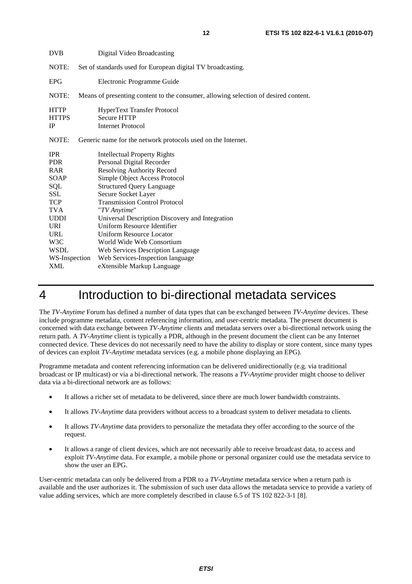| <b>DVB</b>                                                                                                                                                   | Digital Video Broadcasting                                                                                                                                                                                                                                                                                                                                                                                                                                                           |  |
|--------------------------------------------------------------------------------------------------------------------------------------------------------------|--------------------------------------------------------------------------------------------------------------------------------------------------------------------------------------------------------------------------------------------------------------------------------------------------------------------------------------------------------------------------------------------------------------------------------------------------------------------------------------|--|
| NOTE:                                                                                                                                                        | Set of standards used for European digital TV broadcasting.                                                                                                                                                                                                                                                                                                                                                                                                                          |  |
| <b>EPG</b>                                                                                                                                                   | Electronic Programme Guide                                                                                                                                                                                                                                                                                                                                                                                                                                                           |  |
| NOTE:                                                                                                                                                        | Means of presenting content to the consumer, allowing selection of desired content.                                                                                                                                                                                                                                                                                                                                                                                                  |  |
| <b>HTTP</b><br><b>HTTPS</b><br><b>IP</b>                                                                                                                     | <b>HyperText Transfer Protocol</b><br><b>Secure HTTP</b><br><b>Internet Protocol</b>                                                                                                                                                                                                                                                                                                                                                                                                 |  |
| NOTE:                                                                                                                                                        | Generic name for the network protocols used on the Internet.                                                                                                                                                                                                                                                                                                                                                                                                                         |  |
| <b>IPR</b><br><b>PDR</b><br>RAR<br>SOAP<br>SQL<br>SSL<br><b>TCP</b><br><b>TVA</b><br><b>UDDI</b><br>URI<br><b>URL</b><br>W3C<br><b>WSDL</b><br>WS-Inspection | <b>Intellectual Property Rights</b><br>Personal Digital Recorder<br><b>Resolving Authority Record</b><br>Simple Object Access Protocol<br><b>Structured Query Language</b><br>Secure Socket Layer<br><b>Transmission Control Protocol</b><br>"TV Anytime"<br>Universal Description Discovery and Integration<br>Uniform Resource Identifier<br><b>Uniform Resource Locator</b><br>World Wide Web Consortium<br>Web Services Description Language<br>Web Services-Inspection language |  |
| <b>XML</b>                                                                                                                                                   | eXtensible Markup Language                                                                                                                                                                                                                                                                                                                                                                                                                                                           |  |

## 4 Introduction to bi-directional metadata services

The *TV-Anytime* Forum has defined a number of data types that can be exchanged between *TV-Anytime* devices. These include programme metadata, content referencing information, and user-centric metadata. The present document is concerned with data exchange between *TV-Anytime* clients and metadata servers over a bi-directional network using the return path. A *TV-Anytime* client is typically a PDR, although in the present document the client can be any Internet connected device. These devices do not necessarily need to have the ability to display or store content, since many types of devices can exploit *TV-Anytime* metadata services (e.g. a mobile phone displaying an EPG).

Programme metadata and content referencing information can be delivered unidirectionally (e.g. via traditional broadcast or IP multicast) or via a bi-directional network. The reasons a *TV-Anytime* provider might choose to deliver data via a bi-directional network are as follows:

- It allows a richer set of metadata to be delivered, since there are much lower bandwidth constraints.
- It allows *TV-Anytime* data providers without access to a broadcast system to deliver metadata to clients.
- It allows *TV-Anytime* data providers to personalize the metadata they offer according to the source of the request.
- It allows a range of client devices, which are not necessarily able to receive broadcast data, to access and exploit *TV-Anytime* data. For example, a mobile phone or personal organizer could use the metadata service to show the user an EPG.

User-centric metadata can only be delivered from a PDR to a *TV-Anytime* metadata service when a return path is available and the user authorizes it. The submission of such user data allows the metadata service to provide a variety of value adding services, which are more completely described in clause 6.5 of TS 102 822-3-1 [8].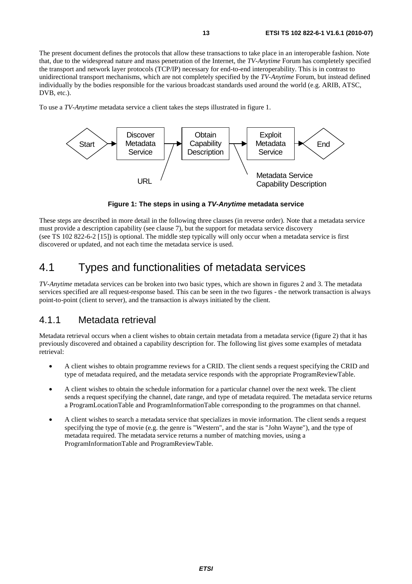The present document defines the protocols that allow these transactions to take place in an interoperable fashion. Note that, due to the widespread nature and mass penetration of the Internet, the *TV-Anytime* Forum has completely specified the transport and network layer protocols (TCP/IP) necessary for end-to-end interoperability. This is in contrast to unidirectional transport mechanisms, which are not completely specified by the *TV-Anytime* Forum, but instead defined individually by the bodies responsible for the various broadcast standards used around the world (e.g. ARIB, ATSC, DVB, etc.).

To use a *TV-Anytime* metadata service a client takes the steps illustrated in figure 1.



**Figure 1: The steps in using a** *TV-Anytime* **metadata service** 

These steps are described in more detail in the following three clauses (in reverse order). Note that a metadata service must provide a description capability (see clause 7), but the support for metadata service discovery (see TS 102 822-6-2 [15]) is optional. The middle step typically will only occur when a metadata service is first discovered or updated, and not each time the metadata service is used.

## 4.1 Types and functionalities of metadata services

*TV-Anytime* metadata services can be broken into two basic types, which are shown in figures 2 and 3. The metadata services specified are all request-response based. This can be seen in the two figures - the network transaction is always point-to-point (client to server), and the transaction is always initiated by the client.

### 4.1.1 Metadata retrieval

Metadata retrieval occurs when a client wishes to obtain certain metadata from a metadata service (figure 2) that it has previously discovered and obtained a capability description for. The following list gives some examples of metadata retrieval:

- A client wishes to obtain programme reviews for a CRID. The client sends a request specifying the CRID and type of metadata required, and the metadata service responds with the appropriate ProgramReviewTable.
- A client wishes to obtain the schedule information for a particular channel over the next week. The client sends a request specifying the channel, date range, and type of metadata required. The metadata service returns a ProgramLocationTable and ProgramInformationTable corresponding to the programmes on that channel.
- A client wishes to search a metadata service that specializes in movie information. The client sends a request specifying the type of movie (e.g. the genre is "Western", and the star is "John Wayne"), and the type of metadata required. The metadata service returns a number of matching movies, using a ProgramInformationTable and ProgramReviewTable.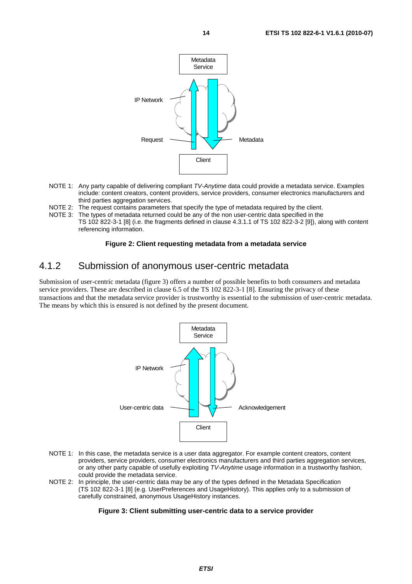

- NOTE 1: Any party capable of delivering compliant *TV-Anytime* data could provide a metadata service. Examples include: content creators, content providers, service providers, consumer electronics manufacturers and third parties aggregation services.
- NOTE 2: The request contains parameters that specify the type of metadata required by the client.
- NOTE 3: The types of metadata returned could be any of the non user-centric data specified in the TS 102 822-3-1 [8] (i.e. the fragments defined in clause 4.3.1.1 of TS 102 822-3-2 [9]), along with content referencing information.

#### **Figure 2: Client requesting metadata from a metadata service**

### 4.1.2 Submission of anonymous user-centric metadata

Submission of user-centric metadata (figure 3) offers a number of possible benefits to both consumers and metadata service providers. These are described in clause 6.5 of the TS 102 822-3-1 [8]. Ensuring the privacy of these transactions and that the metadata service provider is trustworthy is essential to the submission of user-centric metadata. The means by which this is ensured is not defined by the present document.



- NOTE 1: In this case, the metadata service is a user data aggregator. For example content creators, content providers, service providers, consumer electronics manufacturers and third parties aggregation services, or any other party capable of usefully exploiting *TV-Anytime* usage information in a trustworthy fashion, could provide the metadata service.
- NOTE 2: In principle, the user-centric data may be any of the types defined in the Metadata Specification (TS 102 822-3-1 [8] (e.g. UserPreferences and UsageHistory). This applies only to a submission of carefully constrained, anonymous UsageHistory instances.

#### **Figure 3: Client submitting user-centric data to a service provider**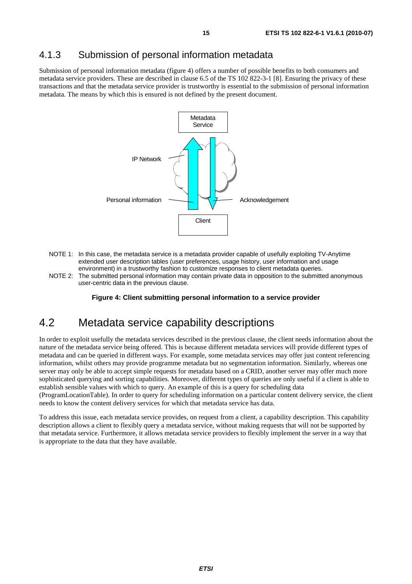## 4.1.3 Submission of personal information metadata

Submission of personal information metadata (figure 4) offers a number of possible benefits to both consumers and metadata service providers. These are described in clause 6.5 of the TS 102 822-3-1 [8]. Ensuring the privacy of these transactions and that the metadata service provider is trustworthy is essential to the submission of personal information metadata. The means by which this is ensured is not defined by the present document.



- NOTE 1: In this case, the metadata service is a metadata provider capable of usefully exploiting TV-Anytime extended user description tables (user preferences, usage history, user information and usage environment) in a trustworthy fashion to customize responses to client metadata queries.
- NOTE 2: The submitted personal information may contain private data in opposition to the submitted anonymous user-centric data in the previous clause.

**Figure 4: Client submitting personal information to a service provider** 

## 4.2 Metadata service capability descriptions

In order to exploit usefully the metadata services described in the previous clause, the client needs information about the nature of the metadata service being offered. This is because different metadata services will provide different types of metadata and can be queried in different ways. For example, some metadata services may offer just content referencing information, whilst others may provide programme metadata but no segmentation information. Similarly, whereas one server may only be able to accept simple requests for metadata based on a CRID, another server may offer much more sophisticated querying and sorting capabilities. Moreover, different types of queries are only useful if a client is able to establish sensible values with which to query. An example of this is a query for scheduling data

(ProgramLocationTable). In order to query for scheduling information on a particular content delivery service, the client needs to know the content delivery services for which that metadata service has data.

To address this issue, each metadata service provides, on request from a client, a capability description. This capability description allows a client to flexibly query a metadata service, without making requests that will not be supported by that metadata service. Furthermore, it allows metadata service providers to flexibly implement the server in a way that is appropriate to the data that they have available.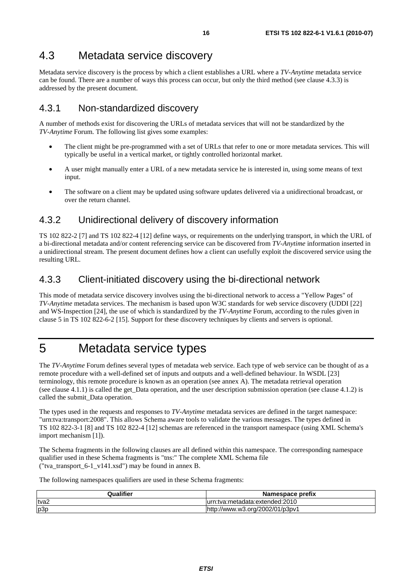## 4.3 Metadata service discovery

Metadata service discovery is the process by which a client establishes a URL where a *TV-Anytime* metadata service can be found. There are a number of ways this process can occur, but only the third method (see clause 4.3.3) is addressed by the present document.

## 4.3.1 Non-standardized discovery

A number of methods exist for discovering the URLs of metadata services that will not be standardized by the *TV-Anytime* Forum. The following list gives some examples:

- The client might be pre-programmed with a set of URLs that refer to one or more metadata services. This will typically be useful in a vertical market, or tightly controlled horizontal market.
- A user might manually enter a URL of a new metadata service he is interested in, using some means of text input.
- The software on a client may be updated using software updates delivered via a unidirectional broadcast, or over the return channel.

## 4.3.2 Unidirectional delivery of discovery information

TS 102 822-2 [7] and TS 102 822-4 [12] define ways, or requirements on the underlying transport, in which the URL of a bi-directional metadata and/or content referencing service can be discovered from *TV-Anytime* information inserted in a unidirectional stream. The present document defines how a client can usefully exploit the discovered service using the resulting URL.

## 4.3.3 Client-initiated discovery using the bi-directional network

This mode of metadata service discovery involves using the bi-directional network to access a "Yellow Pages" of *TV-Anytime* metadata services. The mechanism is based upon W3C standards for web service discovery (UDDI [22] and WS-Inspection [24], the use of which is standardized by the *TV-Anytime* Forum, according to the rules given in clause 5 in TS 102 822-6-2 [15]. Support for these discovery techniques by clients and servers is optional.

## 5 Metadata service types

The *TV-Anytime* Forum defines several types of metadata web service. Each type of web service can be thought of as a remote procedure with a well-defined set of inputs and outputs and a well-defined behaviour. In WSDL [23] terminology, this remote procedure is known as an operation (see annex A). The metadata retrieval operation (see clause 4.1.1) is called the get\_Data operation, and the user description submission operation (see clause 4.1.2) is called the submit\_Data operation.

The types used in the requests and responses to *TV-Anytime* metadata services are defined in the target namespace: "urn:tva:transport:2008". This allows Schema aware tools to validate the various messages. The types defined in TS 102 822-3-1 [8] and TS 102 822-4 [12] schemas are referenced in the transport namespace (using XML Schema's import mechanism [1]).

The Schema fragments in the following clauses are all defined within this namespace. The corresponding namespace qualifier used in these Schema fragments is "tns:" The complete XML Schema file ("tva\_transport\_6-1\_v141.xsd") may be found in annex B.

The following namespaces qualifiers are used in these Schema fragments:

| <b>Qualifier</b> | Namespace prefix                    |
|------------------|-------------------------------------|
| tva2             | i:tva:metadata:extended:2010        |
| p3p              | //www.w3.org/2002/01/p3pv1<br>http: |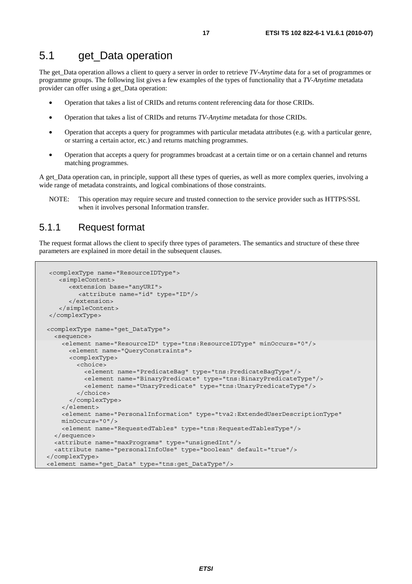The get\_Data operation allows a client to query a server in order to retrieve *TV-Anytime* data for a set of programmes or programme groups. The following list gives a few examples of the types of functionality that a *TV-Anytime* metadata provider can offer using a get\_Data operation:

- Operation that takes a list of CRIDs and returns content referencing data for those CRIDs.
- Operation that takes a list of CRIDs and returns *TV-Anytime* metadata for those CRIDs.
- Operation that accepts a query for programmes with particular metadata attributes (e.g. with a particular genre, or starring a certain actor, etc.) and returns matching programmes.
- Operation that accepts a query for programmes broadcast at a certain time or on a certain channel and returns matching programmes.

A get\_Data operation can, in principle, support all these types of queries, as well as more complex queries, involving a wide range of metadata constraints, and logical combinations of those constraints.

NOTE: This operation may require secure and trusted connection to the service provider such as HTTPS/SSL when it involves personal Information transfer.

## 5.1.1 Request format

The request format allows the client to specify three types of parameters. The semantics and structure of these three parameters are explained in more detail in the subsequent clauses.

```
<complexType name="ResourceIDType"> 
    <simpleContent> 
      <extension base="anyURI"> 
         <attribute name="id" type="ID"/> 
       </extension> 
    </simpleContent> 
</complexType> 
 <complexType name="get_DataType"> 
   <sequence> 
     <element name="ResourceID" type="tns:ResourceIDType" minOccurs="0"/> 
       <element name="QueryConstraints"> 
       <complexType> 
         <choice> 
           <element name="PredicateBag" type="tns:PredicateBagType"/> 
           <element name="BinaryPredicate" type="tns:BinaryPredicateType"/> 
           <element name="UnaryPredicate" type="tns:UnaryPredicateType"/> 
         </choice> 
       </complexType> 
     </element> 
     <element name="PersonalInformation" type="tva2:ExtendedUserDescriptionType" 
     minOccurs="0"/> 
     <element name="RequestedTables" type="tns:RequestedTablesType"/> 
   </sequence> 
   <attribute name="maxPrograms" type="unsignedInt"/> 
   <attribute name="personalInfoUse" type="boolean" default="true"/> 
</complexType> 
<element name="get_Data" type="tns:get_DataType"/>
```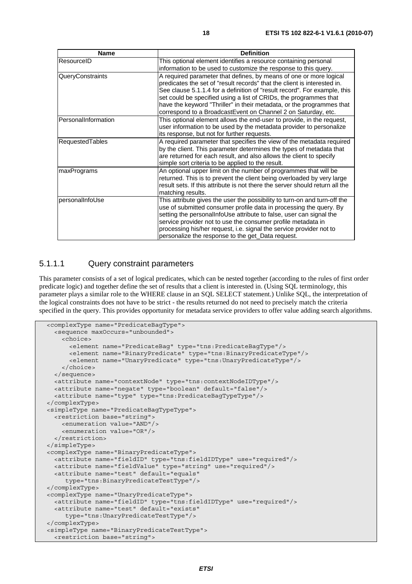| <b>Name</b>            | <b>Definition</b>                                                                                                                                                                                                                                                                                                                                                                                                                          |
|------------------------|--------------------------------------------------------------------------------------------------------------------------------------------------------------------------------------------------------------------------------------------------------------------------------------------------------------------------------------------------------------------------------------------------------------------------------------------|
| ResourceID             | This optional element identifies a resource containing personal<br>information to be used to customize the response to this query.                                                                                                                                                                                                                                                                                                         |
| QueryConstraints       | A required parameter that defines, by means of one or more logical<br>predicates the set of "result records" that the client is interested in.<br>See clause 5.1.1.4 for a definition of "result record". For example, this<br>set could be specified using a list of CRIDs, the programmes that<br>have the keyword "Thriller" in their metadata, or the programmes that<br>correspond to a BroadcastEvent on Channel 2 on Saturday, etc. |
| PersonalInformation    | This optional element allows the end-user to provide, in the request,<br>user information to be used by the metadata provider to personalize<br>its response, but not for further requests.                                                                                                                                                                                                                                                |
| <b>RequestedTables</b> | A required parameter that specifies the view of the metadata required<br>by the client. This parameter determines the types of metadata that<br>are returned for each result, and also allows the client to specify<br>simple sort criteria to be applied to the result.                                                                                                                                                                   |
| maxPrograms            | An optional upper limit on the number of programmes that will be<br>returned. This is to prevent the client being overloaded by very large<br>result sets. If this attribute is not there the server should return all the<br>matching results.                                                                                                                                                                                            |
| personalInfoUse        | This attribute gives the user the possibility to turn-on and turn-off the<br>use of submitted consumer profile data in processing the query. By<br>setting the personalInfoUse attribute to false, user can signal the<br>service provider not to use the consumer profile metadata in<br>processing his/her request, i.e. signal the service provider not to<br>personalize the response to the get_Data request.                         |

### 5.1.1.1 Query constraint parameters

This parameter consists of a set of logical predicates, which can be nested together (according to the rules of first order predicate logic) and together define the set of results that a client is interested in. (Using SQL terminology, this parameter plays a similar role to the WHERE clause in an SQL SELECT statement.) Unlike SQL, the interpretation of the logical constraints does not have to be strict - the results returned do not need to precisely match the criteria specified in the query. This provides opportunity for metadata service providers to offer value adding search algorithms.

```
 <complexType name="PredicateBagType"> 
   <sequence maxOccurs="unbounded"> 
     <choice> 
       <element name="PredicateBag" type="tns:PredicateBagType"/> 
       <element name="BinaryPredicate" type="tns:BinaryPredicateType"/> 
       <element name="UnaryPredicate" type="tns:UnaryPredicateType"/> 
     </choice> 
   </sequence> 
   <attribute name="contextNode" type="tns:contextNodeIDType"/> 
   <attribute name="negate" type="boolean" default="false"/> 
   <attribute name="type" type="tns:PredicateBagTypeType"/> 
 </complexType> 
 <simpleType name="PredicateBagTypeType"> 
   <restriction base="string"> 
     <enumeration value="AND"/> 
     <enumeration value="OR"/> 
   </restriction> 
 </simpleType> 
 <complexType name="BinaryPredicateType"> 
   <attribute name="fieldID" type="tns:fieldIDType" use="required"/> 
   <attribute name="fieldValue" type="string" use="required"/> 
   <attribute name="test" default="equals" 
      type="tns:BinaryPredicateTestType"/> 
 </complexType> 
 <complexType name="UnaryPredicateType"> 
   <attribute name="fieldID" type="tns:fieldIDType" use="required"/> 
   <attribute name="test" default="exists" 
      type="tns:UnaryPredicateTestType"/> 
 </complexType> 
 <simpleType name="BinaryPredicateTestType">
```

```
 <restriction base="string">
```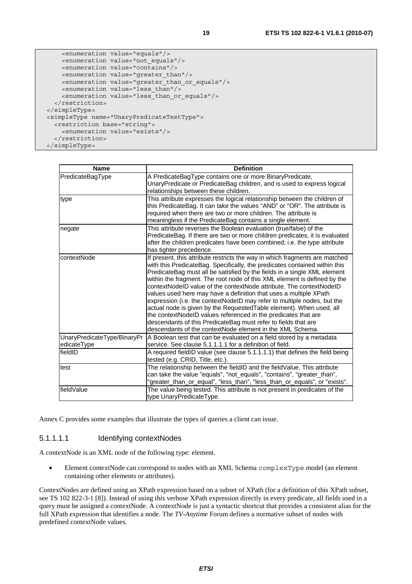```
 <enumeration value="equals"/> 
     <enumeration value="not_equals"/> 
     <enumeration value="contains"/> 
     <enumeration value="greater_than"/> 
     <enumeration value="greater_than_or_equals"/> 
     <enumeration value="less_than"/> 
     <enumeration value="less_than_or_equals"/> 
   </restriction> 
 </simpleType> 
 <simpleType name="UnaryPredicateTestType"> 
   <restriction base="string"> 
     <enumeration value="exists"/> 
   </restriction>
```

| <b>Name</b>                                | <b>Definition</b>                                                                                                                                                                                                                                                                                                                                                                                                                                                                                                                                                                                                                                                                                                                                                                                                 |
|--------------------------------------------|-------------------------------------------------------------------------------------------------------------------------------------------------------------------------------------------------------------------------------------------------------------------------------------------------------------------------------------------------------------------------------------------------------------------------------------------------------------------------------------------------------------------------------------------------------------------------------------------------------------------------------------------------------------------------------------------------------------------------------------------------------------------------------------------------------------------|
| PredicateBagType                           | A PredicateBagType contains one or more BinaryPredicate,<br>UnaryPredicate or PredicateBag children, and is used to express logical<br>relationships between these children.                                                                                                                                                                                                                                                                                                                                                                                                                                                                                                                                                                                                                                      |
| type                                       | This attribute expresses the logical relationship between the children of<br>this PredicateBag. It can take the values "AND" or "OR". The attribute is<br>required when there are two or more children. The attribute is<br>meaningless if the PredicateBag contains a single element.                                                                                                                                                                                                                                                                                                                                                                                                                                                                                                                            |
| negate                                     | This attribute reverses the Boolean evaluation (true/false) of the<br>PredicateBag. If there are two or more children predicates, it is evaluated<br>after the children predicates have been combined; i.e. the type attribute<br>has tighter precedence.                                                                                                                                                                                                                                                                                                                                                                                                                                                                                                                                                         |
| contextNode                                | If present, this attribute restricts the way in which fragments are matched<br>with this PredicateBag. Specifically, the predicates contained within this<br>PredicateBag must all be satisfied by the fields in a single XML element<br>within the fragment. The root node of this XML element is defined by the<br>contextNodeID value of the contextNode attribute. The contextNodeID<br>values used here may have a definition that uses a multiple XPath<br>expression (i.e. the contextNodeID may refer to multiple nodes, but the<br>actual node is given by the Requested Table element). When used, all<br>the contextNodeID values referenced in the predicates that are<br>descendants of this PredicateBag must refer to fields that are<br>descendants of the contextNode element in the XML Schema. |
| UnaryPredicateType/BinaryPr<br>edicateType | A Boolean test that can be evaluated on a field stored by a metadata<br>service. See clause 5.1.1.1.1 for a definition of field.                                                                                                                                                                                                                                                                                                                                                                                                                                                                                                                                                                                                                                                                                  |
| fieldID                                    | A required fieldID value (see clause 5.1.1.1.1) that defines the field being<br>tested (e.g. CRID, Title, etc.).                                                                                                                                                                                                                                                                                                                                                                                                                                                                                                                                                                                                                                                                                                  |
| test                                       | The relationship between the fieldID and the fieldValue. This attribute<br>can take the value "equals", "not_equals", "contains", "greater_than",<br>"greater_than_or_equal", "less_than", "less_than_or_equals", or "exists".                                                                                                                                                                                                                                                                                                                                                                                                                                                                                                                                                                                    |
| fieldValue                                 | The value being tested. This attribute is not present in predicates of the<br>type UnaryPredicateType.                                                                                                                                                                                                                                                                                                                                                                                                                                                                                                                                                                                                                                                                                                            |

Annex C provides some examples that illustrate the types of queries a client can issue.

#### 5.1.1.1.1 Identifying contextNodes

A contextNode is an XML node of the following type: element.

• Element contextNode can correspond to nodes with an XML Schema complexType model (an element containing other elements or attributes).

ContextNodes are defined using an XPath expression based on a subset of XPath (for a definition of this XPath subset, see TS 102 822-3-1 [8]). Instead of using this verbose XPath expression directly in every predicate, all fields used in a query must be assigned a contextNode. A contextNode is just a syntactic shortcut that provides a consistent alias for the full XPath expression that identifies a node. The *TV-Anytime* Forum defines a normative subset of nodes with predefined contextNode values.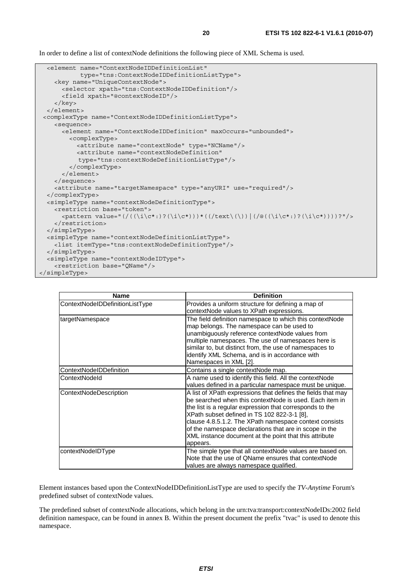In order to define a list of contextNode definitions the following piece of XML Schema is used.

```
 <element name="ContextNodeIDDefinitionList" 
            type="tns:ContextNodeIDDefinitionListType"> 
     <key name="UniqueContextNode"> 
       <selector xpath="tns:ContextNodeIDDefinition"/> 
       <field xpath="@contextNodeID"/> 
     </key> 
   </element> 
 <complexType name="ContextNodeIDDefinitionListType"> 
     <sequence> 
       <element name="ContextNodeIDDefinition" maxOccurs="unbounded"> 
         <complexType> 
           <attribute name="contextNode" type="NCName"/> 
           <attribute name="contextNodeDefinition" 
            type="tns:contextNodeDefinitionListType"/> 
         </complexType> 
       </element> 
     </sequence> 
     <attribute name="targetNamespace" type="anyURI" use="required"/> 
  </complexType> 
   <simpleType name="contextNodeDefinitionType"> 
     <restriction base="token"> 
      \langle <pattern value="(/(\langle i\cdot\rangle)?(\i\c*:)?(\i\c*)))*((/text\(\))|(/@((\i\c*:)?(\i\c*))))?"/>
     </restriction> 
  </simpleType> 
   <simpleType name="contextNodeDefinitionListType"> 
     <list itemType="tns:contextNodeDefinitionType"/> 
   </simpleType> 
   <simpleType name="contextNodeIDType"> 
     <restriction base="QName"/> 
</simpleType>
```

| Name                            | <b>Definition</b>                                                                                                                                                                                                                                                                                                                                                                                                            |
|---------------------------------|------------------------------------------------------------------------------------------------------------------------------------------------------------------------------------------------------------------------------------------------------------------------------------------------------------------------------------------------------------------------------------------------------------------------------|
| ContextNodeIDDefinitionListType | Provides a uniform structure for defining a map of<br>contextNode values to XPath expressions.                                                                                                                                                                                                                                                                                                                               |
| targetNamespace                 | The field definition namespace to which this contextNode<br>map belongs. The namespace can be used to<br>unambiguously reference contextNode values from<br>multiple namespaces. The use of namespaces here is<br>similar to, but distinct from, the use of namespaces to<br>identify XML Schema, and is in accordance with<br>Namespaces in XML [2].                                                                        |
| ContextNodeIDDefinition         | Contains a single contextNode map.                                                                                                                                                                                                                                                                                                                                                                                           |
| ContextNodeld                   | A name used to identify this field. All the contextNode<br>values defined in a particular namespace must be unique.                                                                                                                                                                                                                                                                                                          |
| ContextNodeDescription          | A list of XPath expressions that defines the fields that may<br>be searched when this contextNode is used. Each item in<br>the list is a regular expression that corresponds to the<br>XPath subset defined in TS 102 822-3-1 [8],<br>clause 4.8.5.1.2. The XPath namespace context consists<br>of the namespace declarations that are in scope in the<br>XML instance document at the point that this attribute<br>appears. |
| contextNodeIDType               | The simple type that all contextNode values are based on.<br>Note that the use of QName ensures that contextNode<br>values are always namespace qualified.                                                                                                                                                                                                                                                                   |

Element instances based upon the ContextNodeIDDefinitionListType are used to specify the *TV-Anytime* Forum's predefined subset of contextNode values.

The predefined subset of contextNode allocations, which belong in the urn:tva:transport:contextNodeIDs:2002 field definition namespace, can be found in annex B. Within the present document the prefix "tvac" is used to denote this namespace.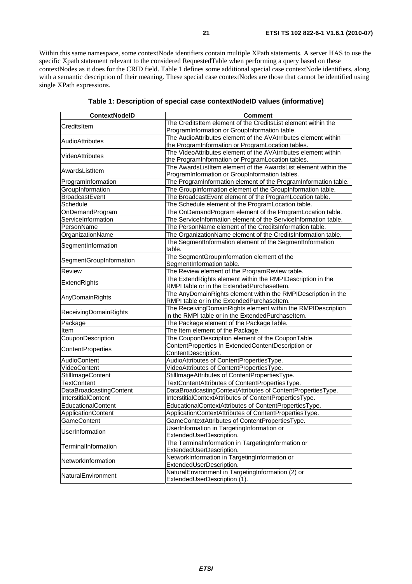Within this same namespace, some contextNode identifiers contain multiple XPath statements. A server HAS to use the specific Xpath statement relevant to the considered RequestedTable when performing a query based on these contextNodes as it does for the CRID field. Table 1 defines some additional special case contextNode identifiers, along with a semantic description of their meaning. These special case contextNodes are those that cannot be identified using single XPath expressions.

| <b>ContextNodelD</b>     | <b>Comment</b>                                                     |
|--------------------------|--------------------------------------------------------------------|
| CreditsItem              | The CreditsItem element of the CreditsList element within the      |
|                          | ProgramInformation or GroupInformation table.                      |
| <b>AudioAttributes</b>   | The AudioAttributes element of the AVAtrributes element within     |
|                          | the ProgramInformation or ProgramLocation tables.                  |
| <b>VideoAttributes</b>   | The VideoAttributes element of the AVAtrributes element within     |
|                          | the ProgramInformation or ProgramLocation tables.                  |
| AwardsListItem           | The AwardsListItem element of the AwardsList element within the    |
|                          | ProgramInformation or GroupInformation tables.                     |
| ProgramInformation       | The ProgramInformation element of the ProgramInformation table.    |
| GroupInformation         | The GroupInformation element of the GroupInformation table.        |
| <b>BroadcastEvent</b>    | The BroadcastEvent element of the ProgramLocation table.           |
| Schedule                 | The Schedule element of the ProgramLocation table.                 |
| OnDemandProgram          | The OnDemandProgram element of the ProgramLocation table.          |
| ServiceInformation       | The ServiceInformation element of the ServiceInformation table.    |
| PersonName               | The PersonName element of the CreditsInformation table.            |
| OrganizationName         | The OrganizationName element of the CreditsInformation table.      |
| SegmentInformation       | The SegmentInformation element of the SegmentInformation<br>table. |
|                          | The SegmentGroupInformation element of the                         |
| SegmentGroupInformation  | SegmentInformation table.                                          |
| <b>Review</b>            | The Review element of the ProgramReview table.                     |
|                          | The ExtendRights element within the RMPIDescription in the         |
| ExtendRights             | RMPI table or in the ExtendedPurchaseItem.                         |
|                          | The AnyDomainRights element within the RMPIDescription in the      |
| AnyDomainRights          | RMPI table or in the ExtendedPurchaseItem.                         |
| ReceivingDomainRights    | The ReceivingDomainRights element within the RMPIDescription       |
|                          | in the RMPI table or in the ExtendedPurchaseItem.                  |
| Package                  | The Package element of the PackageTable.                           |
| Item                     | The Item element of the Package.                                   |
| CouponDescription        | The CouponDescription element of the CouponTable.                  |
| <b>ContentProperties</b> | ContentProperties In ExtendedContentDescription or                 |
|                          | ContentDescription.                                                |
| <b>AudioContent</b>      | AudioAttributes of ContentPropertiesType.                          |
| VideoContent             | VideoAttributes of ContentPropertiesType.                          |
| StillImageContent        | StillImageAttributes of ContentPropertiesType.                     |
| <b>TextContent</b>       | TextContentAttributes of ContentPropertiesType.                    |
| DataBroadcastingContent  | DataBroadcastingContextAttributes of ContentPropertiesType.        |
| InterstitialContent      | InterstitialContextAttributes of ContentPropertiesType.            |
| EducationalContent       | EducationalContextAttributes of ContentPropertiesType.             |
| ApplicationContent       | ApplicationContextAttributes of ContentPropertiesType.             |
| GameContent              | GameContextAttributes of ContentPropertiesType.                    |
| UserInformation          | UserInformation in TargetingInformation or                         |
|                          | ExtendedUserDescription.                                           |
| TerminalInformation      | The TerminalInformation in TargetingInformation or                 |
|                          | ExtendedUserDescription.                                           |
| NetworkInformation       | NetworkInformation in TargetingInformation or                      |
|                          | ExtendedUserDescription.                                           |
| NaturalEnvironment       | NaturalEnvironment in TargetingInformation (2) or                  |
|                          | ExtendedUserDescription (1).                                       |

**Table 1: Description of special case contextNodeID values (informative)**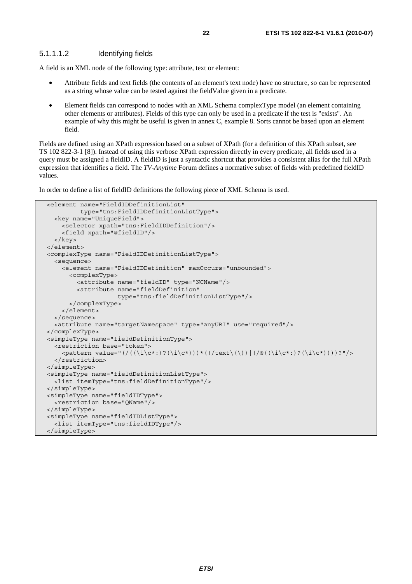A field is an XML node of the following type: attribute, text or element:

- Attribute fields and text fields (the contents of an element's text node) have no structure, so can be represented as a string whose value can be tested against the fieldValue given in a predicate.
- Element fields can correspond to nodes with an XML Schema complexType model (an element containing other elements or attributes). Fields of this type can only be used in a predicate if the test is "exists". An example of why this might be useful is given in annex C, example 8. Sorts cannot be based upon an element field.

Fields are defined using an XPath expression based on a subset of XPath (for a definition of this XPath subset, see TS 102 822-3-1 [8]). Instead of using this verbose XPath expression directly in every predicate, all fields used in a query must be assigned a fieldID. A fieldID is just a syntactic shortcut that provides a consistent alias for the full XPath expression that identifies a field. The *TV-Anytime* Forum defines a normative subset of fields with predefined fieldID values.

In order to define a list of fieldID definitions the following piece of XML Schema is used.

```
 <element name="FieldIDDefinitionList" 
          type="tns:FieldIDDefinitionListType"> 
   <key name="UniqueField"> 
     <selector xpath="tns:FieldIDDefinition"/> 
     <field xpath="@fieldID"/> 
   </key> 
 </element> 
 <complexType name="FieldIDDefinitionListType"> 
   <sequence> 
     <element name="FieldIDDefinition" maxOccurs="unbounded"> 
       <complexType> 
         <attribute name="fieldID" type="NCName"/> 
         <attribute name="fieldDefinition" 
                     type="tns:fieldDefinitionListType"/> 
       </complexType> 
     </element> 
   </sequence> 
   <attribute name="targetNamespace" type="anyURI" use="required"/> 
 </complexType> 
 <simpleType name="fieldDefinitionType"> 
   <restriction base="token"> 
     <pattern value="(/((\i\c*:)?(\i\c*)))*((/text\(\))|(/@((\i\c*:)?(\i\c*))))?"/> 
  </restriction>
 </simpleType> 
 <simpleType name="fieldDefinitionListType"> 
   <list itemType="tns:fieldDefinitionType"/> 
 </simpleType> 
 <simpleType name="fieldIDType"> 
   <restriction base="QName"/> 
 </simpleType> 
 <simpleType name="fieldIDListType"> 
   <list itemType="tns:fieldIDType"/> 
 </simpleType>
```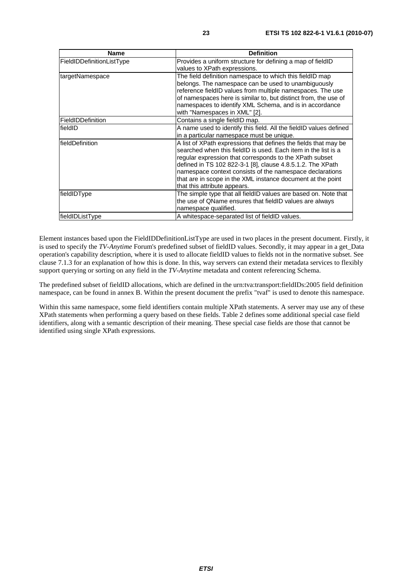| <b>Name</b>               | <b>Definition</b>                                                                                                                                                                                                                                                                                                                                                                                                     |
|---------------------------|-----------------------------------------------------------------------------------------------------------------------------------------------------------------------------------------------------------------------------------------------------------------------------------------------------------------------------------------------------------------------------------------------------------------------|
| FieldIDDefinitionListType | Provides a uniform structure for defining a map of fieldID<br>values to XPath expressions.                                                                                                                                                                                                                                                                                                                            |
| targetNamespace           | The field definition namespace to which this fieldID map<br>belongs. The namespace can be used to unambiguously<br>reference fieldID values from multiple namespaces. The use<br>of namespaces here is similar to, but distinct from, the use of<br>namespaces to identify XML Schema, and is in accordance<br>with "Namespaces in XML" [2].                                                                          |
| FieldIDDefinition         | Contains a single fieldID map.                                                                                                                                                                                                                                                                                                                                                                                        |
| fieldID                   | A name used to identify this field. All the fieldID values defined<br>in a particular namespace must be unique.                                                                                                                                                                                                                                                                                                       |
| <b>fieldDefinition</b>    | A list of XPath expressions that defines the fields that may be<br>searched when this fieldID is used. Each item in the list is a<br>regular expression that corresponds to the XPath subset<br>defined in TS 102 822-3-1 [8], clause 4.8.5.1.2. The XPath<br>namespace context consists of the namespace declarations<br>that are in scope in the XML instance document at the point<br>that this attribute appears. |
| fieldIDType               | The simple type that all fieldID values are based on. Note that<br>the use of QName ensures that fieldID values are always<br>namespace qualified.                                                                                                                                                                                                                                                                    |
| fieldIDListType           | A whitespace-separated list of fieldID values.                                                                                                                                                                                                                                                                                                                                                                        |

Element instances based upon the FieldIDDefinitionListType are used in two places in the present document. Firstly, it is used to specify the *TV-Anytime* Forum's predefined subset of fieldID values. Secondly, it may appear in a get\_Data operation's capability description, where it is used to allocate fieldID values to fields not in the normative subset. See clause 7.1.3 for an explanation of how this is done. In this, way servers can extend their metadata services to flexibly support querying or sorting on any field in the *TV-Anytime* metadata and content referencing Schema.

The predefined subset of fieldID allocations, which are defined in the urn:tva:transport:fieldIDs:2005 field definition namespace, can be found in annex B. Within the present document the prefix "tvaf" is used to denote this namespace.

Within this same namespace, some field identifiers contain multiple XPath statements. A server may use any of these XPath statements when performing a query based on these fields. Table 2 defines some additional special case field identifiers, along with a semantic description of their meaning. These special case fields are those that cannot be identified using single XPath expressions.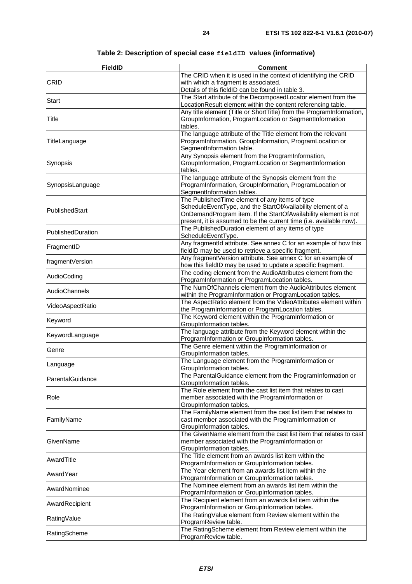| <b>FieldID</b>    | <b>Comment</b>                                                                                                                  |
|-------------------|---------------------------------------------------------------------------------------------------------------------------------|
|                   | The CRID when it is used in the context of identifying the CRID                                                                 |
| <b>CRID</b>       | with which a fragment is associated.                                                                                            |
|                   | Details of this fieldID can be found in table 3.                                                                                |
| Start             | The Start attribute of the DecomposedLocator element from the                                                                   |
|                   | LocationResult element within the content referencing table.                                                                    |
| Title             | Any title element (Title or ShortTitle) from the ProgramInformation,<br>GroupInformation, ProgramLocation or SegmentInformation |
|                   | tables.                                                                                                                         |
|                   | The language attribute of the Title element from the relevant                                                                   |
| TitleLanguage     | ProgramInformation, GroupInformation, ProgramLocation or                                                                        |
|                   | SegmentInformation table.                                                                                                       |
|                   | Any Synopsis element from the ProgramInformation,                                                                               |
| Synopsis          | GroupInformation, ProgramLocation or SegmentInformation                                                                         |
|                   | tables.                                                                                                                         |
|                   | The language attribute of the Synopsis element from the                                                                         |
| SynopsisLanguage  | ProgramInformation, GroupInformation, ProgramLocation or                                                                        |
|                   | SegmentInformation tables.                                                                                                      |
|                   | The Published Time element of any items of type<br>ScheduleEventType, and the StartOfAvailability element of a                  |
| PublishedStart    | OnDemandProgram item. If the StartOfAvailability element is not                                                                 |
|                   | present, it is assumed to be the current time (i.e. available now).                                                             |
|                   | The PublishedDuration element of any items of type                                                                              |
| PublishedDuration | ScheduleEventType.                                                                                                              |
|                   | Any fragmentId attribute. See annex C for an example of how this                                                                |
| FragmentID        | fieldID may be used to retrieve a specific fragment.                                                                            |
|                   | Any fragmentVersion attribute. See annex C for an example of                                                                    |
| fragmentVersion   | how this fieldID may be used to update a specific fragment.                                                                     |
| AudioCoding       | The coding element from the AudioAttributes element from the                                                                    |
|                   | ProgramInformation or ProgramLocation tables.                                                                                   |
| AudioChannels     | The NumOfChannels element from the AudioAttributes element                                                                      |
|                   | within the ProgramInformation or ProgramLocation tables.                                                                        |
| VideoAspectRatio  | The AspectRatio element from the VideoAttributes element within                                                                 |
|                   | the ProgramInformation or ProgramLocation tables.<br>The Keyword element within the ProgramInformation or                       |
| Keyword           | GroupInformation tables.                                                                                                        |
|                   | The language attribute from the Keyword element within the                                                                      |
| KeywordLanguage   | ProgramInformation or GroupInformation tables.                                                                                  |
|                   | The Genre element within the ProgramInformation or                                                                              |
| Genre             | GroupInformation tables.                                                                                                        |
| Language          | The Language element from the ProgramInformation or                                                                             |
|                   | GroupInformation tables.                                                                                                        |
| ParentalGuidance  | The ParentalGuidance element from the ProgramInformation or                                                                     |
|                   | GroupInformation tables.                                                                                                        |
|                   | The Role element from the cast list item that relates to cast                                                                   |
| Role              | member associated with the ProgramInformation or                                                                                |
|                   | GroupInformation tables.<br>The FamilyName element from the cast list item that relates to                                      |
| FamilyName        | cast member associated with the ProgramInformation or                                                                           |
|                   | GroupInformation tables.                                                                                                        |
|                   | The GivenName element from the cast list item that relates to cast                                                              |
| GivenName         | member associated with the ProgramInformation or                                                                                |
|                   | GroupInformation tables.                                                                                                        |
| AwardTitle        | The Title element from an awards list item within the                                                                           |
|                   | ProgramInformation or GroupInformation tables.                                                                                  |
| AwardYear         | The Year element from an awards list item within the                                                                            |
|                   | ProgramInformation or GroupInformation tables.                                                                                  |
| AwardNominee      | The Nominee element from an awards list item within the                                                                         |
|                   | ProgramInformation or GroupInformation tables.                                                                                  |
| AwardRecipient    | The Recipient element from an awards list item within the                                                                       |
|                   | ProgramInformation or GroupInformation tables.                                                                                  |
| RatingValue       | The RatingValue element from Review element within the<br>ProgramReview table.                                                  |
|                   | The RatingScheme element from Review element within the                                                                         |
| RatingScheme      | ProgramReview table.                                                                                                            |
|                   |                                                                                                                                 |

### **Table 2: Description of special case fieldID values (informative)**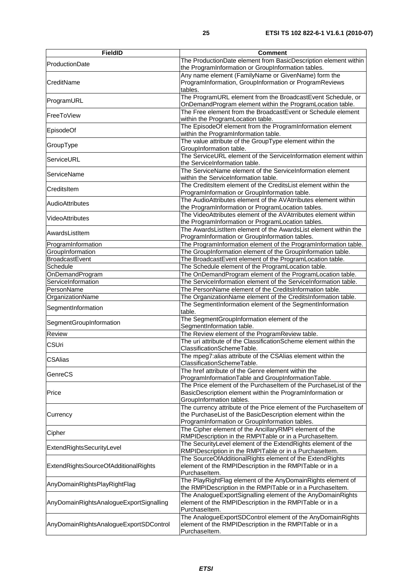| <b>FieldID</b>                          | <b>Comment</b>                                                                                                                                                                      |
|-----------------------------------------|-------------------------------------------------------------------------------------------------------------------------------------------------------------------------------------|
| ProductionDate                          | The ProductionDate element from BasicDescription element within<br>the ProgramInformation or GroupInformation tables.                                                               |
| CreditName                              | Any name element (FamilyName or GivenName) form the<br>ProgramInformation, GroupInformation or ProgramReviews<br>tables.                                                            |
| ProgramURL                              | The ProgramURL element from the BroadcastEvent Schedule, or<br>OnDemandProgram element within the ProgramLocation table.                                                            |
| FreeToView                              | The Free element from the BroadcastEvent or Schedule element<br>within the ProgramLocation table.                                                                                   |
| EpisodeOf                               | The EpisodeOf element from the ProgramInformation element<br>within the ProgramInformation table.                                                                                   |
| GroupType                               | The value attribute of the GroupType element within the<br>GroupInformation table.                                                                                                  |
| ServiceURL                              | The ServiceURL element of the ServiceInformation element within<br>the ServiceInformation table.                                                                                    |
| <b>ServiceName</b>                      | The ServiceName element of the ServiceInformation element<br>within the ServiceInformation table.                                                                                   |
| CreditsItem                             | The CreditsItem element of the CreditsList element within the<br>ProgramInformation or GroupInformation table.                                                                      |
| <b>AudioAttributes</b>                  | The AudioAttributes element of the AVAtrributes element within<br>the ProgramInformation or ProgramLocation tables.                                                                 |
| VideoAttributes                         | The VideoAttributes element of the AVAtrributes element within<br>the ProgramInformation or ProgramLocation tables.                                                                 |
| AwardsListItem                          | The AwardsListItem element of the AwardsList element within the<br>ProgramInformation or GroupInformation tables.                                                                   |
| ProgramInformation                      | The ProgramInformation element of the ProgramInformation table.                                                                                                                     |
| GroupInformation                        | The GroupInformation element of the GroupInformation table.                                                                                                                         |
| <b>BroadcastEvent</b>                   | The BroadcastEvent element of the ProgramLocation table.                                                                                                                            |
| Schedule                                | The Schedule element of the ProgramLocation table.                                                                                                                                  |
| OnDemandProgram                         | The OnDemandProgram element of the ProgramLocation table.                                                                                                                           |
| ServiceInformation                      | The ServiceInformation element of the ServiceInformation table.                                                                                                                     |
| PersonName                              | The PersonName element of the CreditsInformation table.                                                                                                                             |
| OrganizationName                        | The OrganizationName element of the CreditsInformation table.                                                                                                                       |
| SegmentInformation                      | The SegmentInformation element of the SegmentInformation<br>table.                                                                                                                  |
| SegmentGroupInformation                 | The SegmentGroupInformation element of the<br>SegmentInformation table.                                                                                                             |
| Review                                  | The Review element of the ProgramReview table.                                                                                                                                      |
| <b>CSUri</b>                            | The uri attribute of the ClassificationScheme element within the<br>ClassificationSchemeTable.                                                                                      |
| <b>CSAlias</b>                          | The mpeg7:alias attribute of the CSAlias element within the<br>ClassificationSchemeTable.                                                                                           |
| GenreCS                                 | The href attribute of the Genre element within the<br>ProgramInformationTable and GroupInformationTable.                                                                            |
| Price                                   | The Price element of the Purchaseltem of the PurchaseList of the<br>BasicDescription element within the ProgramInformation or<br>GroupInformation tables.                           |
| Currency                                | The currency attribute of the Price element of the Purchaseltem of<br>the PurchaseList of the BasicDescription element within the<br>ProgramInformation or GroupInformation tables. |
| Cipher                                  | The Cipher element of the AncillaryRMPI element of the<br>RMPIDescription in the RMPITable or in a Purchaseltem.                                                                    |
| ExtendRightsSecurityLevel               | The SecurityLevel element of the ExtendRights element of the<br>RMPIDescription in the RMPITable or in a Purchaseltem.                                                              |
| ExtendRightsSourceOfAdditionalRights    | The SourceOfAdditionalRights element of the ExtendRights<br>element of the RMPIDescription in the RMPITable or in a<br>Purchaseltem.                                                |
| AnyDomainRightsPlayRightFlag            | The PlayRightFlag element of the AnyDomainRights element of<br>the RMPIDescription in the RMPITable or in a Purchaseltem.                                                           |
| AnyDomainRightsAnalogueExportSignalling | The AnalogueExportSignalling element of the AnyDomainRights<br>element of the RMPIDescription in the RMPITable or in a<br>Purchaseltem.                                             |
| AnyDomainRightsAnalogueExportSDControl  | The AnalogueExportSDControl element of the AnyDomainRights<br>element of the RMPIDescription in the RMPITable or in a<br>Purchaseltem.                                              |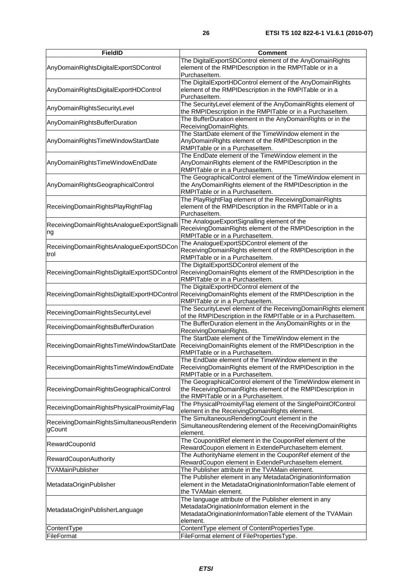| <b>FieldID</b>                                      | <b>Comment</b>                                                                                                                                                                    |
|-----------------------------------------------------|-----------------------------------------------------------------------------------------------------------------------------------------------------------------------------------|
| AnyDomainRightsDigitalExportSDControl               | The DigitalExportSDControl element of the AnyDomainRights<br>element of the RMPIDescription in the RMPITable or in a<br>Purchaseltem.                                             |
| AnyDomainRightsDigitalExportHDControl               | The DigitalExportHDControl element of the AnyDomainRights<br>element of the RMPIDescription in the RMPITable or in a<br>Purchaseltem.                                             |
| AnyDomainRightsSecurityLevel                        | The SecurityLevel element of the AnyDomainRights element of<br>the RMPIDescription in the RMPITable or in a PurchaseItem.                                                         |
| AnyDomainRightsBufferDuration                       | The BufferDuration element in the AnyDomainRights or in the<br>ReceivingDomainRights.                                                                                             |
| AnyDomainRightsTimeWindowStartDate                  | The StartDate element of the TimeWindow element in the<br>AnyDomainRights element of the RMPIDescription in the<br>RMPITable or in a Purchaseltem.                                |
| AnyDomainRightsTimeWindowEndDate                    | The EndDate element of the TimeWindow element in the<br>AnyDomainRights element of the RMPIDescription in the<br>RMPITable or in a Purchaseltem.                                  |
| AnyDomainRightsGeographicalControl                  | The GeographicalControl element of the TimeWindow element in<br>the AnyDomainRights element of the RMPIDescription in the<br>RMPITable or in a Purchaseltem.                      |
| ReceivingDomainRightsPlayRightFlag                  | The PlayRightFlag element of the ReceivingDomainRights<br>element of the RMPIDescription in the RMPITable or in a<br>Purchaseltem.                                                |
| ReceivingDomainRightsAnalogueExportSignalli<br>Ing  | The AnalogueExportSignalling element of the<br>ReceivingDomainRights element of the RMPIDescription in the<br>RMPITable or in a Purchaseltem.                                     |
| ReceivingDomainRightsAnalogueExportSDCon<br>trol    | The AnalogueExportSDControl element of the<br>ReceivingDomainRights element of the RMPIDescription in the<br>RMPITable or in a Purchaseltem.                                      |
| ReceivingDomainRightsDigitalExportSDControl         | The DigitalExportSDControl element of the<br>ReceivingDomainRights element of the RMPIDescription in the<br>RMPITable or in a Purchaseltem.                                       |
| ReceivingDomainRightsDigitalExportHDControl         | The DigitalExportHDControl element of the<br>ReceivingDomainRights element of the RMPIDescription in the<br>RMPITable or in a Purchaseltem.                                       |
| ReceivingDomainRightsSecurityLevel                  | The SecurityLevel element of the ReceivingDomainRights element<br>of the RMPIDescription in the RMPITable or in a Purchaseltem.                                                   |
| ReceivingDomainRightsBufferDuration                 | The BufferDuration element in the AnyDomainRights or in the<br>ReceivingDomainRights.                                                                                             |
| ReceivingDomainRightsTimeWindowStartDate            | The StartDate element of the TimeWindow element in the<br>ReceivingDomainRights element of the RMPIDescription in the<br>RMPITable or in a Purchaseltem.                          |
| ReceivingDomainRightsTimeWindowEndDate              | The EndDate element of the TimeWindow element in the<br>ReceivingDomainRights element of the RMPIDescription in the<br>RMPITable or in a Purchaseltem.                            |
| ReceivingDomainRightsGeographicalControl            | The GeographicalControl element of the TimeWindow element in<br>the ReceivingDomainRights element of the RMPIDescription in<br>the RMPITable or in a Purchaseltem.                |
| ReceivingDomainRightsPhysicalProximityFlag          | The PhysicalProximityFlag element of the SinglePointOfControl<br>element in the ReceivingDomainRights element.                                                                    |
| ReceivingDomainRightsSimultaneousRenderin<br>gCount | The SimultaneousRenderingCount element in the<br>SimultaneousRendering element of the ReceivingDomainRights<br>element.                                                           |
| RewardCouponId                                      | The CouponIdRef element in the CouponRef element of the<br>RewardCoupon element in ExtendePurchaseItem element.                                                                   |
| <b>RewardCouponAuthority</b>                        | The AuthorityName element in the CouponRef element of the<br>RewardCoupon element in ExtendePurchaseltem element.                                                                 |
| TVAMainPublisher                                    | The Publisher attribute in the TVAMain element.                                                                                                                                   |
| MetadataOriginPublisher                             | The Publisher element in any MetadataOriginationInformation<br>element in the MetadataOriginationInformationTable element of<br>the TVAMain element.                              |
| MetadataOriginPublisherLanguage                     | The language attribute of the Publisher element in any<br>MetadataOriginationInformation element in the<br>MetadataOriginationInformationTable element of the TVAMain<br>element. |
| ContentType                                         | ContentType element of ContentPropertiesType.                                                                                                                                     |
| FileFormat                                          | FileFormat element of FilePropertiesType.                                                                                                                                         |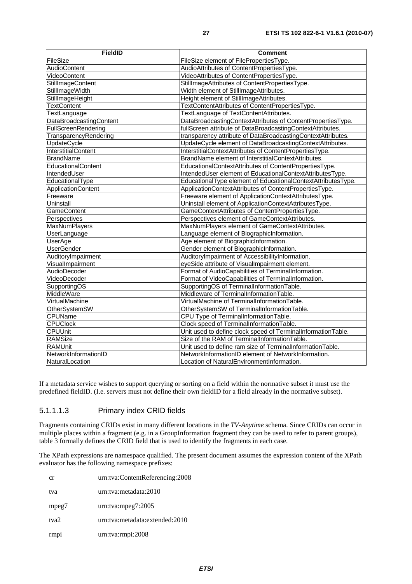| <b>FieldID</b>             | Comment                                                      |
|----------------------------|--------------------------------------------------------------|
| FileSize                   | FileSize element of FilePropertiesType.                      |
| <b>AudioContent</b>        | AudioAttributes of ContentPropertiesType.                    |
| VideoContent               | VideoAttributes of ContentPropertiesType.                    |
| <b>StillImageContent</b>   | StillImageAttributes of ContentPropertiesType.               |
| StillImageWidth            | Width element of StillImageAttributes.                       |
| StillImageHeight           | Height element of StillImageAttributes.                      |
| <b>TextContent</b>         | TextContentAttributes of ContentPropertiesType.              |
| <b>TextLanguage</b>        | TextLanguage of TextContentAttributes.                       |
| DataBroadcastingContent    | DataBroadcastingContextAttributes of ContentPropertiesType.  |
| FullScreenRendering        | fullScreen attribute of DataBroadcastingContextAttributes.   |
| TransparencyRendering      | transparency attribute of DataBroadcastingContextAttributes. |
| UpdateCycle                | UpdateCycle element of DataBroadcastingContextAttributes.    |
| <b>InterstitialContent</b> | InterstitialContextAttributes of ContentPropertiesType.      |
| <b>BrandName</b>           | BrandName element of InterstitialContextAttributes.          |
| EducationalContent         | EducationalContextAttributes of ContentPropertiesType.       |
| IntendedUser               | IntendedUser element of EducationalContextAttributesType.    |
| EducationalType            | EducationalType element of EducationalContextAttributesType. |
| ApplicationContent         | ApplicationContextAttributes of ContentPropertiesType.       |
| Freeware                   | Freeware element of ApplicationContextAttributesType.        |
| Uninstall                  | Uninstall element of ApplicationContextAttributesType.       |
| <b>GameContent</b>         | GameContextAttributes of ContentPropertiesType.              |
| Perspectives               | Perspectives element of GameContextAttributes.               |
| <b>MaxNumPlayers</b>       | MaxNumPlayers element of GameContextAttributes.              |
| UserLanguage               | Language element of BiographicInformation.                   |
| <b>UserAge</b>             | Age element of BiographicInformation.                        |
| <b>UserGender</b>          | Gender element of BiographicInformation.                     |
| AuditoryImpairment         | AuditoryImpairment of AccessibilityInformation.              |
| VisualImpairment           | eyeSide attribute of VisualImpairment element.               |
| AudioDecoder               | Format of AudioCapabilities of TerminalInformation.          |
| VideoDecoder               | Format of VideoCapabilities of TerminalInformation.          |
| SupportingOS               | SupportingOS of TerminalInformationTable.                    |
| MiddleWare                 | Middleware of TerminalInformationTable.                      |
| VirtualMachine             | VirtualMachine of TerminalInformationTable.                  |
| <b>OtherSystemSW</b>       | OtherSystemSW of TerminalInformationTable.                   |
| <b>CPUName</b>             | CPU Type of TerminalInformationTable.                        |
| <b>CPUClock</b>            | Clock speed of TerminalInformationTable.                     |
| <b>CPUUnit</b>             | Unit used to define clock speed of TerminalInformationTable. |
| <b>RAMSize</b>             | Size of the RAM of TerminalInformationTable.                 |
| <b>RAMUnit</b>             | Unit used to define ram size of TerminalInformationTable.    |
| NetworkInformationID       | NetworkInformationID element of NetworkInformation.          |
| NaturalLocation            | Location of NaturalEnvironmentInformation.                   |

If a metadata service wishes to support querying or sorting on a field within the normative subset it must use the predefined fieldID. (I.e. servers must not define their own fieldID for a field already in the normative subset).

#### 5.1.1.1.3 Primary index CRID fields

Fragments containing CRIDs exist in many different locations in the *TV-Anytime* schema. Since CRIDs can occur in multiple places within a fragment (e.g. in a GroupInformation fragment they can be used to refer to parent groups), table 3 formally defines the CRID field that is used to identify the fragments in each case.

The XPath expressions are namespace qualified. The present document assumes the expression content of the XPath evaluator has the following namespace prefixes:

| cr               | urn:tva:ContentReferencing:2008 |
|------------------|---------------------------------|
| tva              | urn:tva:metadata:2010           |
| mpeg7            | urn:tva:mpeg7:2005              |
| tva <sub>2</sub> | urn:tva:metadata:extended:2010  |
| rmp <sub>1</sub> | urn:tva:rmpi:2008               |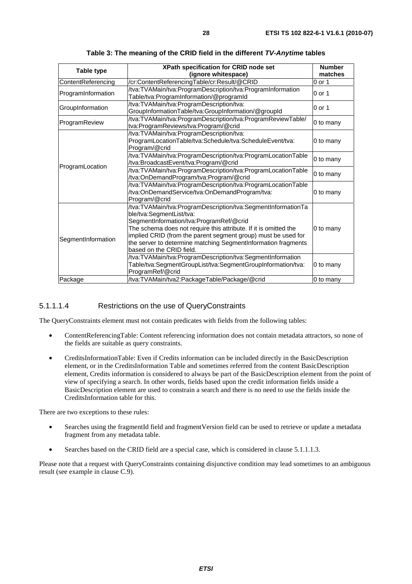| Table type         | XPath specification for CRID node set<br>(ignore whitespace)                                                                                                                                                                                                                                                                                                                                                                        | <b>Number</b><br>matches |
|--------------------|-------------------------------------------------------------------------------------------------------------------------------------------------------------------------------------------------------------------------------------------------------------------------------------------------------------------------------------------------------------------------------------------------------------------------------------|--------------------------|
| ContentReferencing | /cr:ContentReferencingTable/cr:Result/@CRID                                                                                                                                                                                                                                                                                                                                                                                         | $0$ or 1                 |
| ProgramInformation | /tva:TVAMain/tva:ProgramDescription/tva:ProgramInformation<br>Table/tva:ProgramInformation/@programId                                                                                                                                                                                                                                                                                                                               | 0 or 1                   |
| GroupInformation   | /tva:TVAMain/tva:ProgramDescription/tva:<br>GroupInformationTable/tva:GroupInformation/@groupId                                                                                                                                                                                                                                                                                                                                     | $0$ or 1                 |
| ProgramReview      | /tva:TVAMain/tva:ProgramDescription/tva:ProgramReviewTable/<br>tva:ProgramReviews/tva:Program/@crid                                                                                                                                                                                                                                                                                                                                 | 0 to many                |
| ProgramLocation    | /tva:TVAMain/tva:ProgramDescription/tva:<br>ProgramLocationTable/tva:Schedule/tva:ScheduleEvent/tva:<br>Program/@crid                                                                                                                                                                                                                                                                                                               | 0 to many                |
|                    | /tva:TVAMain/tva:ProgramDescription/tva:ProgramLocationTable<br>/tva:BroadcastEvent/tva:Program/@crid                                                                                                                                                                                                                                                                                                                               | 0 to many                |
|                    | /tva:TVAMain/tva:ProgramDescription/tva:ProgramLocationTable<br>/tva:OnDemandProgram/tva:Program/@crid                                                                                                                                                                                                                                                                                                                              | 0 to many                |
|                    | /tva:TVAMain/tva:ProgramDescription/tva:ProgramLocationTable<br>/tva:OnDemandService/tva:OnDemandProgram/tva:<br>Program/@crid                                                                                                                                                                                                                                                                                                      | 0 to many                |
| SegmentInformation | /tva:TVAMain/tva:ProgramDescription/tva:SegmentInformationTa<br>ble/tva:SegmentList/tva:<br>SegmentInformation/tva:ProgramRef/@crid<br>The schema does not require this attribute. If it is omitted the<br>implied CRID (from the parent segment group) must be used for<br>the server to determine matching SegmentInformation fragments<br>based on the CRID field.<br>/tva:TVAMain/tva:ProgramDescription/tva:SegmentInformation | 0 to many                |
|                    | Table/tva:SegmentGroupList/tva:SegmentGroupInformation/tva:<br>ProgramRef/@crid                                                                                                                                                                                                                                                                                                                                                     | 0 to many                |
| Package            | /tva:TVAMain/tva2:PackageTable/Package/@crid                                                                                                                                                                                                                                                                                                                                                                                        | 0 to many                |

**Table 3: The meaning of the CRID field in the different** *TV-Anytime* **tables** 

#### 5.1.1.1.4 Restrictions on the use of QueryConstraints

The QueryConstraints element must not contain predicates with fields from the following tables:

- ContentReferencingTable: Content referencing information does not contain metadata attractors, so none of the fields are suitable as query constraints.
- CreditsInformationTable: Even if Credits information can be included directly in the BasicDescription element, or in the CreditsInformation Table and sometimes referred from the content BasicDescription element, Credits information is considered to always be part of the BasicDescription element from the point of view of specifying a search. In other words, fields based upon the credit information fields inside a BasicDescription element are used to constrain a search and there is no need to use the fields inside the CreditsInformation table for this.

There are two exceptions to these rules:

- Searches using the fragmentId field and fragmentVersion field can be used to retrieve or update a metadata fragment from any metadata table.
- Searches based on the CRID field are a special case, which is considered in clause 5.1.1.1.3.

Please note that a request with QueryConstraints containing disjunctive condition may lead sometimes to an ambiguous result (see example in clause C.9).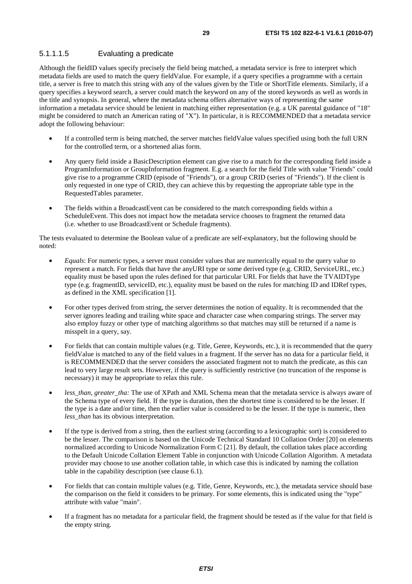#### 5.1.1.1.5 Evaluating a predicate

Although the fieldID values specify precisely the field being matched, a metadata service is free to interpret which metadata fields are used to match the query fieldValue. For example, if a query specifies a programme with a certain title, a server is free to match this string with any of the values given by the Title or ShortTitle elements. Similarly, if a query specifies a keyword search, a server could match the keyword on any of the stored keywords as well as words in the title and synopsis. In general, where the metadata schema offers alternative ways of representing the same information a metadata service should be lenient in matching either representation (e.g. a UK parental guidance of "18" might be considered to match an American rating of "X"). In particular, it is RECOMMENDED that a metadata service adopt the following behaviour:

- If a controlled term is being matched, the server matches fieldValue values specified using both the full URN for the controlled term, or a shortened alias form.
- Any query field inside a BasicDescription element can give rise to a match for the corresponding field inside a ProgramInformation or GroupInformation fragment. E.g. a search for the field Title with value "Friends" could give rise to a programme CRID (episode of "Friends"), or a group CRID (series of "Friends"). If the client is only requested in one type of CRID, they can achieve this by requesting the appropriate table type in the RequestedTables parameter.
- The fields within a BroadcastEvent can be considered to the match corresponding fields within a ScheduleEvent. This does not impact how the metadata service chooses to fragment the returned data (i.e. whether to use BroadcastEvent or Schedule fragments).

The tests evaluated to determine the Boolean value of a predicate are self-explanatory, but the following should be noted:

- *Equals*: For numeric types, a server must consider values that are numerically equal to the query value to represent a match. For fields that have the anyURI type or some derived type (e.g. CRID, ServiceURL, etc.) equality must be based upon the rules defined for that particular URI. For fields that have the TVAIDType type (e.g. fragmentID, serviceID, etc.), equality must be based on the rules for matching ID and IDRef types, as defined in the XML specification [1].
- For other types derived from string, the server determines the notion of equality. It is recommended that the server ignores leading and trailing white space and character case when comparing strings. The server may also employ fuzzy or other type of matching algorithms so that matches may still be returned if a name is misspelt in a query, say.
- For fields that can contain multiple values (e.g. Title, Genre, Keywords, etc.), it is recommended that the query fieldValue is matched to any of the field values in a fragment. If the server has no data for a particular field, it is RECOMMENDED that the server considers the associated fragment not to match the predicate, as this can lead to very large result sets. However, if the query is sufficiently restrictive (no truncation of the response is necessary) it may be appropriate to relax this rule.
- less than, greater tha: The use of XPath and XML Schema mean that the metadata service is always aware of the Schema type of every field. If the type is duration, then the shortest time is considered to be the lesser. If the type is a date and/or time, then the earlier value is considered to be the lesser. If the type is numeric, then *less*\_*than* has its obvious interpretation.
- If the type is derived from a string, then the earliest string (according to a lexicographic sort) is considered to be the lesser. The comparison is based on the Unicode Technical Standard 10 Collation Order [20] on elements normalized according to Unicode Normalization Form C [21]. By default, the collation takes place according to the Default Unicode Collation Element Table in conjunction with Unicode Collation Algorithm. A metadata provider may choose to use another collation table, in which case this is indicated by naming the collation table in the capability description (see clause 6.1).
- For fields that can contain multiple values (e.g. Title, Genre, Keywords, etc.), the metadata service should base the comparison on the field it considers to be primary. For some elements, this is indicated using the "type" attribute with value "main".
- If a fragment has no metadata for a particular field, the fragment should be tested as if the value for that field is the empty string.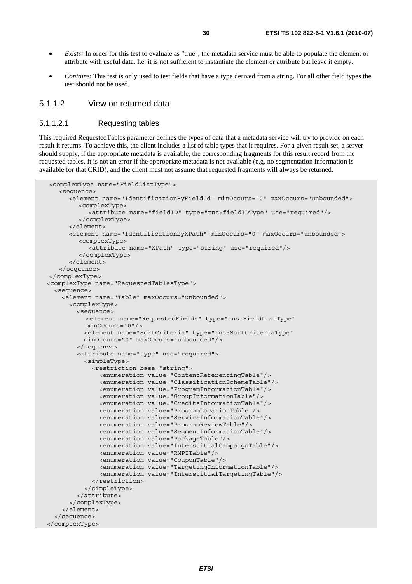- *Exists:* In order for this test to evaluate as "true", the metadata service must be able to populate the element or attribute with useful data. I.e. it is not sufficient to instantiate the element or attribute but leave it empty.
- *Contains*: This test is only used to test fields that have a type derived from a string. For all other field types the test should not be used.

#### 5.1.1.2 View on returned data

#### 5.1.1.2.1 Requesting tables

This required RequestedTables parameter defines the types of data that a metadata service will try to provide on each result it returns. To achieve this, the client includes a list of table types that it requires. For a given result set, a server should supply, if the appropriate metadata is available, the corresponding fragments for this result record from the requested tables. It is not an error if the appropriate metadata is not available (e.g. no segmentation information is available for that CRID), and the client must not assume that requested fragments will always be returned.

```
<complexType name="FieldListType"> 
    <sequence> 
       <element name="IdentificationByFieldId" minOccurs="0" maxOccurs="unbounded"> 
          <complexType> 
            <attribute name="fieldID" type="tns:fieldIDType" use="required"/> 
          </complexType> 
       </element> 
       <element name="IdentificationByXPath" minOccurs="0" maxOccurs="unbounded"> 
          <complexType> 
            <attribute name="XPath" type="string" use="required"/> 
          </complexType> 
       </element> 
    </sequence> 
</complexType> 
 <complexType name="RequestedTablesType"> 
   <sequence> 
     <element name="Table" maxOccurs="unbounded"> 
       <complexType> 
         <sequence> 
            <element name="RequestedFields" type="tns:FieldListType" 
            minOccurs="0"/> 
           <element name="SortCriteria" type="tns:SortCriteriaType" 
           minOccurs="0" maxOccurs="unbounded"/> 
         </sequence> 
         <attribute name="type" use="required"> 
           <simpleType> 
             <restriction base="string"> 
                <enumeration value="ContentReferencingTable"/> 
                <enumeration value="ClassificationSchemeTable"/> 
                <enumeration value="ProgramInformationTable"/> 
                <enumeration value="GroupInformationTable"/> 
                <enumeration value="CreditsInformationTable"/> 
                <enumeration value="ProgramLocationTable"/> 
                <enumeration value="ServiceInformationTable"/> 
                <enumeration value="ProgramReviewTable"/> 
                <enumeration value="SegmentInformationTable"/> 
                <enumeration value="PackageTable"/> 
                <enumeration value="InterstitialCampaignTable"/> 
                <enumeration value="RMPITable"/> 
                <enumeration value="CouponTable"/> 
                <enumeration value="TargetingInformationTable"/> 
                <enumeration value="InterstitialTargetingTable"/> 
             </restriction> 
           </simpleType> 
         </attribute> 
       </complexType> 
     </element> 
   </sequence> 
 </complexType>
```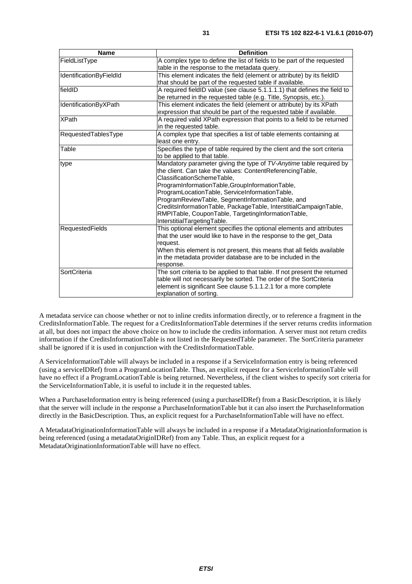| <b>Name</b>             | <b>Definition</b>                                                          |
|-------------------------|----------------------------------------------------------------------------|
| FieldListType           | A complex type to define the list of fields to be part of the requested    |
|                         | table in the response to the metadata query.                               |
| IdentificationByFieldId | This element indicates the field (element or attribute) by its fieldID     |
|                         | that should be part of the requested table if available.                   |
| fieldID                 | A required fieldID value (see clause 5.1.1.1.1) that defines the field to  |
|                         | be returned in the requested table (e.g. Title, Synopsis, etc.).           |
| IdentificationByXPath   | This element indicates the field (element or attribute) by its XPath       |
|                         | expression that should be part of the requested table if available.        |
| <b>XPath</b>            | A required valid XPath expression that points to a field to be returned    |
|                         | in the requested table.                                                    |
| RequestedTablesType     | A complex type that specifies a list of table elements containing at       |
|                         | least one entry.                                                           |
| Table                   | Specifies the type of table required by the client and the sort criteria   |
|                         | to be applied to that table.                                               |
| type                    | Mandatory parameter giving the type of TV-Anytime table required by        |
|                         | the client. Can take the values: ContentReferencingTable,                  |
|                         | ClassificationSchemeTable,                                                 |
|                         | ProgramInformationTable,GroupInformationTable,                             |
|                         | ProgramLocationTable, ServiceInformationTable,                             |
|                         | ProgramReviewTable, SegmentInformationTable, and                           |
|                         | CreditsInformationTable, PackageTable, InterstitialCampaignTable,          |
|                         | RMPITable, CouponTable, TargetingInformationTable,                         |
|                         | InterstitialTargetingTable.                                                |
| <b>RequestedFields</b>  | This optional element specifies the optional elements and attributes       |
|                         | that the user would like to have in the response to the get_Data           |
|                         | request.                                                                   |
|                         | When this element is not present, this means that all fields available     |
|                         | in the metadata provider database are to be included in the                |
|                         | response.                                                                  |
| SortCriteria            | The sort criteria to be applied to that table. If not present the returned |
|                         | table will not necessarily be sorted. The order of the SortCriteria        |
|                         | element is significant See clause 5.1.1.2.1 for a more complete            |
|                         | explanation of sorting.                                                    |

A metadata service can choose whether or not to inline credits information directly, or to reference a fragment in the CreditsInformationTable. The request for a CreditsInformationTable determines if the server returns credits information at all, but does not impact the above choice on how to include the credits information. A server must not return credits information if the CreditsInformationTable is not listed in the RequestedTable parameter. The SortCriteria parameter shall be ignored if it is used in conjunction with the CreditsInformationTable.

A ServiceInformationTable will always be included in a response if a ServiceInformation entry is being referenced (using a serviceIDRef) from a ProgramLocationTable. Thus, an explicit request for a ServiceInformationTable will have no effect if a ProgramLocationTable is being returned. Nevertheless, if the client wishes to specify sort criteria for the ServiceInformationTable, it is useful to include it in the requested tables.

When a PurchaseInformation entry is being referenced (using a purchaseIDRef) from a BasicDescription, it is likely that the server will include in the response a PurchaseInformationTable but it can also insert the PurchaseInformation directly in the BasicDescription. Thus, an explicit request for a PurchaseInformationTable will have no effect.

A MetadataOriginationInformationTable will always be included in a response if a MetadataOriginationInformation is being referenced (using a metadataOriginIDRef) from any Table. Thus, an explicit request for a MetadataOriginationInformationTable will have no effect.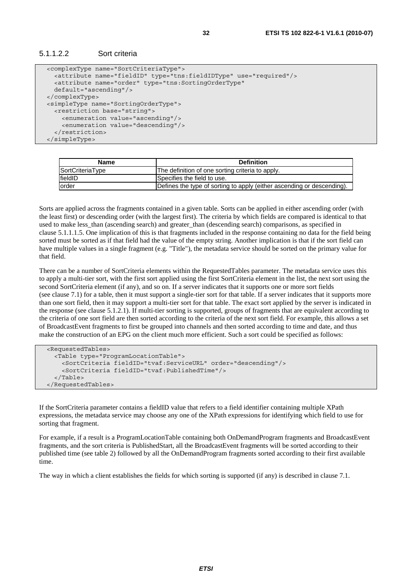```
 <complexType name="SortCriteriaType"> 
   <attribute name="fieldID" type="tns:fieldIDType" use="required"/> 
   <attribute name="order" type="tns:SortingOrderType" 
   default="ascending"/> 
 </complexType> 
 <simpleType name="SortingOrderType"> 
   <restriction base="string"> 
     <enumeration value="ascending"/> 
     <enumeration value="descending"/> 
   </restriction> 
 </simpleType>
```

| <b>Name</b>      | <b>Definition</b>                                                      |
|------------------|------------------------------------------------------------------------|
| SortCriteriaType | The definition of one sorting criteria to apply.                       |
| fieldID          | Specifies the field to use.                                            |
| lorder           | Defines the type of sorting to apply (either ascending or descending). |

Sorts are applied across the fragments contained in a given table. Sorts can be applied in either ascending order (with the least first) or descending order (with the largest first). The criteria by which fields are compared is identical to that used to make less\_than (ascending search) and greater\_than (descending search) comparisons, as specified in clause 5.1.1.1.5. One implication of this is that fragments included in the response containing no data for the field being sorted must be sorted as if that field had the value of the empty string. Another implication is that if the sort field can have multiple values in a single fragment (e.g. "Title"), the metadata service should be sorted on the primary value for that field.

There can be a number of SortCriteria elements within the RequestedTables parameter. The metadata service uses this to apply a multi-tier sort, with the first sort applied using the first SortCriteria element in the list, the next sort using the second SortCriteria element (if any), and so on. If a server indicates that it supports one or more sort fields (see clause 7.1) for a table, then it must support a single-tier sort for that table. If a server indicates that it supports more than one sort field, then it may support a multi-tier sort for that table. The exact sort applied by the server is indicated in the response (see clause 5.1.2.1). If multi-tier sorting is supported, groups of fragments that are equivalent according to the criteria of one sort field are then sorted according to the criteria of the next sort field. For example, this allows a set of BroadcastEvent fragments to first be grouped into channels and then sorted according to time and date, and thus make the construction of an EPG on the client much more efficient. Such a sort could be specified as follows:

```
 <RequestedTables> 
   <Table type="ProgramLocationTable"> 
     <SortCriteria fieldID="tvaf:ServiceURL" order="descending"/> 
     <SortCriteria fieldID="tvaf:PublishedTime"/> 
   </Table> 
 </RequestedTables>
```
If the SortCriteria parameter contains a fieldID value that refers to a field identifier containing multiple XPath expressions, the metadata service may choose any one of the XPath expressions for identifying which field to use for sorting that fragment.

For example, if a result is a ProgramLocationTable containing both OnDemandProgram fragments and BroadcastEvent fragments, and the sort criteria is PublishedStart, all the BroadcastEvent fragments will be sorted according to their published time (see table 2) followed by all the OnDemandProgram fragments sorted according to their first available time.

The way in which a client establishes the fields for which sorting is supported (if any) is described in clause 7.1.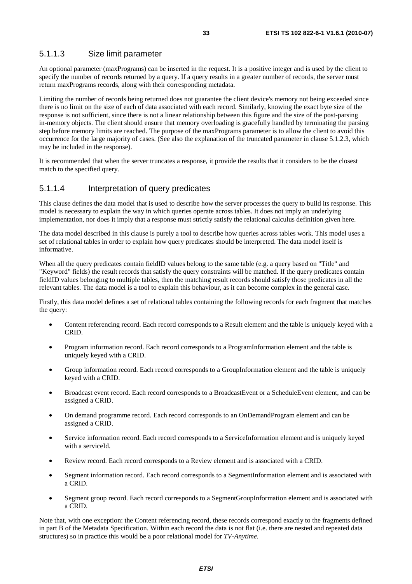### 5.1.1.3 Size limit parameter

An optional parameter (maxPrograms) can be inserted in the request. It is a positive integer and is used by the client to specify the number of records returned by a query. If a query results in a greater number of records, the server must return maxPrograms records, along with their corresponding metadata.

Limiting the number of records being returned does not guarantee the client device's memory not being exceeded since there is no limit on the size of each of data associated with each record. Similarly, knowing the exact byte size of the response is not sufficient, since there is not a linear relationship between this figure and the size of the post-parsing in-memory objects. The client should ensure that memory overloading is gracefully handled by terminating the parsing step before memory limits are reached. The purpose of the maxPrograms parameter is to allow the client to avoid this occurrence for the large majority of cases. (See also the explanation of the truncated parameter in clause 5.1.2.3, which may be included in the response).

It is recommended that when the server truncates a response, it provide the results that it considers to be the closest match to the specified query.

#### 5.1.1.4 Interpretation of query predicates

This clause defines the data model that is used to describe how the server processes the query to build its response. This model is necessary to explain the way in which queries operate across tables. It does not imply an underlying implementation, nor does it imply that a response must strictly satisfy the relational calculus definition given here.

The data model described in this clause is purely a tool to describe how queries across tables work. This model uses a set of relational tables in order to explain how query predicates should be interpreted. The data model itself is informative.

When all the query predicates contain fieldID values belong to the same table (e.g. a query based on "Title" and "Keyword" fields) the result records that satisfy the query constraints will be matched. If the query predicates contain fieldID values belonging to multiple tables, then the matching result records should satisfy those predicates in all the relevant tables. The data model is a tool to explain this behaviour, as it can become complex in the general case.

Firstly, this data model defines a set of relational tables containing the following records for each fragment that matches the query:

- Content referencing record. Each record corresponds to a Result element and the table is uniquely keyed with a CRID.
- Program information record. Each record corresponds to a ProgramInformation element and the table is uniquely keyed with a CRID.
- Group information record. Each record corresponds to a GroupInformation element and the table is uniquely keyed with a CRID.
- Broadcast event record. Each record corresponds to a BroadcastEvent or a ScheduleEvent element, and can be assigned a CRID.
- On demand programme record. Each record corresponds to an OnDemandProgram element and can be assigned a CRID.
- Service information record. Each record corresponds to a ServiceInformation element and is uniquely keyed with a serviceId.
- Review record. Each record corresponds to a Review element and is associated with a CRID.
- Segment information record. Each record corresponds to a SegmentInformation element and is associated with a CRID.
- Segment group record. Each record corresponds to a SegmentGroupInformation element and is associated with a CRID.

Note that, with one exception: the Content referencing record, these records correspond exactly to the fragments defined in part B of the Metadata Specification. Within each record the data is not flat (i.e. there are nested and repeated data structures) so in practice this would be a poor relational model for *TV-Anytime*.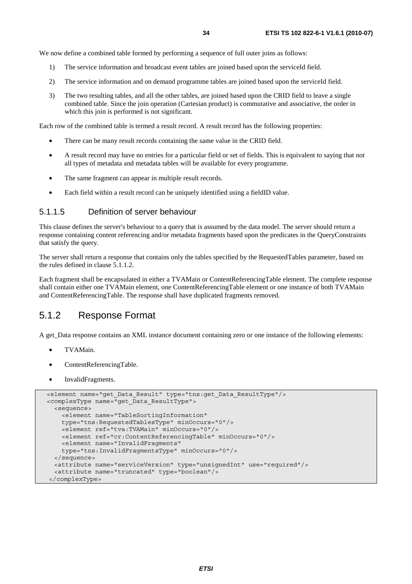We now define a combined table formed by performing a sequence of full outer joins as follows:

- 1) The service information and broadcast event tables are joined based upon the serviceId field.
- 2) The service information and on demand programme tables are joined based upon the serviceId field.
- 3) The two resulting tables, and all the other tables, are joined based upon the CRID field to leave a single combined table. Since the join operation (Cartesian product) is commutative and associative, the order in which this join is performed is not significant.

Each row of the combined table is termed a result record. A result record has the following properties:

- There can be many result records containing the same value in the CRID field.
- A result record may have no entries for a particular field or set of fields. This is equivalent to saying that not all types of metadata and metadata tables will be available for every programme.
- The same fragment can appear in multiple result records.
- Each field within a result record can be uniquely identified using a fieldID value.

#### 5.1.1.5 Definition of server behaviour

This clause defines the server's behaviour to a query that is assumed by the data model. The server should return a response containing content referencing and/or metadata fragments based upon the predicates in the QueryConstraints that satisfy the query.

The server shall return a response that contains only the tables specified by the RequestedTables parameter, based on the rules defined in clause 5.1.1.2.

Each fragment shall be encapsulated in either a TVAMain or ContentReferencingTable element. The complete response shall contain either one TVAMain element, one ContentReferencingTable element or one instance of both TVAMain and ContentReferencingTable. The response shall have duplicated fragments removed.

## 5.1.2 Response Format

A get\_Data response contains an XML instance document containing zero or one instance of the following elements:

- TVAMain.
- ContentReferencingTable.
- InvalidFragments.

```
 <element name="get_Data_Result" type="tns:get_Data_ResultType"/> 
 <complexType name="get_Data_ResultType"> 
   <sequence> 
     <element name="TableSortingInformation" 
     type="tns:RequestedTablesType" minOccurs="0"/> 
     <element ref="tva:TVAMain" minOccurs="0"/> 
     <element ref="cr:ContentReferencingTable" minOccurs="0"/> 
     <element name="InvalidFragments" 
     type="tns:InvalidFragmentsType" minOccurs="0"/> 
  </sequence> 
   <attribute name="serviceVersion" type="unsignedInt" use="required"/> 
   <attribute name="truncated" type="boolean"/> 
 </complexType>
```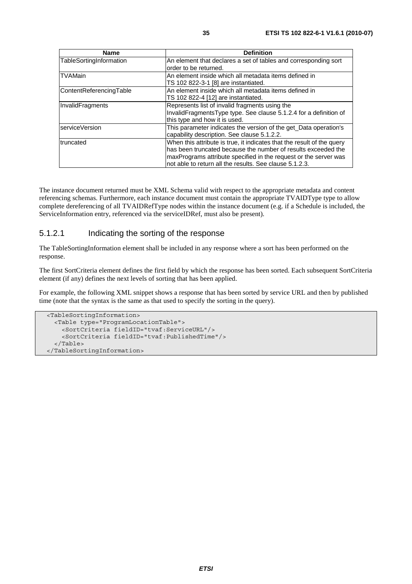| <b>Name</b>             | <b>Definition</b>                                                                                                                                                                                                                                                      |
|-------------------------|------------------------------------------------------------------------------------------------------------------------------------------------------------------------------------------------------------------------------------------------------------------------|
| TableSortingInformation | An element that declares a set of tables and corresponding sort<br>order to be returned.                                                                                                                                                                               |
| <b>TVAMain</b>          | An element inside which all metadata items defined in<br>TS 102 822-3-1 [8] are instantiated.                                                                                                                                                                          |
| ContentReferencingTable | An element inside which all metadata items defined in<br>TS 102 822-4 [12] are instantiated.                                                                                                                                                                           |
| InvalidFragments        | Represents list of invalid fragments using the<br>InvalidFragmentsType type. See clause 5.1.2.4 for a definition of<br>this type and how it is used.                                                                                                                   |
| IserviceVersion         | This parameter indicates the version of the get Data operation's<br>capability description. See clause 5.1.2.2.                                                                                                                                                        |
| truncated               | When this attribute is true, it indicates that the result of the query<br>has been truncated because the number of results exceeded the<br>maxPrograms attribute specified in the request or the server was<br>not able to return all the results. See clause 5.1.2.3. |

The instance document returned must be XML Schema valid with respect to the appropriate metadata and content referencing schemas. Furthermore, each instance document must contain the appropriate TVAIDType type to allow complete dereferencing of all TVAIDRefType nodes within the instance document (e.g. if a Schedule is included, the ServiceInformation entry, referenced via the serviceIDRef, must also be present).

### 5.1.2.1 Indicating the sorting of the response

The TableSortingInformation element shall be included in any response where a sort has been performed on the response.

The first SortCriteria element defines the first field by which the response has been sorted. Each subsequent SortCriteria element (if any) defines the next levels of sorting that has been applied.

For example, the following XML snippet shows a response that has been sorted by service URL and then by published time (note that the syntax is the same as that used to specify the sorting in the query).

```
 <TableSortingInformation> 
   <Table type="ProgramLocationTable"> 
     <SortCriteria fieldID="tvaf:ServiceURL"/> 
     <SortCriteria fieldID="tvaf:PublishedTime"/> 
   </Table> 
 </TableSortingInformation>
```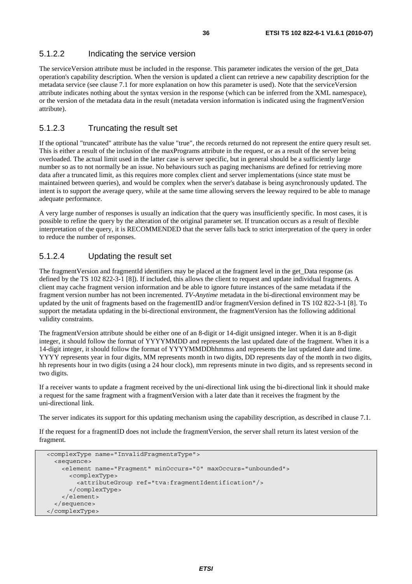### 5.1.2.2 Indicating the service version

The serviceVersion attribute must be included in the response. This parameter indicates the version of the get\_Data operation's capability description. When the version is updated a client can retrieve a new capability description for the metadata service (see clause 7.1 for more explanation on how this parameter is used). Note that the serviceVersion attribute indicates nothing about the syntax version in the response (which can be inferred from the XML namespace), or the version of the metadata data in the result (metadata version information is indicated using the fragmentVersion attribute).

### 5.1.2.3 Truncating the result set

If the optional "truncated" attribute has the value "true", the records returned do not represent the entire query result set. This is either a result of the inclusion of the maxPrograms attribute in the request, or as a result of the server being overloaded. The actual limit used in the latter case is server specific, but in general should be a sufficiently large number so as to not normally be an issue. No behaviours such as paging mechanisms are defined for retrieving more data after a truncated limit, as this requires more complex client and server implementations (since state must be maintained between queries), and would be complex when the server's database is being asynchronously updated. The intent is to support the average query, while at the same time allowing servers the leeway required to be able to manage adequate performance.

A very large number of responses is usually an indication that the query was insufficiently specific. In most cases, it is possible to refine the query by the alteration of the original parameter set. If truncation occurs as a result of flexible interpretation of the query, it is RECOMMENDED that the server falls back to strict interpretation of the query in order to reduce the number of responses.

### 5.1.2.4 Updating the result set

The fragmentVersion and fragmentId identifiers may be placed at the fragment level in the get\_Data response (as defined by the TS 102 822-3-1 [8]). If included, this allows the client to request and update individual fragments. A client may cache fragment version information and be able to ignore future instances of the same metadata if the fragment version number has not been incremented. *TV-Anytime* metadata in the bi-directional environment may be updated by the unit of fragments based on the fragementID and/or fragmentVersion defined in TS 102 822-3-1 [8]. To support the metadata updating in the bi-directional environment, the fragmentVersion has the following additional validity constraints.

The fragmentVersion attribute should be either one of an 8-digit or 14-digit unsigned integer. When it is an 8-digit integer, it should follow the format of YYYYMMDD and represents the last updated date of the fragment. When it is a 14-digit integer, it should follow the format of YYYYMMDDhhmmss and represents the last updated date and time. YYYY represents year in four digits, MM represents month in two digits, DD represents day of the month in two digits, hh represents hour in two digits (using a 24 hour clock), mm represents minute in two digits, and ss represents second in two digits.

If a receiver wants to update a fragment received by the uni-directional link using the bi-directional link it should make a request for the same fragment with a fragmentVersion with a later date than it receives the fragment by the uni-directional link.

The server indicates its support for this updating mechanism using the capability description, as described in clause 7.1.

If the request for a fragmentID does not include the fragmentVersion, the server shall return its latest version of the fragment.

```
 <complexType name="InvalidFragmentsType"> 
   <sequence> 
     <element name="Fragment" minOccurs="0" maxOccurs="unbounded"> 
       <complexType> 
         <attributeGroup ref="tva:fragmentIdentification"/> 
       </complexType> 
     </element> 
   </sequence> 
 </complexType>
```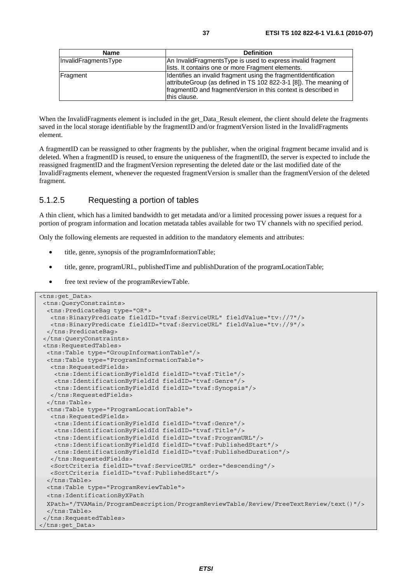| <b>Name</b>          | <b>Definition</b>                                                 |  |
|----------------------|-------------------------------------------------------------------|--|
| InvalidFragmentsType | An InvalidFragmentsType is used to express invalid fragment       |  |
|                      | lists. It contains one or more Fragment elements.                 |  |
| Fragment             | Identifies an invalid fragment using the fragment dentification   |  |
|                      | attributeGroup (as defined in TS 102 822-3-1 [8]). The meaning of |  |
|                      | fragmentID and fragmentVersion in this context is described in    |  |
|                      | this clause.                                                      |  |

When the InvalidFragments element is included in the get Data Result element, the client should delete the fragments saved in the local storage identifiable by the fragmentID and/or fragmentVersion listed in the InvalidFragments element.

A fragmentID can be reassigned to other fragments by the publisher, when the original fragment became invalid and is deleted. When a fragmentID is reused, to ensure the uniqueness of the fragmentID, the server is expected to include the reassigned fragmentID and the fragmentVersion representing the deleted date or the last modified date of the InvalidFragments element, whenever the requested fragmentVersion is smaller than the fragmentVersion of the deleted fragment.

#### 5.1.2.5 Requesting a portion of tables

A thin client, which has a limited bandwidth to get metadata and/or a limited processing power issues a request for a portion of program information and location metatada tables available for two TV channels with no specified period.

Only the following elements are requested in addition to the mandatory elements and attributes:

- title, genre, synopsis of the programInformationTable;
- title, genre, programURL, publishedTime and publishDuration of the programLocationTable;
- free text review of the programReviewTable.

```
<tns:get_Data> 
  <tns:QueryConstraints> 
   <tns:PredicateBag type="OR"> 
   <tns:BinaryPredicate fieldID="tvaf:ServiceURL" fieldValue="tv://7"/> 
   <tns:BinaryPredicate fieldID="tvaf:ServiceURL" fieldValue="tv://9"/> 
  </tns:PredicateBag> 
  </tns:QueryConstraints> 
  <tns:RequestedTables> 
  <tns:Table type="GroupInformationTable"/> 
  <tns:Table type="ProgramInformationTable"> 
   <tns:RequestedFields> 
     <tns:IdentificationByFieldId fieldID="tvaf:Title"/> 
     <tns:IdentificationByFieldId fieldID="tvaf:Genre"/> 
     <tns:IdentificationByFieldId fieldID="tvaf:Synopsis"/> 
   </tns:RequestedFields> 
   </tns:Table> 
  <tns:Table type="ProgramLocationTable"> 
   <tns:RequestedFields> 
     <tns:IdentificationByFieldId fieldID="tvaf:Genre"/> 
     <tns:IdentificationByFieldId fieldID="tvaf:Title"/> 
     <tns:IdentificationByFieldId fieldID="tvaf:ProgramURL"/> 
     <tns:IdentificationByFieldId fieldID="tvaf:PublishedStart"/> 
     <tns:IdentificationByFieldId fieldID="tvaf:PublishedDuration"/> 
   </tns:RequestedFields> 
   <SortCriteria fieldID="tvaf:ServiceURL" order="descending"/> 
   <SortCriteria fieldID="tvaf:PublishedStart"/> 
   </tns:Table> 
  <tns:Table type="ProgramReviewTable"> 
   <tns:IdentificationByXPath 
  XPath="/TVAMain/ProgramDescription/ProgramReviewTable/Review/FreeTextReview/text()"/> 
  </tns:Table> 
  </tns:RequestedTables> 
</tns:get_Data>
```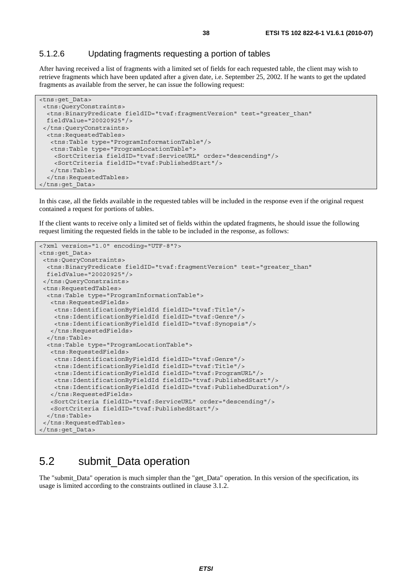#### 5.1.2.6 Updating fragments requesting a portion of tables

After having received a list of fragments with a limited set of fields for each requested table, the client may wish to retrieve fragments which have been updated after a given date, i.e. September 25, 2002. If he wants to get the updated fragments as available from the server, he can issue the following request:

```
<tns:get_Data> 
  <tns:QueryConstraints> 
  <tns:BinaryPredicate fieldID="tvaf:fragmentVersion" test="greater_than" 
  fieldValue="20020925"/> 
  </tns:QueryConstraints> 
  <tns:RequestedTables> 
   <tns:Table type="ProgramInformationTable"/> 
    <tns:Table type="ProgramLocationTable"> 
     <SortCriteria fieldID="tvaf:ServiceURL" order="descending"/> 
     <SortCriteria fieldID="tvaf:PublishedStart"/> 
    </tns:Table> 
   </tns:RequestedTables> 
</tns:get_Data>
```
In this case, all the fields available in the requested tables will be included in the response even if the original request contained a request for portions of tables.

If the client wants to receive only a limited set of fields within the updated fragments, he should issue the following request limiting the requested fields in the table to be included in the response, as follows:

```
<?xml version="1.0" encoding="UTF-8"?> 
<tns:get_Data> 
  <tns:QueryConstraints> 
  <tns:BinaryPredicate fieldID="tvaf:fragmentVersion" test="greater_than" 
  fieldValue="20020925"/> 
  </tns:QueryConstraints> 
  <tns:RequestedTables> 
  <tns:Table type="ProgramInformationTable"> 
   <tns:RequestedFields> 
     <tns:IdentificationByFieldId fieldID="tvaf:Title"/> 
     <tns:IdentificationByFieldId fieldID="tvaf:Genre"/> 
    <tns:IdentificationByFieldId fieldID="tvaf:Synopsis"/> 
   </tns:RequestedFields> 
   </tns:Table> 
  <tns:Table type="ProgramLocationTable"> 
   <tns:RequestedFields> 
     <tns:IdentificationByFieldId fieldID="tvaf:Genre"/> 
     <tns:IdentificationByFieldId fieldID="tvaf:Title"/> 
     <tns:IdentificationByFieldId fieldID="tvaf:ProgramURL"/> 
     <tns:IdentificationByFieldId fieldID="tvaf:PublishedStart"/> 
    <tns:IdentificationByFieldId fieldID="tvaf:PublishedDuration"/> 
   </tns:RequestedFields> 
   <SortCriteria fieldID="tvaf:ServiceURL" order="descending"/> 
   <SortCriteria fieldID="tvaf:PublishedStart"/> 
   </tns:Table> 
  </tns:RequestedTables> 
</tns:get_Data>
```
### 5.2 submit\_Data operation

The "submit\_Data" operation is much simpler than the "get\_Data" operation. In this version of the specification, its usage is limited according to the constraints outlined in clause 3.1.2.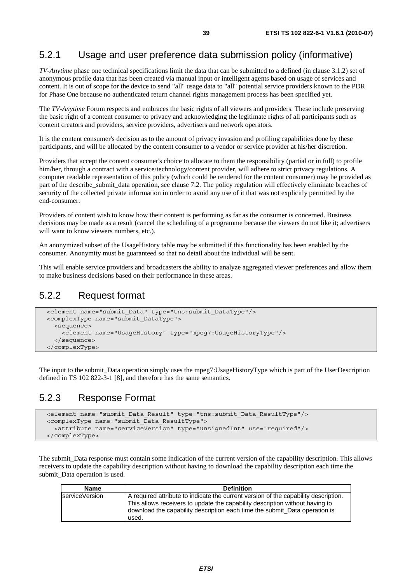### 5.2.1 Usage and user preference data submission policy (informative)

*TV-Anytime* phase one technical specifications limit the data that can be submitted to a defined (in clause 3.1.2) set of anonymous profile data that has been created via manual input or intelligent agents based on usage of services and content. It is out of scope for the device to send "all" usage data to "all" potential service providers known to the PDR for Phase One because no authenticated return channel rights management process has been specified yet.

The *TV-Anytime* Forum respects and embraces the basic rights of all viewers and providers. These include preserving the basic right of a content consumer to privacy and acknowledging the legitimate rights of all participants such as content creators and providers, service providers, advertisers and network operators.

It is the content consumer's decision as to the amount of privacy invasion and profiling capabilities done by these participants, and will be allocated by the content consumer to a vendor or service provider at his/her discretion.

Providers that accept the content consumer's choice to allocate to them the responsibility (partial or in full) to profile him/her, through a contract with a service/technology/content provider, will adhere to strict privacy regulations. A computer readable representation of this policy (which could be rendered for the content consumer) may be provided as part of the describe submit data operation, see clause 7.2. The policy regulation will effectively eliminate breaches of security of the collected private information in order to avoid any use of it that was not explicitly permitted by the end-consumer.

Providers of content wish to know how their content is performing as far as the consumer is concerned. Business decisions may be made as a result (cancel the scheduling of a programme because the viewers do not like it; advertisers will want to know viewers numbers, etc.).

An anonymized subset of the UsageHistory table may be submitted if this functionality has been enabled by the consumer. Anonymity must be guaranteed so that no detail about the individual will be sent.

This will enable service providers and broadcasters the ability to analyze aggregated viewer preferences and allow them to make business decisions based on their performance in these areas.

#### 5.2.2 Request format

```
 <element name="submit_Data" type="tns:submit_DataType"/> 
 <complexType name="submit_DataType"> 
   <sequence> 
     <element name="UsageHistory" type="mpeg7:UsageHistoryType"/> 
   </sequence> 
 </complexType>
```
The input to the submit\_Data operation simply uses the mpeg7:UsageHistoryType which is part of the UserDescription defined in TS 102 822-3-1 [8], and therefore has the same semantics.

### 5.2.3 Response Format

```
 <element name="submit_Data_Result" type="tns:submit_Data_ResultType"/> 
 <complexType name="submit_Data_ResultType"> 
   <attribute name="serviceVersion" type="unsignedInt" use="required"/> 
 </complexType>
```
The submit\_Data response must contain some indication of the current version of the capability description. This allows receivers to update the capability description without having to download the capability description each time the submit Data operation is used.

| <b>Name</b>    | <b>Definition</b>                                                                                                                                                                                                                                          |
|----------------|------------------------------------------------------------------------------------------------------------------------------------------------------------------------------------------------------------------------------------------------------------|
| serviceVersion | A required attribute to indicate the current version of the capability description.<br>This allows receivers to update the capability description without having to<br>download the capability description each time the submit Data operation is<br>used. |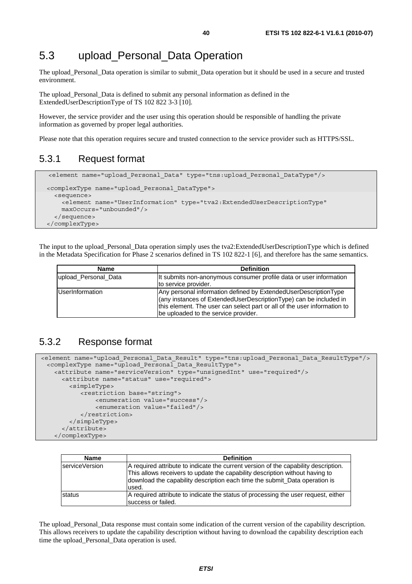### 5.3 upload\_Personal\_Data Operation

The upload\_Personal\_Data operation is similar to submit\_Data operation but it should be used in a secure and trusted environment.

The upload\_Personal\_Data is defined to submit any personal information as defined in the ExtendedUserDescriptionType of TS 102 822 3-3 [10].

However, the service provider and the user using this operation should be responsible of handling the private information as governed by proper legal authorities.

Please note that this operation requires secure and trusted connection to the service provider such as HTTPS/SSL.

#### 5.3.1 Request format

```
 <element name="upload_Personal_Data" type="tns:upload_Personal_DataType"/>
 <complexType name="upload_Personal_DataType"> 
  <sequence> 
     <element name="UserInformation" type="tva2:ExtendedUserDescriptionType" 
     maxOccurs="unbounded"/> 
   </sequence> 
 </complexType>
```
The input to the upload\_Personal\_Data operation simply uses the tva2:ExtendedUserDescriptionType which is defined in the Metadata Specification for Phase 2 scenarios defined in TS 102 822-1 [6], and therefore has the same semantics.

| <b>Name</b>            | <b>Definition</b>                                                                                                                                                                                                                                        |
|------------------------|----------------------------------------------------------------------------------------------------------------------------------------------------------------------------------------------------------------------------------------------------------|
| upload Personal Data   | It submits non-anonymous consumer profile data or user information<br>to service provider.                                                                                                                                                               |
| <b>UserInformation</b> | Any personal information defined by ExtendedUserDescriptionType<br>(any instances of ExtendedUserDescriptionType) can be included in<br>this element. The user can select part or all of the user information to<br>be uploaded to the service provider. |

### 5.3.2 Response format

<element name="upload\_Personal\_Data\_Result" type="tns:upload\_Personal\_Data\_ResultType"/> <complexType name="upload\_Personal\_Data\_ResultType"> <attribute name="serviceVersion" type="unsignedInt" use="required"/> <attribute name="status" use="required"> <simpleType> <restriction base="string"> <enumeration value="success"/> <enumeration value="failed"/> </restriction> </simpleType> </attribute> </complexType>

| <b>Name</b>            | <b>Definition</b>                                                                                                                                                                                                                                           |
|------------------------|-------------------------------------------------------------------------------------------------------------------------------------------------------------------------------------------------------------------------------------------------------------|
| <b>IserviceVersion</b> | A required attribute to indicate the current version of the capability description.<br>This allows receivers to update the capability description without having to<br>download the capability description each time the submit_Data operation is<br>lused. |
| <b>Istatus</b>         | A required attribute to indicate the status of processing the user request, either<br>success or failed.                                                                                                                                                    |

The upload\_Personal\_Data response must contain some indication of the current version of the capability description. This allows receivers to update the capability description without having to download the capability description each time the upload\_Personal\_Data operation is used.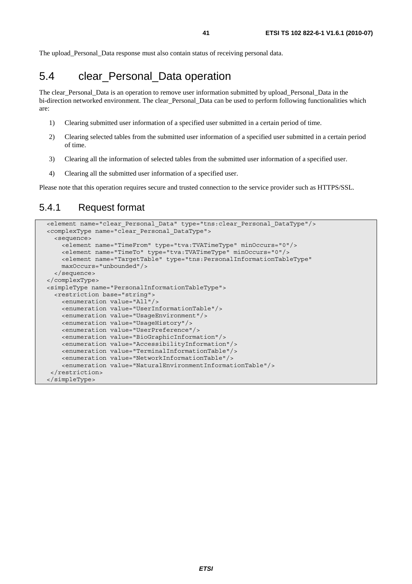The upload\_Personal\_Data response must also contain status of receiving personal data.

## 5.4 clear\_Personal\_Data operation

The clear\_Personal\_Data is an operation to remove user information submitted by upload\_Personal\_Data in the bi-direction networked environment. The clear\_Personal\_Data can be used to perform following functionalities which are:

- 1) Clearing submitted user information of a specified user submitted in a certain period of time.
- 2) Clearing selected tables from the submitted user information of a specified user submitted in a certain period of time.
- 3) Clearing all the information of selected tables from the submitted user information of a specified user.
- 4) Clearing all the submitted user information of a specified user.

Please note that this operation requires secure and trusted connection to the service provider such as HTTPS/SSL.

### 5.4.1 Request format

```
 <element name="clear_Personal_Data" type="tns:clear_Personal_DataType"/> 
 <complexType name="clear_Personal_DataType"> 
   <sequence> 
     <element name="TimeFrom" type="tva:TVATimeType" minOccurs="0"/> 
     <element name="TimeTo" type="tva:TVATimeType" minOccurs="0"/> 
     <element name="TargetTable" type="tns:PersonalInformationTableType" 
     maxOccurs="unbounded"/> 
  </sequence> 
 </complexType> 
 <simpleType name="PersonalInformationTableType"> 
  <restriction base="string"> 
     <enumeration value="All"/> 
     <enumeration value="UserInformationTable"/> 
     <enumeration value="UsageEnvironment"/> 
     <enumeration value="UsageHistory"/> 
     <enumeration value="UserPreference"/> 
     <enumeration value="BioGraphicInformation"/> 
     <enumeration value="AccessibilityInformation"/> 
     <enumeration value="TerminalInformationTable"/> 
     <enumeration value="NetworkInformationTable"/> 
     <enumeration value="NaturalEnvironmentInformationTable"/> 
 </restriction> 
 </simpleType>
```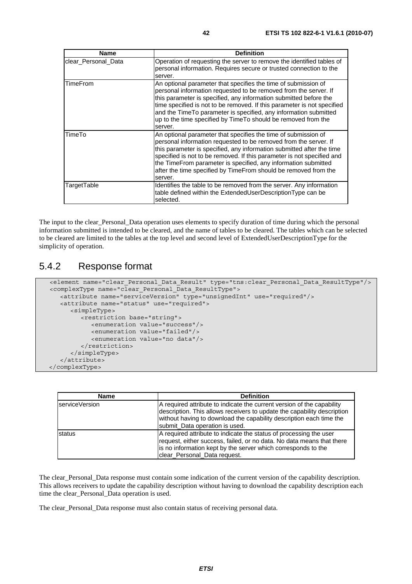| <b>Name</b>         | <b>Definition</b>                                                                                                                                                                                                                                                                                                                                                                                                                     |
|---------------------|---------------------------------------------------------------------------------------------------------------------------------------------------------------------------------------------------------------------------------------------------------------------------------------------------------------------------------------------------------------------------------------------------------------------------------------|
| clear Personal Data | Operation of requesting the server to remove the identified tables of<br>personal information. Requires secure or trusted connection to the<br>server.                                                                                                                                                                                                                                                                                |
| <b>TimeFrom</b>     | An optional parameter that specifies the time of submission of<br>personal information requested to be removed from the server. If<br>this parameter is specified, any information submitted before the<br>time specified is not to be removed. If this parameter is not specified<br>and the TimeTo parameter is specified, any information submitted<br>up to the time specified by Time To should be removed from the<br>server.   |
| TimeTo              | An optional parameter that specifies the time of submission of<br>personal information requested to be removed from the server. If<br>this parameter is specified, any information submitted after the time<br>specified is not to be removed. If this parameter is not specified and<br>the TimeFrom parameter is specified, any information submitted<br>after the time specified by TimeFrom should be removed from the<br>server. |
| TargetTable         | Identifies the table to be removed from the server. Any information<br>table defined within the ExtendedUserDescriptionType can be<br>selected.                                                                                                                                                                                                                                                                                       |

The input to the clear\_Personal\_Data operation uses elements to specify duration of time during which the personal information submitted is intended to be cleared, and the name of tables to be cleared. The tables which can be selected to be cleared are limited to the tables at the top level and second level of ExtendedUserDescriptionType for the simplicity of operation.

#### 5.4.2 Response format

```
 <element name="clear_Personal_Data_Result" type="tns:clear_Personal_Data_ResultType"/> 
 <complexType name="clear_Personal_Data_ResultType"> 
    <attribute name="serviceVersion" type="unsignedInt" use="required"/> 
    <attribute name="status" use="required"> 
       <simpleType> 
          <restriction base="string"> 
             <enumeration value="success"/> 
             <enumeration value="failed"/> 
             <enumeration value="no data"/> 
          </restriction> 
       </simpleType> 
    </attribute> 
 </complexType>
```

| <b>Name</b>    | <b>Definition</b>                                                                                                                                                                                                                                          |
|----------------|------------------------------------------------------------------------------------------------------------------------------------------------------------------------------------------------------------------------------------------------------------|
| serviceVersion | A required attribute to indicate the current version of the capability<br>description. This allows receivers to update the capability description<br>without having to download the capability description each time the<br>submit_Data operation is used. |
| status         | A required attribute to indicate the status of processing the user<br>request, either success, failed, or no data. No data means that there<br>is no information kept by the server which corresponds to the<br>clear Personal Data request.               |

The clear\_Personal\_Data response must contain some indication of the current version of the capability description. This allows receivers to update the capability description without having to download the capability description each time the clear\_Personal\_Data operation is used.

The clear\_Personal\_Data response must also contain status of receiving personal data.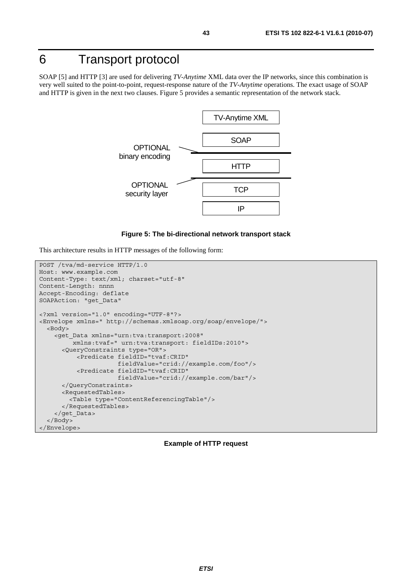# 6 Transport protocol

SOAP [5] and HTTP [3] are used for delivering *TV-Anytime* XML data over the IP networks, since this combination is very well suited to the point-to-point, request-response nature of the *TV-Anytime* operations. The exact usage of SOAP and HTTP is given in the next two clauses. Figure 5 provides a semantic representation of the network stack.



#### **Figure 5: The bi-directional network transport stack**

This architecture results in HTTP messages of the following form:

```
POST /tva/md-service HTTP/1.0 
Host: www.example.com 
Content-Type: text/xml; charset="utf-8" 
Content-Length: nnnn 
Accept-Encoding: deflate 
SOAPAction: "get_Data" 
<?xml version="1.0" encoding="UTF-8"?> 
<Envelope xmlns=" http://schemas.xmlsoap.org/soap/envelope/"> 
   <Body> 
     <get_Data xmlns="urn:tva:transport:2008" 
          xmlns:tvaf=" urn:tva:transport: fieldIDs:2010"> 
       <QueryConstraints type="OR"> 
           <Predicate fieldID="tvaf:CRID" 
                       fieldValue="crid://example.com/foo"/> 
           <Predicate fieldID="tvaf:CRID" 
                       fieldValue="crid://example.com/bar"/> 
       </QueryConstraints> 
       <RequestedTables> 
         <Table type="ContentReferencingTable"/> 
       </RequestedTables> 
     </get_Data> 
   </Body> 
</Envelope>
```
#### **Example of HTTP request**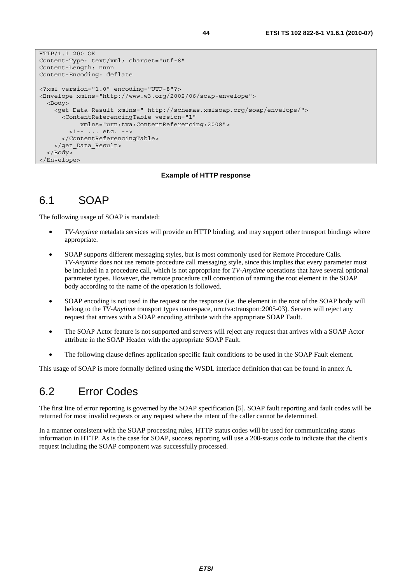```
HTTP/1.1 200 OK 
Content-Type: text/xml; charset="utf-8" 
Content-Length: nnnn 
Content-Encoding: deflate 
<?xml version="1.0" encoding="UTF-8"?> 
<Envelope xmlns="http://www.w3.org/2002/06/soap-envelope"> 
   <Body> 
     <get_Data_Result xmlns=" http://schemas.xmlsoap.org/soap/envelope/"> 
       <ContentReferencingTable version="1" 
            xmlns="urn:tva:ContentReferencing:2008"> 
         <!-- ... etc. --> 
       </ContentReferencingTable> 
     </get_Data_Result> 
   </Body> 
</Envelope>
```
#### **Example of HTTP response**

### 6.1 SOAP

The following usage of SOAP is mandated:

- *TV-Anytime* metadata services will provide an HTTP binding, and may support other transport bindings where appropriate.
- SOAP supports different messaging styles, but is most commonly used for Remote Procedure Calls. *TV-Anytime* does not use remote procedure call messaging style, since this implies that every parameter must be included in a procedure call, which is not appropriate for *TV-Anytime* operations that have several optional parameter types. However, the remote procedure call convention of naming the root element in the SOAP body according to the name of the operation is followed.
- SOAP encoding is not used in the request or the response (i.e. the element in the root of the SOAP body will belong to the *TV-Anytime* transport types namespace, urn:tva:transport:2005-03). Servers will reject any request that arrives with a SOAP encoding attribute with the appropriate SOAP Fault.
- The SOAP Actor feature is not supported and servers will reject any request that arrives with a SOAP Actor attribute in the SOAP Header with the appropriate SOAP Fault.
- The following clause defines application specific fault conditions to be used in the SOAP Fault element.

This usage of SOAP is more formally defined using the WSDL interface definition that can be found in annex A.

### 6.2 Error Codes

The first line of error reporting is governed by the SOAP specification [5]. SOAP fault reporting and fault codes will be returned for most invalid requests or any request where the intent of the caller cannot be determined.

In a manner consistent with the SOAP processing rules, HTTP status codes will be used for communicating status information in HTTP. As is the case for SOAP, success reporting will use a 200-status code to indicate that the client's request including the SOAP component was successfully processed.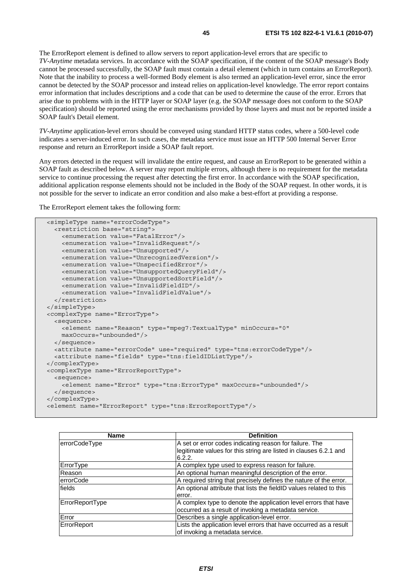The ErrorReport element is defined to allow servers to report application-level errors that are specific to *TV-Anytime* metadata services. In accordance with the SOAP specification, if the content of the SOAP message's Body cannot be processed successfully, the SOAP fault must contain a detail element (which in turn contains an ErrorReport). Note that the inability to process a well-formed Body element is also termed an application-level error, since the error cannot be detected by the SOAP processor and instead relies on application-level knowledge. The error report contains error information that includes descriptions and a code that can be used to determine the cause of the error. Errors that arise due to problems with in the HTTP layer or SOAP layer (e.g. the SOAP message does not conform to the SOAP specification) should be reported using the error mechanisms provided by those layers and must not be reported inside a SOAP fault's Detail element.

*TV-Anytime* application-level errors should be conveyed using standard HTTP status codes, where a 500-level code indicates a server-induced error. In such cases, the metadata service must issue an HTTP 500 Internal Server Error response and return an ErrorReport inside a SOAP fault report.

Any errors detected in the request will invalidate the entire request, and cause an ErrorReport to be generated within a SOAP fault as described below. A server may report multiple errors, although there is no requirement for the metadata service to continue processing the request after detecting the first error. In accordance with the SOAP specification, additional application response elements should not be included in the Body of the SOAP request. In other words, it is not possible for the server to indicate an error condition and also make a best-effort at providing a response.

The ErrorReport element takes the following form:

```
 <simpleType name="errorCodeType"> 
   <restriction base="string"> 
     <enumeration value="FatalError"/> 
     <enumeration value="InvalidRequest"/> 
     <enumeration value="Unsupported"/> 
     <enumeration value="UnrecognizedVersion"/> 
     <enumeration value="UnspecifiedError"/> 
     <enumeration value="UnsupportedQueryField"/> 
     <enumeration value="UnsupportedSortField"/> 
     <enumeration value="InvalidFieldID"/> 
     <enumeration value="InvalidFieldValue"/> 
   </restriction> 
 </simpleType> 
 <complexType name="ErrorType"> 
   <sequence> 
     <element name="Reason" type="mpeg7:TextualType" minOccurs="0" 
     maxOccurs="unbounded"/> 
   </sequence> 
   <attribute name="errorCode" use="required" type="tns:errorCodeType"/> 
   <attribute name="fields" type="tns:fieldIDListType"/> 
</complexType> 
 <complexType name="ErrorReportType"> 
   <sequence> 
     <element name="Error" type="tns:ErrorType" maxOccurs="unbounded"/> 
   </sequence> 
 </complexType> 
 <element name="ErrorReport" type="tns:ErrorReportType"/>
```

| <b>Name</b>      | <b>Definition</b>                                                           |  |
|------------------|-----------------------------------------------------------------------------|--|
| errorCodeType    | A set or error codes indicating reason for failure. The                     |  |
|                  | legitimate values for this string are listed in clauses 6.2.1 and<br>6.2.2. |  |
| ErrorType        | A complex type used to express reason for failure.                          |  |
| Reason           | An optional human meaningful description of the error.                      |  |
| <b>errorCode</b> | A required string that precisely defines the nature of the error.           |  |
| fields           | An optional attribute that lists the fieldID values related to this         |  |
|                  | error.                                                                      |  |
| ErrorReportType  | A complex type to denote the application level errors that have             |  |
|                  | occurred as a result of invoking a metadata service.                        |  |
| Error            | Describes a single application-level error.                                 |  |
| ErrorReport      | Lists the application level errors that have occurred as a result           |  |
|                  | of invoking a metadata service.                                             |  |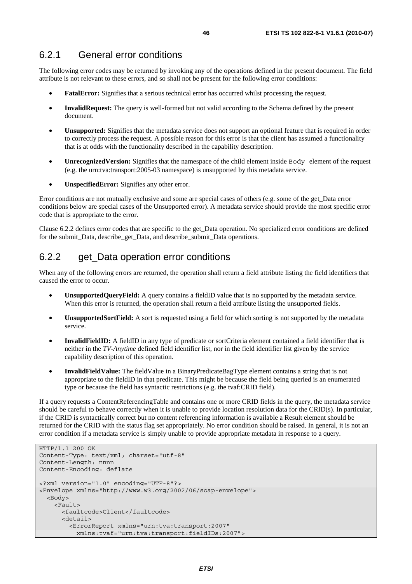### 6.2.1 General error conditions

The following error codes may be returned by invoking any of the operations defined in the present document. The field attribute is not relevant to these errors, and so shall not be present for the following error conditions:

- **FatalError:** Signifies that a serious technical error has occurred whilst processing the request.
- **InvalidRequest:** The query is well-formed but not valid according to the Schema defined by the present document.
- **Unsupported:** Signifies that the metadata service does not support an optional feature that is required in order to correctly process the request. A possible reason for this error is that the client has assumed a functionality that is at odds with the functionality described in the capability description.
- **UnrecognizedVersion:** Signifies that the namespace of the child element inside Body element of the request (e.g. the urn:tva:transport:2005-03 namespace) is unsupported by this metadata service.
- **UnspecifiedError:** Signifies any other error.

Error conditions are not mutually exclusive and some are special cases of others (e.g. some of the get\_Data error conditions below are special cases of the Unsupported error). A metadata service should provide the most specific error code that is appropriate to the error.

Clause 6.2.2 defines error codes that are specific to the get\_Data operation. No specialized error conditions are defined for the submit\_Data, describe\_get\_Data, and describe\_submit\_Data operations.

### 6.2.2 get\_Data operation error conditions

When any of the following errors are returned, the operation shall return a field attribute listing the field identifiers that caused the error to occur.

- **UnsupportedQueryField:** A query contains a fieldID value that is no supported by the metadata service. When this error is returned, the operation shall return a field attribute listing the unsupported fields.
- **UnsupportedSortField:** A sort is requested using a field for which sorting is not supported by the metadata service.
- **InvalidFieldID:** A fieldID in any type of predicate or sortCriteria element contained a field identifier that is neither in the *TV-Anytime* defined field identifier list, nor in the field identifier list given by the service capability description of this operation.
- **InvalidFieldValue:** The fieldValue in a BinaryPredicateBagType element contains a string that is not appropriate to the fieldID in that predicate. This might be because the field being queried is an enumerated type or because the field has syntactic restrictions (e.g. the tvaf:CRID field).

If a query requests a ContentReferencingTable and contains one or more CRID fields in the query, the metadata service should be careful to behave correctly when it is unable to provide location resolution data for the CRID(s). In particular, if the CRID is syntactically correct but no content referencing information is available a Result element should be returned for the CRID with the status flag set appropriately. No error condition should be raised. In general, it is not an error condition if a metadata service is simply unable to provide appropriate metadata in response to a query.

```
HTTP/1.1 200 OK 
Content-Type: text/xml; charset="utf-8" 
Content-Length: nnnn 
Content-Encoding: deflate 
<?xml version="1.0" encoding="UTF-8"?> 
<Envelope xmlns="http://www.w3.org/2002/06/soap-envelope"> 
   <Body> 
     <Fault> 
       <faultcode>Client</faultcode> 
       <detail> 
         <ErrorReport xmlns="urn:tva:transport:2007" 
           xmlns:tvaf="urn:tva:transport:fieldIDs:2007">
```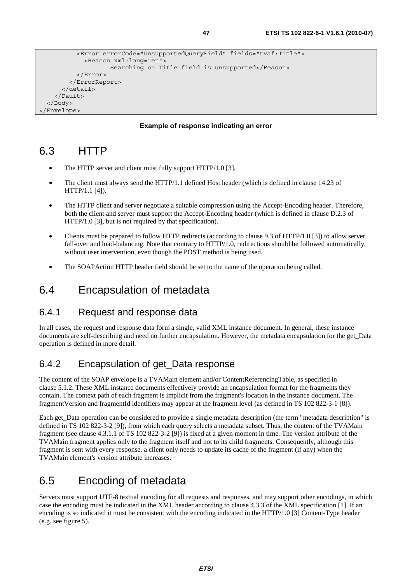```
 <Error errorCode="UnsupportedQueryField" fields="tvaf:Title"> 
              <Reason xml:lang="en"> 
                      Searching on Title field is unsupported</Reason> 
          \epsilon/Errors
         </ErrorReport> 
       </detail> 
     </Fault> 
  </Body> 
</Envelope>
```
#### **Example of response indicating an error**

## 6.3 HTTP

- The HTTP server and client must fully support HTTP/1.0 [3].
- The client must always send the HTTP/1.1 defined Host header (which is defined in clause 14.23 of HTTP/1.1 [4]).
- The HTTP client and server negotiate a suitable compression using the Accept-Encoding header. Therefore, both the client and server must support the Accept-Encoding header (which is defined in clause D.2.3 of HTTP/1.0 [3], but is not required by that specification).
- Clients must be prepared to follow HTTP redirects (according to clause 9.3 of HTTP/1.0 [3]) to allow server fall-over and load-balancing. Note that contrary to HTTP/1.0, redirections should be followed automatically, without user intervention, even though the POST method is being used.
- The SOAPAction HTTP header field should be set to the name of the operation being called.

## 6.4 Encapsulation of metadata

#### 6.4.1 Request and response data

In all cases, the request and response data form a single, valid XML instance document. In general, these instance documents are self-describing and need no further encapsulation. However, the metadata encapsulation for the get\_Data operation is defined in more detail.

### 6.4.2 Encapsulation of get\_Data response

The content of the SOAP envelope is a TVAMain element and/or ContentReferencingTable, as specified in clause 5.1.2. These XML instance documents effectively provide an encapsulation format for the fragments they contain. The context path of each fragment is implicit from the fragment's location in the instance document. The fragmentVersion and fragmentId identifiers may appear at the fragment level (as defined in TS 102 822-3-1 [8]).

Each get\_Data operation can be considered to provide a single metadata description (the term "metadata description" is defined in TS 102 822-3-2 [9]), from which each query selects a metadata subset. Thus, the content of the TVAMain fragment (see clause 4.3.1.1 of TS 102 822-3-2 [9]) is fixed at a given moment in time. The version attribute of the TVAMain fragment applies only to the fragment itself and not to its child fragments. Consequently, although this fragment is sent with every response, a client only needs to update its cache of the fragment (if any) when the TVAMain element's version attribute increases.

## 6.5 Encoding of metadata

Servers must support UTF-8 textual encoding for all requests and responses, and may support other encodings, in which case the encoding must be indicated in the XML header according to clause 4.3.3 of the XML specification [1]. If an encoding is so indicated it must be consistent with the encoding indicated in the HTTP/1.0 [3] Content-Type header (e.g. see figure 5).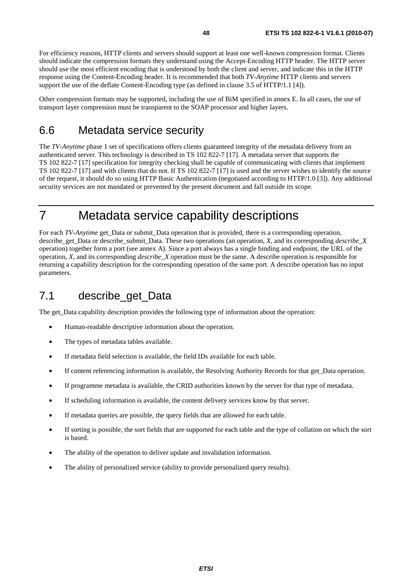For efficiency reasons, HTTP clients and servers should support at least one well-known compression format. Clients should indicate the compression formats they understand using the Accept-Encoding HTTP header. The HTTP server should use the most efficient encoding that is understood by both the client and server, and indicate this in the HTTP response using the Content-Encoding header. It is recommended that both *TV-Anytime* HTTP clients and servers support the use of the deflate Content-Encoding type (as defined in clause 3.5 of HTTP/1.1 [4]).

Other compression formats may be supported, including the use of BiM specified in annex E. In all cases, the use of transport layer compression must be transparent to the SOAP processor and higher layers.

## 6.6 Metadata service security

The *TV-Anytime* phase 1 set of specifications offers clients guaranteed integrity of the metadata delivery from an authenticated server. This technology is described in TS 102 822-7 [17]. A metadata server that supports the TS 102 822-7 [17] specification for integrity checking shall be capable of communicating with clients that implement TS 102 822-7 [17] and with clients that do not. If TS 102 822-7 [17] is used and the server wishes to identify the source of the request, it should do so using HTTP Basic Authentication (negotiated according to HTTP/1.0 [3]). Any additional security services are not mandated or prevented by the present document and fall outside its scope.

# 7 Metadata service capability descriptions

For each *TV-Anytime* get Data or submit Data operation that is provided, there is a corresponding operation, describe\_get\_Data or describe\_submit\_Data. These two operations (an operation, *X*, and its corresponding *describe*\_*X* operation) together form a port (see annex A). Since a port always has a single binding and endpoint, the URL of the operation, *X*, and its corresponding *describe\_X* operation must be the same. A describe operation is responsible for returning a capability description for the corresponding operation of the same port. A describe operation has no input parameters.

## 7.1 describe\_get\_Data

The get\_Data capability description provides the following type of information about the operation:

- Human-readable descriptive information about the operation.
- The types of metadata tables available.
- If metadata field selection is available, the field IDs available for each table.
- If content referencing information is available, the Resolving Authority Records for that get\_Data operation.
- If programme metadata is available, the CRID authorities known by the server for that type of metadata.
- If scheduling information is available, the content delivery services know by that server.
- If metadata queries are possible, the query fields that are allowed for each table.
- If sorting is possible, the sort fields that are supported for each table and the type of collation on which the sort is based.
- The ability of the operation to deliver update and invalidation information.
- The ability of personalized service (ability to provide personalized query results).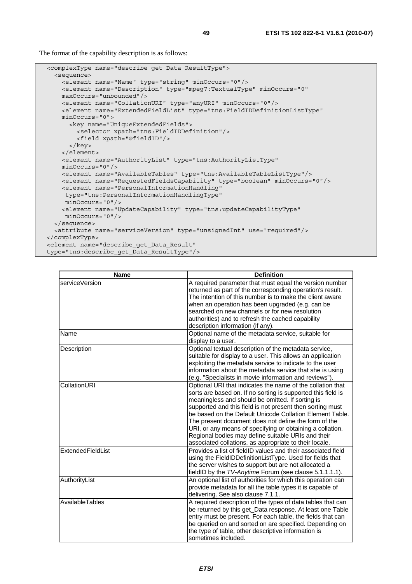The format of the capability description is as follows:

```
 <complexType name="describe_get_Data_ResultType"> 
   <sequence> 
    <element name="Name" type="string" minOccurs="0"/> 
     <element name="Description" type="mpeg7:TextualType" minOccurs="0" 
    maxOccurs="unbounded"/> 
    <element name="CollationURI" type="anyURI" minOccurs="0"/> 
     <element name="ExtendedFieldList" type="tns:FieldIDDefinitionListType" 
    minOccurs="0"> 
       <key name="UniqueExtendedFields"> 
         <selector xpath="tns:FieldIDDefinition"/> 
         <field xpath="@fieldID"/> 
       </key> 
     </element> 
     <element name="AuthorityList" type="tns:AuthorityListType" 
    minOccurs="0"/> 
    <element name="AvailableTables" type="tns:AvailableTableListType"/> 
    <element name="RequestedFieldsCapability" type="boolean" minOccurs="0"/> 
    <element name="PersonalInformationHandling" 
     type="tns:PersonalInformationHandlingType" 
      minOccurs="0"/> 
     <element name="UpdateCapability" type="tns:updateCapabilityType" 
     minOccurs="0"/> 
   </sequence> 
   <attribute name="serviceVersion" type="unsignedInt" use="required"/> 
</complexType> 
 <element name="describe_get_Data_Result" 
 type="tns:describe_get_Data_ResultType"/>
```

| <b>Name</b>       | <b>Definition</b>                                                                                                                                                                                                                                                                                                                                                                                                                                                                                                                            |
|-------------------|----------------------------------------------------------------------------------------------------------------------------------------------------------------------------------------------------------------------------------------------------------------------------------------------------------------------------------------------------------------------------------------------------------------------------------------------------------------------------------------------------------------------------------------------|
| serviceVersion    | A required parameter that must equal the version number<br>returned as part of the corresponding operation's result.<br>The intention of this number is to make the client aware<br>when an operation has been upgraded (e.g. can be<br>searched on new channels or for new resolution<br>authorities) and to refresh the cached capability<br>description information (if any).                                                                                                                                                             |
| Name              | Optional name of the metadata service, suitable for<br>display to a user.                                                                                                                                                                                                                                                                                                                                                                                                                                                                    |
| Description       | Optional textual description of the metadata service,<br>suitable for display to a user. This allows an application<br>exploiting the metadata service to indicate to the user<br>information about the metadata service that she is using<br>(e.g. "Specialists in movie information and reviews").                                                                                                                                                                                                                                         |
| CollationURI      | Optional URI that indicates the name of the collation that<br>sorts are based on. If no sorting is supported this field is<br>meaningless and should be omitted. If sorting is<br>supported and this field is not present then sorting must<br>be based on the Default Unicode Collation Element Table.<br>The present document does not define the form of the<br>URI, or any means of specifying or obtaining a collation.<br>Regional bodies may define suitable URIs and their<br>associated collations, as appropriate to their locale. |
| ExtendedFieldList | Provides a list of fieldID values and their associated field<br>using the FieldIDDefinitionListType. Used for fields that<br>the server wishes to support but are not allocated a<br>fieldID by the TV-Anytime Forum (see clause 5.1.1.1.1).                                                                                                                                                                                                                                                                                                 |
| AuthorityList     | An optional list of authorities for which this operation can<br>provide metadata for all the table types it is capable of<br>delivering. See also clause 7.1.1.                                                                                                                                                                                                                                                                                                                                                                              |
| AvailableTables   | A required description of the types of data tables that can<br>be returned by this get_Data response. At least one Table<br>entry must be present. For each table, the fields that can<br>be queried on and sorted on are specified. Depending on<br>the type of table, other descriptive information is<br>sometimes included.                                                                                                                                                                                                              |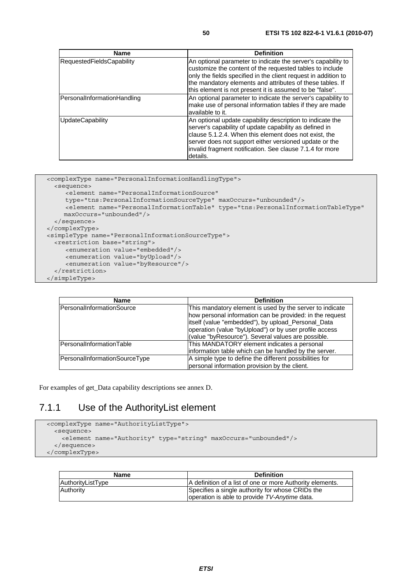| <b>Name</b>                      | <b>Definition</b>                                                                                                                                                                                                                                                                                                   |
|----------------------------------|---------------------------------------------------------------------------------------------------------------------------------------------------------------------------------------------------------------------------------------------------------------------------------------------------------------------|
| <b>RequestedFieldsCapability</b> | An optional parameter to indicate the server's capability to<br>customize the content of the requested tables to include<br>only the fields specified in the client request in addition to<br>the mandatory elements and attributes of these tables. If<br>this element is not present it is assumed to be "false". |
| PersonalInformationHandling      | An optional parameter to indicate the server's capability to<br>make use of personal information tables if they are made<br>available to it.                                                                                                                                                                        |
| <b>UpdateCapability</b>          | An optional update capability description to indicate the<br>server's capability of update capability as defined in<br>clause 5.1.2.4. When this element does not exist, the<br>server does not support either versioned update or the<br>invalid fragment notification. See clause 7.1.4 for more<br>details.      |

```
 <complexType name="PersonalInformationHandlingType"> 
    <sequence> 
       <element name="PersonalInformationSource" 
       type="tns:PersonalInformationSourceType" maxOccurs="unbounded"/> 
      <element name="PersonalInformationTable" type="tns:PersonalInformationTableType"
       maxOccurs="unbounded"/> 
    </sequence> 
  </complexType> 
  <simpleType name="PersonalInformationSourceType"> 
    <restriction base="string"> 
 <enumeration value="embedded"/> 
 <enumeration value="byUpload"/> 
        <enumeration value="byResource"/> 
    </restriction> 
  </simpleType>
```

| Name                          | <b>Definition</b>                                                                                                                                                                                                                                                                          |  |
|-------------------------------|--------------------------------------------------------------------------------------------------------------------------------------------------------------------------------------------------------------------------------------------------------------------------------------------|--|
| PersonalInformationSource     | This mandatory element is used by the server to indicate<br>how personal information can be provided: in the request<br>itself (value "embedded"), by upload_Personal_Data<br>operation (value "byUpload") or by user profile access<br>(value "byResource"). Several values are possible. |  |
| PersonalInformationTable      | This MANDATORY element indicates a personal<br>information table which can be handled by the server.                                                                                                                                                                                       |  |
| PersonalInformationSourceType | A simple type to define the different possibilities for<br>personal information provision by the client.                                                                                                                                                                                   |  |

For examples of get\_Data capability descriptions see annex D.

### 7.1.1 Use of the AuthorityList element

```
 <complexType name="AuthorityListType"> 
   <sequence> 
     <element name="Authority" type="string" maxOccurs="unbounded"/> 
   </sequence> 
 </complexType>
```

| Name              | <b>Definition</b>                                                                                 |
|-------------------|---------------------------------------------------------------------------------------------------|
| AuthorityListType | A definition of a list of one or more Authority elements.                                         |
| Authority         | Specifies a single authority for whose CRIDs the<br>operation is able to provide TV-Anytime data. |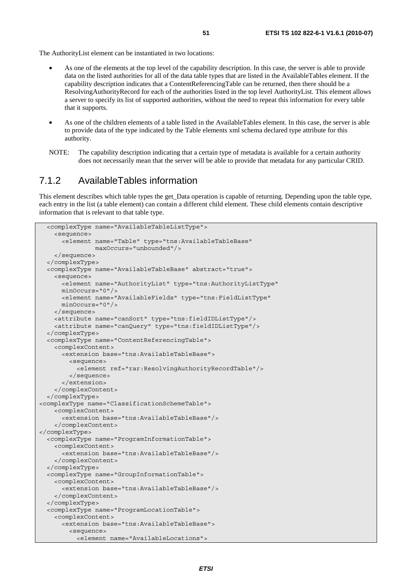The AuthorityList element can be instantiated in two locations:

- As one of the elements at the top level of the capability description. In this case, the server is able to provide data on the listed authorities for all of the data table types that are listed in the AvailableTables element. If the capability description indicates that a ContentReferencingTable can be returned, then there should be a ResolvingAuthorityRecord for each of the authorities listed in the top level AuthorityList. This element allows a server to specify its list of supported authorities, without the need to repeat this information for every table that it supports.
- As one of the children elements of a table listed in the AvailableTables element. In this case, the server is able to provide data of the type indicated by the Table elements xml schema declared type attribute for this authority.
- NOTE: The capability description indicating that a certain type of metadata is available for a certain authority does not necessarily mean that the server will be able to provide that metadata for any particular CRID.

### 7.1.2 AvailableTables information

This element describes which table types the get Data operation is capable of returning. Depending upon the table type, each entry in the list (a table element) can contain a different child element. These child elements contain descriptive information that is relevant to that table type.

```
 <complexType name="AvailableTableListType"> 
     <sequence> 
       <element name="Table" type="tns:AvailableTableBase" 
                 maxOccurs="unbounded"/> 
     </sequence> 
   </complexType> 
   <complexType name="AvailableTableBase" abstract="true"> 
     <sequence> 
       <element name="AuthorityList" type="tns:AuthorityListType" 
       minOccurs="0"/> 
       <element name="AvailableFields" type="tns:FieldListType" 
       minOccurs="0"/> 
     </sequence> 
     <attribute name="canSort" type="tns:fieldIDListType"/> 
     <attribute name="canQuery" type="tns:fieldIDListType"/> 
   </complexType> 
   <complexType name="ContentReferencingTable"> 
     <complexContent> 
       <extension base="tns:AvailableTableBase"> 
         <sequence> 
           <element ref="rar:ResolvingAuthorityRecordTable"/> 
         </sequence> 
       </extension> 
     </complexContent> 
   </complexType> 
<complexType name="ClassificationSchemeTable"> 
     <complexContent> 
       <extension base="tns:AvailableTableBase"/> 
     </complexContent> 
</complexType> 
   <complexType name="ProgramInformationTable"> 
     <complexContent> 
       <extension base="tns:AvailableTableBase"/> 
     </complexContent> 
   </complexType> 
   <complexType name="GroupInformationTable"> 
     <complexContent> 
       <extension base="tns:AvailableTableBase"/> 
     </complexContent> 
   </complexType> 
   <complexType name="ProgramLocationTable"> 
     <complexContent> 
       <extension base="tns:AvailableTableBase"> 
         <sequence> 
           <element name="AvailableLocations">
```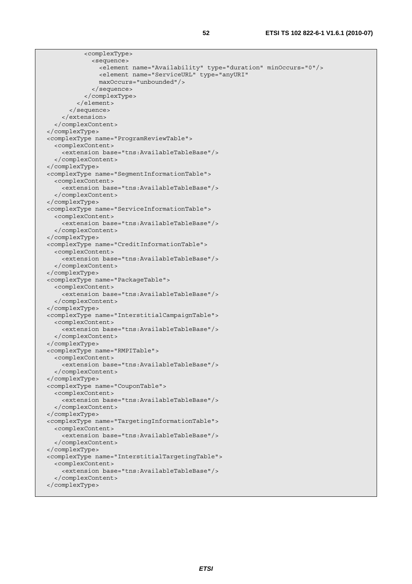| <complextype></complextype>                                             |  |
|-------------------------------------------------------------------------|--|
| <sequence></sequence>                                                   |  |
| <element minoccurs="0" name="Availability" type="duration"></element>   |  |
| <element <="" name="ServiceURL" td="" type="anyURI"><td></td></element> |  |
| maxOccurs="unbounded"/>                                                 |  |
|                                                                         |  |
|                                                                         |  |
| $\langle$ element>                                                      |  |
|                                                                         |  |
|                                                                         |  |
|                                                                         |  |
|                                                                         |  |
| <complextype name="ProgramReviewTable"></complextype>                   |  |
| <complexcontent></complexcontent>                                       |  |
| <extension base="tns:AvailableTableBase"></extension>                   |  |
|                                                                         |  |
|                                                                         |  |
| <complextype name="SegmentInformationTable"></complextype>              |  |
| <complexcontent></complexcontent>                                       |  |
| <extension base="tns:AvailableTableBase"></extension>                   |  |
|                                                                         |  |
|                                                                         |  |
| <complextype name="ServiceInformationTable"></complextype>              |  |
| <complexcontent></complexcontent>                                       |  |
| <extension base="tns:AvailableTableBase"></extension>                   |  |
|                                                                         |  |
|                                                                         |  |
| <complextype name="CreditInformationTable"></complextype>               |  |
| <complexcontent></complexcontent>                                       |  |
| <extension base="tns:AvailableTableBase"></extension>                   |  |
|                                                                         |  |
|                                                                         |  |
| <complextype name="PackageTable"></complextype>                         |  |
| <complexcontent></complexcontent>                                       |  |
| <extension base="tns:AvailableTableBase"></extension>                   |  |
|                                                                         |  |
|                                                                         |  |
| <complextype name="InterstitialCampaignTable"></complextype>            |  |
| <complexcontent></complexcontent>                                       |  |
| <extension base="tns:AvailableTableBase"></extension>                   |  |
|                                                                         |  |
|                                                                         |  |
| <complextype name="RMPITable"></complextype>                            |  |
| <complexcontent></complexcontent>                                       |  |
| <extension base="tns:AvailableTableBase"></extension>                   |  |
|                                                                         |  |
|                                                                         |  |
| <complextype name="CouponTable"></complextype>                          |  |
| <complexcontent></complexcontent>                                       |  |
| <extension base="tns:AvailableTableBase"></extension>                   |  |
|                                                                         |  |
|                                                                         |  |
| <complextype name="TargetingInformationTable"></complextype>            |  |
| <complexcontent></complexcontent>                                       |  |
| <extension base="tns:AvailableTableBase"></extension>                   |  |
|                                                                         |  |
|                                                                         |  |
| <complextype name="InterstitialTargetingTable"></complextype>           |  |
| <complexcontent></complexcontent>                                       |  |
| <extension base="tns:AvailableTableBase"></extension>                   |  |
|                                                                         |  |
|                                                                         |  |
|                                                                         |  |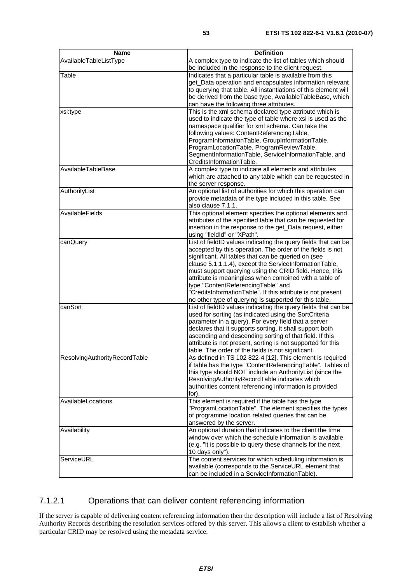| Name                          | <b>Definition</b>                                                                                                      |
|-------------------------------|------------------------------------------------------------------------------------------------------------------------|
| AvailableTableListType        | A complex type to indicate the list of tables which should                                                             |
|                               | be included in the response to the client request.                                                                     |
| Table                         | Indicates that a particular table is available from this                                                               |
|                               | get_Data operation and encapsulates information relevant                                                               |
|                               | to querying that table. All instantiations of this element will                                                        |
|                               | be derived from the base type, AvailableTableBase, which                                                               |
|                               | can have the following three attributes.                                                                               |
| xsi:type                      | This is the xml schema declared type attribute which is                                                                |
|                               | used to indicate the type of table where xsi is used as the                                                            |
|                               | namespace qualifier for xml schema. Can take the<br>following values: ContentReferencingTable,                         |
|                               | ProgramInformationTable, GroupInformationTable,                                                                        |
|                               | ProgramLocationTable, ProgramReviewTable,                                                                              |
|                               | SegmentInformationTable, ServiceInformationTable, and                                                                  |
|                               | CreditsInformationTable.                                                                                               |
| AvailableTableBase            | A complex type to indicate all elements and attributes                                                                 |
|                               | which are attached to any table which can be requested in                                                              |
|                               | the server response.                                                                                                   |
| AuthorityList                 | An optional list of authorities for which this operation can                                                           |
|                               | provide metadata of the type included in this table. See                                                               |
|                               | also clause 7.1.1.                                                                                                     |
| AvailableFields               | This optional element specifies the optional elements and                                                              |
|                               | attributes of the specified table that can be requested for                                                            |
|                               | insertion in the response to the get_Data request, either                                                              |
|                               | using "fieldId" or "XPath".                                                                                            |
| canQuery                      | List of fieldID values indicating the query fields that can be                                                         |
|                               | accepted by this operation. The order of the fields is not                                                             |
|                               | significant. All tables that can be queried on (see<br>clause 5.1.1.1.4), except the ServiceInformationTable,          |
|                               | must support querying using the CRID field. Hence, this                                                                |
|                               | attribute is meaningless when combined with a table of                                                                 |
|                               | type "ContentReferencingTable" and                                                                                     |
|                               | "CreditsInformationTable". If this attribute is not present                                                            |
|                               | no other type of querying is supported for this table.                                                                 |
| canSort                       | List of fieldID values indicating the query fields that can be                                                         |
|                               | used for sorting (as indicated using the SortCriteria                                                                  |
|                               | parameter in a query). For every field that a server                                                                   |
|                               | declares that it supports sorting, it shall support both                                                               |
|                               | ascending and descending sorting of that field. If this                                                                |
|                               | attribute is not present, sorting is not supported for this                                                            |
|                               | table. The order of the fields is not significant.                                                                     |
| ResolvingAuthorityRecordTable | As defined in TS 102 822-4 [12]. This element is required                                                              |
|                               | if table has the type "ContentReferencingTable". Tables of<br>this type should NOT include an AuthorityList (since the |
|                               | ResolvingAuthorityRecordTable indicates which                                                                          |
|                               | authorities content referencing information is provided                                                                |
|                               | for).                                                                                                                  |
| AvailableLocations            | This element is required if the table has the type                                                                     |
|                               | "ProgramLocationTable". The element specifies the types                                                                |
|                               | of programme location related queries that can be                                                                      |
|                               | answered by the server.                                                                                                |
| Availability                  | An optional duration that indicates to the client the time                                                             |
|                               | window over which the schedule information is available                                                                |
|                               | (e.g. "it is possible to query these channels for the next                                                             |
|                               | 10 days only").                                                                                                        |
| ServiceURL                    | The content services for which scheduling information is                                                               |
|                               | available (corresponds to the ServiceURL element that                                                                  |
|                               | can be included in a ServiceInformationTable).                                                                         |

#### 7.1.2.1 Operations that can deliver content referencing information

If the server is capable of delivering content referencing information then the description will include a list of Resolving Authority Records describing the resolution services offered by this server. This allows a client to establish whether a particular CRID may be resolved using the metadata service.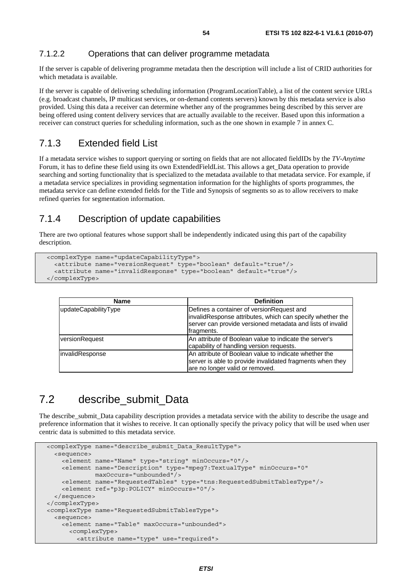#### 7.1.2.2 Operations that can deliver programme metadata

If the server is capable of delivering programme metadata then the description will include a list of CRID authorities for which metadata is available.

If the server is capable of delivering scheduling information (ProgramLocationTable), a list of the content service URLs (e.g. broadcast channels, IP multicast services, or on-demand contents servers) known by this metadata service is also provided. Using this data a receiver can determine whether any of the programmes being described by this server are being offered using content delivery services that are actually available to the receiver. Based upon this information a receiver can construct queries for scheduling information, such as the one shown in example 7 in annex C.

#### 7.1.3 Extended field List

If a metadata service wishes to support querying or sorting on fields that are not allocated fieldIDs by the *TV-Anytime* Forum, it has to define these field using its own ExtendedFieldList. This allows a get\_Data operation to provide searching and sorting functionality that is specialized to the metadata available to that metadata service. For example, if a metadata service specializes in providing segmentation information for the highlights of sports programmes, the metadata service can define extended fields for the Title and Synopsis of segments so as to allow receivers to make refined queries for segmentation information.

#### 7.1.4 Description of update capabilities

There are two optional features whose support shall be independently indicated using this part of the capability description.

```
 <complexType name="updateCapabilityType"> 
   <attribute name="versionRequest" type="boolean" default="true"/> 
   <attribute name="invalidResponse" type="boolean" default="true"/> 
 </complexType>
```

| <b>Name</b>          | <b>Definition</b>                                                                                                                                                                  |
|----------------------|------------------------------------------------------------------------------------------------------------------------------------------------------------------------------------|
| updateCapabilityType | Defines a container of versionRequest and<br>invalidResponse attributes, which can specify whether the<br>server can provide versioned metadata and lists of invalid<br>fragments. |
| versionRequest       | IAn attribute of Boolean value to indicate the server's<br>capability of handling version requests.                                                                                |
| linvalidResponse     | An attribute of Boolean value to indicate whether the<br>server is able to provide invalidated fragments when they<br>are no longer valid or removed.                              |

## 7.2 describe submit Data

The describe submit. Data capability description provides a metadata service with the ability to describe the usage and preference information that it wishes to receive. It can optionally specify the privacy policy that will be used when user centric data is submitted to this metadata service.

```
 <complexType name="describe_submit_Data_ResultType"> 
   <sequence> 
     <element name="Name" type="string" minOccurs="0"/> 
     <element name="Description" type="mpeg7:TextualType" minOccurs="0" 
              maxOccurs="unbounded"/> 
     <element name="RequestedTables" type="tns:RequestedSubmitTablesType"/> 
     <element ref="p3p:POLICY" minOccurs="0"/> 
   </sequence> 
 </complexType> 
 <complexType name="RequestedSubmitTablesType"> 
   <sequence> 
     <element name="Table" maxOccurs="unbounded"> 
       <complexType> 
         <attribute name="type" use="required">
```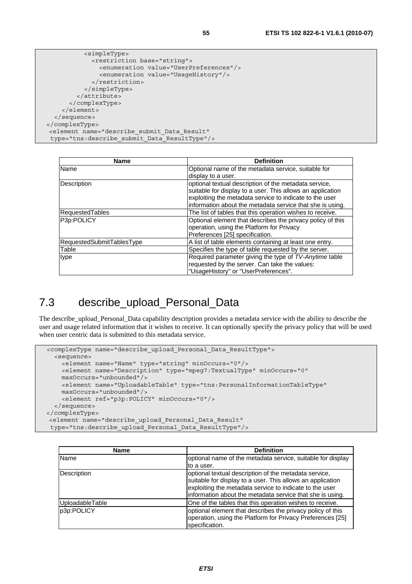```
 <simpleType> 
              <restriction base="string"> 
                <enumeration value="UserPreferences"/> 
                <enumeration value="UsageHistory"/> 
              </restriction> 
            </simpleType> 
         </attribute> 
       </complexType> 
     </element> 
   </sequence> 
</complexType> 
 <element name="describe_submit_Data_Result" 
 type="tns:describe_submit_Data_ResultType"/>
```

| <b>Name</b>               | <b>Definition</b>                                          |
|---------------------------|------------------------------------------------------------|
| Name                      | Optional name of the metadata service, suitable for        |
|                           | display to a user.                                         |
| Description               | optional textual description of the metadata service,      |
|                           | suitable for display to a user. This allows an application |
|                           | exploiting the metadata service to indicate to the user    |
|                           | information about the metadata service that she is using.  |
| <b>RequestedTables</b>    | The list of tables that this operation wishes to receive.  |
| P3p:POLICY                | Optional element that describes the privacy policy of this |
|                           | operation, using the Platform for Privacy                  |
|                           | Preferences [25] specification.                            |
| RequestedSubmitTablesType | A list of table elements containing at least one entry.    |
| Table                     | Specifies the type of table requested by the server.       |
| type                      | Required parameter giving the type of TV-Anytime table     |
|                           | requested by the server. Can take the values:              |
|                           | "UsageHistory" or "UserPreferences".                       |

## 7.3 describe\_upload\_Personal\_Data

The describe upload Personal Data capability description provides a metadata service with the ability to describe the user and usage related information that it wishes to receive. It can optionally specify the privacy policy that will be used when user centric data is submitted to this metadata service.

```
 <complexType name="describe_upload_Personal_Data_ResultType"> 
   <sequence> 
     <element name="Name" type="string" minOccurs="0"/> 
     <element name="Description" type="mpeg7:TextualType" minOccurs="0" 
    maxOccurs="unbounded"/> 
     <element name="UploadableTable" type="tns:PersonalInformationTableType" 
    maxOccurs="unbounded"/> 
     <element ref="p3p:POLICY" minOccurs="0"/> 
   </sequence> 
</complexType> 
 <element name="describe_upload_Personal_Data_Result" 
  type="tns:describe_upload_Personal_Data_ResultType"/>
```

| <b>Name</b>     | <b>Definition</b>                                                                                                                                                                                                                           |
|-----------------|---------------------------------------------------------------------------------------------------------------------------------------------------------------------------------------------------------------------------------------------|
| Name            | optional name of the metadata service, suitable for display                                                                                                                                                                                 |
|                 | to a user.                                                                                                                                                                                                                                  |
| Description     | optional textual description of the metadata service,<br>suitable for display to a user. This allows an application<br>exploiting the metadata service to indicate to the user<br>information about the metadata service that she is using. |
| UploadableTable | One of the tables that this operation wishes to receive.                                                                                                                                                                                    |
| p3p:POLICY      | optional element that describes the privacy policy of this<br>operation, using the Platform for Privacy Preferences [25]<br>specification.                                                                                                  |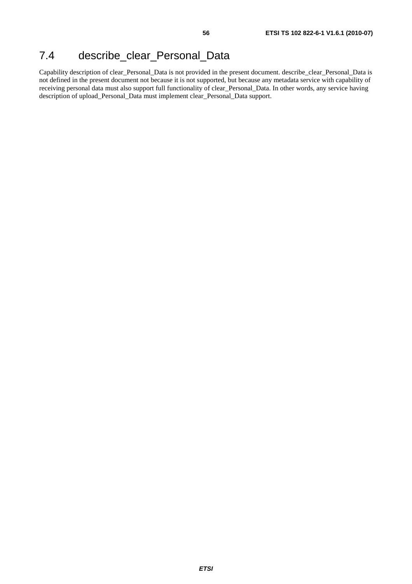# 7.4 describe\_clear\_Personal\_Data

Capability description of clear\_Personal\_Data is not provided in the present document. describe\_clear\_Personal\_Data is not defined in the present document not because it is not supported, but because any metadata service with capability of receiving personal data must also support full functionality of clear\_Personal\_Data. In other words, any service having description of upload\_Personal\_Data must implement clear\_Personal\_Data support.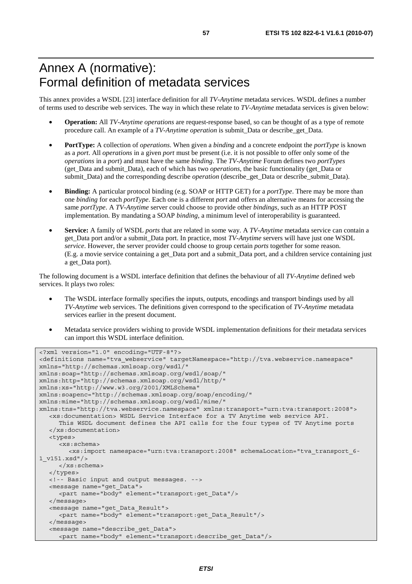# Annex A (normative): Formal definition of metadata services

This annex provides a WSDL [23] interface definition for all *TV-Anytime* metadata services. WSDL defines a number of terms used to describe web services. The way in which these relate to *TV-Anytime* metadata services is given below:

- **Operation:** All *TV-Anytime operations* are request-response based, so can be thought of as a type of remote procedure call. An example of a *TV-Anytime operation* is submit*\_*Data or describe*\_*get*\_*Data.
- **PortType:** A collection of *operations*. When given a *binding* and a concrete endpoint the *portType* is known as a *port*. All *operations* in a given *port* must be present (i.e. it is not possible to offer only some of the *operations* in a *port*) and must have the same *binding*. The *TV-Anytime* Forum defines two *portTypes* (get*\_*Data and submit*\_*Data), each of which has two *operations*, the basic functionality (get*\_*Data or submit*\_*Data) and the corresponding describe *operation* (describe\_get*\_*Data or describe\_submit*\_*Data).
- **Binding:** A particular protocol binding (e.g. SOAP or HTTP GET) for a *portType*. There may be more than one *binding* for each *portType*. Each one is a different *port* and offers an alternative means for accessing the same *portType*. A *TV-Anytime* server could choose to provide other *bindings*, such as an HTTP POST implementation. By mandating a SOAP *binding*, a minimum level of interoperability is guaranteed.
- **Service:** A family of WSDL *ports* that are related in some way. A *TV-Anytime* metadata service can contain a get\_Data port and/or a submit\_Data port. In practice, most *TV-Anytime* servers will have just one WSDL *service*. However, the server provider could choose to group certain *ports* together for some reason. (E.g. a movie service containing a get\_Data port and a submit\_Data port, and a children service containing just a get\_Data port).

The following document is a WSDL interface definition that defines the behaviour of all *TV-Anytime* defined web services. It plays two roles:

- The WSDL interface formally specifies the inputs, outputs, encodings and transport bindings used by all *TV-Anytime* web services. The definitions given correspond to the specification of *TV-Anytime* metadata services earlier in the present document.
- Metadata service providers wishing to provide WSDL implementation definitions for their metadata services can import this WSDL interface definition.

```
<?xml version="1.0" encoding="UTF-8"?> 
<definitions name="tva_webservice" targetNamespace="http://tva.webservice.namespace" 
xmlns="http://schemas.xmlsoap.org/wsdl/" 
xmlns:soap="http://schemas.xmlsoap.org/wsdl/soap/" 
xmlns:http="http://schemas.xmlsoap.org/wsdl/http/" 
xmlns:xs="http://www.w3.org/2001/XMLSchema" 
xmlns:soapenc="http://schemas.xmlsoap.org/soap/encoding/" 
xmlns:mime="http://schemas.xmlsoap.org/wsdl/mime/" 
xmlns:tns="http://tva.webservice.namespace" xmlns:transport="urn:tva:transport:2008"> 
    <xs:documentation> WSDL Service Interface for a TV Anytime web service API. 
      This WSDL document defines the API calls for the four types of TV Anytime ports 
   </xs:documentation> 
   <types> 
      <xs:schema> 
         <xs:import namespace="urn:tva:transport:2008" schemaLocation="tva_transport_6-
1_v151.xsd"/> 
      </xs:schema> 
   </types> 
   <!-- Basic input and output messages. --> 
   <message name="get_Data"> 
      <part name="body" element="transport:get_Data"/> 
   </message> 
   <message name="get_Data_Result"> 
      <part name="body" element="transport:get_Data_Result"/> 
   </message> 
    <message name="describe_get_Data"> 
      <part name="body" element="transport:describe_get_Data"/>
```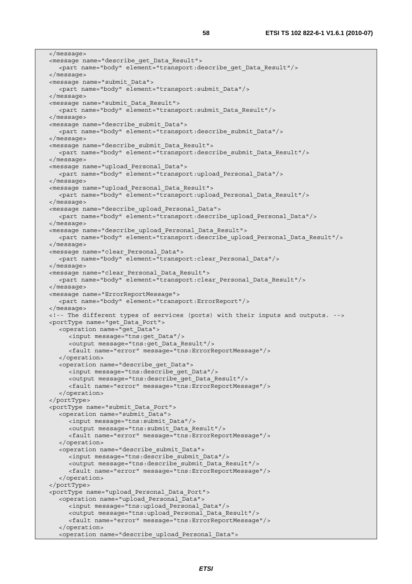</message> <message name="describe\_get\_Data\_Result"> <part name="body" element="transport:describe\_get\_Data\_Result"/> </message> <message name="submit\_Data"> <part name="body" element="transport:submit\_Data"/> </message> <message name="submit\_Data\_Result"> <part name="body" element="transport:submit\_Data\_Result"/> </message> <message name="describe\_submit\_Data"> <part name="body" element="transport:describe\_submit\_Data"/> </message> <message name="describe\_submit\_Data\_Result"> <part name="body" element="transport:describe\_submit\_Data\_Result"/> </message> <message name="upload\_Personal\_Data"> <part name="body" element="transport:upload\_Personal\_Data"/> </message> <message name="upload\_Personal\_Data\_Result"> <part name="body" element="transport:upload\_Personal\_Data\_Result"/> </message> <message name="describe\_upload\_Personal\_Data"> <part name="body" element="transport:describe\_upload\_Personal\_Data"/> </message> <message name="describe\_upload\_Personal\_Data\_Result"> <part name="body" element="transport:describe\_upload\_Personal\_Data\_Result"/> </message> <message name="clear\_Personal\_Data"> <part name="body" element="transport:clear\_Personal\_Data"/> </message> <message name="clear\_Personal\_Data\_Result"> <part name="body" element="transport:clear\_Personal\_Data\_Result"/> </message> <message name="ErrorReportMessage"> <part name="body" element="transport:ErrorReport"/> </message> <!-- The different types of services (ports) with their inputs and outputs. --> <portType name="get\_Data\_Port"> <operation name="get\_Data"> <input message="tns:get\_Data"/> <output message="tns:get\_Data\_Result"/> <fault name="error" message="tns:ErrorReportMessage"/> </operation> <operation name="describe\_get\_Data"> <input message="tns:describe\_get\_Data"/> <output message="tns:describe\_get\_Data\_Result"/> <fault name="error" message="tns:ErrorReportMessage"/> </operation> </portType> <portType name="submit\_Data\_Port"> <operation name="submit\_Data"> <input message="tns:submit\_Data"/> <output message="tns:submit\_Data\_Result"/> <fault name="error" message="tns:ErrorReportMessage"/> </operation> <operation name="describe\_submit\_Data"> <input message="tns:describe\_submit\_Data"/> <output message="tns:describe\_submit\_Data\_Result"/> <fault name="error" message="tns:ErrorReportMessage"/> </operation> </portType> <portType name="upload\_Personal\_Data\_Port"> <operation name="upload\_Personal\_Data"> <input message="tns:upload\_Personal\_Data"/> <output message="tns:upload\_Personal\_Data\_Result"/> <fault name="error" message="tns:ErrorReportMessage"/> </operation> <operation name="describe\_upload\_Personal\_Data">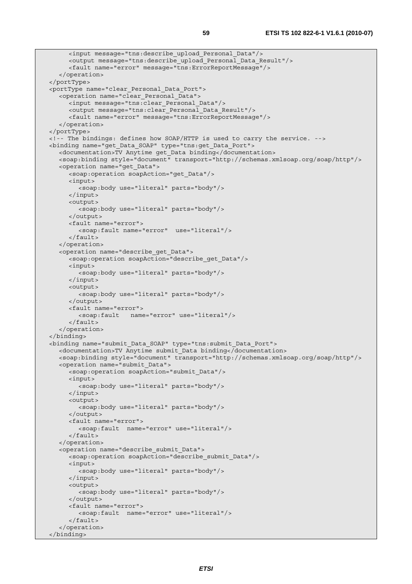```
 <input message="tns:describe_upload_Personal_Data"/> 
      <output message="tns:describe_upload_Personal_Data_Result"/> 
      <fault name="error" message="tns:ErrorReportMessage"/> 
    </operation> 
 </portType> 
 <portType name="clear_Personal_Data_Port"> 
    <operation name="clear_Personal_Data"> 
      <input message="tns:clear_Personal_Data"/> 
      <output message="tns:clear_Personal_Data_Result"/> 
      <fault name="error" message="tns:ErrorReportMessage"/> 
    </operation> 
 </portType> 
 <!-- The bindings: defines how SOAP/HTTP is used to carry the service. --> 
 <binding name="get_Data_SOAP" type="tns:get_Data_Port"> 
   <documentation>TV Anytime get_Data binding</documentation> 
   <soap:binding style="document" transport="http://schemas.xmlsoap.org/soap/http"/> 
    <operation name="get_Data"> 
      <soap:operation soapAction="get_Data"/> 
      <input> 
         <soap:body use="literal" parts="body"/> 
      </input> 
      <output> 
         <soap:body use="literal" parts="body"/> 
      </output> 
      <fault name="error"> 
         <soap:fault name="error" use="literal"/> 
      </fault> 
    </operation> 
    <operation name="describe_get_Data"> 
      <soap:operation soapAction="describe_get_Data"/> 
      <input> 
         <soap:body use="literal" parts="body"/> 
      </input> 
      <output> 
         <soap:body use="literal" parts="body"/> 
      </output> 
      <fault name="error"> 
         <soap:fault name="error" use="literal"/> 
      </fault> 
    </operation> 
 </binding> 
 <binding name="submit_Data_SOAP" type="tns:submit_Data_Port"> 
   <documentation>TV Anytime submit_Data binding</documentation> 
    <soap:binding style="document" transport="http://schemas.xmlsoap.org/soap/http"/> 
    <operation name="submit_Data"> 
      <soap:operation soapAction="submit_Data"/> 
      <input> 
         <soap:body use="literal" parts="body"/> 
      </input> 
      <output> 
         <soap:body use="literal" parts="body"/> 
      </output> 
      <fault name="error"> 
         <soap:fault name="error" use="literal"/> 
      </fault> 
    </operation> 
    <operation name="describe_submit_Data"> 
      <soap:operation soapAction="describe_submit_Data"/> 
      <input> 
         <soap:body use="literal" parts="body"/> 
      </input> 
      <output> 
         <soap:body use="literal" parts="body"/> 
      </output> 
      <fault name="error"> 
         <soap:fault name="error" use="literal"/> 
      </fault> 
    </operation> 
 </binding>
```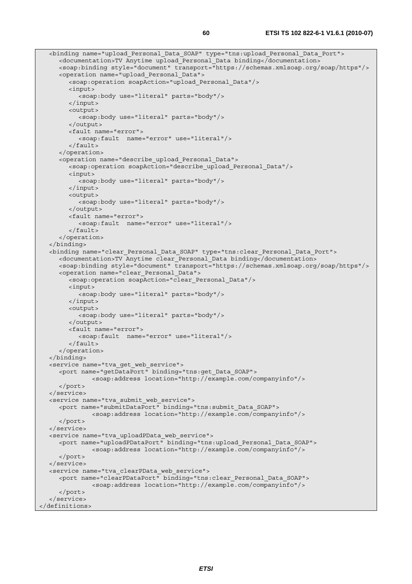```
 <binding name="upload_Personal_Data_SOAP" type="tns:upload_Personal_Data_Port"> 
      <documentation>TV Anytime upload_Personal_Data binding</documentation> 
      <soap:binding style="document" transport="https://schemas.xmlsoap.org/soap/https"/> 
      <operation name="upload_Personal_Data"> 
         <soap:operation soapAction="upload_Personal_Data"/> 
         <input> 
            <soap:body use="literal" parts="body"/> 
         </input> 
         <output> 
            <soap:body use="literal" parts="body"/> 
         </output> 
         <fault name="error"> 
            <soap:fault name="error" use="literal"/> 
         </fault> 
      </operation> 
      <operation name="describe_upload_Personal_Data"> 
         <soap:operation soapAction="describe_upload_Personal_Data"/> 
         <input> 
            <soap:body use="literal" parts="body"/> 
         </input> 
         <output> 
            <soap:body use="literal" parts="body"/> 
         </output> 
         <fault name="error"> 
            <soap:fault name="error" use="literal"/> 
         </fault> 
      </operation> 
   </binding> 
   <binding name="clear_Personal_Data_SOAP" type="tns:clear_Personal_Data_Port"> 
      <documentation>TV Anytime clear_Personal_Data binding</documentation> 
      <soap:binding style="document" transport="https://schemas.xmlsoap.org/soap/https"/> 
      <operation name="clear_Personal_Data"> 
         <soap:operation soapAction="clear_Personal_Data"/> 
         <input> 
           <soap:body use="literal" parts="body"/> 
         </input> 
         <output> 
            <soap:body use="literal" parts="body"/> 
         </output> 
         <fault name="error"> 
            <soap:fault name="error" use="literal"/> 
         </fault> 
      </operation> 
   </binding> 
   <service name="tva_get_web_service"> 
      <port name="getDataPort" binding="tns:get_Data_SOAP"> 
                <soap:address location="http://example.com/companyinfo"/> 
      </port> 
   </service> 
   <service name="tva_submit_web_service"> 
      <port name="submitDataPort" binding="tns:submit_Data_SOAP"> 
                <soap:address location="http://example.com/companyinfo"/> 
      </port> 
   </service> 
   <service name="tva_uploadPData_web_service"> 
      <port name="uploadPDataPort" binding="tns:upload_Personal_Data_SOAP"> 
                <soap:address location="http://example.com/companyinfo"/> 
      </port> 
   </service> 
   <service name="tva_clearPData_web_service"> 
      <port name="clearPDataPort" binding="tns:clear_Personal_Data_SOAP"> 
                <soap:address location="http://example.com/companyinfo"/> 
      </port> 
   </service> 
</definitions>
```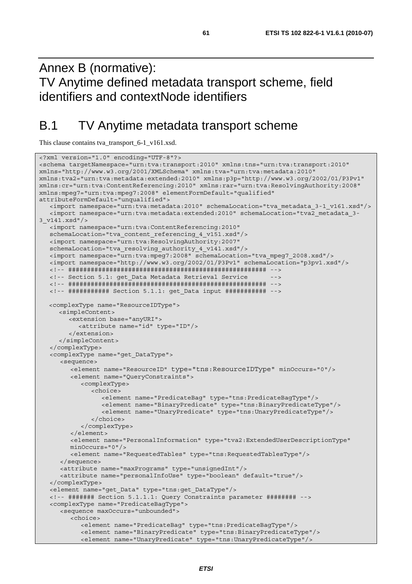# Annex B (normative): TV Anytime defined metadata transport scheme, field identifiers and contextNode identifiers

# B.1 TV Anytime metadata transport scheme

This clause contains tva\_transport\_6-1\_v161.xsd.

```
<?xml version="1.0" encoding="UTF-8"?> 
<schema targetNamespace="urn:tva:transport:2010" xmlns:tns="urn:tva:transport:2010" 
xmlns="http://www.w3.org/2001/XMLSchema" xmlns:tva="urn:tva:metadata:2010" 
xmlns:tva2="urn:tva:metadata:extended:2010" xmlns:p3p="http://www.w3.org/2002/01/P3Pv1" 
xmlns:cr="urn:tva:ContentReferencing:2010" xmlns:rar="urn:tva:ResolvingAuthority:2008" 
xmlns:mpeg7="urn:tva:mpeg7:2008" elementFormDefault="qualified" 
attributeFormDefault="unqualified"> 
    <import namespace="urn:tva:metadata:2010" schemaLocation="tva_metadata_3-1_v161.xsd"/> 
    <import namespace="urn:tva:metadata:extended:2010" schemaLocation="tva2_metadata_3-
3_v141.xsd"/> 
   <import namespace="urn:tva:ContentReferencing:2010" 
   schemaLocation="tva_content_referencing_4_v151.xsd"/> 
    <import namespace="urn:tva:ResolvingAuthority:2007" 
    schemaLocation="tva_resolving_authority_4_v141.xsd"/> 
   <import namespace="urn:tva:mpeg7:2008" schemaLocation="tva_mpeg7_2008.xsd"/> 
   <import namespace="http://www.w3.org/2002/01/P3Pv1" schemaLocation="p3pv1.xsd"/> 
   <!-- ##################################################### --> 
   <!-- Section 5.1: get_Data Metadata Retrieval Service --> 
   <!-- ##################################################### --> 
   <!-- ########### Section 5.1.1: get_Data input ########### --> 
  <complexType name="ResourceIDType"> 
      <simpleContent> 
         <extension base="anyURI"> 
            <attribute name="id" type="ID"/> 
         </extension> 
      </simpleContent> 
    </complexType> 
    <complexType name="get_DataType"> 
       <sequence> 
         <element name="ResourceID" type="tns:ResourceIDType" minOccurs="0"/> 
         <element name="QueryConstraints"> 
            <complexType> 
               <choice> 
                  <element name="PredicateBag" type="tns:PredicateBagType"/> 
                  <element name="BinaryPredicate" type="tns:BinaryPredicateType"/> 
                  <element name="UnaryPredicate" type="tns:UnaryPredicateType"/> 
               </choice> 
            </complexType> 
         </element> 
         <element name="PersonalInformation" type="tva2:ExtendedUserDescriptionType" 
         minOccurs="0"/> 
         <element name="RequestedTables" type="tns:RequestedTablesType"/> 
      </sequence> 
      <attribute name="maxPrograms" type="unsignedInt"/> 
      <attribute name="personalInfoUse" type="boolean" default="true"/> 
    </complexType> 
    <element name="get_Data" type="tns:get_DataType"/> 
    <!-- ####### Section 5.1.1.1: Query Constraints parameter ######## --> 
    <complexType name="PredicateBagType"> 
      <sequence maxOccurs="unbounded"> 
         <choice> 
            <element name="PredicateBag" type="tns:PredicateBagType"/> 
            <element name="BinaryPredicate" type="tns:BinaryPredicateType"/> 
            <element name="UnaryPredicate" type="tns:UnaryPredicateType"/>
```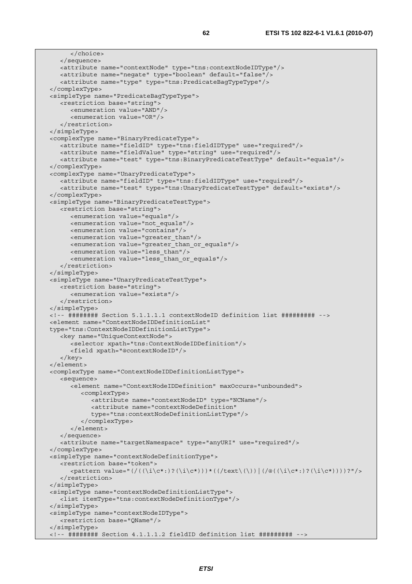```
 </choice> 
   </sequence> 
   <attribute name="contextNode" type="tns:contextNodeIDType"/> 
   <attribute name="negate" type="boolean" default="false"/> 
    <attribute name="type" type="tns:PredicateBagTypeType"/> 
 </complexType> 
 <simpleType name="PredicateBagTypeType"> 
   <restriction base="string"> 
      <enumeration value="AND"/> 
       <enumeration value="OR"/> 
    </restriction> 
 </simpleType> 
 <complexType name="BinaryPredicateType"> 
   <attribute name="fieldID" type="tns:fieldIDType" use="required"/> 
   <attribute name="fieldValue" type="string" use="required"/> 
    <attribute name="test" type="tns:BinaryPredicateTestType" default="equals"/> 
 </complexType> 
 <complexType name="UnaryPredicateType"> 
    <attribute name="fieldID" type="tns:fieldIDType" use="required"/> 
   <attribute name="test" type="tns:UnaryPredicateTestType" default="exists"/> 
 </complexType> 
 <simpleType name="BinaryPredicateTestType"> 
   <restriction base="string"> 
      <enumeration value="equals"/> 
      <enumeration value="not_equals"/> 
      <enumeration value="contains"/> 
      <enumeration value="greater_than"/> 
       <enumeration value="greater_than_or_equals"/> 
      <enumeration value="less_than"/> 
      <enumeration value="less_than_or_equals"/> 
    </restriction> 
 </simpleType> 
 <simpleType name="UnaryPredicateTestType"> 
   <restriction base="string"> 
      <enumeration value="exists"/> 
    </restriction> 
 </simpleType> 
 <!-- ######## Section 5.1.1.1.1 contextNodeID definition list ######### --> 
 <element name="ContextNodeIDDefinitionList" 
 type="tns:ContextNodeIDDefinitionListType"> 
    <key name="UniqueContextNode"> 
      <selector xpath="tns:ContextNodeIDDefinition"/> 
       <field xpath="@contextNodeID"/> 
    </key> 
 </element> 
 <complexType name="ContextNodeIDDefinitionListType"> 
    <sequence> 
       <element name="ContextNodeIDDefinition" maxOccurs="unbounded"> 
          <complexType> 
             <attribute name="contextNodeID" type="NCName"/> 
            <attribute name="contextNodeDefinition" 
            type="tns:contextNodeDefinitionListType"/> 
          </complexType> 
       </element> 
   </sequence> 
    <attribute name="targetNamespace" type="anyURI" use="required"/> 
 </complexType> 
 <simpleType name="contextNodeDefinitionType"> 
    <restriction base="token"> 
      \langle <pattern value="(/((\i\c*:)?(\i\c*)))*((/text\(\))|(/@((\i\c*:)?(\i\c*))))?"/>
    </restriction> 
 </simpleType> 
 <simpleType name="contextNodeDefinitionListType"> 
   <list itemType="tns:contextNodeDefinitionType"/> 
 </simpleType> 
 <simpleType name="contextNodeIDType"> 
    <restriction base="QName"/> 
 </simpleType> 
 <!-- ######## Section 4.1.1.1.2 fieldID definition list ######### -->
```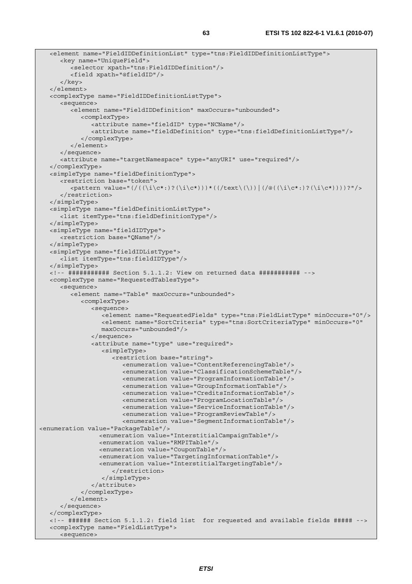```
 <element name="FieldIDDefinitionList" type="tns:FieldIDDefinitionListType"> 
      <key name="UniqueField"> 
         <selector xpath="tns:FieldIDDefinition"/> 
         <field xpath="@fieldID"/> 
       </key> 
   </element> 
   <complexType name="FieldIDDefinitionListType"> 
      <sequence> 
         <element name="FieldIDDefinition" maxOccurs="unbounded"> 
            <complexType> 
               <attribute name="fieldID" type="NCName"/> 
               <attribute name="fieldDefinition" type="tns:fieldDefinitionListType"/> 
            </complexType> 
         </element> 
      </sequence> 
      <attribute name="targetNamespace" type="anyURI" use="required"/> 
   </complexType> 
   <simpleType name="fieldDefinitionType"> 
      <restriction base="token"> 
         <pattern value="(/((\i\c*:)?(\i\c*)))*((/text\(\))|(/@((\i\c*:)?(\i\c*))))?"/> 
      </restriction> 
   </simpleType> 
   <simpleType name="fieldDefinitionListType"> 
      <list itemType="tns:fieldDefinitionType"/> 
   </simpleType> 
   <simpleType name="fieldIDType"> 
      <restriction base="QName"/> 
   </simpleType> 
   <simpleType name="fieldIDListType"> 
      <list itemType="tns:fieldIDType"/> 
   </simpleType> 
   <!-- ########### Section 5.1.1.2: View on returned data ########### --> 
   <complexType name="RequestedTablesType"> 
      <sequence> 
         <element name="Table" maxOccurs="unbounded"> 
            <complexType> 
               <sequence> 
                  <element name="RequestedFields" type="tns:FieldListType" minOccurs="0"/> 
                  <element name="SortCriteria" type="tns:SortCriteriaType" minOccurs="0" 
                  maxOccurs="unbounded"/> 
               </sequence> 
               <attribute name="type" use="required"> 
                  <simpleType> 
                     <restriction base="string"> 
                        <enumeration value="ContentReferencingTable"/> 
                        <enumeration value="ClassificationSchemeTable"/> 
                        <enumeration value="ProgramInformationTable"/> 
                        <enumeration value="GroupInformationTable"/> 
                        <enumeration value="CreditsInformationTable"/> 
                        <enumeration value="ProgramLocationTable"/> 
                        <enumeration value="ServiceInformationTable"/> 
                        <enumeration value="ProgramReviewTable"/> 
                        <enumeration value="SegmentInformationTable"/> 
<enumeration value="PackageTable"/> 
                  <enumeration value="InterstitialCampaignTable"/> 
                  <enumeration value="RMPITable"/> 
                  <enumeration value="CouponTable"/> 
                  <enumeration value="TargetingInformationTable"/> 
                  <enumeration value="InterstitialTargetingTable"/> 
                     </restriction> 
                  </simpleType> 
               </attribute> 
            </complexType> 
         </element> 
      </sequence> 
   </complexType> 
   <!-- ###### Section 5.1.1.2: field list for requested and available fields ##### --> 
   <complexType name="FieldListType"> 
      <sequence>
```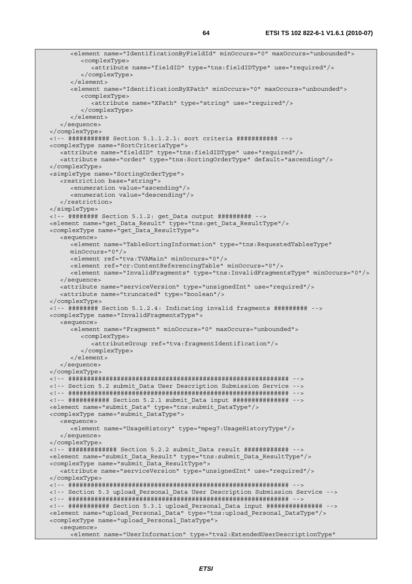```
 <element name="IdentificationByFieldId" minOccurs="0" maxOccurs="unbounded"> 
         <complexType> 
            <attribute name="fieldID" type="tns:fieldIDType" use="required"/> 
         </complexType> 
       </element> 
       <element name="IdentificationByXPath" minOccurs="0" maxOccurs="unbounded"> 
         <complexType> 
            <attribute name="XPath" type="string" use="required"/> 
         </complexType> 
       </element> 
   </sequence> 
 </complexType> 
 <!-- ########### Section 5.1.1.2.1: sort criteria ########### --> 
 <complexType name="SortCriteriaType"> 
   <attribute name="fieldID" type="tns:fieldIDType" use="required"/> 
    <attribute name="order" type="tns:SortingOrderType" default="ascending"/> 
 </complexType> 
 <simpleType name="SortingOrderType"> 
   <restriction base="string"> 
      <enumeration value="ascending"/> 
      <enumeration value="descending"/> 
    </restriction> 
 </simpleType> 
 <!-- ######## Section 5.1.2: get_Data output ######### --> 
 <element name="get_Data_Result" type="tns:get_Data_ResultType"/> 
 <complexType name="get_Data_ResultType"> 
   <sequence> 
       <element name="TableSortingInformation" type="tns:RequestedTablesType" 
      minOccurs="0"/> 
      <element ref="tva:TVAMain" minOccurs="0"/> 
      <element ref="cr:ContentReferencingTable" minOccurs="0"/> 
       <element name="InvalidFragments" type="tns:InvalidFragmentsType" minOccurs="0"/> 
   </sequence> 
   <attribute name="serviceVersion" type="unsignedInt" use="required"/> 
   <attribute name="truncated" type="boolean"/> 
 </complexType> 
 <!-- ######## Section 5.1.2.4: Indicating invalid fragments ######### --> 
 <complexType name="InvalidFragmentsType"> 
    <sequence> 
      <element name="Fragment" minOccurs="0" maxOccurs="unbounded"> 
         <complexType> 
            <attributeGroup ref="tva:fragmentIdentification"/> 
         </complexType> 
       </element> 
   </sequence> 
 </complexType> 
 <!-- ########################################################### --> 
 <!-- Section 5.2 submit_Data User Description Submission Service --> 
 <!-- ########################################################### --> 
 <!-- ########### Section 5.2.1 submit_Data input ############### --> 
 <element name="submit_Data" type="tns:submit_DataType"/> 
 <complexType name="submit_DataType"> 
   <sequence> 
       <element name="UsageHistory" type="mpeg7:UsageHistoryType"/> 
    </sequence> 
 </complexType> 
 <!-- ############# Section 5.2.2 submit_Data result ############ --> 
 <element name="submit_Data_Result" type="tns:submit_Data_ResultType"/> 
 <complexType name="submit_Data_ResultType"> 
    <attribute name="serviceVersion" type="unsignedInt" use="required"/> 
 </complexType> 
 <!-- ########################################################### --> 
 <!-- Section 5.3 upload_Personal_Data User Description Submission Service --> 
 <!-- ########################################################### --> 
 <!-- ########### Section 5.3.1 upload_Personal_Data input ############### --> 
 <element name="upload_Personal_Data" type="tns:upload_Personal_DataType"/> 
 <complexType name="upload_Personal_DataType"> 
    <sequence> 
       <element name="UserInformation" type="tva2:ExtendedUserDescriptionType"
```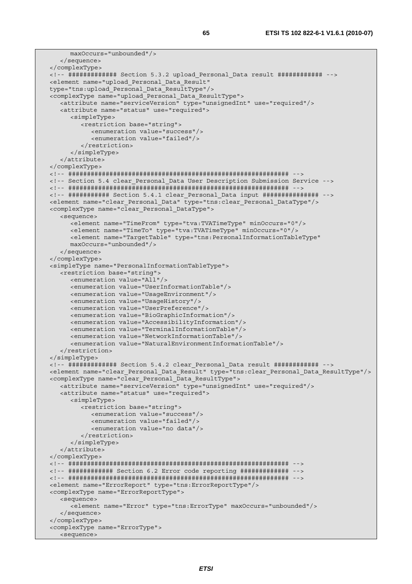```
 maxOccurs="unbounded"/> 
    </sequence> 
 </complexType> 
 <!-- ############# Section 5.3.2 upload_Personal_Data result ############ --> 
 <element name="upload_Personal_Data_Result" 
 type="tns:upload_Personal_Data_ResultType"/> 
 <complexType name="upload_Personal_Data_ResultType"> 
   <attribute name="serviceVersion" type="unsignedInt" use="required"/> 
   <attribute name="status" use="required"> 
      <simpleType> 
          <restriction base="string"> 
            <enumeration value="success"/> 
             <enumeration value="failed"/> 
          </restriction> 
       </simpleType> 
    </attribute> 
 </complexType> 
 <!-- ########################################################### --> 
 <!-- Section 5.4 clear_Personal_Data User Description Submission Service --> 
 <!-- ########################################################### --> 
 <!-- ########### Section 5.4.1 clear_Personal_Data input ############### --> 
 <element name="clear_Personal_Data" type="tns:clear_Personal_DataType"/> 
 <complexType name="clear_Personal_DataType"> 
   <sequence> 
       <element name="TimeFrom" type="tva:TVATimeType" minOccurs="0"/> 
       <element name="TimeTo" type="tva:TVATimeType" minOccurs="0"/> 
       <element name="TargetTable" type="tns:PersonalInformationTableType" 
       maxOccurs="unbounded"/> 
   </sequence> 
 </complexType> 
 <simpleType name="PersonalInformationTableType"> 
   <restriction base="string"> 
      <enumeration value="All"/> 
       <enumeration value="UserInformationTable"/> 
      <enumeration value="UsageEnvironment"/> 
      <enumeration value="UsageHistory"/> 
      <enumeration value="UserPreference"/> 
      <enumeration value="BioGraphicInformation"/> 
       <enumeration value="AccessibilityInformation"/> 
      <enumeration value="TerminalInformationTable"/> 
       <enumeration value="NetworkInformationTable"/> 
       <enumeration value="NaturalEnvironmentInformationTable"/> 
    </restriction> 
 </simpleType> 
 <!-- ############# Section 5.4.2 clear_Personal_Data result ############ --> 
 <element name="clear_Personal_Data_Result" type="tns:clear_Personal_Data_ResultType"/> 
 <complexType name="clear_Personal_Data_ResultType"> 
   <attribute name="serviceVersion" type="unsignedInt" use="required"/> 
   <attribute name="status" use="required"> 
       <simpleType> 
          <restriction base="string"> 
             <enumeration value="success"/> 
            <enumeration value="failed"/> 
             <enumeration value="no data"/> 
          </restriction> 
      </simpleType> 
   </attribute> 
 </complexType> 
 <!-- ########################################################### --> 
 <!-- ############ Section 6.2 Error code reporting ############# --> 
 <!-- ########################################################### --> 
 <element name="ErrorReport" type="tns:ErrorReportType"/> 
 <complexType name="ErrorReportType"> 
   <sequence> 
       <element name="Error" type="tns:ErrorType" maxOccurs="unbounded"/> 
    </sequence> 
 </complexType> 
 <complexType name="ErrorType"> 
   <sequence>
```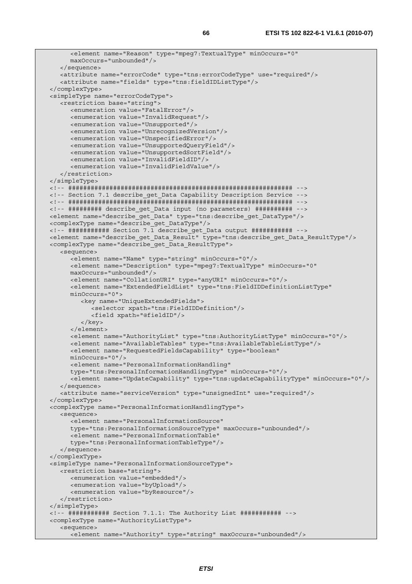```
 <element name="Reason" type="mpeg7:TextualType" minOccurs="0" 
      maxOccurs="unbounded"/> 
   </sequence> 
   <attribute name="errorCode" type="tns:errorCodeType" use="required"/> 
    <attribute name="fields" type="tns:fieldIDListType"/> 
 </complexType> 
 <simpleType name="errorCodeType"> 
    <restriction base="string"> 
      <enumeration value="FatalError"/> 
      <enumeration value="InvalidRequest"/> 
      <enumeration value="Unsupported"/> 
       <enumeration value="UnrecognizedVersion"/> 
      <enumeration value="UnspecifiedError"/> 
      <enumeration value="UnsupportedQueryField"/> 
      <enumeration value="UnsupportedSortField"/> 
      <enumeration value="InvalidFieldID"/> 
       <enumeration value="InvalidFieldValue"/> 
    </restriction> 
 </simpleType> 
 <!-- ############################################################ --> 
 <!-- Section 7.1 describe_get_Data Capability Description Service --> 
 <!-- ############################################################ --> 
 <!-- ######### describe_get_Data input (no parameters) ########## --> 
 <element name="describe_get_Data" type="tns:describe_get_DataType"/> 
 <complexType name="describe_get_DataType"/> 
 <!-- ########### Section 7.1 describe_get_Data output ########### --> 
 <element name="describe_get_Data_Result" type="tns:describe_get_Data_ResultType"/> 
 <complexType name="describe_get_Data_ResultType"> 
    <sequence> 
       <element name="Name" type="string" minOccurs="0"/> 
       <element name="Description" type="mpeg7:TextualType" minOccurs="0" 
      maxOccurs="unbounded"/> 
      <element name="CollationURI" type="anyURI" minOccurs="0"/> 
       <element name="ExtendedFieldList" type="tns:FieldIDDefinitionListType" 
      minOccurs="0"> 
          <key name="UniqueExtendedFields"> 
            <selector xpath="tns:FieldIDDefinition"/> 
            <field xpath="@fieldID"/> 
          </key> 
       </element> 
       <element name="AuthorityList" type="tns:AuthorityListType" minOccurs="0"/> 
      <element name="AvailableTables" type="tns:AvailableTableListType"/> 
      <element name="RequestedFieldsCapability" type="boolean" 
      minOccurs="0"/> 
       <element name="PersonalInformationHandling" 
      type="tns:PersonalInformationHandlingType" minOccurs="0"/> 
       <element name="UpdateCapability" type="tns:updateCapabilityType" minOccurs="0"/> 
    </sequence> 
    <attribute name="serviceVersion" type="unsignedInt" use="required"/> 
 </complexType> 
 <complexType name="PersonalInformationHandlingType"> 
    <sequence> 
      <element name="PersonalInformationSource" 
      type="tns:PersonalInformationSourceType" maxOccurs="unbounded"/> 
       <element name="PersonalInformationTable" 
       type="tns:PersonalInformationTableType"/> 
   </sequence> 
 </complexType> 
 <simpleType name="PersonalInformationSourceType"> 
    <restriction base="string"> 
       <enumeration value="embedded"/> 
      <enumeration value="byUpload"/> 
      <enumeration value="byResource"/> 
    </restriction> 
 </simpleType> 
 <!-- ########### Section 7.1.1: The Authority List ########### --> 
 <complexType name="AuthorityListType"> 
    <sequence> 
     <element name="Authority" type="string" maxOccurs="unbounded"/>
```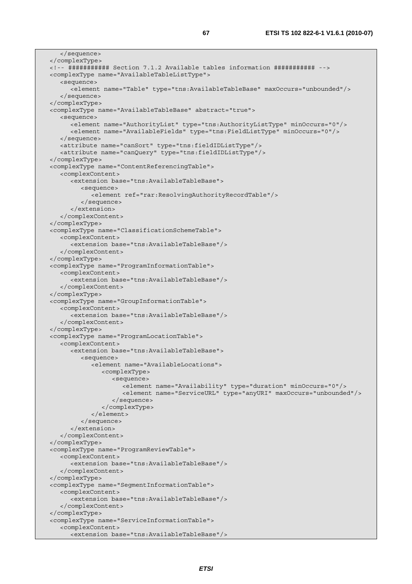</sequence> </complexType> <!-- ########### Section 7.1.2 Available tables information ########### --> <complexType name="AvailableTableListType"> <sequence> <element name="Table" type="tns:AvailableTableBase" maxOccurs="unbounded"/> </sequence> </complexType> <complexType name="AvailableTableBase" abstract="true"> <sequence> <element name="AuthorityList" type="tns:AuthorityListType" minOccurs="0"/> <element name="AvailableFields" type="tns:FieldListType" minOccurs="0"/> </sequence> <attribute name="canSort" type="tns:fieldIDListType"/> <attribute name="canQuery" type="tns:fieldIDListType"/> </complexType> <complexType name="ContentReferencingTable"> <complexContent> <extension base="tns:AvailableTableBase"> <sequence> <element ref="rar:ResolvingAuthorityRecordTable"/> </sequence> </extension> </complexContent> </complexType> <complexType name="ClassificationSchemeTable"> <complexContent> <extension base="tns:AvailableTableBase"/> </complexContent> </complexType> <complexType name="ProgramInformationTable"> <complexContent> <extension base="tns:AvailableTableBase"/> </complexContent> </complexType> <complexType name="GroupInformationTable"> <complexContent> <extension base="tns:AvailableTableBase"/> </complexContent> </complexType> <complexType name="ProgramLocationTable"> <complexContent> <extension base="tns:AvailableTableBase"> <sequence> <element name="AvailableLocations"> <complexType> <sequence> <element name="Availability" type="duration" minOccurs="0"/> <element name="ServiceURL" type="anyURI" maxOccurs="unbounded"/> </sequence> </complexType> </element> </sequence> </extension> </complexContent> </complexType> <complexType name="ProgramReviewTable"> <complexContent> <extension base="tns:AvailableTableBase"/> </complexContent> </complexType> <complexType name="SegmentInformationTable"> <complexContent> <extension base="tns:AvailableTableBase"/> </complexContent> </complexType> <complexType name="ServiceInformationTable"> <complexContent> <extension base="tns:AvailableTableBase"/>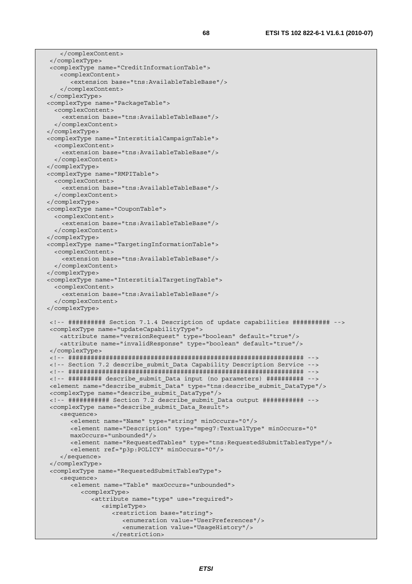</complexContent> </complexType> <complexType name="CreditInformationTable"> <complexContent> <extension base="tns:AvailableTableBase"/> </complexContent> </complexType> <complexType name="PackageTable"> <complexContent> <extension base="tns:AvailableTableBase"/> </complexContent> </complexType> <complexType name="InterstitialCampaignTable"> <complexContent> <extension base="tns:AvailableTableBase"/> </complexContent> </complexType> <complexType name="RMPITable"> <complexContent> <extension base="tns:AvailableTableBase"/> </complexContent> </complexType> <complexType name="CouponTable"> <complexContent> <extension base="tns:AvailableTableBase"/> </complexContent> </complexType> <complexType name="TargetingInformationTable"> <complexContent> <extension base="tns:AvailableTableBase"/> </complexContent> </complexType> <complexType name="InterstitialTargetingTable"> <complexContent> <extension base="tns:AvailableTableBase"/> </complexContent> </complexType> <!-- ########## Section 7.1.4 Description of update capabilities ########## --> <complexType name="updateCapabilityType"> <attribute name="versionRequest" type="boolean" default="true"/> <attribute name="invalidResponse" type="boolean" default="true"/> </complexType> <!-- ############################################################### --> <!-- Section 7.2 describe\_submit\_Data Capability Description Service --> <!-- ############################################################### --> <!-- ######### describe\_submit\_Data input (no parameters) ########## --> <element name="describe\_submit\_Data" type="tns:describe\_submit\_DataType"/> <complexType name="describe\_submit\_DataType"/> <!-- ########### Section 7.2 describe\_submit\_Data output ########### --> <complexType name="describe\_submit\_Data\_Result"> <sequence> <element name="Name" type="string" minOccurs="0"/> <element name="Description" type="mpeg7:TextualType" minOccurs="0" maxOccurs="unbounded"/> <element name="RequestedTables" type="tns:RequestedSubmitTablesType"/> <element ref="p3p:POLICY" minOccurs="0"/> </sequence> </complexType> <complexType name="RequestedSubmitTablesType"> <sequence> <element name="Table" maxOccurs="unbounded"> <complexType> <attribute name="type" use="required"> <simpleType> <restriction base="string"> <enumeration value="UserPreferences"/> <enumeration value="UsageHistory"/> </restriction>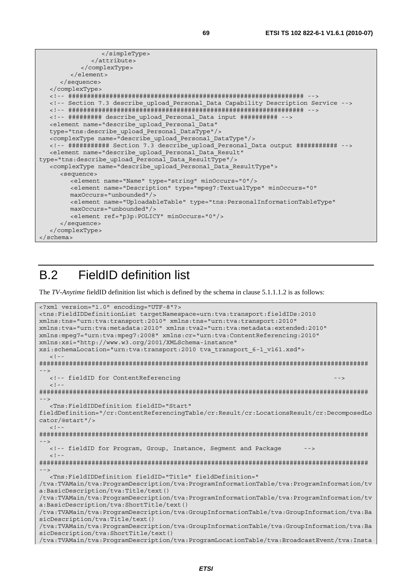```
 </simpleType> 
               </attribute> 
            </complexType> 
        \geq/element>
      </sequence> 
   </complexType> 
   <!-- ############################################################### --> 
   <!-- Section 7.3 describe_upload_Personal_Data Capability Description Service --> 
   <!-- ############################################################### --> 
   <!-- ######### describe_upload_Personal_Data input ########## --> 
   <element name="describe_upload_Personal_Data" 
   type="tns:describe_upload_Personal_DataType"/> 
   <complexType name="describe_upload_Personal_DataType"/> 
   <!-- ########### Section 7.3 describe_upload_Personal_Data output ########### --> 
   <element name="describe_upload_Personal_Data_Result" 
type="tns:describe_upload_Personal_Data_ResultType"/> 
   <complexType name="describe_upload_Personal_Data_ResultType"> 
      <sequence> 
         <element name="Name" type="string" minOccurs="0"/> 
         <element name="Description" type="mpeg7:TextualType" minOccurs="0" 
         maxOccurs="unbounded"/> 
         <element name="UploadableTable" type="tns:PersonalInformationTableType" 
         maxOccurs="unbounded"/> 
         <element ref="p3p:POLICY" minOccurs="0"/> 
      </sequence> 
   </complexType> 
</schema>
```
# B.2 FieldID definition list

The *TV-Anytime* fieldID definition list which is defined by the schema in clause 5.1.1.1.2 is as follows:

```
<?xml version="1.0" encoding="UTF-8"?> 
<tns:FieldIDDefinitionList targetNamespace=urn:tva:transport:fieldIDs:2010 
xmlns:tns="urn:tva:transport:2010" xmlns:tns="urn:tva:transport:2010" 
xmlns:tva="urn:tva:metadata:2010" xmlns:tva2="urn:tva:metadata:extended:2010" 
xmlns:mpeg7="urn:tva:mpeg7:2008" xmlns:cr="urn:tva:ContentReferencing:2010" 
xmlns:xsi="http://www.w3.org/2001/XMLSchema-instance" 
xsi:schemaLocation="urn:tva:transport:2010 tva_transport_6-1_v161.xsd"> 
  \leq ! -######################################################################################## 
 --> 
   <!-- fieldID for ContentReferencing --> 
  <! --
######################################################################################## 
--> 
   <Tns:FieldIDDefinition fieldID="Start" 
fieldDefinition="/cr:ContentReferencingTable/cr:Result/cr:LocationsResult/cr:DecomposedLo
cator/@start"/> 
  \geq 1 -######################################################################################## 
--> 
  <!-- fieldID for Program, Group, Instance, Segment and Package
  \leq ! -######################################################################################## 
--> 
   <Tns:FieldIDDefinition fieldID="Title" fieldDefinition=" 
/tva:TVAMain/tva:ProgramDescription/tva:ProgramInformationTable/tva:ProgramInformation/tv
a:BasicDescription/tva:Title/text() 
/tva:TVAMain/tva:ProgramDescription/tva:ProgramInformationTable/tva:ProgramInformation/tv
a:BasicDescription/tva:ShortTitle/text() 
/tva:TVAMain/tva:ProgramDescription/tva:GroupInformationTable/tva:GroupInformation/tva:Ba
sicDescription/tva:Title/text() 
/tva:TVAMain/tva:ProgramDescription/tva:GroupInformationTable/tva:GroupInformation/tva:Ba
sicDescription/tva:ShortTitle/text() 
/tva:TVAMain/tva:ProgramDescription/tva:ProgramLocationTable/tva:BroadcastEvent/tva:Insta
```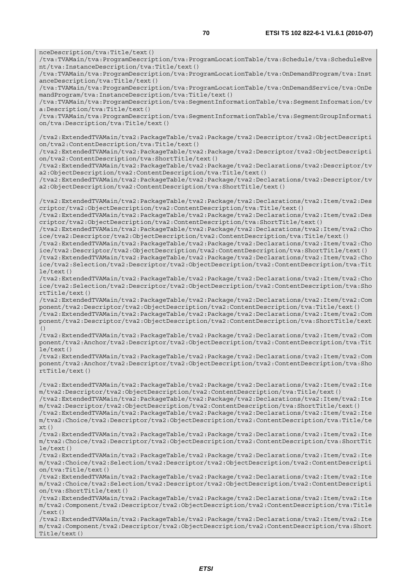nceDescription/tva:Title/text() /tva:TVAMain/tva:ProgramDescription/tva:ProgramLocationTable/tva:Schedule/tva:ScheduleEve nt/tva:InstanceDescription/tva:Title/text() /tva:TVAMain/tva:ProgramDescription/tva:ProgramLocationTable/tva:OnDemandProgram/tva:Inst anceDescription/tva:Title/text() /tva:TVAMain/tva:ProgramDescription/tva:ProgramLocationTable/tva:OnDemandService/tva:OnDe mandProgram/tva:InstanceDescription/tva:Title/text() /tva:TVAMain/tva:ProgramDescription/tva:SegmentInformationTable/tva:SegmentInformation/tv a:Description/tva:Title/text() /tva:TVAMain/tva:ProgramDescription/tva:SegmentInformationTable/tva:SegmentGroupInformati on/tva:Description/tva:Title/text() /tva2:ExtendedTVAMain/tva2:PackageTable/tva2:Package/tva2:Descriptor/tva2:ObjectDescripti on/tva2:ContentDescription/tva:Title/text() /tva2:ExtendedTVAMain/tva2:PackageTable/tva2:Package/tva2:Descriptor/tva2:ObjectDescripti on/tva2:ContentDescription/tva:ShortTitle/text() /tva2:ExtendedTVAMain/tva2:PackageTable/tva2:Package/tva2:Declarations/tva2:Descriptor/tv a2:ObjectDescription/tva2:ContentDescription/tva:Title/text() /tva2:ExtendedTVAMain/tva2:PackageTable/tva2:Package/tva2:Declarations/tva2:Descriptor/tv a2:ObjectDescription/tva2:ContentDescription/tva:ShortTitle/text() /tva2:ExtendedTVAMain/tva2:PackageTable/tva2:Package/tva2:Declarations/tva2:Item/tva2:Des criptor/tva2:ObjectDescription/tva2:ContentDescription/tva:Title/text() /tva2:ExtendedTVAMain/tva2:PackageTable/tva2:Package/tva2:Declarations/tva2:Item/tva2:Des criptor/tva2:ObjectDescription/tva2:ContentDescription/tva:ShortTitle/text() /tva2:ExtendedTVAMain/tva2:PackageTable/tva2:Package/tva2:Declarations/tva2:Item/tva2:Cho ice/tva2:Descriptor/tva2:ObjectDescription/tva2:ContentDescription/tva:Title/text() /tva2:ExtendedTVAMain/tva2:PackageTable/tva2:Package/tva2:Declarations/tva2:Item/tva2:Cho ice/tva2:Descriptor/tva2:ObjectDescription/tva2:ContentDescription/tva:ShortTitle/text() /tva2:ExtendedTVAMain/tva2:PackageTable/tva2:Package/tva2:Declarations/tva2:Item/tva2:Cho ice/tva2:Selection/tva2:Descriptor/tva2:ObjectDescription/tva2:ContentDescription/tva:Tit le/text() /tva2:ExtendedTVAMain/tva2:PackageTable/tva2:Package/tva2:Declarations/tva2:Item/tva2:Cho ice/tva2:Selection/tva2:Descriptor/tva2:ObjectDescription/tva2:ContentDescription/tva:Sho rtTitle/text() /tva2:ExtendedTVAMain/tva2:PackageTable/tva2:Package/tva2:Declarations/tva2:Item/tva2:Com ponent/tva2:Descriptor/tva2:ObjectDescription/tva2:ContentDescription/tva:Title/text() /tva2:ExtendedTVAMain/tva2:PackageTable/tva2:Package/tva2:Declarations/tva2:Item/tva2:Com ponent/tva2:Descriptor/tva2:ObjectDescription/tva2:ContentDescription/tva:ShortTitle/text /tva2:ExtendedTVAMain/tva2:PackageTable/tva2:Package/tva2:Declarations/tva2:Item/tva2:Com ponent/tva2:Anchor/tva2:Descriptor/tva2:ObjectDescription/tva2:ContentDescription/tva:Tit le/text() /tva2:ExtendedTVAMain/tva2:PackageTable/tva2:Package/tva2:Declarations/tva2:Item/tva2:Com ponent/tva2:Anchor/tva2:Descriptor/tva2:ObjectDescription/tva2:ContentDescription/tva:Sho rtTitle/text() /tva2:ExtendedTVAMain/tva2:PackageTable/tva2:Package/tva2:Declarations/tva2:Item/tva2:Ite m/tva2:Descriptor/tva2:ObjectDescription/tva2:ContentDescription/tva:Title/text() /tva2:ExtendedTVAMain/tva2:PackageTable/tva2:Package/tva2:Declarations/tva2:Item/tva2:Ite m/tva2:Descriptor/tva2:ObjectDescription/tva2:ContentDescription/tva:ShortTitle/text() /tva2:ExtendedTVAMain/tva2:PackageTable/tva2:Package/tva2:Declarations/tva2:Item/tva2:Ite m/tva2:Choice/tva2:Descriptor/tva2:ObjectDescription/tva2:ContentDescription/tva:Title/te  $xt()$ /tva2:ExtendedTVAMain/tva2:PackageTable/tva2:Package/tva2:Declarations/tva2:Item/tva2:Ite m/tva2:Choice/tva2:Descriptor/tva2:ObjectDescription/tva2:ContentDescription/tva:ShortTit le/text() /tva2:ExtendedTVAMain/tva2:PackageTable/tva2:Package/tva2:Declarations/tva2:Item/tva2:Ite m/tva2:Choice/tva2:Selection/tva2:Descriptor/tva2:ObjectDescription/tva2:ContentDescripti  $on/tva \cdot Title/text()$ /tva2:ExtendedTVAMain/tva2:PackageTable/tva2:Package/tva2:Declarations/tva2:Item/tva2:Ite m/tva2:Choice/tva2:Selection/tva2:Descriptor/tva2:ObjectDescription/tva2:ContentDescripti on/tva:ShortTitle/text() /tva2:ExtendedTVAMain/tva2:PackageTable/tva2:Package/tva2:Declarations/tva2:Item/tva2:Ite m/tva2:Component/tva2:Descriptor/tva2:ObjectDescription/tva2:ContentDescription/tva:Title /text()

()

/tva2:ExtendedTVAMain/tva2:PackageTable/tva2:Package/tva2:Declarations/tva2:Item/tva2:Ite m/tva2:Component/tva2:Descriptor/tva2:ObjectDescription/tva2:ContentDescription/tva:Short Title/text()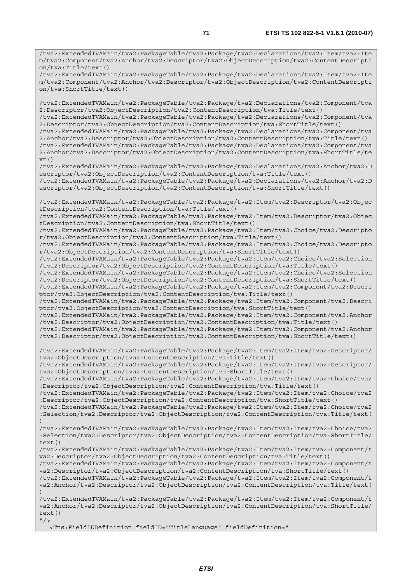/tva2:ExtendedTVAMain/tva2:PackageTable/tva2:Package/tva2:Declarations/tva2:Item/tva2:Ite m/tva2:Component/tva2:Anchor/tva2:Descriptor/tva2:ObjectDescription/tva2:ContentDescripti on/tva:Title/text()

/tva2:ExtendedTVAMain/tva2:PackageTable/tva2:Package/tva2:Declarations/tva2:Item/tva2:Ite m/tva2:Component/tva2:Anchor/tva2:Descriptor/tva2:ObjectDescription/tva2:ContentDescripti on/tva:ShortTitle/text()

/tva2:ExtendedTVAMain/tva2:PackageTable/tva2:Package/tva2:Declarations/tva2:Component/tva 2:Descriptor/tva2:ObjectDescription/tva2:ContentDescription/tva:Title/text() /tva2:ExtendedTVAMain/tva2:PackageTable/tva2:Package/tva2:Declarations/tva2:Component/tva

2:Descriptor/tva2:ObjectDescription/tva2:ContentDescription/tva:ShortTitle/text()

/tva2:ExtendedTVAMain/tva2:PackageTable/tva2:Package/tva2:Declarations/tva2:Component/tva 2:Anchor/tva2:Descriptor/tva2:ObjectDescription/tva2:ContentDescription/tva:Title/text() /tva2:ExtendedTVAMain/tva2:PackageTable/tva2:Package/tva2:Declarations/tva2:Component/tva

2:Anchor/tva2:Descriptor/tva2:ObjectDescription/tva2:ContentDescription/tva:ShortTitle/te xt()

/tva2:ExtendedTVAMain/tva2:PackageTable/tva2:Package/tva2:Declarations/tva2:Anchor/tva2:D escriptor/tva2:ObjectDescription/tva2:ContentDescription/tva:Title/text() /tva2:ExtendedTVAMain/tva2:PackageTable/tva2:Package/tva2:Declarations/tva2:Anchor/tva2:D

escriptor/tva2:ObjectDescription/tva2:ContentDescription/tva:ShortTitle/text()

/tva2:ExtendedTVAMain/tva2:PackageTable/tva2:Package/tva2:Item/tva2:Descriptor/tva2:Objec tDescription/tva2:ContentDescription/tva:Title/text()

/tva2:ExtendedTVAMain/tva2:PackageTable/tva2:Package/tva2:Item/tva2:Descriptor/tva2:Objec tDescription/tva2:ContentDescription/tva:ShortTitle/text()

/tva2:ExtendedTVAMain/tva2:PackageTable/tva2:Package/tva2:Item/tva2:Choice/tva2:Descripto r/tva2:ObjectDescription/tva2:ContentDescription/tva:Title/text()

/tva2:ExtendedTVAMain/tva2:PackageTable/tva2:Package/tva2:Item/tva2:Choice/tva2:Descripto r/tva2:ObjectDescription/tva2:ContentDescription/tva:ShortTitle/text()

/tva2:ExtendedTVAMain/tva2:PackageTable/tva2:Package/tva2:Item/tva2:Choice/tva2:Selection /tva2:Descriptor/tva2:ObjectDescription/tva2:ContentDescription/tva:Title/text()

/tva2:ExtendedTVAMain/tva2:PackageTable/tva2:Package/tva2:Item/tva2:Choice/tva2:Selection /tva2:Descriptor/tva2:ObjectDescription/tva2:ContentDescription/tva:ShortTitle/text() /tva2:ExtendedTVAMain/tva2:PackageTable/tva2:Package/tva2:Item/tva2:Component/tva2:Descri

ptor/tva2:ObjectDescription/tva2:ContentDescription/tva:Title/text() /tva2:ExtendedTVAMain/tva2:PackageTable/tva2:Package/tva2:Item/tva2:Component/tva2:Descri

ptor/tva2:ObjectDescription/tva2:ContentDescription/tva:ShortTitle/text()

/tva2:ExtendedTVAMain/tva2:PackageTable/tva2:Package/tva2:Item/tva2:Component/tva2:Anchor /tva2:Descriptor/tva2:ObjectDescription/tva2:ContentDescription/tva:Title/text()

/tva2:ExtendedTVAMain/tva2:PackageTable/tva2:Package/tva2:Item/tva2:Component/tva2:Anchor /tva2:Descriptor/tva2:ObjectDescription/tva2:ContentDescription/tva:ShortTitle/text()

/tva2:ExtendedTVAMain/tva2:PackageTable/tva2:Package/tva2:Item/tva2:Item/tva2:Descriptor/ tva2:ObjectDescription/tva2:ContentDescription/tva:Title/text()

/tva2:ExtendedTVAMain/tva2:PackageTable/tva2:Package/tva2:Item/tva2:Item/tva2:Descriptor/ tva2:ObjectDescription/tva2:ContentDescription/tva:ShortTitle/text()

/tva2:ExtendedTVAMain/tva2:PackageTable/tva2:Package/tva2:Item/tva2:Item/tva2:Choice/tva2 :Descriptor/tva2:ObjectDescription/tva2:ContentDescription/tva:Title/text()

/tva2:ExtendedTVAMain/tva2:PackageTable/tva2:Package/tva2:Item/tva2:Item/tva2:Choice/tva2 :Descriptor/tva2:ObjectDescription/tva2:ContentDescription/tva:ShortTitle/text()

/tva2:ExtendedTVAMain/tva2:PackageTable/tva2:Package/tva2:Item/tva2:Item/tva2:Choice/tva2 :Selection/tva2:Descriptor/tva2:ObjectDescription/tva2:ContentDescription/tva:Title/text( )

/tva2:ExtendedTVAMain/tva2:PackageTable/tva2:Package/tva2:Item/tva2:Item/tva2:Choice/tva2 :Selection/tva2:Descriptor/tva2:ObjectDescription/tva2:ContentDescription/tva:ShortTitle/ text()

/tva2:ExtendedTVAMain/tva2:PackageTable/tva2:Package/tva2:Item/tva2:Item/tva2:Component/t va2:Descriptor/tva2:ObjectDescription/tva2:ContentDescription/tva:Title/text()

/tva2:ExtendedTVAMain/tva2:PackageTable/tva2:Package/tva2:Item/tva2:Item/tva2:Component/t va2:Descriptor/tva2:ObjectDescription/tva2:ContentDescription/tva:ShortTitle/text()

/tva2:ExtendedTVAMain/tva2:PackageTable/tva2:Package/tva2:Item/tva2:Item/tva2:Component/t va2:Anchor/tva2:Descriptor/tva2:ObjectDescription/tva2:ContentDescription/tva:Title/text( )

/tva2:ExtendedTVAMain/tva2:PackageTable/tva2:Package/tva2:Item/tva2:Item/tva2:Component/t va2:Anchor/tva2:Descriptor/tva2:ObjectDescription/tva2:ContentDescription/tva:ShortTitle/ text()  $''$ />

<Tns:FieldIDDefinition fieldID="TitleLanguage" fieldDefinition="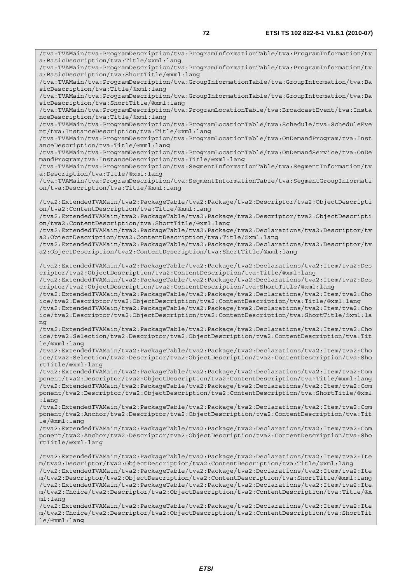/tva:TVAMain/tva:ProgramDescription/tva:ProgramInformationTable/tva:ProgramInformation/tv a:BasicDescription/tva:Title/@xml:lang /tva:TVAMain/tva:ProgramDescription/tva:ProgramInformationTable/tva:ProgramInformation/tv a:BasicDescription/tva:ShortTitle/@xml:lang /tva:TVAMain/tva:ProgramDescription/tva:GroupInformationTable/tva:GroupInformation/tva:Ba sicDescription/tva:Title/@xml:lang /tva:TVAMain/tva:ProgramDescription/tva:GroupInformationTable/tva:GroupInformation/tva:Ba sicDescription/tva:ShortTitle/@xml:lang /tva:TVAMain/tva:ProgramDescription/tva:ProgramLocationTable/tva:BroadcastEvent/tva:Insta nceDescription/tva:Title/@xml:lang /tva:TVAMain/tva:ProgramDescription/tva:ProgramLocationTable/tva:Schedule/tva:ScheduleEve nt/tva:InstanceDescription/tva:Title/@xml:lang /tva:TVAMain/tva:ProgramDescription/tva:ProgramLocationTable/tva:OnDemandProgram/tva:Inst anceDescription/tva:Title/@xml:lang /tva:TVAMain/tva:ProgramDescription/tva:ProgramLocationTable/tva:OnDemandService/tva:OnDe mandProgram/tva:InstanceDescription/tva:Title/@xml:lang /tva:TVAMain/tva:ProgramDescription/tva:SegmentInformationTable/tva:SegmentInformation/tv a:Description/tva:Title/@xml:lang /tva:TVAMain/tva:ProgramDescription/tva:SegmentInformationTable/tva:SegmentGroupInformati on/tva:Description/tva:Title/@xml:lang /tva2:ExtendedTVAMain/tva2:PackageTable/tva2:Package/tva2:Descriptor/tva2:ObjectDescripti on/tva2:ContentDescription/tva:Title/@xml:lang /tva2:ExtendedTVAMain/tva2:PackageTable/tva2:Package/tva2:Descriptor/tva2:ObjectDescripti on/tva2:ContentDescription/tva:ShortTitle/@xml:lang /tva2:ExtendedTVAMain/tva2:PackageTable/tva2:Package/tva2:Declarations/tva2:Descriptor/tv a2:ObjectDescription/tva2:ContentDescription/tva:Title/@xml:lang /tva2:ExtendedTVAMain/tva2:PackageTable/tva2:Package/tva2:Declarations/tva2:Descriptor/tv a2:ObjectDescription/tva2:ContentDescription/tva:ShortTitle/@xml:lang /tva2:ExtendedTVAMain/tva2:PackageTable/tva2:Package/tva2:Declarations/tva2:Item/tva2:Des criptor/tva2:ObjectDescription/tva2:ContentDescription/tva:Title/@xml:lang /tva2:ExtendedTVAMain/tva2:PackageTable/tva2:Package/tva2:Declarations/tva2:Item/tva2:Des criptor/tva2:ObjectDescription/tva2:ContentDescription/tva:ShortTitle/@xml:lang /tva2:ExtendedTVAMain/tva2:PackageTable/tva2:Package/tva2:Declarations/tva2:Item/tva2:Cho ice/tva2:Descriptor/tva2:ObjectDescription/tva2:ContentDescription/tva:Title/@xml:lang /tva2:ExtendedTVAMain/tva2:PackageTable/tva2:Package/tva2:Declarations/tva2:Item/tva2:Cho ice/tva2:Descriptor/tva2:ObjectDescription/tva2:ContentDescription/tva:ShortTitle/@xml:la ng /tva2:ExtendedTVAMain/tva2:PackageTable/tva2:Package/tva2:Declarations/tva2:Item/tva2:Cho ice/tva2:Selection/tva2:Descriptor/tva2:ObjectDescription/tva2:ContentDescription/tva:Tit le/@xml:lang /tva2:ExtendedTVAMain/tva2:PackageTable/tva2:Package/tva2:Declarations/tva2:Item/tva2:Cho ice/tva2:Selection/tva2:Descriptor/tva2:ObjectDescription/tva2:ContentDescription/tva:Sho rtTitle/@xml:lang /tva2:ExtendedTVAMain/tva2:PackageTable/tva2:Package/tva2:Declarations/tva2:Item/tva2:Com ponent/tva2:Descriptor/tva2:ObjectDescription/tva2:ContentDescription/tva:Title/@xml:lang /tva2:ExtendedTVAMain/tva2:PackageTable/tva2:Package/tva2:Declarations/tva2:Item/tva2:Com ponent/tva2:Descriptor/tva2:ObjectDescription/tva2:ContentDescription/tva:ShortTitle/@xml :lang /tva2:ExtendedTVAMain/tva2:PackageTable/tva2:Package/tva2:Declarations/tva2:Item/tva2:Com ponent/tva2:Anchor/tva2:Descriptor/tva2:ObjectDescription/tva2:ContentDescription/tva:Tit le/@xml:lang /tva2:ExtendedTVAMain/tva2:PackageTable/tva2:Package/tva2:Declarations/tva2:Item/tva2:Com ponent/tva2:Anchor/tva2:Descriptor/tva2:ObjectDescription/tva2:ContentDescription/tva:Sho rtTitle/@xml:lang /tva2:ExtendedTVAMain/tva2:PackageTable/tva2:Package/tva2:Declarations/tva2:Item/tva2:Ite m/tva2:Descriptor/tva2:ObjectDescription/tva2:ContentDescription/tva:Title/@xml:lang /tva2:ExtendedTVAMain/tva2:PackageTable/tva2:Package/tva2:Declarations/tva2:Item/tva2:Ite m/tva2:Descriptor/tva2:ObjectDescription/tva2:ContentDescription/tva:ShortTitle/@xml:lang /tva2:ExtendedTVAMain/tva2:PackageTable/tva2:Package/tva2:Declarations/tva2:Item/tva2:Ite m/tva2:Choice/tva2:Descriptor/tva2:ObjectDescription/tva2:ContentDescription/tva:Title/@x ml:lang /tva2:ExtendedTVAMain/tva2:PackageTable/tva2:Package/tva2:Declarations/tva2:Item/tva2:Ite m/tva2:Choice/tva2:Descriptor/tva2:ObjectDescription/tva2:ContentDescription/tva:ShortTit

le/@xml:lang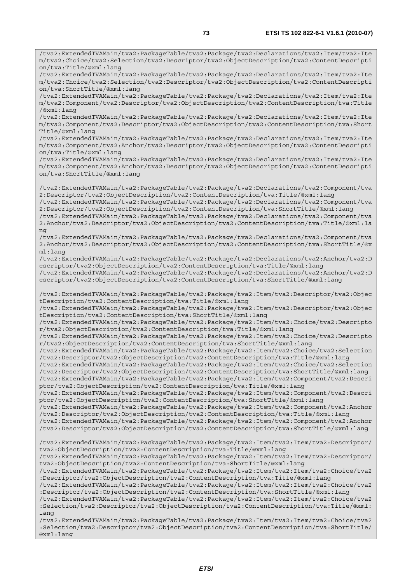/tva2:ExtendedTVAMain/tva2:PackageTable/tva2:Package/tva2:Declarations/tva2:Item/tva2:Ite m/tva2:Choice/tva2:Selection/tva2:Descriptor/tva2:ObjectDescription/tva2:ContentDescripti

on/tva:Title/@xml:lang

/tva2:ExtendedTVAMain/tva2:PackageTable/tva2:Package/tva2:Declarations/tva2:Item/tva2:Ite m/tva2:Choice/tva2:Selection/tva2:Descriptor/tva2:ObjectDescription/tva2:ContentDescripti on/tva:ShortTitle/@xml:lang /tva2:ExtendedTVAMain/tva2:PackageTable/tva2:Package/tva2:Declarations/tva2:Item/tva2:Ite m/tva2:Component/tva2:Descriptor/tva2:ObjectDescription/tva2:ContentDescription/tva:Title /@xml:lang /tva2:ExtendedTVAMain/tva2:PackageTable/tva2:Package/tva2:Declarations/tva2:Item/tva2:Ite m/tva2:Component/tva2:Descriptor/tva2:ObjectDescription/tva2:ContentDescription/tva:Short Title/@xml:lang /tva2:ExtendedTVAMain/tva2:PackageTable/tva2:Package/tva2:Declarations/tva2:Item/tva2:Ite m/tva2:Component/tva2:Anchor/tva2:Descriptor/tva2:ObjectDescription/tva2:ContentDescripti on/tva:Title/@xml:lang /tva2:ExtendedTVAMain/tva2:PackageTable/tva2:Package/tva2:Declarations/tva2:Item/tva2:Ite m/tva2:Component/tva2:Anchor/tva2:Descriptor/tva2:ObjectDescription/tva2:ContentDescripti on/tva:ShortTitle/@xml:lang /tva2:ExtendedTVAMain/tva2:PackageTable/tva2:Package/tva2:Declarations/tva2:Component/tva 2:Descriptor/tva2:ObjectDescription/tva2:ContentDescription/tva:Title/@xml:lang /tva2:ExtendedTVAMain/tva2:PackageTable/tva2:Package/tva2:Declarations/tva2:Component/tva 2:Descriptor/tva2:ObjectDescription/tva2:ContentDescription/tva:ShortTitle/@xml:lang /tva2:ExtendedTVAMain/tva2:PackageTable/tva2:Package/tva2:Declarations/tva2:Component/tva 2:Anchor/tva2:Descriptor/tva2:ObjectDescription/tva2:ContentDescription/tva:Title/@xml:la ng /tva2:ExtendedTVAMain/tva2:PackageTable/tva2:Package/tva2:Declarations/tva2:Component/tva 2:Anchor/tva2:Descriptor/tva2:ObjectDescription/tva2:ContentDescription/tva:ShortTitle/@x ml:lang /tva2:ExtendedTVAMain/tva2:PackageTable/tva2:Package/tva2:Declarations/tva2:Anchor/tva2:D escriptor/tva2:ObjectDescription/tva2:ContentDescription/tva:Title/@xml:lang /tva2:ExtendedTVAMain/tva2:PackageTable/tva2:Package/tva2:Declarations/tva2:Anchor/tva2:D escriptor/tva2:ObjectDescription/tva2:ContentDescription/tva:ShortTitle/@xml:lang /tva2:ExtendedTVAMain/tva2:PackageTable/tva2:Package/tva2:Item/tva2:Descriptor/tva2:Objec tDescription/tva2:ContentDescription/tva:Title/@xml:lang /tva2:ExtendedTVAMain/tva2:PackageTable/tva2:Package/tva2:Item/tva2:Descriptor/tva2:Objec tDescription/tva2:ContentDescription/tva:ShortTitle/@xml:lang /tva2:ExtendedTVAMain/tva2:PackageTable/tva2:Package/tva2:Item/tva2:Choice/tva2:Descripto r/tva2:ObjectDescription/tva2:ContentDescription/tva:Title/@xml:lang /tva2:ExtendedTVAMain/tva2:PackageTable/tva2:Package/tva2:Item/tva2:Choice/tva2:Descripto r/tva2:ObjectDescription/tva2:ContentDescription/tva:ShortTitle/@xml:lang /tva2:ExtendedTVAMain/tva2:PackageTable/tva2:Package/tva2:Item/tva2:Choice/tva2:Selection /tva2:Descriptor/tva2:ObjectDescription/tva2:ContentDescription/tva:Title/@xml:lang /tva2:ExtendedTVAMain/tva2:PackageTable/tva2:Package/tva2:Item/tva2:Choice/tva2:Selection /tva2:Descriptor/tva2:ObjectDescription/tva2:ContentDescription/tva:ShortTitle/@xml:lang /tva2:ExtendedTVAMain/tva2:PackageTable/tva2:Package/tva2:Item/tva2:Component/tva2:Descri ptor/tva2:ObjectDescription/tva2:ContentDescription/tva:Title/@xml:lang /tva2:ExtendedTVAMain/tva2:PackageTable/tva2:Package/tva2:Item/tva2:Component/tva2:Descri ptor/tva2:ObjectDescription/tva2:ContentDescription/tva:ShortTitle/@xml:lang /tva2:ExtendedTVAMain/tva2:PackageTable/tva2:Package/tva2:Item/tva2:Component/tva2:Anchor /tva2:Descriptor/tva2:ObjectDescription/tva2:ContentDescription/tva:Title/@xml:lang /tva2:ExtendedTVAMain/tva2:PackageTable/tva2:Package/tva2:Item/tva2:Component/tva2:Anchor /tva2:Descriptor/tva2:ObjectDescription/tva2:ContentDescription/tva:ShortTitle/@xml:lang /tva2:ExtendedTVAMain/tva2:PackageTable/tva2:Package/tva2:Item/tva2:Item/tva2:Descriptor/ tva2:ObjectDescription/tva2:ContentDescription/tva:Title/@xml:lang /tva2:ExtendedTVAMain/tva2:PackageTable/tva2:Package/tva2:Item/tva2:Item/tva2:Descriptor/ tva2:ObjectDescription/tva2:ContentDescription/tva:ShortTitle/@xml:lang /tva2:ExtendedTVAMain/tva2:PackageTable/tva2:Package/tva2:Item/tva2:Item/tva2:Choice/tva2 :Descriptor/tva2:ObjectDescription/tva2:ContentDescription/tva:Title/@xml:lang /tva2:ExtendedTVAMain/tva2:PackageTable/tva2:Package/tva2:Item/tva2:Item/tva2:Choice/tva2 :Descriptor/tva2:ObjectDescription/tva2:ContentDescription/tva:ShortTitle/@xml:lang /tva2:ExtendedTVAMain/tva2:PackageTable/tva2:Package/tva2:Item/tva2:Item/tva2:Choice/tva2 :Selection/tva2:Descriptor/tva2:ObjectDescription/tva2:ContentDescription/tva:Title/@xml: lang /tva2:ExtendedTVAMain/tva2:PackageTable/tva2:Package/tva2:Item/tva2:Item/tva2:Choice/tva2 :Selection/tva2:Descriptor/tva2:ObjectDescription/tva2:ContentDescription/tva:ShortTitle/ @xml:lang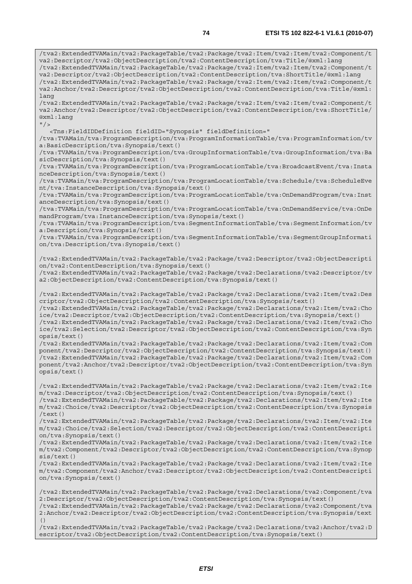/tva2:ExtendedTVAMain/tva2:PackageTable/tva2:Package/tva2:Item/tva2:Item/tva2:Component/t va2:Descriptor/tva2:ObjectDescription/tva2:ContentDescription/tva:Title/@xml:lang /tva2:ExtendedTVAMain/tva2:PackageTable/tva2:Package/tva2:Item/tva2:Item/tva2:Component/t va2:Descriptor/tva2:ObjectDescription/tva2:ContentDescription/tva:ShortTitle/@xml:lang /tva2:ExtendedTVAMain/tva2:PackageTable/tva2:Package/tva2:Item/tva2:Item/tva2:Component/t va2:Anchor/tva2:Descriptor/tva2:ObjectDescription/tva2:ContentDescription/tva:Title/@xml: lang /tva2:ExtendedTVAMain/tva2:PackageTable/tva2:Package/tva2:Item/tva2:Item/tva2:Component/t va2:Anchor/tva2:Descriptor/tva2:ObjectDescription/tva2:ContentDescription/tva:ShortTitle/ @xml:lang  $"$ /> <Tns:FieldIDDefinition fieldID="Synopsis" fieldDefinition=" /tva:TVAMain/tva:ProgramDescription/tva:ProgramInformationTable/tva:ProgramInformation/tv a:BasicDescription/tva:Synopsis/text() /tva:TVAMain/tva:ProgramDescription/tva:GroupInformationTable/tva:GroupInformation/tva:Ba sicDescription/tva:Synopsis/text() /tva:TVAMain/tva:ProgramDescription/tva:ProgramLocationTable/tva:BroadcastEvent/tva:Insta nceDescription/tva:Synopsis/text() /tva:TVAMain/tva:ProgramDescription/tva:ProgramLocationTable/tva:Schedule/tva:ScheduleEve nt/tva:InstanceDescription/tva:Synopsis/text() /tva:TVAMain/tva:ProgramDescription/tva:ProgramLocationTable/tva:OnDemandProgram/tva:Inst anceDescription/tva:Synopsis/text() /tva:TVAMain/tva:ProgramDescription/tva:ProgramLocationTable/tva:OnDemandService/tva:OnDe mandProgram/tva:InstanceDescription/tva:Synopsis/text() /tva:TVAMain/tva:ProgramDescription/tva:SegmentInformationTable/tva:SegmentInformation/tv a:Description/tva:Synopsis/text() /tva:TVAMain/tva:ProgramDescription/tva:SegmentInformationTable/tva:SegmentGroupInformati on/tva:Description/tva:Synopsis/text() /tva2:ExtendedTVAMain/tva2:PackageTable/tva2:Package/tva2:Descriptor/tva2:ObjectDescripti on/tva2:ContentDescription/tva:Synopsis/text() /tva2:ExtendedTVAMain/tva2:PackageTable/tva2:Package/tva2:Declarations/tva2:Descriptor/tv a2:ObjectDescription/tva2:ContentDescription/tva:Synopsis/text() /tva2:ExtendedTVAMain/tva2:PackageTable/tva2:Package/tva2:Declarations/tva2:Item/tva2:Des criptor/tva2:ObjectDescription/tva2:ContentDescription/tva:Synopsis/text() /tva2:ExtendedTVAMain/tva2:PackageTable/tva2:Package/tva2:Declarations/tva2:Item/tva2:Cho ice/tva2:Descriptor/tva2:ObjectDescription/tva2:ContentDescription/tva:Synopsis/text() /tva2:ExtendedTVAMain/tva2:PackageTable/tva2:Package/tva2:Declarations/tva2:Item/tva2:Cho ice/tva2:Selection/tva2:Descriptor/tva2:ObjectDescription/tva2:ContentDescription/tva:Syn opsis/text() /tva2:ExtendedTVAMain/tva2:PackageTable/tva2:Package/tva2:Declarations/tva2:Item/tva2:Com ponent/tva2:Descriptor/tva2:ObjectDescription/tva2:ContentDescription/tva:Synopsis/text() /tva2:ExtendedTVAMain/tva2:PackageTable/tva2:Package/tva2:Declarations/tva2:Item/tva2:Com ponent/tva2:Anchor/tva2:Descriptor/tva2:ObjectDescription/tva2:ContentDescription/tva:Syn opsis/text() /tva2:ExtendedTVAMain/tva2:PackageTable/tva2:Package/tva2:Declarations/tva2:Item/tva2:Ite m/tva2:Descriptor/tva2:ObjectDescription/tva2:ContentDescription/tva:Synopsis/text() /tva2:ExtendedTVAMain/tva2:PackageTable/tva2:Package/tva2:Declarations/tva2:Item/tva2:Ite m/tva2:Choice/tva2:Descriptor/tva2:ObjectDescription/tva2:ContentDescription/tva:Synopsis /text() /tva2:ExtendedTVAMain/tva2:PackageTable/tva2:Package/tva2:Declarations/tva2:Item/tva2:Ite m/tva2:Choice/tva2:Selection/tva2:Descriptor/tva2:ObjectDescription/tva2:ContentDescripti on/tva:Synopsis/text() /tva2:ExtendedTVAMain/tva2:PackageTable/tva2:Package/tva2:Declarations/tva2:Item/tva2:Ite m/tva2:Component/tva2:Descriptor/tva2:ObjectDescription/tva2:ContentDescription/tva:Synop sis/text() /tva2:ExtendedTVAMain/tva2:PackageTable/tva2:Package/tva2:Declarations/tva2:Item/tva2:Ite m/tva2:Component/tva2:Anchor/tva2:Descriptor/tva2:ObjectDescription/tva2:ContentDescripti on/tva:Synopsis/text() /tva2:ExtendedTVAMain/tva2:PackageTable/tva2:Package/tva2:Declarations/tva2:Component/tva 2:Descriptor/tva2:ObjectDescription/tva2:ContentDescription/tva:Synopsis/text() /tva2:ExtendedTVAMain/tva2:PackageTable/tva2:Package/tva2:Declarations/tva2:Component/tva 2:Anchor/tva2:Descriptor/tva2:ObjectDescription/tva2:ContentDescription/tva:Synopsis/text

 $($ )

/tva2:ExtendedTVAMain/tva2:PackageTable/tva2:Package/tva2:Declarations/tva2:Anchor/tva2:D escriptor/tva2:ObjectDescription/tva2:ContentDescription/tva:Synopsis/text()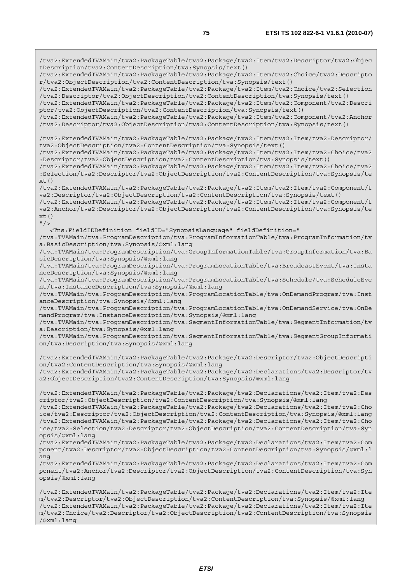/tva2:ExtendedTVAMain/tva2:PackageTable/tva2:Package/tva2:Item/tva2:Descriptor/tva2:Objec tDescription/tva2:ContentDescription/tva:Synopsis/text() /tva2:ExtendedTVAMain/tva2:PackageTable/tva2:Package/tva2:Item/tva2:Choice/tva2:Descripto r/tva2:ObjectDescription/tva2:ContentDescription/tva:Synopsis/text() /tva2:ExtendedTVAMain/tva2:PackageTable/tva2:Package/tva2:Item/tva2:Choice/tva2:Selection /tva2:Descriptor/tva2:ObjectDescription/tva2:ContentDescription/tva:Synopsis/text() /tva2:ExtendedTVAMain/tva2:PackageTable/tva2:Package/tva2:Item/tva2:Component/tva2:Descri ptor/tva2:ObjectDescription/tva2:ContentDescription/tva:Synopsis/text() /tva2:ExtendedTVAMain/tva2:PackageTable/tva2:Package/tva2:Item/tva2:Component/tva2:Anchor /tva2:Descriptor/tva2:ObjectDescription/tva2:ContentDescription/tva:Synopsis/text() /tva2:ExtendedTVAMain/tva2:PackageTable/tva2:Package/tva2:Item/tva2:Item/tva2:Descriptor/ tva2:ObjectDescription/tva2:ContentDescription/tva:Synopsis/text() /tva2:ExtendedTVAMain/tva2:PackageTable/tva2:Package/tva2:Item/tva2:Item/tva2:Choice/tva2 :Descriptor/tva2:ObjectDescription/tva2:ContentDescription/tva:Synopsis/text() /tva2:ExtendedTVAMain/tva2:PackageTable/tva2:Package/tva2:Item/tva2:Item/tva2:Choice/tva2 :Selection/tva2:Descriptor/tva2:ObjectDescription/tva2:ContentDescription/tva:Synopsis/te  $xt()$ /tva2:ExtendedTVAMain/tva2:PackageTable/tva2:Package/tva2:Item/tva2:Item/tva2:Component/t va2:Descriptor/tva2:ObjectDescription/tva2:ContentDescription/tva:Synopsis/text() /tva2:ExtendedTVAMain/tva2:PackageTable/tva2:Package/tva2:Item/tva2:Item/tva2:Component/t va2:Anchor/tva2:Descriptor/tva2:ObjectDescription/tva2:ContentDescription/tva:Synopsis/te  $xt()$  $"$  /> <Tns:FieldIDDefinition fieldID="SynopsisLanguage" fieldDefinition=" /tva:TVAMain/tva:ProgramDescription/tva:ProgramInformationTable/tva:ProgramInformation/tv a:BasicDescription/tva:Synopsis/@xml:lang /tva:TVAMain/tva:ProgramDescription/tva:GroupInformationTable/tva:GroupInformation/tva:Ba sicDescription/tva:Synopsis/@xml:lang /tva:TVAMain/tva:ProgramDescription/tva:ProgramLocationTable/tva:BroadcastEvent/tva:Insta nceDescription/tva:Synopsis/@xml:lang /tva:TVAMain/tva:ProgramDescription/tva:ProgramLocationTable/tva:Schedule/tva:ScheduleEve nt/tva:InstanceDescription/tva:Synopsis/@xml:lang /tva:TVAMain/tva:ProgramDescription/tva:ProgramLocationTable/tva:OnDemandProgram/tva:Inst anceDescription/tva:Synopsis/@xml:lang /tva:TVAMain/tva:ProgramDescription/tva:ProgramLocationTable/tva:OnDemandService/tva:OnDe mandProgram/tva:InstanceDescription/tva:Synopsis/@xml:lang /tva:TVAMain/tva:ProgramDescription/tva:SegmentInformationTable/tva:SegmentInformation/tv a:Description/tva:Synopsis/@xml:lang /tva:TVAMain/tva:ProgramDescription/tva:SegmentInformationTable/tva:SegmentGroupInformati on/tva:Description/tva:Synopsis/@xml:lang /tva2:ExtendedTVAMain/tva2:PackageTable/tva2:Package/tva2:Descriptor/tva2:ObjectDescripti on/tva2:ContentDescription/tva:Synopsis/@xml:lang /tva2:ExtendedTVAMain/tva2:PackageTable/tva2:Package/tva2:Declarations/tva2:Descriptor/tv a2:ObjectDescription/tva2:ContentDescription/tva:Synopsis/@xml:lang /tva2:ExtendedTVAMain/tva2:PackageTable/tva2:Package/tva2:Declarations/tva2:Item/tva2:Des criptor/tva2:ObjectDescription/tva2:ContentDescription/tva:Synopsis/@xml:lang /tva2:ExtendedTVAMain/tva2:PackageTable/tva2:Package/tva2:Declarations/tva2:Item/tva2:Cho ice/tva2:Descriptor/tva2:ObjectDescription/tva2:ContentDescription/tva:Synopsis/@xml:lang /tva2:ExtendedTVAMain/tva2:PackageTable/tva2:Package/tva2:Declarations/tva2:Item/tva2:Cho ice/tva2:Selection/tva2:Descriptor/tva2:ObjectDescription/tva2:ContentDescription/tva:Syn opsis/@xml:lang /tva2:ExtendedTVAMain/tva2:PackageTable/tva2:Package/tva2:Declarations/tva2:Item/tva2:Com ponent/tva2:Descriptor/tva2:ObjectDescription/tva2:ContentDescription/tva:Synopsis/@xml:l ang /tva2:ExtendedTVAMain/tva2:PackageTable/tva2:Package/tva2:Declarations/tva2:Item/tva2:Com ponent/tva2:Anchor/tva2:Descriptor/tva2:ObjectDescription/tva2:ContentDescription/tva:Syn opsis/@xml:lang /tva2:ExtendedTVAMain/tva2:PackageTable/tva2:Package/tva2:Declarations/tva2:Item/tva2:Ite m/tva2:Descriptor/tva2:ObjectDescription/tva2:ContentDescription/tva:Synopsis/@xml:lang /tva2:ExtendedTVAMain/tva2:PackageTable/tva2:Package/tva2:Declarations/tva2:Item/tva2:Ite m/tva2:Choice/tva2:Descriptor/tva2:ObjectDescription/tva2:ContentDescription/tva:Synopsis /@xml:lang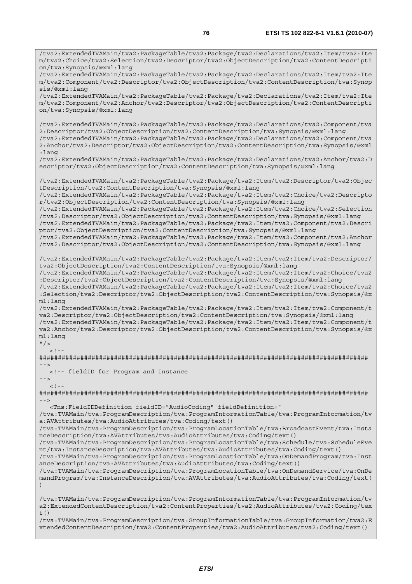/tva2:ExtendedTVAMain/tva2:PackageTable/tva2:Package/tva2:Declarations/tva2:Item/tva2:Ite m/tva2:Choice/tva2:Selection/tva2:Descriptor/tva2:ObjectDescription/tva2:ContentDescripti on/tva:Synopsis/@xml:lang /tva2:ExtendedTVAMain/tva2:PackageTable/tva2:Package/tva2:Declarations/tva2:Item/tva2:Ite m/tva2:Component/tva2:Descriptor/tva2:ObjectDescription/tva2:ContentDescription/tva:Synop sis/@xml:lang /tva2:ExtendedTVAMain/tva2:PackageTable/tva2:Package/tva2:Declarations/tva2:Item/tva2:Ite m/tva2:Component/tva2:Anchor/tva2:Descriptor/tva2:ObjectDescription/tva2:ContentDescripti on/tva:Synopsis/@xml:lang /tva2:ExtendedTVAMain/tva2:PackageTable/tva2:Package/tva2:Declarations/tva2:Component/tva 2:Descriptor/tva2:ObjectDescription/tva2:ContentDescription/tva:Synopsis/@xml:lang /tva2:ExtendedTVAMain/tva2:PackageTable/tva2:Package/tva2:Declarations/tva2:Component/tva 2:Anchor/tva2:Descriptor/tva2:ObjectDescription/tva2:ContentDescription/tva:Synopsis/@xml :lang /tva2:ExtendedTVAMain/tva2:PackageTable/tva2:Package/tva2:Declarations/tva2:Anchor/tva2:D escriptor/tva2:ObjectDescription/tva2:ContentDescription/tva:Synopsis/@xml:lang /tva2:ExtendedTVAMain/tva2:PackageTable/tva2:Package/tva2:Item/tva2:Descriptor/tva2:Objec tDescription/tva2:ContentDescription/tva:Synopsis/@xml:lang /tva2:ExtendedTVAMain/tva2:PackageTable/tva2:Package/tva2:Item/tva2:Choice/tva2:Descripto r/tva2:ObjectDescription/tva2:ContentDescription/tva:Synopsis/@xml:lang /tva2:ExtendedTVAMain/tva2:PackageTable/tva2:Package/tva2:Item/tva2:Choice/tva2:Selection /tva2:Descriptor/tva2:ObjectDescription/tva2:ContentDescription/tva:Synopsis/@xml:lang /tva2:ExtendedTVAMain/tva2:PackageTable/tva2:Package/tva2:Item/tva2:Component/tva2:Descri ptor/tva2:ObjectDescription/tva2:ContentDescription/tva:Synopsis/@xml:lang /tva2:ExtendedTVAMain/tva2:PackageTable/tva2:Package/tva2:Item/tva2:Component/tva2:Anchor /tva2:Descriptor/tva2:ObjectDescription/tva2:ContentDescription/tva:Synopsis/@xml:lang /tva2:ExtendedTVAMain/tva2:PackageTable/tva2:Package/tva2:Item/tva2:Item/tva2:Descriptor/ tva2:ObjectDescription/tva2:ContentDescription/tva:Synopsis/@xml:lang /tva2:ExtendedTVAMain/tva2:PackageTable/tva2:Package/tva2:Item/tva2:Item/tva2:Choice/tva2 :Descriptor/tva2:ObjectDescription/tva2:ContentDescription/tva:Synopsis/@xml:lang /tva2:ExtendedTVAMain/tva2:PackageTable/tva2:Package/tva2:Item/tva2:Item/tva2:Choice/tva2 :Selection/tva2:Descriptor/tva2:ObjectDescription/tva2:ContentDescription/tva:Synopsis/@x ml:lang /tva2:ExtendedTVAMain/tva2:PackageTable/tva2:Package/tva2:Item/tva2:Item/tva2:Component/t va2:Descriptor/tva2:ObjectDescription/tva2:ContentDescription/tva:Synopsis/@xml:lang /tva2:ExtendedTVAMain/tva2:PackageTable/tva2:Package/tva2:Item/tva2:Item/tva2:Component/t va2:Anchor/tva2:Descriptor/tva2:ObjectDescription/tva2:ContentDescription/tva:Synopsis/@x ml:lang  $"$  />  $\lt$  ! ######################################################################################## --> <!-- fieldID for Program and Instance -->  $\lt$  !  $-$ ######################################################################################## --> <Tns:FieldIDDefinition fieldID="AudioCoding" fieldDefinition=" /tva:TVAMain/tva:ProgramDescription/tva:ProgramInformationTable/tva:ProgramInformation/tv a:AVAttributes/tva:AudioAttributes/tva:Coding/text() /tva:TVAMain/tva:ProgramDescription/tva:ProgramLocationTable/tva:BroadcastEvent/tva:Insta nceDescription/tva:AVAttributes/tva:AudioAttributes/tva:Coding/text() /tva:TVAMain/tva:ProgramDescription/tva:ProgramLocationTable/tva:Schedule/tva:ScheduleEve nt/tva:InstanceDescription/tva:AVAttributes/tva:AudioAttributes/tva:Coding/text() /tva:TVAMain/tva:ProgramDescription/tva:ProgramLocationTable/tva:OnDemandProgram/tva:Inst anceDescription/tva:AVAttributes/tva:AudioAttributes/tva:Coding/text() /tva:TVAMain/tva:ProgramDescription/tva:ProgramLocationTable/tva:OnDemandService/tva:OnDe mandProgram/tva:InstanceDescription/tva:AVAttributes/tva:AudioAttributes/tva:Coding/text( ) /tva:TVAMain/tva:ProgramDescription/tva:ProgramInformationTable/tva:ProgramInformation/tv a2:ExtendedContentDescription/tva2:ContentProperties/tva2:AudioAttributes/tva2:Coding/tex t $($ ) /tva:TVAMain/tva:ProgramDescription/tva:GroupInformationTable/tva:GroupInformation/tva2:E

xtendedContentDescription/tva2:ContentProperties/tva2:AudioAttributes/tva2:Coding/text()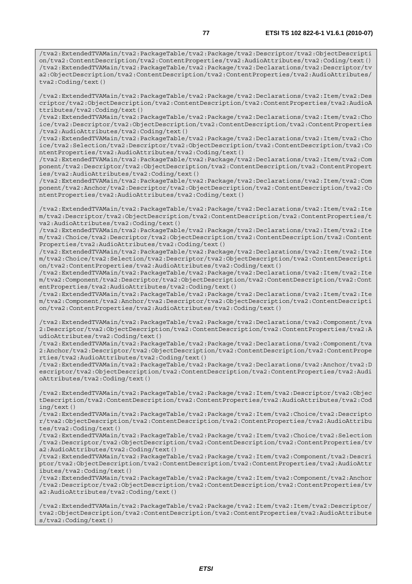/tva2:ExtendedTVAMain/tva2:PackageTable/tva2:Package/tva2:Descriptor/tva2:ObjectDescripti on/tva2:ContentDescription/tva2:ContentProperties/tva2:AudioAttributes/tva2:Coding/text() /tva2:ExtendedTVAMain/tva2:PackageTable/tva2:Package/tva2:Declarations/tva2:Descriptor/tv a2:ObjectDescription/tva2:ContentDescription/tva2:ContentProperties/tva2:AudioAttributes/ tva2:Coding/text()

/tva2:ExtendedTVAMain/tva2:PackageTable/tva2:Package/tva2:Declarations/tva2:Item/tva2:Des criptor/tva2:ObjectDescription/tva2:ContentDescription/tva2:ContentProperties/tva2:AudioA ttributes/tva2:Coding/text()

/tva2:ExtendedTVAMain/tva2:PackageTable/tva2:Package/tva2:Declarations/tva2:Item/tva2:Cho ice/tva2:Descriptor/tva2:ObjectDescription/tva2:ContentDescription/tva2:ContentProperties /tva2:AudioAttributes/tva2:Coding/text()

/tva2:ExtendedTVAMain/tva2:PackageTable/tva2:Package/tva2:Declarations/tva2:Item/tva2:Cho ice/tva2:Selection/tva2:Descriptor/tva2:ObjectDescription/tva2:ContentDescription/tva2:Co ntentProperties/tva2:AudioAttributes/tva2:Coding/text()

/tva2:ExtendedTVAMain/tva2:PackageTable/tva2:Package/tva2:Declarations/tva2:Item/tva2:Com ponent/tva2:Descriptor/tva2:ObjectDescription/tva2:ContentDescription/tva2:ContentPropert ies/tva2:AudioAttributes/tva2:Coding/text()

/tva2:ExtendedTVAMain/tva2:PackageTable/tva2:Package/tva2:Declarations/tva2:Item/tva2:Com ponent/tva2:Anchor/tva2:Descriptor/tva2:ObjectDescription/tva2:ContentDescription/tva2:Co ntentProperties/tva2:AudioAttributes/tva2:Coding/text()

/tva2:ExtendedTVAMain/tva2:PackageTable/tva2:Package/tva2:Declarations/tva2:Item/tva2:Ite m/tva2:Descriptor/tva2:ObjectDescription/tva2:ContentDescription/tva2:ContentProperties/t va2:AudioAttributes/tva2:Coding/text()

/tva2:ExtendedTVAMain/tva2:PackageTable/tva2:Package/tva2:Declarations/tva2:Item/tva2:Ite m/tva2:Choice/tva2:Descriptor/tva2:ObjectDescription/tva2:ContentDescription/tva2:Content Properties/tva2:AudioAttributes/tva2:Coding/text()

/tva2:ExtendedTVAMain/tva2:PackageTable/tva2:Package/tva2:Declarations/tva2:Item/tva2:Ite m/tva2:Choice/tva2:Selection/tva2:Descriptor/tva2:ObjectDescription/tva2:ContentDescripti on/tva2:ContentProperties/tva2:AudioAttributes/tva2:Coding/text()

/tva2:ExtendedTVAMain/tva2:PackageTable/tva2:Package/tva2:Declarations/tva2:Item/tva2:Ite m/tva2:Component/tva2:Descriptor/tva2:ObjectDescription/tva2:ContentDescription/tva2:Cont entProperties/tva2:AudioAttributes/tva2:Coding/text()

/tva2:ExtendedTVAMain/tva2:PackageTable/tva2:Package/tva2:Declarations/tva2:Item/tva2:Ite m/tva2:Component/tva2:Anchor/tva2:Descriptor/tva2:ObjectDescription/tva2:ContentDescripti on/tva2:ContentProperties/tva2:AudioAttributes/tva2:Coding/text()

/tva2:ExtendedTVAMain/tva2:PackageTable/tva2:Package/tva2:Declarations/tva2:Component/tva 2:Descriptor/tva2:ObjectDescription/tva2:ContentDescription/tva2:ContentProperties/tva2:A udioAttributes/tva2:Coding/text()

/tva2:ExtendedTVAMain/tva2:PackageTable/tva2:Package/tva2:Declarations/tva2:Component/tva 2:Anchor/tva2:Descriptor/tva2:ObjectDescription/tva2:ContentDescription/tva2:ContentPrope rties/tva2:AudioAttributes/tva2:Coding/text()

/tva2:ExtendedTVAMain/tva2:PackageTable/tva2:Package/tva2:Declarations/tva2:Anchor/tva2:D escriptor/tva2:ObjectDescription/tva2:ContentDescription/tva2:ContentProperties/tva2:Audi oAttributes/tva2:Coding/text()

/tva2:ExtendedTVAMain/tva2:PackageTable/tva2:Package/tva2:Item/tva2:Descriptor/tva2:Objec tDescription/tva2:ContentDescription/tva2:ContentProperties/tva2:AudioAttributes/tva2:Cod ing/text()

/tva2:ExtendedTVAMain/tva2:PackageTable/tva2:Package/tva2:Item/tva2:Choice/tva2:Descripto r/tva2:ObjectDescription/tva2:ContentDescription/tva2:ContentProperties/tva2:AudioAttribu tes/tva2:Coding/text()

/tva2:ExtendedTVAMain/tva2:PackageTable/tva2:Package/tva2:Item/tva2:Choice/tva2:Selection /tva2:Descriptor/tva2:ObjectDescription/tva2:ContentDescription/tva2:ContentProperties/tv a2:AudioAttributes/tva2:Coding/text()

/tva2:ExtendedTVAMain/tva2:PackageTable/tva2:Package/tva2:Item/tva2:Component/tva2:Descri ptor/tva2:ObjectDescription/tva2:ContentDescription/tva2:ContentProperties/tva2:AudioAttr ibutes/tva2:Coding/text()

/tva2:ExtendedTVAMain/tva2:PackageTable/tva2:Package/tva2:Item/tva2:Component/tva2:Anchor /tva2:Descriptor/tva2:ObjectDescription/tva2:ContentDescription/tva2:ContentProperties/tv a2:AudioAttributes/tva2:Coding/text()

/tva2:ExtendedTVAMain/tva2:PackageTable/tva2:Package/tva2:Item/tva2:Item/tva2:Descriptor/ tva2:ObjectDescription/tva2:ContentDescription/tva2:ContentProperties/tva2:AudioAttribute s/tva2:Coding/text()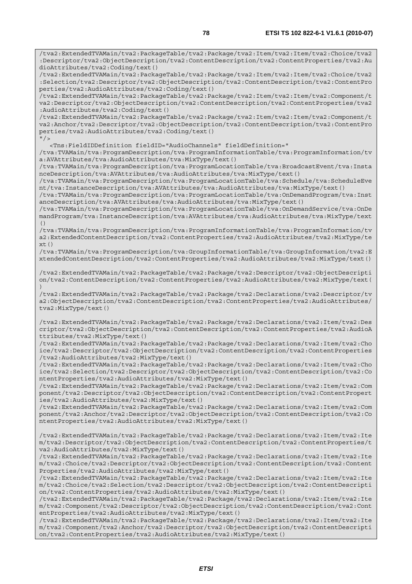/tva2:ExtendedTVAMain/tva2:PackageTable/tva2:Package/tva2:Item/tva2:Item/tva2:Choice/tva2 :Descriptor/tva2:ObjectDescription/tva2:ContentDescription/tva2:ContentProperties/tva2:Au dioAttributes/tva2:Coding/text() /tva2:ExtendedTVAMain/tva2:PackageTable/tva2:Package/tva2:Item/tva2:Item/tva2:Choice/tva2 :Selection/tva2:Descriptor/tva2:ObjectDescription/tva2:ContentDescription/tva2:ContentPro perties/tva2:AudioAttributes/tva2:Coding/text()

/tva2:ExtendedTVAMain/tva2:PackageTable/tva2:Package/tva2:Item/tva2:Item/tva2:Component/t va2:Descriptor/tva2:ObjectDescription/tva2:ContentDescription/tva2:ContentProperties/tva2 :AudioAttributes/tva2:Coding/text()

/tva2:ExtendedTVAMain/tva2:PackageTable/tva2:Package/tva2:Item/tva2:Item/tva2:Component/t va2:Anchor/tva2:Descriptor/tva2:ObjectDescription/tva2:ContentDescription/tva2:ContentPro perties/tva2:AudioAttributes/tva2:Coding/text()  $"$  / >

<Tns:FieldIDDefinition fieldID="AudioChannels" fieldDefinition="

/tva:TVAMain/tva:ProgramDescription/tva:ProgramInformationTable/tva:ProgramInformation/tv a:AVAttributes/tva:AudioAttributes/tva:MixType/text()

/tva:TVAMain/tva:ProgramDescription/tva:ProgramLocationTable/tva:BroadcastEvent/tva:Insta nceDescription/tva:AVAttributes/tva:AudioAttributes/tva:MixType/text()

/tva:TVAMain/tva:ProgramDescription/tva:ProgramLocationTable/tva:Schedule/tva:ScheduleEve nt/tva:InstanceDescription/tva:AVAttributes/tva:AudioAttributes/tva:MixType/text()

/tva:TVAMain/tva:ProgramDescription/tva:ProgramLocationTable/tva:OnDemandProgram/tva:Inst anceDescription/tva:AVAttributes/tva:AudioAttributes/tva:MixType/text()

/tva:TVAMain/tva:ProgramDescription/tva:ProgramLocationTable/tva:OnDemandService/tva:OnDe mandProgram/tva:InstanceDescription/tva:AVAttributes/tva:AudioAttributes/tva:MixType/text ()

/tva:TVAMain/tva:ProgramDescription/tva:ProgramInformationTable/tva:ProgramInformation/tv a2:ExtendedContentDescription/tva2:ContentProperties/tva2:AudioAttributes/tva2:MixType/te  $xt()$ 

/tva:TVAMain/tva:ProgramDescription/tva:GroupInformationTable/tva:GroupInformation/tva2:E xtendedContentDescription/tva2:ContentProperties/tva2:AudioAttributes/tva2:MixType/text()

/tva2:ExtendedTVAMain/tva2:PackageTable/tva2:Package/tva2:Descriptor/tva2:ObjectDescripti on/tva2:ContentDescription/tva2:ContentProperties/tva2:AudioAttributes/tva2:MixType/text( )

/tva2:ExtendedTVAMain/tva2:PackageTable/tva2:Package/tva2:Declarations/tva2:Descriptor/tv a2:ObjectDescription/tva2:ContentDescription/tva2:ContentProperties/tva2:AudioAttributes/ tva2:MixType/text()

/tva2:ExtendedTVAMain/tva2:PackageTable/tva2:Package/tva2:Declarations/tva2:Item/tva2:Des criptor/tva2:ObjectDescription/tva2:ContentDescription/tva2:ContentProperties/tva2:AudioA ttributes/tva2:MixType/text()

/tva2:ExtendedTVAMain/tva2:PackageTable/tva2:Package/tva2:Declarations/tva2:Item/tva2:Cho ice/tva2:Descriptor/tva2:ObjectDescription/tva2:ContentDescription/tva2:ContentProperties /tva2:AudioAttributes/tva2:MixType/text()

/tva2:ExtendedTVAMain/tva2:PackageTable/tva2:Package/tva2:Declarations/tva2:Item/tva2:Cho ice/tva2:Selection/tva2:Descriptor/tva2:ObjectDescription/tva2:ContentDescription/tva2:Co ntentProperties/tva2:AudioAttributes/tva2:MixType/text()

/tva2:ExtendedTVAMain/tva2:PackageTable/tva2:Package/tva2:Declarations/tva2:Item/tva2:Com ponent/tva2:Descriptor/tva2:ObjectDescription/tva2:ContentDescription/tva2:ContentPropert ies/tva2:AudioAttributes/tva2:MixType/text()

/tva2:ExtendedTVAMain/tva2:PackageTable/tva2:Package/tva2:Declarations/tva2:Item/tva2:Com ponent/tva2:Anchor/tva2:Descriptor/tva2:ObjectDescription/tva2:ContentDescription/tva2:Co ntentProperties/tva2:AudioAttributes/tva2:MixType/text()

/tva2:ExtendedTVAMain/tva2:PackageTable/tva2:Package/tva2:Declarations/tva2:Item/tva2:Ite m/tva2:Descriptor/tva2:ObjectDescription/tva2:ContentDescription/tva2:ContentProperties/t va2:AudioAttributes/tva2:MixType/text()

/tva2:ExtendedTVAMain/tva2:PackageTable/tva2:Package/tva2:Declarations/tva2:Item/tva2:Ite m/tva2:Choice/tva2:Descriptor/tva2:ObjectDescription/tva2:ContentDescription/tva2:Content Properties/tva2:AudioAttributes/tva2:MixType/text()

/tva2:ExtendedTVAMain/tva2:PackageTable/tva2:Package/tva2:Declarations/tva2:Item/tva2:Ite m/tva2:Choice/tva2:Selection/tva2:Descriptor/tva2:ObjectDescription/tva2:ContentDescripti on/tva2:ContentProperties/tva2:AudioAttributes/tva2:MixType/text()

/tva2:ExtendedTVAMain/tva2:PackageTable/tva2:Package/tva2:Declarations/tva2:Item/tva2:Ite m/tva2:Component/tva2:Descriptor/tva2:ObjectDescription/tva2:ContentDescription/tva2:Cont entProperties/tva2:AudioAttributes/tva2:MixType/text()

/tva2:ExtendedTVAMain/tva2:PackageTable/tva2:Package/tva2:Declarations/tva2:Item/tva2:Ite m/tva2:Component/tva2:Anchor/tva2:Descriptor/tva2:ObjectDescription/tva2:ContentDescripti on/tva2:ContentProperties/tva2:AudioAttributes/tva2:MixType/text()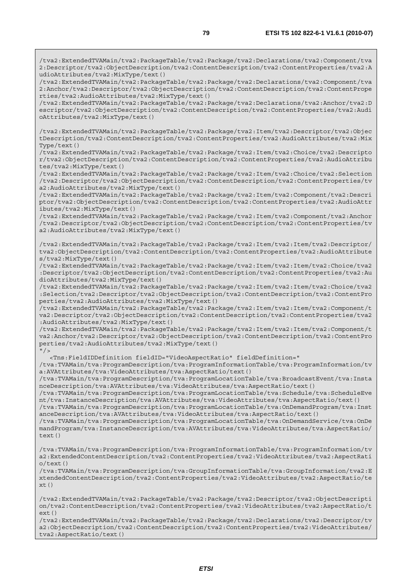/tva2:ExtendedTVAMain/tva2:PackageTable/tva2:Package/tva2:Declarations/tva2:Component/tva 2:Descriptor/tva2:ObjectDescription/tva2:ContentDescription/tva2:ContentProperties/tva2:A udioAttributes/tva2:MixType/text()

/tva2:ExtendedTVAMain/tva2:PackageTable/tva2:Package/tva2:Declarations/tva2:Component/tva 2:Anchor/tva2:Descriptor/tva2:ObjectDescription/tva2:ContentDescription/tva2:ContentPrope rties/tva2:AudioAttributes/tva2:MixType/text()

/tva2:ExtendedTVAMain/tva2:PackageTable/tva2:Package/tva2:Declarations/tva2:Anchor/tva2:D escriptor/tva2:ObjectDescription/tva2:ContentDescription/tva2:ContentProperties/tva2:Audi oAttributes/tva2:MixType/text()

/tva2:ExtendedTVAMain/tva2:PackageTable/tva2:Package/tva2:Item/tva2:Descriptor/tva2:Objec tDescription/tva2:ContentDescription/tva2:ContentProperties/tva2:AudioAttributes/tva2:Mix Type/text()

/tva2:ExtendedTVAMain/tva2:PackageTable/tva2:Package/tva2:Item/tva2:Choice/tva2:Descripto r/tva2:ObjectDescription/tva2:ContentDescription/tva2:ContentProperties/tva2:AudioAttribu tes/tva2:MixType/text()

/tva2:ExtendedTVAMain/tva2:PackageTable/tva2:Package/tva2:Item/tva2:Choice/tva2:Selection /tva2:Descriptor/tva2:ObjectDescription/tva2:ContentDescription/tva2:ContentProperties/tv a2:AudioAttributes/tva2:MixType/text()

/tva2:ExtendedTVAMain/tva2:PackageTable/tva2:Package/tva2:Item/tva2:Component/tva2:Descri ptor/tva2:ObjectDescription/tva2:ContentDescription/tva2:ContentProperties/tva2:AudioAttr ibutes/tva2:MixType/text()

/tva2:ExtendedTVAMain/tva2:PackageTable/tva2:Package/tva2:Item/tva2:Component/tva2:Anchor /tva2:Descriptor/tva2:ObjectDescription/tva2:ContentDescription/tva2:ContentProperties/tv a2:AudioAttributes/tva2:MixType/text()

/tva2:ExtendedTVAMain/tva2:PackageTable/tva2:Package/tva2:Item/tva2:Item/tva2:Descriptor/ tva2:ObjectDescription/tva2:ContentDescription/tva2:ContentProperties/tva2:AudioAttribute s/tva2:MixType/text()

/tva2:ExtendedTVAMain/tva2:PackageTable/tva2:Package/tva2:Item/tva2:Item/tva2:Choice/tva2 :Descriptor/tva2:ObjectDescription/tva2:ContentDescription/tva2:ContentProperties/tva2:Au dioAttributes/tva2:MixType/text()

/tva2:ExtendedTVAMain/tva2:PackageTable/tva2:Package/tva2:Item/tva2:Item/tva2:Choice/tva2 :Selection/tva2:Descriptor/tva2:ObjectDescription/tva2:ContentDescription/tva2:ContentPro perties/tva2:AudioAttributes/tva2:MixType/text()

/tva2:ExtendedTVAMain/tva2:PackageTable/tva2:Package/tva2:Item/tva2:Item/tva2:Component/t va2:Descriptor/tva2:ObjectDescription/tva2:ContentDescription/tva2:ContentProperties/tva2 :AudioAttributes/tva2:MixType/text()

/tva2:ExtendedTVAMain/tva2:PackageTable/tva2:Package/tva2:Item/tva2:Item/tva2:Component/t va2:Anchor/tva2:Descriptor/tva2:ObjectDescription/tva2:ContentDescription/tva2:ContentPro perties/tva2:AudioAttributes/tva2:MixType/text()  $"$  / >

<Tns:FieldIDDefinition fieldID="VideoAspectRatio" fieldDefinition="

/tva:TVAMain/tva:ProgramDescription/tva:ProgramInformationTable/tva:ProgramInformation/tv a:AVAttributes/tva:VideoAttributes/tva:AspectRatio/text()

/tva:TVAMain/tva:ProgramDescription/tva:ProgramLocationTable/tva:BroadcastEvent/tva:Insta nceDescription/tva:AVAttributes/tva:VideoAttributes/tva:AspectRatio/text()

/tva:TVAMain/tva:ProgramDescription/tva:ProgramLocationTable/tva:Schedule/tva:ScheduleEve nt/tva:InstanceDescription/tva:AVAttributes/tva:VideoAttributes/tva:AspectRatio/text()

/tva:TVAMain/tva:ProgramDescription/tva:ProgramLocationTable/tva:OnDemandProgram/tva:Inst anceDescription/tva:AVAttributes/tva:VideoAttributes/tva:AspectRatio/text()

/tva:TVAMain/tva:ProgramDescription/tva:ProgramLocationTable/tva:OnDemandService/tva:OnDe mandProgram/tva:InstanceDescription/tva:AVAttributes/tva:VideoAttributes/tva:AspectRatio/ text()

/tva:TVAMain/tva:ProgramDescription/tva:ProgramInformationTable/tva:ProgramInformation/tv a2:ExtendedContentDescription/tva2:ContentProperties/tva2:VideoAttributes/tva2:AspectRati  $o$ /text $()$ 

/tva:TVAMain/tva:ProgramDescription/tva:GroupInformationTable/tva:GroupInformation/tva2:E xtendedContentDescription/tva2:ContentProperties/tva2:VideoAttributes/tva2:AspectRatio/te  $xt()$ 

/tva2:ExtendedTVAMain/tva2:PackageTable/tva2:Package/tva2:Descriptor/tva2:ObjectDescripti on/tva2:ContentDescription/tva2:ContentProperties/tva2:VideoAttributes/tva2:AspectRatio/t ext()

/tva2:ExtendedTVAMain/tva2:PackageTable/tva2:Package/tva2:Declarations/tva2:Descriptor/tv a2:ObjectDescription/tva2:ContentDescription/tva2:ContentProperties/tva2:VideoAttributes/ tva2:AspectRatio/text()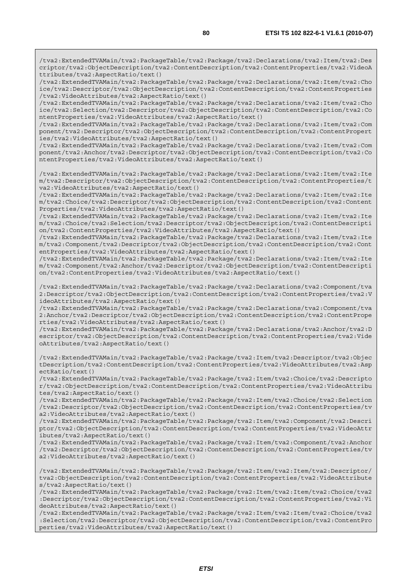/tva2:ExtendedTVAMain/tva2:PackageTable/tva2:Package/tva2:Declarations/tva2:Item/tva2:Des criptor/tva2:ObjectDescription/tva2:ContentDescription/tva2:ContentProperties/tva2:VideoA ttributes/tva2:AspectRatio/text()

/tva2:ExtendedTVAMain/tva2:PackageTable/tva2:Package/tva2:Declarations/tva2:Item/tva2:Cho ice/tva2:Descriptor/tva2:ObjectDescription/tva2:ContentDescription/tva2:ContentProperties /tva2:VideoAttributes/tva2:AspectRatio/text()

/tva2:ExtendedTVAMain/tva2:PackageTable/tva2:Package/tva2:Declarations/tva2:Item/tva2:Cho ice/tva2:Selection/tva2:Descriptor/tva2:ObjectDescription/tva2:ContentDescription/tva2:Co ntentProperties/tva2:VideoAttributes/tva2:AspectRatio/text()

/tva2:ExtendedTVAMain/tva2:PackageTable/tva2:Package/tva2:Declarations/tva2:Item/tva2:Com ponent/tva2:Descriptor/tva2:ObjectDescription/tva2:ContentDescription/tva2:ContentPropert ies/tva2:VideoAttributes/tva2:AspectRatio/text()

/tva2:ExtendedTVAMain/tva2:PackageTable/tva2:Package/tva2:Declarations/tva2:Item/tva2:Com ponent/tva2:Anchor/tva2:Descriptor/tva2:ObjectDescription/tva2:ContentDescription/tva2:Co ntentProperties/tva2:VideoAttributes/tva2:AspectRatio/text()

/tva2:ExtendedTVAMain/tva2:PackageTable/tva2:Package/tva2:Declarations/tva2:Item/tva2:Ite m/tva2:Descriptor/tva2:ObjectDescription/tva2:ContentDescription/tva2:ContentProperties/t va2:VideoAttributes/tva2:AspectRatio/text()

/tva2:ExtendedTVAMain/tva2:PackageTable/tva2:Package/tva2:Declarations/tva2:Item/tva2:Ite m/tva2:Choice/tva2:Descriptor/tva2:ObjectDescription/tva2:ContentDescription/tva2:Content Properties/tva2:VideoAttributes/tva2:AspectRatio/text()

/tva2:ExtendedTVAMain/tva2:PackageTable/tva2:Package/tva2:Declarations/tva2:Item/tva2:Ite m/tva2:Choice/tva2:Selection/tva2:Descriptor/tva2:ObjectDescription/tva2:ContentDescripti on/tva2:ContentProperties/tva2:VideoAttributes/tva2:AspectRatio/text()

/tva2:ExtendedTVAMain/tva2:PackageTable/tva2:Package/tva2:Declarations/tva2:Item/tva2:Ite m/tva2:Component/tva2:Descriptor/tva2:ObjectDescription/tva2:ContentDescription/tva2:Cont entProperties/tva2:VideoAttributes/tva2:AspectRatio/text()

/tva2:ExtendedTVAMain/tva2:PackageTable/tva2:Package/tva2:Declarations/tva2:Item/tva2:Ite m/tva2:Component/tva2:Anchor/tva2:Descriptor/tva2:ObjectDescription/tva2:ContentDescripti on/tva2:ContentProperties/tva2:VideoAttributes/tva2:AspectRatio/text()

/tva2:ExtendedTVAMain/tva2:PackageTable/tva2:Package/tva2:Declarations/tva2:Component/tva 2:Descriptor/tva2:ObjectDescription/tva2:ContentDescription/tva2:ContentProperties/tva2:V ideoAttributes/tva2:AspectRatio/text()

/tva2:ExtendedTVAMain/tva2:PackageTable/tva2:Package/tva2:Declarations/tva2:Component/tva 2:Anchor/tva2:Descriptor/tva2:ObjectDescription/tva2:ContentDescription/tva2:ContentPrope rties/tva2:VideoAttributes/tva2:AspectRatio/text()

/tva2:ExtendedTVAMain/tva2:PackageTable/tva2:Package/tva2:Declarations/tva2:Anchor/tva2:D escriptor/tva2:ObjectDescription/tva2:ContentDescription/tva2:ContentProperties/tva2:Vide oAttributes/tva2:AspectRatio/text()

/tva2:ExtendedTVAMain/tva2:PackageTable/tva2:Package/tva2:Item/tva2:Descriptor/tva2:Objec tDescription/tva2:ContentDescription/tva2:ContentProperties/tva2:VideoAttributes/tva2:Asp ectRatio/text()

/tva2:ExtendedTVAMain/tva2:PackageTable/tva2:Package/tva2:Item/tva2:Choice/tva2:Descripto r/tva2:ObjectDescription/tva2:ContentDescription/tva2:ContentProperties/tva2:VideoAttribu tes/tva2:AspectRatio/text()

/tva2:ExtendedTVAMain/tva2:PackageTable/tva2:Package/tva2:Item/tva2:Choice/tva2:Selection /tva2:Descriptor/tva2:ObjectDescription/tva2:ContentDescription/tva2:ContentProperties/tv a2:VideoAttributes/tva2:AspectRatio/text()

/tva2:ExtendedTVAMain/tva2:PackageTable/tva2:Package/tva2:Item/tva2:Component/tva2:Descri ptor/tva2:ObjectDescription/tva2:ContentDescription/tva2:ContentProperties/tva2:VideoAttr ibutes/tva2:AspectRatio/text()

/tva2:ExtendedTVAMain/tva2:PackageTable/tva2:Package/tva2:Item/tva2:Component/tva2:Anchor /tva2:Descriptor/tva2:ObjectDescription/tva2:ContentDescription/tva2:ContentProperties/tv a2:VideoAttributes/tva2:AspectRatio/text()

/tva2:ExtendedTVAMain/tva2:PackageTable/tva2:Package/tva2:Item/tva2:Item/tva2:Descriptor/ tva2:ObjectDescription/tva2:ContentDescription/tva2:ContentProperties/tva2:VideoAttribute s/tva2:AspectRatio/text()

/tva2:ExtendedTVAMain/tva2:PackageTable/tva2:Package/tva2:Item/tva2:Item/tva2:Choice/tva2 :Descriptor/tva2:ObjectDescription/tva2:ContentDescription/tva2:ContentProperties/tva2:Vi deoAttributes/tva2:AspectRatio/text()

/tva2:ExtendedTVAMain/tva2:PackageTable/tva2:Package/tva2:Item/tva2:Item/tva2:Choice/tva2 :Selection/tva2:Descriptor/tva2:ObjectDescription/tva2:ContentDescription/tva2:ContentPro perties/tva2:VideoAttributes/tva2:AspectRatio/text()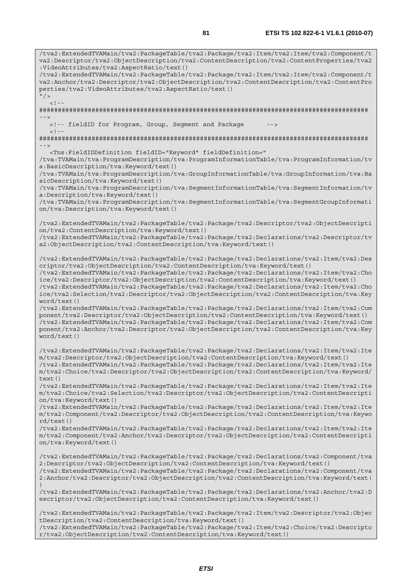/tva2:ExtendedTVAMain/tva2:PackageTable/tva2:Package/tva2:Item/tva2:Item/tva2:Component/t va2:Descriptor/tva2:ObjectDescription/tva2:ContentDescription/tva2:ContentProperties/tva2 :VideoAttributes/tva2:AspectRatio/text() /tva2:ExtendedTVAMain/tva2:PackageTable/tva2:Package/tva2:Item/tva2:Item/tva2:Component/t va2:Anchor/tva2:Descriptor/tva2:ObjectDescription/tva2:ContentDescription/tva2:ContentPro perties/tva2:VideoAttributes/tva2:AspectRatio/text()  $''$  /  $>$  $\lt$  ! -######################################################################################## --> <!-- fieldID for Program, Group, Segment and Package  $< ! - -$ ######################################################################################## --> <Tns:FieldIDDefinition fieldID="Keyword" fieldDefinition=" /tva:TVAMain/tva:ProgramDescription/tva:ProgramInformationTable/tva:ProgramInformation/tv a:BasicDescription/tva:Keyword/text() /tva:TVAMain/tva:ProgramDescription/tva:GroupInformationTable/tva:GroupInformation/tva:Ba sicDescription/tva:Keyword/text() /tva:TVAMain/tva:ProgramDescription/tva:SegmentInformationTable/tva:SegmentInformation/tv a:Description/tva:Keyword/text() /tva:TVAMain/tva:ProgramDescription/tva:SegmentInformationTable/tva:SegmentGroupInformati on/tva:Description/tva:Keyword/text() /tva2:ExtendedTVAMain/tva2:PackageTable/tva2:Package/tva2:Descriptor/tva2:ObjectDescripti on/tva2:ContentDescription/tva:Keyword/text() /tva2:ExtendedTVAMain/tva2:PackageTable/tva2:Package/tva2:Declarations/tva2:Descriptor/tv a2:ObjectDescription/tva2:ContentDescription/tva:Keyword/text() /tva2:ExtendedTVAMain/tva2:PackageTable/tva2:Package/tva2:Declarations/tva2:Item/tva2:Des criptor/tva2:ObjectDescription/tva2:ContentDescription/tva:Keyword/text() /tva2:ExtendedTVAMain/tva2:PackageTable/tva2:Package/tva2:Declarations/tva2:Item/tva2:Cho ice/tva2:Descriptor/tva2:ObjectDescription/tva2:ContentDescription/tva:Keyword/text() /tva2:ExtendedTVAMain/tva2:PackageTable/tva2:Package/tva2:Declarations/tva2:Item/tva2:Cho ice/tva2:Selection/tva2:Descriptor/tva2:ObjectDescription/tva2:ContentDescription/tva:Key word/text() /tva2:ExtendedTVAMain/tva2:PackageTable/tva2:Package/tva2:Declarations/tva2:Item/tva2:Com ponent/tva2:Descriptor/tva2:ObjectDescription/tva2:ContentDescription/tva:Keyword/text() /tva2:ExtendedTVAMain/tva2:PackageTable/tva2:Package/tva2:Declarations/tva2:Item/tva2:Com ponent/tva2:Anchor/tva2:Descriptor/tva2:ObjectDescription/tva2:ContentDescription/tva:Key word/text() /tva2:ExtendedTVAMain/tva2:PackageTable/tva2:Package/tva2:Declarations/tva2:Item/tva2:Ite m/tva2:Descriptor/tva2:ObjectDescription/tva2:ContentDescription/tva:Keyword/text() /tva2:ExtendedTVAMain/tva2:PackageTable/tva2:Package/tva2:Declarations/tva2:Item/tva2:Ite m/tva2:Choice/tva2:Descriptor/tva2:ObjectDescription/tva2:ContentDescription/tva:Keyword/ text() /tva2:ExtendedTVAMain/tva2:PackageTable/tva2:Package/tva2:Declarations/tva2:Item/tva2:Ite m/tva2:Choice/tva2:Selection/tva2:Descriptor/tva2:ObjectDescription/tva2:ContentDescripti on/tva:Keyword/text() /tva2:ExtendedTVAMain/tva2:PackageTable/tva2:Package/tva2:Declarations/tva2:Item/tva2:Ite m/tva2:Component/tva2:Descriptor/tva2:ObjectDescription/tva2:ContentDescription/tva:Keywo rd/text() /tva2:ExtendedTVAMain/tva2:PackageTable/tva2:Package/tva2:Declarations/tva2:Item/tva2:Ite m/tva2:Component/tva2:Anchor/tva2:Descriptor/tva2:ObjectDescription/tva2:ContentDescripti on/tva:Keyword/text() /tva2:ExtendedTVAMain/tva2:PackageTable/tva2:Package/tva2:Declarations/tva2:Component/tva 2:Descriptor/tva2:ObjectDescription/tva2:ContentDescription/tva:Keyword/text() /tva2:ExtendedTVAMain/tva2:PackageTable/tva2:Package/tva2:Declarations/tva2:Component/tva 2:Anchor/tva2:Descriptor/tva2:ObjectDescription/tva2:ContentDescription/tva:Keyword/text( ) /tva2:ExtendedTVAMain/tva2:PackageTable/tva2:Package/tva2:Declarations/tva2:Anchor/tva2:D escriptor/tva2:ObjectDescription/tva2:ContentDescription/tva:Keyword/text() /tva2:ExtendedTVAMain/tva2:PackageTable/tva2:Package/tva2:Item/tva2:Descriptor/tva2:Objec tDescription/tva2:ContentDescription/tva:Keyword/text()

/tva2:ExtendedTVAMain/tva2:PackageTable/tva2:Package/tva2:Item/tva2:Choice/tva2:Descripto r/tva2:ObjectDescription/tva2:ContentDescription/tva:Keyword/text()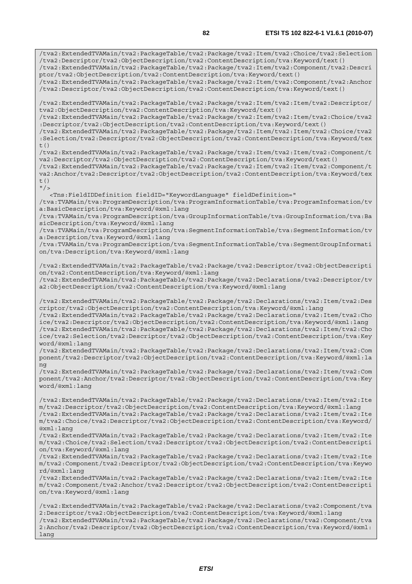/tva2:ExtendedTVAMain/tva2:PackageTable/tva2:Package/tva2:Item/tva2:Choice/tva2:Selection /tva2:Descriptor/tva2:ObjectDescription/tva2:ContentDescription/tva:Keyword/text() /tva2:ExtendedTVAMain/tva2:PackageTable/tva2:Package/tva2:Item/tva2:Component/tva2:Descri ptor/tva2:ObjectDescription/tva2:ContentDescription/tva:Keyword/text() /tva2:ExtendedTVAMain/tva2:PackageTable/tva2:Package/tva2:Item/tva2:Component/tva2:Anchor /tva2:Descriptor/tva2:ObjectDescription/tva2:ContentDescription/tva:Keyword/text() /tva2:ExtendedTVAMain/tva2:PackageTable/tva2:Package/tva2:Item/tva2:Item/tva2:Descriptor/ tva2:ObjectDescription/tva2:ContentDescription/tva:Keyword/text() /tva2:ExtendedTVAMain/tva2:PackageTable/tva2:Package/tva2:Item/tva2:Item/tva2:Choice/tva2 :Descriptor/tva2:ObjectDescription/tva2:ContentDescription/tva:Keyword/text() /tva2:ExtendedTVAMain/tva2:PackageTable/tva2:Package/tva2:Item/tva2:Item/tva2:Choice/tva2 :Selection/tva2:Descriptor/tva2:ObjectDescription/tva2:ContentDescription/tva:Keyword/tex  $t($ ) /tva2:ExtendedTVAMain/tva2:PackageTable/tva2:Package/tva2:Item/tva2:Item/tva2:Component/t va2:Descriptor/tva2:ObjectDescription/tva2:ContentDescription/tva:Keyword/text() /tva2:ExtendedTVAMain/tva2:PackageTable/tva2:Package/tva2:Item/tva2:Item/tva2:Component/t va2:Anchor/tva2:Descriptor/tva2:ObjectDescription/tva2:ContentDescription/tva:Keyword/tex  $t($ )  $''$  / > <Tns:FieldIDDefinition fieldID="KeywordLanguage" fieldDefinition=" /tva:TVAMain/tva:ProgramDescription/tva:ProgramInformationTable/tva:ProgramInformation/tv a:BasicDescription/tva:Keyword/@xml:lang /tva:TVAMain/tva:ProgramDescription/tva:GroupInformationTable/tva:GroupInformation/tva:Ba sicDescription/tva:Keyword/@xml:lang /tva:TVAMain/tva:ProgramDescription/tva:SegmentInformationTable/tva:SegmentInformation/tv a:Description/tva:Keyword/@xml:lang /tva:TVAMain/tva:ProgramDescription/tva:SegmentInformationTable/tva:SegmentGroupInformati on/tva:Description/tva:Keyword/@xml:lang /tva2:ExtendedTVAMain/tva2:PackageTable/tva2:Package/tva2:Descriptor/tva2:ObjectDescripti on/tva2:ContentDescription/tva:Keyword/@xml:lang /tva2:ExtendedTVAMain/tva2:PackageTable/tva2:Package/tva2:Declarations/tva2:Descriptor/tv a2:ObjectDescription/tva2:ContentDescription/tva:Keyword/@xml:lang /tva2:ExtendedTVAMain/tva2:PackageTable/tva2:Package/tva2:Declarations/tva2:Item/tva2:Des criptor/tva2:ObjectDescription/tva2:ContentDescription/tva:Keyword/@xml:lang /tva2:ExtendedTVAMain/tva2:PackageTable/tva2:Package/tva2:Declarations/tva2:Item/tva2:Cho ice/tva2:Descriptor/tva2:ObjectDescription/tva2:ContentDescription/tva:Keyword/@xml:lang /tva2:ExtendedTVAMain/tva2:PackageTable/tva2:Package/tva2:Declarations/tva2:Item/tva2:Cho ice/tva2:Selection/tva2:Descriptor/tva2:ObjectDescription/tva2:ContentDescription/tva:Key word/@xml:lang /tva2:ExtendedTVAMain/tva2:PackageTable/tva2:Package/tva2:Declarations/tva2:Item/tva2:Com ponent/tva2:Descriptor/tva2:ObjectDescription/tva2:ContentDescription/tva:Keyword/@xml:la ng /tva2:ExtendedTVAMain/tva2:PackageTable/tva2:Package/tva2:Declarations/tva2:Item/tva2:Com ponent/tva2:Anchor/tva2:Descriptor/tva2:ObjectDescription/tva2:ContentDescription/tva:Key word/@xml:lang /tva2:ExtendedTVAMain/tva2:PackageTable/tva2:Package/tva2:Declarations/tva2:Item/tva2:Ite m/tva2:Descriptor/tva2:ObjectDescription/tva2:ContentDescription/tva:Keyword/@xml:lang /tva2:ExtendedTVAMain/tva2:PackageTable/tva2:Package/tva2:Declarations/tva2:Item/tva2:Ite m/tva2:Choice/tva2:Descriptor/tva2:ObjectDescription/tva2:ContentDescription/tva:Keyword/ @xml:lang /tva2:ExtendedTVAMain/tva2:PackageTable/tva2:Package/tva2:Declarations/tva2:Item/tva2:Ite m/tva2:Choice/tva2:Selection/tva2:Descriptor/tva2:ObjectDescription/tva2:ContentDescripti on/tva:Keyword/@xml:lang /tva2:ExtendedTVAMain/tva2:PackageTable/tva2:Package/tva2:Declarations/tva2:Item/tva2:Ite m/tva2:Component/tva2:Descriptor/tva2:ObjectDescription/tva2:ContentDescription/tva:Keywo rd/@xml:lang /tva2:ExtendedTVAMain/tva2:PackageTable/tva2:Package/tva2:Declarations/tva2:Item/tva2:Ite m/tva2:Component/tva2:Anchor/tva2:Descriptor/tva2:ObjectDescription/tva2:ContentDescripti on/tva:Keyword/@xml:lang /tva2:ExtendedTVAMain/tva2:PackageTable/tva2:Package/tva2:Declarations/tva2:Component/tva

2:Descriptor/tva2:ObjectDescription/tva2:ContentDescription/tva:Keyword/@xml:lang /tva2:ExtendedTVAMain/tva2:PackageTable/tva2:Package/tva2:Declarations/tva2:Component/tva 2:Anchor/tva2:Descriptor/tva2:ObjectDescription/tva2:ContentDescription/tva:Keyword/@xml: lang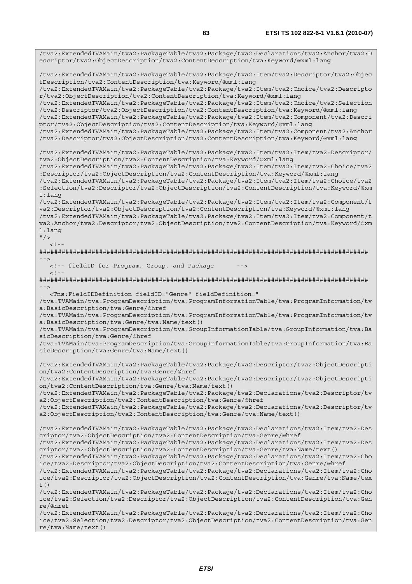/tva2:ExtendedTVAMain/tva2:PackageTable/tva2:Package/tva2:Declarations/tva2:Anchor/tva2:D escriptor/tva2:ObjectDescription/tva2:ContentDescription/tva:Keyword/@xml:lang /tva2:ExtendedTVAMain/tva2:PackageTable/tva2:Package/tva2:Item/tva2:Descriptor/tva2:Objec tDescription/tva2:ContentDescription/tva:Keyword/@xml:lang /tva2:ExtendedTVAMain/tva2:PackageTable/tva2:Package/tva2:Item/tva2:Choice/tva2:Descripto r/tva2:ObjectDescription/tva2:ContentDescription/tva:Keyword/@xml:lang /tva2:ExtendedTVAMain/tva2:PackageTable/tva2:Package/tva2:Item/tva2:Choice/tva2:Selection /tva2:Descriptor/tva2:ObjectDescription/tva2:ContentDescription/tva:Keyword/@xml:lang /tva2:ExtendedTVAMain/tva2:PackageTable/tva2:Package/tva2:Item/tva2:Component/tva2:Descri ptor/tva2:ObjectDescription/tva2:ContentDescription/tva:Keyword/@xml:lang /tva2:ExtendedTVAMain/tva2:PackageTable/tva2:Package/tva2:Item/tva2:Component/tva2:Anchor /tva2:Descriptor/tva2:ObjectDescription/tva2:ContentDescription/tva:Keyword/@xml:lang /tva2:ExtendedTVAMain/tva2:PackageTable/tva2:Package/tva2:Item/tva2:Item/tva2:Descriptor/ tva2:ObjectDescription/tva2:ContentDescription/tva:Keyword/@xml:lang /tva2:ExtendedTVAMain/tva2:PackageTable/tva2:Package/tva2:Item/tva2:Item/tva2:Choice/tva2 :Descriptor/tva2:ObjectDescription/tva2:ContentDescription/tva:Keyword/@xml:lang /tva2:ExtendedTVAMain/tva2:PackageTable/tva2:Package/tva2:Item/tva2:Item/tva2:Choice/tva2 :Selection/tva2:Descriptor/tva2:ObjectDescription/tva2:ContentDescription/tva:Keyword/@xm l:lang /tva2:ExtendedTVAMain/tva2:PackageTable/tva2:Package/tva2:Item/tva2:Item/tva2:Component/t va2:Descriptor/tva2:ObjectDescription/tva2:ContentDescription/tva:Keyword/@xml:lang /tva2:ExtendedTVAMain/tva2:PackageTable/tva2:Package/tva2:Item/tva2:Item/tva2:Component/t va2:Anchor/tva2:Descriptor/tva2:ObjectDescription/tva2:ContentDescription/tva:Keyword/@xm l:lang  $"$  />  $\geq$   $\vert$   $\vert$ ######################################################################################## --> <!-- fieldID for Program, Group, and Package -->  $\geq$   $\frac{1}{2}$ . ######################################################################################## --> <Tns:FieldIDDefinition fieldID="Genre" fieldDefinition=" /tva:TVAMain/tva:ProgramDescription/tva:ProgramInformationTable/tva:ProgramInformation/tv a:BasicDescription/tva:Genre/@href /tva:TVAMain/tva:ProgramDescription/tva:ProgramInformationTable/tva:ProgramInformation/tv a:BasicDescription/tva:Genre/tva:Name/text() /tva:TVAMain/tva:ProgramDescription/tva:GroupInformationTable/tva:GroupInformation/tva:Ba sicDescription/tva:Genre/@href /tva:TVAMain/tva:ProgramDescription/tva:GroupInformationTable/tva:GroupInformation/tva:Ba sicDescription/tva:Genre/tva:Name/text() /tva2:ExtendedTVAMain/tva2:PackageTable/tva2:Package/tva2:Descriptor/tva2:ObjectDescripti on/tva2:ContentDescription/tva:Genre/@href /tva2:ExtendedTVAMain/tva2:PackageTable/tva2:Package/tva2:Descriptor/tva2:ObjectDescripti on/tva2:ContentDescription/tva:Genre/tva:Name/text() /tva2:ExtendedTVAMain/tva2:PackageTable/tva2:Package/tva2:Declarations/tva2:Descriptor/tv a2:ObjectDescription/tva2:ContentDescription/tva:Genre/@href /tva2:ExtendedTVAMain/tva2:PackageTable/tva2:Package/tva2:Declarations/tva2:Descriptor/tv a2:ObjectDescription/tva2:ContentDescription/tva:Genre/tva:Name/text() /tva2:ExtendedTVAMain/tva2:PackageTable/tva2:Package/tva2:Declarations/tva2:Item/tva2:Des criptor/tva2:ObjectDescription/tva2:ContentDescription/tva:Genre/@href /tva2:ExtendedTVAMain/tva2:PackageTable/tva2:Package/tva2:Declarations/tva2:Item/tva2:Des criptor/tva2:ObjectDescription/tva2:ContentDescription/tva:Genre/tva:Name/text() /tva2:ExtendedTVAMain/tva2:PackageTable/tva2:Package/tva2:Declarations/tva2:Item/tva2:Cho ice/tva2:Descriptor/tva2:ObjectDescription/tva2:ContentDescription/tva:Genre/@href /tva2:ExtendedTVAMain/tva2:PackageTable/tva2:Package/tva2:Declarations/tva2:Item/tva2:Cho ice/tva2:Descriptor/tva2:ObjectDescription/tva2:ContentDescription/tva:Genre/tva:Name/tex t() /tva2:ExtendedTVAMain/tva2:PackageTable/tva2:Package/tva2:Declarations/tva2:Item/tva2:Cho ice/tva2:Selection/tva2:Descriptor/tva2:ObjectDescription/tva2:ContentDescription/tva:Gen re/@href /tva2:ExtendedTVAMain/tva2:PackageTable/tva2:Package/tva2:Declarations/tva2:Item/tva2:Cho ice/tva2:Selection/tva2:Descriptor/tva2:ObjectDescription/tva2:ContentDescription/tva:Gen re/tva:Name/text()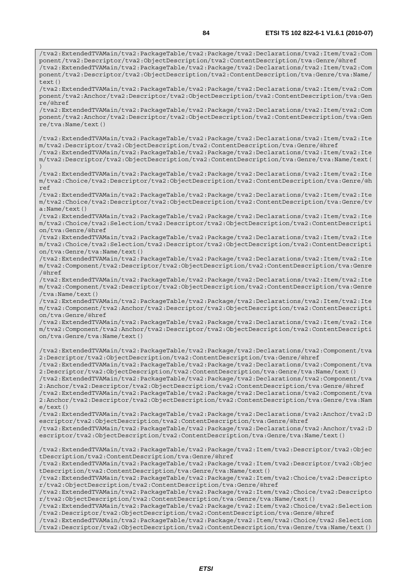/tva2:ExtendedTVAMain/tva2:PackageTable/tva2:Package/tva2:Declarations/tva2:Item/tva2:Com ponent/tva2:Descriptor/tva2:ObjectDescription/tva2:ContentDescription/tva:Genre/@href /tva2:ExtendedTVAMain/tva2:PackageTable/tva2:Package/tva2:Declarations/tva2:Item/tva2:Com

ponent/tva2:Descriptor/tva2:ObjectDescription/tva2:ContentDescription/tva:Genre/tva:Name/  $text()$ /tva2:ExtendedTVAMain/tva2:PackageTable/tva2:Package/tva2:Declarations/tva2:Item/tva2:Com ponent/tva2:Anchor/tva2:Descriptor/tva2:ObjectDescription/tva2:ContentDescription/tva:Gen re/@href /tva2:ExtendedTVAMain/tva2:PackageTable/tva2:Package/tva2:Declarations/tva2:Item/tva2:Com ponent/tva2:Anchor/tva2:Descriptor/tva2:ObjectDescription/tva2:ContentDescription/tva:Gen re/tva:Name/text() /tva2:ExtendedTVAMain/tva2:PackageTable/tva2:Package/tva2:Declarations/tva2:Item/tva2:Ite m/tva2:Descriptor/tva2:ObjectDescription/tva2:ContentDescription/tva:Genre/@href /tva2:ExtendedTVAMain/tva2:PackageTable/tva2:Package/tva2:Declarations/tva2:Item/tva2:Ite m/tva2:Descriptor/tva2:ObjectDescription/tva2:ContentDescription/tva:Genre/tva:Name/text( ) /tva2:ExtendedTVAMain/tva2:PackageTable/tva2:Package/tva2:Declarations/tva2:Item/tva2:Ite m/tva2:Choice/tva2:Descriptor/tva2:ObjectDescription/tva2:ContentDescription/tva:Genre/@h ref /tva2:ExtendedTVAMain/tva2:PackageTable/tva2:Package/tva2:Declarations/tva2:Item/tva2:Ite m/tva2:Choice/tva2:Descriptor/tva2:ObjectDescription/tva2:ContentDescription/tva:Genre/tv a:Name/text() /tva2:ExtendedTVAMain/tva2:PackageTable/tva2:Package/tva2:Declarations/tva2:Item/tva2:Ite m/tva2:Choice/tva2:Selection/tva2:Descriptor/tva2:ObjectDescription/tva2:ContentDescripti on/tva:Genre/@href /tva2:ExtendedTVAMain/tva2:PackageTable/tva2:Package/tva2:Declarations/tva2:Item/tva2:Ite m/tva2:Choice/tva2:Selection/tva2:Descriptor/tva2:ObjectDescription/tva2:ContentDescripti on/tva:Genre/tva:Name/text() /tva2:ExtendedTVAMain/tva2:PackageTable/tva2:Package/tva2:Declarations/tva2:Item/tva2:Ite m/tva2:Component/tva2:Descriptor/tva2:ObjectDescription/tva2:ContentDescription/tva:Genre /@href /tva2:ExtendedTVAMain/tva2:PackageTable/tva2:Package/tva2:Declarations/tva2:Item/tva2:Ite m/tva2:Component/tva2:Descriptor/tva2:ObjectDescription/tva2:ContentDescription/tva:Genre /tva:Name/text() /tva2:ExtendedTVAMain/tva2:PackageTable/tva2:Package/tva2:Declarations/tva2:Item/tva2:Ite m/tva2:Component/tva2:Anchor/tva2:Descriptor/tva2:ObjectDescription/tva2:ContentDescripti on/tva:Genre/@href /tva2:ExtendedTVAMain/tva2:PackageTable/tva2:Package/tva2:Declarations/tva2:Item/tva2:Ite m/tva2:Component/tva2:Anchor/tva2:Descriptor/tva2:ObjectDescription/tva2:ContentDescripti on/tva:Genre/tva:Name/text() /tva2:ExtendedTVAMain/tva2:PackageTable/tva2:Package/tva2:Declarations/tva2:Component/tva 2:Descriptor/tva2:ObjectDescription/tva2:ContentDescription/tva:Genre/@href /tva2:ExtendedTVAMain/tva2:PackageTable/tva2:Package/tva2:Declarations/tva2:Component/tva 2:Descriptor/tva2:ObjectDescription/tva2:ContentDescription/tva:Genre/tva:Name/text() /tva2:ExtendedTVAMain/tva2:PackageTable/tva2:Package/tva2:Declarations/tva2:Component/tva 2:Anchor/tva2:Descriptor/tva2:ObjectDescription/tva2:ContentDescription/tva:Genre/@href /tva2:ExtendedTVAMain/tva2:PackageTable/tva2:Package/tva2:Declarations/tva2:Component/tva 2:Anchor/tva2:Descriptor/tva2:ObjectDescription/tva2:ContentDescription/tva:Genre/tva:Nam e/text() /tva2:ExtendedTVAMain/tva2:PackageTable/tva2:Package/tva2:Declarations/tva2:Anchor/tva2:D escriptor/tva2:ObjectDescription/tva2:ContentDescription/tva:Genre/@href /tva2:ExtendedTVAMain/tva2:PackageTable/tva2:Package/tva2:Declarations/tva2:Anchor/tva2:D escriptor/tva2:ObjectDescription/tva2:ContentDescription/tva:Genre/tva:Name/text() /tva2:ExtendedTVAMain/tva2:PackageTable/tva2:Package/tva2:Item/tva2:Descriptor/tva2:Objec tDescription/tva2:ContentDescription/tva:Genre/@href /tva2:ExtendedTVAMain/tva2:PackageTable/tva2:Package/tva2:Item/tva2:Descriptor/tva2:Objec tDescription/tva2:ContentDescription/tva:Genre/tva:Name/text() /tva2:ExtendedTVAMain/tva2:PackageTable/tva2:Package/tva2:Item/tva2:Choice/tva2:Descripto r/tva2:ObjectDescription/tva2:ContentDescription/tva:Genre/@href /tva2:ExtendedTVAMain/tva2:PackageTable/tva2:Package/tva2:Item/tva2:Choice/tva2:Descripto r/tva2:ObjectDescription/tva2:ContentDescription/tva:Genre/tva:Name/text() /tva2:ExtendedTVAMain/tva2:PackageTable/tva2:Package/tva2:Item/tva2:Choice/tva2:Selection /tva2:Descriptor/tva2:ObjectDescription/tva2:ContentDescription/tva:Genre/@href /tva2:ExtendedTVAMain/tva2:PackageTable/tva2:Package/tva2:Item/tva2:Choice/tva2:Selection /tva2:Descriptor/tva2:ObjectDescription/tva2:ContentDescription/tva:Genre/tva:Name/text()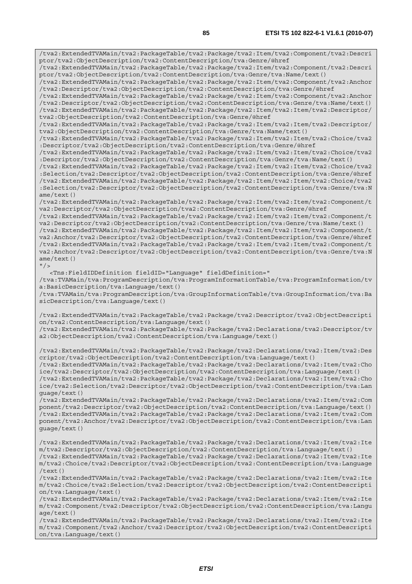/tva2:ExtendedTVAMain/tva2:PackageTable/tva2:Package/tva2:Item/tva2:Component/tva2:Descri ptor/tva2:ObjectDescription/tva2:ContentDescription/tva:Genre/@href /tva2:ExtendedTVAMain/tva2:PackageTable/tva2:Package/tva2:Item/tva2:Component/tva2:Descri ptor/tva2:ObjectDescription/tva2:ContentDescription/tva:Genre/tva:Name/text() /tva2:ExtendedTVAMain/tva2:PackageTable/tva2:Package/tva2:Item/tva2:Component/tva2:Anchor /tva2:Descriptor/tva2:ObjectDescription/tva2:ContentDescription/tva:Genre/@href /tva2:ExtendedTVAMain/tva2:PackageTable/tva2:Package/tva2:Item/tva2:Component/tva2:Anchor /tva2:Descriptor/tva2:ObjectDescription/tva2:ContentDescription/tva:Genre/tva:Name/text() /tva2:ExtendedTVAMain/tva2:PackageTable/tva2:Package/tva2:Item/tva2:Item/tva2:Descriptor/ tva2:ObjectDescription/tva2:ContentDescription/tva:Genre/@href /tva2:ExtendedTVAMain/tva2:PackageTable/tva2:Package/tva2:Item/tva2:Item/tva2:Descriptor/ tva2:ObjectDescription/tva2:ContentDescription/tva:Genre/tva:Name/text() /tva2:ExtendedTVAMain/tva2:PackageTable/tva2:Package/tva2:Item/tva2:Item/tva2:Choice/tva2 :Descriptor/tva2:ObjectDescription/tva2:ContentDescription/tva:Genre/@href /tva2:ExtendedTVAMain/tva2:PackageTable/tva2:Package/tva2:Item/tva2:Item/tva2:Choice/tva2 :Descriptor/tva2:ObjectDescription/tva2:ContentDescription/tva:Genre/tva:Name/text() /tva2:ExtendedTVAMain/tva2:PackageTable/tva2:Package/tva2:Item/tva2:Item/tva2:Choice/tva2 :Selection/tva2:Descriptor/tva2:ObjectDescription/tva2:ContentDescription/tva:Genre/@href /tva2:ExtendedTVAMain/tva2:PackageTable/tva2:Package/tva2:Item/tva2:Item/tva2:Choice/tva2 :Selection/tva2:Descriptor/tva2:ObjectDescription/tva2:ContentDescription/tva:Genre/tva:N ame/text() /tva2:ExtendedTVAMain/tva2:PackageTable/tva2:Package/tva2:Item/tva2:Item/tva2:Component/t va2:Descriptor/tva2:ObjectDescription/tva2:ContentDescription/tva:Genre/@href /tva2:ExtendedTVAMain/tva2:PackageTable/tva2:Package/tva2:Item/tva2:Item/tva2:Component/t va2:Descriptor/tva2:ObjectDescription/tva2:ContentDescription/tva:Genre/tva:Name/text() /tva2:ExtendedTVAMain/tva2:PackageTable/tva2:Package/tva2:Item/tva2:Item/tva2:Component/t va2:Anchor/tva2:Descriptor/tva2:ObjectDescription/tva2:ContentDescription/tva:Genre/@href /tva2:ExtendedTVAMain/tva2:PackageTable/tva2:Package/tva2:Item/tva2:Item/tva2:Component/t va2:Anchor/tva2:Descriptor/tva2:ObjectDescription/tva2:ContentDescription/tva:Genre/tva:N ame/text()  $"$  /> <Tns:FieldIDDefinition fieldID="Language" fieldDefinition=" /tva:TVAMain/tva:ProgramDescription/tva:ProgramInformationTable/tva:ProgramInformation/tv a:BasicDescription/tva:Language/text() /tva:TVAMain/tva:ProgramDescription/tva:GroupInformationTable/tva:GroupInformation/tva:Ba sicDescription/tva:Language/text() /tva2:ExtendedTVAMain/tva2:PackageTable/tva2:Package/tva2:Descriptor/tva2:ObjectDescripti on/tva2:ContentDescription/tva:Language/text() /tva2:ExtendedTVAMain/tva2:PackageTable/tva2:Package/tva2:Declarations/tva2:Descriptor/tv a2:ObjectDescription/tva2:ContentDescription/tva:Language/text() /tva2:ExtendedTVAMain/tva2:PackageTable/tva2:Package/tva2:Declarations/tva2:Item/tva2:Des criptor/tva2:ObjectDescription/tva2:ContentDescription/tva:Language/text() /tva2:ExtendedTVAMain/tva2:PackageTable/tva2:Package/tva2:Declarations/tva2:Item/tva2:Cho ice/tva2:Descriptor/tva2:ObjectDescription/tva2:ContentDescription/tva:Language/text() /tva2:ExtendedTVAMain/tva2:PackageTable/tva2:Package/tva2:Declarations/tva2:Item/tva2:Cho ice/tva2:Selection/tva2:Descriptor/tva2:ObjectDescription/tva2:ContentDescription/tva:Lan guage/text() /tva2:ExtendedTVAMain/tva2:PackageTable/tva2:Package/tva2:Declarations/tva2:Item/tva2:Com ponent/tva2:Descriptor/tva2:ObjectDescription/tva2:ContentDescription/tva:Language/text() /tva2:ExtendedTVAMain/tva2:PackageTable/tva2:Package/tva2:Declarations/tva2:Item/tva2:Com ponent/tva2:Anchor/tva2:Descriptor/tva2:ObjectDescription/tva2:ContentDescription/tva:Lan guage/text() /tva2:ExtendedTVAMain/tva2:PackageTable/tva2:Package/tva2:Declarations/tva2:Item/tva2:Ite m/tva2:Descriptor/tva2:ObjectDescription/tva2:ContentDescription/tva:Language/text() /tva2:ExtendedTVAMain/tva2:PackageTable/tva2:Package/tva2:Declarations/tva2:Item/tva2:Ite m/tva2:Choice/tva2:Descriptor/tva2:ObjectDescription/tva2:ContentDescription/tva:Language /text() /tva2:ExtendedTVAMain/tva2:PackageTable/tva2:Package/tva2:Declarations/tva2:Item/tva2:Ite m/tva2:Choice/tva2:Selection/tva2:Descriptor/tva2:ObjectDescription/tva2:ContentDescripti on/tva:Language/text() /tva2:ExtendedTVAMain/tva2:PackageTable/tva2:Package/tva2:Declarations/tva2:Item/tva2:Ite m/tva2:Component/tva2:Descriptor/tva2:ObjectDescription/tva2:ContentDescription/tva:Langu age/text()

/tva2:ExtendedTVAMain/tva2:PackageTable/tva2:Package/tva2:Declarations/tva2:Item/tva2:Ite m/tva2:Component/tva2:Anchor/tva2:Descriptor/tva2:ObjectDescription/tva2:ContentDescripti on/tva:Language/text()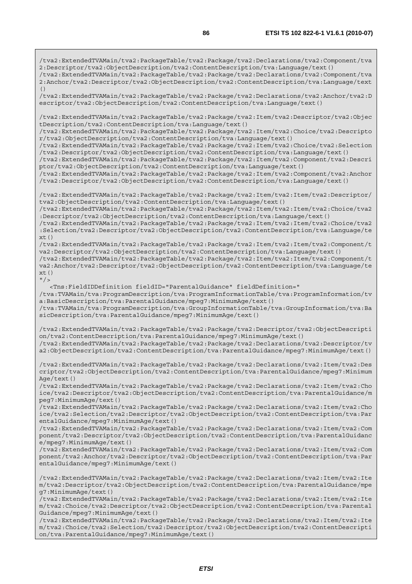/tva2:ExtendedTVAMain/tva2:PackageTable/tva2:Package/tva2:Declarations/tva2:Component/tva 2:Descriptor/tva2:ObjectDescription/tva2:ContentDescription/tva:Language/text() /tva2:ExtendedTVAMain/tva2:PackageTable/tva2:Package/tva2:Declarations/tva2:Component/tva 2:Anchor/tva2:Descriptor/tva2:ObjectDescription/tva2:ContentDescription/tva:Language/text  $( )$ /tva2:ExtendedTVAMain/tva2:PackageTable/tva2:Package/tva2:Declarations/tva2:Anchor/tva2:D escriptor/tva2:ObjectDescription/tva2:ContentDescription/tva:Language/text() /tva2:ExtendedTVAMain/tva2:PackageTable/tva2:Package/tva2:Item/tva2:Descriptor/tva2:Objec tDescription/tva2:ContentDescription/tva:Language/text() /tva2:ExtendedTVAMain/tva2:PackageTable/tva2:Package/tva2:Item/tva2:Choice/tva2:Descripto r/tva2:ObjectDescription/tva2:ContentDescription/tva:Language/text() /tva2:ExtendedTVAMain/tva2:PackageTable/tva2:Package/tva2:Item/tva2:Choice/tva2:Selection /tva2:Descriptor/tva2:ObjectDescription/tva2:ContentDescription/tva:Language/text() /tva2:ExtendedTVAMain/tva2:PackageTable/tva2:Package/tva2:Item/tva2:Component/tva2:Descri ptor/tva2:ObjectDescription/tva2:ContentDescription/tva:Language/text() /tva2:ExtendedTVAMain/tva2:PackageTable/tva2:Package/tva2:Item/tva2:Component/tva2:Anchor /tva2:Descriptor/tva2:ObjectDescription/tva2:ContentDescription/tva:Language/text() /tva2:ExtendedTVAMain/tva2:PackageTable/tva2:Package/tva2:Item/tva2:Item/tva2:Descriptor/ tva2:ObjectDescription/tva2:ContentDescription/tva:Language/text() /tva2:ExtendedTVAMain/tva2:PackageTable/tva2:Package/tva2:Item/tva2:Item/tva2:Choice/tva2 :Descriptor/tva2:ObjectDescription/tva2:ContentDescription/tva:Language/text() /tva2:ExtendedTVAMain/tva2:PackageTable/tva2:Package/tva2:Item/tva2:Item/tva2:Choice/tva2 :Selection/tva2:Descriptor/tva2:ObjectDescription/tva2:ContentDescription/tva:Language/te  $xt()$ /tva2:ExtendedTVAMain/tva2:PackageTable/tva2:Package/tva2:Item/tva2:Item/tva2:Component/t va2:Descriptor/tva2:ObjectDescription/tva2:ContentDescription/tva:Language/text() /tva2:ExtendedTVAMain/tva2:PackageTable/tva2:Package/tva2:Item/tva2:Item/tva2:Component/t va2:Anchor/tva2:Descriptor/tva2:ObjectDescription/tva2:ContentDescription/tva:Language/te  $xt()$  $''$  / > <Tns:FieldIDDefinition fieldID="ParentalGuidance" fieldDefinition=" /tva:TVAMain/tva:ProgramDescription/tva:ProgramInformationTable/tva:ProgramInformation/tv a:BasicDescription/tva:ParentalGuidance/mpeg7:MinimumAge/text() /tva:TVAMain/tva:ProgramDescription/tva:GroupInformationTable/tva:GroupInformation/tva:Ba sicDescription/tva:ParentalGuidance/mpeg7:MinimumAge/text() /tva2:ExtendedTVAMain/tva2:PackageTable/tva2:Package/tva2:Descriptor/tva2:ObjectDescripti on/tva2:ContentDescription/tva:ParentalGuidance/mpeg7:MinimumAge/text() /tva2:ExtendedTVAMain/tva2:PackageTable/tva2:Package/tva2:Declarations/tva2:Descriptor/tv a2:ObjectDescription/tva2:ContentDescription/tva:ParentalGuidance/mpeg7:MinimumAge/text() /tva2:ExtendedTVAMain/tva2:PackageTable/tva2:Package/tva2:Declarations/tva2:Item/tva2:Des criptor/tva2:ObjectDescription/tva2:ContentDescription/tva:ParentalGuidance/mpeg7:Minimum Age/text() /tva2:ExtendedTVAMain/tva2:PackageTable/tva2:Package/tva2:Declarations/tva2:Item/tva2:Cho ice/tva2:Descriptor/tva2:ObjectDescription/tva2:ContentDescription/tva:ParentalGuidance/m peg7:MinimumAge/text() /tva2:ExtendedTVAMain/tva2:PackageTable/tva2:Package/tva2:Declarations/tva2:Item/tva2:Cho ice/tva2:Selection/tva2:Descriptor/tva2:ObjectDescription/tva2:ContentDescription/tva:Par entalGuidance/mpeg7:MinimumAge/text() /tva2:ExtendedTVAMain/tva2:PackageTable/tva2:Package/tva2:Declarations/tva2:Item/tva2:Com ponent/tva2:Descriptor/tva2:ObjectDescription/tva2:ContentDescription/tva:ParentalGuidanc e/mpeg7:MinimumAge/text() /tva2:ExtendedTVAMain/tva2:PackageTable/tva2:Package/tva2:Declarations/tva2:Item/tva2:Com ponent/tva2:Anchor/tva2:Descriptor/tva2:ObjectDescription/tva2:ContentDescription/tva:Par entalGuidance/mpeg7:MinimumAge/text() /tva2:ExtendedTVAMain/tva2:PackageTable/tva2:Package/tva2:Declarations/tva2:Item/tva2:Ite m/tva2:Descriptor/tva2:ObjectDescription/tva2:ContentDescription/tva:ParentalGuidance/mpe g7:MinimumAge/text()

/tva2:ExtendedTVAMain/tva2:PackageTable/tva2:Package/tva2:Declarations/tva2:Item/tva2:Ite m/tva2:Choice/tva2:Descriptor/tva2:ObjectDescription/tva2:ContentDescription/tva:Parental Guidance/mpeg7:MinimumAge/text()

/tva2:ExtendedTVAMain/tva2:PackageTable/tva2:Package/tva2:Declarations/tva2:Item/tva2:Ite m/tva2:Choice/tva2:Selection/tva2:Descriptor/tva2:ObjectDescription/tva2:ContentDescripti on/tva:ParentalGuidance/mpeg7:MinimumAge/text()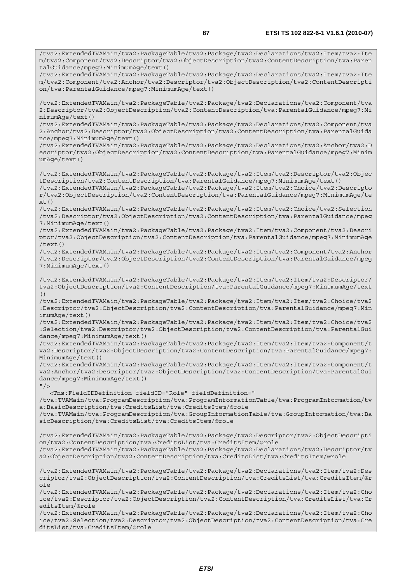/tva2:ExtendedTVAMain/tva2:PackageTable/tva2:Package/tva2:Declarations/tva2:Item/tva2:Ite m/tva2:Component/tva2:Descriptor/tva2:ObjectDescription/tva2:ContentDescription/tva:Paren talGuidance/mpeg7:MinimumAge/text() /tva2:ExtendedTVAMain/tva2:PackageTable/tva2:Package/tva2:Declarations/tva2:Item/tva2:Ite m/tva2:Component/tva2:Anchor/tva2:Descriptor/tva2:ObjectDescription/tva2:ContentDescripti on/tva:ParentalGuidance/mpeg7:MinimumAge/text() /tva2:ExtendedTVAMain/tva2:PackageTable/tva2:Package/tva2:Declarations/tva2:Component/tva 2:Descriptor/tva2:ObjectDescription/tva2:ContentDescription/tva:ParentalGuidance/mpeg7:Mi nimumAge/text() /tva2:ExtendedTVAMain/tva2:PackageTable/tva2:Package/tva2:Declarations/tva2:Component/tva 2:Anchor/tva2:Descriptor/tva2:ObjectDescription/tva2:ContentDescription/tva:ParentalGuida nce/mpeg7:MinimumAge/text() /tva2:ExtendedTVAMain/tva2:PackageTable/tva2:Package/tva2:Declarations/tva2:Anchor/tva2:D escriptor/tva2:ObjectDescription/tva2:ContentDescription/tva:ParentalGuidance/mpeg7:Minim umAge/text() /tva2:ExtendedTVAMain/tva2:PackageTable/tva2:Package/tva2:Item/tva2:Descriptor/tva2:Objec tDescription/tva2:ContentDescription/tva:ParentalGuidance/mpeg7:MinimumAge/text() /tva2:ExtendedTVAMain/tva2:PackageTable/tva2:Package/tva2:Item/tva2:Choice/tva2:Descripto r/tva2:ObjectDescription/tva2:ContentDescription/tva:ParentalGuidance/mpeg7:MinimumAge/te xt() /tva2:ExtendedTVAMain/tva2:PackageTable/tva2:Package/tva2:Item/tva2:Choice/tva2:Selection /tva2:Descriptor/tva2:ObjectDescription/tva2:ContentDescription/tva:ParentalGuidance/mpeg 7:MinimumAge/text() /tva2:ExtendedTVAMain/tva2:PackageTable/tva2:Package/tva2:Item/tva2:Component/tva2:Descri ptor/tva2:ObjectDescription/tva2:ContentDescription/tva:ParentalGuidance/mpeg7:MinimumAge /text() /tva2:ExtendedTVAMain/tva2:PackageTable/tva2:Package/tva2:Item/tva2:Component/tva2:Anchor /tva2:Descriptor/tva2:ObjectDescription/tva2:ContentDescription/tva:ParentalGuidance/mpeg 7:MinimumAge/text() /tva2:ExtendedTVAMain/tva2:PackageTable/tva2:Package/tva2:Item/tva2:Item/tva2:Descriptor/ tva2:ObjectDescription/tva2:ContentDescription/tva:ParentalGuidance/mpeg7:MinimumAge/text () /tva2:ExtendedTVAMain/tva2:PackageTable/tva2:Package/tva2:Item/tva2:Item/tva2:Choice/tva2 :Descriptor/tva2:ObjectDescription/tva2:ContentDescription/tva:ParentalGuidance/mpeg7:Min imumAge/text() /tva2:ExtendedTVAMain/tva2:PackageTable/tva2:Package/tva2:Item/tva2:Item/tva2:Choice/tva2 :Selection/tva2:Descriptor/tva2:ObjectDescription/tva2:ContentDescription/tva:ParentalGui dance/mpeg7:MinimumAge/text() /tva2:ExtendedTVAMain/tva2:PackageTable/tva2:Package/tva2:Item/tva2:Item/tva2:Component/t va2:Descriptor/tva2:ObjectDescription/tva2:ContentDescription/tva:ParentalGuidance/mpeg7: MinimumAge/text() /tva2:ExtendedTVAMain/tva2:PackageTable/tva2:Package/tva2:Item/tva2:Item/tva2:Component/t va2:Anchor/tva2:Descriptor/tva2:ObjectDescription/tva2:ContentDescription/tva:ParentalGui dance/mpeg7:MinimumAge/text()  $''$  / > <Tns:FieldIDDefinition fieldID="Role" fieldDefinition=" /tva:TVAMain/tva:ProgramDescription/tva:ProgramInformationTable/tva:ProgramInformation/tv a:BasicDescription/tva:CreditsList/tva:CreditsItem/@role /tva:TVAMain/tva:ProgramDescription/tva:GroupInformationTable/tva:GroupInformation/tva:Ba sicDescription/tva:CreditsList/tva:CreditsItem/@role /tva2:ExtendedTVAMain/tva2:PackageTable/tva2:Package/tva2:Descriptor/tva2:ObjectDescripti on/tva2:ContentDescription/tva:CreditsList/tva:CreditsItem/@role /tva2:ExtendedTVAMain/tva2:PackageTable/tva2:Package/tva2:Declarations/tva2:Descriptor/tv a2:ObjectDescription/tva2:ContentDescription/tva:CreditsList/tva:CreditsItem/@role /tva2:ExtendedTVAMain/tva2:PackageTable/tva2:Package/tva2:Declarations/tva2:Item/tva2:Des criptor/tva2:ObjectDescription/tva2:ContentDescription/tva:CreditsList/tva:CreditsItem/@r ole /tva2:ExtendedTVAMain/tva2:PackageTable/tva2:Package/tva2:Declarations/tva2:Item/tva2:Cho ice/tva2:Descriptor/tva2:ObjectDescription/tva2:ContentDescription/tva:CreditsList/tva:Cr editsItem/@role

/tva2:ExtendedTVAMain/tva2:PackageTable/tva2:Package/tva2:Declarations/tva2:Item/tva2:Cho ice/tva2:Selection/tva2:Descriptor/tva2:ObjectDescription/tva2:ContentDescription/tva:Cre ditsList/tva:CreditsItem/@role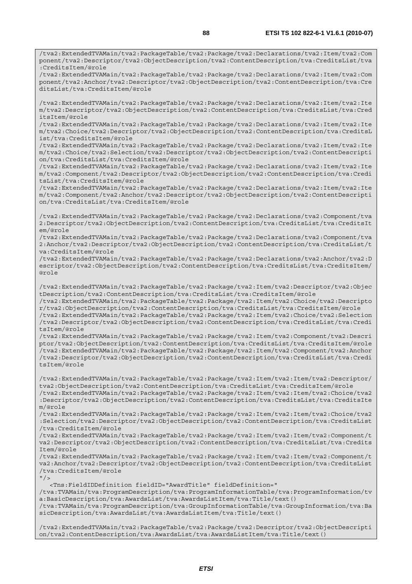/tva2:ExtendedTVAMain/tva2:PackageTable/tva2:Package/tva2:Declarations/tva2:Item/tva2:Com ponent/tva2:Descriptor/tva2:ObjectDescription/tva2:ContentDescription/tva:CreditsList/tva :CreditsItem/@role

/tva2:ExtendedTVAMain/tva2:PackageTable/tva2:Package/tva2:Declarations/tva2:Item/tva2:Com ponent/tva2:Anchor/tva2:Descriptor/tva2:ObjectDescription/tva2:ContentDescription/tva:Cre ditsList/tva:CreditsItem/@role

/tva2:ExtendedTVAMain/tva2:PackageTable/tva2:Package/tva2:Declarations/tva2:Item/tva2:Ite m/tva2:Descriptor/tva2:ObjectDescription/tva2:ContentDescription/tva:CreditsList/tva:Cred itsItem/@role

/tva2:ExtendedTVAMain/tva2:PackageTable/tva2:Package/tva2:Declarations/tva2:Item/tva2:Ite m/tva2:Choice/tva2:Descriptor/tva2:ObjectDescription/tva2:ContentDescription/tva:CreditsL ist/tva:CreditsItem/@role

/tva2:ExtendedTVAMain/tva2:PackageTable/tva2:Package/tva2:Declarations/tva2:Item/tva2:Ite m/tva2:Choice/tva2:Selection/tva2:Descriptor/tva2:ObjectDescription/tva2:ContentDescripti on/tva:CreditsList/tva:CreditsItem/@role

/tva2:ExtendedTVAMain/tva2:PackageTable/tva2:Package/tva2:Declarations/tva2:Item/tva2:Ite m/tva2:Component/tva2:Descriptor/tva2:ObjectDescription/tva2:ContentDescription/tva:Credi tsList/tva:CreditsItem/@role

/tva2:ExtendedTVAMain/tva2:PackageTable/tva2:Package/tva2:Declarations/tva2:Item/tva2:Ite m/tva2:Component/tva2:Anchor/tva2:Descriptor/tva2:ObjectDescription/tva2:ContentDescripti on/tva:CreditsList/tva:CreditsItem/@role

/tva2:ExtendedTVAMain/tva2:PackageTable/tva2:Package/tva2:Declarations/tva2:Component/tva 2:Descriptor/tva2:ObjectDescription/tva2:ContentDescription/tva:CreditsList/tva:CreditsIt em/@role

/tva2:ExtendedTVAMain/tva2:PackageTable/tva2:Package/tva2:Declarations/tva2:Component/tva 2:Anchor/tva2:Descriptor/tva2:ObjectDescription/tva2:ContentDescription/tva:CreditsList/t va:CreditsItem/@role

/tva2:ExtendedTVAMain/tva2:PackageTable/tva2:Package/tva2:Declarations/tva2:Anchor/tva2:D escriptor/tva2:ObjectDescription/tva2:ContentDescription/tva:CreditsList/tva:CreditsItem/ @role

/tva2:ExtendedTVAMain/tva2:PackageTable/tva2:Package/tva2:Item/tva2:Descriptor/tva2:Objec tDescription/tva2:ContentDescription/tva:CreditsList/tva:CreditsItem/@role

/tva2:ExtendedTVAMain/tva2:PackageTable/tva2:Package/tva2:Item/tva2:Choice/tva2:Descripto r/tva2:ObjectDescription/tva2:ContentDescription/tva:CreditsList/tva:CreditsItem/@role /tva2:ExtendedTVAMain/tva2:PackageTable/tva2:Package/tva2:Item/tva2:Choice/tva2:Selection /tva2:Descriptor/tva2:ObjectDescription/tva2:ContentDescription/tva:CreditsList/tva:Credi

tsItem/@role /tva2:ExtendedTVAMain/tva2:PackageTable/tva2:Package/tva2:Item/tva2:Component/tva2:Descri ptor/tva2:ObjectDescription/tva2:ContentDescription/tva:CreditsList/tva:CreditsItem/@role /tva2:ExtendedTVAMain/tva2:PackageTable/tva2:Package/tva2:Item/tva2:Component/tva2:Anchor /tva2:Descriptor/tva2:ObjectDescription/tva2:ContentDescription/tva:CreditsList/tva:Credi tsItem/@role

/tva2:ExtendedTVAMain/tva2:PackageTable/tva2:Package/tva2:Item/tva2:Item/tva2:Descriptor/ tva2:ObjectDescription/tva2:ContentDescription/tva:CreditsList/tva:CreditsItem/@role /tva2:ExtendedTVAMain/tva2:PackageTable/tva2:Package/tva2:Item/tva2:Item/tva2:Choice/tva2 :Descriptor/tva2:ObjectDescription/tva2:ContentDescription/tva:CreditsList/tva:CreditsIte m/@role

/tva2:ExtendedTVAMain/tva2:PackageTable/tva2:Package/tva2:Item/tva2:Item/tva2:Choice/tva2 :Selection/tva2:Descriptor/tva2:ObjectDescription/tva2:ContentDescription/tva:CreditsList /tva:CreditsItem/@role

/tva2:ExtendedTVAMain/tva2:PackageTable/tva2:Package/tva2:Item/tva2:Item/tva2:Component/t va2:Descriptor/tva2:ObjectDescription/tva2:ContentDescription/tva:CreditsList/tva:Credits Item/@role

/tva2:ExtendedTVAMain/tva2:PackageTable/tva2:Package/tva2:Item/tva2:Item/tva2:Component/t va2:Anchor/tva2:Descriptor/tva2:ObjectDescription/tva2:ContentDescription/tva:CreditsList /tva:CreditsItem/@role

 $"$  />

 <Tns:FieldIDDefinition fieldID="AwardTitle" fieldDefinition=" /tva:TVAMain/tva:ProgramDescription/tva:ProgramInformationTable/tva:ProgramInformation/tv a:BasicDescription/tva:AwardsList/tva:AwardsListItem/tva:Title/text() /tva:TVAMain/tva:ProgramDescription/tva:GroupInformationTable/tva:GroupInformation/tva:Ba sicDescription/tva:AwardsList/tva:AwardsListItem/tva:Title/text()

/tva2:ExtendedTVAMain/tva2:PackageTable/tva2:Package/tva2:Descriptor/tva2:ObjectDescripti on/tva2:ContentDescription/tva:AwardsList/tva:AwardsListItem/tva:Title/text()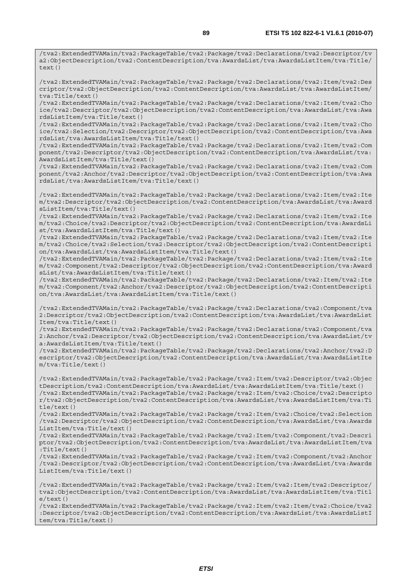/tva2:ExtendedTVAMain/tva2:PackageTable/tva2:Package/tva2:Declarations/tva2:Item/tva2:Des criptor/tva2:ObjectDescription/tva2:ContentDescription/tva:AwardsList/tva:AwardsListItem/ tva:Title/text()

/tva2:ExtendedTVAMain/tva2:PackageTable/tva2:Package/tva2:Declarations/tva2:Item/tva2:Cho ice/tva2:Descriptor/tva2:ObjectDescription/tva2:ContentDescription/tva:AwardsList/tva:Awa rdsListItem/tva:Title/text()

/tva2:ExtendedTVAMain/tva2:PackageTable/tva2:Package/tva2:Declarations/tva2:Item/tva2:Cho ice/tva2:Selection/tva2:Descriptor/tva2:ObjectDescription/tva2:ContentDescription/tva:Awa rdsList/tva:AwardsListItem/tva:Title/text()

/tva2:ExtendedTVAMain/tva2:PackageTable/tva2:Package/tva2:Declarations/tva2:Item/tva2:Com ponent/tva2:Descriptor/tva2:ObjectDescription/tva2:ContentDescription/tva:AwardsList/tva: AwardsListItem/tva:Title/text()

/tva2:ExtendedTVAMain/tva2:PackageTable/tva2:Package/tva2:Declarations/tva2:Item/tva2:Com ponent/tva2:Anchor/tva2:Descriptor/tva2:ObjectDescription/tva2:ContentDescription/tva:Awa rdsList/tva:AwardsListItem/tva:Title/text()

/tva2:ExtendedTVAMain/tva2:PackageTable/tva2:Package/tva2:Declarations/tva2:Item/tva2:Ite m/tva2:Descriptor/tva2:ObjectDescription/tva2:ContentDescription/tva:AwardsList/tva:Award sListItem/tva:Title/text()

/tva2:ExtendedTVAMain/tva2:PackageTable/tva2:Package/tva2:Declarations/tva2:Item/tva2:Ite m/tva2:Choice/tva2:Descriptor/tva2:ObjectDescription/tva2:ContentDescription/tva:AwardsLi st/tva:AwardsListItem/tva:Title/text()

/tva2:ExtendedTVAMain/tva2:PackageTable/tva2:Package/tva2:Declarations/tva2:Item/tva2:Ite m/tva2:Choice/tva2:Selection/tva2:Descriptor/tva2:ObjectDescription/tva2:ContentDescripti on/tva:AwardsList/tva:AwardsListItem/tva:Title/text()

/tva2:ExtendedTVAMain/tva2:PackageTable/tva2:Package/tva2:Declarations/tva2:Item/tva2:Ite m/tva2:Component/tva2:Descriptor/tva2:ObjectDescription/tva2:ContentDescription/tva:Award sList/tva:AwardsListItem/tva:Title/text()

/tva2:ExtendedTVAMain/tva2:PackageTable/tva2:Package/tva2:Declarations/tva2:Item/tva2:Ite m/tva2:Component/tva2:Anchor/tva2:Descriptor/tva2:ObjectDescription/tva2:ContentDescripti on/tva:AwardsList/tva:AwardsListItem/tva:Title/text()

/tva2:ExtendedTVAMain/tva2:PackageTable/tva2:Package/tva2:Declarations/tva2:Component/tva 2:Descriptor/tva2:ObjectDescription/tva2:ContentDescription/tva:AwardsList/tva:AwardsList Item/tva:Title/text()

/tva2:ExtendedTVAMain/tva2:PackageTable/tva2:Package/tva2:Declarations/tva2:Component/tva 2:Anchor/tva2:Descriptor/tva2:ObjectDescription/tva2:ContentDescription/tva:AwardsList/tv a:AwardsListItem/tva:Title/text()

/tva2:ExtendedTVAMain/tva2:PackageTable/tva2:Package/tva2:Declarations/tva2:Anchor/tva2:D escriptor/tva2:ObjectDescription/tva2:ContentDescription/tva:AwardsList/tva:AwardsListIte m/tva:Title/text()

/tva2:ExtendedTVAMain/tva2:PackageTable/tva2:Package/tva2:Item/tva2:Descriptor/tva2:Objec tDescription/tva2:ContentDescription/tva:AwardsList/tva:AwardsListItem/tva:Title/text() /tva2:ExtendedTVAMain/tva2:PackageTable/tva2:Package/tva2:Item/tva2:Choice/tva2:Descripto r/tva2:ObjectDescription/tva2:ContentDescription/tva:AwardsList/tva:AwardsListItem/tva:Ti tle/text()

/tva2:ExtendedTVAMain/tva2:PackageTable/tva2:Package/tva2:Item/tva2:Choice/tva2:Selection /tva2:Descriptor/tva2:ObjectDescription/tva2:ContentDescription/tva:AwardsList/tva:Awards ListItem/tva:Title/text()

/tva2:ExtendedTVAMain/tva2:PackageTable/tva2:Package/tva2:Item/tva2:Component/tva2:Descri ptor/tva2:ObjectDescription/tva2:ContentDescription/tva:AwardsList/tva:AwardsListItem/tva :Title/text()

/tva2:ExtendedTVAMain/tva2:PackageTable/tva2:Package/tva2:Item/tva2:Component/tva2:Anchor /tva2:Descriptor/tva2:ObjectDescription/tva2:ContentDescription/tva:AwardsList/tva:Awards ListItem/tva:Title/text()

/tva2:ExtendedTVAMain/tva2:PackageTable/tva2:Package/tva2:Item/tva2:Item/tva2:Descriptor/ tva2:ObjectDescription/tva2:ContentDescription/tva:AwardsList/tva:AwardsListItem/tva:Titl  $e$ /text()

/tva2:ExtendedTVAMain/tva2:PackageTable/tva2:Package/tva2:Item/tva2:Item/tva2:Choice/tva2 :Descriptor/tva2:ObjectDescription/tva2:ContentDescription/tva:AwardsList/tva:AwardsListI tem/tva:Title/text()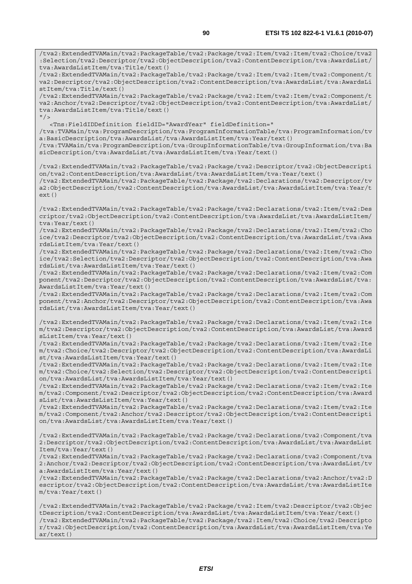/tva2:ExtendedTVAMain/tva2:PackageTable/tva2:Package/tva2:Item/tva2:Item/tva2:Choice/tva2 :Selection/tva2:Descriptor/tva2:ObjectDescription/tva2:ContentDescription/tva:AwardsList/ tva:AwardsListItem/tva:Title/text() /tva2:ExtendedTVAMain/tva2:PackageTable/tva2:Package/tva2:Item/tva2:Item/tva2:Component/t va2:Descriptor/tva2:ObjectDescription/tva2:ContentDescription/tva:AwardsList/tva:AwardsLi stItem/tva:Title/text() /tva2:ExtendedTVAMain/tva2:PackageTable/tva2:Package/tva2:Item/tva2:Item/tva2:Component/t va2:Anchor/tva2:Descriptor/tva2:ObjectDescription/tva2:ContentDescription/tva:AwardsList/ tva:AwardsListItem/tva:Title/text()  $''$  / > <Tns:FieldIDDefinition fieldID="AwardYear" fieldDefinition=" /tva:TVAMain/tva:ProgramDescription/tva:ProgramInformationTable/tva:ProgramInformation/tv a:BasicDescription/tva:AwardsList/tva:AwardsListItem/tva:Year/text() /tva:TVAMain/tva:ProgramDescription/tva:GroupInformationTable/tva:GroupInformation/tva:Ba sicDescription/tva:AwardsList/tva:AwardsListItem/tva:Year/text() /tva2:ExtendedTVAMain/tva2:PackageTable/tva2:Package/tva2:Descriptor/tva2:ObjectDescripti on/tva2:ContentDescription/tva:AwardsList/tva:AwardsListItem/tva:Year/text() /tva2:ExtendedTVAMain/tva2:PackageTable/tva2:Package/tva2:Declarations/tva2:Descriptor/tv a2:ObjectDescription/tva2:ContentDescription/tva:AwardsList/tva:AwardsListItem/tva:Year/t ext() /tva2:ExtendedTVAMain/tva2:PackageTable/tva2:Package/tva2:Declarations/tva2:Item/tva2:Des criptor/tva2:ObjectDescription/tva2:ContentDescription/tva:AwardsList/tva:AwardsListItem/ tva:Year/text() /tva2:ExtendedTVAMain/tva2:PackageTable/tva2:Package/tva2:Declarations/tva2:Item/tva2:Cho ice/tva2:Descriptor/tva2:ObjectDescription/tva2:ContentDescription/tva:AwardsList/tva:Awa rdsListItem/tva:Year/text() /tva2:ExtendedTVAMain/tva2:PackageTable/tva2:Package/tva2:Declarations/tva2:Item/tva2:Cho ice/tva2:Selection/tva2:Descriptor/tva2:ObjectDescription/tva2:ContentDescription/tva:Awa rdsList/tva:AwardsListItem/tva:Year/text() /tva2:ExtendedTVAMain/tva2:PackageTable/tva2:Package/tva2:Declarations/tva2:Item/tva2:Com ponent/tva2:Descriptor/tva2:ObjectDescription/tva2:ContentDescription/tva:AwardsList/tva: AwardsListItem/tva:Year/text() /tva2:ExtendedTVAMain/tva2:PackageTable/tva2:Package/tva2:Declarations/tva2:Item/tva2:Com ponent/tva2:Anchor/tva2:Descriptor/tva2:ObjectDescription/tva2:ContentDescription/tva:Awa rdsList/tva:AwardsListItem/tva:Year/text() /tva2:ExtendedTVAMain/tva2:PackageTable/tva2:Package/tva2:Declarations/tva2:Item/tva2:Ite m/tva2:Descriptor/tva2:ObjectDescription/tva2:ContentDescription/tva:AwardsList/tva:Award sListItem/tva:Year/text() /tva2:ExtendedTVAMain/tva2:PackageTable/tva2:Package/tva2:Declarations/tva2:Item/tva2:Ite m/tva2:Choice/tva2:Descriptor/tva2:ObjectDescription/tva2:ContentDescription/tva:AwardsLi st/tva:AwardsListItem/tva:Year/text() /tva2:ExtendedTVAMain/tva2:PackageTable/tva2:Package/tva2:Declarations/tva2:Item/tva2:Ite m/tva2:Choice/tva2:Selection/tva2:Descriptor/tva2:ObjectDescription/tva2:ContentDescripti on/tva:AwardsList/tva:AwardsListItem/tva:Year/text() /tva2:ExtendedTVAMain/tva2:PackageTable/tva2:Package/tva2:Declarations/tva2:Item/tva2:Ite m/tva2:Component/tva2:Descriptor/tva2:ObjectDescription/tva2:ContentDescription/tva:Award sList/tva:AwardsListItem/tva:Year/text() /tva2:ExtendedTVAMain/tva2:PackageTable/tva2:Package/tva2:Declarations/tva2:Item/tva2:Ite m/tva2:Component/tva2:Anchor/tva2:Descriptor/tva2:ObjectDescription/tva2:ContentDescripti on/tva:AwardsList/tva:AwardsListItem/tva:Year/text() /tva2:ExtendedTVAMain/tva2:PackageTable/tva2:Package/tva2:Declarations/tva2:Component/tva 2:Descriptor/tva2:ObjectDescription/tva2:ContentDescription/tva:AwardsList/tva:AwardsList Item/tva:Year/text() /tva2:ExtendedTVAMain/tva2:PackageTable/tva2:Package/tva2:Declarations/tva2:Component/tva 2:Anchor/tva2:Descriptor/tva2:ObjectDescription/tva2:ContentDescription/tva:AwardsList/tv a:AwardsListItem/tva:Year/text() /tva2:ExtendedTVAMain/tva2:PackageTable/tva2:Package/tva2:Declarations/tva2:Anchor/tva2:D escriptor/tva2:ObjectDescription/tva2:ContentDescription/tva:AwardsList/tva:AwardsListIte m/tva:Year/text() /tva2:ExtendedTVAMain/tva2:PackageTable/tva2:Package/tva2:Item/tva2:Descriptor/tva2:Objec tDescription/tva2:ContentDescription/tva:AwardsList/tva:AwardsListItem/tva:Year/text() /tva2:ExtendedTVAMain/tva2:PackageTable/tva2:Package/tva2:Item/tva2:Choice/tva2:Descripto

r/tva2:ObjectDescription/tva2:ContentDescription/tva:AwardsList/tva:AwardsListItem/tva:Ye ar/text()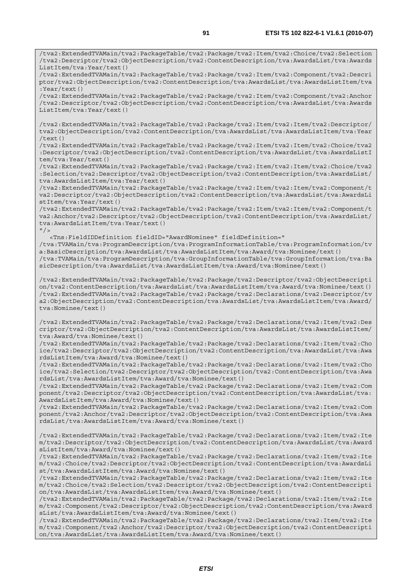/tva2:ExtendedTVAMain/tva2:PackageTable/tva2:Package/tva2:Item/tva2:Choice/tva2:Selection /tva2:Descriptor/tva2:ObjectDescription/tva2:ContentDescription/tva:AwardsList/tva:Awards ListItem/tva:Year/text()

/tva2:ExtendedTVAMain/tva2:PackageTable/tva2:Package/tva2:Item/tva2:Component/tva2:Descri ptor/tva2:ObjectDescription/tva2:ContentDescription/tva:AwardsList/tva:AwardsListItem/tva :Year/text()

/tva2:ExtendedTVAMain/tva2:PackageTable/tva2:Package/tva2:Item/tva2:Component/tva2:Anchor /tva2:Descriptor/tva2:ObjectDescription/tva2:ContentDescription/tva:AwardsList/tva:Awards ListItem/tva:Year/text()

/tva2:ExtendedTVAMain/tva2:PackageTable/tva2:Package/tva2:Item/tva2:Item/tva2:Descriptor/ tva2:ObjectDescription/tva2:ContentDescription/tva:AwardsList/tva:AwardsListItem/tva:Year /text()

/tva2:ExtendedTVAMain/tva2:PackageTable/tva2:Package/tva2:Item/tva2:Item/tva2:Choice/tva2 :Descriptor/tva2:ObjectDescription/tva2:ContentDescription/tva:AwardsList/tva:AwardsListI tem/tva:Year/text()

/tva2:ExtendedTVAMain/tva2:PackageTable/tva2:Package/tva2:Item/tva2:Item/tva2:Choice/tva2 :Selection/tva2:Descriptor/tva2:ObjectDescription/tva2:ContentDescription/tva:AwardsList/ tva:AwardsListItem/tva:Year/text()

/tva2:ExtendedTVAMain/tva2:PackageTable/tva2:Package/tva2:Item/tva2:Item/tva2:Component/t va2:Descriptor/tva2:ObjectDescription/tva2:ContentDescription/tva:AwardsList/tva:AwardsLi stItem/tva:Year/text()

/tva2:ExtendedTVAMain/tva2:PackageTable/tva2:Package/tva2:Item/tva2:Item/tva2:Component/t va2:Anchor/tva2:Descriptor/tva2:ObjectDescription/tva2:ContentDescription/tva:AwardsList/ tva:AwardsListItem/tva:Year/text()

 $"$  / > <Tns:FieldIDDefinition fieldID="AwardNominee" fieldDefinition=" /tva:TVAMain/tva:ProgramDescription/tva:ProgramInformationTable/tva:ProgramInformation/tv a:BasicDescription/tva:AwardsList/tva:AwardsListItem/tva:Award/tva:Nominee/text() /tva:TVAMain/tva:ProgramDescription/tva:GroupInformationTable/tva:GroupInformation/tva:Ba sicDescription/tva:AwardsList/tva:AwardsListItem/tva:Award/tva:Nominee/text()

/tva2:ExtendedTVAMain/tva2:PackageTable/tva2:Package/tva2:Descriptor/tva2:ObjectDescripti on/tva2:ContentDescription/tva:AwardsList/tva:AwardsListItem/tva:Award/tva:Nominee/text() /tva2:ExtendedTVAMain/tva2:PackageTable/tva2:Package/tva2:Declarations/tva2:Descriptor/tv a2:ObjectDescription/tva2:ContentDescription/tva:AwardsList/tva:AwardsListItem/tva:Award/ tva:Nominee/text()

/tva2:ExtendedTVAMain/tva2:PackageTable/tva2:Package/tva2:Declarations/tva2:Item/tva2:Des criptor/tva2:ObjectDescription/tva2:ContentDescription/tva:AwardsList/tva:AwardsListItem/ tva:Award/tva:Nominee/text()

/tva2:ExtendedTVAMain/tva2:PackageTable/tva2:Package/tva2:Declarations/tva2:Item/tva2:Cho ice/tva2:Descriptor/tva2:ObjectDescription/tva2:ContentDescription/tva:AwardsList/tva:Awa rdsListItem/tva:Award/tva:Nominee/text()

/tva2:ExtendedTVAMain/tva2:PackageTable/tva2:Package/tva2:Declarations/tva2:Item/tva2:Cho ice/tva2:Selection/tva2:Descriptor/tva2:ObjectDescription/tva2:ContentDescription/tva:Awa rdsList/tva:AwardsListItem/tva:Award/tva:Nominee/text()

/tva2:ExtendedTVAMain/tva2:PackageTable/tva2:Package/tva2:Declarations/tva2:Item/tva2:Com ponent/tva2:Descriptor/tva2:ObjectDescription/tva2:ContentDescription/tva:AwardsList/tva: AwardsListItem/tva:Award/tva:Nominee/text()

/tva2:ExtendedTVAMain/tva2:PackageTable/tva2:Package/tva2:Declarations/tva2:Item/tva2:Com ponent/tva2:Anchor/tva2:Descriptor/tva2:ObjectDescription/tva2:ContentDescription/tva:Awa rdsList/tva:AwardsListItem/tva:Award/tva:Nominee/text()

/tva2:ExtendedTVAMain/tva2:PackageTable/tva2:Package/tva2:Declarations/tva2:Item/tva2:Ite m/tva2:Descriptor/tva2:ObjectDescription/tva2:ContentDescription/tva:AwardsList/tva:Award sListItem/tva:Award/tva:Nominee/text()

/tva2:ExtendedTVAMain/tva2:PackageTable/tva2:Package/tva2:Declarations/tva2:Item/tva2:Ite m/tva2:Choice/tva2:Descriptor/tva2:ObjectDescription/tva2:ContentDescription/tva:AwardsLi st/tva:AwardsListItem/tva:Award/tva:Nominee/text()

/tva2:ExtendedTVAMain/tva2:PackageTable/tva2:Package/tva2:Declarations/tva2:Item/tva2:Ite m/tva2:Choice/tva2:Selection/tva2:Descriptor/tva2:ObjectDescription/tva2:ContentDescripti on/tva:AwardsList/tva:AwardsListItem/tva:Award/tva:Nominee/text()

/tva2:ExtendedTVAMain/tva2:PackageTable/tva2:Package/tva2:Declarations/tva2:Item/tva2:Ite m/tva2:Component/tva2:Descriptor/tva2:ObjectDescription/tva2:ContentDescription/tva:Award sList/tva:AwardsListItem/tva:Award/tva:Nominee/text()

/tva2:ExtendedTVAMain/tva2:PackageTable/tva2:Package/tva2:Declarations/tva2:Item/tva2:Ite m/tva2:Component/tva2:Anchor/tva2:Descriptor/tva2:ObjectDescription/tva2:ContentDescripti on/tva:AwardsList/tva:AwardsListItem/tva:Award/tva:Nominee/text()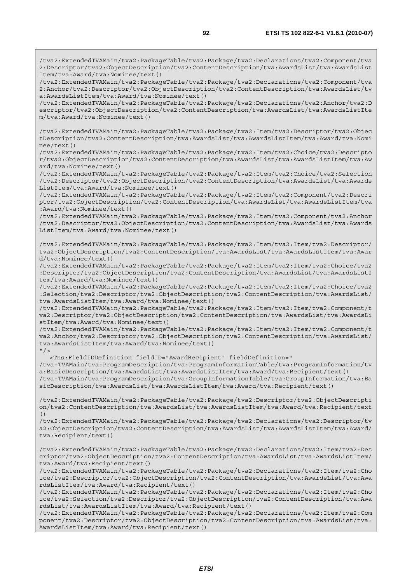/tva2:ExtendedTVAMain/tva2:PackageTable/tva2:Package/tva2:Declarations/tva2:Component/tva 2:Descriptor/tva2:ObjectDescription/tva2:ContentDescription/tva:AwardsList/tva:AwardsList Item/tva:Award/tva:Nominee/text()

/tva2:ExtendedTVAMain/tva2:PackageTable/tva2:Package/tva2:Declarations/tva2:Component/tva 2:Anchor/tva2:Descriptor/tva2:ObjectDescription/tva2:ContentDescription/tva:AwardsList/tv a:AwardsListItem/tva:Award/tva:Nominee/text()

/tva2:ExtendedTVAMain/tva2:PackageTable/tva2:Package/tva2:Declarations/tva2:Anchor/tva2:D escriptor/tva2:ObjectDescription/tva2:ContentDescription/tva:AwardsList/tva:AwardsListIte m/tva:Award/tva:Nominee/text()

/tva2:ExtendedTVAMain/tva2:PackageTable/tva2:Package/tva2:Item/tva2:Descriptor/tva2:Objec tDescription/tva2:ContentDescription/tva:AwardsList/tva:AwardsListItem/tva:Award/tva:Nomi nee/text()

/tva2:ExtendedTVAMain/tva2:PackageTable/tva2:Package/tva2:Item/tva2:Choice/tva2:Descripto r/tva2:ObjectDescription/tva2:ContentDescription/tva:AwardsList/tva:AwardsListItem/tva:Aw ard/tva:Nominee/text()

/tva2:ExtendedTVAMain/tva2:PackageTable/tva2:Package/tva2:Item/tva2:Choice/tva2:Selection /tva2:Descriptor/tva2:ObjectDescription/tva2:ContentDescription/tva:AwardsList/tva:Awards ListItem/tva:Award/tva:Nominee/text()

/tva2:ExtendedTVAMain/tva2:PackageTable/tva2:Package/tva2:Item/tva2:Component/tva2:Descri ptor/tva2:ObjectDescription/tva2:ContentDescription/tva:AwardsList/tva:AwardsListItem/tva :Award/tva:Nominee/text()

/tva2:ExtendedTVAMain/tva2:PackageTable/tva2:Package/tva2:Item/tva2:Component/tva2:Anchor /tva2:Descriptor/tva2:ObjectDescription/tva2:ContentDescription/tva:AwardsList/tva:Awards ListItem/tva:Award/tva:Nominee/text()

/tva2:ExtendedTVAMain/tva2:PackageTable/tva2:Package/tva2:Item/tva2:Item/tva2:Descriptor/ tva2:ObjectDescription/tva2:ContentDescription/tva:AwardsList/tva:AwardsListItem/tva:Awar d/tva:Nominee/text()

/tva2:ExtendedTVAMain/tva2:PackageTable/tva2:Package/tva2:Item/tva2:Item/tva2:Choice/tva2 :Descriptor/tva2:ObjectDescription/tva2:ContentDescription/tva:AwardsList/tva:AwardsListI tem/tva:Award/tva:Nominee/text()

/tva2:ExtendedTVAMain/tva2:PackageTable/tva2:Package/tva2:Item/tva2:Item/tva2:Choice/tva2 :Selection/tva2:Descriptor/tva2:ObjectDescription/tva2:ContentDescription/tva:AwardsList/ tva:AwardsListItem/tva:Award/tva:Nominee/text()

/tva2:ExtendedTVAMain/tva2:PackageTable/tva2:Package/tva2:Item/tva2:Item/tva2:Component/t va2:Descriptor/tva2:ObjectDescription/tva2:ContentDescription/tva:AwardsList/tva:AwardsLi stItem/tva:Award/tva:Nominee/text()

/tva2:ExtendedTVAMain/tva2:PackageTable/tva2:Package/tva2:Item/tva2:Item/tva2:Component/t va2:Anchor/tva2:Descriptor/tva2:ObjectDescription/tva2:ContentDescription/tva:AwardsList/ tva:AwardsListItem/tva:Award/tva:Nominee/text()  $"$ />

<Tns:FieldIDDefinition fieldID="AwardRecipient" fieldDefinition="

/tva:TVAMain/tva:ProgramDescription/tva:ProgramInformationTable/tva:ProgramInformation/tv a:BasicDescription/tva:AwardsList/tva:AwardsListItem/tva:Award/tva:Recipient/text() /tva:TVAMain/tva:ProgramDescription/tva:GroupInformationTable/tva:GroupInformation/tva:Ba sicDescription/tva:AwardsList/tva:AwardsListItem/tva:Award/tva:Recipient/text()

/tva2:ExtendedTVAMain/tva2:PackageTable/tva2:Package/tva2:Descriptor/tva2:ObjectDescripti on/tva2:ContentDescription/tva:AwardsList/tva:AwardsListItem/tva:Award/tva:Recipient/text ()

/tva2:ExtendedTVAMain/tva2:PackageTable/tva2:Package/tva2:Declarations/tva2:Descriptor/tv a2:ObjectDescription/tva2:ContentDescription/tva:AwardsList/tva:AwardsListItem/tva:Award/ tva:Recipient/text()

/tva2:ExtendedTVAMain/tva2:PackageTable/tva2:Package/tva2:Declarations/tva2:Item/tva2:Des criptor/tva2:ObjectDescription/tva2:ContentDescription/tva:AwardsList/tva:AwardsListItem/ tva:Award/tva:Recipient/text()

/tva2:ExtendedTVAMain/tva2:PackageTable/tva2:Package/tva2:Declarations/tva2:Item/tva2:Cho ice/tva2:Descriptor/tva2:ObjectDescription/tva2:ContentDescription/tva:AwardsList/tva:Awa rdsListItem/tva:Award/tva:Recipient/text()

/tva2:ExtendedTVAMain/tva2:PackageTable/tva2:Package/tva2:Declarations/tva2:Item/tva2:Cho ice/tva2:Selection/tva2:Descriptor/tva2:ObjectDescription/tva2:ContentDescription/tva:Awa rdsList/tva:AwardsListItem/tva:Award/tva:Recipient/text()

/tva2:ExtendedTVAMain/tva2:PackageTable/tva2:Package/tva2:Declarations/tva2:Item/tva2:Com ponent/tva2:Descriptor/tva2:ObjectDescription/tva2:ContentDescription/tva:AwardsList/tva: AwardsListItem/tva:Award/tva:Recipient/text()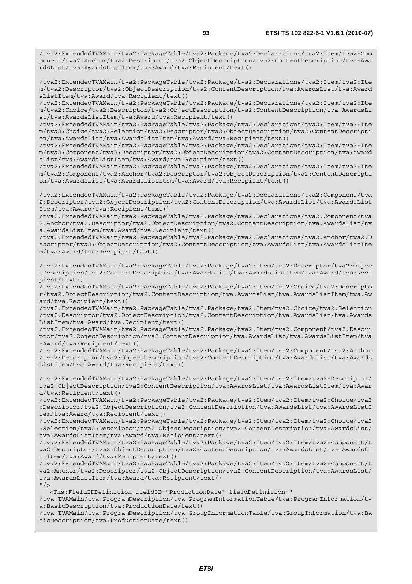/tva2:ExtendedTVAMain/tva2:PackageTable/tva2:Package/tva2:Declarations/tva2:Item/tva2:Ite m/tva2:Descriptor/tva2:ObjectDescription/tva2:ContentDescription/tva:AwardsList/tva:Award sListItem/tva:Award/tva:Recipient/text()

/tva2:ExtendedTVAMain/tva2:PackageTable/tva2:Package/tva2:Declarations/tva2:Item/tva2:Ite m/tva2:Choice/tva2:Descriptor/tva2:ObjectDescription/tva2:ContentDescription/tva:AwardsLi st/tva:AwardsListItem/tva:Award/tva:Recipient/text()

/tva2:ExtendedTVAMain/tva2:PackageTable/tva2:Package/tva2:Declarations/tva2:Item/tva2:Ite m/tva2:Choice/tva2:Selection/tva2:Descriptor/tva2:ObjectDescription/tva2:ContentDescripti on/tva:AwardsList/tva:AwardsListItem/tva:Award/tva:Recipient/text()

/tva2:ExtendedTVAMain/tva2:PackageTable/tva2:Package/tva2:Declarations/tva2:Item/tva2:Ite m/tva2:Component/tva2:Descriptor/tva2:ObjectDescription/tva2:ContentDescription/tva:Award sList/tva:AwardsListItem/tva:Award/tva:Recipient/text()

/tva2:ExtendedTVAMain/tva2:PackageTable/tva2:Package/tva2:Declarations/tva2:Item/tva2:Ite m/tva2:Component/tva2:Anchor/tva2:Descriptor/tva2:ObjectDescription/tva2:ContentDescripti on/tva:AwardsList/tva:AwardsListItem/tva:Award/tva:Recipient/text()

/tva2:ExtendedTVAMain/tva2:PackageTable/tva2:Package/tva2:Declarations/tva2:Component/tva 2:Descriptor/tva2:ObjectDescription/tva2:ContentDescription/tva:AwardsList/tva:AwardsList Item/tva:Award/tva:Recipient/text()

/tva2:ExtendedTVAMain/tva2:PackageTable/tva2:Package/tva2:Declarations/tva2:Component/tva 2:Anchor/tva2:Descriptor/tva2:ObjectDescription/tva2:ContentDescription/tva:AwardsList/tv a:AwardsListItem/tva:Award/tva:Recipient/text()

/tva2:ExtendedTVAMain/tva2:PackageTable/tva2:Package/tva2:Declarations/tva2:Anchor/tva2:D escriptor/tva2:ObjectDescription/tva2:ContentDescription/tva:AwardsList/tva:AwardsListIte m/tva:Award/tva:Recipient/text()

/tva2:ExtendedTVAMain/tva2:PackageTable/tva2:Package/tva2:Item/tva2:Descriptor/tva2:Objec tDescription/tva2:ContentDescription/tva:AwardsList/tva:AwardsListItem/tva:Award/tva:Reci pient/text()

/tva2:ExtendedTVAMain/tva2:PackageTable/tva2:Package/tva2:Item/tva2:Choice/tva2:Descripto r/tva2:ObjectDescription/tva2:ContentDescription/tva:AwardsList/tva:AwardsListItem/tva:Aw ard/tva:Recipient/text()

/tva2:ExtendedTVAMain/tva2:PackageTable/tva2:Package/tva2:Item/tva2:Choice/tva2:Selection /tva2:Descriptor/tva2:ObjectDescription/tva2:ContentDescription/tva:AwardsList/tva:Awards ListItem/tva:Award/tva:Recipient/text()

/tva2:ExtendedTVAMain/tva2:PackageTable/tva2:Package/tva2:Item/tva2:Component/tva2:Descri ptor/tva2:ObjectDescription/tva2:ContentDescription/tva:AwardsList/tva:AwardsListItem/tva :Award/tva:Recipient/text()

/tva2:ExtendedTVAMain/tva2:PackageTable/tva2:Package/tva2:Item/tva2:Component/tva2:Anchor /tva2:Descriptor/tva2:ObjectDescription/tva2:ContentDescription/tva:AwardsList/tva:Awards ListItem/tva:Award/tva:Recipient/text()

/tva2:ExtendedTVAMain/tva2:PackageTable/tva2:Package/tva2:Item/tva2:Item/tva2:Descriptor/ tva2:ObjectDescription/tva2:ContentDescription/tva:AwardsList/tva:AwardsListItem/tva:Awar d/tva:Recipient/text()

/tva2:ExtendedTVAMain/tva2:PackageTable/tva2:Package/tva2:Item/tva2:Item/tva2:Choice/tva2 :Descriptor/tva2:ObjectDescription/tva2:ContentDescription/tva:AwardsList/tva:AwardsListI tem/tva:Award/tva:Recipient/text()

/tva2:ExtendedTVAMain/tva2:PackageTable/tva2:Package/tva2:Item/tva2:Item/tva2:Choice/tva2 :Selection/tva2:Descriptor/tva2:ObjectDescription/tva2:ContentDescription/tva:AwardsList/ tva:AwardsListItem/tva:Award/tva:Recipient/text()

/tva2:ExtendedTVAMain/tva2:PackageTable/tva2:Package/tva2:Item/tva2:Item/tva2:Component/t va2:Descriptor/tva2:ObjectDescription/tva2:ContentDescription/tva:AwardsList/tva:AwardsLi stItem/tva:Award/tva:Recipient/text()

/tva2:ExtendedTVAMain/tva2:PackageTable/tva2:Package/tva2:Item/tva2:Item/tva2:Component/t va2:Anchor/tva2:Descriptor/tva2:ObjectDescription/tva2:ContentDescription/tva:AwardsList/ tva:AwardsListItem/tva:Award/tva:Recipient/text()  $"$  />

<Tns:FieldIDDefinition fieldID="ProductionDate" fieldDefinition="

/tva:TVAMain/tva:ProgramDescription/tva:ProgramInformationTable/tva:ProgramInformation/tv a:BasicDescription/tva:ProductionDate/text()

/tva:TVAMain/tva:ProgramDescription/tva:GroupInformationTable/tva:GroupInformation/tva:Ba sicDescription/tva:ProductionDate/text()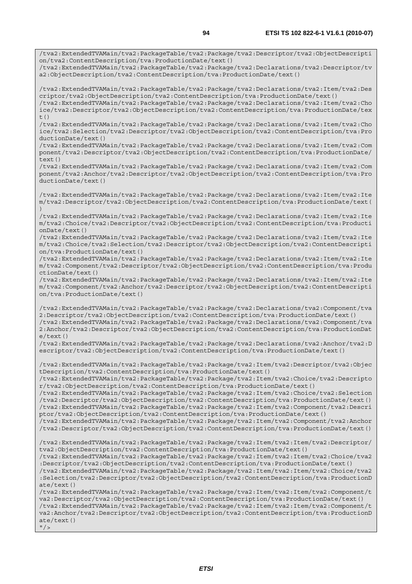/tva2:ExtendedTVAMain/tva2:PackageTable/tva2:Package/tva2:Descriptor/tva2:ObjectDescripti on/tva2:ContentDescription/tva:ProductionDate/text() /tva2:ExtendedTVAMain/tva2:PackageTable/tva2:Package/tva2:Declarations/tva2:Descriptor/tv a2:ObjectDescription/tva2:ContentDescription/tva:ProductionDate/text() /tva2:ExtendedTVAMain/tva2:PackageTable/tva2:Package/tva2:Declarations/tva2:Item/tva2:Des criptor/tva2:ObjectDescription/tva2:ContentDescription/tva:ProductionDate/text() /tva2:ExtendedTVAMain/tva2:PackageTable/tva2:Package/tva2:Declarations/tva2:Item/tva2:Cho ice/tva2:Descriptor/tva2:ObjectDescription/tva2:ContentDescription/tva:ProductionDate/tex  $t($ ) /tva2:ExtendedTVAMain/tva2:PackageTable/tva2:Package/tva2:Declarations/tva2:Item/tva2:Cho ice/tva2:Selection/tva2:Descriptor/tva2:ObjectDescription/tva2:ContentDescription/tva:Pro ductionDate/text() /tva2:ExtendedTVAMain/tva2:PackageTable/tva2:Package/tva2:Declarations/tva2:Item/tva2:Com ponent/tva2:Descriptor/tva2:ObjectDescription/tva2:ContentDescription/tva:ProductionDate/ text() /tva2:ExtendedTVAMain/tva2:PackageTable/tva2:Package/tva2:Declarations/tva2:Item/tva2:Com ponent/tva2:Anchor/tva2:Descriptor/tva2:ObjectDescription/tva2:ContentDescription/tva:Pro ductionDate/text() /tva2:ExtendedTVAMain/tva2:PackageTable/tva2:Package/tva2:Declarations/tva2:Item/tva2:Ite m/tva2:Descriptor/tva2:ObjectDescription/tva2:ContentDescription/tva:ProductionDate/text( ) /tva2:ExtendedTVAMain/tva2:PackageTable/tva2:Package/tva2:Declarations/tva2:Item/tva2:Ite m/tva2:Choice/tva2:Descriptor/tva2:ObjectDescription/tva2:ContentDescription/tva:Producti onDate/text() /tva2:ExtendedTVAMain/tva2:PackageTable/tva2:Package/tva2:Declarations/tva2:Item/tva2:Ite m/tva2:Choice/tva2:Selection/tva2:Descriptor/tva2:ObjectDescription/tva2:ContentDescripti on/tva:ProductionDate/text() /tva2:ExtendedTVAMain/tva2:PackageTable/tva2:Package/tva2:Declarations/tva2:Item/tva2:Ite m/tva2:Component/tva2:Descriptor/tva2:ObjectDescription/tva2:ContentDescription/tva:Produ ctionDate/text() /tva2:ExtendedTVAMain/tva2:PackageTable/tva2:Package/tva2:Declarations/tva2:Item/tva2:Ite m/tva2:Component/tva2:Anchor/tva2:Descriptor/tva2:ObjectDescription/tva2:ContentDescripti on/tva:ProductionDate/text() /tva2:ExtendedTVAMain/tva2:PackageTable/tva2:Package/tva2:Declarations/tva2:Component/tva 2:Descriptor/tva2:ObjectDescription/tva2:ContentDescription/tva:ProductionDate/text() /tva2:ExtendedTVAMain/tva2:PackageTable/tva2:Package/tva2:Declarations/tva2:Component/tva 2:Anchor/tva2:Descriptor/tva2:ObjectDescription/tva2:ContentDescription/tva:ProductionDat e/text() /tva2:ExtendedTVAMain/tva2:PackageTable/tva2:Package/tva2:Declarations/tva2:Anchor/tva2:D escriptor/tva2:ObjectDescription/tva2:ContentDescription/tva:ProductionDate/text() /tva2:ExtendedTVAMain/tva2:PackageTable/tva2:Package/tva2:Item/tva2:Descriptor/tva2:Objec tDescription/tva2:ContentDescription/tva:ProductionDate/text() /tva2:ExtendedTVAMain/tva2:PackageTable/tva2:Package/tva2:Item/tva2:Choice/tva2:Descripto r/tva2:ObjectDescription/tva2:ContentDescription/tva:ProductionDate/text() /tva2:ExtendedTVAMain/tva2:PackageTable/tva2:Package/tva2:Item/tva2:Choice/tva2:Selection /tva2:Descriptor/tva2:ObjectDescription/tva2:ContentDescription/tva:ProductionDate/text() /tva2:ExtendedTVAMain/tva2:PackageTable/tva2:Package/tva2:Item/tva2:Component/tva2:Descri ptor/tva2:ObjectDescription/tva2:ContentDescription/tva:ProductionDate/text() /tva2:ExtendedTVAMain/tva2:PackageTable/tva2:Package/tva2:Item/tva2:Component/tva2:Anchor /tva2:Descriptor/tva2:ObjectDescription/tva2:ContentDescription/tva:ProductionDate/text() /tva2:ExtendedTVAMain/tva2:PackageTable/tva2:Package/tva2:Item/tva2:Item/tva2:Descriptor/ tva2:ObjectDescription/tva2:ContentDescription/tva:ProductionDate/text() /tva2:ExtendedTVAMain/tva2:PackageTable/tva2:Package/tva2:Item/tva2:Item/tva2:Choice/tva2 :Descriptor/tva2:ObjectDescription/tva2:ContentDescription/tva:ProductionDate/text() /tva2:ExtendedTVAMain/tva2:PackageTable/tva2:Package/tva2:Item/tva2:Item/tva2:Choice/tva2 :Selection/tva2:Descriptor/tva2:ObjectDescription/tva2:ContentDescription/tva:ProductionD ate/text() /tva2:ExtendedTVAMain/tva2:PackageTable/tva2:Package/tva2:Item/tva2:Item/tva2:Component/t va2:Descriptor/tva2:ObjectDescription/tva2:ContentDescription/tva:ProductionDate/text() /tva2:ExtendedTVAMain/tva2:PackageTable/tva2:Package/tva2:Item/tva2:Item/tva2:Component/t va2:Anchor/tva2:Descriptor/tva2:ObjectDescription/tva2:ContentDescription/tva:ProductionD ate/text()  $''$  / >

*ETSI*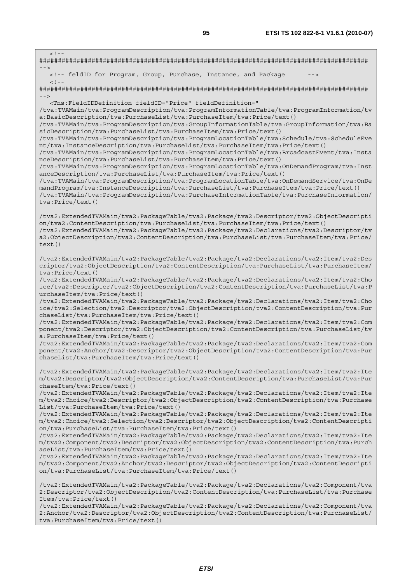| $<$ ! --                                                                                                                                                                                                                                                                                                                                                                                                                                                                                                                                                                                                                                                                                                                                                                                                                                                                                                                                                                                                                                                                                                                                                                                                                             |
|--------------------------------------------------------------------------------------------------------------------------------------------------------------------------------------------------------------------------------------------------------------------------------------------------------------------------------------------------------------------------------------------------------------------------------------------------------------------------------------------------------------------------------------------------------------------------------------------------------------------------------------------------------------------------------------------------------------------------------------------------------------------------------------------------------------------------------------------------------------------------------------------------------------------------------------------------------------------------------------------------------------------------------------------------------------------------------------------------------------------------------------------------------------------------------------------------------------------------------------|
| $- - >$<br><!-- feldID for Program, Group, Purchase, Instance, and Package<br> $--$                                                                                                                                                                                                                                                                                                                                                                                                                                                                                                                                                                                                                                                                                                                                                                                                                                                                                                                                                                                                                                                                                                                                                  |
| $<$ ! --                                                                                                                                                                                                                                                                                                                                                                                                                                                                                                                                                                                                                                                                                                                                                                                                                                                                                                                                                                                                                                                                                                                                                                                                                             |
| $--$<br><Tns:FieldIDDefinition fieldID="Price" fieldDefinition="<br>/tva:TVAMain/tva:ProgramDescription/tva:ProgramInformationTable/tva:ProgramInformation/tv<br>a:BasicDescription/tva:PurchaseList/tva:PurchaseItem/tva:Price/text()<br>/tva:TVAMain/tva:ProgramDescription/tva:GroupInformationTable/tva:GroupInformation/tva:Ba<br>sicDescription/tva:PurchaseList/tva:PurchaseItem/tva:Price/text()<br>/tva:TVAMain/tva:ProgramDescription/tva:ProgramLocationTable/tva:Schedule/tva:ScheduleEve<br>nt/tva:InstanceDescription/tva:PurchaseList/tva:PurchaseItem/tva:Price/text()<br>/tva:TVAMain/tva:ProgramDescription/tva:ProgramLocationTable/tva:BroadcastEvent/tva:Insta<br>nceDescription/tva:PurchaseList/tva:PurchaseItem/tva:Price/text()<br>/tva:TVAMain/tva:ProgramDescription/tva:ProgramLocationTable/tva:OnDemandProgram/tva:Inst<br>anceDescription/tva:PurchaseList/tva:PurchaseItem/tva:Price/text()<br>/tva:TVAMain/tva:ProgramDescription/tva:ProgramLocationTable/tva:OnDemandService/tva:OnDe<br>mandProgram/tva:InstanceDescription/tva:PurchaseList/tva:PurchaseItem/tva:Price/text()<br>/tva:TVAMain/tva:ProgramDescription/tva:PurchaseInformationTable/tva:PurchaseInformation/<br>tva: Price/text() |
| /tva2:ExtendedTVAMain/tva2:PackageTable/tva2:Package/tva2:Descriptor/tva2:ObjectDescripti<br>on/tva2:ContentDescription/tva:PurchaseList/tva:PurchaseItem/tva:Price/text()<br>/tva2:ExtendedTVAMain/tva2:PackageTable/tva2:Package/tva2:Declarations/tva2:Descriptor/tv<br>a2:ObjectDescription/tva2:ContentDescription/tva:PurchaseList/tva:PurchaseItem/tva:Price/<br>text()                                                                                                                                                                                                                                                                                                                                                                                                                                                                                                                                                                                                                                                                                                                                                                                                                                                       |
| /tva2:ExtendedTVAMain/tva2:PackageTable/tva2:Package/tva2:Declarations/tva2:Item/tva2:Des<br>criptor/tva2:ObjectDescription/tva2:ContentDescription/tva:PurchaseList/tva:PurchaseItem/<br>tva: Price/text()                                                                                                                                                                                                                                                                                                                                                                                                                                                                                                                                                                                                                                                                                                                                                                                                                                                                                                                                                                                                                          |
| tva2:ExtendedTVAMain/tva2:PackageTable/tva2:Package/tva2:Declarations/tva2:Item/tva2:Cho/<br>ice/tva2:Descriptor/tva2:ObjectDescription/tva2:ContentDescription/tva:PurchaseList/tva:P<br>urchaseItem/tva:Price/text()                                                                                                                                                                                                                                                                                                                                                                                                                                                                                                                                                                                                                                                                                                                                                                                                                                                                                                                                                                                                               |
| tva2:ExtendedTVAMain/tva2:PackageTable/tva2:Package/tva2:Declarations/tva2:Item/tva2:Cho/<br>ice/tva2:Selection/tva2:Descriptor/tva2:ObjectDescription/tva2:ContentDescription/tva:Pur<br>chaseList/tva:PurchaseItem/tva:Price/text()                                                                                                                                                                                                                                                                                                                                                                                                                                                                                                                                                                                                                                                                                                                                                                                                                                                                                                                                                                                                |
| /tva2:ExtendedTVAMain/tva2:PackageTable/tva2:Package/tva2:Declarations/tva2:Item/tva2:Com<br>ponent/tva2:Descriptor/tva2:ObjectDescription/tva2:ContentDescription/tva:PurchaseList/tv<br>a:PurchaseItem/tva:Price/text()                                                                                                                                                                                                                                                                                                                                                                                                                                                                                                                                                                                                                                                                                                                                                                                                                                                                                                                                                                                                            |
| /tva2:ExtendedTVAMain/tva2:PackageTable/tva2:Package/tva2:Declarations/tva2:Item/tva2:Com<br>ponent/tva2:Anchor/tva2:Descriptor/tva2:ObjectDescription/tva2:ContentDescription/tva:Pur<br>chaseList/tva:PurchaseItem/tva:Price/text()                                                                                                                                                                                                                                                                                                                                                                                                                                                                                                                                                                                                                                                                                                                                                                                                                                                                                                                                                                                                |
| /tva2:ExtendedTVAMain/tva2:PackageTable/tva2:Package/tva2:Declarations/tva2:Item/tva2:Ite<br>m/tva2:Descriptor/tva2:ObjectDescription/tva2:ContentDescription/tva:PurchaseList/tva:Pur<br>chaseItem/tva:Price/text()                                                                                                                                                                                                                                                                                                                                                                                                                                                                                                                                                                                                                                                                                                                                                                                                                                                                                                                                                                                                                 |
| /tva2:ExtendedTVAMain/tva2:PackageTable/tva2:Package/tva2:Declarations/tva2:Item/tva2:Ite<br>m/tva2:Choice/tva2:Descriptor/tva2:ObjectDescription/tva2:ContentDescription/tva:Purchase<br>List/tva:PurchaseItem/tva:Price/text()                                                                                                                                                                                                                                                                                                                                                                                                                                                                                                                                                                                                                                                                                                                                                                                                                                                                                                                                                                                                     |
| /tva2:ExtendedTVAMain/tva2:PackageTable/tva2:Package/tva2:Declarations/tva2:Item/tva2:Ite<br>m/tva2:Choice/tva2:Selection/tva2:Descriptor/tva2:ObjectDescription/tva2:ContentDescripti<br>on/tva:PurchaseList/tva:PurchaseItem/tva:Price/text()                                                                                                                                                                                                                                                                                                                                                                                                                                                                                                                                                                                                                                                                                                                                                                                                                                                                                                                                                                                      |
| /tva2:ExtendedTVAMain/tva2:PackageTable/tva2:Package/tva2:Declarations/tva2:Item/tva2:Ite<br>m/tva2:Component/tva2:Descriptor/tva2:ObjectDescription/tva2:ContentDescription/tva:Purch<br>aseList/tva:PurchaseItem/tva:Price/text()                                                                                                                                                                                                                                                                                                                                                                                                                                                                                                                                                                                                                                                                                                                                                                                                                                                                                                                                                                                                  |
| tva2:ExtendedTVAMain/tva2:PackageTable/tva2:Package/tva2:Declarations/tva2:Item/tva2:Ite/<br>m/tva2:Component/tva2:Anchor/tva2:Descriptor/tva2:ObjectDescription/tva2:ContentDescripti<br>on/tva:PurchaseList/tva:PurchaseItem/tva:Price/text()                                                                                                                                                                                                                                                                                                                                                                                                                                                                                                                                                                                                                                                                                                                                                                                                                                                                                                                                                                                      |
| /tva2:ExtendedTVAMain/tva2:PackageTable/tva2:Package/tva2:Declarations/tva2:Component/tva<br>2:Descriptor/tva2:ObjectDescription/tva2:ContentDescription/tva:PurchaseList/tva:Purchase<br>Item/tva:Price/text()                                                                                                                                                                                                                                                                                                                                                                                                                                                                                                                                                                                                                                                                                                                                                                                                                                                                                                                                                                                                                      |
| /tva2:ExtendedTVAMain/tva2:PackageTable/tva2:Package/tva2:Declarations/tva2:Component/tva<br>2:Anchor/tva2:Descriptor/tva2:ObjectDescription/tva2:ContentDescription/tva:PurchaseList/<br>tva: PurchaseItem/tva: Price/text()                                                                                                                                                                                                                                                                                                                                                                                                                                                                                                                                                                                                                                                                                                                                                                                                                                                                                                                                                                                                        |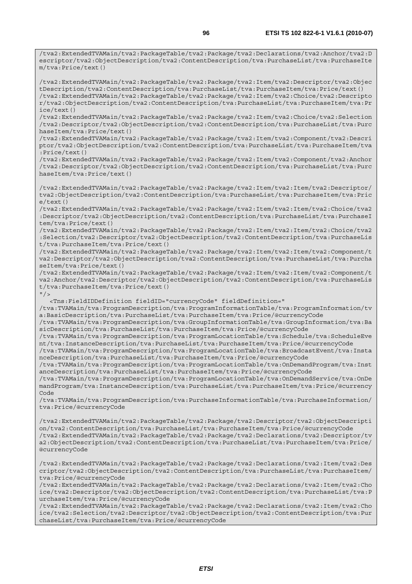/tva2:ExtendedTVAMain/tva2:PackageTable/tva2:Package/tva2:Declarations/tva2:Anchor/tva2:D escriptor/tva2:ObjectDescription/tva2:ContentDescription/tva:PurchaseList/tva:PurchaseIte m/tva:Price/text()

/tva2:ExtendedTVAMain/tva2:PackageTable/tva2:Package/tva2:Item/tva2:Descriptor/tva2:Objec tDescription/tva2:ContentDescription/tva:PurchaseList/tva:PurchaseItem/tva:Price/text() /tva2:ExtendedTVAMain/tva2:PackageTable/tva2:Package/tva2:Item/tva2:Choice/tva2:Descripto r/tva2:ObjectDescription/tva2:ContentDescription/tva:PurchaseList/tva:PurchaseItem/tva:Pr ice/text()

/tva2:ExtendedTVAMain/tva2:PackageTable/tva2:Package/tva2:Item/tva2:Choice/tva2:Selection /tva2:Descriptor/tva2:ObjectDescription/tva2:ContentDescription/tva:PurchaseList/tva:Purc haseItem/tva:Price/text()

/tva2:ExtendedTVAMain/tva2:PackageTable/tva2:Package/tva2:Item/tva2:Component/tva2:Descri ptor/tva2:ObjectDescription/tva2:ContentDescription/tva:PurchaseList/tva:PurchaseItem/tva :Price/text()

/tva2:ExtendedTVAMain/tva2:PackageTable/tva2:Package/tva2:Item/tva2:Component/tva2:Anchor /tva2:Descriptor/tva2:ObjectDescription/tva2:ContentDescription/tva:PurchaseList/tva:Purc haseItem/tva:Price/text()

/tva2:ExtendedTVAMain/tva2:PackageTable/tva2:Package/tva2:Item/tva2:Item/tva2:Descriptor/ tva2:ObjectDescription/tva2:ContentDescription/tva:PurchaseList/tva:PurchaseItem/tva:Pric e/text()

/tva2:ExtendedTVAMain/tva2:PackageTable/tva2:Package/tva2:Item/tva2:Item/tva2:Choice/tva2 :Descriptor/tva2:ObjectDescription/tva2:ContentDescription/tva:PurchaseList/tva:PurchaseI tem/tva:Price/text()

/tva2:ExtendedTVAMain/tva2:PackageTable/tva2:Package/tva2:Item/tva2:Item/tva2:Choice/tva2 :Selection/tva2:Descriptor/tva2:ObjectDescription/tva2:ContentDescription/tva:PurchaseLis t/tva:PurchaseItem/tva:Price/text()

/tva2:ExtendedTVAMain/tva2:PackageTable/tva2:Package/tva2:Item/tva2:Item/tva2:Component/t va2:Descriptor/tva2:ObjectDescription/tva2:ContentDescription/tva:PurchaseList/tva:Purcha seItem/tva:Price/text()

/tva2:ExtendedTVAMain/tva2:PackageTable/tva2:Package/tva2:Item/tva2:Item/tva2:Component/t va2:Anchor/tva2:Descriptor/tva2:ObjectDescription/tva2:ContentDescription/tva:PurchaseLis t/tva:PurchaseItem/tva:Price/text()

 $"$  />

<Tns:FieldIDDefinition fieldID="currencyCode" fieldDefinition="

/tva:TVAMain/tva:ProgramDescription/tva:ProgramInformationTable/tva:ProgramInformation/tv a:BasicDescription/tva:PurchaseList/tva:PurchaseItem/tva:Price/@currencyCode

/tva:TVAMain/tva:ProgramDescription/tva:GroupInformationTable/tva:GroupInformation/tva:Ba sicDescription/tva:PurchaseList/tva:PurchaseItem/tva:Price/@currencyCode

/tva:TVAMain/tva:ProgramDescription/tva:ProgramLocationTable/tva:Schedule/tva:ScheduleEve nt/tva:InstanceDescription/tva:PurchaseList/tva:PurchaseItem/tva:Price/@currencyCode

/tva:TVAMain/tva:ProgramDescription/tva:ProgramLocationTable/tva:BroadcastEvent/tva:Insta nceDescription/tva:PurchaseList/tva:PurchaseItem/tva:Price/@currencyCode

/tva:TVAMain/tva:ProgramDescription/tva:ProgramLocationTable/tva:OnDemandProgram/tva:Inst anceDescription/tva:PurchaseList/tva:PurchaseItem/tva:Price/@currencyCode

/tva:TVAMain/tva:ProgramDescription/tva:ProgramLocationTable/tva:OnDemandService/tva:OnDe mandProgram/tva:InstanceDescription/tva:PurchaseList/tva:PurchaseItem/tva:Price/@currency Code

/tva:TVAMain/tva:ProgramDescription/tva:PurchaseInformationTable/tva:PurchaseInformation/ tva:Price/@currencyCode

/tva2:ExtendedTVAMain/tva2:PackageTable/tva2:Package/tva2:Descriptor/tva2:ObjectDescripti on/tva2:ContentDescription/tva:PurchaseList/tva:PurchaseItem/tva:Price/@currencyCode /tva2:ExtendedTVAMain/tva2:PackageTable/tva2:Package/tva2:Declarations/tva2:Descriptor/tv a2:ObjectDescription/tva2:ContentDescription/tva:PurchaseList/tva:PurchaseItem/tva:Price/ @currencyCode

/tva2:ExtendedTVAMain/tva2:PackageTable/tva2:Package/tva2:Declarations/tva2:Item/tva2:Des criptor/tva2:ObjectDescription/tva2:ContentDescription/tva:PurchaseList/tva:PurchaseItem/ tva:Price/@currencyCode

/tva2:ExtendedTVAMain/tva2:PackageTable/tva2:Package/tva2:Declarations/tva2:Item/tva2:Cho ice/tva2:Descriptor/tva2:ObjectDescription/tva2:ContentDescription/tva:PurchaseList/tva:P urchaseItem/tva:Price/@currencyCode

/tva2:ExtendedTVAMain/tva2:PackageTable/tva2:Package/tva2:Declarations/tva2:Item/tva2:Cho ice/tva2:Selection/tva2:Descriptor/tva2:ObjectDescription/tva2:ContentDescription/tva:Pur chaseList/tva:PurchaseItem/tva:Price/@currencyCode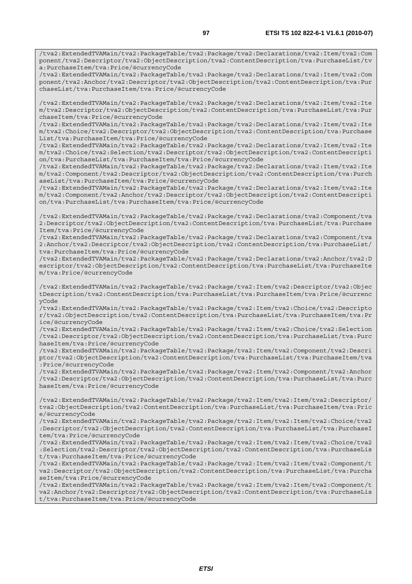/tva2:ExtendedTVAMain/tva2:PackageTable/tva2:Package/tva2:Declarations/tva2:Item/tva2:Com ponent/tva2:Descriptor/tva2:ObjectDescription/tva2:ContentDescription/tva:PurchaseList/tv a:PurchaseItem/tva:Price/@currencyCode

/tva2:ExtendedTVAMain/tva2:PackageTable/tva2:Package/tva2:Declarations/tva2:Item/tva2:Com ponent/tva2:Anchor/tva2:Descriptor/tva2:ObjectDescription/tva2:ContentDescription/tva:Pur chaseList/tva:PurchaseItem/tva:Price/@currencyCode

/tva2:ExtendedTVAMain/tva2:PackageTable/tva2:Package/tva2:Declarations/tva2:Item/tva2:Ite m/tva2:Descriptor/tva2:ObjectDescription/tva2:ContentDescription/tva:PurchaseList/tva:Pur chaseItem/tva:Price/@currencyCode

/tva2:ExtendedTVAMain/tva2:PackageTable/tva2:Package/tva2:Declarations/tva2:Item/tva2:Ite m/tva2:Choice/tva2:Descriptor/tva2:ObjectDescription/tva2:ContentDescription/tva:Purchase List/tva:PurchaseItem/tva:Price/@currencyCode

/tva2:ExtendedTVAMain/tva2:PackageTable/tva2:Package/tva2:Declarations/tva2:Item/tva2:Ite m/tva2:Choice/tva2:Selection/tva2:Descriptor/tva2:ObjectDescription/tva2:ContentDescripti on/tva:PurchaseList/tva:PurchaseItem/tva:Price/@currencyCode

/tva2:ExtendedTVAMain/tva2:PackageTable/tva2:Package/tva2:Declarations/tva2:Item/tva2:Ite m/tva2:Component/tva2:Descriptor/tva2:ObjectDescription/tva2:ContentDescription/tva:Purch aseList/tva:PurchaseItem/tva:Price/@currencyCode

/tva2:ExtendedTVAMain/tva2:PackageTable/tva2:Package/tva2:Declarations/tva2:Item/tva2:Ite m/tva2:Component/tva2:Anchor/tva2:Descriptor/tva2:ObjectDescription/tva2:ContentDescripti on/tva:PurchaseList/tva:PurchaseItem/tva:Price/@currencyCode

/tva2:ExtendedTVAMain/tva2:PackageTable/tva2:Package/tva2:Declarations/tva2:Component/tva 2:Descriptor/tva2:ObjectDescription/tva2:ContentDescription/tva:PurchaseList/tva:Purchase Item/tva:Price/@currencyCode

/tva2:ExtendedTVAMain/tva2:PackageTable/tva2:Package/tva2:Declarations/tva2:Component/tva 2:Anchor/tva2:Descriptor/tva2:ObjectDescription/tva2:ContentDescription/tva:PurchaseList/ tva:PurchaseItem/tva:Price/@currencyCode

/tva2:ExtendedTVAMain/tva2:PackageTable/tva2:Package/tva2:Declarations/tva2:Anchor/tva2:D escriptor/tva2:ObjectDescription/tva2:ContentDescription/tva:PurchaseList/tva:PurchaseIte m/tva:Price/@currencyCode

/tva2:ExtendedTVAMain/tva2:PackageTable/tva2:Package/tva2:Item/tva2:Descriptor/tva2:Objec tDescription/tva2:ContentDescription/tva:PurchaseList/tva:PurchaseItem/tva:Price/@currenc yCode

/tva2:ExtendedTVAMain/tva2:PackageTable/tva2:Package/tva2:Item/tva2:Choice/tva2:Descripto r/tva2:ObjectDescription/tva2:ContentDescription/tva:PurchaseList/tva:PurchaseItem/tva:Pr ice/@currencyCode

/tva2:ExtendedTVAMain/tva2:PackageTable/tva2:Package/tva2:Item/tva2:Choice/tva2:Selection /tva2:Descriptor/tva2:ObjectDescription/tva2:ContentDescription/tva:PurchaseList/tva:Purc haseItem/tva:Price/@currencyCode

/tva2:ExtendedTVAMain/tva2:PackageTable/tva2:Package/tva2:Item/tva2:Component/tva2:Descri ptor/tva2:ObjectDescription/tva2:ContentDescription/tva:PurchaseList/tva:PurchaseItem/tva :Price/@currencyCode

/tva2:ExtendedTVAMain/tva2:PackageTable/tva2:Package/tva2:Item/tva2:Component/tva2:Anchor /tva2:Descriptor/tva2:ObjectDescription/tva2:ContentDescription/tva:PurchaseList/tva:Purc haseItem/tva:Price/@currencyCode

/tva2:ExtendedTVAMain/tva2:PackageTable/tva2:Package/tva2:Item/tva2:Item/tva2:Descriptor/ tva2:ObjectDescription/tva2:ContentDescription/tva:PurchaseList/tva:PurchaseItem/tva:Pric e/@currencyCode

/tva2:ExtendedTVAMain/tva2:PackageTable/tva2:Package/tva2:Item/tva2:Item/tva2:Choice/tva2 :Descriptor/tva2:ObjectDescription/tva2:ContentDescription/tva:PurchaseList/tva:PurchaseI tem/tva:Price/@currencyCode

/tva2:ExtendedTVAMain/tva2:PackageTable/tva2:Package/tva2:Item/tva2:Item/tva2:Choice/tva2 :Selection/tva2:Descriptor/tva2:ObjectDescription/tva2:ContentDescription/tva:PurchaseLis t/tva:PurchaseItem/tva:Price/@currencyCode

/tva2:ExtendedTVAMain/tva2:PackageTable/tva2:Package/tva2:Item/tva2:Item/tva2:Component/t va2:Descriptor/tva2:ObjectDescription/tva2:ContentDescription/tva:PurchaseList/tva:Purcha seItem/tva:Price/@currencyCode

/tva2:ExtendedTVAMain/tva2:PackageTable/tva2:Package/tva2:Item/tva2:Item/tva2:Component/t va2:Anchor/tva2:Descriptor/tva2:ObjectDescription/tva2:ContentDescription/tva:PurchaseLis t/tva:PurchaseItem/tva:Price/@currencyCode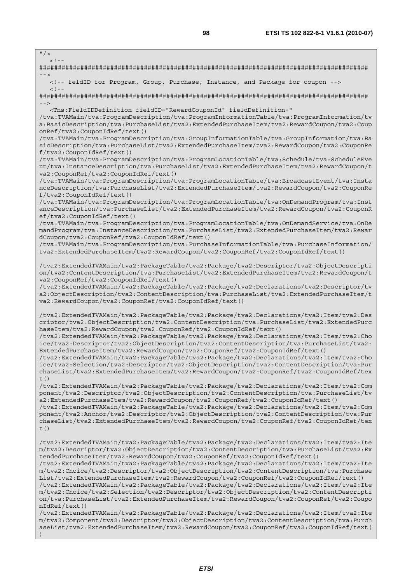$"$  / >

 $\leq$   $\perp$ ######################################################################################## --> <!-- feldID for Program, Group, Purchase, Instance, and Package for coupon -->  $<$ ! --######################################################################################## --> <Tns:FieldIDDefinition fieldID="RewardCouponId" fieldDefinition=" /tva:TVAMain/tva:ProgramDescription/tva:ProgramInformationTable/tva:ProgramInformation/tv a:BasicDescription/tva:PurchaseList/tva2:ExtendedPurchaseItem/tva2:RewardCoupon/tva2:Coup onRef/tva2:CouponIdRef/text() /tva:TVAMain/tva:ProgramDescription/tva:GroupInformationTable/tva:GroupInformation/tva:Ba sicDescription/tva:PurchaseList/tva2:ExtendedPurchaseItem/tva2:RewardCoupon/tva2:CouponRe f/tva2:CouponIdRef/text() /tva:TVAMain/tva:ProgramDescription/tva:ProgramLocationTable/tva:Schedule/tva:ScheduleEve nt/tva:InstanceDescription/tva:PurchaseList/tva2:ExtendedPurchaseItem/tva2:RewardCoupon/t va2:CouponRef/tva2:CouponIdRef/text() /tva:TVAMain/tva:ProgramDescription/tva:ProgramLocationTable/tva:BroadcastEvent/tva:Insta nceDescription/tva:PurchaseList/tva2:ExtendedPurchaseItem/tva2:RewardCoupon/tva2:CouponRe f/tva2:CouponIdRef/text() /tva:TVAMain/tva:ProgramDescription/tva:ProgramLocationTable/tva:OnDemandProgram/tva:Inst anceDescription/tva:PurchaseList/tva2:ExtendedPurchaseItem/tva2:RewardCoupon/tva2:CouponR ef/tva2:CouponIdRef/text() /tva:TVAMain/tva:ProgramDescription/tva:ProgramLocationTable/tva:OnDemandService/tva:OnDe mandProgram/tva:InstanceDescription/tva:PurchaseList/tva2:ExtendedPurchaseItem/tva2:Rewar dCoupon/tva2:CouponRef/tva2:CouponIdRef/text() /tva:TVAMain/tva:ProgramDescription/tva:PurchaseInformationTable/tva:PurchaseInformation/ tva2:ExtendedPurchaseItem/tva2:RewardCoupon/tva2:CouponRef/tva2:CouponIdRef/text() /tva2:ExtendedTVAMain/tva2:PackageTable/tva2:Package/tva2:Descriptor/tva2:ObjectDescripti on/tva2:ContentDescription/tva:PurchaseList/tva2:ExtendedPurchaseItem/tva2:RewardCoupon/t va2:CouponRef/tva2:CouponIdRef/text() /tva2:ExtendedTVAMain/tva2:PackageTable/tva2:Package/tva2:Declarations/tva2:Descriptor/tv a2:ObjectDescription/tva2:ContentDescription/tva:PurchaseList/tva2:ExtendedPurchaseItem/t va2:RewardCoupon/tva2:CouponRef/tva2:CouponIdRef/text() /tva2:ExtendedTVAMain/tva2:PackageTable/tva2:Package/tva2:Declarations/tva2:Item/tva2:Des criptor/tva2:ObjectDescription/tva2:ContentDescription/tva:PurchaseList/tva2:ExtendedPurc haseItem/tva2:RewardCoupon/tva2:CouponRef/tva2:CouponIdRef/text() /tva2:ExtendedTVAMain/tva2:PackageTable/tva2:Package/tva2:Declarations/tva2:Item/tva2:Cho ice/tva2:Descriptor/tva2:ObjectDescription/tva2:ContentDescription/tva:PurchaseList/tva2: ExtendedPurchaseItem/tva2:RewardCoupon/tva2:CouponRef/tva2:CouponIdRef/text() /tva2:ExtendedTVAMain/tva2:PackageTable/tva2:Package/tva2:Declarations/tva2:Item/tva2:Cho ice/tva2:Selection/tva2:Descriptor/tva2:ObjectDescription/tva2:ContentDescription/tva:Pur chaseList/tva2:ExtendedPurchaseItem/tva2:RewardCoupon/tva2:CouponRef/tva2:CouponIdRef/tex  $t()$ /tva2:ExtendedTVAMain/tva2:PackageTable/tva2:Package/tva2:Declarations/tva2:Item/tva2:Com ponent/tva2:Descriptor/tva2:ObjectDescription/tva2:ContentDescription/tva:PurchaseList/tv a2:ExtendedPurchaseItem/tva2:RewardCoupon/tva2:CouponRef/tva2:CouponIdRef/text() /tva2:ExtendedTVAMain/tva2:PackageTable/tva2:Package/tva2:Declarations/tva2:Item/tva2:Com ponent/tva2:Anchor/tva2:Descriptor/tva2:ObjectDescription/tva2:ContentDescription/tva:Pur chaseList/tva2:ExtendedPurchaseItem/tva2:RewardCoupon/tva2:CouponRef/tva2:CouponIdRef/tex  $t($ ) /tva2:ExtendedTVAMain/tva2:PackageTable/tva2:Package/tva2:Declarations/tva2:Item/tva2:Ite m/tva2:Descriptor/tva2:ObjectDescription/tva2:ContentDescription/tva:PurchaseList/tva2:Ex tendedPurchaseItem/tva2:RewardCoupon/tva2:CouponRef/tva2:CouponIdRef/text() /tva2:ExtendedTVAMain/tva2:PackageTable/tva2:Package/tva2:Declarations/tva2:Item/tva2:Ite m/tva2:Choice/tva2:Descriptor/tva2:ObjectDescription/tva2:ContentDescription/tva:Purchase List/tva2:ExtendedPurchaseItem/tva2:RewardCoupon/tva2:CouponRef/tva2:CouponIdRef/text() /tva2:ExtendedTVAMain/tva2:PackageTable/tva2:Package/tva2:Declarations/tva2:Item/tva2:Ite m/tva2:Choice/tva2:Selection/tva2:Descriptor/tva2:ObjectDescription/tva2:ContentDescripti on/tva:PurchaseList/tva2:ExtendedPurchaseItem/tva2:RewardCoupon/tva2:CouponRef/tva2:Coupo nIdRef/text() /tva2:ExtendedTVAMain/tva2:PackageTable/tva2:Package/tva2:Declarations/tva2:Item/tva2:Ite m/tva2:Component/tva2:Descriptor/tva2:ObjectDescription/tva2:ContentDescription/tva:Purch aseList/tva2:ExtendedPurchaseItem/tva2:RewardCoupon/tva2:CouponRef/tva2:CouponIdRef/text( )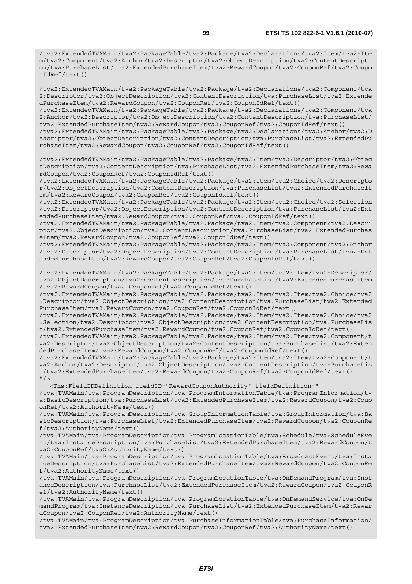/tva2:ExtendedTVAMain/tva2:PackageTable/tva2:Package/tva2:Declarations/tva2:Item/tva2:Ite m/tva2:Component/tva2:Anchor/tva2:Descriptor/tva2:ObjectDescription/tva2:ContentDescripti on/tva:PurchaseList/tva2:ExtendedPurchaseItem/tva2:RewardCoupon/tva2:CouponRef/tva2:Coupo nIdRef/text()

/tva2:ExtendedTVAMain/tva2:PackageTable/tva2:Package/tva2:Declarations/tva2:Component/tva 2:Descriptor/tva2:ObjectDescription/tva2:ContentDescription/tva:PurchaseList/tva2:Extende dPurchaseItem/tva2:RewardCoupon/tva2:CouponRef/tva2:CouponIdRef/text()

/tva2:ExtendedTVAMain/tva2:PackageTable/tva2:Package/tva2:Declarations/tva2:Component/tva 2:Anchor/tva2:Descriptor/tva2:ObjectDescription/tva2:ContentDescription/tva:PurchaseList/ tva2:ExtendedPurchaseItem/tva2:RewardCoupon/tva2:CouponRef/tva2:CouponIdRef/text()

/tva2:ExtendedTVAMain/tva2:PackageTable/tva2:Package/tva2:Declarations/tva2:Anchor/tva2:D escriptor/tva2:ObjectDescription/tva2:ContentDescription/tva:PurchaseList/tva2:ExtendedPu rchaseItem/tva2:RewardCoupon/tva2:CouponRef/tva2:CouponIdRef/text()

/tva2:ExtendedTVAMain/tva2:PackageTable/tva2:Package/tva2:Item/tva2:Descriptor/tva2:Objec tDescription/tva2:ContentDescription/tva:PurchaseList/tva2:ExtendedPurchaseItem/tva2:Rewa rdCoupon/tva2:CouponRef/tva2:CouponIdRef/text()

/tva2:ExtendedTVAMain/tva2:PackageTable/tva2:Package/tva2:Item/tva2:Choice/tva2:Descripto r/tva2:ObjectDescription/tva2:ContentDescription/tva:PurchaseList/tva2:ExtendedPurchaseIt em/tva2:RewardCoupon/tva2:CouponRef/tva2:CouponIdRef/text()

/tva2:ExtendedTVAMain/tva2:PackageTable/tva2:Package/tva2:Item/tva2:Choice/tva2:Selection /tva2:Descriptor/tva2:ObjectDescription/tva2:ContentDescription/tva:PurchaseList/tva2:Ext endedPurchaseItem/tva2:RewardCoupon/tva2:CouponRef/tva2:CouponIdRef/text()

/tva2:ExtendedTVAMain/tva2:PackageTable/tva2:Package/tva2:Item/tva2:Component/tva2:Descri ptor/tva2:ObjectDescription/tva2:ContentDescription/tva:PurchaseList/tva2:ExtendedPurchas eItem/tva2:RewardCoupon/tva2:CouponRef/tva2:CouponIdRef/text()

/tva2:ExtendedTVAMain/tva2:PackageTable/tva2:Package/tva2:Item/tva2:Component/tva2:Anchor /tva2:Descriptor/tva2:ObjectDescription/tva2:ContentDescription/tva:PurchaseList/tva2:Ext endedPurchaseItem/tva2:RewardCoupon/tva2:CouponRef/tva2:CouponIdRef/text()

/tva2:ExtendedTVAMain/tva2:PackageTable/tva2:Package/tva2:Item/tva2:Item/tva2:Descriptor/ tva2:ObjectDescription/tva2:ContentDescription/tva:PurchaseList/tva2:ExtendedPurchaseItem /tva2:RewardCoupon/tva2:CouponRef/tva2:CouponIdRef/text()

/tva2:ExtendedTVAMain/tva2:PackageTable/tva2:Package/tva2:Item/tva2:Item/tva2:Choice/tva2 :Descriptor/tva2:ObjectDescription/tva2:ContentDescription/tva:PurchaseList/tva2:Extended PurchaseItem/tva2:RewardCoupon/tva2:CouponRef/tva2:CouponIdRef/text()

/tva2:ExtendedTVAMain/tva2:PackageTable/tva2:Package/tva2:Item/tva2:Item/tva2:Choice/tva2 :Selection/tva2:Descriptor/tva2:ObjectDescription/tva2:ContentDescription/tva:PurchaseLis t/tva2:ExtendedPurchaseItem/tva2:RewardCoupon/tva2:CouponRef/tva2:CouponIdRef/text()

/tva2:ExtendedTVAMain/tva2:PackageTable/tva2:Package/tva2:Item/tva2:Item/tva2:Component/t va2:Descriptor/tva2:ObjectDescription/tva2:ContentDescription/tva:PurchaseList/tva2:Exten dedPurchaseItem/tva2:RewardCoupon/tva2:CouponRef/tva2:CouponIdRef/text()

/tva2:ExtendedTVAMain/tva2:PackageTable/tva2:Package/tva2:Item/tva2:Item/tva2:Component/t va2:Anchor/tva2:Descriptor/tva2:ObjectDescription/tva2:ContentDescription/tva:PurchaseLis t/tva2:ExtendedPurchaseItem/tva2:RewardCoupon/tva2:CouponRef/tva2:CouponIdRef/text()  $"$  />

 <Tns:FieldIDDefinition fieldID="RewardCouponAuthority" fieldDefinition=" /tva:TVAMain/tva:ProgramDescription/tva:ProgramInformationTable/tva:ProgramInformation/tv a:BasicDescription/tva:PurchaseList/tva2:ExtendedPurchaseItem/tva2:RewardCoupon/tva2:Coup onRef/tva2:AuthorityName/text()

/tva:TVAMain/tva:ProgramDescription/tva:GroupInformationTable/tva:GroupInformation/tva:Ba sicDescription/tva:PurchaseList/tva2:ExtendedPurchaseItem/tva2:RewardCoupon/tva2:CouponRe f/tva2:AuthorityName/text()

/tva:TVAMain/tva:ProgramDescription/tva:ProgramLocationTable/tva:Schedule/tva:ScheduleEve nt/tva:InstanceDescription/tva:PurchaseList/tva2:ExtendedPurchaseItem/tva2:RewardCoupon/t va2:CouponRef/tva2:AuthorityName/text()

/tva:TVAMain/tva:ProgramDescription/tva:ProgramLocationTable/tva:BroadcastEvent/tva:Insta nceDescription/tva:PurchaseList/tva2:ExtendedPurchaseItem/tva2:RewardCoupon/tva2:CouponRe f/tva2:AuthorityName/text()

/tva:TVAMain/tva:ProgramDescription/tva:ProgramLocationTable/tva:OnDemandProgram/tva:Inst anceDescription/tva:PurchaseList/tva2:ExtendedPurchaseItem/tva2:RewardCoupon/tva2:CouponR ef/tva2:AuthorityName/text()

/tva:TVAMain/tva:ProgramDescription/tva:ProgramLocationTable/tva:OnDemandService/tva:OnDe mandProgram/tva:InstanceDescription/tva:PurchaseList/tva2:ExtendedPurchaseItem/tva2:Rewar dCoupon/tva2:CouponRef/tva2:AuthorityName/text()

/tva:TVAMain/tva:ProgramDescription/tva:PurchaseInformationTable/tva:PurchaseInformation/ tva2:ExtendedPurchaseItem/tva2:RewardCoupon/tva2:CouponRef/tva2:AuthorityName/text()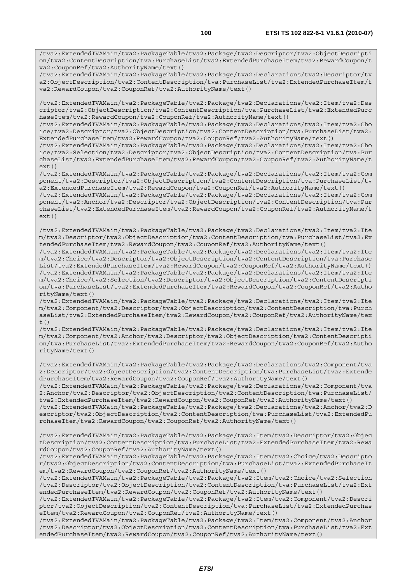/tva2:ExtendedTVAMain/tva2:PackageTable/tva2:Package/tva2:Descriptor/tva2:ObjectDescripti on/tva2:ContentDescription/tva:PurchaseList/tva2:ExtendedPurchaseItem/tva2:RewardCoupon/t va2:CouponRef/tva2:AuthorityName/text()

/tva2:ExtendedTVAMain/tva2:PackageTable/tva2:Package/tva2:Declarations/tva2:Descriptor/tv a2:ObjectDescription/tva2:ContentDescription/tva:PurchaseList/tva2:ExtendedPurchaseItem/t va2:RewardCoupon/tva2:CouponRef/tva2:AuthorityName/text()

/tva2:ExtendedTVAMain/tva2:PackageTable/tva2:Package/tva2:Declarations/tva2:Item/tva2:Des criptor/tva2:ObjectDescription/tva2:ContentDescription/tva:PurchaseList/tva2:ExtendedPurc haseItem/tva2:RewardCoupon/tva2:CouponRef/tva2:AuthorityName/text()

/tva2:ExtendedTVAMain/tva2:PackageTable/tva2:Package/tva2:Declarations/tva2:Item/tva2:Cho ice/tva2:Descriptor/tva2:ObjectDescription/tva2:ContentDescription/tva:PurchaseList/tva2: ExtendedPurchaseItem/tva2:RewardCoupon/tva2:CouponRef/tva2:AuthorityName/text()

/tva2:ExtendedTVAMain/tva2:PackageTable/tva2:Package/tva2:Declarations/tva2:Item/tva2:Cho ice/tva2:Selection/tva2:Descriptor/tva2:ObjectDescription/tva2:ContentDescription/tva:Pur chaseList/tva2:ExtendedPurchaseItem/tva2:RewardCoupon/tva2:CouponRef/tva2:AuthorityName/t  $ext()$ 

/tva2:ExtendedTVAMain/tva2:PackageTable/tva2:Package/tva2:Declarations/tva2:Item/tva2:Com ponent/tva2:Descriptor/tva2:ObjectDescription/tva2:ContentDescription/tva:PurchaseList/tv a2:ExtendedPurchaseItem/tva2:RewardCoupon/tva2:CouponRef/tva2:AuthorityName/text()

/tva2:ExtendedTVAMain/tva2:PackageTable/tva2:Package/tva2:Declarations/tva2:Item/tva2:Com ponent/tva2:Anchor/tva2:Descriptor/tva2:ObjectDescription/tva2:ContentDescription/tva:Pur chaseList/tva2:ExtendedPurchaseItem/tva2:RewardCoupon/tva2:CouponRef/tva2:AuthorityName/t ext()

/tva2:ExtendedTVAMain/tva2:PackageTable/tva2:Package/tva2:Declarations/tva2:Item/tva2:Ite m/tva2:Descriptor/tva2:ObjectDescription/tva2:ContentDescription/tva:PurchaseList/tva2:Ex tendedPurchaseItem/tva2:RewardCoupon/tva2:CouponRef/tva2:AuthorityName/text()

/tva2:ExtendedTVAMain/tva2:PackageTable/tva2:Package/tva2:Declarations/tva2:Item/tva2:Ite m/tva2:Choice/tva2:Descriptor/tva2:ObjectDescription/tva2:ContentDescription/tva:Purchase List/tva2:ExtendedPurchaseItem/tva2:RewardCoupon/tva2:CouponRef/tva2:AuthorityName/text() /tva2:ExtendedTVAMain/tva2:PackageTable/tva2:Package/tva2:Declarations/tva2:Item/tva2:Ite m/tva2:Choice/tva2:Selection/tva2:Descriptor/tva2:ObjectDescription/tva2:ContentDescripti on/tva:PurchaseList/tva2:ExtendedPurchaseItem/tva2:RewardCoupon/tva2:CouponRef/tva2:Autho rityName/text()

/tva2:ExtendedTVAMain/tva2:PackageTable/tva2:Package/tva2:Declarations/tva2:Item/tva2:Ite m/tva2:Component/tva2:Descriptor/tva2:ObjectDescription/tva2:ContentDescription/tva:Purch aseList/tva2:ExtendedPurchaseItem/tva2:RewardCoupon/tva2:CouponRef/tva2:AuthorityName/tex  $t($ )

/tva2:ExtendedTVAMain/tva2:PackageTable/tva2:Package/tva2:Declarations/tva2:Item/tva2:Ite m/tva2:Component/tva2:Anchor/tva2:Descriptor/tva2:ObjectDescription/tva2:ContentDescripti on/tva:PurchaseList/tva2:ExtendedPurchaseItem/tva2:RewardCoupon/tva2:CouponRef/tva2:Autho rityName/text()

/tva2:ExtendedTVAMain/tva2:PackageTable/tva2:Package/tva2:Declarations/tva2:Component/tva 2:Descriptor/tva2:ObjectDescription/tva2:ContentDescription/tva:PurchaseList/tva2:Extende dPurchaseItem/tva2:RewardCoupon/tva2:CouponRef/tva2:AuthorityName/text()

/tva2:ExtendedTVAMain/tva2:PackageTable/tva2:Package/tva2:Declarations/tva2:Component/tva 2:Anchor/tva2:Descriptor/tva2:ObjectDescription/tva2:ContentDescription/tva:PurchaseList/ tva2:ExtendedPurchaseItem/tva2:RewardCoupon/tva2:CouponRef/tva2:AuthorityName/text()

/tva2:ExtendedTVAMain/tva2:PackageTable/tva2:Package/tva2:Declarations/tva2:Anchor/tva2:D escriptor/tva2:ObjectDescription/tva2:ContentDescription/tva:PurchaseList/tva2:ExtendedPu rchaseItem/tva2:RewardCoupon/tva2:CouponRef/tva2:AuthorityName/text()

/tva2:ExtendedTVAMain/tva2:PackageTable/tva2:Package/tva2:Item/tva2:Descriptor/tva2:Objec tDescription/tva2:ContentDescription/tva:PurchaseList/tva2:ExtendedPurchaseItem/tva2:Rewa rdCoupon/tva2:CouponRef/tva2:AuthorityName/text()

/tva2:ExtendedTVAMain/tva2:PackageTable/tva2:Package/tva2:Item/tva2:Choice/tva2:Descripto r/tva2:ObjectDescription/tva2:ContentDescription/tva:PurchaseList/tva2:ExtendedPurchaseIt em/tva2:RewardCoupon/tva2:CouponRef/tva2:AuthorityName/text()

/tva2:ExtendedTVAMain/tva2:PackageTable/tva2:Package/tva2:Item/tva2:Choice/tva2:Selection /tva2:Descriptor/tva2:ObjectDescription/tva2:ContentDescription/tva:PurchaseList/tva2:Ext endedPurchaseItem/tva2:RewardCoupon/tva2:CouponRef/tva2:AuthorityName/text()

/tva2:ExtendedTVAMain/tva2:PackageTable/tva2:Package/tva2:Item/tva2:Component/tva2:Descri ptor/tva2:ObjectDescription/tva2:ContentDescription/tva:PurchaseList/tva2:ExtendedPurchas eItem/tva2:RewardCoupon/tva2:CouponRef/tva2:AuthorityName/text()

/tva2:ExtendedTVAMain/tva2:PackageTable/tva2:Package/tva2:Item/tva2:Component/tva2:Anchor /tva2:Descriptor/tva2:ObjectDescription/tva2:ContentDescription/tva:PurchaseList/tva2:Ext endedPurchaseItem/tva2:RewardCoupon/tva2:CouponRef/tva2:AuthorityName/text()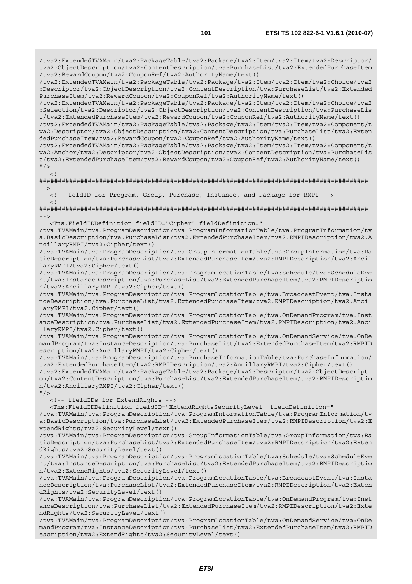/tva2:ExtendedTVAMain/tva2:PackageTable/tva2:Package/tva2:Item/tva2:Item/tva2:Descriptor/ tva2:ObjectDescription/tva2:ContentDescription/tva:PurchaseList/tva2:ExtendedPurchaseItem /tva2:RewardCoupon/tva2:CouponRef/tva2:AuthorityName/text() /tva2:ExtendedTVAMain/tva2:PackageTable/tva2:Package/tva2:Item/tva2:Item/tva2:Choice/tva2 :Descriptor/tva2:ObjectDescription/tva2:ContentDescription/tva:PurchaseList/tva2:Extended PurchaseItem/tva2:RewardCoupon/tva2:CouponRef/tva2:AuthorityName/text() /tva2:ExtendedTVAMain/tva2:PackageTable/tva2:Package/tva2:Item/tva2:Item/tva2:Choice/tva2 :Selection/tva2:Descriptor/tva2:ObjectDescription/tva2:ContentDescription/tva:PurchaseLis t/tva2:ExtendedPurchaseItem/tva2:RewardCoupon/tva2:CouponRef/tva2:AuthorityName/text() /tva2:ExtendedTVAMain/tva2:PackageTable/tva2:Package/tva2:Item/tva2:Item/tva2:Component/t va2:Descriptor/tva2:ObjectDescription/tva2:ContentDescription/tva:PurchaseList/tva2:Exten dedPurchaseItem/tva2:RewardCoupon/tva2:CouponRef/tva2:AuthorityName/text() /tva2:ExtendedTVAMain/tva2:PackageTable/tva2:Package/tva2:Item/tva2:Item/tva2:Component/t va2:Anchor/tva2:Descriptor/tva2:ObjectDescription/tva2:ContentDescription/tva:PurchaseLis t/tva2:ExtendedPurchaseItem/tva2:RewardCoupon/tva2:CouponRef/tva2:AuthorityName/text()  $"$  / >  $\langle$ ! $\cdot$ ######################################################################################## --> <!-- feldID for Program, Group, Purchase, Instance, and Package for RMPI -->  $<$ ! - -######################################################################################## --> <Tns:FieldIDDefinition fieldID="Cipher" fieldDefinition=" /tva:TVAMain/tva:ProgramDescription/tva:ProgramInformationTable/tva:ProgramInformation/tv a:BasicDescription/tva:PurchaseList/tva2:ExtendedPurchaseItem/tva2:RMPIDescription/tva2:A ncillaryRMPI/tva2:Cipher/text() /tva:TVAMain/tva:ProgramDescription/tva:GroupInformationTable/tva:GroupInformation/tva:Ba sicDescription/tva:PurchaseList/tva2:ExtendedPurchaseItem/tva2:RMPIDescription/tva2:Ancil laryRMPI/tva2:Cipher/text() /tva:TVAMain/tva:ProgramDescription/tva:ProgramLocationTable/tva:Schedule/tva:ScheduleEve nt/tva:InstanceDescription/tva:PurchaseList/tva2:ExtendedPurchaseItem/tva2:RMPIDescriptio n/tva2:AncillaryRMPI/tva2:Cipher/text() /tva:TVAMain/tva:ProgramDescription/tva:ProgramLocationTable/tva:BroadcastEvent/tva:Insta nceDescription/tva:PurchaseList/tva2:ExtendedPurchaseItem/tva2:RMPIDescription/tva2:Ancil laryRMPI/tva2:Cipher/text() /tva:TVAMain/tva:ProgramDescription/tva:ProgramLocationTable/tva:OnDemandProgram/tva:Inst anceDescription/tva:PurchaseList/tva2:ExtendedPurchaseItem/tva2:RMPIDescription/tva2:Anci llaryRMPI/tva2:Cipher/text() /tva:TVAMain/tva:ProgramDescription/tva:ProgramLocationTable/tva:OnDemandService/tva:OnDe mandProgram/tva:InstanceDescription/tva:PurchaseList/tva2:ExtendedPurchaseItem/tva2:RMPID escription/tva2:AncillaryRMPI/tva2:Cipher/text() /tva:TVAMain/tva:ProgramDescription/tva:PurchaseInformationTable/tva:PurchaseInformation/ tva2:ExtendedPurchaseItem/tva2:RMPIDescription/tva2:AncillaryRMPI/tva2:Cipher/text() /tva2:ExtendedTVAMain/tva2:PackageTable/tva2:Package/tva2:Descriptor/tva2:ObjectDescripti on/tva2:ContentDescription/tva:PurchaseList/tva2:ExtendedPurchaseItem/tva2:RMPIDescriptio n/tva2:AncillaryRMPI/tva2:Cipher/text()  $''$  / > <!-- fieldIDs for ExtendRights --> <Tns:FieldIDDefinition fieldID="ExtendRightsSecurityLevel" fieldDefinition=" /tva:TVAMain/tva:ProgramDescription/tva:ProgramInformationTable/tva:ProgramInformation/tv a:BasicDescription/tva:PurchaseList/tva2:ExtendedPurchaseItem/tva2:RMPIDescription/tva2:E xtendRights/tva2:SecurityLevel/text() /tva:TVAMain/tva:ProgramDescription/tva:GroupInformationTable/tva:GroupInformation/tva:Ba sicDescription/tva:PurchaseList/tva2:ExtendedPurchaseItem/tva2:RMPIDescription/tva2:Exten dRights/tva2:SecurityLevel/text()

/tva:TVAMain/tva:ProgramDescription/tva:ProgramLocationTable/tva:Schedule/tva:ScheduleEve nt/tva:InstanceDescription/tva:PurchaseList/tva2:ExtendedPurchaseItem/tva2:RMPIDescriptio n/tva2:ExtendRights/tva2:SecurityLevel/text()

/tva:TVAMain/tva:ProgramDescription/tva:ProgramLocationTable/tva:BroadcastEvent/tva:Insta nceDescription/tva:PurchaseList/tva2:ExtendedPurchaseItem/tva2:RMPIDescription/tva2:Exten dRights/tva2:SecurityLevel/text()

/tva:TVAMain/tva:ProgramDescription/tva:ProgramLocationTable/tva:OnDemandProgram/tva:Inst anceDescription/tva:PurchaseList/tva2:ExtendedPurchaseItem/tva2:RMPIDescription/tva2:Exte ndRights/tva2:SecurityLevel/text()

/tva:TVAMain/tva:ProgramDescription/tva:ProgramLocationTable/tva:OnDemandService/tva:OnDe mandProgram/tva:InstanceDescription/tva:PurchaseList/tva2:ExtendedPurchaseItem/tva2:RMPID escription/tva2:ExtendRights/tva2:SecurityLevel/text()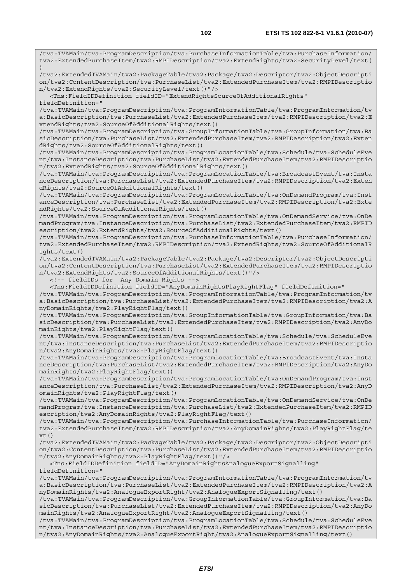tva2:ExtendedPurchaseItem/tva2:RMPIDescription/tva2:ExtendRights/tva2:SecurityLevel/text( ) /tva2:ExtendedTVAMain/tva2:PackageTable/tva2:Package/tva2:Descriptor/tva2:ObjectDescripti on/tva2:ContentDescription/tva:PurchaseList/tva2:ExtendedPurchaseItem/tva2:RMPIDescriptio n/tva2:ExtendRights/tva2:SecurityLevel/text()"/> <Tns:FieldIDDefinition fieldID="ExtendRightsSourceOfAdditionalRights" fieldDefinition=" /tva:TVAMain/tva:ProgramDescription/tva:ProgramInformationTable/tva:ProgramInformation/tv a:BasicDescription/tva:PurchaseList/tva2:ExtendedPurchaseItem/tva2:RMPIDescription/tva2:E xtendRights/tva2:SourceOfAdditionalRights/text() /tva:TVAMain/tva:ProgramDescription/tva:GroupInformationTable/tva:GroupInformation/tva:Ba sicDescription/tva:PurchaseList/tva2:ExtendedPurchaseItem/tva2:RMPIDescription/tva2:Exten dRights/tva2:SourceOfAdditionalRights/text() /tva:TVAMain/tva:ProgramDescription/tva:ProgramLocationTable/tva:Schedule/tva:ScheduleEve nt/tva:InstanceDescription/tva:PurchaseList/tva2:ExtendedPurchaseItem/tva2:RMPIDescriptio n/tva2:ExtendRights/tva2:SourceOfAdditionalRights/text() /tva:TVAMain/tva:ProgramDescription/tva:ProgramLocationTable/tva:BroadcastEvent/tva:Insta nceDescription/tva:PurchaseList/tva2:ExtendedPurchaseItem/tva2:RMPIDescription/tva2:Exten dRights/tva2:SourceOfAdditionalRights/text() /tva:TVAMain/tva:ProgramDescription/tva:ProgramLocationTable/tva:OnDemandProgram/tva:Inst anceDescription/tva:PurchaseList/tva2:ExtendedPurchaseItem/tva2:RMPIDescription/tva2:Exte ndRights/tva2:SourceOfAdditionalRights/text() /tva:TVAMain/tva:ProgramDescription/tva:ProgramLocationTable/tva:OnDemandService/tva:OnDe mandProgram/tva:InstanceDescription/tva:PurchaseList/tva2:ExtendedPurchaseItem/tva2:RMPID escription/tva2:ExtendRights/tva2:SourceOfAdditionalRights/text() /tva:TVAMain/tva:ProgramDescription/tva:PurchaseInformationTable/tva:PurchaseInformation/ tva2:ExtendedPurchaseItem/tva2:RMPIDescription/tva2:ExtendRights/tva2:SourceOfAdditionalR ights/text() /tva2:ExtendedTVAMain/tva2:PackageTable/tva2:Package/tva2:Descriptor/tva2:ObjectDescripti on/tva2:ContentDescription/tva:PurchaseList/tva2:ExtendedPurchaseItem/tva2:RMPIDescriptio n/tva2:ExtendRights/tva2:SourceOfAdditionalRights/text()"/> <!-- fieldIDs for Any Domain Rights --> <Tns:FieldIDDefinition fieldID="AnyDomainRightsPlayRightFlag" fieldDefinition=" /tva:TVAMain/tva:ProgramDescription/tva:ProgramInformationTable/tva:ProgramInformation/tv a:BasicDescription/tva:PurchaseList/tva2:ExtendedPurchaseItem/tva2:RMPIDescription/tva2:A nyDomainRights/tva2:PlayRightFlag/text() /tva:TVAMain/tva:ProgramDescription/tva:GroupInformationTable/tva:GroupInformation/tva:Ba sicDescription/tva:PurchaseList/tva2:ExtendedPurchaseItem/tva2:RMPIDescription/tva2:AnyDo mainRights/tva2:PlayRightFlag/text() /tva:TVAMain/tva:ProgramDescription/tva:ProgramLocationTable/tva:Schedule/tva:ScheduleEve nt/tva:InstanceDescription/tva:PurchaseList/tva2:ExtendedPurchaseItem/tva2:RMPIDescriptio n/tva2:AnyDomainRights/tva2:PlayRightFlag/text() /tva:TVAMain/tva:ProgramDescription/tva:ProgramLocationTable/tva:BroadcastEvent/tva:Insta nceDescription/tva:PurchaseList/tva2:ExtendedPurchaseItem/tva2:RMPIDescription/tva2:AnyDo mainRights/tva2:PlayRightFlag/text() /tva:TVAMain/tva:ProgramDescription/tva:ProgramLocationTable/tva:OnDemandProgram/tva:Inst anceDescription/tva:PurchaseList/tva2:ExtendedPurchaseItem/tva2:RMPIDescription/tva2:AnyD omainRights/tva2:PlayRightFlag/text() /tva:TVAMain/tva:ProgramDescription/tva:ProgramLocationTable/tva:OnDemandService/tva:OnDe mandProgram/tva:InstanceDescription/tva:PurchaseList/tva2:ExtendedPurchaseItem/tva2:RMPID escription/tva2:AnyDomainRights/tva2:PlayRightFlag/text() /tva:TVAMain/tva:ProgramDescription/tva:PurchaseInformationTable/tva:PurchaseInformation/ tva2:ExtendedPurchaseItem/tva2:RMPIDescription/tva2:AnyDomainRights/tva2:PlayRightFlag/te xt() /tva2:ExtendedTVAMain/tva2:PackageTable/tva2:Package/tva2:Descriptor/tva2:ObjectDescripti on/tva2:ContentDescription/tva:PurchaseList/tva2:ExtendedPurchaseItem/tva2:RMPIDescriptio n/tva2:AnyDomainRights/tva2:PlayRightFlag/text()"/> <Tns:FieldIDDefinition fieldID="AnyDomainRightsAnalogueExportSignalling" fieldDefinition=" /tva:TVAMain/tva:ProgramDescription/tva:ProgramInformationTable/tva:ProgramInformation/tv a:BasicDescription/tva:PurchaseList/tva2:ExtendedPurchaseItem/tva2:RMPIDescription/tva2:A nyDomainRights/tva2:AnalogueExportRight/tva2:AnalogueExportSignalling/text() /tva:TVAMain/tva:ProgramDescription/tva:GroupInformationTable/tva:GroupInformation/tva:Ba sicDescription/tva:PurchaseList/tva2:ExtendedPurchaseItem/tva2:RMPIDescription/tva2:AnyDo

mainRights/tva2:AnalogueExportRight/tva2:AnalogueExportSignalling/text() /tva:TVAMain/tva:ProgramDescription/tva:ProgramLocationTable/tva:Schedule/tva:ScheduleEve nt/tva:InstanceDescription/tva:PurchaseList/tva2:ExtendedPurchaseItem/tva2:RMPIDescriptio n/tva2:AnyDomainRights/tva2:AnalogueExportRight/tva2:AnalogueExportSignalling/text()

/tva:TVAMain/tva:ProgramDescription/tva:PurchaseInformationTable/tva:PurchaseInformation/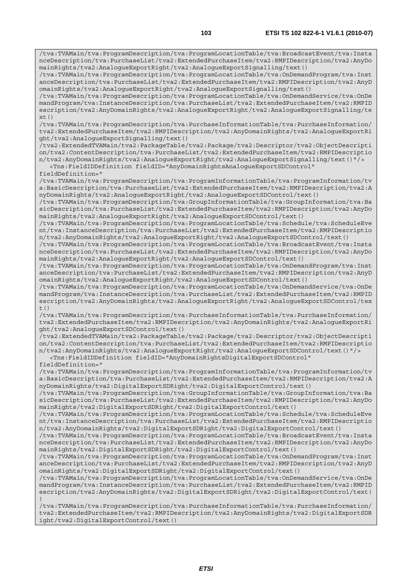/tva:TVAMain/tva:ProgramDescription/tva:ProgramLocationTable/tva:BroadcastEvent/tva:Insta nceDescription/tva:PurchaseList/tva2:ExtendedPurchaseItem/tva2:RMPIDescription/tva2:AnyDo mainRights/tva2:AnalogueExportRight/tva2:AnalogueExportSignalling/text()

/tva:TVAMain/tva:ProgramDescription/tva:ProgramLocationTable/tva:OnDemandProgram/tva:Inst anceDescription/tva:PurchaseList/tva2:ExtendedPurchaseItem/tva2:RMPIDescription/tva2:AnyD omainRights/tva2:AnalogueExportRight/tva2:AnalogueExportSignalling/text()

/tva:TVAMain/tva:ProgramDescription/tva:ProgramLocationTable/tva:OnDemandService/tva:OnDe mandProgram/tva:InstanceDescription/tva:PurchaseList/tva2:ExtendedPurchaseItem/tva2:RMPID escription/tva2:AnyDomainRights/tva2:AnalogueExportRight/tva2:AnalogueExportSignalling/te  $xt()$ 

/tva:TVAMain/tva:ProgramDescription/tva:PurchaseInformationTable/tva:PurchaseInformation/ tva2:ExtendedPurchaseItem/tva2:RMPIDescription/tva2:AnyDomainRights/tva2:AnalogueExportRi

/tva2:ExtendedTVAMain/tva2:PackageTable/tva2:Package/tva2:Descriptor/tva2:ObjectDescripti on/tva2:ContentDescription/tva:PurchaseList/tva2:ExtendedPurchaseItem/tva2:RMPIDescriptio n/tva2:AnyDomainRights/tva2:AnalogueExportRight/tva2:AnalogueExportSignalling/text()"/>

/tva:TVAMain/tva:ProgramDescription/tva:ProgramInformationTable/tva:ProgramInformation/tv a:BasicDescription/tva:PurchaseList/tva2:ExtendedPurchaseItem/tva2:RMPIDescription/tva2:A

/tva:TVAMain/tva:ProgramDescription/tva:GroupInformationTable/tva:GroupInformation/tva:Ba

<Tns:FieldIDDefinition fieldID="AnyDomainRightsAnalogueExportSDControl"

nyDomainRights/tva2:AnalogueExportRight/tva2:AnalogueExportSDControl/text()

sicDescription/tva:PurchaseList/tva2:ExtendedPurchaseItem/tva2:RMPIDescription/tva2:AnyDo mainRights/tva2:AnalogueExportRight/tva2:AnalogueExportSDControl/text() /tva:TVAMain/tva:ProgramDescription/tva:ProgramLocationTable/tva:Schedule/tva:ScheduleEve nt/tva:InstanceDescription/tva:PurchaseList/tva2:ExtendedPurchaseItem/tva2:RMPIDescriptio n/tva2:AnyDomainRights/tva2:AnalogueExportRight/tva2:AnalogueExportSDControl/text() /tva:TVAMain/tva:ProgramDescription/tva:ProgramLocationTable/tva:BroadcastEvent/tva:Insta nceDescription/tva:PurchaseList/tva2:ExtendedPurchaseItem/tva2:RMPIDescription/tva2:AnyDo mainRights/tva2:AnalogueExportRight/tva2:AnalogueExportSDControl/text() /tva:TVAMain/tva:ProgramDescription/tva:ProgramLocationTable/tva:OnDemandProgram/tva:Inst anceDescription/tva:PurchaseList/tva2:ExtendedPurchaseItem/tva2:RMPIDescription/tva2:AnyD omainRights/tva2:AnalogueExportRight/tva2:AnalogueExportSDControl/text() /tva:TVAMain/tva:ProgramDescription/tva:ProgramLocationTable/tva:OnDemandService/tva:OnDe mandProgram/tva:InstanceDescription/tva:PurchaseList/tva2:ExtendedPurchaseItem/tva2:RMPID escription/tva2:AnyDomainRights/tva2:AnalogueExportRight/tva2:AnalogueExportSDControl/tex /tva:TVAMain/tva:ProgramDescription/tva:PurchaseInformationTable/tva:PurchaseInformation/ tva2:ExtendedPurchaseItem/tva2:RMPIDescription/tva2:AnyDomainRights/tva2:AnalogueExportRi ght/tva2:AnalogueExportSDControl/text()

/tva2:ExtendedTVAMain/tva2:PackageTable/tva2:Package/tva2:Descriptor/tva2:ObjectDescripti on/tva2:ContentDescription/tva:PurchaseList/tva2:ExtendedPurchaseItem/tva2:RMPIDescriptio n/tva2:AnyDomainRights/tva2:AnalogueExportRight/tva2:AnalogueExportSDControl/text()"/>

<Tns:FieldIDDefinition fieldID="AnyDomainRightsDigitalExportSDControl"

fieldDefinition="

 $t()$ 

fieldDefinition="

ght/tva2:AnalogueExportSignalling/text()

/tva:TVAMain/tva:ProgramDescription/tva:ProgramInformationTable/tva:ProgramInformation/tv a:BasicDescription/tva:PurchaseList/tva2:ExtendedPurchaseItem/tva2:RMPIDescription/tva2:A nyDomainRights/tva2:DigitalExportSDRight/tva2:DigitalExportControl/text()

/tva:TVAMain/tva:ProgramDescription/tva:GroupInformationTable/tva:GroupInformation/tva:Ba sicDescription/tva:PurchaseList/tva2:ExtendedPurchaseItem/tva2:RMPIDescription/tva2:AnyDo mainRights/tva2:DigitalExportSDRight/tva2:DigitalExportControl/text()

/tva:TVAMain/tva:ProgramDescription/tva:ProgramLocationTable/tva:Schedule/tva:ScheduleEve nt/tva:InstanceDescription/tva:PurchaseList/tva2:ExtendedPurchaseItem/tva2:RMPIDescriptio n/tva2:AnyDomainRights/tva2:DigitalExportSDRight/tva2:DigitalExportControl/text()

/tva:TVAMain/tva:ProgramDescription/tva:ProgramLocationTable/tva:BroadcastEvent/tva:Insta nceDescription/tva:PurchaseList/tva2:ExtendedPurchaseItem/tva2:RMPIDescription/tva2:AnyDo mainRights/tva2:DigitalExportSDRight/tva2:DigitalExportControl/text()

/tva:TVAMain/tva:ProgramDescription/tva:ProgramLocationTable/tva:OnDemandProgram/tva:Inst anceDescription/tva:PurchaseList/tva2:ExtendedPurchaseItem/tva2:RMPIDescription/tva2:AnyD omainRights/tva2:DigitalExportSDRight/tva2:DigitalExportControl/text()

/tva:TVAMain/tva:ProgramDescription/tva:ProgramLocationTable/tva:OnDemandService/tva:OnDe mandProgram/tva:InstanceDescription/tva:PurchaseList/tva2:ExtendedPurchaseItem/tva2:RMPID escription/tva2:AnyDomainRights/tva2:DigitalExportSDRight/tva2:DigitalExportControl/text( )

/tva:TVAMain/tva:ProgramDescription/tva:PurchaseInformationTable/tva:PurchaseInformation/ tva2:ExtendedPurchaseItem/tva2:RMPIDescription/tva2:AnyDomainRights/tva2:DigitalExportSDR ight/tva2:DigitalExportControl/text()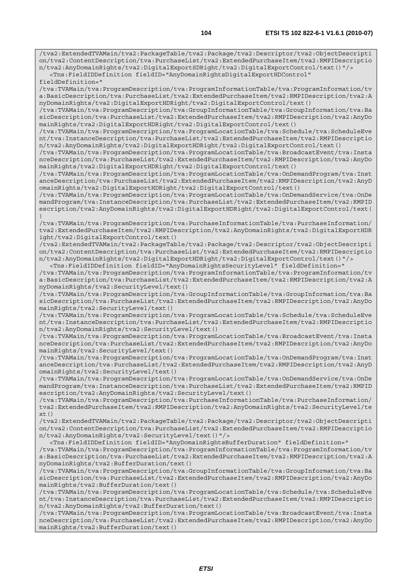/tva2:ExtendedTVAMain/tva2:PackageTable/tva2:Package/tva2:Descriptor/tva2:ObjectDescripti on/tva2:ContentDescription/tva:PurchaseList/tva2:ExtendedPurchaseItem/tva2:RMPIDescriptio n/tva2:AnyDomainRights/tva2:DigitalExportSDRight/tva2:DigitalExportControl/text()"/>

 <Tns:FieldIDDefinition fieldID="AnyDomainRightsDigitalExportHDControl" fieldDefinition="

/tva:TVAMain/tva:ProgramDescription/tva:ProgramInformationTable/tva:ProgramInformation/tv a:BasicDescription/tva:PurchaseList/tva2:ExtendedPurchaseItem/tva2:RMPIDescription/tva2:A nyDomainRights/tva2:DigitalExportHDRight/tva2:DigitalExportControl/text()

/tva:TVAMain/tva:ProgramDescription/tva:GroupInformationTable/tva:GroupInformation/tva:Ba sicDescription/tva:PurchaseList/tva2:ExtendedPurchaseItem/tva2:RMPIDescription/tva2:AnyDo mainRights/tva2:DigitalExportHDRight/tva2:DigitalExportControl/text()

/tva:TVAMain/tva:ProgramDescription/tva:ProgramLocationTable/tva:Schedule/tva:ScheduleEve nt/tva:InstanceDescription/tva:PurchaseList/tva2:ExtendedPurchaseItem/tva2:RMPIDescriptio n/tva2:AnyDomainRights/tva2:DigitalExportHDRight/tva2:DigitalExportControl/text()

/tva:TVAMain/tva:ProgramDescription/tva:ProgramLocationTable/tva:BroadcastEvent/tva:Insta nceDescription/tva:PurchaseList/tva2:ExtendedPurchaseItem/tva2:RMPIDescription/tva2:AnyDo mainRights/tva2:DigitalExportHDRight/tva2:DigitalExportControl/text()

/tva:TVAMain/tva:ProgramDescription/tva:ProgramLocationTable/tva:OnDemandProgram/tva:Inst anceDescription/tva:PurchaseList/tva2:ExtendedPurchaseItem/tva2:RMPIDescription/tva2:AnyD omainRights/tva2:DigitalExportHDRight/tva2:DigitalExportControl/text()

/tva:TVAMain/tva:ProgramDescription/tva:ProgramLocationTable/tva:OnDemandService/tva:OnDe mandProgram/tva:InstanceDescription/tva:PurchaseList/tva2:ExtendedPurchaseItem/tva2:RMPID escription/tva2:AnyDomainRights/tva2:DigitalExportHDRight/tva2:DigitalExportControl/text( )

/tva:TVAMain/tva:ProgramDescription/tva:PurchaseInformationTable/tva:PurchaseInformation/ tva2:ExtendedPurchaseItem/tva2:RMPIDescription/tva2:AnyDomainRights/tva2:DigitalExportHDR ight/tva2:DigitalExportControl/text()

/tva2:ExtendedTVAMain/tva2:PackageTable/tva2:Package/tva2:Descriptor/tva2:ObjectDescripti on/tva2:ContentDescription/tva:PurchaseList/tva2:ExtendedPurchaseItem/tva2:RMPIDescriptio n/tva2:AnyDomainRights/tva2:DigitalExportHDRight/tva2:DigitalExportControl/text()"/> <Tns:FieldIDDefinition fieldID="AnyDomainRightsSecurityLevel" fieldDefinition="

/tva:TVAMain/tva:ProgramDescription/tva:ProgramInformationTable/tva:ProgramInformation/tv a:BasicDescription/tva:PurchaseList/tva2:ExtendedPurchaseItem/tva2:RMPIDescription/tva2:A nyDomainRights/tva2:SecurityLevel/text()

/tva:TVAMain/tva:ProgramDescription/tva:GroupInformationTable/tva:GroupInformation/tva:Ba sicDescription/tva:PurchaseList/tva2:ExtendedPurchaseItem/tva2:RMPIDescription/tva2:AnyDo mainRights/tva2:SecurityLevel/text()

/tva:TVAMain/tva:ProgramDescription/tva:ProgramLocationTable/tva:Schedule/tva:ScheduleEve nt/tva:InstanceDescription/tva:PurchaseList/tva2:ExtendedPurchaseItem/tva2:RMPIDescriptio n/tva2:AnyDomainRights/tva2:SecurityLevel/text()

/tva:TVAMain/tva:ProgramDescription/tva:ProgramLocationTable/tva:BroadcastEvent/tva:Insta nceDescription/tva:PurchaseList/tva2:ExtendedPurchaseItem/tva2:RMPIDescription/tva2:AnyDo mainRights/tva2:SecurityLevel/text()

/tva:TVAMain/tva:ProgramDescription/tva:ProgramLocationTable/tva:OnDemandProgram/tva:Inst anceDescription/tva:PurchaseList/tva2:ExtendedPurchaseItem/tva2:RMPIDescription/tva2:AnyD omainRights/tva2:SecurityLevel/text()

/tva:TVAMain/tva:ProgramDescription/tva:ProgramLocationTable/tva:OnDemandService/tva:OnDe mandProgram/tva:InstanceDescription/tva:PurchaseList/tva2:ExtendedPurchaseItem/tva2:RMPID escription/tva2:AnyDomainRights/tva2:SecurityLevel/text()

/tva:TVAMain/tva:ProgramDescription/tva:PurchaseInformationTable/tva:PurchaseInformation/ tva2:ExtendedPurchaseItem/tva2:RMPIDescription/tva2:AnyDomainRights/tva2:SecurityLevel/te  $xt()$ 

/tva2:ExtendedTVAMain/tva2:PackageTable/tva2:Package/tva2:Descriptor/tva2:ObjectDescripti on/tva2:ContentDescription/tva:PurchaseList/tva2:ExtendedPurchaseItem/tva2:RMPIDescriptio n/tva2:AnyDomainRights/tva2:SecurityLevel/text()"/>

 <Tns:FieldIDDefinition fieldID="AnyDomainRightsBufferDuration" fieldDefinition=" /tva:TVAMain/tva:ProgramDescription/tva:ProgramInformationTable/tva:ProgramInformation/tv a:BasicDescription/tva:PurchaseList/tva2:ExtendedPurchaseItem/tva2:RMPIDescription/tva2:A nyDomainRights/tva2:BufferDuration/text()

/tva:TVAMain/tva:ProgramDescription/tva:GroupInformationTable/tva:GroupInformation/tva:Ba sicDescription/tva:PurchaseList/tva2:ExtendedPurchaseItem/tva2:RMPIDescription/tva2:AnyDo mainRights/tva2:BufferDuration/text()

/tva:TVAMain/tva:ProgramDescription/tva:ProgramLocationTable/tva:Schedule/tva:ScheduleEve nt/tva:InstanceDescription/tva:PurchaseList/tva2:ExtendedPurchaseItem/tva2:RMPIDescriptio n/tva2:AnyDomainRights/tva2:BufferDuration/text()

/tva:TVAMain/tva:ProgramDescription/tva:ProgramLocationTable/tva:BroadcastEvent/tva:Insta nceDescription/tva:PurchaseList/tva2:ExtendedPurchaseItem/tva2:RMPIDescription/tva2:AnyDo mainRights/tva2:BufferDuration/text()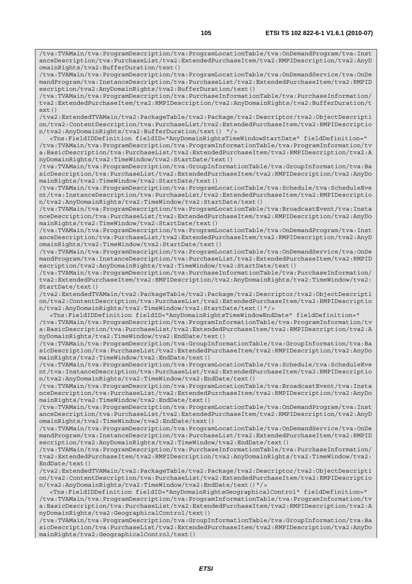/tva:TVAMain/tva:ProgramDescription/tva:ProgramLocationTable/tva:OnDemandProgram/tva:Inst anceDescription/tva:PurchaseList/tva2:ExtendedPurchaseItem/tva2:RMPIDescription/tva2:AnyD omainRights/tva2:BufferDuration/text()

/tva:TVAMain/tva:ProgramDescription/tva:ProgramLocationTable/tva:OnDemandService/tva:OnDe mandProgram/tva:InstanceDescription/tva:PurchaseList/tva2:ExtendedPurchaseItem/tva2:RMPID escription/tva2:AnyDomainRights/tva2:BufferDuration/text()

/tva:TVAMain/tva:ProgramDescription/tva:PurchaseInformationTable/tva:PurchaseInformation/ tva2:ExtendedPurchaseItem/tva2:RMPIDescription/tva2:AnyDomainRights/tva2:BufferDuration/t ext()

/tva2:ExtendedTVAMain/tva2:PackageTable/tva2:Package/tva2:Descriptor/tva2:ObjectDescripti on/tva2:ContentDescription/tva:PurchaseList/tva2:ExtendedPurchaseItem/tva2:RMPIDescriptio n/tva2:AnyDomainRights/tva2:BufferDuration/text() "/>

 <Tns:FieldIDDefinition fieldID="AnyDomainRightsTimeWindowStartDate" fieldDefinition=" /tva:TVAMain/tva:ProgramDescription/tva:ProgramInformationTable/tva:ProgramInformation/tv a:BasicDescription/tva:PurchaseList/tva2:ExtendedPurchaseItem/tva2:RMPIDescription/tva2:A nyDomainRights/tva2:TimeWindow/tva2:StartDate/text()

/tva:TVAMain/tva:ProgramDescription/tva:GroupInformationTable/tva:GroupInformation/tva:Ba sicDescription/tva:PurchaseList/tva2:ExtendedPurchaseItem/tva2:RMPIDescription/tva2:AnyDo mainRights/tva2:TimeWindow/tva2:StartDate/text()

/tva:TVAMain/tva:ProgramDescription/tva:ProgramLocationTable/tva:Schedule/tva:ScheduleEve nt/tva:InstanceDescription/tva:PurchaseList/tva2:ExtendedPurchaseItem/tva2:RMPIDescriptio n/tva2:AnyDomainRights/tva2:TimeWindow/tva2:StartDate/text()

/tva:TVAMain/tva:ProgramDescription/tva:ProgramLocationTable/tva:BroadcastEvent/tva:Insta nceDescription/tva:PurchaseList/tva2:ExtendedPurchaseItem/tva2:RMPIDescription/tva2:AnyDo mainRights/tva2:TimeWindow/tva2:StartDate/text()

/tva:TVAMain/tva:ProgramDescription/tva:ProgramLocationTable/tva:OnDemandProgram/tva:Inst anceDescription/tva:PurchaseList/tva2:ExtendedPurchaseItem/tva2:RMPIDescription/tva2:AnyD omainRights/tva2:TimeWindow/tva2:StartDate/text()

/tva:TVAMain/tva:ProgramDescription/tva:ProgramLocationTable/tva:OnDemandService/tva:OnDe mandProgram/tva:InstanceDescription/tva:PurchaseList/tva2:ExtendedPurchaseItem/tva2:RMPID escription/tva2:AnyDomainRights/tva2:TimeWindow/tva2:StartDate/text()

/tva:TVAMain/tva:ProgramDescription/tva:PurchaseInformationTable/tva:PurchaseInformation/ tva2:ExtendedPurchaseItem/tva2:RMPIDescription/tva2:AnyDomainRights/tva2:TimeWindow/tva2:  $StartData(tayt()$ 

/tva2:ExtendedTVAMain/tva2:PackageTable/tva2:Package/tva2:Descriptor/tva2:ObjectDescripti on/tva2:ContentDescription/tva:PurchaseList/tva2:ExtendedPurchaseItem/tva2:RMPIDescriptio n/tva2:AnyDomainRights/tva2:TimeWindow/tva2:StartDate/text()"/>

 <Tns:FieldIDDefinition fieldID="AnyDomainRightsTimeWindowEndDate" fieldDefinition=" /tva:TVAMain/tva:ProgramDescription/tva:ProgramInformationTable/tva:ProgramInformation/tv a:BasicDescription/tva:PurchaseList/tva2:ExtendedPurchaseItem/tva2:RMPIDescription/tva2:A nyDomainRights/tva2:TimeWindow/tva2:EndDate/text()

/tva:TVAMain/tva:ProgramDescription/tva:GroupInformationTable/tva:GroupInformation/tva:Ba sicDescription/tva:PurchaseList/tva2:ExtendedPurchaseItem/tva2:RMPIDescription/tva2:AnyDo mainRights/tva2:TimeWindow/tva2:EndDate/text()

/tva:TVAMain/tva:ProgramDescription/tva:ProgramLocationTable/tva:Schedule/tva:ScheduleEve nt/tva:InstanceDescription/tva:PurchaseList/tva2:ExtendedPurchaseItem/tva2:RMPIDescriptio n/tva2:AnyDomainRights/tva2:TimeWindow/tva2:EndDate/text()

/tva:TVAMain/tva:ProgramDescription/tva:ProgramLocationTable/tva:BroadcastEvent/tva:Insta nceDescription/tva:PurchaseList/tva2:ExtendedPurchaseItem/tva2:RMPIDescription/tva2:AnyDo mainRights/tva2:TimeWindow/tva2:EndDate/text()

/tva:TVAMain/tva:ProgramDescription/tva:ProgramLocationTable/tva:OnDemandProgram/tva:Inst anceDescription/tva:PurchaseList/tva2:ExtendedPurchaseItem/tva2:RMPIDescription/tva2:AnyD omainRights/tva2:TimeWindow/tva2:EndDate/text()

/tva:TVAMain/tva:ProgramDescription/tva:ProgramLocationTable/tva:OnDemandService/tva:OnDe mandProgram/tva:InstanceDescription/tva:PurchaseList/tva2:ExtendedPurchaseItem/tva2:RMPID escription/tva2:AnyDomainRights/tva2:TimeWindow/tva2:EndDate/text()

/tva:TVAMain/tva:ProgramDescription/tva:PurchaseInformationTable/tva:PurchaseInformation/ tva2:ExtendedPurchaseItem/tva2:RMPIDescription/tva2:AnyDomainRights/tva2:TimeWindow/tva2: EndDate/text()

/tva2:ExtendedTVAMain/tva2:PackageTable/tva2:Package/tva2:Descriptor/tva2:ObjectDescripti on/tva2:ContentDescription/tva:PurchaseList/tva2:ExtendedPurchaseItem/tva2:RMPIDescriptio n/tva2:AnyDomainRights/tva2:TimeWindow/tva2:EndDate/text()"/>

 <Tns:FieldIDDefinition fieldID="AnyDomainRightsGeographicalControl" fieldDefinition=" /tva:TVAMain/tva:ProgramDescription/tva:ProgramInformationTable/tva:ProgramInformation/tv a:BasicDescription/tva:PurchaseList/tva2:ExtendedPurchaseItem/tva2:RMPIDescription/tva2:A nyDomainRights/tva2:GeographicalControl/text()

/tva:TVAMain/tva:ProgramDescription/tva:GroupInformationTable/tva:GroupInformation/tva:Ba sicDescription/tva:PurchaseList/tva2:ExtendedPurchaseItem/tva2:RMPIDescription/tva2:AnyDo mainRights/tva2:GeographicalControl/text()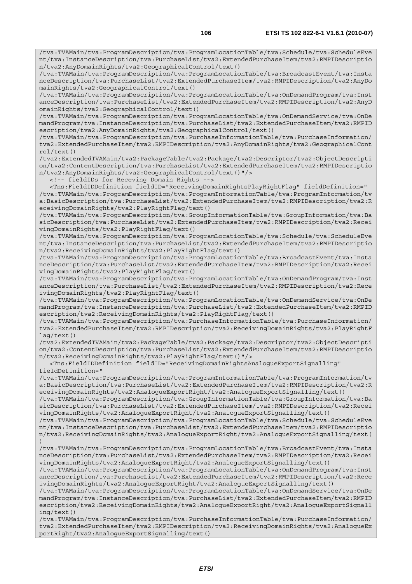/tva:TVAMain/tva:ProgramDescription/tva:ProgramLocationTable/tva:BroadcastEvent/tva:Insta nceDescription/tva:PurchaseList/tva2:ExtendedPurchaseItem/tva2:RMPIDescription/tva2:AnyDo mainRights/tva2:GeographicalControl/text()

/tva:TVAMain/tva:ProgramDescription/tva:ProgramLocationTable/tva:OnDemandProgram/tva:Inst anceDescription/tva:PurchaseList/tva2:ExtendedPurchaseItem/tva2:RMPIDescription/tva2:AnyD omainRights/tva2:GeographicalControl/text()

/tva:TVAMain/tva:ProgramDescription/tva:ProgramLocationTable/tva:OnDemandService/tva:OnDe mandProgram/tva:InstanceDescription/tva:PurchaseList/tva2:ExtendedPurchaseItem/tva2:RMPID escription/tva2:AnyDomainRights/tva2:GeographicalControl/text()

/tva:TVAMain/tva:ProgramDescription/tva:PurchaseInformationTable/tva:PurchaseInformation/ tva2:ExtendedPurchaseItem/tva2:RMPIDescription/tva2:AnyDomainRights/tva2:GeographicalCont rol/text()

/tva2:ExtendedTVAMain/tva2:PackageTable/tva2:Package/tva2:Descriptor/tva2:ObjectDescripti on/tva2:ContentDescription/tva:PurchaseList/tva2:ExtendedPurchaseItem/tva2:RMPIDescriptio n/tva2:AnyDomainRights/tva2:GeographicalControl/text()"/>

<!-- fieldIDs for Receving Domain Rights -->

 <Tns:FieldIDDefinition fieldID="ReceivingDomainRightsPlayRightFlag" fieldDefinition=" /tva:TVAMain/tva:ProgramDescription/tva:ProgramInformationTable/tva:ProgramInformation/tv a:BasicDescription/tva:PurchaseList/tva2:ExtendedPurchaseItem/tva2:RMPIDescription/tva2:R eceivingDomainRights/tva2:PlayRightFlag/text()

/tva:TVAMain/tva:ProgramDescription/tva:GroupInformationTable/tva:GroupInformation/tva:Ba sicDescription/tva:PurchaseList/tva2:ExtendedPurchaseItem/tva2:RMPIDescription/tva2:Recei vingDomainRights/tva2:PlayRightFlag/text()

/tva:TVAMain/tva:ProgramDescription/tva:ProgramLocationTable/tva:Schedule/tva:ScheduleEve nt/tva:InstanceDescription/tva:PurchaseList/tva2:ExtendedPurchaseItem/tva2:RMPIDescriptio n/tva2:ReceivingDomainRights/tva2:PlayRightFlag/text()

/tva:TVAMain/tva:ProgramDescription/tva:ProgramLocationTable/tva:BroadcastEvent/tva:Insta nceDescription/tva:PurchaseList/tva2:ExtendedPurchaseItem/tva2:RMPIDescription/tva2:Recei vingDomainRights/tva2:PlayRightFlag/text()

/tva:TVAMain/tva:ProgramDescription/tva:ProgramLocationTable/tva:OnDemandProgram/tva:Inst anceDescription/tva:PurchaseList/tva2:ExtendedPurchaseItem/tva2:RMPIDescription/tva2:Rece ivingDomainRights/tva2:PlayRightFlag/text()

/tva:TVAMain/tva:ProgramDescription/tva:ProgramLocationTable/tva:OnDemandService/tva:OnDe mandProgram/tva:InstanceDescription/tva:PurchaseList/tva2:ExtendedPurchaseItem/tva2:RMPID escription/tva2:ReceivingDomainRights/tva2:PlayRightFlag/text()

/tva:TVAMain/tva:ProgramDescription/tva:PurchaseInformationTable/tva:PurchaseInformation/ tva2:ExtendedPurchaseItem/tva2:RMPIDescription/tva2:ReceivingDomainRights/tva2:PlayRightF lag/text()

/tva2:ExtendedTVAMain/tva2:PackageTable/tva2:Package/tva2:Descriptor/tva2:ObjectDescripti on/tva2:ContentDescription/tva:PurchaseList/tva2:ExtendedPurchaseItem/tva2:RMPIDescriptio n/tva2:ReceivingDomainRights/tva2:PlayRightFlag/text()"/>

 <Tns:FieldIDDefinition fieldID="ReceivingDomainRightsAnalogueExportSignalling" fieldDefinition="

/tva:TVAMain/tva:ProgramDescription/tva:ProgramInformationTable/tva:ProgramInformation/tv a:BasicDescription/tva:PurchaseList/tva2:ExtendedPurchaseItem/tva2:RMPIDescription/tva2:R eceivingDomainRights/tva2:AnalogueExportRight/tva2:AnalogueExportSignalling/text()

/tva:TVAMain/tva:ProgramDescription/tva:GroupInformationTable/tva:GroupInformation/tva:Ba sicDescription/tva:PurchaseList/tva2:ExtendedPurchaseItem/tva2:RMPIDescription/tva2:Recei vingDomainRights/tva2:AnalogueExportRight/tva2:AnalogueExportSignalling/text()

/tva:TVAMain/tva:ProgramDescription/tva:ProgramLocationTable/tva:Schedule/tva:ScheduleEve nt/tva:InstanceDescription/tva:PurchaseList/tva2:ExtendedPurchaseItem/tva2:RMPIDescriptio n/tva2:ReceivingDomainRights/tva2:AnalogueExportRight/tva2:AnalogueExportSignalling/text( )

/tva:TVAMain/tva:ProgramDescription/tva:ProgramLocationTable/tva:BroadcastEvent/tva:Insta nceDescription/tva:PurchaseList/tva2:ExtendedPurchaseItem/tva2:RMPIDescription/tva2:Recei vingDomainRights/tva2:AnalogueExportRight/tva2:AnalogueExportSignalling/text()

/tva:TVAMain/tva:ProgramDescription/tva:ProgramLocationTable/tva:OnDemandProgram/tva:Inst anceDescription/tva:PurchaseList/tva2:ExtendedPurchaseItem/tva2:RMPIDescription/tva2:Rece ivingDomainRights/tva2:AnalogueExportRight/tva2:AnalogueExportSignalling/text()

/tva:TVAMain/tva:ProgramDescription/tva:ProgramLocationTable/tva:OnDemandService/tva:OnDe mandProgram/tva:InstanceDescription/tva:PurchaseList/tva2:ExtendedPurchaseItem/tva2:RMPID escription/tva2:ReceivingDomainRights/tva2:AnalogueExportRight/tva2:AnalogueExportSignall ing/text()

/tva:TVAMain/tva:ProgramDescription/tva:PurchaseInformationTable/tva:PurchaseInformation/ tva2:ExtendedPurchaseItem/tva2:RMPIDescription/tva2:ReceivingDomainRights/tva2:AnalogueEx portRight/tva2:AnalogueExportSignalling/text()

*ETSI*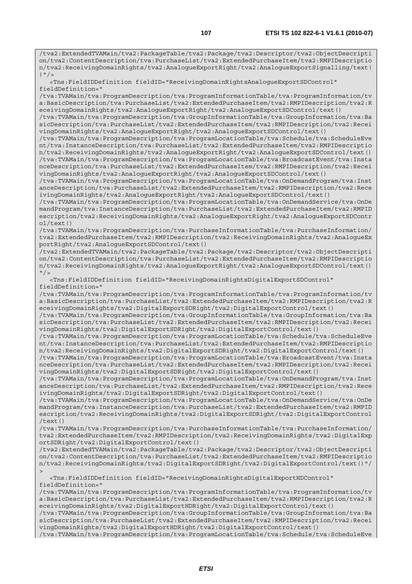/tva2:ExtendedTVAMain/tva2:PackageTable/tva2:Package/tva2:Descriptor/tva2:ObjectDescripti on/tva2:ContentDescription/tva:PurchaseList/tva2:ExtendedPurchaseItem/tva2:RMPIDescriptio n/tva2:ReceivingDomainRights/tva2:AnalogueExportRight/tva2:AnalogueExportSignalling/text( )  $"$  />

 <Tns:FieldIDDefinition fieldID="ReceivingDomainRightsAnalogueExportSDControl" fieldDefinition="

/tva:TVAMain/tva:ProgramDescription/tva:ProgramInformationTable/tva:ProgramInformation/tv a:BasicDescription/tva:PurchaseList/tva2:ExtendedPurchaseItem/tva2:RMPIDescription/tva2:R eceivingDomainRights/tva2:AnalogueExportRight/tva2:AnalogueExportSDControl/text()

/tva:TVAMain/tva:ProgramDescription/tva:GroupInformationTable/tva:GroupInformation/tva:Ba sicDescription/tva:PurchaseList/tva2:ExtendedPurchaseItem/tva2:RMPIDescription/tva2:Recei vingDomainRights/tva2:AnalogueExportRight/tva2:AnalogueExportSDControl/text()

/tva:TVAMain/tva:ProgramDescription/tva:ProgramLocationTable/tva:Schedule/tva:ScheduleEve nt/tva:InstanceDescription/tva:PurchaseList/tva2:ExtendedPurchaseItem/tva2:RMPIDescriptio n/tva2:ReceivingDomainRights/tva2:AnalogueExportRight/tva2:AnalogueExportSDControl/text() /tva:TVAMain/tva:ProgramDescription/tva:ProgramLocationTable/tva:BroadcastEvent/tva:Insta nceDescription/tva:PurchaseList/tva2:ExtendedPurchaseItem/tva2:RMPIDescription/tva2:Recei vingDomainRights/tva2:AnalogueExportRight/tva2:AnalogueExportSDControl/text()

/tva:TVAMain/tva:ProgramDescription/tva:ProgramLocationTable/tva:OnDemandProgram/tva:Inst anceDescription/tva:PurchaseList/tva2:ExtendedPurchaseItem/tva2:RMPIDescription/tva2:Rece ivingDomainRights/tva2:AnalogueExportRight/tva2:AnalogueExportSDControl/text()

/tva:TVAMain/tva:ProgramDescription/tva:ProgramLocationTable/tva:OnDemandService/tva:OnDe mandProgram/tva:InstanceDescription/tva:PurchaseList/tva2:ExtendedPurchaseItem/tva2:RMPID escription/tva2:ReceivingDomainRights/tva2:AnalogueExportRight/tva2:AnalogueExportSDContr ol/text()

/tva:TVAMain/tva:ProgramDescription/tva:PurchaseInformationTable/tva:PurchaseInformation/ tva2:ExtendedPurchaseItem/tva2:RMPIDescription/tva2:ReceivingDomainRights/tva2:AnalogueEx portRight/tva2:AnalogueExportSDControl/text()

/tva2:ExtendedTVAMain/tva2:PackageTable/tva2:Package/tva2:Descriptor/tva2:ObjectDescripti on/tva2:ContentDescription/tva:PurchaseList/tva2:ExtendedPurchaseItem/tva2:RMPIDescriptio n/tva2:ReceivingDomainRights/tva2:AnalogueExportRight/tva2:AnalogueExportSDControl/text()  $"$  />

 <Tns:FieldIDDefinition fieldID="ReceivingDomainRightsDigitalExportSDControl" fieldDefinition="

/tva:TVAMain/tva:ProgramDescription/tva:ProgramInformationTable/tva:ProgramInformation/tv a:BasicDescription/tva:PurchaseList/tva2:ExtendedPurchaseItem/tva2:RMPIDescription/tva2:R eceivingDomainRights/tva2:DigitalExportSDRight/tva2:DigitalExportControl/text()

/tva:TVAMain/tva:ProgramDescription/tva:GroupInformationTable/tva:GroupInformation/tva:Ba sicDescription/tva:PurchaseList/tva2:ExtendedPurchaseItem/tva2:RMPIDescription/tva2:Recei vingDomainRights/tva2:DigitalExportSDRight/tva2:DigitalExportControl/text()

/tva:TVAMain/tva:ProgramDescription/tva:ProgramLocationTable/tva:Schedule/tva:ScheduleEve nt/tva:InstanceDescription/tva:PurchaseList/tva2:ExtendedPurchaseItem/tva2:RMPIDescriptio n/tva2:ReceivingDomainRights/tva2:DigitalExportSDRight/tva2:DigitalExportControl/text()

/tva:TVAMain/tva:ProgramDescription/tva:ProgramLocationTable/tva:BroadcastEvent/tva:Insta nceDescription/tva:PurchaseList/tva2:ExtendedPurchaseItem/tva2:RMPIDescription/tva2:Recei vingDomainRights/tva2:DigitalExportSDRight/tva2:DigitalExportControl/text()

/tva:TVAMain/tva:ProgramDescription/tva:ProgramLocationTable/tva:OnDemandProgram/tva:Inst anceDescription/tva:PurchaseList/tva2:ExtendedPurchaseItem/tva2:RMPIDescription/tva2:Rece ivingDomainRights/tva2:DigitalExportSDRight/tva2:DigitalExportControl/text()

/tva:TVAMain/tva:ProgramDescription/tva:ProgramLocationTable/tva:OnDemandService/tva:OnDe mandProgram/tva:InstanceDescription/tva:PurchaseList/tva2:ExtendedPurchaseItem/tva2:RMPID escription/tva2:ReceivingDomainRights/tva2:DigitalExportSDRight/tva2:DigitalExportControl /text()

/tva:TVAMain/tva:ProgramDescription/tva:PurchaseInformationTable/tva:PurchaseInformation/ tva2:ExtendedPurchaseItem/tva2:RMPIDescription/tva2:ReceivingDomainRights/tva2:DigitalExp ortSDRight/tva2:DigitalExportControl/text()

/tva2:ExtendedTVAMain/tva2:PackageTable/tva2:Package/tva2:Descriptor/tva2:ObjectDescripti on/tva2:ContentDescription/tva:PurchaseList/tva2:ExtendedPurchaseItem/tva2:RMPIDescriptio n/tva2:ReceivingDomainRights/tva2:DigitalExportSDRight/tva2:DigitalExportControl/text()"/  $>$ 

 <Tns:FieldIDDefinition fieldID="ReceivingDomainRightsDigitalExportHDControl" fieldDefinition="

/tva:TVAMain/tva:ProgramDescription/tva:ProgramInformationTable/tva:ProgramInformation/tv a:BasicDescription/tva:PurchaseList/tva2:ExtendedPurchaseItem/tva2:RMPIDescription/tva2:R eceivingDomainRights/tva2:DigitalExportHDRight/tva2:DigitalExportControl/text()

/tva:TVAMain/tva:ProgramDescription/tva:GroupInformationTable/tva:GroupInformation/tva:Ba sicDescription/tva:PurchaseList/tva2:ExtendedPurchaseItem/tva2:RMPIDescription/tva2:Recei vingDomainRights/tva2:DigitalExportHDRight/tva2:DigitalExportControl/text()

/tva:TVAMain/tva:ProgramDescription/tva:ProgramLocationTable/tva:Schedule/tva:ScheduleEve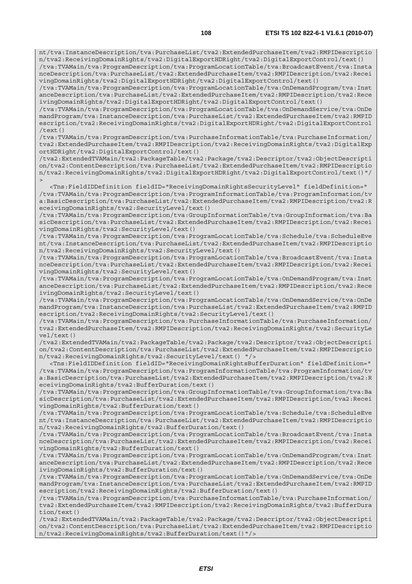nt/tva:InstanceDescription/tva:PurchaseList/tva2:ExtendedPurchaseItem/tva2:RMPIDescriptio n/tva2:ReceivingDomainRights/tva2:DigitalExportHDRight/tva2:DigitalExportControl/text()

/tva:TVAMain/tva:ProgramDescription/tva:ProgramLocationTable/tva:BroadcastEvent/tva:Insta nceDescription/tva:PurchaseList/tva2:ExtendedPurchaseItem/tva2:RMPIDescription/tva2:Recei vingDomainRights/tva2:DigitalExportHDRight/tva2:DigitalExportControl/text()

/tva:TVAMain/tva:ProgramDescription/tva:ProgramLocationTable/tva:OnDemandProgram/tva:Inst anceDescription/tva:PurchaseList/tva2:ExtendedPurchaseItem/tva2:RMPIDescription/tva2:Rece ivingDomainRights/tva2:DigitalExportHDRight/tva2:DigitalExportControl/text()

/tva:TVAMain/tva:ProgramDescription/tva:ProgramLocationTable/tva:OnDemandService/tva:OnDe mandProgram/tva:InstanceDescription/tva:PurchaseList/tva2:ExtendedPurchaseItem/tva2:RMPID escription/tva2:ReceivingDomainRights/tva2:DigitalExportHDRight/tva2:DigitalExportControl /text()

/tva:TVAMain/tva:ProgramDescription/tva:PurchaseInformationTable/tva:PurchaseInformation/ tva2:ExtendedPurchaseItem/tva2:RMPIDescription/tva2:ReceivingDomainRights/tva2:DigitalExp ortHDRight/tva2:DigitalExportControl/text()

/tva2:ExtendedTVAMain/tva2:PackageTable/tva2:Package/tva2:Descriptor/tva2:ObjectDescripti on/tva2:ContentDescription/tva:PurchaseList/tva2:ExtendedPurchaseItem/tva2:RMPIDescriptio n/tva2:ReceivingDomainRights/tva2:DigitalExportHDRight/tva2:DigitalExportControl/text()"/  $\overline{\phantom{a}}$ 

 <Tns:FieldIDDefinition fieldID="ReceivingDomainRightsSecurityLevel" fieldDefinition=" /tva:TVAMain/tva:ProgramDescription/tva:ProgramInformationTable/tva:ProgramInformation/tv a:BasicDescription/tva:PurchaseList/tva2:ExtendedPurchaseItem/tva2:RMPIDescription/tva2:R eceivingDomainRights/tva2:SecurityLevel/text()

/tva:TVAMain/tva:ProgramDescription/tva:GroupInformationTable/tva:GroupInformation/tva:Ba sicDescription/tva:PurchaseList/tva2:ExtendedPurchaseItem/tva2:RMPIDescription/tva2:Recei vingDomainRights/tva2:SecurityLevel/text()

/tva:TVAMain/tva:ProgramDescription/tva:ProgramLocationTable/tva:Schedule/tva:ScheduleEve nt/tva:InstanceDescription/tva:PurchaseList/tva2:ExtendedPurchaseItem/tva2:RMPIDescriptio n/tva2:ReceivingDomainRights/tva2:SecurityLevel/text()

/tva:TVAMain/tva:ProgramDescription/tva:ProgramLocationTable/tva:BroadcastEvent/tva:Insta nceDescription/tva:PurchaseList/tva2:ExtendedPurchaseItem/tva2:RMPIDescription/tva2:Recei vingDomainRights/tva2:SecurityLevel/text()

/tva:TVAMain/tva:ProgramDescription/tva:ProgramLocationTable/tva:OnDemandProgram/tva:Inst anceDescription/tva:PurchaseList/tva2:ExtendedPurchaseItem/tva2:RMPIDescription/tva2:Rece ivingDomainRights/tva2:SecurityLevel/text()

/tva:TVAMain/tva:ProgramDescription/tva:ProgramLocationTable/tva:OnDemandService/tva:OnDe mandProgram/tva:InstanceDescription/tva:PurchaseList/tva2:ExtendedPurchaseItem/tva2:RMPID escription/tva2:ReceivingDomainRights/tva2:SecurityLevel/text()

/tva:TVAMain/tva:ProgramDescription/tva:PurchaseInformationTable/tva:PurchaseInformation/ tva2:ExtendedPurchaseItem/tva2:RMPIDescription/tva2:ReceivingDomainRights/tva2:SecurityLe vel/text()

/tva2:ExtendedTVAMain/tva2:PackageTable/tva2:Package/tva2:Descriptor/tva2:ObjectDescripti on/tva2:ContentDescription/tva:PurchaseList/tva2:ExtendedPurchaseItem/tva2:RMPIDescriptio n/tva2:ReceivingDomainRights/tva2:SecurityLevel/text() "/>

 <Tns:FieldIDDefinition fieldID="ReceivingDomainRightsBufferDuration" fieldDefinition=" /tva:TVAMain/tva:ProgramDescription/tva:ProgramInformationTable/tva:ProgramInformation/tv a:BasicDescription/tva:PurchaseList/tva2:ExtendedPurchaseItem/tva2:RMPIDescription/tva2:R eceivingDomainRights/tva2:BufferDuration/text()

/tva:TVAMain/tva:ProgramDescription/tva:GroupInformationTable/tva:GroupInformation/tva:Ba sicDescription/tva:PurchaseList/tva2:ExtendedPurchaseItem/tva2:RMPIDescription/tva2:Recei vingDomainRights/tva2:BufferDuration/text()

/tva:TVAMain/tva:ProgramDescription/tva:ProgramLocationTable/tva:Schedule/tva:ScheduleEve nt/tva:InstanceDescription/tva:PurchaseList/tva2:ExtendedPurchaseItem/tva2:RMPIDescriptio n/tva2:ReceivingDomainRights/tva2:BufferDuration/text()

/tva:TVAMain/tva:ProgramDescription/tva:ProgramLocationTable/tva:BroadcastEvent/tva:Insta nceDescription/tva:PurchaseList/tva2:ExtendedPurchaseItem/tva2:RMPIDescription/tva2:Recei vingDomainRights/tva2:BufferDuration/text()

/tva:TVAMain/tva:ProgramDescription/tva:ProgramLocationTable/tva:OnDemandProgram/tva:Inst anceDescription/tva:PurchaseList/tva2:ExtendedPurchaseItem/tva2:RMPIDescription/tva2:Rece ivingDomainRights/tva2:BufferDuration/text()

/tva:TVAMain/tva:ProgramDescription/tva:ProgramLocationTable/tva:OnDemandService/tva:OnDe mandProgram/tva:InstanceDescription/tva:PurchaseList/tva2:ExtendedPurchaseItem/tva2:RMPID escription/tva2:ReceivingDomainRights/tva2:BufferDuration/text()

/tva:TVAMain/tva:ProgramDescription/tva:PurchaseInformationTable/tva:PurchaseInformation/ tva2:ExtendedPurchaseItem/tva2:RMPIDescription/tva2:ReceivingDomainRights/tva2:BufferDura tion/text()

/tva2:ExtendedTVAMain/tva2:PackageTable/tva2:Package/tva2:Descriptor/tva2:ObjectDescripti on/tva2:ContentDescription/tva:PurchaseList/tva2:ExtendedPurchaseItem/tva2:RMPIDescriptio n/tva2:ReceivingDomainRights/tva2:BufferDuration/text()"/>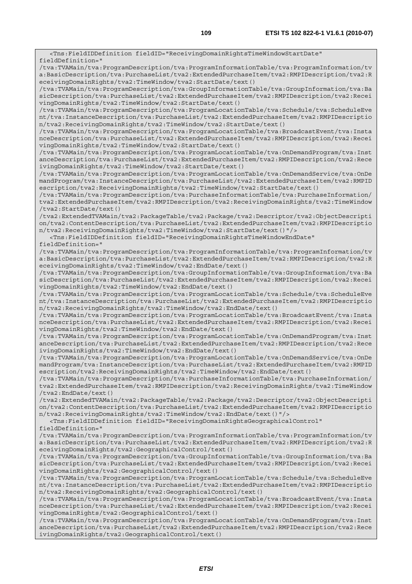<Tns:FieldIDDefinition fieldID="ReceivingDomainRightsTimeWindowStartDate" fieldDefinition=" /tva:TVAMain/tva:ProgramDescription/tva:ProgramInformationTable/tva:ProgramInformation/tv a:BasicDescription/tva:PurchaseList/tva2:ExtendedPurchaseItem/tva2:RMPIDescription/tva2:R eceivingDomainRights/tva2:TimeWindow/tva2:StartDate/text() /tva:TVAMain/tva:ProgramDescription/tva:GroupInformationTable/tva:GroupInformation/tva:Ba sicDescription/tva:PurchaseList/tva2:ExtendedPurchaseItem/tva2:RMPIDescription/tva2:Recei vingDomainRights/tva2:TimeWindow/tva2:StartDate/text() /tva:TVAMain/tva:ProgramDescription/tva:ProgramLocationTable/tva:Schedule/tva:ScheduleEve nt/tva:InstanceDescription/tva:PurchaseList/tva2:ExtendedPurchaseItem/tva2:RMPIDescriptio n/tva2:ReceivingDomainRights/tva2:TimeWindow/tva2:StartDate/text() /tva:TVAMain/tva:ProgramDescription/tva:ProgramLocationTable/tva:BroadcastEvent/tva:Insta nceDescription/tva:PurchaseList/tva2:ExtendedPurchaseItem/tva2:RMPIDescription/tva2:Recei vingDomainRights/tva2:TimeWindow/tva2:StartDate/text() /tva:TVAMain/tva:ProgramDescription/tva:ProgramLocationTable/tva:OnDemandProgram/tva:Inst anceDescription/tva:PurchaseList/tva2:ExtendedPurchaseItem/tva2:RMPIDescription/tva2:Rece ivingDomainRights/tva2:TimeWindow/tva2:StartDate/text() /tva:TVAMain/tva:ProgramDescription/tva:ProgramLocationTable/tva:OnDemandService/tva:OnDe mandProgram/tva:InstanceDescription/tva:PurchaseList/tva2:ExtendedPurchaseItem/tva2:RMPID escription/tva2:ReceivingDomainRights/tva2:TimeWindow/tva2:StartDate/text() /tva:TVAMain/tva:ProgramDescription/tva:PurchaseInformationTable/tva:PurchaseInformation/ tva2:ExtendedPurchaseItem/tva2:RMPIDescription/tva2:ReceivingDomainRights/tva2:TimeWindow /tva2:StartDate/text() /tva2:ExtendedTVAMain/tva2:PackageTable/tva2:Package/tva2:Descriptor/tva2:ObjectDescripti on/tva2:ContentDescription/tva:PurchaseList/tva2:ExtendedPurchaseItem/tva2:RMPIDescriptio n/tva2:ReceivingDomainRights/tva2:TimeWindow/tva2:StartDate/text()"/> <Tns:FieldIDDefinition fieldID="ReceivingDomainRightsTimeWindowEndDate" fieldDefinition=" /tva:TVAMain/tva:ProgramDescription/tva:ProgramInformationTable/tva:ProgramInformation/tv a:BasicDescription/tva:PurchaseList/tva2:ExtendedPurchaseItem/tva2:RMPIDescription/tva2:R eceivingDomainRights/tva2:TimeWindow/tva2:EndDate/text() /tva:TVAMain/tva:ProgramDescription/tva:GroupInformationTable/tva:GroupInformation/tva:Ba sicDescription/tva:PurchaseList/tva2:ExtendedPurchaseItem/tva2:RMPIDescription/tva2:Recei vingDomainRights/tva2:TimeWindow/tva2:EndDate/text() /tva:TVAMain/tva:ProgramDescription/tva:ProgramLocationTable/tva:Schedule/tva:ScheduleEve nt/tva:InstanceDescription/tva:PurchaseList/tva2:ExtendedPurchaseItem/tva2:RMPIDescriptio n/tva2:ReceivingDomainRights/tva2:TimeWindow/tva2:EndDate/text() /tva:TVAMain/tva:ProgramDescription/tva:ProgramLocationTable/tva:BroadcastEvent/tva:Insta nceDescription/tva:PurchaseList/tva2:ExtendedPurchaseItem/tva2:RMPIDescription/tva2:Recei vingDomainRights/tva2:TimeWindow/tva2:EndDate/text() /tva:TVAMain/tva:ProgramDescription/tva:ProgramLocationTable/tva:OnDemandProgram/tva:Inst anceDescription/tva:PurchaseList/tva2:ExtendedPurchaseItem/tva2:RMPIDescription/tva2:Rece ivingDomainRights/tva2:TimeWindow/tva2:EndDate/text() /tva:TVAMain/tva:ProgramDescription/tva:ProgramLocationTable/tva:OnDemandService/tva:OnDe mandProgram/tva:InstanceDescription/tva:PurchaseList/tva2:ExtendedPurchaseItem/tva2:RMPID escription/tva2:ReceivingDomainRights/tva2:TimeWindow/tva2:EndDate/text() /tva:TVAMain/tva:ProgramDescription/tva:PurchaseInformationTable/tva:PurchaseInformation/ tva2:ExtendedPurchaseItem/tva2:RMPIDescription/tva2:ReceivingDomainRights/tva2:TimeWindow /tva2:EndDate/text() /tva2:ExtendedTVAMain/tva2:PackageTable/tva2:Package/tva2:Descriptor/tva2:ObjectDescripti on/tva2:ContentDescription/tva:PurchaseList/tva2:ExtendedPurchaseItem/tva2:RMPIDescriptio n/tva2:ReceivingDomainRights/tva2:TimeWindow/tva2:EndDate/text()"/> <Tns:FieldIDDefinition fieldID="ReceivingDomainRightsGeographicalControl" fieldDefinition=" /tva:TVAMain/tva:ProgramDescription/tva:ProgramInformationTable/tva:ProgramInformation/tv a:BasicDescription/tva:PurchaseList/tva2:ExtendedPurchaseItem/tva2:RMPIDescription/tva2:R eceivingDomainRights/tva2:GeographicalControl/text() /tva:TVAMain/tva:ProgramDescription/tva:GroupInformationTable/tva:GroupInformation/tva:Ba sicDescription/tva:PurchaseList/tva2:ExtendedPurchaseItem/tva2:RMPIDescription/tva2:Recei vingDomainRights/tva2:GeographicalControl/text() /tva:TVAMain/tva:ProgramDescription/tva:ProgramLocationTable/tva:Schedule/tva:ScheduleEve nt/tva:InstanceDescription/tva:PurchaseList/tva2:ExtendedPurchaseItem/tva2:RMPIDescriptio n/tva2:ReceivingDomainRights/tva2:GeographicalControl/text() /tva:TVAMain/tva:ProgramDescription/tva:ProgramLocationTable/tva:BroadcastEvent/tva:Insta nceDescription/tva:PurchaseList/tva2:ExtendedPurchaseItem/tva2:RMPIDescription/tva2:Recei vingDomainRights/tva2:GeographicalControl/text() /tva:TVAMain/tva:ProgramDescription/tva:ProgramLocationTable/tva:OnDemandProgram/tva:Inst anceDescription/tva:PurchaseList/tva2:ExtendedPurchaseItem/tva2:RMPIDescription/tva2:Rece ivingDomainRights/tva2:GeographicalControl/text()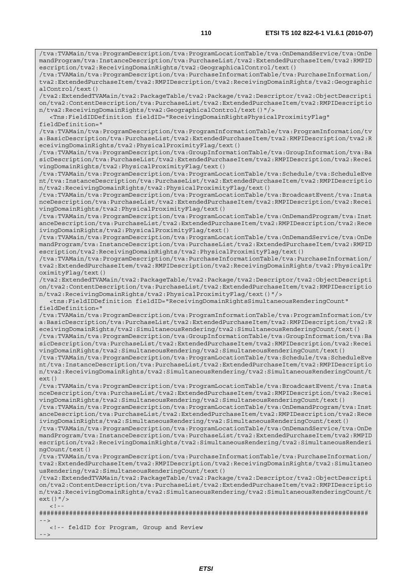/tva:TVAMain/tva:ProgramDescription/tva:ProgramLocationTable/tva:OnDemandService/tva:OnDe mandProgram/tva:InstanceDescription/tva:PurchaseList/tva2:ExtendedPurchaseItem/tva2:RMPID escription/tva2:ReceivingDomainRights/tva2:GeographicalControl/text()

/tva:TVAMain/tva:ProgramDescription/tva:PurchaseInformationTable/tva:PurchaseInformation/ tva2:ExtendedPurchaseItem/tva2:RMPIDescription/tva2:ReceivingDomainRights/tva2:Geographic alControl/text()

/tva2:ExtendedTVAMain/tva2:PackageTable/tva2:Package/tva2:Descriptor/tva2:ObjectDescripti on/tva2:ContentDescription/tva:PurchaseList/tva2:ExtendedPurchaseItem/tva2:RMPIDescriptio n/tva2:ReceivingDomainRights/tva2:GeographicalControl/text()"/>

 <Tns:FieldIDDefinition fieldID="ReceivingDomainRightsPhysicalProximityFlag" fieldDefinition="

/tva:TVAMain/tva:ProgramDescription/tva:ProgramInformationTable/tva:ProgramInformation/tv a:BasicDescription/tva:PurchaseList/tva2:ExtendedPurchaseItem/tva2:RMPIDescription/tva2:R eceivingDomainRights/tva2:PhysicalProximityFlag/text()

/tva:TVAMain/tva:ProgramDescription/tva:GroupInformationTable/tva:GroupInformation/tva:Ba sicDescription/tva:PurchaseList/tva2:ExtendedPurchaseItem/tva2:RMPIDescription/tva2:Recei vingDomainRights/tva2:PhysicalProximityFlag/text()

/tva:TVAMain/tva:ProgramDescription/tva:ProgramLocationTable/tva:Schedule/tva:ScheduleEve nt/tva:InstanceDescription/tva:PurchaseList/tva2:ExtendedPurchaseItem/tva2:RMPIDescriptio n/tva2:ReceivingDomainRights/tva2:PhysicalProximityFlag/text()

/tva:TVAMain/tva:ProgramDescription/tva:ProgramLocationTable/tva:BroadcastEvent/tva:Insta nceDescription/tva:PurchaseList/tva2:ExtendedPurchaseItem/tva2:RMPIDescription/tva2:Recei vingDomainRights/tva2:PhysicalProximityFlag/text()

/tva:TVAMain/tva:ProgramDescription/tva:ProgramLocationTable/tva:OnDemandProgram/tva:Inst anceDescription/tva:PurchaseList/tva2:ExtendedPurchaseItem/tva2:RMPIDescription/tva2:Rece ivingDomainRights/tva2:PhysicalProximityFlag/text()

/tva:TVAMain/tva:ProgramDescription/tva:ProgramLocationTable/tva:OnDemandService/tva:OnDe mandProgram/tva:InstanceDescription/tva:PurchaseList/tva2:ExtendedPurchaseItem/tva2:RMPID escription/tva2:ReceivingDomainRights/tva2:PhysicalProximityFlag/text()

/tva:TVAMain/tva:ProgramDescription/tva:PurchaseInformationTable/tva:PurchaseInformation/ tva2:ExtendedPurchaseItem/tva2:RMPIDescription/tva2:ReceivingDomainRights/tva2:PhysicalPr oximityFlag/text()

/tva2:ExtendedTVAMain/tva2:PackageTable/tva2:Package/tva2:Descriptor/tva2:ObjectDescripti on/tva2:ContentDescription/tva:PurchaseList/tva2:ExtendedPurchaseItem/tva2:RMPIDescriptio n/tva2:ReceivingDomainRights/tva2:PhysicalProximityFlag/text()"/>

 <tns:FieldIDDefinition fieldID="ReceivingDomainRightsSimultaneousRenderingCount" fieldDefinition="

/tva:TVAMain/tva:ProgramDescription/tva:ProgramInformationTable/tva:ProgramInformation/tv a:BasicDescription/tva:PurchaseList/tva2:ExtendedPurchaseItem/tva2:RMPIDescription/tva2:R eceivingDomainRights/tva2:SimultaneousRendering/tva2:SimultaneousRenderingCount/text()

/tva:TVAMain/tva:ProgramDescription/tva:GroupInformationTable/tva:GroupInformation/tva:Ba sicDescription/tva:PurchaseList/tva2:ExtendedPurchaseItem/tva2:RMPIDescription/tva2:Recei vingDomainRights/tva2:SimultaneousRendering/tva2:SimultaneousRenderingCount/text()

/tva:TVAMain/tva:ProgramDescription/tva:ProgramLocationTable/tva:Schedule/tva:ScheduleEve nt/tva:InstanceDescription/tva:PurchaseList/tva2:ExtendedPurchaseItem/tva2:RMPIDescriptio n/tva2:ReceivingDomainRights/tva2:SimultaneousRendering/tva2:SimultaneousRenderingCount/t ext()

/tva:TVAMain/tva:ProgramDescription/tva:ProgramLocationTable/tva:BroadcastEvent/tva:Insta nceDescription/tva:PurchaseList/tva2:ExtendedPurchaseItem/tva2:RMPIDescription/tva2:Recei vingDomainRights/tva2:SimultaneousRendering/tva2:SimultaneousRenderingCount/text()

/tva:TVAMain/tva:ProgramDescription/tva:ProgramLocationTable/tva:OnDemandProgram/tva:Inst anceDescription/tva:PurchaseList/tva2:ExtendedPurchaseItem/tva2:RMPIDescription/tva2:Rece ivingDomainRights/tva2:SimultaneousRendering/tva2:SimultaneousRenderingCount/text()

/tva:TVAMain/tva:ProgramDescription/tva:ProgramLocationTable/tva:OnDemandService/tva:OnDe mandProgram/tva:InstanceDescription/tva:PurchaseList/tva2:ExtendedPurchaseItem/tva2:RMPID escription/tva2:ReceivingDomainRights/tva2:SimultaneousRendering/tva2:SimultaneousRenderi ngCount/text()

/tva:TVAMain/tva:ProgramDescription/tva:PurchaseInformationTable/tva:PurchaseInformation/ tva2:ExtendedPurchaseItem/tva2:RMPIDescription/tva2:ReceivingDomainRights/tva2:Simultaneo usRendering/tva2:SimultaneousRenderingCount/text()

/tva2:ExtendedTVAMain/tva2:PackageTable/tva2:Package/tva2:Descriptor/tva2:ObjectDescripti on/tva2:ContentDescription/tva:PurchaseList/tva2:ExtendedPurchaseItem/tva2:RMPIDescriptio n/tva2:ReceivingDomainRights/tva2:SimultaneousRendering/tva2:SimultaneousRenderingCount/t ext()"/>  $\lt$  ! -

######################################################################################## -->

<!-- feldID for Program, Group and Review

 $-->$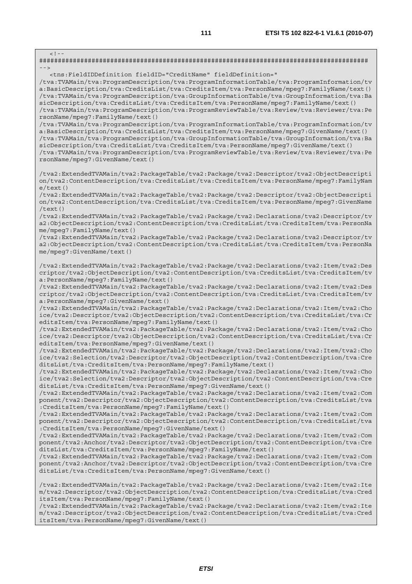$\lt$  ! -######################################################################################## --> <tns:FieldIDDefinition fieldID="CreditName" fieldDefinition=" /tva:TVAMain/tva:ProgramDescription/tva:ProgramInformationTable/tva:ProgramInformation/tv a:BasicDescription/tva:CreditsList/tva:CreditsItem/tva:PersonName/mpeg7:FamilyName/text() /tva:TVAMain/tva:ProgramDescription/tva:GroupInformationTable/tva:GroupInformation/tva:Ba sicDescription/tva:CreditsList/tva:CreditsItem/tva:PersonName/mpeg7:FamilyName/text() /tva:TVAMain/tva:ProgramDescription/tva:ProgramReviewTable/tva:Review/tva:Reviewer/tva:Pe rsonName/mpeg7:FamilyName/text() /tva:TVAMain/tva:ProgramDescription/tva:ProgramInformationTable/tva:ProgramInformation/tv a:BasicDescription/tva:CreditsList/tva:CreditsItem/tva:PersonName/mpeg7:GivenName/text() /tva:TVAMain/tva:ProgramDescription/tva:GroupInformationTable/tva:GroupInformation/tva:Ba sicDescription/tva:CreditsList/tva:CreditsItem/tva:PersonName/mpeg7:GivenName/text() /tva:TVAMain/tva:ProgramDescription/tva:ProgramReviewTable/tva:Review/tva:Reviewer/tva:Pe rsonName/mpeg7:GivenName/text() /tva2:ExtendedTVAMain/tva2:PackageTable/tva2:Package/tva2:Descriptor/tva2:ObjectDescripti on/tva2:ContentDescription/tva:CreditsList/tva:CreditsItem/tva:PersonName/mpeg7:FamilyNam  $\rho$ /text() /tva2:ExtendedTVAMain/tva2:PackageTable/tva2:Package/tva2:Descriptor/tva2:ObjectDescripti on/tva2:ContentDescription/tva:CreditsList/tva:CreditsItem/tva:PersonName/mpeg7:GivenName /text() /tva2:ExtendedTVAMain/tva2:PackageTable/tva2:Package/tva2:Declarations/tva2:Descriptor/tv a2:ObjectDescription/tva2:ContentDescription/tva:CreditsList/tva:CreditsItem/tva:PersonNa me/mpeg7:FamilyName/text() /tva2:ExtendedTVAMain/tva2:PackageTable/tva2:Package/tva2:Declarations/tva2:Descriptor/tv a2:ObjectDescription/tva2:ContentDescription/tva:CreditsList/tva:CreditsItem/tva:PersonNa me/mpeg7:GivenName/text() /tva2:ExtendedTVAMain/tva2:PackageTable/tva2:Package/tva2:Declarations/tva2:Item/tva2:Des criptor/tva2:ObjectDescription/tva2:ContentDescription/tva:CreditsList/tva:CreditsItem/tv a:PersonName/mpeg7:FamilyName/text() /tva2:ExtendedTVAMain/tva2:PackageTable/tva2:Package/tva2:Declarations/tva2:Item/tva2:Des criptor/tva2:ObjectDescription/tva2:ContentDescription/tva:CreditsList/tva:CreditsItem/tv a:PersonName/mpeg7:GivenName/text() /tva2:ExtendedTVAMain/tva2:PackageTable/tva2:Package/tva2:Declarations/tva2:Item/tva2:Cho ice/tva2:Descriptor/tva2:ObjectDescription/tva2:ContentDescription/tva:CreditsList/tva:Cr editsItem/tva:PersonName/mpeg7:FamilyName/text() /tva2:ExtendedTVAMain/tva2:PackageTable/tva2:Package/tva2:Declarations/tva2:Item/tva2:Cho ice/tva2:Descriptor/tva2:ObjectDescription/tva2:ContentDescription/tva:CreditsList/tva:Cr editsItem/tva:PersonName/mpeg7:GivenName/text() /tva2:ExtendedTVAMain/tva2:PackageTable/tva2:Package/tva2:Declarations/tva2:Item/tva2:Cho ice/tva2:Selection/tva2:Descriptor/tva2:ObjectDescription/tva2:ContentDescription/tva:Cre ditsList/tva:CreditsItem/tva:PersonName/mpeg7:FamilyName/text() /tva2:ExtendedTVAMain/tva2:PackageTable/tva2:Package/tva2:Declarations/tva2:Item/tva2:Cho ice/tva2:Selection/tva2:Descriptor/tva2:ObjectDescription/tva2:ContentDescription/tva:Cre ditsList/tva:CreditsItem/tva:PersonName/mpeg7:GivenName/text() /tva2:ExtendedTVAMain/tva2:PackageTable/tva2:Package/tva2:Declarations/tva2:Item/tva2:Com ponent/tva2:Descriptor/tva2:ObjectDescription/tva2:ContentDescription/tva:CreditsList/tva :CreditsItem/tva:PersonName/mpeg7:FamilyName/text() /tva2:ExtendedTVAMain/tva2:PackageTable/tva2:Package/tva2:Declarations/tva2:Item/tva2:Com ponent/tva2:Descriptor/tva2:ObjectDescription/tva2:ContentDescription/tva:CreditsList/tva :CreditsItem/tva:PersonName/mpeg7:GivenName/text() /tva2:ExtendedTVAMain/tva2:PackageTable/tva2:Package/tva2:Declarations/tva2:Item/tva2:Com ponent/tva2:Anchor/tva2:Descriptor/tva2:ObjectDescription/tva2:ContentDescription/tva:Cre ditsList/tva:CreditsItem/tva:PersonName/mpeg7:FamilyName/text() /tva2:ExtendedTVAMain/tva2:PackageTable/tva2:Package/tva2:Declarations/tva2:Item/tva2:Com ponent/tva2:Anchor/tva2:Descriptor/tva2:ObjectDescription/tva2:ContentDescription/tva:Cre ditsList/tva:CreditsItem/tva:PersonName/mpeg7:GivenName/text() /tva2:ExtendedTVAMain/tva2:PackageTable/tva2:Package/tva2:Declarations/tva2:Item/tva2:Ite m/tva2:Descriptor/tva2:ObjectDescription/tva2:ContentDescription/tva:CreditsList/tva:Cred itsItem/tva:PersonName/mpeg7:FamilyName/text() /tva2:ExtendedTVAMain/tva2:PackageTable/tva2:Package/tva2:Declarations/tva2:Item/tva2:Ite

m/tva2:Descriptor/tva2:ObjectDescription/tva2:ContentDescription/tva:CreditsList/tva:Cred itsItem/tva:PersonName/mpeg7:GivenName/text()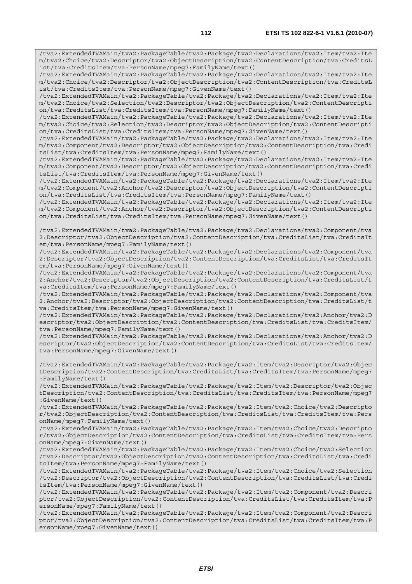/tva2:ExtendedTVAMain/tva2:PackageTable/tva2:Package/tva2:Declarations/tva2:Item/tva2:Ite m/tva2:Choice/tva2:Descriptor/tva2:ObjectDescription/tva2:ContentDescription/tva:CreditsL ist/tva:CreditsItem/tva:PersonName/mpeg7:FamilyName/text()

/tva2:ExtendedTVAMain/tva2:PackageTable/tva2:Package/tva2:Declarations/tva2:Item/tva2:Ite m/tva2:Choice/tva2:Descriptor/tva2:ObjectDescription/tva2:ContentDescription/tva:CreditsL ist/tva:CreditsItem/tva:PersonName/mpeg7:GivenName/text()

/tva2:ExtendedTVAMain/tva2:PackageTable/tva2:Package/tva2:Declarations/tva2:Item/tva2:Ite m/tva2:Choice/tva2:Selection/tva2:Descriptor/tva2:ObjectDescription/tva2:ContentDescripti on/tva:CreditsList/tva:CreditsItem/tva:PersonName/mpeg7:FamilyName/text()

/tva2:ExtendedTVAMain/tva2:PackageTable/tva2:Package/tva2:Declarations/tva2:Item/tva2:Ite m/tva2:Choice/tva2:Selection/tva2:Descriptor/tva2:ObjectDescription/tva2:ContentDescripti on/tva:CreditsList/tva:CreditsItem/tva:PersonName/mpeg7:GivenName/text()

/tva2:ExtendedTVAMain/tva2:PackageTable/tva2:Package/tva2:Declarations/tva2:Item/tva2:Ite m/tva2:Component/tva2:Descriptor/tva2:ObjectDescription/tva2:ContentDescription/tva:Credi tsList/tva:CreditsItem/tva:PersonName/mpeg7:FamilyName/text()

/tva2:ExtendedTVAMain/tva2:PackageTable/tva2:Package/tva2:Declarations/tva2:Item/tva2:Ite m/tva2:Component/tva2:Descriptor/tva2:ObjectDescription/tva2:ContentDescription/tva:Credi tsList/tva:CreditsItem/tva:PersonName/mpeg7:GivenName/text()

/tva2:ExtendedTVAMain/tva2:PackageTable/tva2:Package/tva2:Declarations/tva2:Item/tva2:Ite m/tva2:Component/tva2:Anchor/tva2:Descriptor/tva2:ObjectDescription/tva2:ContentDescripti on/tva:CreditsList/tva:CreditsItem/tva:PersonName/mpeg7:FamilyName/text()

/tva2:ExtendedTVAMain/tva2:PackageTable/tva2:Package/tva2:Declarations/tva2:Item/tva2:Ite m/tva2:Component/tva2:Anchor/tva2:Descriptor/tva2:ObjectDescription/tva2:ContentDescripti on/tva:CreditsList/tva:CreditsItem/tva:PersonName/mpeg7:GivenName/text()

/tva2:ExtendedTVAMain/tva2:PackageTable/tva2:Package/tva2:Declarations/tva2:Component/tva 2:Descriptor/tva2:ObjectDescription/tva2:ContentDescription/tva:CreditsList/tva:CreditsIt em/tva:PersonName/mpeg7:FamilyName/text()

/tva2:ExtendedTVAMain/tva2:PackageTable/tva2:Package/tva2:Declarations/tva2:Component/tva 2:Descriptor/tva2:ObjectDescription/tva2:ContentDescription/tva:CreditsList/tva:CreditsIt em/tva:PersonName/mpeg7:GivenName/text()

/tva2:ExtendedTVAMain/tva2:PackageTable/tva2:Package/tva2:Declarations/tva2:Component/tva 2:Anchor/tva2:Descriptor/tva2:ObjectDescription/tva2:ContentDescription/tva:CreditsList/t va:CreditsItem/tva:PersonName/mpeg7:FamilyName/text()

/tva2:ExtendedTVAMain/tva2:PackageTable/tva2:Package/tva2:Declarations/tva2:Component/tva 2:Anchor/tva2:Descriptor/tva2:ObjectDescription/tva2:ContentDescription/tva:CreditsList/t va:CreditsItem/tva:PersonName/mpeg7:GivenName/text()

/tva2:ExtendedTVAMain/tva2:PackageTable/tva2:Package/tva2:Declarations/tva2:Anchor/tva2:D escriptor/tva2:ObjectDescription/tva2:ContentDescription/tva:CreditsList/tva:CreditsItem/ tva:PersonName/mpeg7:FamilyName/text()

/tva2:ExtendedTVAMain/tva2:PackageTable/tva2:Package/tva2:Declarations/tva2:Anchor/tva2:D escriptor/tva2:ObjectDescription/tva2:ContentDescription/tva:CreditsList/tva:CreditsItem/ tva:PersonName/mpeg7:GivenName/text()

/tva2:ExtendedTVAMain/tva2:PackageTable/tva2:Package/tva2:Item/tva2:Descriptor/tva2:Objec tDescription/tva2:ContentDescription/tva:CreditsList/tva:CreditsItem/tva:PersonName/mpeg7 :FamilyName/text()

/tva2:ExtendedTVAMain/tva2:PackageTable/tva2:Package/tva2:Item/tva2:Descriptor/tva2:Objec tDescription/tva2:ContentDescription/tva:CreditsList/tva:CreditsItem/tva:PersonName/mpeg7 :GivenName/text()

/tva2:ExtendedTVAMain/tva2:PackageTable/tva2:Package/tva2:Item/tva2:Choice/tva2:Descripto r/tva2:ObjectDescription/tva2:ContentDescription/tva:CreditsList/tva:CreditsItem/tva:Pers onName/mpeg7:FamilyName/text()

/tva2:ExtendedTVAMain/tva2:PackageTable/tva2:Package/tva2:Item/tva2:Choice/tva2:Descripto r/tva2:ObjectDescription/tva2:ContentDescription/tva:CreditsList/tva:CreditsItem/tva:Pers onName/mpeg7:GivenName/text()

/tva2:ExtendedTVAMain/tva2:PackageTable/tva2:Package/tva2:Item/tva2:Choice/tva2:Selection /tva2:Descriptor/tva2:ObjectDescription/tva2:ContentDescription/tva:CreditsList/tva:Credi tsItem/tva:PersonName/mpeg7:FamilyName/text()

/tva2:ExtendedTVAMain/tva2:PackageTable/tva2:Package/tva2:Item/tva2:Choice/tva2:Selection /tva2:Descriptor/tva2:ObjectDescription/tva2:ContentDescription/tva:CreditsList/tva:Credi tsItem/tva:PersonName/mpeg7:GivenName/text()

/tva2:ExtendedTVAMain/tva2:PackageTable/tva2:Package/tva2:Item/tva2:Component/tva2:Descri ptor/tva2:ObjectDescription/tva2:ContentDescription/tva:CreditsList/tva:CreditsItem/tva:P ersonName/mpeg7:FamilyName/text()

/tva2:ExtendedTVAMain/tva2:PackageTable/tva2:Package/tva2:Item/tva2:Component/tva2:Descri ptor/tva2:ObjectDescription/tva2:ContentDescription/tva:CreditsList/tva:CreditsItem/tva:P ersonName/mpeg7:GivenName/text()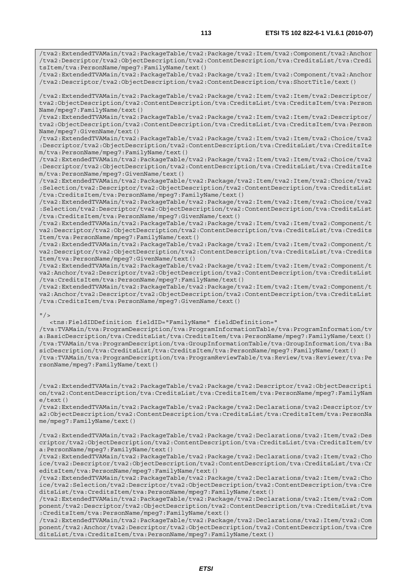/tva2:ExtendedTVAMain/tva2:PackageTable/tva2:Package/tva2:Item/tva2:Component/tva2:Anchor

/tva2:Descriptor/tva2:ObjectDescription/tva2:ContentDescription/tva:CreditsList/tva:Credi tsItem/tva:PersonName/mpeg7:FamilyName/text() /tva2:ExtendedTVAMain/tva2:PackageTable/tva2:Package/tva2:Item/tva2:Component/tva2:Anchor /tva2:Descriptor/tva2:ObjectDescription/tva2:ContentDescription/tva:ShortTitle/text() /tva2:ExtendedTVAMain/tva2:PackageTable/tva2:Package/tva2:Item/tva2:Item/tva2:Descriptor/ tva2:ObjectDescription/tva2:ContentDescription/tva:CreditsList/tva:CreditsItem/tva:Person Name/mpeg7:FamilyName/text() /tva2:ExtendedTVAMain/tva2:PackageTable/tva2:Package/tva2:Item/tva2:Item/tva2:Descriptor/ tva2:ObjectDescription/tva2:ContentDescription/tva:CreditsList/tva:CreditsItem/tva:Person Name/mpeg7:GivenName/text()

/tva2:ExtendedTVAMain/tva2:PackageTable/tva2:Package/tva2:Item/tva2:Item/tva2:Choice/tva2 :Descriptor/tva2:ObjectDescription/tva2:ContentDescription/tva:CreditsList/tva:CreditsIte m/tva:PersonName/mpeg7:FamilyName/text()

/tva2:ExtendedTVAMain/tva2:PackageTable/tva2:Package/tva2:Item/tva2:Item/tva2:Choice/tva2 :Descriptor/tva2:ObjectDescription/tva2:ContentDescription/tva:CreditsList/tva:CreditsIte m/tva:PersonName/mpeg7:GivenName/text()

/tva2:ExtendedTVAMain/tva2:PackageTable/tva2:Package/tva2:Item/tva2:Item/tva2:Choice/tva2 :Selection/tva2:Descriptor/tva2:ObjectDescription/tva2:ContentDescription/tva:CreditsList /tva:CreditsItem/tva:PersonName/mpeg7:FamilyName/text()

/tva2:ExtendedTVAMain/tva2:PackageTable/tva2:Package/tva2:Item/tva2:Item/tva2:Choice/tva2 :Selection/tva2:Descriptor/tva2:ObjectDescription/tva2:ContentDescription/tva:CreditsList /tva:CreditsItem/tva:PersonName/mpeg7:GivenName/text()

/tva2:ExtendedTVAMain/tva2:PackageTable/tva2:Package/tva2:Item/tva2:Item/tva2:Component/t va2:Descriptor/tva2:ObjectDescription/tva2:ContentDescription/tva:CreditsList/tva:Credits Item/tva:PersonName/mpeg7:FamilyName/text()

/tva2:ExtendedTVAMain/tva2:PackageTable/tva2:Package/tva2:Item/tva2:Item/tva2:Component/t va2:Descriptor/tva2:ObjectDescription/tva2:ContentDescription/tva:CreditsList/tva:Credits Item/tva:PersonName/mpeg7:GivenName/text()

/tva2:ExtendedTVAMain/tva2:PackageTable/tva2:Package/tva2:Item/tva2:Item/tva2:Component/t va2:Anchor/tva2:Descriptor/tva2:ObjectDescription/tva2:ContentDescription/tva:CreditsList /tva:CreditsItem/tva:PersonName/mpeg7:FamilyName/text()

/tva2:ExtendedTVAMain/tva2:PackageTable/tva2:Package/tva2:Item/tva2:Item/tva2:Component/t va2:Anchor/tva2:Descriptor/tva2:ObjectDescription/tva2:ContentDescription/tva:CreditsList /tva:CreditsItem/tva:PersonName/mpeg7:GivenName/text()

## $"$  />

 <tns:FieldIDDefinition fieldID="FamilyName" fieldDefinition=" /tva:TVAMain/tva:ProgramDescription/tva:ProgramInformationTable/tva:ProgramInformation/tv a:BasicDescription/tva:CreditsList/tva:CreditsItem/tva:PersonName/mpeg7:FamilyName/text() /tva:TVAMain/tva:ProgramDescription/tva:GroupInformationTable/tva:GroupInformation/tva:Ba sicDescription/tva:CreditsList/tva:CreditsItem/tva:PersonName/mpeg7:FamilyName/text() /tva:TVAMain/tva:ProgramDescription/tva:ProgramReviewTable/tva:Review/tva:Reviewer/tva:Pe rsonName/mpeg7:FamilyName/text()

/tva2:ExtendedTVAMain/tva2:PackageTable/tva2:Package/tva2:Descriptor/tva2:ObjectDescripti on/tva2:ContentDescription/tva:CreditsList/tva:CreditsItem/tva:PersonName/mpeg7:FamilyNam  $e$ /text $()$ 

/tva2:ExtendedTVAMain/tva2:PackageTable/tva2:Package/tva2:Declarations/tva2:Descriptor/tv a2:ObjectDescription/tva2:ContentDescription/tva:CreditsList/tva:CreditsItem/tva:PersonNa me/mpeg7:FamilyName/text()

/tva2:ExtendedTVAMain/tva2:PackageTable/tva2:Package/tva2:Declarations/tva2:Item/tva2:Des criptor/tva2:ObjectDescription/tva2:ContentDescription/tva:CreditsList/tva:CreditsItem/tv a:PersonName/mpeg7:FamilyName/text()

/tva2:ExtendedTVAMain/tva2:PackageTable/tva2:Package/tva2:Declarations/tva2:Item/tva2:Cho ice/tva2:Descriptor/tva2:ObjectDescription/tva2:ContentDescription/tva:CreditsList/tva:Cr editsItem/tva:PersonName/mpeg7:FamilyName/text()

/tva2:ExtendedTVAMain/tva2:PackageTable/tva2:Package/tva2:Declarations/tva2:Item/tva2:Cho ice/tva2:Selection/tva2:Descriptor/tva2:ObjectDescription/tva2:ContentDescription/tva:Cre ditsList/tva:CreditsItem/tva:PersonName/mpeg7:FamilyName/text()

/tva2:ExtendedTVAMain/tva2:PackageTable/tva2:Package/tva2:Declarations/tva2:Item/tva2:Com ponent/tva2:Descriptor/tva2:ObjectDescription/tva2:ContentDescription/tva:CreditsList/tva :CreditsItem/tva:PersonName/mpeg7:FamilyName/text()

/tva2:ExtendedTVAMain/tva2:PackageTable/tva2:Package/tva2:Declarations/tva2:Item/tva2:Com ponent/tva2:Anchor/tva2:Descriptor/tva2:ObjectDescription/tva2:ContentDescription/tva:Cre ditsList/tva:CreditsItem/tva:PersonName/mpeg7:FamilyName/text()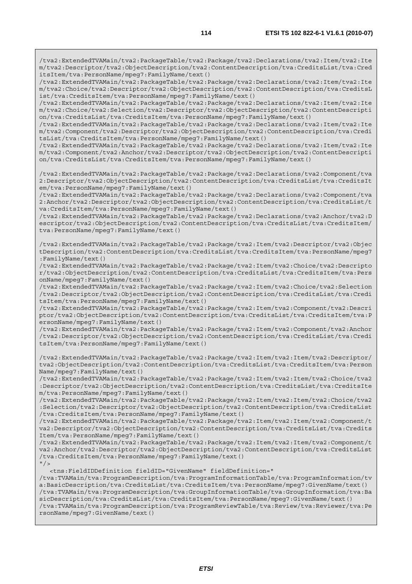/tva2:ExtendedTVAMain/tva2:PackageTable/tva2:Package/tva2:Declarations/tva2:Item/tva2:Ite m/tva2:Descriptor/tva2:ObjectDescription/tva2:ContentDescription/tva:CreditsList/tva:Cred itsItem/tva:PersonName/mpeg7:FamilyName/text()

/tva2:ExtendedTVAMain/tva2:PackageTable/tva2:Package/tva2:Declarations/tva2:Item/tva2:Ite m/tva2:Choice/tva2:Descriptor/tva2:ObjectDescription/tva2:ContentDescription/tva:CreditsL ist/tva:CreditsItem/tva:PersonName/mpeg7:FamilyName/text()

/tva2:ExtendedTVAMain/tva2:PackageTable/tva2:Package/tva2:Declarations/tva2:Item/tva2:Ite m/tva2:Choice/tva2:Selection/tva2:Descriptor/tva2:ObjectDescription/tva2:ContentDescripti on/tva:CreditsList/tva:CreditsItem/tva:PersonName/mpeg7:FamilyName/text()

/tva2:ExtendedTVAMain/tva2:PackageTable/tva2:Package/tva2:Declarations/tva2:Item/tva2:Ite m/tva2:Component/tva2:Descriptor/tva2:ObjectDescription/tva2:ContentDescription/tva:Credi tsList/tva:CreditsItem/tva:PersonName/mpeg7:FamilyName/text()

/tva2:ExtendedTVAMain/tva2:PackageTable/tva2:Package/tva2:Declarations/tva2:Item/tva2:Ite m/tva2:Component/tva2:Anchor/tva2:Descriptor/tva2:ObjectDescription/tva2:ContentDescripti on/tva:CreditsList/tva:CreditsItem/tva:PersonName/mpeg7:FamilyName/text()

/tva2:ExtendedTVAMain/tva2:PackageTable/tva2:Package/tva2:Declarations/tva2:Component/tva 2:Descriptor/tva2:ObjectDescription/tva2:ContentDescription/tva:CreditsList/tva:CreditsIt em/tva:PersonName/mpeg7:FamilyName/text()

/tva2:ExtendedTVAMain/tva2:PackageTable/tva2:Package/tva2:Declarations/tva2:Component/tva 2:Anchor/tva2:Descriptor/tva2:ObjectDescription/tva2:ContentDescription/tva:CreditsList/t va:CreditsItem/tva:PersonName/mpeg7:FamilyName/text()

/tva2:ExtendedTVAMain/tva2:PackageTable/tva2:Package/tva2:Declarations/tva2:Anchor/tva2:D escriptor/tva2:ObjectDescription/tva2:ContentDescription/tva:CreditsList/tva:CreditsItem/ tva:PersonName/mpeg7:FamilyName/text()

/tva2:ExtendedTVAMain/tva2:PackageTable/tva2:Package/tva2:Item/tva2:Descriptor/tva2:Objec tDescription/tva2:ContentDescription/tva:CreditsList/tva:CreditsItem/tva:PersonName/mpeg7 :FamilyName/text()

/tva2:ExtendedTVAMain/tva2:PackageTable/tva2:Package/tva2:Item/tva2:Choice/tva2:Descripto r/tva2:ObjectDescription/tva2:ContentDescription/tva:CreditsList/tva:CreditsItem/tva:Pers onName/mpeg7:FamilyName/text()

/tva2:ExtendedTVAMain/tva2:PackageTable/tva2:Package/tva2:Item/tva2:Choice/tva2:Selection /tva2:Descriptor/tva2:ObjectDescription/tva2:ContentDescription/tva:CreditsList/tva:Credi tsItem/tva:PersonName/mpeg7:FamilyName/text()

/tva2:ExtendedTVAMain/tva2:PackageTable/tva2:Package/tva2:Item/tva2:Component/tva2:Descri ptor/tva2:ObjectDescription/tva2:ContentDescription/tva:CreditsList/tva:CreditsItem/tva:P ersonName/mpeg7:FamilyName/text()

/tva2:ExtendedTVAMain/tva2:PackageTable/tva2:Package/tva2:Item/tva2:Component/tva2:Anchor /tva2:Descriptor/tva2:ObjectDescription/tva2:ContentDescription/tva:CreditsList/tva:Credi tsItem/tva:PersonName/mpeg7:FamilyName/text()

/tva2:ExtendedTVAMain/tva2:PackageTable/tva2:Package/tva2:Item/tva2:Item/tva2:Descriptor/ tva2:ObjectDescription/tva2:ContentDescription/tva:CreditsList/tva:CreditsItem/tva:Person Name/mpeg7:FamilyName/text()

/tva2:ExtendedTVAMain/tva2:PackageTable/tva2:Package/tva2:Item/tva2:Item/tva2:Choice/tva2 :Descriptor/tva2:ObjectDescription/tva2:ContentDescription/tva:CreditsList/tva:CreditsIte m/tva:PersonName/mpeg7:FamilyName/text()

/tva2:ExtendedTVAMain/tva2:PackageTable/tva2:Package/tva2:Item/tva2:Item/tva2:Choice/tva2 :Selection/tva2:Descriptor/tva2:ObjectDescription/tva2:ContentDescription/tva:CreditsList /tva:CreditsItem/tva:PersonName/mpeg7:FamilyName/text()

/tva2:ExtendedTVAMain/tva2:PackageTable/tva2:Package/tva2:Item/tva2:Item/tva2:Component/t va2:Descriptor/tva2:ObjectDescription/tva2:ContentDescription/tva:CreditsList/tva:Credits Item/tva:PersonName/mpeg7:FamilyName/text()

/tva2:ExtendedTVAMain/tva2:PackageTable/tva2:Package/tva2:Item/tva2:Item/tva2:Component/t va2:Anchor/tva2:Descriptor/tva2:ObjectDescription/tva2:ContentDescription/tva:CreditsList /tva:CreditsItem/tva:PersonName/mpeg7:FamilyName/text()  $"$  />

<tns:FieldIDDefinition fieldID="GivenName" fieldDefinition="

/tva:TVAMain/tva:ProgramDescription/tva:ProgramInformationTable/tva:ProgramInformation/tv a:BasicDescription/tva:CreditsList/tva:CreditsItem/tva:PersonName/mpeg7:GivenName/text() /tva:TVAMain/tva:ProgramDescription/tva:GroupInformationTable/tva:GroupInformation/tva:Ba sicDescription/tva:CreditsList/tva:CreditsItem/tva:PersonName/mpeg7:GivenName/text() /tva:TVAMain/tva:ProgramDescription/tva:ProgramReviewTable/tva:Review/tva:Reviewer/tva:Pe rsonName/mpeg7:GivenName/text()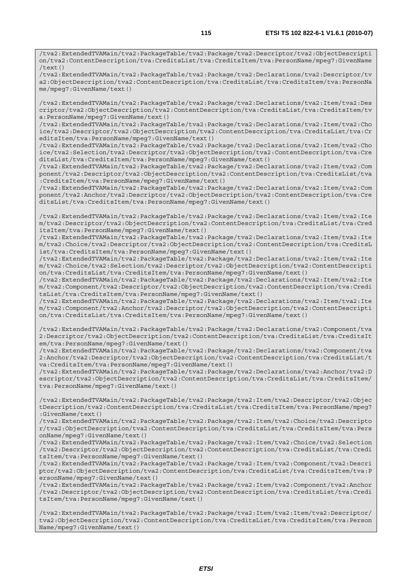/tva2:ExtendedTVAMain/tva2:PackageTable/tva2:Package/tva2:Descriptor/tva2:ObjectDescripti on/tva2:ContentDescription/tva:CreditsList/tva:CreditsItem/tva:PersonName/mpeg7:GivenName /text()

/tva2:ExtendedTVAMain/tva2:PackageTable/tva2:Package/tva2:Declarations/tva2:Descriptor/tv a2:ObjectDescription/tva2:ContentDescription/tva:CreditsList/tva:CreditsItem/tva:PersonNa me/mpeg7:GivenName/text()

/tva2:ExtendedTVAMain/tva2:PackageTable/tva2:Package/tva2:Declarations/tva2:Item/tva2:Des criptor/tva2:ObjectDescription/tva2:ContentDescription/tva:CreditsList/tva:CreditsItem/tv a:PersonName/mpeg7:GivenName/text()

/tva2:ExtendedTVAMain/tva2:PackageTable/tva2:Package/tva2:Declarations/tva2:Item/tva2:Cho ice/tva2:Descriptor/tva2:ObjectDescription/tva2:ContentDescription/tva:CreditsList/tva:Cr editsItem/tva:PersonName/mpeg7:GivenName/text()

/tva2:ExtendedTVAMain/tva2:PackageTable/tva2:Package/tva2:Declarations/tva2:Item/tva2:Cho ice/tva2:Selection/tva2:Descriptor/tva2:ObjectDescription/tva2:ContentDescription/tva:Cre ditsList/tva:CreditsItem/tva:PersonName/mpeg7:GivenName/text()

/tva2:ExtendedTVAMain/tva2:PackageTable/tva2:Package/tva2:Declarations/tva2:Item/tva2:Com ponent/tva2:Descriptor/tva2:ObjectDescription/tva2:ContentDescription/tva:CreditsList/tva :CreditsItem/tva:PersonName/mpeg7:GivenName/text()

/tva2:ExtendedTVAMain/tva2:PackageTable/tva2:Package/tva2:Declarations/tva2:Item/tva2:Com ponent/tva2:Anchor/tva2:Descriptor/tva2:ObjectDescription/tva2:ContentDescription/tva:Cre ditsList/tva:CreditsItem/tva:PersonName/mpeg7:GivenName/text()

/tva2:ExtendedTVAMain/tva2:PackageTable/tva2:Package/tva2:Declarations/tva2:Item/tva2:Ite m/tva2:Descriptor/tva2:ObjectDescription/tva2:ContentDescription/tva:CreditsList/tva:Cred itsItem/tva:PersonName/mpeg7:GivenName/text()

/tva2:ExtendedTVAMain/tva2:PackageTable/tva2:Package/tva2:Declarations/tva2:Item/tva2:Ite m/tva2:Choice/tva2:Descriptor/tva2:ObjectDescription/tva2:ContentDescription/tva:CreditsL ist/tva:CreditsItem/tva:PersonName/mpeg7:GivenName/text()

/tva2:ExtendedTVAMain/tva2:PackageTable/tva2:Package/tva2:Declarations/tva2:Item/tva2:Ite m/tva2:Choice/tva2:Selection/tva2:Descriptor/tva2:ObjectDescription/tva2:ContentDescripti on/tva:CreditsList/tva:CreditsItem/tva:PersonName/mpeg7:GivenName/text()

/tva2:ExtendedTVAMain/tva2:PackageTable/tva2:Package/tva2:Declarations/tva2:Item/tva2:Ite m/tva2:Component/tva2:Descriptor/tva2:ObjectDescription/tva2:ContentDescription/tva:Credi tsList/tva:CreditsItem/tva:PersonName/mpeg7:GivenName/text()

/tva2:ExtendedTVAMain/tva2:PackageTable/tva2:Package/tva2:Declarations/tva2:Item/tva2:Ite m/tva2:Component/tva2:Anchor/tva2:Descriptor/tva2:ObjectDescription/tva2:ContentDescripti on/tva:CreditsList/tva:CreditsItem/tva:PersonName/mpeg7:GivenName/text()

/tva2:ExtendedTVAMain/tva2:PackageTable/tva2:Package/tva2:Declarations/tva2:Component/tva 2:Descriptor/tva2:ObjectDescription/tva2:ContentDescription/tva:CreditsList/tva:CreditsIt em/tva:PersonName/mpeg7:GivenName/text()

/tva2:ExtendedTVAMain/tva2:PackageTable/tva2:Package/tva2:Declarations/tva2:Component/tva 2:Anchor/tva2:Descriptor/tva2:ObjectDescription/tva2:ContentDescription/tva:CreditsList/t va:CreditsItem/tva:PersonName/mpeg7:GivenName/text()

/tva2:ExtendedTVAMain/tva2:PackageTable/tva2:Package/tva2:Declarations/tva2:Anchor/tva2:D escriptor/tva2:ObjectDescription/tva2:ContentDescription/tva:CreditsList/tva:CreditsItem/ tva:PersonName/mpeg7:GivenName/text()

/tva2:ExtendedTVAMain/tva2:PackageTable/tva2:Package/tva2:Item/tva2:Descriptor/tva2:Objec tDescription/tva2:ContentDescription/tva:CreditsList/tva:CreditsItem/tva:PersonName/mpeg7 :GivenName/text()

/tva2:ExtendedTVAMain/tva2:PackageTable/tva2:Package/tva2:Item/tva2:Choice/tva2:Descripto r/tva2:ObjectDescription/tva2:ContentDescription/tva:CreditsList/tva:CreditsItem/tva:Pers onName/mpeg7:GivenName/text()

/tva2:ExtendedTVAMain/tva2:PackageTable/tva2:Package/tva2:Item/tva2:Choice/tva2:Selection /tva2:Descriptor/tva2:ObjectDescription/tva2:ContentDescription/tva:CreditsList/tva:Credi tsItem/tva:PersonName/mpeg7:GivenName/text()

/tva2:ExtendedTVAMain/tva2:PackageTable/tva2:Package/tva2:Item/tva2:Component/tva2:Descri ptor/tva2:ObjectDescription/tva2:ContentDescription/tva:CreditsList/tva:CreditsItem/tva:P ersonName/mpeg7:GivenName/text()

/tva2:ExtendedTVAMain/tva2:PackageTable/tva2:Package/tva2:Item/tva2:Component/tva2:Anchor /tva2:Descriptor/tva2:ObjectDescription/tva2:ContentDescription/tva:CreditsList/tva:Credi tsItem/tva:PersonName/mpeg7:GivenName/text()

/tva2:ExtendedTVAMain/tva2:PackageTable/tva2:Package/tva2:Item/tva2:Item/tva2:Descriptor/ tva2:ObjectDescription/tva2:ContentDescription/tva:CreditsList/tva:CreditsItem/tva:Person Name/mpeg7:GivenName/text()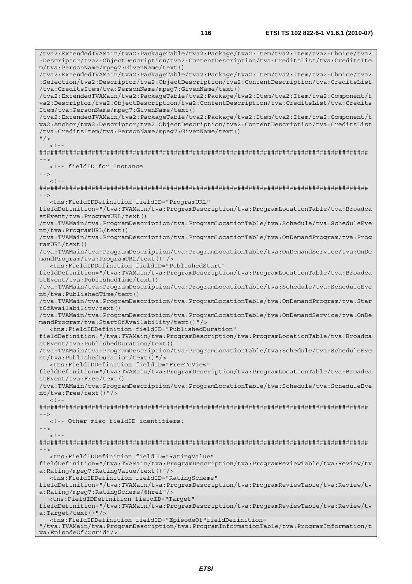/tva2:ExtendedTVAMain/tva2:PackageTable/tva2:Package/tva2:Item/tva2:Item/tva2:Choice/tva2 :Descriptor/tva2:ObjectDescription/tva2:ContentDescription/tva:CreditsList/tva:CreditsIte m/tva:PersonName/mpeg7:GivenName/text() /tva2:ExtendedTVAMain/tva2:PackageTable/tva2:Package/tva2:Item/tva2:Item/tva2:Choice/tva2 :Selection/tva2:Descriptor/tva2:ObjectDescription/tva2:ContentDescription/tva:CreditsList /tva:CreditsItem/tva:PersonName/mpeg7:GivenName/text() /tva2:ExtendedTVAMain/tva2:PackageTable/tva2:Package/tva2:Item/tva2:Item/tva2:Component/t va2:Descriptor/tva2:ObjectDescription/tva2:ContentDescription/tva:CreditsList/tva:Credits Item/tva:PersonName/mpeg7:GivenName/text() /tva2:ExtendedTVAMain/tva2:PackageTable/tva2:Package/tva2:Item/tva2:Item/tva2:Component/t va2:Anchor/tva2:Descriptor/tva2:ObjectDescription/tva2:ContentDescription/tva:CreditsList /tva:CreditsItem/tva:PersonName/mpeg7:GivenName/text()  $"$  / >  $\geq$  1. ######################################################################################## --> <!-- fieldID for Instance -->  $\lt$  ! - -######################################################################################## --> <tns:FieldIDDefinition fieldID="ProgramURL" fieldDefinition="/tva:TVAMain/tva:ProgramDescription/tva:ProgramLocationTable/tva:Broadca stEvent/tva:ProgramURL/text() /tva:TVAMain/tva:ProgramDescription/tva:ProgramLocationTable/tva:Schedule/tva:ScheduleEve nt/tva:ProgramURL/text() /tva:TVAMain/tva:ProgramDescription/tva:ProgramLocationTable/tva:OnDemandProgram/tva:Prog ramURL/text() /tva:TVAMain/tva:ProgramDescription/tva:ProgramLocationTable/tva:OnDemandService/tva:OnDe mandProgram/tva:ProgramURL/text()"/> <tns:FieldIDDefinition fieldID="PublishedStart" fieldDefinition="/tva:TVAMain/tva:ProgramDescription/tva:ProgramLocationTable/tva:Broadca stEvent/tva:PublishedTime/text() /tva:TVAMain/tva:ProgramDescription/tva:ProgramLocationTable/tva:Schedule/tva:ScheduleEve nt/tva:PublishedTime/text() /tva:TVAMain/tva:ProgramDescription/tva:ProgramLocationTable/tva:OnDemandProgram/tva:Star tOfAvailability/text() /tva:TVAMain/tva:ProgramDescription/tva:ProgramLocationTable/tva:OnDemandService/tva:OnDe mandProgram/tva:StartOfAvailability/text()"/> <tns:FieldIDDefinition fieldID="PublishedDuration" fieldDefinition="/tva:TVAMain/tva:ProgramDescription/tva:ProgramLocationTable/tva:Broadca stEvent/tva:PublishedDuration/text() /tva:TVAMain/tva:ProgramDescription/tva:ProgramLocationTable/tva:Schedule/tva:ScheduleEve nt/tva:PublishedDuration/text()"/> <tns:FieldIDDefinition fieldID="FreeToView" fieldDefinition="/tva:TVAMain/tva:ProgramDescription/tva:ProgramLocationTable/tva:Broadca stEvent/tva:Free/text() /tva:TVAMain/tva:ProgramDescription/tva:ProgramLocationTable/tva:Schedule/tva:ScheduleEve nt/tva:Free/text()"/>  $<$ ! --######################################################################################## --> <!-- Other misc fieldID identifiers: -->  $<$ ! --######################################################################################## --> <tns:FieldIDDefinition fieldID="RatingValue" fieldDefinition="/tva:TVAMain/tva:ProgramDescription/tva:ProgramReviewTable/tva:Review/tv a:Rating/mpeg7:RatingValue/text()"/> <tns:FieldIDDefinition fieldID="RatingScheme" fieldDefinition="/tva:TVAMain/tva:ProgramDescription/tva:ProgramReviewTable/tva:Review/tv a:Rating/mpeg7:RatingScheme/@href"/> <tns:FieldIDDefinition fieldID="Target" fieldDefinition="/tva:TVAMain/tva:ProgramDescription/tva:ProgramReviewTable/tva:Review/tv a:Target/text()"/> <tns:FieldIDDefinition fieldID="EpisodeOf"fieldDefinition= "/tva:TVAMain/tva:ProgramDescription/tva:ProgramInformationTable/tva:ProgramInformation/t va:EpisodeOf/@crid"/>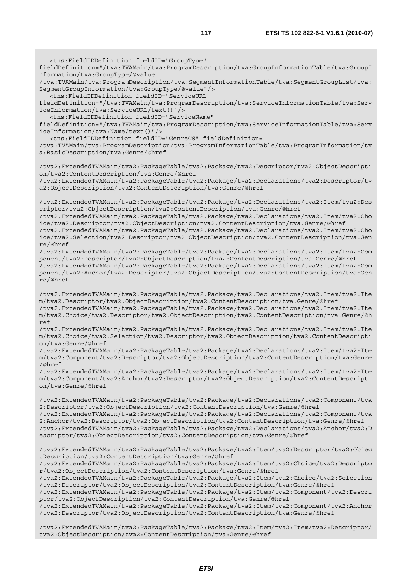<tns:FieldIDDefinition fieldID="GroupType" fieldDefinition="/tva:TVAMain/tva:ProgramDescription/tva:GroupInformationTable/tva:GroupI nformation/tva:GroupType/@value /tva:TVAMain/tva:ProgramDescription/tva:SegmentInformationTable/tva:SegmentGroupList/tva: SegmentGroupInformation/tva:GroupType/@value"/> <tns:FieldIDDefinition fieldID="ServiceURL" fieldDefinition="/tva:TVAMain/tva:ProgramDescription/tva:ServiceInformationTable/tva:Serv iceInformation/tva:ServiceURL/text()"/> <tns:FieldIDDefinition fieldID="ServiceName" fieldDefinition="/tva:TVAMain/tva:ProgramDescription/tva:ServiceInformationTable/tva:Serv iceInformation/tva:Name/text()"/> <tns:FieldIDDefinition fieldID="GenreCS" fieldDefinition=" /tva:TVAMain/tva:ProgramDescription/tva:ProgramInformationTable/tva:ProgramInformation/tv a:BasicDescription/tva:Genre/@href /tva2:ExtendedTVAMain/tva2:PackageTable/tva2:Package/tva2:Descriptor/tva2:ObjectDescripti on/tva2:ContentDescription/tva:Genre/@href /tva2:ExtendedTVAMain/tva2:PackageTable/tva2:Package/tva2:Declarations/tva2:Descriptor/tv a2:ObjectDescription/tva2:ContentDescription/tva:Genre/@href /tva2:ExtendedTVAMain/tva2:PackageTable/tva2:Package/tva2:Declarations/tva2:Item/tva2:Des criptor/tva2:ObjectDescription/tva2:ContentDescription/tva:Genre/@href /tva2:ExtendedTVAMain/tva2:PackageTable/tva2:Package/tva2:Declarations/tva2:Item/tva2:Cho ice/tva2:Descriptor/tva2:ObjectDescription/tva2:ContentDescription/tva:Genre/@href /tva2:ExtendedTVAMain/tva2:PackageTable/tva2:Package/tva2:Declarations/tva2:Item/tva2:Cho ice/tva2:Selection/tva2:Descriptor/tva2:ObjectDescription/tva2:ContentDescription/tva:Gen re/@href /tva2:ExtendedTVAMain/tva2:PackageTable/tva2:Package/tva2:Declarations/tva2:Item/tva2:Com ponent/tva2:Descriptor/tva2:ObjectDescription/tva2:ContentDescription/tva:Genre/@href /tva2:ExtendedTVAMain/tva2:PackageTable/tva2:Package/tva2:Declarations/tva2:Item/tva2:Com ponent/tva2:Anchor/tva2:Descriptor/tva2:ObjectDescription/tva2:ContentDescription/tva:Gen re/@href /tva2:ExtendedTVAMain/tva2:PackageTable/tva2:Package/tva2:Declarations/tva2:Item/tva2:Ite m/tva2:Descriptor/tva2:ObjectDescription/tva2:ContentDescription/tva:Genre/@href /tva2:ExtendedTVAMain/tva2:PackageTable/tva2:Package/tva2:Declarations/tva2:Item/tva2:Ite m/tva2:Choice/tva2:Descriptor/tva2:ObjectDescription/tva2:ContentDescription/tva:Genre/@h ref /tva2:ExtendedTVAMain/tva2:PackageTable/tva2:Package/tva2:Declarations/tva2:Item/tva2:Ite m/tva2:Choice/tva2:Selection/tva2:Descriptor/tva2:ObjectDescription/tva2:ContentDescripti on/tva:Genre/@href /tva2:ExtendedTVAMain/tva2:PackageTable/tva2:Package/tva2:Declarations/tva2:Item/tva2:Ite m/tva2:Component/tva2:Descriptor/tva2:ObjectDescription/tva2:ContentDescription/tva:Genre /@href /tva2:ExtendedTVAMain/tva2:PackageTable/tva2:Package/tva2:Declarations/tva2:Item/tva2:Ite m/tva2:Component/tva2:Anchor/tva2:Descriptor/tva2:ObjectDescription/tva2:ContentDescripti on/tva:Genre/@href /tva2:ExtendedTVAMain/tva2:PackageTable/tva2:Package/tva2:Declarations/tva2:Component/tva 2:Descriptor/tva2:ObjectDescription/tva2:ContentDescription/tva:Genre/@href /tva2:ExtendedTVAMain/tva2:PackageTable/tva2:Package/tva2:Declarations/tva2:Component/tva 2:Anchor/tva2:Descriptor/tva2:ObjectDescription/tva2:ContentDescription/tva:Genre/@href /tva2:ExtendedTVAMain/tva2:PackageTable/tva2:Package/tva2:Declarations/tva2:Anchor/tva2:D escriptor/tva2:ObjectDescription/tva2:ContentDescription/tva:Genre/@href /tva2:ExtendedTVAMain/tva2:PackageTable/tva2:Package/tva2:Item/tva2:Descriptor/tva2:Objec tDescription/tva2:ContentDescription/tva:Genre/@href /tva2:ExtendedTVAMain/tva2:PackageTable/tva2:Package/tva2:Item/tva2:Choice/tva2:Descripto r/tva2:ObjectDescription/tva2:ContentDescription/tva:Genre/@href /tva2:ExtendedTVAMain/tva2:PackageTable/tva2:Package/tva2:Item/tva2:Choice/tva2:Selection /tva2:Descriptor/tva2:ObjectDescription/tva2:ContentDescription/tva:Genre/@href /tva2:ExtendedTVAMain/tva2:PackageTable/tva2:Package/tva2:Item/tva2:Component/tva2:Descri ptor/tva2:ObjectDescription/tva2:ContentDescription/tva:Genre/@href /tva2:ExtendedTVAMain/tva2:PackageTable/tva2:Package/tva2:Item/tva2:Component/tva2:Anchor /tva2:Descriptor/tva2:ObjectDescription/tva2:ContentDescription/tva:Genre/@href /tva2:ExtendedTVAMain/tva2:PackageTable/tva2:Package/tva2:Item/tva2:Item/tva2:Descriptor/ tva2:ObjectDescription/tva2:ContentDescription/tva:Genre/@href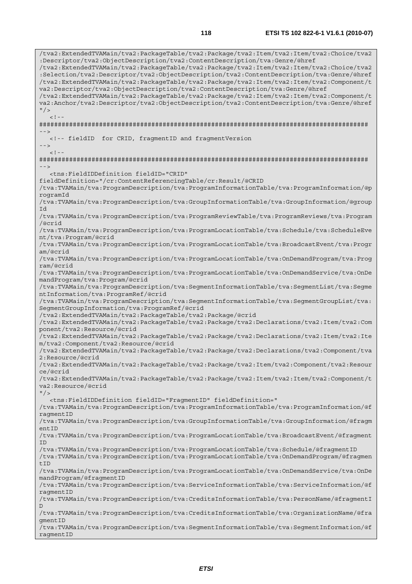/tva2:ExtendedTVAMain/tva2:PackageTable/tva2:Package/tva2:Item/tva2:Item/tva2:Choice/tva2 :Descriptor/tva2:ObjectDescription/tva2:ContentDescription/tva:Genre/@href /tva2:ExtendedTVAMain/tva2:PackageTable/tva2:Package/tva2:Item/tva2:Item/tva2:Choice/tva2 :Selection/tva2:Descriptor/tva2:ObjectDescription/tva2:ContentDescription/tva:Genre/@href /tva2:ExtendedTVAMain/tva2:PackageTable/tva2:Package/tva2:Item/tva2:Item/tva2:Component/t va2:Descriptor/tva2:ObjectDescription/tva2:ContentDescription/tva:Genre/@href /tva2:ExtendedTVAMain/tva2:PackageTable/tva2:Package/tva2:Item/tva2:Item/tva2:Component/t va2:Anchor/tva2:Descriptor/tva2:ObjectDescription/tva2:ContentDescription/tva:Genre/@href  $''$  / >  $\lt$  ! ######################################################################################## --> <!-- fieldID for CRID, fragmentID and fragmentVersion -->  $\lt$   $\vdash$   $\div$ ######################################################################################## --> <tns:FieldIDDefinition fieldID="CRID" fieldDefinition="/cr:ContentReferencingTable/cr:Result/@CRID /tva:TVAMain/tva:ProgramDescription/tva:ProgramInformationTable/tva:ProgramInformation/@p rogramId /tva:TVAMain/tva:ProgramDescription/tva:GroupInformationTable/tva:GroupInformation/@group Id /tva:TVAMain/tva:ProgramDescription/tva:ProgramReviewTable/tva:ProgramReviews/tva:Program /@crid /tva:TVAMain/tva:ProgramDescription/tva:ProgramLocationTable/tva:Schedule/tva:ScheduleEve nt/tva:Program/@crid /tva:TVAMain/tva:ProgramDescription/tva:ProgramLocationTable/tva:BroadcastEvent/tva:Progr am/@crid /tva:TVAMain/tva:ProgramDescription/tva:ProgramLocationTable/tva:OnDemandProgram/tva:Prog ram/@crid /tva:TVAMain/tva:ProgramDescription/tva:ProgramLocationTable/tva:OnDemandService/tva:OnDe mandProgram/tva:Program/@crid /tva:TVAMain/tva:ProgramDescription/tva:SegmentInformationTable/tva:SegmentList/tva:Segme ntInformation/tva:ProgramRef/@crid /tva:TVAMain/tva:ProgramDescription/tva:SegmentInformationTable/tva:SegmentGroupList/tva: SegmentGroupInformation/tva:ProgramRef/@crid /tva2:ExtendedTVAMain/tva2:PackageTable/tva2:Package/@crid /tva2:ExtendedTVAMain/tva2:PackageTable/tva2:Package/tva2:Declarations/tva2:Item/tva2:Com ponent/tva2:Resource/@crid /tva2:ExtendedTVAMain/tva2:PackageTable/tva2:Package/tva2:Declarations/tva2:Item/tva2:Ite m/tva2:Component/tva2:Resource/@crid /tva2:ExtendedTVAMain/tva2:PackageTable/tva2:Package/tva2:Declarations/tva2:Component/tva 2:Resource/@crid /tva2:ExtendedTVAMain/tva2:PackageTable/tva2:Package/tva2:Item/tva2:Component/tva2:Resour ce/@crid /tva2:ExtendedTVAMain/tva2:PackageTable/tva2:Package/tva2:Item/tva2:Item/tva2:Component/t va2:Resource/@crid  $''$  / > <tns:FieldIDDefinition fieldID="FragmentID" fieldDefinition=" /tva:TVAMain/tva:ProgramDescription/tva:ProgramInformationTable/tva:ProgramInformation/@f ragmentID /tva:TVAMain/tva:ProgramDescription/tva:GroupInformationTable/tva:GroupInformation/@fragm entID /tva:TVAMain/tva:ProgramDescription/tva:ProgramLocationTable/tva:BroadcastEvent/@fragment ID /tva:TVAMain/tva:ProgramDescription/tva:ProgramLocationTable/tva:Schedule/@fragmentID /tva:TVAMain/tva:ProgramDescription/tva:ProgramLocationTable/tva:OnDemandProgram/@fragmen  $+TD$ /tva:TVAMain/tva:ProgramDescription/tva:ProgramLocationTable/tva:OnDemandService/tva:OnDe mandProgram/@fragmentID /tva:TVAMain/tva:ProgramDescription/tva:ServiceInformationTable/tva:ServiceInformation/@f ragmentID /tva:TVAMain/tva:ProgramDescription/tva:CreditsInformationTable/tva:PersonName/@fragmentI D /tva:TVAMain/tva:ProgramDescription/tva:CreditsInformationTable/tva:OrganizationName/@fra gmentID /tva:TVAMain/tva:ProgramDescription/tva:SegmentInformationTable/tva:SegmentInformation/@f ragmentID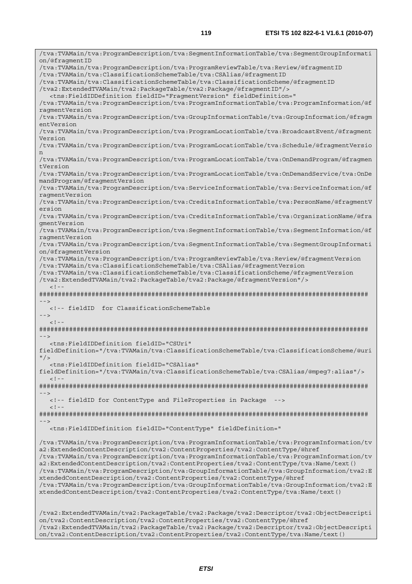/tva:TVAMain/tva:ProgramDescription/tva:SegmentInformationTable/tva:SegmentGroupInformati on/@fragmentID /tva:TVAMain/tva:ProgramDescription/tva:ProgramReviewTable/tva:Review/@fragmentID /tva:TVAMain/tva:ClassificationSchemeTable/tva:CSAlias/@fragmentID /tva:TVAMain/tva:ClassificationSchemeTable/tva:ClassificationScheme/@fragmentID /tva2:ExtendedTVAMain/tva2:PackageTable/tva2:Package/@fragmentID"/> <tns:FieldIDDefinition fieldID="FragmentVersion" fieldDefinition=" /tva:TVAMain/tva:ProgramDescription/tva:ProgramInformationTable/tva:ProgramInformation/@f ragmentVersion /tva:TVAMain/tva:ProgramDescription/tva:GroupInformationTable/tva:GroupInformation/@fragm entVersion /tva:TVAMain/tva:ProgramDescription/tva:ProgramLocationTable/tva:BroadcastEvent/@fragment Version /tva:TVAMain/tva:ProgramDescription/tva:ProgramLocationTable/tva:Schedule/@fragmentVersio n /tva:TVAMain/tva:ProgramDescription/tva:ProgramLocationTable/tva:OnDemandProgram/@fragmen tVersion /tva:TVAMain/tva:ProgramDescription/tva:ProgramLocationTable/tva:OnDemandService/tva:OnDe mandProgram/@fragmentVersion /tva:TVAMain/tva:ProgramDescription/tva:ServiceInformationTable/tva:ServiceInformation/@f ragmentVersion /tva:TVAMain/tva:ProgramDescription/tva:CreditsInformationTable/tva:PersonName/@fragmentV ersion /tva:TVAMain/tva:ProgramDescription/tva:CreditsInformationTable/tva:OrganizationName/@fra gmentVersion /tva:TVAMain/tva:ProgramDescription/tva:SegmentInformationTable/tva:SegmentInformation/@f ragmentVersion /tva:TVAMain/tva:ProgramDescription/tva:SegmentInformationTable/tva:SegmentGroupInformati on/@fragmentVersion /tva:TVAMain/tva:ProgramDescription/tva:ProgramReviewTable/tva:Review/@fragmentVersion /tva:TVAMain/tva:ClassificationSchemeTable/tva:CSAlias/@fragmentVersion /tva:TVAMain/tva:ClassificationSchemeTable/tva:ClassificationScheme/@fragmentVersion /tva2:ExtendedTVAMain/tva2:PackageTable/tva2:Package/@fragmentVersion"/>  $-1-$ ######################################################################################## --> <!-- fieldID for ClassificationSchemeTable -->  $\geq$   $\frac{1}{2}$   $\geq$   $\frac{1}{2}$ ######################################################################################## --> <tns:FieldIDDefinition fieldID="CSUri" fieldDefinition="/tva:TVAMain/tva:ClassificationSchemeTable/tva:ClassificationScheme/@uri  $"$ /> <tns:FieldIDDefinition fieldID="CSAlias" fieldDefinition="/tva:TVAMain/tva:ClassificationSchemeTable/tva:CSAlias/@mpeg7:alias"/>  $\lt$  !  $-$ ######################################################################################## --> <!-- fieldID for ContentType and FileProperties in Package -->  $<$ ! --######################################################################################## --> <tns:FieldIDDefinition fieldID="ContentType" fieldDefinition=" /tva:TVAMain/tva:ProgramDescription/tva:ProgramInformationTable/tva:ProgramInformation/tv a2:ExtendedContentDescription/tva2:ContentProperties/tva2:ContentType/@href /tva:TVAMain/tva:ProgramDescription/tva:ProgramInformationTable/tva:ProgramInformation/tv a2:ExtendedContentDescription/tva2:ContentProperties/tva2:ContentType/tva:Name/text() /tva:TVAMain/tva:ProgramDescription/tva:GroupInformationTable/tva:GroupInformation/tva2:E xtendedContentDescription/tva2:ContentProperties/tva2:ContentType/@href /tva:TVAMain/tva:ProgramDescription/tva:GroupInformationTable/tva:GroupInformation/tva2:E xtendedContentDescription/tva2:ContentProperties/tva2:ContentType/tva:Name/text() /tva2:ExtendedTVAMain/tva2:PackageTable/tva2:Package/tva2:Descriptor/tva2:ObjectDescripti on/tva2:ContentDescription/tva2:ContentProperties/tva2:ContentType/@href

/tva2:ExtendedTVAMain/tva2:PackageTable/tva2:Package/tva2:Descriptor/tva2:ObjectDescripti on/tva2:ContentDescription/tva2:ContentProperties/tva2:ContentType/tva:Name/text()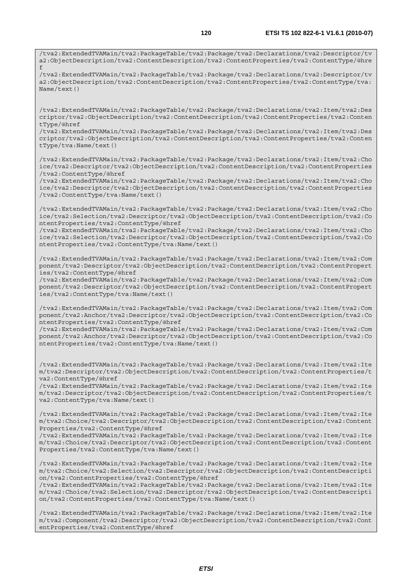/tva2:ExtendedTVAMain/tva2:PackageTable/tva2:Package/tva2:Declarations/tva2:Descriptor/tv a2:ObjectDescription/tva2:ContentDescription/tva2:ContentProperties/tva2:ContentType/@hre f

/tva2:ExtendedTVAMain/tva2:PackageTable/tva2:Package/tva2:Declarations/tva2:Descriptor/tv a2:ObjectDescription/tva2:ContentDescription/tva2:ContentProperties/tva2:ContentType/tva: Name/text()

/tva2:ExtendedTVAMain/tva2:PackageTable/tva2:Package/tva2:Declarations/tva2:Item/tva2:Des criptor/tva2:ObjectDescription/tva2:ContentDescription/tva2:ContentProperties/tva2:Conten tType/@href

/tva2:ExtendedTVAMain/tva2:PackageTable/tva2:Package/tva2:Declarations/tva2:Item/tva2:Des criptor/tva2:ObjectDescription/tva2:ContentDescription/tva2:ContentProperties/tva2:Conten tType/tva:Name/text()

/tva2:ExtendedTVAMain/tva2:PackageTable/tva2:Package/tva2:Declarations/tva2:Item/tva2:Cho ice/tva2:Descriptor/tva2:ObjectDescription/tva2:ContentDescription/tva2:ContentProperties /tva2:ContentType/@href

/tva2:ExtendedTVAMain/tva2:PackageTable/tva2:Package/tva2:Declarations/tva2:Item/tva2:Cho ice/tva2:Descriptor/tva2:ObjectDescription/tva2:ContentDescription/tva2:ContentProperties /tva2:ContentType/tva:Name/text()

/tva2:ExtendedTVAMain/tva2:PackageTable/tva2:Package/tva2:Declarations/tva2:Item/tva2:Cho ice/tva2:Selection/tva2:Descriptor/tva2:ObjectDescription/tva2:ContentDescription/tva2:Co ntentProperties/tva2:ContentType/@href

/tva2:ExtendedTVAMain/tva2:PackageTable/tva2:Package/tva2:Declarations/tva2:Item/tva2:Cho ice/tva2:Selection/tva2:Descriptor/tva2:ObjectDescription/tva2:ContentDescription/tva2:Co ntentProperties/tva2:ContentType/tva:Name/text()

/tva2:ExtendedTVAMain/tva2:PackageTable/tva2:Package/tva2:Declarations/tva2:Item/tva2:Com ponent/tva2:Descriptor/tva2:ObjectDescription/tva2:ContentDescription/tva2:ContentPropert ies/tva2:ContentType/@href

/tva2:ExtendedTVAMain/tva2:PackageTable/tva2:Package/tva2:Declarations/tva2:Item/tva2:Com ponent/tva2:Descriptor/tva2:ObjectDescription/tva2:ContentDescription/tva2:ContentPropert ies/tva2:ContentType/tva:Name/text()

/tva2:ExtendedTVAMain/tva2:PackageTable/tva2:Package/tva2:Declarations/tva2:Item/tva2:Com ponent/tva2:Anchor/tva2:Descriptor/tva2:ObjectDescription/tva2:ContentDescription/tva2:Co ntentProperties/tva2:ContentType/@href

/tva2:ExtendedTVAMain/tva2:PackageTable/tva2:Package/tva2:Declarations/tva2:Item/tva2:Com ponent/tva2:Anchor/tva2:Descriptor/tva2:ObjectDescription/tva2:ContentDescription/tva2:Co ntentProperties/tva2:ContentType/tva:Name/text()

/tva2:ExtendedTVAMain/tva2:PackageTable/tva2:Package/tva2:Declarations/tva2:Item/tva2:Ite m/tva2:Descriptor/tva2:ObjectDescription/tva2:ContentDescription/tva2:ContentProperties/t va2:ContentType/@href

/tva2:ExtendedTVAMain/tva2:PackageTable/tva2:Package/tva2:Declarations/tva2:Item/tva2:Ite m/tva2:Descriptor/tva2:ObjectDescription/tva2:ContentDescription/tva2:ContentProperties/t va2:ContentType/tva:Name/text()

/tva2:ExtendedTVAMain/tva2:PackageTable/tva2:Package/tva2:Declarations/tva2:Item/tva2:Ite m/tva2:Choice/tva2:Descriptor/tva2:ObjectDescription/tva2:ContentDescription/tva2:Content Properties/tva2:ContentType/@href

/tva2:ExtendedTVAMain/tva2:PackageTable/tva2:Package/tva2:Declarations/tva2:Item/tva2:Ite m/tva2:Choice/tva2:Descriptor/tva2:ObjectDescription/tva2:ContentDescription/tva2:Content Properties/tva2:ContentType/tva:Name/text()

/tva2:ExtendedTVAMain/tva2:PackageTable/tva2:Package/tva2:Declarations/tva2:Item/tva2:Ite m/tva2:Choice/tva2:Selection/tva2:Descriptor/tva2:ObjectDescription/tva2:ContentDescripti on/tva2:ContentProperties/tva2:ContentType/@href

/tva2:ExtendedTVAMain/tva2:PackageTable/tva2:Package/tva2:Declarations/tva2:Item/tva2:Ite m/tva2:Choice/tva2:Selection/tva2:Descriptor/tva2:ObjectDescription/tva2:ContentDescripti on/tva2:ContentProperties/tva2:ContentType/tva:Name/text()

/tva2:ExtendedTVAMain/tva2:PackageTable/tva2:Package/tva2:Declarations/tva2:Item/tva2:Ite m/tva2:Component/tva2:Descriptor/tva2:ObjectDescription/tva2:ContentDescription/tva2:Cont entProperties/tva2:ContentType/@href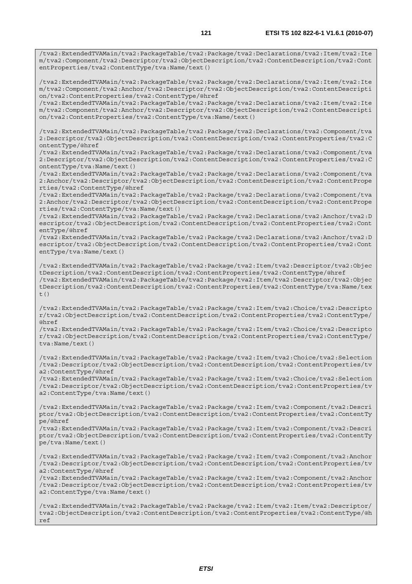/tva2:ExtendedTVAMain/tva2:PackageTable/tva2:Package/tva2:Declarations/tva2:Item/tva2:Ite m/tva2:Component/tva2:Anchor/tva2:Descriptor/tva2:ObjectDescription/tva2:ContentDescripti on/tva2:ContentProperties/tva2:ContentType/@href

/tva2:ExtendedTVAMain/tva2:PackageTable/tva2:Package/tva2:Declarations/tva2:Item/tva2:Ite m/tva2:Component/tva2:Anchor/tva2:Descriptor/tva2:ObjectDescription/tva2:ContentDescripti on/tva2:ContentProperties/tva2:ContentType/tva:Name/text()

/tva2:ExtendedTVAMain/tva2:PackageTable/tva2:Package/tva2:Declarations/tva2:Component/tva 2:Descriptor/tva2:ObjectDescription/tva2:ContentDescription/tva2:ContentProperties/tva2:C ontentType/@href

/tva2:ExtendedTVAMain/tva2:PackageTable/tva2:Package/tva2:Declarations/tva2:Component/tva 2:Descriptor/tva2:ObjectDescription/tva2:ContentDescription/tva2:ContentProperties/tva2:C ontentType/tva:Name/text()

/tva2:ExtendedTVAMain/tva2:PackageTable/tva2:Package/tva2:Declarations/tva2:Component/tva 2:Anchor/tva2:Descriptor/tva2:ObjectDescription/tva2:ContentDescription/tva2:ContentPrope rties/tva2:ContentType/@href

/tva2:ExtendedTVAMain/tva2:PackageTable/tva2:Package/tva2:Declarations/tva2:Component/tva 2:Anchor/tva2:Descriptor/tva2:ObjectDescription/tva2:ContentDescription/tva2:ContentPrope rties/tva2:ContentType/tva:Name/text()

/tva2:ExtendedTVAMain/tva2:PackageTable/tva2:Package/tva2:Declarations/tva2:Anchor/tva2:D escriptor/tva2:ObjectDescription/tva2:ContentDescription/tva2:ContentProperties/tva2:Cont entType/@href

/tva2:ExtendedTVAMain/tva2:PackageTable/tva2:Package/tva2:Declarations/tva2:Anchor/tva2:D escriptor/tva2:ObjectDescription/tva2:ContentDescription/tva2:ContentProperties/tva2:Cont entType/tva:Name/text()

/tva2:ExtendedTVAMain/tva2:PackageTable/tva2:Package/tva2:Item/tva2:Descriptor/tva2:Objec tDescription/tva2:ContentDescription/tva2:ContentProperties/tva2:ContentType/@href /tva2:ExtendedTVAMain/tva2:PackageTable/tva2:Package/tva2:Item/tva2:Descriptor/tva2:Objec tDescription/tva2:ContentDescription/tva2:ContentProperties/tva2:ContentType/tva:Name/tex t $($ )

/tva2:ExtendedTVAMain/tva2:PackageTable/tva2:Package/tva2:Item/tva2:Choice/tva2:Descripto r/tva2:ObjectDescription/tva2:ContentDescription/tva2:ContentProperties/tva2:ContentType/ @href

/tva2:ExtendedTVAMain/tva2:PackageTable/tva2:Package/tva2:Item/tva2:Choice/tva2:Descripto r/tva2:ObjectDescription/tva2:ContentDescription/tva2:ContentProperties/tva2:ContentType/ tva:Name/text()

/tva2:ExtendedTVAMain/tva2:PackageTable/tva2:Package/tva2:Item/tva2:Choice/tva2:Selection /tva2:Descriptor/tva2:ObjectDescription/tva2:ContentDescription/tva2:ContentProperties/tv a2:ContentType/@href

/tva2:ExtendedTVAMain/tva2:PackageTable/tva2:Package/tva2:Item/tva2:Choice/tva2:Selection /tva2:Descriptor/tva2:ObjectDescription/tva2:ContentDescription/tva2:ContentProperties/tv a2:ContentType/tva:Name/text()

/tva2:ExtendedTVAMain/tva2:PackageTable/tva2:Package/tva2:Item/tva2:Component/tva2:Descri ptor/tva2:ObjectDescription/tva2:ContentDescription/tva2:ContentProperties/tva2:ContentTy pe/@href

/tva2:ExtendedTVAMain/tva2:PackageTable/tva2:Package/tva2:Item/tva2:Component/tva2:Descri ptor/tva2:ObjectDescription/tva2:ContentDescription/tva2:ContentProperties/tva2:ContentTy pe/tva:Name/text()

/tva2:ExtendedTVAMain/tva2:PackageTable/tva2:Package/tva2:Item/tva2:Component/tva2:Anchor /tva2:Descriptor/tva2:ObjectDescription/tva2:ContentDescription/tva2:ContentProperties/tv a2:ContentType/@href

/tva2:ExtendedTVAMain/tva2:PackageTable/tva2:Package/tva2:Item/tva2:Component/tva2:Anchor /tva2:Descriptor/tva2:ObjectDescription/tva2:ContentDescription/tva2:ContentProperties/tv a2:ContentType/tva:Name/text()

/tva2:ExtendedTVAMain/tva2:PackageTable/tva2:Package/tva2:Item/tva2:Item/tva2:Descriptor/ tva2:ObjectDescription/tva2:ContentDescription/tva2:ContentProperties/tva2:ContentType/@h ref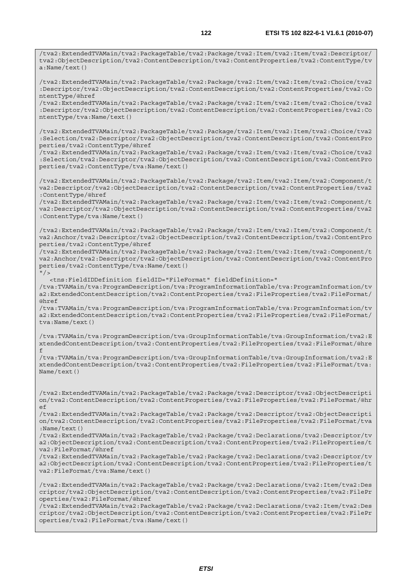/tva2:ExtendedTVAMain/tva2:PackageTable/tva2:Package/tva2:Item/tva2:Item/tva2:Descriptor/ tva2:ObjectDescription/tva2:ContentDescription/tva2:ContentProperties/tva2:ContentType/tv a:Name/text() /tva2:ExtendedTVAMain/tva2:PackageTable/tva2:Package/tva2:Item/tva2:Item/tva2:Choice/tva2 :Descriptor/tva2:ObjectDescription/tva2:ContentDescription/tva2:ContentProperties/tva2:Co ntentType/@href

/tva2:ExtendedTVAMain/tva2:PackageTable/tva2:Package/tva2:Item/tva2:Item/tva2:Choice/tva2 :Descriptor/tva2:ObjectDescription/tva2:ContentDescription/tva2:ContentProperties/tva2:Co ntentType/tva:Name/text()

/tva2:ExtendedTVAMain/tva2:PackageTable/tva2:Package/tva2:Item/tva2:Item/tva2:Choice/tva2 :Selection/tva2:Descriptor/tva2:ObjectDescription/tva2:ContentDescription/tva2:ContentPro perties/tva2:ContentType/@href

/tva2:ExtendedTVAMain/tva2:PackageTable/tva2:Package/tva2:Item/tva2:Item/tva2:Choice/tva2 :Selection/tva2:Descriptor/tva2:ObjectDescription/tva2:ContentDescription/tva2:ContentPro perties/tva2:ContentType/tva:Name/text()

/tva2:ExtendedTVAMain/tva2:PackageTable/tva2:Package/tva2:Item/tva2:Item/tva2:Component/t va2:Descriptor/tva2:ObjectDescription/tva2:ContentDescription/tva2:ContentProperties/tva2 :ContentType/@href

/tva2:ExtendedTVAMain/tva2:PackageTable/tva2:Package/tva2:Item/tva2:Item/tva2:Component/t va2:Descriptor/tva2:ObjectDescription/tva2:ContentDescription/tva2:ContentProperties/tva2 :ContentType/tva:Name/text()

/tva2:ExtendedTVAMain/tva2:PackageTable/tva2:Package/tva2:Item/tva2:Item/tva2:Component/t va2:Anchor/tva2:Descriptor/tva2:ObjectDescription/tva2:ContentDescription/tva2:ContentPro perties/tva2:ContentType/@href

/tva2:ExtendedTVAMain/tva2:PackageTable/tva2:Package/tva2:Item/tva2:Item/tva2:Component/t va2:Anchor/tva2:Descriptor/tva2:ObjectDescription/tva2:ContentDescription/tva2:ContentPro perties/tva2:ContentType/tva:Name/text()  $^{\prime\prime}$  / >

<tns:FieldIDDefinition fieldID="FileFormat" fieldDefinition="

/tva:TVAMain/tva:ProgramDescription/tva:ProgramInformationTable/tva:ProgramInformation/tv a2:ExtendedContentDescription/tva2:ContentProperties/tva2:FileProperties/tva2:FileFormat/ @href

/tva:TVAMain/tva:ProgramDescription/tva:ProgramInformationTable/tva:ProgramInformation/tv a2:ExtendedContentDescription/tva2:ContentProperties/tva2:FileProperties/tva2:FileFormat/ tva:Name/text()

/tva:TVAMain/tva:ProgramDescription/tva:GroupInformationTable/tva:GroupInformation/tva2:E xtendedContentDescription/tva2:ContentProperties/tva2:FileProperties/tva2:FileFormat/@hre f

/tva:TVAMain/tva:ProgramDescription/tva:GroupInformationTable/tva:GroupInformation/tva2:E xtendedContentDescription/tva2:ContentProperties/tva2:FileProperties/tva2:FileFormat/tva: Name/text()

/tva2:ExtendedTVAMain/tva2:PackageTable/tva2:Package/tva2:Descriptor/tva2:ObjectDescripti on/tva2:ContentDescription/tva2:ContentProperties/tva2:FileProperties/tva2:FileFormat/@hr ef

/tva2:ExtendedTVAMain/tva2:PackageTable/tva2:Package/tva2:Descriptor/tva2:ObjectDescripti on/tva2:ContentDescription/tva2:ContentProperties/tva2:FileProperties/tva2:FileFormat/tva :Name/text()

/tva2:ExtendedTVAMain/tva2:PackageTable/tva2:Package/tva2:Declarations/tva2:Descriptor/tv a2:ObjectDescription/tva2:ContentDescription/tva2:ContentProperties/tva2:FileProperties/t va2:FileFormat/@href

/tva2:ExtendedTVAMain/tva2:PackageTable/tva2:Package/tva2:Declarations/tva2:Descriptor/tv a2:ObjectDescription/tva2:ContentDescription/tva2:ContentProperties/tva2:FileProperties/t va2:FileFormat/tva:Name/text()

/tva2:ExtendedTVAMain/tva2:PackageTable/tva2:Package/tva2:Declarations/tva2:Item/tva2:Des criptor/tva2:ObjectDescription/tva2:ContentDescription/tva2:ContentProperties/tva2:FilePr operties/tva2:FileFormat/@href

/tva2:ExtendedTVAMain/tva2:PackageTable/tva2:Package/tva2:Declarations/tva2:Item/tva2:Des criptor/tva2:ObjectDescription/tva2:ContentDescription/tva2:ContentProperties/tva2:FilePr operties/tva2:FileFormat/tva:Name/text()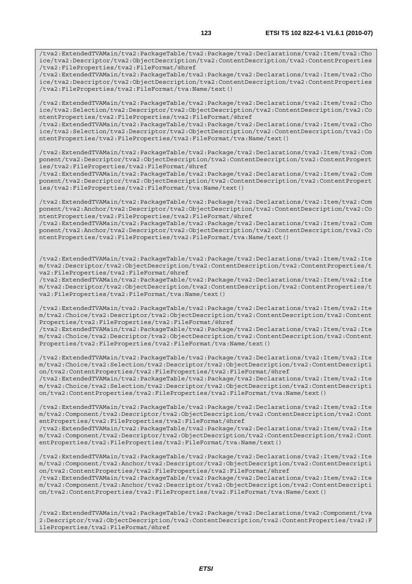/tva2:ExtendedTVAMain/tva2:PackageTable/tva2:Package/tva2:Declarations/tva2:Item/tva2:Cho ice/tva2:Descriptor/tva2:ObjectDescription/tva2:ContentDescription/tva2:ContentProperties /tva2:FileProperties/tva2:FileFormat/@href

/tva2:ExtendedTVAMain/tva2:PackageTable/tva2:Package/tva2:Declarations/tva2:Item/tva2:Cho ice/tva2:Descriptor/tva2:ObjectDescription/tva2:ContentDescription/tva2:ContentProperties /tva2:FileProperties/tva2:FileFormat/tva:Name/text()

/tva2:ExtendedTVAMain/tva2:PackageTable/tva2:Package/tva2:Declarations/tva2:Item/tva2:Cho ice/tva2:Selection/tva2:Descriptor/tva2:ObjectDescription/tva2:ContentDescription/tva2:Co ntentProperties/tva2:FileProperties/tva2:FileFormat/@href

/tva2:ExtendedTVAMain/tva2:PackageTable/tva2:Package/tva2:Declarations/tva2:Item/tva2:Cho ice/tva2:Selection/tva2:Descriptor/tva2:ObjectDescription/tva2:ContentDescription/tva2:Co ntentProperties/tva2:FileProperties/tva2:FileFormat/tva:Name/text()

/tva2:ExtendedTVAMain/tva2:PackageTable/tva2:Package/tva2:Declarations/tva2:Item/tva2:Com ponent/tva2:Descriptor/tva2:ObjectDescription/tva2:ContentDescription/tva2:ContentPropert ies/tva2:FileProperties/tva2:FileFormat/@href

/tva2:ExtendedTVAMain/tva2:PackageTable/tva2:Package/tva2:Declarations/tva2:Item/tva2:Com ponent/tva2:Descriptor/tva2:ObjectDescription/tva2:ContentDescription/tva2:ContentPropert ies/tva2:FileProperties/tva2:FileFormat/tva:Name/text()

/tva2:ExtendedTVAMain/tva2:PackageTable/tva2:Package/tva2:Declarations/tva2:Item/tva2:Com ponent/tva2:Anchor/tva2:Descriptor/tva2:ObjectDescription/tva2:ContentDescription/tva2:Co ntentProperties/tva2:FileProperties/tva2:FileFormat/@href

/tva2:ExtendedTVAMain/tva2:PackageTable/tva2:Package/tva2:Declarations/tva2:Item/tva2:Com ponent/tva2:Anchor/tva2:Descriptor/tva2:ObjectDescription/tva2:ContentDescription/tva2:Co ntentProperties/tva2:FileProperties/tva2:FileFormat/tva:Name/text()

/tva2:ExtendedTVAMain/tva2:PackageTable/tva2:Package/tva2:Declarations/tva2:Item/tva2:Ite m/tva2:Descriptor/tva2:ObjectDescription/tva2:ContentDescription/tva2:ContentProperties/t va2:FileProperties/tva2:FileFormat/@href

/tva2:ExtendedTVAMain/tva2:PackageTable/tva2:Package/tva2:Declarations/tva2:Item/tva2:Ite m/tva2:Descriptor/tva2:ObjectDescription/tva2:ContentDescription/tva2:ContentProperties/t va2:FileProperties/tva2:FileFormat/tva:Name/text()

/tva2:ExtendedTVAMain/tva2:PackageTable/tva2:Package/tva2:Declarations/tva2:Item/tva2:Ite m/tva2:Choice/tva2:Descriptor/tva2:ObjectDescription/tva2:ContentDescription/tva2:Content Properties/tva2:FileProperties/tva2:FileFormat/@href

/tva2:ExtendedTVAMain/tva2:PackageTable/tva2:Package/tva2:Declarations/tva2:Item/tva2:Ite m/tva2:Choice/tva2:Descriptor/tva2:ObjectDescription/tva2:ContentDescription/tva2:Content Properties/tva2:FileProperties/tva2:FileFormat/tva:Name/text()

/tva2:ExtendedTVAMain/tva2:PackageTable/tva2:Package/tva2:Declarations/tva2:Item/tva2:Ite m/tva2:Choice/tva2:Selection/tva2:Descriptor/tva2:ObjectDescription/tva2:ContentDescripti on/tva2:ContentProperties/tva2:FileProperties/tva2:FileFormat/@href /tva2:ExtendedTVAMain/tva2:PackageTable/tva2:Package/tva2:Declarations/tva2:Item/tva2:Ite m/tva2:Choice/tva2:Selection/tva2:Descriptor/tva2:ObjectDescription/tva2:ContentDescripti

on/tva2:ContentProperties/tva2:FileProperties/tva2:FileFormat/tva:Name/text()

/tva2:ExtendedTVAMain/tva2:PackageTable/tva2:Package/tva2:Declarations/tva2:Item/tva2:Ite m/tva2:Component/tva2:Descriptor/tva2:ObjectDescription/tva2:ContentDescription/tva2:Cont entProperties/tva2:FileProperties/tva2:FileFormat/@href /tva2:ExtendedTVAMain/tva2:PackageTable/tva2:Package/tva2:Declarations/tva2:Item/tva2:Ite

m/tva2:Component/tva2:Descriptor/tva2:ObjectDescription/tva2:ContentDescription/tva2:Cont entProperties/tva2:FileProperties/tva2:FileFormat/tva:Name/text()

/tva2:ExtendedTVAMain/tva2:PackageTable/tva2:Package/tva2:Declarations/tva2:Item/tva2:Ite m/tva2:Component/tva2:Anchor/tva2:Descriptor/tva2:ObjectDescription/tva2:ContentDescripti on/tva2:ContentProperties/tva2:FileProperties/tva2:FileFormat/@href /tva2:ExtendedTVAMain/tva2:PackageTable/tva2:Package/tva2:Declarations/tva2:Item/tva2:Ite

m/tva2:Component/tva2:Anchor/tva2:Descriptor/tva2:ObjectDescription/tva2:ContentDescripti on/tva2:ContentProperties/tva2:FileProperties/tva2:FileFormat/tva:Name/text()

/tva2:ExtendedTVAMain/tva2:PackageTable/tva2:Package/tva2:Declarations/tva2:Component/tva 2:Descriptor/tva2:ObjectDescription/tva2:ContentDescription/tva2:ContentProperties/tva2:F ileProperties/tva2:FileFormat/@href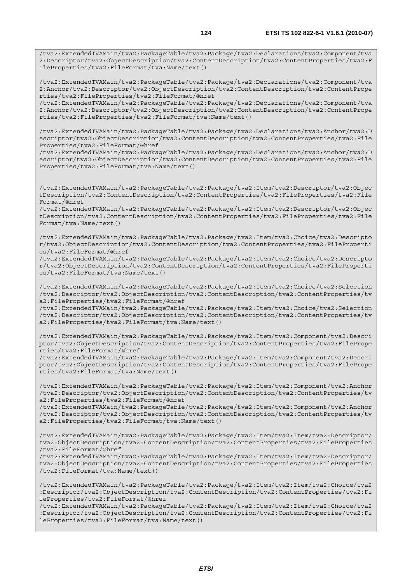/tva2:ExtendedTVAMain/tva2:PackageTable/tva2:Package/tva2:Declarations/tva2:Component/tva 2:Descriptor/tva2:ObjectDescription/tva2:ContentDescription/tva2:ContentProperties/tva2:F ileProperties/tva2:FileFormat/tva:Name/text()

/tva2:ExtendedTVAMain/tva2:PackageTable/tva2:Package/tva2:Declarations/tva2:Component/tva 2:Anchor/tva2:Descriptor/tva2:ObjectDescription/tva2:ContentDescription/tva2:ContentPrope rties/tva2:FileProperties/tva2:FileFormat/@href

/tva2:ExtendedTVAMain/tva2:PackageTable/tva2:Package/tva2:Declarations/tva2:Component/tva 2:Anchor/tva2:Descriptor/tva2:ObjectDescription/tva2:ContentDescription/tva2:ContentPrope rties/tva2:FileProperties/tva2:FileFormat/tva:Name/text()

/tva2:ExtendedTVAMain/tva2:PackageTable/tva2:Package/tva2:Declarations/tva2:Anchor/tva2:D escriptor/tva2:ObjectDescription/tva2:ContentDescription/tva2:ContentProperties/tva2:File Properties/tva2:FileFormat/@href

/tva2:ExtendedTVAMain/tva2:PackageTable/tva2:Package/tva2:Declarations/tva2:Anchor/tva2:D escriptor/tva2:ObjectDescription/tva2:ContentDescription/tva2:ContentProperties/tva2:File Properties/tva2:FileFormat/tva:Name/text()

/tva2:ExtendedTVAMain/tva2:PackageTable/tva2:Package/tva2:Item/tva2:Descriptor/tva2:Objec tDescription/tva2:ContentDescription/tva2:ContentProperties/tva2:FileProperties/tva2:File Format/@href

/tva2:ExtendedTVAMain/tva2:PackageTable/tva2:Package/tva2:Item/tva2:Descriptor/tva2:Objec tDescription/tva2:ContentDescription/tva2:ContentProperties/tva2:FileProperties/tva2:File Format/tva:Name/text()

/tva2:ExtendedTVAMain/tva2:PackageTable/tva2:Package/tva2:Item/tva2:Choice/tva2:Descripto r/tva2:ObjectDescription/tva2:ContentDescription/tva2:ContentProperties/tva2:FileProperti es/tva2:FileFormat/@href

/tva2:ExtendedTVAMain/tva2:PackageTable/tva2:Package/tva2:Item/tva2:Choice/tva2:Descripto r/tva2:ObjectDescription/tva2:ContentDescription/tva2:ContentProperties/tva2:FileProperti es/tva2:FileFormat/tva:Name/text()

/tva2:ExtendedTVAMain/tva2:PackageTable/tva2:Package/tva2:Item/tva2:Choice/tva2:Selection /tva2:Descriptor/tva2:ObjectDescription/tva2:ContentDescription/tva2:ContentProperties/tv a2:FileProperties/tva2:FileFormat/@href

/tva2:ExtendedTVAMain/tva2:PackageTable/tva2:Package/tva2:Item/tva2:Choice/tva2:Selection /tva2:Descriptor/tva2:ObjectDescription/tva2:ContentDescription/tva2:ContentProperties/tv a2:FileProperties/tva2:FileFormat/tva:Name/text()

/tva2:ExtendedTVAMain/tva2:PackageTable/tva2:Package/tva2:Item/tva2:Component/tva2:Descri ptor/tva2:ObjectDescription/tva2:ContentDescription/tva2:ContentProperties/tva2:FilePrope rties/tva2:FileFormat/@href

/tva2:ExtendedTVAMain/tva2:PackageTable/tva2:Package/tva2:Item/tva2:Component/tva2:Descri ptor/tva2:ObjectDescription/tva2:ContentDescription/tva2:ContentProperties/tva2:FilePrope rties/tva2:FileFormat/tva:Name/text()

/tva2:ExtendedTVAMain/tva2:PackageTable/tva2:Package/tva2:Item/tva2:Component/tva2:Anchor /tva2:Descriptor/tva2:ObjectDescription/tva2:ContentDescription/tva2:ContentProperties/tv a2:FileProperties/tva2:FileFormat/@href

/tva2:ExtendedTVAMain/tva2:PackageTable/tva2:Package/tva2:Item/tva2:Component/tva2:Anchor /tva2:Descriptor/tva2:ObjectDescription/tva2:ContentDescription/tva2:ContentProperties/tv a2:FileProperties/tva2:FileFormat/tva:Name/text()

/tva2:ExtendedTVAMain/tva2:PackageTable/tva2:Package/tva2:Item/tva2:Item/tva2:Descriptor/ tva2:ObjectDescription/tva2:ContentDescription/tva2:ContentProperties/tva2:FileProperties /tva2:FileFormat/@href

/tva2:ExtendedTVAMain/tva2:PackageTable/tva2:Package/tva2:Item/tva2:Item/tva2:Descriptor/ tva2:ObjectDescription/tva2:ContentDescription/tva2:ContentProperties/tva2:FileProperties /tva2:FileFormat/tva:Name/text()

/tva2:ExtendedTVAMain/tva2:PackageTable/tva2:Package/tva2:Item/tva2:Item/tva2:Choice/tva2 :Descriptor/tva2:ObjectDescription/tva2:ContentDescription/tva2:ContentProperties/tva2:Fi leProperties/tva2:FileFormat/@href

/tva2:ExtendedTVAMain/tva2:PackageTable/tva2:Package/tva2:Item/tva2:Item/tva2:Choice/tva2 :Descriptor/tva2:ObjectDescription/tva2:ContentDescription/tva2:ContentProperties/tva2:Fi leProperties/tva2:FileFormat/tva:Name/text()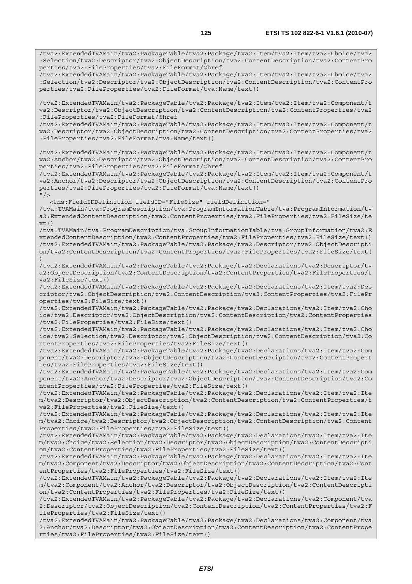/tva2:ExtendedTVAMain/tva2:PackageTable/tva2:Package/tva2:Item/tva2:Item/tva2:Choice/tva2 :Selection/tva2:Descriptor/tva2:ObjectDescription/tva2:ContentDescription/tva2:ContentPro perties/tva2:FileProperties/tva2:FileFormat/@href /tva2:ExtendedTVAMain/tva2:PackageTable/tva2:Package/tva2:Item/tva2:Item/tva2:Choice/tva2 :Selection/tva2:Descriptor/tva2:ObjectDescription/tva2:ContentDescription/tva2:ContentPro perties/tva2:FileProperties/tva2:FileFormat/tva:Name/text() /tva2:ExtendedTVAMain/tva2:PackageTable/tva2:Package/tva2:Item/tva2:Item/tva2:Component/t va2:Descriptor/tva2:ObjectDescription/tva2:ContentDescription/tva2:ContentProperties/tva2 :FileProperties/tva2:FileFormat/@href /tva2:ExtendedTVAMain/tva2:PackageTable/tva2:Package/tva2:Item/tva2:Item/tva2:Component/t va2:Descriptor/tva2:ObjectDescription/tva2:ContentDescription/tva2:ContentProperties/tva2 :FileProperties/tva2:FileFormat/tva:Name/text() /tva2:ExtendedTVAMain/tva2:PackageTable/tva2:Package/tva2:Item/tva2:Item/tva2:Component/t va2:Anchor/tva2:Descriptor/tva2:ObjectDescription/tva2:ContentDescription/tva2:ContentPro perties/tva2:FileProperties/tva2:FileFormat/@href /tva2:ExtendedTVAMain/tva2:PackageTable/tva2:Package/tva2:Item/tva2:Item/tva2:Component/t va2:Anchor/tva2:Descriptor/tva2:ObjectDescription/tva2:ContentDescription/tva2:ContentPro perties/tva2:FileProperties/tva2:FileFormat/tva:Name/text()  $"$  / > <tns:FieldIDDefinition fieldID="FileSize" fieldDefinition=" /tva:TVAMain/tva:ProgramDescription/tva:ProgramInformationTable/tva:ProgramInformation/tv a2:ExtendedContentDescription/tva2:ContentProperties/tva2:FileProperties/tva2:FileSize/te xt() /tva:TVAMain/tva:ProgramDescription/tva:GroupInformationTable/tva:GroupInformation/tva2:E xtendedContentDescription/tva2:ContentProperties/tva2:FileProperties/tva2:FileSize/text() /tva2:ExtendedTVAMain/tva2:PackageTable/tva2:Package/tva2:Descriptor/tva2:ObjectDescripti on/tva2:ContentDescription/tva2:ContentProperties/tva2:FileProperties/tva2:FileSize/text( ) /tva2:ExtendedTVAMain/tva2:PackageTable/tva2:Package/tva2:Declarations/tva2:Descriptor/tv a2:ObjectDescription/tva2:ContentDescription/tva2:ContentProperties/tva2:FileProperties/t va2:FileSize/text() /tva2:ExtendedTVAMain/tva2:PackageTable/tva2:Package/tva2:Declarations/tva2:Item/tva2:Des criptor/tva2:ObjectDescription/tva2:ContentDescription/tva2:ContentProperties/tva2:FilePr operties/tva2:FileSize/text() /tva2:ExtendedTVAMain/tva2:PackageTable/tva2:Package/tva2:Declarations/tva2:Item/tva2:Cho ice/tva2:Descriptor/tva2:ObjectDescription/tva2:ContentDescription/tva2:ContentProperties /tva2:FileProperties/tva2:FileSize/text() /tva2:ExtendedTVAMain/tva2:PackageTable/tva2:Package/tva2:Declarations/tva2:Item/tva2:Cho ice/tva2:Selection/tva2:Descriptor/tva2:ObjectDescription/tva2:ContentDescription/tva2:Co ntentProperties/tva2:FileProperties/tva2:FileSize/text() /tva2:ExtendedTVAMain/tva2:PackageTable/tva2:Package/tva2:Declarations/tva2:Item/tva2:Com ponent/tva2:Descriptor/tva2:ObjectDescription/tva2:ContentDescription/tva2:ContentPropert ies/tva2:FileProperties/tva2:FileSize/text() /tva2:ExtendedTVAMain/tva2:PackageTable/tva2:Package/tva2:Declarations/tva2:Item/tva2:Com ponent/tva2:Anchor/tva2:Descriptor/tva2:ObjectDescription/tva2:ContentDescription/tva2:Co ntentProperties/tva2:FileProperties/tva2:FileSize/text() /tva2:ExtendedTVAMain/tva2:PackageTable/tva2:Package/tva2:Declarations/tva2:Item/tva2:Ite m/tva2:Descriptor/tva2:ObjectDescription/tva2:ContentDescription/tva2:ContentProperties/t va2:FileProperties/tva2:FileSize/text() /tva2:ExtendedTVAMain/tva2:PackageTable/tva2:Package/tva2:Declarations/tva2:Item/tva2:Ite m/tva2:Choice/tva2:Descriptor/tva2:ObjectDescription/tva2:ContentDescription/tva2:Content Properties/tva2:FileProperties/tva2:FileSize/text() /tva2:ExtendedTVAMain/tva2:PackageTable/tva2:Package/tva2:Declarations/tva2:Item/tva2:Ite m/tva2:Choice/tva2:Selection/tva2:Descriptor/tva2:ObjectDescription/tva2:ContentDescripti on/tva2:ContentProperties/tva2:FileProperties/tva2:FileSize/text() /tva2:ExtendedTVAMain/tva2:PackageTable/tva2:Package/tva2:Declarations/tva2:Item/tva2:Ite m/tva2:Component/tva2:Descriptor/tva2:ObjectDescription/tva2:ContentDescription/tva2:Cont entProperties/tva2:FileProperties/tva2:FileSize/text() /tva2:ExtendedTVAMain/tva2:PackageTable/tva2:Package/tva2:Declarations/tva2:Item/tva2:Ite m/tva2:Component/tva2:Anchor/tva2:Descriptor/tva2:ObjectDescription/tva2:ContentDescripti on/tva2:ContentProperties/tva2:FileProperties/tva2:FileSize/text() /tva2:ExtendedTVAMain/tva2:PackageTable/tva2:Package/tva2:Declarations/tva2:Component/tva 2:Descriptor/tva2:ObjectDescription/tva2:ContentDescription/tva2:ContentProperties/tva2:F ileProperties/tva2:FileSize/text()

/tva2:ExtendedTVAMain/tva2:PackageTable/tva2:Package/tva2:Declarations/tva2:Component/tva 2:Anchor/tva2:Descriptor/tva2:ObjectDescription/tva2:ContentDescription/tva2:ContentPrope rties/tva2:FileProperties/tva2:FileSize/text()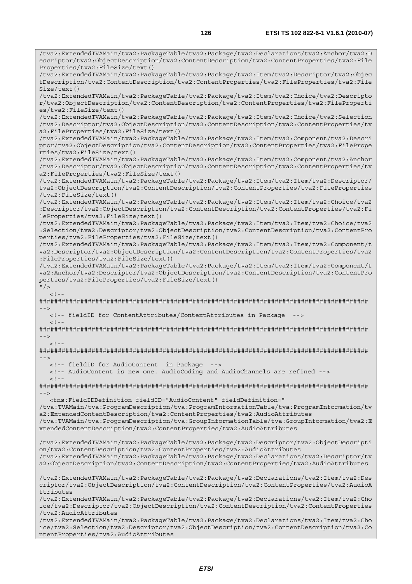/tva2:ExtendedTVAMain/tva2:PackageTable/tva2:Package/tva2:Declarations/tva2:Anchor/tva2:D escriptor/tva2:ObjectDescription/tva2:ContentDescription/tva2:ContentProperties/tva2:File Properties/tva2:FileSize/text() /tva2:ExtendedTVAMain/tva2:PackageTable/tva2:Package/tva2:Item/tva2:Descriptor/tva2:Objec tDescription/tva2:ContentDescription/tva2:ContentProperties/tva2:FileProperties/tva2:File Size/text() /tva2:ExtendedTVAMain/tva2:PackageTable/tva2:Package/tva2:Item/tva2:Choice/tva2:Descripto r/tva2:ObjectDescription/tva2:ContentDescription/tva2:ContentProperties/tva2:FileProperti es/tva2:FileSize/text() /tva2:ExtendedTVAMain/tva2:PackageTable/tva2:Package/tva2:Item/tva2:Choice/tva2:Selection /tva2:Descriptor/tva2:ObjectDescription/tva2:ContentDescription/tva2:ContentProperties/tv a2:FileProperties/tva2:FileSize/text() /tva2:ExtendedTVAMain/tva2:PackageTable/tva2:Package/tva2:Item/tva2:Component/tva2:Descri ptor/tva2:ObjectDescription/tva2:ContentDescription/tva2:ContentProperties/tva2:FilePrope rties/tva2:FileSize/text() /tva2:ExtendedTVAMain/tva2:PackageTable/tva2:Package/tva2:Item/tva2:Component/tva2:Anchor /tva2:Descriptor/tva2:ObjectDescription/tva2:ContentDescription/tva2:ContentProperties/tv a2:FileProperties/tva2:FileSize/text() /tva2:ExtendedTVAMain/tva2:PackageTable/tva2:Package/tva2:Item/tva2:Item/tva2:Descriptor/ tva2:ObjectDescription/tva2:ContentDescription/tva2:ContentProperties/tva2:FileProperties /tva2:FileSize/text() /tva2:ExtendedTVAMain/tva2:PackageTable/tva2:Package/tva2:Item/tva2:Item/tva2:Choice/tva2 :Descriptor/tva2:ObjectDescription/tva2:ContentDescription/tva2:ContentProperties/tva2:Fi leProperties/tva2:FileSize/text() /tva2:ExtendedTVAMain/tva2:PackageTable/tva2:Package/tva2:Item/tva2:Item/tva2:Choice/tva2 :Selection/tva2:Descriptor/tva2:ObjectDescription/tva2:ContentDescription/tva2:ContentPro perties/tva2:FileProperties/tva2:FileSize/text() /tva2:ExtendedTVAMain/tva2:PackageTable/tva2:Package/tva2:Item/tva2:Item/tva2:Component/t va2:Descriptor/tva2:ObjectDescription/tva2:ContentDescription/tva2:ContentProperties/tva2 :FileProperties/tva2:FileSize/text() /tva2:ExtendedTVAMain/tva2:PackageTable/tva2:Package/tva2:Item/tva2:Item/tva2:Component/t va2:Anchor/tva2:Descriptor/tva2:ObjectDescription/tva2:ContentDescription/tva2:ContentPro perties/tva2:FileProperties/tva2:FileSize/text()  $''$  / >  $\leq$ ! ######################################################################################## --> <!-- fieldID for ContentAttributes/ContextAttributes in Package -->  $< 1 - -$ ######################################################################################## -->  $\lt$   $\vert$   $-$ ######################################################################################## --> <!-- fieldID for AudioContent in Package --> <!-- AudioContent is new one. AudioCoding and AudioChannels are refined -->  $<$ ! --######################################################################################## --> <tns:FieldIDDefinition fieldID="AudioContent" fieldDefinition=" /tva:TVAMain/tva:ProgramDescription/tva:ProgramInformationTable/tva:ProgramInformation/tv a2:ExtendedContentDescription/tva2:ContentProperties/tva2:AudioAttributes /tva:TVAMain/tva:ProgramDescription/tva:GroupInformationTable/tva:GroupInformation/tva2:E xtendedContentDescription/tva2:ContentProperties/tva2:AudioAttributes /tva2:ExtendedTVAMain/tva2:PackageTable/tva2:Package/tva2:Descriptor/tva2:ObjectDescripti on/tva2:ContentDescription/tva2:ContentProperties/tva2:AudioAttributes /tva2:ExtendedTVAMain/tva2:PackageTable/tva2:Package/tva2:Declarations/tva2:Descriptor/tv a2:ObjectDescription/tva2:ContentDescription/tva2:ContentProperties/tva2:AudioAttributes /tva2:ExtendedTVAMain/tva2:PackageTable/tva2:Package/tva2:Declarations/tva2:Item/tva2:Des criptor/tva2:ObjectDescription/tva2:ContentDescription/tva2:ContentProperties/tva2:AudioA ttributes /tva2:ExtendedTVAMain/tva2:PackageTable/tva2:Package/tva2:Declarations/tva2:Item/tva2:Cho ice/tva2:Descriptor/tva2:ObjectDescription/tva2:ContentDescription/tva2:ContentProperties /tva2:AudioAttributes /tva2:ExtendedTVAMain/tva2:PackageTable/tva2:Package/tva2:Declarations/tva2:Item/tva2:Cho ice/tva2:Selection/tva2:Descriptor/tva2:ObjectDescription/tva2:ContentDescription/tva2:Co

ntentProperties/tva2:AudioAttributes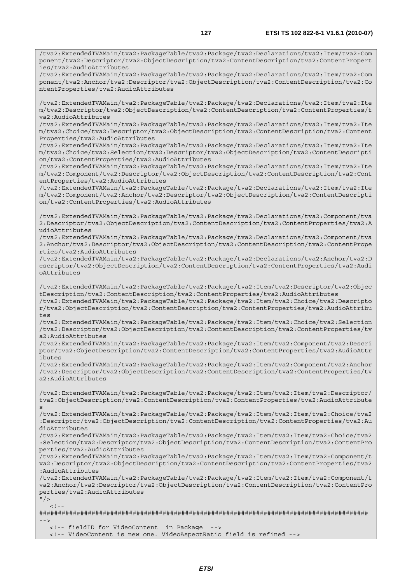/tva2:ExtendedTVAMain/tva2:PackageTable/tva2:Package/tva2:Declarations/tva2:Item/tva2:Com ponent/tva2:Descriptor/tva2:ObjectDescription/tva2:ContentDescription/tva2:ContentPropert ies/tva2:AudioAttributes

/tva2:ExtendedTVAMain/tva2:PackageTable/tva2:Package/tva2:Declarations/tva2:Item/tva2:Com ponent/tva2:Anchor/tva2:Descriptor/tva2:ObjectDescription/tva2:ContentDescription/tva2:Co ntentProperties/tva2:AudioAttributes

/tva2:ExtendedTVAMain/tva2:PackageTable/tva2:Package/tva2:Declarations/tva2:Item/tva2:Ite m/tva2:Descriptor/tva2:ObjectDescription/tva2:ContentDescription/tva2:ContentProperties/t va2:AudioAttributes

/tva2:ExtendedTVAMain/tva2:PackageTable/tva2:Package/tva2:Declarations/tva2:Item/tva2:Ite m/tva2:Choice/tva2:Descriptor/tva2:ObjectDescription/tva2:ContentDescription/tva2:Content Properties/tva2:AudioAttributes

/tva2:ExtendedTVAMain/tva2:PackageTable/tva2:Package/tva2:Declarations/tva2:Item/tva2:Ite m/tva2:Choice/tva2:Selection/tva2:Descriptor/tva2:ObjectDescription/tva2:ContentDescripti on/tva2:ContentProperties/tva2:AudioAttributes

/tva2:ExtendedTVAMain/tva2:PackageTable/tva2:Package/tva2:Declarations/tva2:Item/tva2:Ite m/tva2:Component/tva2:Descriptor/tva2:ObjectDescription/tva2:ContentDescription/tva2:Cont entProperties/tva2:AudioAttributes

/tva2:ExtendedTVAMain/tva2:PackageTable/tva2:Package/tva2:Declarations/tva2:Item/tva2:Ite m/tva2:Component/tva2:Anchor/tva2:Descriptor/tva2:ObjectDescription/tva2:ContentDescripti on/tva2:ContentProperties/tva2:AudioAttributes

/tva2:ExtendedTVAMain/tva2:PackageTable/tva2:Package/tva2:Declarations/tva2:Component/tva 2:Descriptor/tva2:ObjectDescription/tva2:ContentDescription/tva2:ContentProperties/tva2:A udioAttributes

/tva2:ExtendedTVAMain/tva2:PackageTable/tva2:Package/tva2:Declarations/tva2:Component/tva 2:Anchor/tva2:Descriptor/tva2:ObjectDescription/tva2:ContentDescription/tva2:ContentPrope rties/tva2:AudioAttributes

/tva2:ExtendedTVAMain/tva2:PackageTable/tva2:Package/tva2:Declarations/tva2:Anchor/tva2:D escriptor/tva2:ObjectDescription/tva2:ContentDescription/tva2:ContentProperties/tva2:Audi oAttributes

/tva2:ExtendedTVAMain/tva2:PackageTable/tva2:Package/tva2:Item/tva2:Descriptor/tva2:Objec tDescription/tva2:ContentDescription/tva2:ContentProperties/tva2:AudioAttributes

/tva2:ExtendedTVAMain/tva2:PackageTable/tva2:Package/tva2:Item/tva2:Choice/tva2:Descripto r/tva2:ObjectDescription/tva2:ContentDescription/tva2:ContentProperties/tva2:AudioAttribu tes

/tva2:ExtendedTVAMain/tva2:PackageTable/tva2:Package/tva2:Item/tva2:Choice/tva2:Selection /tva2:Descriptor/tva2:ObjectDescription/tva2:ContentDescription/tva2:ContentProperties/tv a2:AudioAttributes

/tva2:ExtendedTVAMain/tva2:PackageTable/tva2:Package/tva2:Item/tva2:Component/tva2:Descri ptor/tva2:ObjectDescription/tva2:ContentDescription/tva2:ContentProperties/tva2:AudioAttr ibutes

/tva2:ExtendedTVAMain/tva2:PackageTable/tva2:Package/tva2:Item/tva2:Component/tva2:Anchor /tva2:Descriptor/tva2:ObjectDescription/tva2:ContentDescription/tva2:ContentProperties/tv a2:AudioAttributes

/tva2:ExtendedTVAMain/tva2:PackageTable/tva2:Package/tva2:Item/tva2:Item/tva2:Descriptor/ tva2:ObjectDescription/tva2:ContentDescription/tva2:ContentProperties/tva2:AudioAttribute s

/tva2:ExtendedTVAMain/tva2:PackageTable/tva2:Package/tva2:Item/tva2:Item/tva2:Choice/tva2 :Descriptor/tva2:ObjectDescription/tva2:ContentDescription/tva2:ContentProperties/tva2:Au dioAttributes

/tva2:ExtendedTVAMain/tva2:PackageTable/tva2:Package/tva2:Item/tva2:Item/tva2:Choice/tva2 :Selection/tva2:Descriptor/tva2:ObjectDescription/tva2:ContentDescription/tva2:ContentPro perties/tva2:AudioAttributes

/tva2:ExtendedTVAMain/tva2:PackageTable/tva2:Package/tva2:Item/tva2:Item/tva2:Component/t va2:Descriptor/tva2:ObjectDescription/tva2:ContentDescription/tva2:ContentProperties/tva2 :AudioAttributes

/tva2:ExtendedTVAMain/tva2:PackageTable/tva2:Package/tva2:Item/tva2:Item/tva2:Component/t va2:Anchor/tva2:Descriptor/tva2:ObjectDescription/tva2:ContentDescription/tva2:ContentPro perties/tva2:AudioAttributes

 $''$  / >  $\lt$ !

######################################################################################## -->

<!-- fieldID for VideoContent in Package -->

<!-- VideoContent is new one. VideoAspectRatio field is refined -->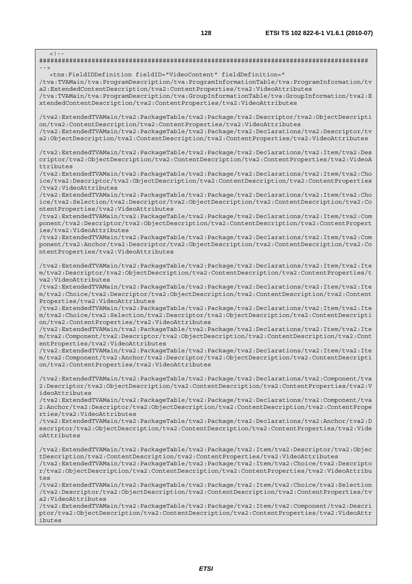$\lt$  !  $-$ ######################################################################################## --> <tns:FieldIDDefinition fieldID="VideoContent" fieldDefinition=" /tva:TVAMain/tva:ProgramDescription/tva:ProgramInformationTable/tva:ProgramInformation/tv a2:ExtendedContentDescription/tva2:ContentProperties/tva2:VideoAttributes /tva:TVAMain/tva:ProgramDescription/tva:GroupInformationTable/tva:GroupInformation/tva2:E xtendedContentDescription/tva2:ContentProperties/tva2:VideoAttributes /tva2:ExtendedTVAMain/tva2:PackageTable/tva2:Package/tva2:Descriptor/tva2:ObjectDescripti on/tva2:ContentDescription/tva2:ContentProperties/tva2:VideoAttributes /tva2:ExtendedTVAMain/tva2:PackageTable/tva2:Package/tva2:Declarations/tva2:Descriptor/tv a2:ObjectDescription/tva2:ContentDescription/tva2:ContentProperties/tva2:VideoAttributes /tva2:ExtendedTVAMain/tva2:PackageTable/tva2:Package/tva2:Declarations/tva2:Item/tva2:Des criptor/tva2:ObjectDescription/tva2:ContentDescription/tva2:ContentProperties/tva2:VideoA ttributes /tva2:ExtendedTVAMain/tva2:PackageTable/tva2:Package/tva2:Declarations/tva2:Item/tva2:Cho ice/tva2:Descriptor/tva2:ObjectDescription/tva2:ContentDescription/tva2:ContentProperties /tva2:VideoAttributes /tva2:ExtendedTVAMain/tva2:PackageTable/tva2:Package/tva2:Declarations/tva2:Item/tva2:Cho ice/tva2:Selection/tva2:Descriptor/tva2:ObjectDescription/tva2:ContentDescription/tva2:Co ntentProperties/tva2:VideoAttributes /tva2:ExtendedTVAMain/tva2:PackageTable/tva2:Package/tva2:Declarations/tva2:Item/tva2:Com ponent/tva2:Descriptor/tva2:ObjectDescription/tva2:ContentDescription/tva2:ContentPropert ies/tva2:VideoAttributes /tva2:ExtendedTVAMain/tva2:PackageTable/tva2:Package/tva2:Declarations/tva2:Item/tva2:Com ponent/tva2:Anchor/tva2:Descriptor/tva2:ObjectDescription/tva2:ContentDescription/tva2:Co ntentProperties/tva2:VideoAttributes /tva2:ExtendedTVAMain/tva2:PackageTable/tva2:Package/tva2:Declarations/tva2:Item/tva2:Ite m/tva2:Descriptor/tva2:ObjectDescription/tva2:ContentDescription/tva2:ContentProperties/t va2:VideoAttributes /tva2:ExtendedTVAMain/tva2:PackageTable/tva2:Package/tva2:Declarations/tva2:Item/tva2:Ite m/tva2:Choice/tva2:Descriptor/tva2:ObjectDescription/tva2:ContentDescription/tva2:Content Properties/tva2:VideoAttributes /tva2:ExtendedTVAMain/tva2:PackageTable/tva2:Package/tva2:Declarations/tva2:Item/tva2:Ite m/tva2:Choice/tva2:Selection/tva2:Descriptor/tva2:ObjectDescription/tva2:ContentDescripti on/tva2:ContentProperties/tva2:VideoAttributes /tva2:ExtendedTVAMain/tva2:PackageTable/tva2:Package/tva2:Declarations/tva2:Item/tva2:Ite m/tva2:Component/tva2:Descriptor/tva2:ObjectDescription/tva2:ContentDescription/tva2:Cont entProperties/tva2:VideoAttributes /tva2:ExtendedTVAMain/tva2:PackageTable/tva2:Package/tva2:Declarations/tva2:Item/tva2:Ite m/tva2:Component/tva2:Anchor/tva2:Descriptor/tva2:ObjectDescription/tva2:ContentDescripti on/tva2:ContentProperties/tva2:VideoAttributes /tva2:ExtendedTVAMain/tva2:PackageTable/tva2:Package/tva2:Declarations/tva2:Component/tva 2:Descriptor/tva2:ObjectDescription/tva2:ContentDescription/tva2:ContentProperties/tva2:V ideoAttributes /tva2:ExtendedTVAMain/tva2:PackageTable/tva2:Package/tva2:Declarations/tva2:Component/tva 2:Anchor/tva2:Descriptor/tva2:ObjectDescription/tva2:ContentDescription/tva2:ContentPrope rties/tva2:VideoAttributes /tva2:ExtendedTVAMain/tva2:PackageTable/tva2:Package/tva2:Declarations/tva2:Anchor/tva2:D escriptor/tva2:ObjectDescription/tva2:ContentDescription/tva2:ContentProperties/tva2:Vide oAttributes /tva2:ExtendedTVAMain/tva2:PackageTable/tva2:Package/tva2:Item/tva2:Descriptor/tva2:Objec tDescription/tva2:ContentDescription/tva2:ContentProperties/tva2:VideoAttributes /tva2:ExtendedTVAMain/tva2:PackageTable/tva2:Package/tva2:Item/tva2:Choice/tva2:Descripto r/tva2:ObjectDescription/tva2:ContentDescription/tva2:ContentProperties/tva2:VideoAttribu tes /tva2:ExtendedTVAMain/tva2:PackageTable/tva2:Package/tva2:Item/tva2:Choice/tva2:Selection /tva2:Descriptor/tva2:ObjectDescription/tva2:ContentDescription/tva2:ContentProperties/tv a2:VideoAttributes /tva2:ExtendedTVAMain/tva2:PackageTable/tva2:Package/tva2:Item/tva2:Component/tva2:Descri ptor/tva2:ObjectDescription/tva2:ContentDescription/tva2:ContentProperties/tva2:VideoAttr ibutes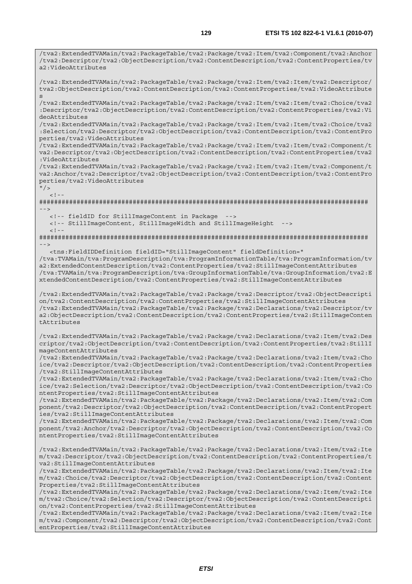/tva2:ExtendedTVAMain/tva2:PackageTable/tva2:Package/tva2:Item/tva2:Component/tva2:Anchor /tva2:Descriptor/tva2:ObjectDescription/tva2:ContentDescription/tva2:ContentProperties/tv

a2:VideoAttributes

/tva2:ExtendedTVAMain/tva2:PackageTable/tva2:Package/tva2:Item/tva2:Item/tva2:Descriptor/ tva2:ObjectDescription/tva2:ContentDescription/tva2:ContentProperties/tva2:VideoAttribute s /tva2:ExtendedTVAMain/tva2:PackageTable/tva2:Package/tva2:Item/tva2:Item/tva2:Choice/tva2 :Descriptor/tva2:ObjectDescription/tva2:ContentDescription/tva2:ContentProperties/tva2:Vi deoAttributes /tva2:ExtendedTVAMain/tva2:PackageTable/tva2:Package/tva2:Item/tva2:Item/tva2:Choice/tva2 :Selection/tva2:Descriptor/tva2:ObjectDescription/tva2:ContentDescription/tva2:ContentPro perties/tva2:VideoAttributes /tva2:ExtendedTVAMain/tva2:PackageTable/tva2:Package/tva2:Item/tva2:Item/tva2:Component/t va2:Descriptor/tva2:ObjectDescription/tva2:ContentDescription/tva2:ContentProperties/tva2 :VideoAttributes /tva2:ExtendedTVAMain/tva2:PackageTable/tva2:Package/tva2:Item/tva2:Item/tva2:Component/t va2:Anchor/tva2:Descriptor/tva2:ObjectDescription/tva2:ContentDescription/tva2:ContentPro perties/tva2:VideoAttributes  $"$  />  $\lt$  ! -######################################################################################## --> <!-- fieldID for StillImageContent in Package <!-- StillImageContent, StillImageWidth and StillImageHeight -->  $\lt$  ! --######################################################################################## --> <tns:FieldIDDefinition fieldID="StillImageContent" fieldDefinition=" /tva:TVAMain/tva:ProgramDescription/tva:ProgramInformationTable/tva:ProgramInformation/tv a2:ExtendedContentDescription/tva2:ContentProperties/tva2:StillImageContentAttributes /tva:TVAMain/tva:ProgramDescription/tva:GroupInformationTable/tva:GroupInformation/tva2:E xtendedContentDescription/tva2:ContentProperties/tva2:StillImageContentAttributes /tva2:ExtendedTVAMain/tva2:PackageTable/tva2:Package/tva2:Descriptor/tva2:ObjectDescripti on/tva2:ContentDescription/tva2:ContentProperties/tva2:StillImageContentAttributes /tva2:ExtendedTVAMain/tva2:PackageTable/tva2:Package/tva2:Declarations/tva2:Descriptor/tv a2:ObjectDescription/tva2:ContentDescription/tva2:ContentProperties/tva2:StillImageConten tAttributes /tva2:ExtendedTVAMain/tva2:PackageTable/tva2:Package/tva2:Declarations/tva2:Item/tva2:Des criptor/tva2:ObjectDescription/tva2:ContentDescription/tva2:ContentProperties/tva2:StillI mageContentAttributes /tva2:ExtendedTVAMain/tva2:PackageTable/tva2:Package/tva2:Declarations/tva2:Item/tva2:Cho ice/tva2:Descriptor/tva2:ObjectDescription/tva2:ContentDescription/tva2:ContentProperties /tva2:StillImageContentAttributes /tva2:ExtendedTVAMain/tva2:PackageTable/tva2:Package/tva2:Declarations/tva2:Item/tva2:Cho ice/tva2:Selection/tva2:Descriptor/tva2:ObjectDescription/tva2:ContentDescription/tva2:Co ntentProperties/tva2:StillImageContentAttributes /tva2:ExtendedTVAMain/tva2:PackageTable/tva2:Package/tva2:Declarations/tva2:Item/tva2:Com ponent/tva2:Descriptor/tva2:ObjectDescription/tva2:ContentDescription/tva2:ContentPropert ies/tva2:StillImageContentAttributes /tva2:ExtendedTVAMain/tva2:PackageTable/tva2:Package/tva2:Declarations/tva2:Item/tva2:Com ponent/tva2:Anchor/tva2:Descriptor/tva2:ObjectDescription/tva2:ContentDescription/tva2:Co ntentProperties/tva2:StillImageContentAttributes /tva2:ExtendedTVAMain/tva2:PackageTable/tva2:Package/tva2:Declarations/tva2:Item/tva2:Ite m/tva2:Descriptor/tva2:ObjectDescription/tva2:ContentDescription/tva2:ContentProperties/t va2:StillImageContentAttributes /tva2:ExtendedTVAMain/tva2:PackageTable/tva2:Package/tva2:Declarations/tva2:Item/tva2:Ite m/tva2:Choice/tva2:Descriptor/tva2:ObjectDescription/tva2:ContentDescription/tva2:Content Properties/tva2:StillImageContentAttributes /tva2:ExtendedTVAMain/tva2:PackageTable/tva2:Package/tva2:Declarations/tva2:Item/tva2:Ite m/tva2:Choice/tva2:Selection/tva2:Descriptor/tva2:ObjectDescription/tva2:ContentDescripti on/tva2:ContentProperties/tva2:StillImageContentAttributes /tva2:ExtendedTVAMain/tva2:PackageTable/tva2:Package/tva2:Declarations/tva2:Item/tva2:Ite m/tva2:Component/tva2:Descriptor/tva2:ObjectDescription/tva2:ContentDescription/tva2:Cont entProperties/tva2:StillImageContentAttributes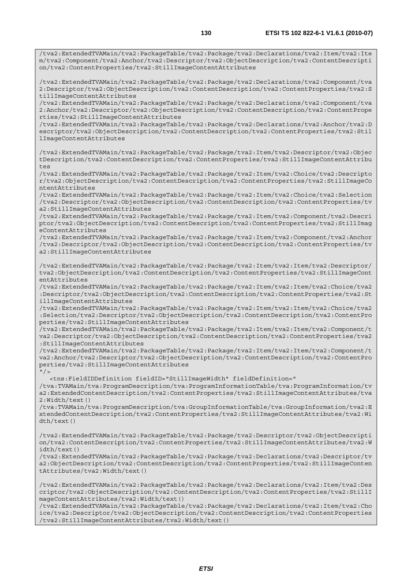/tva2:ExtendedTVAMain/tva2:PackageTable/tva2:Package/tva2:Declarations/tva2:Item/tva2:Ite m/tva2:Component/tva2:Anchor/tva2:Descriptor/tva2:ObjectDescription/tva2:ContentDescripti

/tva2:ExtendedTVAMain/tva2:PackageTable/tva2:Package/tva2:Declarations/tva2:Component/tva

on/tva2:ContentProperties/tva2:StillImageContentAttributes

2:Descriptor/tva2:ObjectDescription/tva2:ContentDescription/tva2:ContentProperties/tva2:S tillImageContentAttributes /tva2:ExtendedTVAMain/tva2:PackageTable/tva2:Package/tva2:Declarations/tva2:Component/tva 2:Anchor/tva2:Descriptor/tva2:ObjectDescription/tva2:ContentDescription/tva2:ContentPrope rties/tva2:StillImageContentAttributes /tva2:ExtendedTVAMain/tva2:PackageTable/tva2:Package/tva2:Declarations/tva2:Anchor/tva2:D escriptor/tva2:ObjectDescription/tva2:ContentDescription/tva2:ContentProperties/tva2:Stil lImageContentAttributes /tva2:ExtendedTVAMain/tva2:PackageTable/tva2:Package/tva2:Item/tva2:Descriptor/tva2:Objec tDescription/tva2:ContentDescription/tva2:ContentProperties/tva2:StillImageContentAttribu tes /tva2:ExtendedTVAMain/tva2:PackageTable/tva2:Package/tva2:Item/tva2:Choice/tva2:Descripto r/tva2:ObjectDescription/tva2:ContentDescription/tva2:ContentProperties/tva2:StillImageCo ntentAttributes /tva2:ExtendedTVAMain/tva2:PackageTable/tva2:Package/tva2:Item/tva2:Choice/tva2:Selection /tva2:Descriptor/tva2:ObjectDescription/tva2:ContentDescription/tva2:ContentProperties/tv a2:StillImageContentAttributes /tva2:ExtendedTVAMain/tva2:PackageTable/tva2:Package/tva2:Item/tva2:Component/tva2:Descri ptor/tva2:ObjectDescription/tva2:ContentDescription/tva2:ContentProperties/tva2:StillImag eContentAttributes /tva2:ExtendedTVAMain/tva2:PackageTable/tva2:Package/tva2:Item/tva2:Component/tva2:Anchor /tva2:Descriptor/tva2:ObjectDescription/tva2:ContentDescription/tva2:ContentProperties/tv a2:StillImageContentAttributes /tva2:ExtendedTVAMain/tva2:PackageTable/tva2:Package/tva2:Item/tva2:Item/tva2:Descriptor/ tva2:ObjectDescription/tva2:ContentDescription/tva2:ContentProperties/tva2:StillImageCont entAttributes /tva2:ExtendedTVAMain/tva2:PackageTable/tva2:Package/tva2:Item/tva2:Item/tva2:Choice/tva2 :Descriptor/tva2:ObjectDescription/tva2:ContentDescription/tva2:ContentProperties/tva2:St illImageContentAttributes /tva2:ExtendedTVAMain/tva2:PackageTable/tva2:Package/tva2:Item/tva2:Item/tva2:Choice/tva2 :Selection/tva2:Descriptor/tva2:ObjectDescription/tva2:ContentDescription/tva2:ContentPro perties/tva2:StillImageContentAttributes /tva2:ExtendedTVAMain/tva2:PackageTable/tva2:Package/tva2:Item/tva2:Item/tva2:Component/t va2:Descriptor/tva2:ObjectDescription/tva2:ContentDescription/tva2:ContentProperties/tva2 :StillImageContentAttributes /tva2:ExtendedTVAMain/tva2:PackageTable/tva2:Package/tva2:Item/tva2:Item/tva2:Component/t va2:Anchor/tva2:Descriptor/tva2:ObjectDescription/tva2:ContentDescription/tva2:ContentPro perties/tva2:StillImageContentAttributes  $"$  / > <tns:FieldIDDefinition fieldID="StillImageWidth" fieldDefinition=" /tva:TVAMain/tva:ProgramDescription/tva:ProgramInformationTable/tva:ProgramInformation/tv a2:ExtendedContentDescription/tva2:ContentProperties/tva2:StillImageContentAttributes/tva 2:Width/text() /tva:TVAMain/tva:ProgramDescription/tva:GroupInformationTable/tva:GroupInformation/tva2:E xtendedContentDescription/tva2:ContentProperties/tva2:StillImageContentAttributes/tva2:Wi dth/text() /tva2:ExtendedTVAMain/tva2:PackageTable/tva2:Package/tva2:Descriptor/tva2:ObjectDescripti on/tva2:ContentDescription/tva2:ContentProperties/tva2:StillImageContentAttributes/tva2:W idth/text()

/tva2:ExtendedTVAMain/tva2:PackageTable/tva2:Package/tva2:Declarations/tva2:Descriptor/tv a2:ObjectDescription/tva2:ContentDescription/tva2:ContentProperties/tva2:StillImageConten tAttributes/tva2:Width/text()

/tva2:ExtendedTVAMain/tva2:PackageTable/tva2:Package/tva2:Declarations/tva2:Item/tva2:Des criptor/tva2:ObjectDescription/tva2:ContentDescription/tva2:ContentProperties/tva2:StillI mageContentAttributes/tva2:Width/text()

/tva2:ExtendedTVAMain/tva2:PackageTable/tva2:Package/tva2:Declarations/tva2:Item/tva2:Cho ice/tva2:Descriptor/tva2:ObjectDescription/tva2:ContentDescription/tva2:ContentProperties /tva2:StillImageContentAttributes/tva2:Width/text()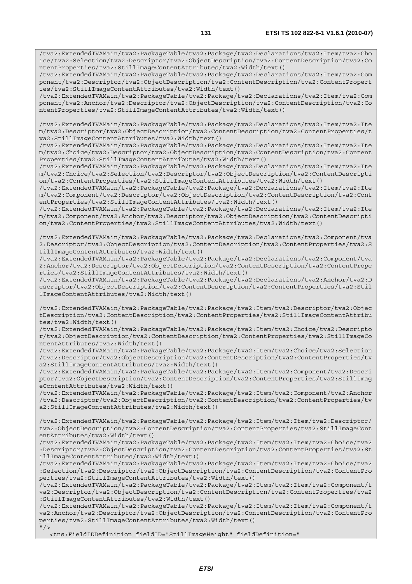/tva2:ExtendedTVAMain/tva2:PackageTable/tva2:Package/tva2:Declarations/tva2:Item/tva2:Cho ice/tva2:Selection/tva2:Descriptor/tva2:ObjectDescription/tva2:ContentDescription/tva2:Co ntentProperties/tva2:StillImageContentAttributes/tva2:Width/text()

/tva2:ExtendedTVAMain/tva2:PackageTable/tva2:Package/tva2:Declarations/tva2:Item/tva2:Com ponent/tva2:Descriptor/tva2:ObjectDescription/tva2:ContentDescription/tva2:ContentPropert ies/tva2:StillImageContentAttributes/tva2:Width/text()

/tva2:ExtendedTVAMain/tva2:PackageTable/tva2:Package/tva2:Declarations/tva2:Item/tva2:Com ponent/tva2:Anchor/tva2:Descriptor/tva2:ObjectDescription/tva2:ContentDescription/tva2:Co ntentProperties/tva2:StillImageContentAttributes/tva2:Width/text()

/tva2:ExtendedTVAMain/tva2:PackageTable/tva2:Package/tva2:Declarations/tva2:Item/tva2:Ite m/tva2:Descriptor/tva2:ObjectDescription/tva2:ContentDescription/tva2:ContentProperties/t va2:StillImageContentAttributes/tva2:Width/text()

/tva2:ExtendedTVAMain/tva2:PackageTable/tva2:Package/tva2:Declarations/tva2:Item/tva2:Ite m/tva2:Choice/tva2:Descriptor/tva2:ObjectDescription/tva2:ContentDescription/tva2:Content Properties/tva2:StillImageContentAttributes/tva2:Width/text()

/tva2:ExtendedTVAMain/tva2:PackageTable/tva2:Package/tva2:Declarations/tva2:Item/tva2:Ite m/tva2:Choice/tva2:Selection/tva2:Descriptor/tva2:ObjectDescription/tva2:ContentDescripti on/tva2:ContentProperties/tva2:StillImageContentAttributes/tva2:Width/text()

/tva2:ExtendedTVAMain/tva2:PackageTable/tva2:Package/tva2:Declarations/tva2:Item/tva2:Ite m/tva2:Component/tva2:Descriptor/tva2:ObjectDescription/tva2:ContentDescription/tva2:Cont entProperties/tva2:StillImageContentAttributes/tva2:Width/text()

/tva2:ExtendedTVAMain/tva2:PackageTable/tva2:Package/tva2:Declarations/tva2:Item/tva2:Ite m/tva2:Component/tva2:Anchor/tva2:Descriptor/tva2:ObjectDescription/tva2:ContentDescripti on/tva2:ContentProperties/tva2:StillImageContentAttributes/tva2:Width/text()

/tva2:ExtendedTVAMain/tva2:PackageTable/tva2:Package/tva2:Declarations/tva2:Component/tva 2:Descriptor/tva2:ObjectDescription/tva2:ContentDescription/tva2:ContentProperties/tva2:S tillImageContentAttributes/tva2:Width/text()

/tva2:ExtendedTVAMain/tva2:PackageTable/tva2:Package/tva2:Declarations/tva2:Component/tva 2:Anchor/tva2:Descriptor/tva2:ObjectDescription/tva2:ContentDescription/tva2:ContentPrope rties/tva2:StillImageContentAttributes/tva2:Width/text()

/tva2:ExtendedTVAMain/tva2:PackageTable/tva2:Package/tva2:Declarations/tva2:Anchor/tva2:D escriptor/tva2:ObjectDescription/tva2:ContentDescription/tva2:ContentProperties/tva2:Stil lImageContentAttributes/tva2:Width/text()

/tva2:ExtendedTVAMain/tva2:PackageTable/tva2:Package/tva2:Item/tva2:Descriptor/tva2:Objec tDescription/tva2:ContentDescription/tva2:ContentProperties/tva2:StillImageContentAttribu tes/tva2:Width/text()

/tva2:ExtendedTVAMain/tva2:PackageTable/tva2:Package/tva2:Item/tva2:Choice/tva2:Descripto r/tva2:ObjectDescription/tva2:ContentDescription/tva2:ContentProperties/tva2:StillImageCo ntentAttributes/tva2:Width/text()

/tva2:ExtendedTVAMain/tva2:PackageTable/tva2:Package/tva2:Item/tva2:Choice/tva2:Selection /tva2:Descriptor/tva2:ObjectDescription/tva2:ContentDescription/tva2:ContentProperties/tv a2:StillImageContentAttributes/tva2:Width/text()

/tva2:ExtendedTVAMain/tva2:PackageTable/tva2:Package/tva2:Item/tva2:Component/tva2:Descri ptor/tva2:ObjectDescription/tva2:ContentDescription/tva2:ContentProperties/tva2:StillImag eContentAttributes/tva2:Width/text()

/tva2:ExtendedTVAMain/tva2:PackageTable/tva2:Package/tva2:Item/tva2:Component/tva2:Anchor /tva2:Descriptor/tva2:ObjectDescription/tva2:ContentDescription/tva2:ContentProperties/tv a2:StillImageContentAttributes/tva2:Width/text()

/tva2:ExtendedTVAMain/tva2:PackageTable/tva2:Package/tva2:Item/tva2:Item/tva2:Descriptor/ tva2:ObjectDescription/tva2:ContentDescription/tva2:ContentProperties/tva2:StillImageCont entAttributes/tva2:Width/text()

/tva2:ExtendedTVAMain/tva2:PackageTable/tva2:Package/tva2:Item/tva2:Item/tva2:Choice/tva2 :Descriptor/tva2:ObjectDescription/tva2:ContentDescription/tva2:ContentProperties/tva2:St illImageContentAttributes/tva2:Width/text()

/tva2:ExtendedTVAMain/tva2:PackageTable/tva2:Package/tva2:Item/tva2:Item/tva2:Choice/tva2 :Selection/tva2:Descriptor/tva2:ObjectDescription/tva2:ContentDescription/tva2:ContentPro perties/tva2:StillImageContentAttributes/tva2:Width/text()

/tva2:ExtendedTVAMain/tva2:PackageTable/tva2:Package/tva2:Item/tva2:Item/tva2:Component/t va2:Descriptor/tva2:ObjectDescription/tva2:ContentDescription/tva2:ContentProperties/tva2 :StillImageContentAttributes/tva2:Width/text()

/tva2:ExtendedTVAMain/tva2:PackageTable/tva2:Package/tva2:Item/tva2:Item/tva2:Component/t va2:Anchor/tva2:Descriptor/tva2:ObjectDescription/tva2:ContentDescription/tva2:ContentPro perties/tva2:StillImageContentAttributes/tva2:Width/text()  $"$  / >

<tns:FieldIDDefinition fieldID="StillImageHeight" fieldDefinition="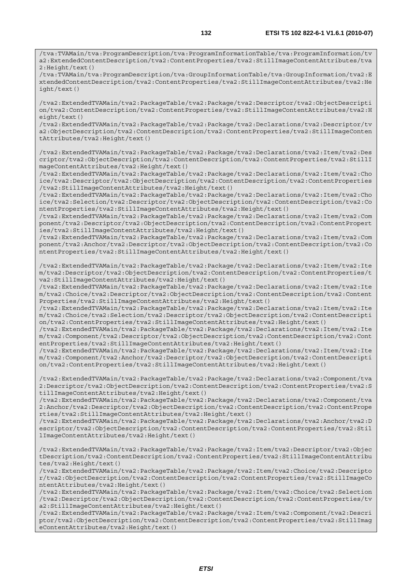/tva:TVAMain/tva:ProgramDescription/tva:ProgramInformationTable/tva:ProgramInformation/tv a2:ExtendedContentDescription/tva2:ContentProperties/tva2:StillImageContentAttributes/tva 2:Height/text()

/tva:TVAMain/tva:ProgramDescription/tva:GroupInformationTable/tva:GroupInformation/tva2:E xtendedContentDescription/tva2:ContentProperties/tva2:StillImageContentAttributes/tva2:He ight/text()

/tva2:ExtendedTVAMain/tva2:PackageTable/tva2:Package/tva2:Descriptor/tva2:ObjectDescripti on/tva2:ContentDescription/tva2:ContentProperties/tva2:StillImageContentAttributes/tva2:H eight/text()

/tva2:ExtendedTVAMain/tva2:PackageTable/tva2:Package/tva2:Declarations/tva2:Descriptor/tv a2:ObjectDescription/tva2:ContentDescription/tva2:ContentProperties/tva2:StillImageConten tAttributes/tva2:Height/text()

/tva2:ExtendedTVAMain/tva2:PackageTable/tva2:Package/tva2:Declarations/tva2:Item/tva2:Des criptor/tva2:ObjectDescription/tva2:ContentDescription/tva2:ContentProperties/tva2:StillI mageContentAttributes/tva2:Height/text()

/tva2:ExtendedTVAMain/tva2:PackageTable/tva2:Package/tva2:Declarations/tva2:Item/tva2:Cho ice/tva2:Descriptor/tva2:ObjectDescription/tva2:ContentDescription/tva2:ContentProperties /tva2:StillImageContentAttributes/tva2:Height/text()

/tva2:ExtendedTVAMain/tva2:PackageTable/tva2:Package/tva2:Declarations/tva2:Item/tva2:Cho ice/tva2:Selection/tva2:Descriptor/tva2:ObjectDescription/tva2:ContentDescription/tva2:Co ntentProperties/tva2:StillImageContentAttributes/tva2:Height/text()

/tva2:ExtendedTVAMain/tva2:PackageTable/tva2:Package/tva2:Declarations/tva2:Item/tva2:Com ponent/tva2:Descriptor/tva2:ObjectDescription/tva2:ContentDescription/tva2:ContentPropert ies/tva2:StillImageContentAttributes/tva2:Height/text()

/tva2:ExtendedTVAMain/tva2:PackageTable/tva2:Package/tva2:Declarations/tva2:Item/tva2:Com ponent/tva2:Anchor/tva2:Descriptor/tva2:ObjectDescription/tva2:ContentDescription/tva2:Co ntentProperties/tva2:StillImageContentAttributes/tva2:Height/text()

/tva2:ExtendedTVAMain/tva2:PackageTable/tva2:Package/tva2:Declarations/tva2:Item/tva2:Ite m/tva2:Descriptor/tva2:ObjectDescription/tva2:ContentDescription/tva2:ContentProperties/t va2:StillImageContentAttributes/tva2:Height/text()

/tva2:ExtendedTVAMain/tva2:PackageTable/tva2:Package/tva2:Declarations/tva2:Item/tva2:Ite m/tva2:Choice/tva2:Descriptor/tva2:ObjectDescription/tva2:ContentDescription/tva2:Content Properties/tva2:StillImageContentAttributes/tva2:Height/text()

/tva2:ExtendedTVAMain/tva2:PackageTable/tva2:Package/tva2:Declarations/tva2:Item/tva2:Ite m/tva2:Choice/tva2:Selection/tva2:Descriptor/tva2:ObjectDescription/tva2:ContentDescripti on/tva2:ContentProperties/tva2:StillImageContentAttributes/tva2:Height/text()

/tva2:ExtendedTVAMain/tva2:PackageTable/tva2:Package/tva2:Declarations/tva2:Item/tva2:Ite m/tva2:Component/tva2:Descriptor/tva2:ObjectDescription/tva2:ContentDescription/tva2:Cont entProperties/tva2:StillImageContentAttributes/tva2:Height/text()

/tva2:ExtendedTVAMain/tva2:PackageTable/tva2:Package/tva2:Declarations/tva2:Item/tva2:Ite m/tva2:Component/tva2:Anchor/tva2:Descriptor/tva2:ObjectDescription/tva2:ContentDescripti on/tva2:ContentProperties/tva2:StillImageContentAttributes/tva2:Height/text()

/tva2:ExtendedTVAMain/tva2:PackageTable/tva2:Package/tva2:Declarations/tva2:Component/tva 2:Descriptor/tva2:ObjectDescription/tva2:ContentDescription/tva2:ContentProperties/tva2:S tillImageContentAttributes/tva2:Height/text()

/tva2:ExtendedTVAMain/tva2:PackageTable/tva2:Package/tva2:Declarations/tva2:Component/tva 2:Anchor/tva2:Descriptor/tva2:ObjectDescription/tva2:ContentDescription/tva2:ContentPrope rties/tva2:StillImageContentAttributes/tva2:Height/text()

/tva2:ExtendedTVAMain/tva2:PackageTable/tva2:Package/tva2:Declarations/tva2:Anchor/tva2:D escriptor/tva2:ObjectDescription/tva2:ContentDescription/tva2:ContentProperties/tva2:Stil lImageContentAttributes/tva2:Height/text()

/tva2:ExtendedTVAMain/tva2:PackageTable/tva2:Package/tva2:Item/tva2:Descriptor/tva2:Objec tDescription/tva2:ContentDescription/tva2:ContentProperties/tva2:StillImageContentAttribu tes/tva2:Height/text()

/tva2:ExtendedTVAMain/tva2:PackageTable/tva2:Package/tva2:Item/tva2:Choice/tva2:Descripto r/tva2:ObjectDescription/tva2:ContentDescription/tva2:ContentProperties/tva2:StillImageCo ntentAttributes/tva2:Height/text()

/tva2:ExtendedTVAMain/tva2:PackageTable/tva2:Package/tva2:Item/tva2:Choice/tva2:Selection /tva2:Descriptor/tva2:ObjectDescription/tva2:ContentDescription/tva2:ContentProperties/tv a2:StillImageContentAttributes/tva2:Height/text()

/tva2:ExtendedTVAMain/tva2:PackageTable/tva2:Package/tva2:Item/tva2:Component/tva2:Descri ptor/tva2:ObjectDescription/tva2:ContentDescription/tva2:ContentProperties/tva2:StillImag eContentAttributes/tva2:Height/text()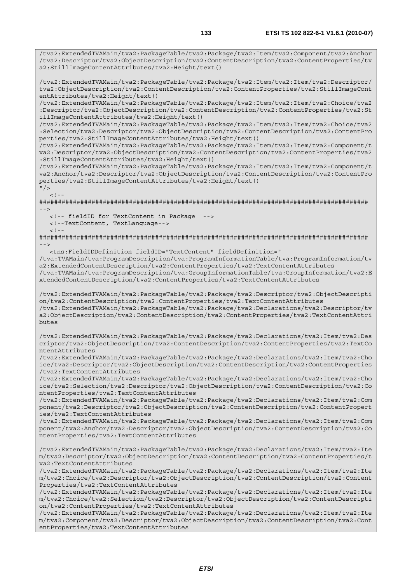/tva2:ExtendedTVAMain/tva2:PackageTable/tva2:Package/tva2:Item/tva2:Component/tva2:Anchor /tva2:Descriptor/tva2:ObjectDescription/tva2:ContentDescription/tva2:ContentProperties/tv

a2:StillImageContentAttributes/tva2:Height/text()

/tva2:ExtendedTVAMain/tva2:PackageTable/tva2:Package/tva2:Item/tva2:Item/tva2:Descriptor/ tva2:ObjectDescription/tva2:ContentDescription/tva2:ContentProperties/tva2:StillImageCont entAttributes/tva2:Height/text() /tva2:ExtendedTVAMain/tva2:PackageTable/tva2:Package/tva2:Item/tva2:Item/tva2:Choice/tva2 :Descriptor/tva2:ObjectDescription/tva2:ContentDescription/tva2:ContentProperties/tva2:St illImageContentAttributes/tva2:Height/text() /tva2:ExtendedTVAMain/tva2:PackageTable/tva2:Package/tva2:Item/tva2:Item/tva2:Choice/tva2 :Selection/tva2:Descriptor/tva2:ObjectDescription/tva2:ContentDescription/tva2:ContentPro perties/tva2:StillImageContentAttributes/tva2:Height/text() /tva2:ExtendedTVAMain/tva2:PackageTable/tva2:Package/tva2:Item/tva2:Item/tva2:Component/t va2:Descriptor/tva2:ObjectDescription/tva2:ContentDescription/tva2:ContentProperties/tva2 :StillImageContentAttributes/tva2:Height/text() /tva2:ExtendedTVAMain/tva2:PackageTable/tva2:Package/tva2:Item/tva2:Item/tva2:Component/t va2:Anchor/tva2:Descriptor/tva2:ObjectDescription/tva2:ContentDescription/tva2:ContentPro perties/tva2:StillImageContentAttributes/tva2:Height/text()  $"$  />  $\lt$  ! -######################################################################################## --> <!-- fieldID for TextContent in Package --> <!--TextContent, TextLanguage-->  $\leq$  !  $-$ ######################################################################################## --> <tns:FieldIDDefinition fieldID="TextContent" fieldDefinition=" /tva:TVAMain/tva:ProgramDescription/tva:ProgramInformationTable/tva:ProgramInformation/tv a2:ExtendedContentDescription/tva2:ContentProperties/tva2:TextContentAttributes /tva:TVAMain/tva:ProgramDescription/tva:GroupInformationTable/tva:GroupInformation/tva2:E xtendedContentDescription/tva2:ContentProperties/tva2:TextContentAttributes /tva2:ExtendedTVAMain/tva2:PackageTable/tva2:Package/tva2:Descriptor/tva2:ObjectDescripti on/tva2:ContentDescription/tva2:ContentProperties/tva2:TextContentAttributes /tva2:ExtendedTVAMain/tva2:PackageTable/tva2:Package/tva2:Declarations/tva2:Descriptor/tv a2:ObjectDescription/tva2:ContentDescription/tva2:ContentProperties/tva2:TextContentAttri butes /tva2:ExtendedTVAMain/tva2:PackageTable/tva2:Package/tva2:Declarations/tva2:Item/tva2:Des criptor/tva2:ObjectDescription/tva2:ContentDescription/tva2:ContentProperties/tva2:TextCo ntentAttributes /tva2:ExtendedTVAMain/tva2:PackageTable/tva2:Package/tva2:Declarations/tva2:Item/tva2:Cho ice/tva2:Descriptor/tva2:ObjectDescription/tva2:ContentDescription/tva2:ContentProperties /tva2:TextContentAttributes /tva2:ExtendedTVAMain/tva2:PackageTable/tva2:Package/tva2:Declarations/tva2:Item/tva2:Cho ice/tva2:Selection/tva2:Descriptor/tva2:ObjectDescription/tva2:ContentDescription/tva2:Co ntentProperties/tva2:TextContentAttributes /tva2:ExtendedTVAMain/tva2:PackageTable/tva2:Package/tva2:Declarations/tva2:Item/tva2:Com ponent/tva2:Descriptor/tva2:ObjectDescription/tva2:ContentDescription/tva2:ContentPropert ies/tva2:TextContentAttributes /tva2:ExtendedTVAMain/tva2:PackageTable/tva2:Package/tva2:Declarations/tva2:Item/tva2:Com ponent/tva2:Anchor/tva2:Descriptor/tva2:ObjectDescription/tva2:ContentDescription/tva2:Co ntentProperties/tva2:TextContentAttributes

/tva2:ExtendedTVAMain/tva2:PackageTable/tva2:Package/tva2:Declarations/tva2:Item/tva2:Ite m/tva2:Descriptor/tva2:ObjectDescription/tva2:ContentDescription/tva2:ContentProperties/t va2:TextContentAttributes

/tva2:ExtendedTVAMain/tva2:PackageTable/tva2:Package/tva2:Declarations/tva2:Item/tva2:Ite m/tva2:Choice/tva2:Descriptor/tva2:ObjectDescription/tva2:ContentDescription/tva2:Content Properties/tva2:TextContentAttributes

/tva2:ExtendedTVAMain/tva2:PackageTable/tva2:Package/tva2:Declarations/tva2:Item/tva2:Ite m/tva2:Choice/tva2:Selection/tva2:Descriptor/tva2:ObjectDescription/tva2:ContentDescripti on/tva2:ContentProperties/tva2:TextContentAttributes

/tva2:ExtendedTVAMain/tva2:PackageTable/tva2:Package/tva2:Declarations/tva2:Item/tva2:Ite m/tva2:Component/tva2:Descriptor/tva2:ObjectDescription/tva2:ContentDescription/tva2:Cont entProperties/tva2:TextContentAttributes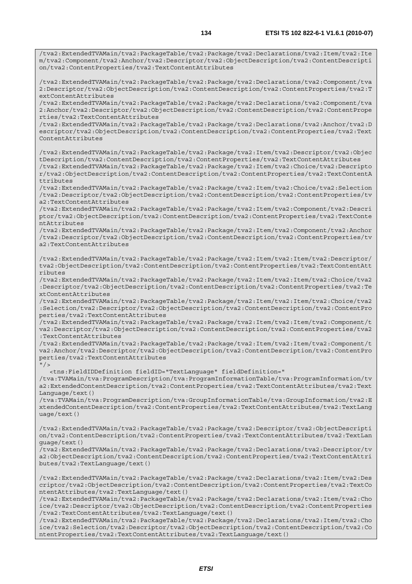/tva2:ExtendedTVAMain/tva2:PackageTable/tva2:Package/tva2:Declarations/tva2:Item/tva2:Ite m/tva2:Component/tva2:Anchor/tva2:Descriptor/tva2:ObjectDescription/tva2:ContentDescripti on/tva2:ContentProperties/tva2:TextContentAttributes

/tva2:ExtendedTVAMain/tva2:PackageTable/tva2:Package/tva2:Declarations/tva2:Component/tva 2:Descriptor/tva2:ObjectDescription/tva2:ContentDescription/tva2:ContentProperties/tva2:T extContentAttributes

/tva2:ExtendedTVAMain/tva2:PackageTable/tva2:Package/tva2:Declarations/tva2:Component/tva 2:Anchor/tva2:Descriptor/tva2:ObjectDescription/tva2:ContentDescription/tva2:ContentPrope rties/tva2:TextContentAttributes

/tva2:ExtendedTVAMain/tva2:PackageTable/tva2:Package/tva2:Declarations/tva2:Anchor/tva2:D escriptor/tva2:ObjectDescription/tva2:ContentDescription/tva2:ContentProperties/tva2:Text ContentAttributes

/tva2:ExtendedTVAMain/tva2:PackageTable/tva2:Package/tva2:Item/tva2:Descriptor/tva2:Objec tDescription/tva2:ContentDescription/tva2:ContentProperties/tva2:TextContentAttributes /tva2:ExtendedTVAMain/tva2:PackageTable/tva2:Package/tva2:Item/tva2:Choice/tva2:Descripto r/tva2:ObjectDescription/tva2:ContentDescription/tva2:ContentProperties/tva2:TextContentA ttributes

/tva2:ExtendedTVAMain/tva2:PackageTable/tva2:Package/tva2:Item/tva2:Choice/tva2:Selection /tva2:Descriptor/tva2:ObjectDescription/tva2:ContentDescription/tva2:ContentProperties/tv a2:TextContentAttributes

/tva2:ExtendedTVAMain/tva2:PackageTable/tva2:Package/tva2:Item/tva2:Component/tva2:Descri ptor/tva2:ObjectDescription/tva2:ContentDescription/tva2:ContentProperties/tva2:TextConte ntAttributes

/tva2:ExtendedTVAMain/tva2:PackageTable/tva2:Package/tva2:Item/tva2:Component/tva2:Anchor /tva2:Descriptor/tva2:ObjectDescription/tva2:ContentDescription/tva2:ContentProperties/tv a2:TextContentAttributes

/tva2:ExtendedTVAMain/tva2:PackageTable/tva2:Package/tva2:Item/tva2:Item/tva2:Descriptor/ tva2:ObjectDescription/tva2:ContentDescription/tva2:ContentProperties/tva2:TextContentAtt ributes

/tva2:ExtendedTVAMain/tva2:PackageTable/tva2:Package/tva2:Item/tva2:Item/tva2:Choice/tva2 :Descriptor/tva2:ObjectDescription/tva2:ContentDescription/tva2:ContentProperties/tva2:Te xtContentAttributes

/tva2:ExtendedTVAMain/tva2:PackageTable/tva2:Package/tva2:Item/tva2:Item/tva2:Choice/tva2 :Selection/tva2:Descriptor/tva2:ObjectDescription/tva2:ContentDescription/tva2:ContentPro perties/tva2:TextContentAttributes

/tva2:ExtendedTVAMain/tva2:PackageTable/tva2:Package/tva2:Item/tva2:Item/tva2:Component/t va2:Descriptor/tva2:ObjectDescription/tva2:ContentDescription/tva2:ContentProperties/tva2 :TextContentAttributes

/tva2:ExtendedTVAMain/tva2:PackageTable/tva2:Package/tva2:Item/tva2:Item/tva2:Component/t va2:Anchor/tva2:Descriptor/tva2:ObjectDescription/tva2:ContentDescription/tva2:ContentPro perties/tva2:TextContentAttributes  $''$  / >

<tns:FieldIDDefinition fieldID="TextLanguage" fieldDefinition="

/tva:TVAMain/tva:ProgramDescription/tva:ProgramInformationTable/tva:ProgramInformation/tv a2:ExtendedContentDescription/tva2:ContentProperties/tva2:TextContentAttributes/tva2:Text Language/text()

/tva:TVAMain/tva:ProgramDescription/tva:GroupInformationTable/tva:GroupInformation/tva2:E xtendedContentDescription/tva2:ContentProperties/tva2:TextContentAttributes/tva2:TextLang uage/text()

/tva2:ExtendedTVAMain/tva2:PackageTable/tva2:Package/tva2:Descriptor/tva2:ObjectDescripti on/tva2:ContentDescription/tva2:ContentProperties/tva2:TextContentAttributes/tva2:TextLan guage/text()

/tva2:ExtendedTVAMain/tva2:PackageTable/tva2:Package/tva2:Declarations/tva2:Descriptor/tv a2:ObjectDescription/tva2:ContentDescription/tva2:ContentProperties/tva2:TextContentAttri butes/tva2:TextLanguage/text()

/tva2:ExtendedTVAMain/tva2:PackageTable/tva2:Package/tva2:Declarations/tva2:Item/tva2:Des criptor/tva2:ObjectDescription/tva2:ContentDescription/tva2:ContentProperties/tva2:TextCo ntentAttributes/tva2:TextLanguage/text()

/tva2:ExtendedTVAMain/tva2:PackageTable/tva2:Package/tva2:Declarations/tva2:Item/tva2:Cho ice/tva2:Descriptor/tva2:ObjectDescription/tva2:ContentDescription/tva2:ContentProperties /tva2:TextContentAttributes/tva2:TextLanguage/text()

/tva2:ExtendedTVAMain/tva2:PackageTable/tva2:Package/tva2:Declarations/tva2:Item/tva2:Cho ice/tva2:Selection/tva2:Descriptor/tva2:ObjectDescription/tva2:ContentDescription/tva2:Co ntentProperties/tva2:TextContentAttributes/tva2:TextLanguage/text()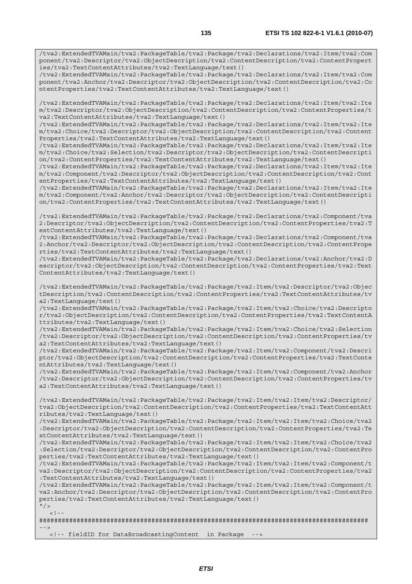/tva2:ExtendedTVAMain/tva2:PackageTable/tva2:Package/tva2:Declarations/tva2:Item/tva2:Com ponent/tva2:Descriptor/tva2:ObjectDescription/tva2:ContentDescription/tva2:ContentPropert ies/tva2:TextContentAttributes/tva2:TextLanguage/text()

/tva2:ExtendedTVAMain/tva2:PackageTable/tva2:Package/tva2:Declarations/tva2:Item/tva2:Com ponent/tva2:Anchor/tva2:Descriptor/tva2:ObjectDescription/tva2:ContentDescription/tva2:Co ntentProperties/tva2:TextContentAttributes/tva2:TextLanguage/text()

/tva2:ExtendedTVAMain/tva2:PackageTable/tva2:Package/tva2:Declarations/tva2:Item/tva2:Ite m/tva2:Descriptor/tva2:ObjectDescription/tva2:ContentDescription/tva2:ContentProperties/t va2:TextContentAttributes/tva2:TextLanguage/text()

/tva2:ExtendedTVAMain/tva2:PackageTable/tva2:Package/tva2:Declarations/tva2:Item/tva2:Ite m/tva2:Choice/tva2:Descriptor/tva2:ObjectDescription/tva2:ContentDescription/tva2:Content Properties/tva2:TextContentAttributes/tva2:TextLanguage/text()

/tva2:ExtendedTVAMain/tva2:PackageTable/tva2:Package/tva2:Declarations/tva2:Item/tva2:Ite m/tva2:Choice/tva2:Selection/tva2:Descriptor/tva2:ObjectDescription/tva2:ContentDescripti on/tva2:ContentProperties/tva2:TextContentAttributes/tva2:TextLanguage/text()

/tva2:ExtendedTVAMain/tva2:PackageTable/tva2:Package/tva2:Declarations/tva2:Item/tva2:Ite m/tva2:Component/tva2:Descriptor/tva2:ObjectDescription/tva2:ContentDescription/tva2:Cont entProperties/tva2:TextContentAttributes/tva2:TextLanguage/text()

/tva2:ExtendedTVAMain/tva2:PackageTable/tva2:Package/tva2:Declarations/tva2:Item/tva2:Ite m/tva2:Component/tva2:Anchor/tva2:Descriptor/tva2:ObjectDescription/tva2:ContentDescripti on/tva2:ContentProperties/tva2:TextContentAttributes/tva2:TextLanguage/text()

/tva2:ExtendedTVAMain/tva2:PackageTable/tva2:Package/tva2:Declarations/tva2:Component/tva 2:Descriptor/tva2:ObjectDescription/tva2:ContentDescription/tva2:ContentProperties/tva2:T extContentAttributes/tva2:TextLanguage/text()

/tva2:ExtendedTVAMain/tva2:PackageTable/tva2:Package/tva2:Declarations/tva2:Component/tva 2:Anchor/tva2:Descriptor/tva2:ObjectDescription/tva2:ContentDescription/tva2:ContentPrope rties/tva2:TextContentAttributes/tva2:TextLanguage/text()

/tva2:ExtendedTVAMain/tva2:PackageTable/tva2:Package/tva2:Declarations/tva2:Anchor/tva2:D escriptor/tva2:ObjectDescription/tva2:ContentDescription/tva2:ContentProperties/tva2:Text ContentAttributes/tva2:TextLanguage/text()

/tva2:ExtendedTVAMain/tva2:PackageTable/tva2:Package/tva2:Item/tva2:Descriptor/tva2:Objec tDescription/tva2:ContentDescription/tva2:ContentProperties/tva2:TextContentAttributes/tv a2:TextLanguage/text()

/tva2:ExtendedTVAMain/tva2:PackageTable/tva2:Package/tva2:Item/tva2:Choice/tva2:Descripto r/tva2:ObjectDescription/tva2:ContentDescription/tva2:ContentProperties/tva2:TextContentA ttributes/tva2:TextLanguage/text()

/tva2:ExtendedTVAMain/tva2:PackageTable/tva2:Package/tva2:Item/tva2:Choice/tva2:Selection /tva2:Descriptor/tva2:ObjectDescription/tva2:ContentDescription/tva2:ContentProperties/tv a2:TextContentAttributes/tva2:TextLanguage/text()

/tva2:ExtendedTVAMain/tva2:PackageTable/tva2:Package/tva2:Item/tva2:Component/tva2:Descri ptor/tva2:ObjectDescription/tva2:ContentDescription/tva2:ContentProperties/tva2:TextConte ntAttributes/tva2:TextLanguage/text()

/tva2:ExtendedTVAMain/tva2:PackageTable/tva2:Package/tva2:Item/tva2:Component/tva2:Anchor /tva2:Descriptor/tva2:ObjectDescription/tva2:ContentDescription/tva2:ContentProperties/tv a2:TextContentAttributes/tva2:TextLanguage/text()

/tva2:ExtendedTVAMain/tva2:PackageTable/tva2:Package/tva2:Item/tva2:Item/tva2:Descriptor/ tva2:ObjectDescription/tva2:ContentDescription/tva2:ContentProperties/tva2:TextContentAtt ributes/tva2:TextLanguage/text()

/tva2:ExtendedTVAMain/tva2:PackageTable/tva2:Package/tva2:Item/tva2:Item/tva2:Choice/tva2 :Descriptor/tva2:ObjectDescription/tva2:ContentDescription/tva2:ContentProperties/tva2:Te xtContentAttributes/tva2:TextLanguage/text()

/tva2:ExtendedTVAMain/tva2:PackageTable/tva2:Package/tva2:Item/tva2:Item/tva2:Choice/tva2 :Selection/tva2:Descriptor/tva2:ObjectDescription/tva2:ContentDescription/tva2:ContentPro perties/tva2:TextContentAttributes/tva2:TextLanguage/text()

/tva2:ExtendedTVAMain/tva2:PackageTable/tva2:Package/tva2:Item/tva2:Item/tva2:Component/t va2:Descriptor/tva2:ObjectDescription/tva2:ContentDescription/tva2:ContentProperties/tva2 :TextContentAttributes/tva2:TextLanguage/text()

/tva2:ExtendedTVAMain/tva2:PackageTable/tva2:Package/tva2:Item/tva2:Item/tva2:Component/t va2:Anchor/tva2:Descriptor/tva2:ObjectDescription/tva2:ContentDescription/tva2:ContentPro perties/tva2:TextContentAttributes/tva2:TextLanguage/text()

 $"$ />  $\geq$  1

######################################################################################## -->

<!-- fieldID for DataBroadcastingContent in Package -->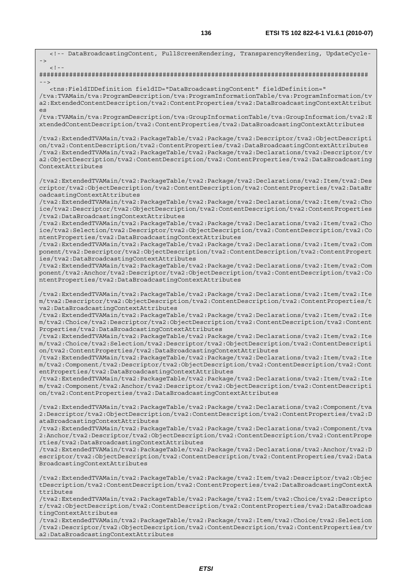**136 ETSI TS 102 822-6-1 V1.6.1 (2010-07)** <!-- DataBroadcastingContent, FullScreenRendering, TransparencyRendering, UpdateCycle- ->  $\lt$  !  $-$ ######################################################################################## --> <tns:FieldIDDefinition fieldID="DataBroadcastingContent" fieldDefinition=" /tva:TVAMain/tva:ProgramDescription/tva:ProgramInformationTable/tva:ProgramInformation/tv a2:ExtendedContentDescription/tva2:ContentProperties/tva2:DataBroadcastingContextAttribut  $C<sub>g</sub>$ /tva:TVAMain/tva:ProgramDescription/tva:GroupInformationTable/tva:GroupInformation/tva2:E xtendedContentDescription/tva2:ContentProperties/tva2:DataBroadcastingContextAttributes /tva2:ExtendedTVAMain/tva2:PackageTable/tva2:Package/tva2:Descriptor/tva2:ObjectDescripti on/tva2:ContentDescription/tva2:ContentProperties/tva2:DataBroadcastingContextAttributes /tva2:ExtendedTVAMain/tva2:PackageTable/tva2:Package/tva2:Declarations/tva2:Descriptor/tv a2:ObjectDescription/tva2:ContentDescription/tva2:ContentProperties/tva2:DataBroadcasting ContextAttributes /tva2:ExtendedTVAMain/tva2:PackageTable/tva2:Package/tva2:Declarations/tva2:Item/tva2:Des criptor/tva2:ObjectDescription/tva2:ContentDescription/tva2:ContentProperties/tva2:DataBr oadcastingContextAttributes /tva2:ExtendedTVAMain/tva2:PackageTable/tva2:Package/tva2:Declarations/tva2:Item/tva2:Cho ice/tva2:Descriptor/tva2:ObjectDescription/tva2:ContentDescription/tva2:ContentProperties /tva2:DataBroadcastingContextAttributes /tva2:ExtendedTVAMain/tva2:PackageTable/tva2:Package/tva2:Declarations/tva2:Item/tva2:Cho ice/tva2:Selection/tva2:Descriptor/tva2:ObjectDescription/tva2:ContentDescription/tva2:Co ntentProperties/tva2:DataBroadcastingContextAttributes /tva2:ExtendedTVAMain/tva2:PackageTable/tva2:Package/tva2:Declarations/tva2:Item/tva2:Com ponent/tva2:Descriptor/tva2:ObjectDescription/tva2:ContentDescription/tva2:ContentPropert ies/tva2:DataBroadcastingContextAttributes /tva2:ExtendedTVAMain/tva2:PackageTable/tva2:Package/tva2:Declarations/tva2:Item/tva2:Com ponent/tva2:Anchor/tva2:Descriptor/tva2:ObjectDescription/tva2:ContentDescription/tva2:Co ntentProperties/tva2:DataBroadcastingContextAttributes /tva2:ExtendedTVAMain/tva2:PackageTable/tva2:Package/tva2:Declarations/tva2:Item/tva2:Ite m/tva2:Descriptor/tva2:ObjectDescription/tva2:ContentDescription/tva2:ContentProperties/t va2:DataBroadcastingContextAttributes /tva2:ExtendedTVAMain/tva2:PackageTable/tva2:Package/tva2:Declarations/tva2:Item/tva2:Ite m/tva2:Choice/tva2:Descriptor/tva2:ObjectDescription/tva2:ContentDescription/tva2:Content Properties/tva2:DataBroadcastingContextAttributes /tva2:ExtendedTVAMain/tva2:PackageTable/tva2:Package/tva2:Declarations/tva2:Item/tva2:Ite m/tva2:Choice/tva2:Selection/tva2:Descriptor/tva2:ObjectDescription/tva2:ContentDescripti on/tva2:ContentProperties/tva2:DataBroadcastingContextAttributes /tva2:ExtendedTVAMain/tva2:PackageTable/tva2:Package/tva2:Declarations/tva2:Item/tva2:Ite m/tva2:Component/tva2:Descriptor/tva2:ObjectDescription/tva2:ContentDescription/tva2:Cont entProperties/tva2:DataBroadcastingContextAttributes /tva2:ExtendedTVAMain/tva2:PackageTable/tva2:Package/tva2:Declarations/tva2:Item/tva2:Ite m/tva2:Component/tva2:Anchor/tva2:Descriptor/tva2:ObjectDescription/tva2:ContentDescripti on/tva2:ContentProperties/tva2:DataBroadcastingContextAttributes /tva2:ExtendedTVAMain/tva2:PackageTable/tva2:Package/tva2:Declarations/tva2:Component/tva 2:Descriptor/tva2:ObjectDescription/tva2:ContentDescription/tva2:ContentProperties/tva2:D ataBroadcastingContextAttributes /tva2:ExtendedTVAMain/tva2:PackageTable/tva2:Package/tva2:Declarations/tva2:Component/tva 2:Anchor/tva2:Descriptor/tva2:ObjectDescription/tva2:ContentDescription/tva2:ContentPrope rties/tva2:DataBroadcastingContextAttributes /tva2:ExtendedTVAMain/tva2:PackageTable/tva2:Package/tva2:Declarations/tva2:Anchor/tva2:D escriptor/tva2:ObjectDescription/tva2:ContentDescription/tva2:ContentProperties/tva2:Data BroadcastingContextAttributes

/tva2:ExtendedTVAMain/tva2:PackageTable/tva2:Package/tva2:Item/tva2:Descriptor/tva2:Objec tDescription/tva2:ContentDescription/tva2:ContentProperties/tva2:DataBroadcastingContextA ttributes

/tva2:ExtendedTVAMain/tva2:PackageTable/tva2:Package/tva2:Item/tva2:Choice/tva2:Descripto r/tva2:ObjectDescription/tva2:ContentDescription/tva2:ContentProperties/tva2:DataBroadcas tingContextAttributes

/tva2:ExtendedTVAMain/tva2:PackageTable/tva2:Package/tva2:Item/tva2:Choice/tva2:Selection /tva2:Descriptor/tva2:ObjectDescription/tva2:ContentDescription/tva2:ContentProperties/tv a2:DataBroadcastingContextAttributes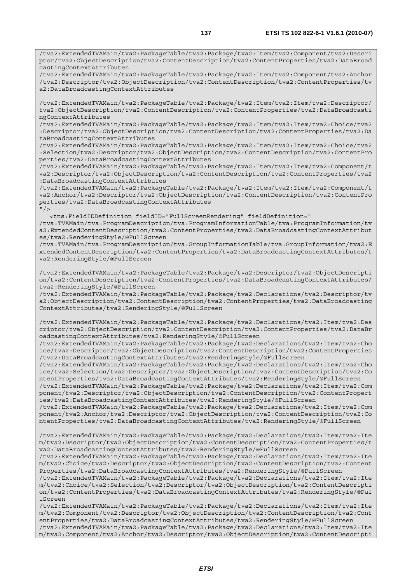/tva2:ExtendedTVAMain/tva2:PackageTable/tva2:Package/tva2:Item/tva2:Component/tva2:Descri ptor/tva2:ObjectDescription/tva2:ContentDescription/tva2:ContentProperties/tva2:DataBroad castingContextAttributes

/tva2:ExtendedTVAMain/tva2:PackageTable/tva2:Package/tva2:Item/tva2:Component/tva2:Anchor /tva2:Descriptor/tva2:ObjectDescription/tva2:ContentDescription/tva2:ContentProperties/tv a2:DataBroadcastingContextAttributes

/tva2:ExtendedTVAMain/tva2:PackageTable/tva2:Package/tva2:Item/tva2:Item/tva2:Descriptor/ tva2:ObjectDescription/tva2:ContentDescription/tva2:ContentProperties/tva2:DataBroadcasti ngContextAttributes

/tva2:ExtendedTVAMain/tva2:PackageTable/tva2:Package/tva2:Item/tva2:Item/tva2:Choice/tva2 :Descriptor/tva2:ObjectDescription/tva2:ContentDescription/tva2:ContentProperties/tva2:Da taBroadcastingContextAttributes

/tva2:ExtendedTVAMain/tva2:PackageTable/tva2:Package/tva2:Item/tva2:Item/tva2:Choice/tva2 :Selection/tva2:Descriptor/tva2:ObjectDescription/tva2:ContentDescription/tva2:ContentPro perties/tva2:DataBroadcastingContextAttributes

/tva2:ExtendedTVAMain/tva2:PackageTable/tva2:Package/tva2:Item/tva2:Item/tva2:Component/t va2:Descriptor/tva2:ObjectDescription/tva2:ContentDescription/tva2:ContentProperties/tva2 :DataBroadcastingContextAttributes

/tva2:ExtendedTVAMain/tva2:PackageTable/tva2:Package/tva2:Item/tva2:Item/tva2:Component/t va2:Anchor/tva2:Descriptor/tva2:ObjectDescription/tva2:ContentDescription/tva2:ContentPro perties/tva2:DataBroadcastingContextAttributes  $"$  / >

 <tns:FieldIDDefinition fieldID="FullScreenRendering" fieldDefinition=" /tva:TVAMain/tva:ProgramDescription/tva:ProgramInformationTable/tva:ProgramInformation/tv a2:ExtendedContentDescription/tva2:ContentProperties/tva2:DataBroadcastingContextAttribut es/tva2:RenderingStyle/@FullScreen

/tva:TVAMain/tva:ProgramDescription/tva:GroupInformationTable/tva:GroupInformation/tva2:E xtendedContentDescription/tva2:ContentProperties/tva2:DataBroadcastingContextAttributes/t va2:RenderingStyle/@FullScreen

/tva2:ExtendedTVAMain/tva2:PackageTable/tva2:Package/tva2:Descriptor/tva2:ObjectDescripti on/tva2:ContentDescription/tva2:ContentProperties/tva2:DataBroadcastingContextAttributes/ tva2:RenderingStyle/@FullScreen

/tva2:ExtendedTVAMain/tva2:PackageTable/tva2:Package/tva2:Declarations/tva2:Descriptor/tv a2:ObjectDescription/tva2:ContentDescription/tva2:ContentProperties/tva2:DataBroadcasting ContextAttributes/tva2:RenderingStyle/@FullScreen

/tva2:ExtendedTVAMain/tva2:PackageTable/tva2:Package/tva2:Declarations/tva2:Item/tva2:Des criptor/tva2:ObjectDescription/tva2:ContentDescription/tva2:ContentProperties/tva2:DataBr oadcastingContextAttributes/tva2:RenderingStyle/@FullScreen

/tva2:ExtendedTVAMain/tva2:PackageTable/tva2:Package/tva2:Declarations/tva2:Item/tva2:Cho ice/tva2:Descriptor/tva2:ObjectDescription/tva2:ContentDescription/tva2:ContentProperties /tva2:DataBroadcastingContextAttributes/tva2:RenderingStyle/@FullScreen

/tva2:ExtendedTVAMain/tva2:PackageTable/tva2:Package/tva2:Declarations/tva2:Item/tva2:Cho ice/tva2:Selection/tva2:Descriptor/tva2:ObjectDescription/tva2:ContentDescription/tva2:Co ntentProperties/tva2:DataBroadcastingContextAttributes/tva2:RenderingStyle/@FullScreen

/tva2:ExtendedTVAMain/tva2:PackageTable/tva2:Package/tva2:Declarations/tva2:Item/tva2:Com ponent/tva2:Descriptor/tva2:ObjectDescription/tva2:ContentDescription/tva2:ContentPropert ies/tva2:DataBroadcastingContextAttributes/tva2:RenderingStyle/@FullScreen

/tva2:ExtendedTVAMain/tva2:PackageTable/tva2:Package/tva2:Declarations/tva2:Item/tva2:Com ponent/tva2:Anchor/tva2:Descriptor/tva2:ObjectDescription/tva2:ContentDescription/tva2:Co ntentProperties/tva2:DataBroadcastingContextAttributes/tva2:RenderingStyle/@FullScreen

/tva2:ExtendedTVAMain/tva2:PackageTable/tva2:Package/tva2:Declarations/tva2:Item/tva2:Ite m/tva2:Descriptor/tva2:ObjectDescription/tva2:ContentDescription/tva2:ContentProperties/t va2:DataBroadcastingContextAttributes/tva2:RenderingStyle/@FullScreen

/tva2:ExtendedTVAMain/tva2:PackageTable/tva2:Package/tva2:Declarations/tva2:Item/tva2:Ite m/tva2:Choice/tva2:Descriptor/tva2:ObjectDescription/tva2:ContentDescription/tva2:Content Properties/tva2:DataBroadcastingContextAttributes/tva2:RenderingStyle/@FullScreen

/tva2:ExtendedTVAMain/tva2:PackageTable/tva2:Package/tva2:Declarations/tva2:Item/tva2:Ite m/tva2:Choice/tva2:Selection/tva2:Descriptor/tva2:ObjectDescription/tva2:ContentDescripti on/tva2:ContentProperties/tva2:DataBroadcastingContextAttributes/tva2:RenderingStyle/@Ful lScreen

/tva2:ExtendedTVAMain/tva2:PackageTable/tva2:Package/tva2:Declarations/tva2:Item/tva2:Ite m/tva2:Component/tva2:Descriptor/tva2:ObjectDescription/tva2:ContentDescription/tva2:Cont entProperties/tva2:DataBroadcastingContextAttributes/tva2:RenderingStyle/@FullScreen

/tva2:ExtendedTVAMain/tva2:PackageTable/tva2:Package/tva2:Declarations/tva2:Item/tva2:Ite m/tva2:Component/tva2:Anchor/tva2:Descriptor/tva2:ObjectDescription/tva2:ContentDescripti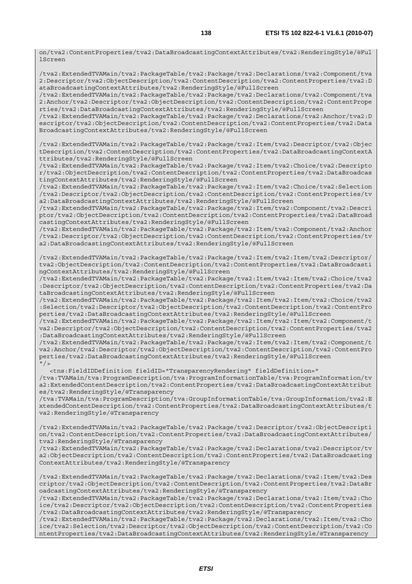on/tva2:ContentProperties/tva2:DataBroadcastingContextAttributes/tva2:RenderingStyle/@Ful lScreen

/tva2:ExtendedTVAMain/tva2:PackageTable/tva2:Package/tva2:Declarations/tva2:Component/tva 2:Descriptor/tva2:ObjectDescription/tva2:ContentDescription/tva2:ContentProperties/tva2:D ataBroadcastingContextAttributes/tva2:RenderingStyle/@FullScreen

/tva2:ExtendedTVAMain/tva2:PackageTable/tva2:Package/tva2:Declarations/tva2:Component/tva 2:Anchor/tva2:Descriptor/tva2:ObjectDescription/tva2:ContentDescription/tva2:ContentPrope rties/tva2:DataBroadcastingContextAttributes/tva2:RenderingStyle/@FullScreen

/tva2:ExtendedTVAMain/tva2:PackageTable/tva2:Package/tva2:Declarations/tva2:Anchor/tva2:D escriptor/tva2:ObjectDescription/tva2:ContentDescription/tva2:ContentProperties/tva2:Data BroadcastingContextAttributes/tva2:RenderingStyle/@FullScreen

/tva2:ExtendedTVAMain/tva2:PackageTable/tva2:Package/tva2:Item/tva2:Descriptor/tva2:Objec tDescription/tva2:ContentDescription/tva2:ContentProperties/tva2:DataBroadcastingContextA ttributes/tva2:RenderingStyle/@FullScreen

/tva2:ExtendedTVAMain/tva2:PackageTable/tva2:Package/tva2:Item/tva2:Choice/tva2:Descripto r/tva2:ObjectDescription/tva2:ContentDescription/tva2:ContentProperties/tva2:DataBroadcas tingContextAttributes/tva2:RenderingStyle/@FullScreen

/tva2:ExtendedTVAMain/tva2:PackageTable/tva2:Package/tva2:Item/tva2:Choice/tva2:Selection /tva2:Descriptor/tva2:ObjectDescription/tva2:ContentDescription/tva2:ContentProperties/tv a2:DataBroadcastingContextAttributes/tva2:RenderingStyle/@FullScreen

/tva2:ExtendedTVAMain/tva2:PackageTable/tva2:Package/tva2:Item/tva2:Component/tva2:Descri ptor/tva2:ObjectDescription/tva2:ContentDescription/tva2:ContentProperties/tva2:DataBroad castingContextAttributes/tva2:RenderingStyle/@FullScreen

/tva2:ExtendedTVAMain/tva2:PackageTable/tva2:Package/tva2:Item/tva2:Component/tva2:Anchor /tva2:Descriptor/tva2:ObjectDescription/tva2:ContentDescription/tva2:ContentProperties/tv a2:DataBroadcastingContextAttributes/tva2:RenderingStyle/@FullScreen

/tva2:ExtendedTVAMain/tva2:PackageTable/tva2:Package/tva2:Item/tva2:Item/tva2:Descriptor/ tva2:ObjectDescription/tva2:ContentDescription/tva2:ContentProperties/tva2:DataBroadcasti ngContextAttributes/tva2:RenderingStyle/@FullScreen

/tva2:ExtendedTVAMain/tva2:PackageTable/tva2:Package/tva2:Item/tva2:Item/tva2:Choice/tva2 :Descriptor/tva2:ObjectDescription/tva2:ContentDescription/tva2:ContentProperties/tva2:Da taBroadcastingContextAttributes/tva2:RenderingStyle/@FullScreen

/tva2:ExtendedTVAMain/tva2:PackageTable/tva2:Package/tva2:Item/tva2:Item/tva2:Choice/tva2 :Selection/tva2:Descriptor/tva2:ObjectDescription/tva2:ContentDescription/tva2:ContentPro perties/tva2:DataBroadcastingContextAttributes/tva2:RenderingStyle/@FullScreen

/tva2:ExtendedTVAMain/tva2:PackageTable/tva2:Package/tva2:Item/tva2:Item/tva2:Component/t va2:Descriptor/tva2:ObjectDescription/tva2:ContentDescription/tva2:ContentProperties/tva2 :DataBroadcastingContextAttributes/tva2:RenderingStyle/@FullScreen

/tva2:ExtendedTVAMain/tva2:PackageTable/tva2:Package/tva2:Item/tva2:Item/tva2:Component/t va2:Anchor/tva2:Descriptor/tva2:ObjectDescription/tva2:ContentDescription/tva2:ContentPro perties/tva2:DataBroadcastingContextAttributes/tva2:RenderingStyle/@FullScreen  $''$  / >

 <tns:FieldIDDefinition fieldID="TransparencyRendering" fieldDefinition=" /tva:TVAMain/tva:ProgramDescription/tva:ProgramInformationTable/tva:ProgramInformation/tv a2:ExtendedContentDescription/tva2:ContentProperties/tva2:DataBroadcastingContextAttribut es/tva2:RenderingStyle/@Transparency

/tva:TVAMain/tva:ProgramDescription/tva:GroupInformationTable/tva:GroupInformation/tva2:E xtendedContentDescription/tva2:ContentProperties/tva2:DataBroadcastingContextAttributes/t va2:RenderingStyle/@Transparency

/tva2:ExtendedTVAMain/tva2:PackageTable/tva2:Package/tva2:Descriptor/tva2:ObjectDescripti on/tva2:ContentDescription/tva2:ContentProperties/tva2:DataBroadcastingContextAttributes/ tva2:RenderingStyle/@Transparency

/tva2:ExtendedTVAMain/tva2:PackageTable/tva2:Package/tva2:Declarations/tva2:Descriptor/tv a2:ObjectDescription/tva2:ContentDescription/tva2:ContentProperties/tva2:DataBroadcasting ContextAttributes/tva2:RenderingStyle/@Transparency

/tva2:ExtendedTVAMain/tva2:PackageTable/tva2:Package/tva2:Declarations/tva2:Item/tva2:Des criptor/tva2:ObjectDescription/tva2:ContentDescription/tva2:ContentProperties/tva2:DataBr oadcastingContextAttributes/tva2:RenderingStyle/@Transparency

/tva2:ExtendedTVAMain/tva2:PackageTable/tva2:Package/tva2:Declarations/tva2:Item/tva2:Cho ice/tva2:Descriptor/tva2:ObjectDescription/tva2:ContentDescription/tva2:ContentProperties /tva2:DataBroadcastingContextAttributes/tva2:RenderingStyle/@Transparency

/tva2:ExtendedTVAMain/tva2:PackageTable/tva2:Package/tva2:Declarations/tva2:Item/tva2:Cho ice/tva2:Selection/tva2:Descriptor/tva2:ObjectDescription/tva2:ContentDescription/tva2:Co ntentProperties/tva2:DataBroadcastingContextAttributes/tva2:RenderingStyle/@Transparency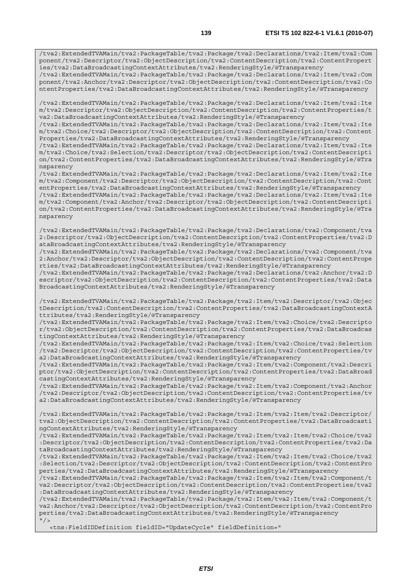/tva2:ExtendedTVAMain/tva2:PackageTable/tva2:Package/tva2:Declarations/tva2:Item/tva2:Com ponent/tva2:Descriptor/tva2:ObjectDescription/tva2:ContentDescription/tva2:ContentPropert ies/tva2:DataBroadcastingContextAttributes/tva2:RenderingStyle/@Transparency

/tva2:ExtendedTVAMain/tva2:PackageTable/tva2:Package/tva2:Declarations/tva2:Item/tva2:Com ponent/tva2:Anchor/tva2:Descriptor/tva2:ObjectDescription/tva2:ContentDescription/tva2:Co ntentProperties/tva2:DataBroadcastingContextAttributes/tva2:RenderingStyle/@Transparency

/tva2:ExtendedTVAMain/tva2:PackageTable/tva2:Package/tva2:Declarations/tva2:Item/tva2:Ite m/tva2:Descriptor/tva2:ObjectDescription/tva2:ContentDescription/tva2:ContentProperties/t va2:DataBroadcastingContextAttributes/tva2:RenderingStyle/@Transparency

/tva2:ExtendedTVAMain/tva2:PackageTable/tva2:Package/tva2:Declarations/tva2:Item/tva2:Ite m/tva2:Choice/tva2:Descriptor/tva2:ObjectDescription/tva2:ContentDescription/tva2:Content Properties/tva2:DataBroadcastingContextAttributes/tva2:RenderingStyle/@Transparency

/tva2:ExtendedTVAMain/tva2:PackageTable/tva2:Package/tva2:Declarations/tva2:Item/tva2:Ite m/tva2:Choice/tva2:Selection/tva2:Descriptor/tva2:ObjectDescription/tva2:ContentDescripti on/tva2:ContentProperties/tva2:DataBroadcastingContextAttributes/tva2:RenderingStyle/@Tra nsparency

/tva2:ExtendedTVAMain/tva2:PackageTable/tva2:Package/tva2:Declarations/tva2:Item/tva2:Ite m/tva2:Component/tva2:Descriptor/tva2:ObjectDescription/tva2:ContentDescription/tva2:Cont entProperties/tva2:DataBroadcastingContextAttributes/tva2:RenderingStyle/@Transparency /tva2:ExtendedTVAMain/tva2:PackageTable/tva2:Package/tva2:Declarations/tva2:Item/tva2:Ite m/tva2:Component/tva2:Anchor/tva2:Descriptor/tva2:ObjectDescription/tva2:ContentDescripti on/tva2:ContentProperties/tva2:DataBroadcastingContextAttributes/tva2:RenderingStyle/@Tra nsparency

/tva2:ExtendedTVAMain/tva2:PackageTable/tva2:Package/tva2:Declarations/tva2:Component/tva 2:Descriptor/tva2:ObjectDescription/tva2:ContentDescription/tva2:ContentProperties/tva2:D ataBroadcastingContextAttributes/tva2:RenderingStyle/@Transparency

/tva2:ExtendedTVAMain/tva2:PackageTable/tva2:Package/tva2:Declarations/tva2:Component/tva 2:Anchor/tva2:Descriptor/tva2:ObjectDescription/tva2:ContentDescription/tva2:ContentPrope rties/tva2:DataBroadcastingContextAttributes/tva2:RenderingStyle/@Transparency

/tva2:ExtendedTVAMain/tva2:PackageTable/tva2:Package/tva2:Declarations/tva2:Anchor/tva2:D escriptor/tva2:ObjectDescription/tva2:ContentDescription/tva2:ContentProperties/tva2:Data BroadcastingContextAttributes/tva2:RenderingStyle/@Transparency

/tva2:ExtendedTVAMain/tva2:PackageTable/tva2:Package/tva2:Item/tva2:Descriptor/tva2:Objec tDescription/tva2:ContentDescription/tva2:ContentProperties/tva2:DataBroadcastingContextA ttributes/tva2:RenderingStyle/@Transparency

/tva2:ExtendedTVAMain/tva2:PackageTable/tva2:Package/tva2:Item/tva2:Choice/tva2:Descripto r/tva2:ObjectDescription/tva2:ContentDescription/tva2:ContentProperties/tva2:DataBroadcas tingContextAttributes/tva2:RenderingStyle/@Transparency

/tva2:ExtendedTVAMain/tva2:PackageTable/tva2:Package/tva2:Item/tva2:Choice/tva2:Selection /tva2:Descriptor/tva2:ObjectDescription/tva2:ContentDescription/tva2:ContentProperties/tv a2:DataBroadcastingContextAttributes/tva2:RenderingStyle/@Transparency

/tva2:ExtendedTVAMain/tva2:PackageTable/tva2:Package/tva2:Item/tva2:Component/tva2:Descri ptor/tva2:ObjectDescription/tva2:ContentDescription/tva2:ContentProperties/tva2:DataBroad castingContextAttributes/tva2:RenderingStyle/@Transparency

/tva2:ExtendedTVAMain/tva2:PackageTable/tva2:Package/tva2:Item/tva2:Component/tva2:Anchor /tva2:Descriptor/tva2:ObjectDescription/tva2:ContentDescription/tva2:ContentProperties/tv a2:DataBroadcastingContextAttributes/tva2:RenderingStyle/@Transparency

/tva2:ExtendedTVAMain/tva2:PackageTable/tva2:Package/tva2:Item/tva2:Item/tva2:Descriptor/ tva2:ObjectDescription/tva2:ContentDescription/tva2:ContentProperties/tva2:DataBroadcasti ngContextAttributes/tva2:RenderingStyle/@Transparency

/tva2:ExtendedTVAMain/tva2:PackageTable/tva2:Package/tva2:Item/tva2:Item/tva2:Choice/tva2 :Descriptor/tva2:ObjectDescription/tva2:ContentDescription/tva2:ContentProperties/tva2:Da taBroadcastingContextAttributes/tva2:RenderingStyle/@Transparency

/tva2:ExtendedTVAMain/tva2:PackageTable/tva2:Package/tva2:Item/tva2:Item/tva2:Choice/tva2 :Selection/tva2:Descriptor/tva2:ObjectDescription/tva2:ContentDescription/tva2:ContentPro perties/tva2:DataBroadcastingContextAttributes/tva2:RenderingStyle/@Transparency

/tva2:ExtendedTVAMain/tva2:PackageTable/tva2:Package/tva2:Item/tva2:Item/tva2:Component/t va2:Descriptor/tva2:ObjectDescription/tva2:ContentDescription/tva2:ContentProperties/tva2 :DataBroadcastingContextAttributes/tva2:RenderingStyle/@Transparency

/tva2:ExtendedTVAMain/tva2:PackageTable/tva2:Package/tva2:Item/tva2:Item/tva2:Component/t va2:Anchor/tva2:Descriptor/tva2:ObjectDescription/tva2:ContentDescription/tva2:ContentPro perties/tva2:DataBroadcastingContextAttributes/tva2:RenderingStyle/@Transparency -<br>" / >

<tns:FieldIDDefinition fieldID="UpdateCycle" fieldDefinition="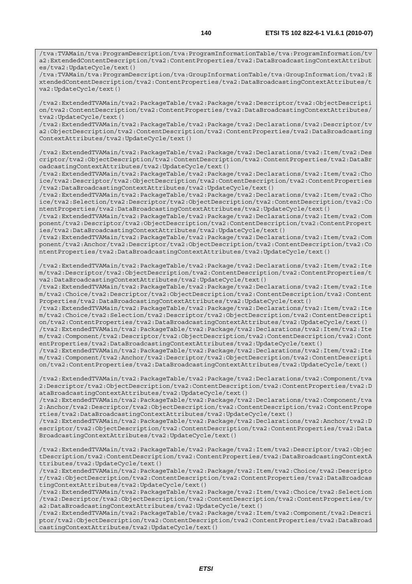/tva:TVAMain/tva:ProgramDescription/tva:ProgramInformationTable/tva:ProgramInformation/tv a2:ExtendedContentDescription/tva2:ContentProperties/tva2:DataBroadcastingContextAttribut es/tva2:UpdateCycle/text()

/tva:TVAMain/tva:ProgramDescription/tva:GroupInformationTable/tva:GroupInformation/tva2:E xtendedContentDescription/tva2:ContentProperties/tva2:DataBroadcastingContextAttributes/t va2:UpdateCycle/text()

/tva2:ExtendedTVAMain/tva2:PackageTable/tva2:Package/tva2:Descriptor/tva2:ObjectDescripti on/tva2:ContentDescription/tva2:ContentProperties/tva2:DataBroadcastingContextAttributes/ tva2:UpdateCycle/text()

/tva2:ExtendedTVAMain/tva2:PackageTable/tva2:Package/tva2:Declarations/tva2:Descriptor/tv a2:ObjectDescription/tva2:ContentDescription/tva2:ContentProperties/tva2:DataBroadcasting ContextAttributes/tva2:UpdateCycle/text()

/tva2:ExtendedTVAMain/tva2:PackageTable/tva2:Package/tva2:Declarations/tva2:Item/tva2:Des criptor/tva2:ObjectDescription/tva2:ContentDescription/tva2:ContentProperties/tva2:DataBr oadcastingContextAttributes/tva2:UpdateCycle/text()

/tva2:ExtendedTVAMain/tva2:PackageTable/tva2:Package/tva2:Declarations/tva2:Item/tva2:Cho ice/tva2:Descriptor/tva2:ObjectDescription/tva2:ContentDescription/tva2:ContentProperties /tva2:DataBroadcastingContextAttributes/tva2:UpdateCycle/text()

/tva2:ExtendedTVAMain/tva2:PackageTable/tva2:Package/tva2:Declarations/tva2:Item/tva2:Cho ice/tva2:Selection/tva2:Descriptor/tva2:ObjectDescription/tva2:ContentDescription/tva2:Co ntentProperties/tva2:DataBroadcastingContextAttributes/tva2:UpdateCycle/text()

/tva2:ExtendedTVAMain/tva2:PackageTable/tva2:Package/tva2:Declarations/tva2:Item/tva2:Com ponent/tva2:Descriptor/tva2:ObjectDescription/tva2:ContentDescription/tva2:ContentPropert ies/tva2:DataBroadcastingContextAttributes/tva2:UpdateCycle/text()

/tva2:ExtendedTVAMain/tva2:PackageTable/tva2:Package/tva2:Declarations/tva2:Item/tva2:Com ponent/tva2:Anchor/tva2:Descriptor/tva2:ObjectDescription/tva2:ContentDescription/tva2:Co ntentProperties/tva2:DataBroadcastingContextAttributes/tva2:UpdateCycle/text()

/tva2:ExtendedTVAMain/tva2:PackageTable/tva2:Package/tva2:Declarations/tva2:Item/tva2:Ite m/tva2:Descriptor/tva2:ObjectDescription/tva2:ContentDescription/tva2:ContentProperties/t va2:DataBroadcastingContextAttributes/tva2:UpdateCycle/text()

/tva2:ExtendedTVAMain/tva2:PackageTable/tva2:Package/tva2:Declarations/tva2:Item/tva2:Ite m/tva2:Choice/tva2:Descriptor/tva2:ObjectDescription/tva2:ContentDescription/tva2:Content Properties/tva2:DataBroadcastingContextAttributes/tva2:UpdateCycle/text()

/tva2:ExtendedTVAMain/tva2:PackageTable/tva2:Package/tva2:Declarations/tva2:Item/tva2:Ite m/tva2:Choice/tva2:Selection/tva2:Descriptor/tva2:ObjectDescription/tva2:ContentDescripti on/tva2:ContentProperties/tva2:DataBroadcastingContextAttributes/tva2:UpdateCycle/text()

/tva2:ExtendedTVAMain/tva2:PackageTable/tva2:Package/tva2:Declarations/tva2:Item/tva2:Ite m/tva2:Component/tva2:Descriptor/tva2:ObjectDescription/tva2:ContentDescription/tva2:Cont entProperties/tva2:DataBroadcastingContextAttributes/tva2:UpdateCycle/text()

/tva2:ExtendedTVAMain/tva2:PackageTable/tva2:Package/tva2:Declarations/tva2:Item/tva2:Ite m/tva2:Component/tva2:Anchor/tva2:Descriptor/tva2:ObjectDescription/tva2:ContentDescripti on/tva2:ContentProperties/tva2:DataBroadcastingContextAttributes/tva2:UpdateCycle/text()

/tva2:ExtendedTVAMain/tva2:PackageTable/tva2:Package/tva2:Declarations/tva2:Component/tva 2:Descriptor/tva2:ObjectDescription/tva2:ContentDescription/tva2:ContentProperties/tva2:D ataBroadcastingContextAttributes/tva2:UpdateCycle/text()

/tva2:ExtendedTVAMain/tva2:PackageTable/tva2:Package/tva2:Declarations/tva2:Component/tva 2:Anchor/tva2:Descriptor/tva2:ObjectDescription/tva2:ContentDescription/tva2:ContentPrope rties/tva2:DataBroadcastingContextAttributes/tva2:UpdateCycle/text()

/tva2:ExtendedTVAMain/tva2:PackageTable/tva2:Package/tva2:Declarations/tva2:Anchor/tva2:D escriptor/tva2:ObjectDescription/tva2:ContentDescription/tva2:ContentProperties/tva2:Data BroadcastingContextAttributes/tva2:UpdateCycle/text()

/tva2:ExtendedTVAMain/tva2:PackageTable/tva2:Package/tva2:Item/tva2:Descriptor/tva2:Objec tDescription/tva2:ContentDescription/tva2:ContentProperties/tva2:DataBroadcastingContextA ttributes/tva2:UpdateCycle/text()

/tva2:ExtendedTVAMain/tva2:PackageTable/tva2:Package/tva2:Item/tva2:Choice/tva2:Descripto r/tva2:ObjectDescription/tva2:ContentDescription/tva2:ContentProperties/tva2:DataBroadcas tingContextAttributes/tva2:UpdateCycle/text()

/tva2:ExtendedTVAMain/tva2:PackageTable/tva2:Package/tva2:Item/tva2:Choice/tva2:Selection /tva2:Descriptor/tva2:ObjectDescription/tva2:ContentDescription/tva2:ContentProperties/tv a2:DataBroadcastingContextAttributes/tva2:UpdateCycle/text()

/tva2:ExtendedTVAMain/tva2:PackageTable/tva2:Package/tva2:Item/tva2:Component/tva2:Descri ptor/tva2:ObjectDescription/tva2:ContentDescription/tva2:ContentProperties/tva2:DataBroad castingContextAttributes/tva2:UpdateCycle/text()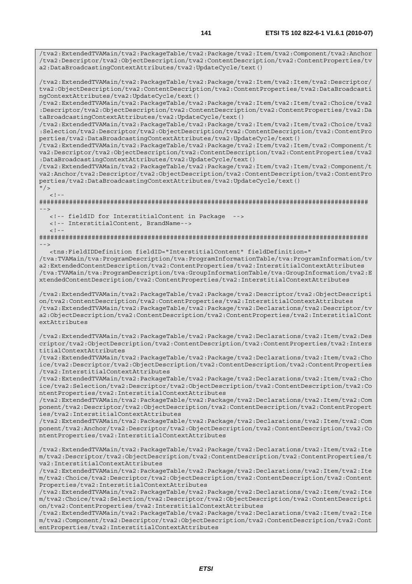/tva2:ExtendedTVAMain/tva2:PackageTable/tva2:Package/tva2:Item/tva2:Component/tva2:Anchor /tva2:Descriptor/tva2:ObjectDescription/tva2:ContentDescription/tva2:ContentProperties/tv a2:DataBroadcastingContextAttributes/tva2:UpdateCycle/text()

/tva2:ExtendedTVAMain/tva2:PackageTable/tva2:Package/tva2:Item/tva2:Item/tva2:Descriptor/ tva2:ObjectDescription/tva2:ContentDescription/tva2:ContentProperties/tva2:DataBroadcasti ngContextAttributes/tva2:UpdateCycle/text()

/tva2:ExtendedTVAMain/tva2:PackageTable/tva2:Package/tva2:Item/tva2:Item/tva2:Choice/tva2 :Descriptor/tva2:ObjectDescription/tva2:ContentDescription/tva2:ContentProperties/tva2:Da taBroadcastingContextAttributes/tva2:UpdateCycle/text()

/tva2:ExtendedTVAMain/tva2:PackageTable/tva2:Package/tva2:Item/tva2:Item/tva2:Choice/tva2 :Selection/tva2:Descriptor/tva2:ObjectDescription/tva2:ContentDescription/tva2:ContentPro perties/tva2:DataBroadcastingContextAttributes/tva2:UpdateCycle/text()

/tva2:ExtendedTVAMain/tva2:PackageTable/tva2:Package/tva2:Item/tva2:Item/tva2:Component/t va2:Descriptor/tva2:ObjectDescription/tva2:ContentDescription/tva2:ContentProperties/tva2 :DataBroadcastingContextAttributes/tva2:UpdateCycle/text()

/tva2:ExtendedTVAMain/tva2:PackageTable/tva2:Package/tva2:Item/tva2:Item/tva2:Component/t va2:Anchor/tva2:Descriptor/tva2:ObjectDescription/tva2:ContentDescription/tva2:ContentPro perties/tva2:DataBroadcastingContextAttributes/tva2:UpdateCycle/text()

 $"$  />

 $\lt$  ! -

######################################################################################## -->

<!-- fieldID for InterstitialContent in Package -->

 <!-- InterstitialContent, BrandName-->  $\lt$  ! --

######################################################################################## -->

<tns:FieldIDDefinition fieldID="InterstitialContent" fieldDefinition="

/tva:TVAMain/tva:ProgramDescription/tva:ProgramInformationTable/tva:ProgramInformation/tv a2:ExtendedContentDescription/tva2:ContentProperties/tva2:InterstitialContextAttributes /tva:TVAMain/tva:ProgramDescription/tva:GroupInformationTable/tva:GroupInformation/tva2:E xtendedContentDescription/tva2:ContentProperties/tva2:InterstitialContextAttributes

/tva2:ExtendedTVAMain/tva2:PackageTable/tva2:Package/tva2:Descriptor/tva2:ObjectDescripti on/tva2:ContentDescription/tva2:ContentProperties/tva2:InterstitialContextAttributes /tva2:ExtendedTVAMain/tva2:PackageTable/tva2:Package/tva2:Declarations/tva2:Descriptor/tv a2:ObjectDescription/tva2:ContentDescription/tva2:ContentProperties/tva2:InterstitialCont extAttributes

/tva2:ExtendedTVAMain/tva2:PackageTable/tva2:Package/tva2:Declarations/tva2:Item/tva2:Des criptor/tva2:ObjectDescription/tva2:ContentDescription/tva2:ContentProperties/tva2:Inters titialContextAttributes

/tva2:ExtendedTVAMain/tva2:PackageTable/tva2:Package/tva2:Declarations/tva2:Item/tva2:Cho ice/tva2:Descriptor/tva2:ObjectDescription/tva2:ContentDescription/tva2:ContentProperties /tva2:InterstitialContextAttributes

/tva2:ExtendedTVAMain/tva2:PackageTable/tva2:Package/tva2:Declarations/tva2:Item/tva2:Cho ice/tva2:Selection/tva2:Descriptor/tva2:ObjectDescription/tva2:ContentDescription/tva2:Co ntentProperties/tva2:InterstitialContextAttributes

/tva2:ExtendedTVAMain/tva2:PackageTable/tva2:Package/tva2:Declarations/tva2:Item/tva2:Com ponent/tva2:Descriptor/tva2:ObjectDescription/tva2:ContentDescription/tva2:ContentPropert ies/tva2:InterstitialContextAttributes

/tva2:ExtendedTVAMain/tva2:PackageTable/tva2:Package/tva2:Declarations/tva2:Item/tva2:Com ponent/tva2:Anchor/tva2:Descriptor/tva2:ObjectDescription/tva2:ContentDescription/tva2:Co ntentProperties/tva2:InterstitialContextAttributes

/tva2:ExtendedTVAMain/tva2:PackageTable/tva2:Package/tva2:Declarations/tva2:Item/tva2:Ite m/tva2:Descriptor/tva2:ObjectDescription/tva2:ContentDescription/tva2:ContentProperties/t va2:InterstitialContextAttributes

/tva2:ExtendedTVAMain/tva2:PackageTable/tva2:Package/tva2:Declarations/tva2:Item/tva2:Ite m/tva2:Choice/tva2:Descriptor/tva2:ObjectDescription/tva2:ContentDescription/tva2:Content Properties/tva2:InterstitialContextAttributes

/tva2:ExtendedTVAMain/tva2:PackageTable/tva2:Package/tva2:Declarations/tva2:Item/tva2:Ite m/tva2:Choice/tva2:Selection/tva2:Descriptor/tva2:ObjectDescription/tva2:ContentDescripti on/tva2:ContentProperties/tva2:InterstitialContextAttributes

/tva2:ExtendedTVAMain/tva2:PackageTable/tva2:Package/tva2:Declarations/tva2:Item/tva2:Ite m/tva2:Component/tva2:Descriptor/tva2:ObjectDescription/tva2:ContentDescription/tva2:Cont entProperties/tva2:InterstitialContextAttributes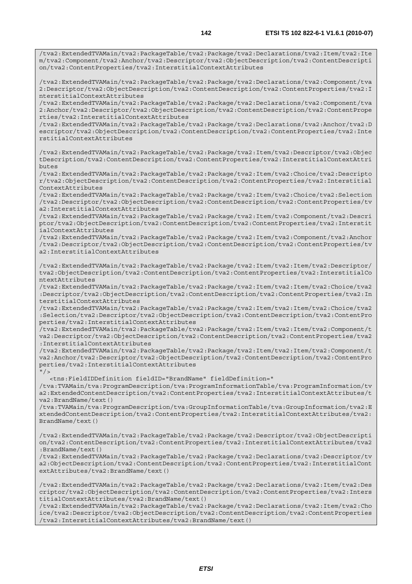/tva2:ExtendedTVAMain/tva2:PackageTable/tva2:Package/tva2:Declarations/tva2:Item/tva2:Ite m/tva2:Component/tva2:Anchor/tva2:Descriptor/tva2:ObjectDescription/tva2:ContentDescripti on/tva2:ContentProperties/tva2:InterstitialContextAttributes

/tva2:ExtendedTVAMain/tva2:PackageTable/tva2:Package/tva2:Declarations/tva2:Component/tva 2:Descriptor/tva2:ObjectDescription/tva2:ContentDescription/tva2:ContentProperties/tva2:I nterstitialContextAttributes

/tva2:ExtendedTVAMain/tva2:PackageTable/tva2:Package/tva2:Declarations/tva2:Component/tva 2:Anchor/tva2:Descriptor/tva2:ObjectDescription/tva2:ContentDescription/tva2:ContentPrope rties/tva2:InterstitialContextAttributes

/tva2:ExtendedTVAMain/tva2:PackageTable/tva2:Package/tva2:Declarations/tva2:Anchor/tva2:D escriptor/tva2:ObjectDescription/tva2:ContentDescription/tva2:ContentProperties/tva2:Inte rstitialContextAttributes

/tva2:ExtendedTVAMain/tva2:PackageTable/tva2:Package/tva2:Item/tva2:Descriptor/tva2:Objec tDescription/tva2:ContentDescription/tva2:ContentProperties/tva2:InterstitialContextAttri butes

/tva2:ExtendedTVAMain/tva2:PackageTable/tva2:Package/tva2:Item/tva2:Choice/tva2:Descripto r/tva2:ObjectDescription/tva2:ContentDescription/tva2:ContentProperties/tva2:Interstitial ContextAttributes

/tva2:ExtendedTVAMain/tva2:PackageTable/tva2:Package/tva2:Item/tva2:Choice/tva2:Selection /tva2:Descriptor/tva2:ObjectDescription/tva2:ContentDescription/tva2:ContentProperties/tv a2:InterstitialContextAttributes

/tva2:ExtendedTVAMain/tva2:PackageTable/tva2:Package/tva2:Item/tva2:Component/tva2:Descri ptor/tva2:ObjectDescription/tva2:ContentDescription/tva2:ContentProperties/tva2:Interstit ialContextAttributes

/tva2:ExtendedTVAMain/tva2:PackageTable/tva2:Package/tva2:Item/tva2:Component/tva2:Anchor /tva2:Descriptor/tva2:ObjectDescription/tva2:ContentDescription/tva2:ContentProperties/tv a2:InterstitialContextAttributes

/tva2:ExtendedTVAMain/tva2:PackageTable/tva2:Package/tva2:Item/tva2:Item/tva2:Descriptor/ tva2:ObjectDescription/tva2:ContentDescription/tva2:ContentProperties/tva2:InterstitialCo ntextAttributes

/tva2:ExtendedTVAMain/tva2:PackageTable/tva2:Package/tva2:Item/tva2:Item/tva2:Choice/tva2 :Descriptor/tva2:ObjectDescription/tva2:ContentDescription/tva2:ContentProperties/tva2:In terstitialContextAttributes

/tva2:ExtendedTVAMain/tva2:PackageTable/tva2:Package/tva2:Item/tva2:Item/tva2:Choice/tva2 :Selection/tva2:Descriptor/tva2:ObjectDescription/tva2:ContentDescription/tva2:ContentPro perties/tva2:InterstitialContextAttributes

/tva2:ExtendedTVAMain/tva2:PackageTable/tva2:Package/tva2:Item/tva2:Item/tva2:Component/t va2:Descriptor/tva2:ObjectDescription/tva2:ContentDescription/tva2:ContentProperties/tva2 :InterstitialContextAttributes

/tva2:ExtendedTVAMain/tva2:PackageTable/tva2:Package/tva2:Item/tva2:Item/tva2:Component/t va2:Anchor/tva2:Descriptor/tva2:ObjectDescription/tva2:ContentDescription/tva2:ContentPro perties/tva2:InterstitialContextAttributes

 $"$  / >

 <tns:FieldIDDefinition fieldID="BrandName" fieldDefinition=" /tva:TVAMain/tva:ProgramDescription/tva:ProgramInformationTable/tva:ProgramInformation/tv a2:ExtendedContentDescription/tva2:ContentProperties/tva2:InterstitialContextAttributes/t va2:BrandName/text()

/tva:TVAMain/tva:ProgramDescription/tva:GroupInformationTable/tva:GroupInformation/tva2:E xtendedContentDescription/tva2:ContentProperties/tva2:InterstitialContextAttributes/tva2: BrandName/text()

/tva2:ExtendedTVAMain/tva2:PackageTable/tva2:Package/tva2:Descriptor/tva2:ObjectDescripti on/tva2:ContentDescription/tva2:ContentProperties/tva2:InterstitialContextAttributes/tva2 :BrandName/text()

/tva2:ExtendedTVAMain/tva2:PackageTable/tva2:Package/tva2:Declarations/tva2:Descriptor/tv a2:ObjectDescription/tva2:ContentDescription/tva2:ContentProperties/tva2:InterstitialCont extAttributes/tva2:BrandName/text()

/tva2:ExtendedTVAMain/tva2:PackageTable/tva2:Package/tva2:Declarations/tva2:Item/tva2:Des criptor/tva2:ObjectDescription/tva2:ContentDescription/tva2:ContentProperties/tva2:Inters titialContextAttributes/tva2:BrandName/text()

/tva2:ExtendedTVAMain/tva2:PackageTable/tva2:Package/tva2:Declarations/tva2:Item/tva2:Cho ice/tva2:Descriptor/tva2:ObjectDescription/tva2:ContentDescription/tva2:ContentProperties /tva2:InterstitialContextAttributes/tva2:BrandName/text()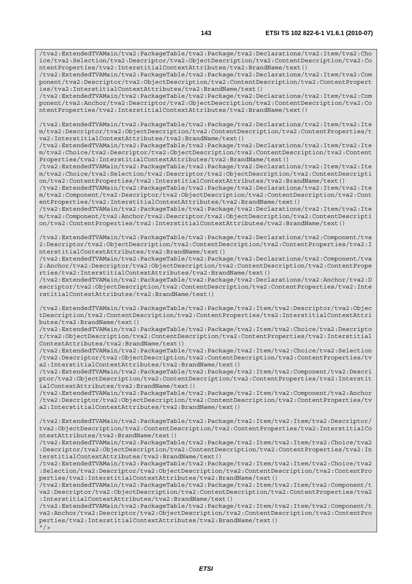/tva2:ExtendedTVAMain/tva2:PackageTable/tva2:Package/tva2:Declarations/tva2:Item/tva2:Cho ice/tva2:Selection/tva2:Descriptor/tva2:ObjectDescription/tva2:ContentDescription/tva2:Co ntentProperties/tva2:InterstitialContextAttributes/tva2:BrandName/text()

/tva2:ExtendedTVAMain/tva2:PackageTable/tva2:Package/tva2:Declarations/tva2:Item/tva2:Com ponent/tva2:Descriptor/tva2:ObjectDescription/tva2:ContentDescription/tva2:ContentPropert ies/tva2:InterstitialContextAttributes/tva2:BrandName/text()

/tva2:ExtendedTVAMain/tva2:PackageTable/tva2:Package/tva2:Declarations/tva2:Item/tva2:Com ponent/tva2:Anchor/tva2:Descriptor/tva2:ObjectDescription/tva2:ContentDescription/tva2:Co ntentProperties/tva2:InterstitialContextAttributes/tva2:BrandName/text()

/tva2:ExtendedTVAMain/tva2:PackageTable/tva2:Package/tva2:Declarations/tva2:Item/tva2:Ite m/tva2:Descriptor/tva2:ObjectDescription/tva2:ContentDescription/tva2:ContentProperties/t va2:InterstitialContextAttributes/tva2:BrandName/text()

/tva2:ExtendedTVAMain/tva2:PackageTable/tva2:Package/tva2:Declarations/tva2:Item/tva2:Ite m/tva2:Choice/tva2:Descriptor/tva2:ObjectDescription/tva2:ContentDescription/tva2:Content Properties/tva2:InterstitialContextAttributes/tva2:BrandName/text()

/tva2:ExtendedTVAMain/tva2:PackageTable/tva2:Package/tva2:Declarations/tva2:Item/tva2:Ite m/tva2:Choice/tva2:Selection/tva2:Descriptor/tva2:ObjectDescription/tva2:ContentDescripti on/tva2:ContentProperties/tva2:InterstitialContextAttributes/tva2:BrandName/text()

/tva2:ExtendedTVAMain/tva2:PackageTable/tva2:Package/tva2:Declarations/tva2:Item/tva2:Ite m/tva2:Component/tva2:Descriptor/tva2:ObjectDescription/tva2:ContentDescription/tva2:Cont entProperties/tva2:InterstitialContextAttributes/tva2:BrandName/text()

/tva2:ExtendedTVAMain/tva2:PackageTable/tva2:Package/tva2:Declarations/tva2:Item/tva2:Ite m/tva2:Component/tva2:Anchor/tva2:Descriptor/tva2:ObjectDescription/tva2:ContentDescripti on/tva2:ContentProperties/tva2:InterstitialContextAttributes/tva2:BrandName/text()

/tva2:ExtendedTVAMain/tva2:PackageTable/tva2:Package/tva2:Declarations/tva2:Component/tva 2:Descriptor/tva2:ObjectDescription/tva2:ContentDescription/tva2:ContentProperties/tva2:I nterstitialContextAttributes/tva2:BrandName/text()

/tva2:ExtendedTVAMain/tva2:PackageTable/tva2:Package/tva2:Declarations/tva2:Component/tva 2:Anchor/tva2:Descriptor/tva2:ObjectDescription/tva2:ContentDescription/tva2:ContentPrope rties/tva2:InterstitialContextAttributes/tva2:BrandName/text()

/tva2:ExtendedTVAMain/tva2:PackageTable/tva2:Package/tva2:Declarations/tva2:Anchor/tva2:D escriptor/tva2:ObjectDescription/tva2:ContentDescription/tva2:ContentProperties/tva2:Inte rstitialContextAttributes/tva2:BrandName/text()

/tva2:ExtendedTVAMain/tva2:PackageTable/tva2:Package/tva2:Item/tva2:Descriptor/tva2:Objec tDescription/tva2:ContentDescription/tva2:ContentProperties/tva2:InterstitialContextAttri butes/tva2:BrandName/text()

/tva2:ExtendedTVAMain/tva2:PackageTable/tva2:Package/tva2:Item/tva2:Choice/tva2:Descripto r/tva2:ObjectDescription/tva2:ContentDescription/tva2:ContentProperties/tva2:Interstitial ContextAttributes/tva2:BrandName/text()

/tva2:ExtendedTVAMain/tva2:PackageTable/tva2:Package/tva2:Item/tva2:Choice/tva2:Selection /tva2:Descriptor/tva2:ObjectDescription/tva2:ContentDescription/tva2:ContentProperties/tv a2:InterstitialContextAttributes/tva2:BrandName/text()

/tva2:ExtendedTVAMain/tva2:PackageTable/tva2:Package/tva2:Item/tva2:Component/tva2:Descri ptor/tva2:ObjectDescription/tva2:ContentDescription/tva2:ContentProperties/tva2:Interstit ialContextAttributes/tva2:BrandName/text()

/tva2:ExtendedTVAMain/tva2:PackageTable/tva2:Package/tva2:Item/tva2:Component/tva2:Anchor /tva2:Descriptor/tva2:ObjectDescription/tva2:ContentDescription/tva2:ContentProperties/tv a2:InterstitialContextAttributes/tva2:BrandName/text()

/tva2:ExtendedTVAMain/tva2:PackageTable/tva2:Package/tva2:Item/tva2:Item/tva2:Descriptor/ tva2:ObjectDescription/tva2:ContentDescription/tva2:ContentProperties/tva2:InterstitialCo ntextAttributes/tva2:BrandName/text()

/tva2:ExtendedTVAMain/tva2:PackageTable/tva2:Package/tva2:Item/tva2:Item/tva2:Choice/tva2 :Descriptor/tva2:ObjectDescription/tva2:ContentDescription/tva2:ContentProperties/tva2:In terstitialContextAttributes/tva2:BrandName/text()

/tva2:ExtendedTVAMain/tva2:PackageTable/tva2:Package/tva2:Item/tva2:Item/tva2:Choice/tva2 :Selection/tva2:Descriptor/tva2:ObjectDescription/tva2:ContentDescription/tva2:ContentPro perties/tva2:InterstitialContextAttributes/tva2:BrandName/text()

/tva2:ExtendedTVAMain/tva2:PackageTable/tva2:Package/tva2:Item/tva2:Item/tva2:Component/t va2:Descriptor/tva2:ObjectDescription/tva2:ContentDescription/tva2:ContentProperties/tva2 :InterstitialContextAttributes/tva2:BrandName/text()

/tva2:ExtendedTVAMain/tva2:PackageTable/tva2:Package/tva2:Item/tva2:Item/tva2:Component/t va2:Anchor/tva2:Descriptor/tva2:ObjectDescription/tva2:ContentDescription/tva2:ContentPro perties/tva2:InterstitialContextAttributes/tva2:BrandName/text()  $''$  /  $>$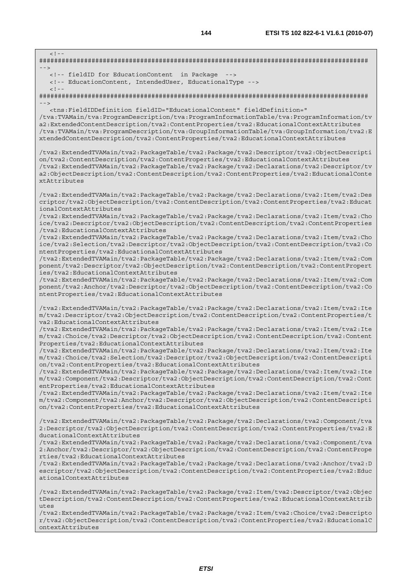$\lt$  !  $-$ ######################################################################################## --> <!-- fieldID for EducationContent in Package --> <!-- EducationContent, IntendedUser, EducationalType -->  $<$ ! --######################################################################################## --> <tns:FieldIDDefinition fieldID="EducationalContent" fieldDefinition=" /tva:TVAMain/tva:ProgramDescription/tva:ProgramInformationTable/tva:ProgramInformation/tv a2:ExtendedContentDescription/tva2:ContentProperties/tva2:EducationalContextAttributes /tva:TVAMain/tva:ProgramDescription/tva:GroupInformationTable/tva:GroupInformation/tva2:E xtendedContentDescription/tva2:ContentProperties/tva2:EducationalContextAttributes /tva2:ExtendedTVAMain/tva2:PackageTable/tva2:Package/tva2:Descriptor/tva2:ObjectDescripti on/tva2:ContentDescription/tva2:ContentProperties/tva2:EducationalContextAttributes /tva2:ExtendedTVAMain/tva2:PackageTable/tva2:Package/tva2:Declarations/tva2:Descriptor/tv a2:ObjectDescription/tva2:ContentDescription/tva2:ContentProperties/tva2:EducationalConte xtAttributes /tva2:ExtendedTVAMain/tva2:PackageTable/tva2:Package/tva2:Declarations/tva2:Item/tva2:Des criptor/tva2:ObjectDescription/tva2:ContentDescription/tva2:ContentProperties/tva2:Educat ionalContextAttributes /tva2:ExtendedTVAMain/tva2:PackageTable/tva2:Package/tva2:Declarations/tva2:Item/tva2:Cho ice/tva2:Descriptor/tva2:ObjectDescription/tva2:ContentDescription/tva2:ContentProperties /tva2:EducationalContextAttributes /tva2:ExtendedTVAMain/tva2:PackageTable/tva2:Package/tva2:Declarations/tva2:Item/tva2:Cho ice/tva2:Selection/tva2:Descriptor/tva2:ObjectDescription/tva2:ContentDescription/tva2:Co ntentProperties/tva2:EducationalContextAttributes /tva2:ExtendedTVAMain/tva2:PackageTable/tva2:Package/tva2:Declarations/tva2:Item/tva2:Com ponent/tva2:Descriptor/tva2:ObjectDescription/tva2:ContentDescription/tva2:ContentPropert ies/tva2:EducationalContextAttributes /tva2:ExtendedTVAMain/tva2:PackageTable/tva2:Package/tva2:Declarations/tva2:Item/tva2:Com ponent/tva2:Anchor/tva2:Descriptor/tva2:ObjectDescription/tva2:ContentDescription/tva2:Co ntentProperties/tva2:EducationalContextAttributes /tva2:ExtendedTVAMain/tva2:PackageTable/tva2:Package/tva2:Declarations/tva2:Item/tva2:Ite m/tva2:Descriptor/tva2:ObjectDescription/tva2:ContentDescription/tva2:ContentProperties/t va2:EducationalContextAttributes /tva2:ExtendedTVAMain/tva2:PackageTable/tva2:Package/tva2:Declarations/tva2:Item/tva2:Ite m/tva2:Choice/tva2:Descriptor/tva2:ObjectDescription/tva2:ContentDescription/tva2:Content Properties/tva2:EducationalContextAttributes /tva2:ExtendedTVAMain/tva2:PackageTable/tva2:Package/tva2:Declarations/tva2:Item/tva2:Ite m/tva2:Choice/tva2:Selection/tva2:Descriptor/tva2:ObjectDescription/tva2:ContentDescripti on/tva2:ContentProperties/tva2:EducationalContextAttributes /tva2:ExtendedTVAMain/tva2:PackageTable/tva2:Package/tva2:Declarations/tva2:Item/tva2:Ite m/tva2:Component/tva2:Descriptor/tva2:ObjectDescription/tva2:ContentDescription/tva2:Cont entProperties/tva2:EducationalContextAttributes /tva2:ExtendedTVAMain/tva2:PackageTable/tva2:Package/tva2:Declarations/tva2:Item/tva2:Ite m/tva2:Component/tva2:Anchor/tva2:Descriptor/tva2:ObjectDescription/tva2:ContentDescripti on/tva2:ContentProperties/tva2:EducationalContextAttributes /tva2:ExtendedTVAMain/tva2:PackageTable/tva2:Package/tva2:Declarations/tva2:Component/tva 2:Descriptor/tva2:ObjectDescription/tva2:ContentDescription/tva2:ContentProperties/tva2:E ducationalContextAttributes /tva2:ExtendedTVAMain/tva2:PackageTable/tva2:Package/tva2:Declarations/tva2:Component/tva 2:Anchor/tva2:Descriptor/tva2:ObjectDescription/tva2:ContentDescription/tva2:ContentPrope rties/tva2:EducationalContextAttributes /tva2:ExtendedTVAMain/tva2:PackageTable/tva2:Package/tva2:Declarations/tva2:Anchor/tva2:D escriptor/tva2:ObjectDescription/tva2:ContentDescription/tva2:ContentProperties/tva2:Educ ationalContextAttributes /tva2:ExtendedTVAMain/tva2:PackageTable/tva2:Package/tva2:Item/tva2:Descriptor/tva2:Objec tDescription/tva2:ContentDescription/tva2:ContentProperties/tva2:EducationalContextAttrib utes

/tva2:ExtendedTVAMain/tva2:PackageTable/tva2:Package/tva2:Item/tva2:Choice/tva2:Descripto r/tva2:ObjectDescription/tva2:ContentDescription/tva2:ContentProperties/tva2:EducationalC ontextAttributes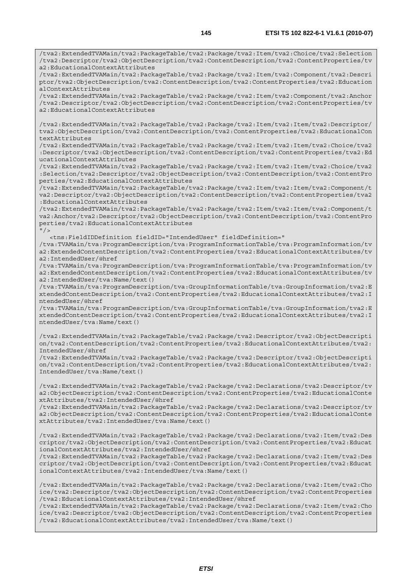/tva2:ExtendedTVAMain/tva2:PackageTable/tva2:Package/tva2:Item/tva2:Choice/tva2:Selection /tva2:Descriptor/tva2:ObjectDescription/tva2:ContentDescription/tva2:ContentProperties/tv a2:EducationalContextAttributes

/tva2:ExtendedTVAMain/tva2:PackageTable/tva2:Package/tva2:Item/tva2:Component/tva2:Descri ptor/tva2:ObjectDescription/tva2:ContentDescription/tva2:ContentProperties/tva2:Education alContextAttributes

/tva2:ExtendedTVAMain/tva2:PackageTable/tva2:Package/tva2:Item/tva2:Component/tva2:Anchor /tva2:Descriptor/tva2:ObjectDescription/tva2:ContentDescription/tva2:ContentProperties/tv a2:EducationalContextAttributes

/tva2:ExtendedTVAMain/tva2:PackageTable/tva2:Package/tva2:Item/tva2:Item/tva2:Descriptor/ tva2:ObjectDescription/tva2:ContentDescription/tva2:ContentProperties/tva2:EducationalCon textAttributes

/tva2:ExtendedTVAMain/tva2:PackageTable/tva2:Package/tva2:Item/tva2:Item/tva2:Choice/tva2 :Descriptor/tva2:ObjectDescription/tva2:ContentDescription/tva2:ContentProperties/tva2:Ed ucationalContextAttributes

/tva2:ExtendedTVAMain/tva2:PackageTable/tva2:Package/tva2:Item/tva2:Item/tva2:Choice/tva2 :Selection/tva2:Descriptor/tva2:ObjectDescription/tva2:ContentDescription/tva2:ContentPro perties/tva2:EducationalContextAttributes

/tva2:ExtendedTVAMain/tva2:PackageTable/tva2:Package/tva2:Item/tva2:Item/tva2:Component/t va2:Descriptor/tva2:ObjectDescription/tva2:ContentDescription/tva2:ContentProperties/tva2 :EducationalContextAttributes

/tva2:ExtendedTVAMain/tva2:PackageTable/tva2:Package/tva2:Item/tva2:Item/tva2:Component/t va2:Anchor/tva2:Descriptor/tva2:ObjectDescription/tva2:ContentDescription/tva2:ContentPro perties/tva2:EducationalContextAttributes  $''$  / >

<tns:FieldIDDefinition fieldID="IntendedUser" fieldDefinition="

/tva:TVAMain/tva:ProgramDescription/tva:ProgramInformationTable/tva:ProgramInformation/tv a2:ExtendedContentDescription/tva2:ContentProperties/tva2:EducationalContextAttributes/tv a2:IntendedUser/@href

/tva:TVAMain/tva:ProgramDescription/tva:ProgramInformationTable/tva:ProgramInformation/tv a2:ExtendedContentDescription/tva2:ContentProperties/tva2:EducationalContextAttributes/tv a2:IntendedUser/tva:Name/text()

/tva:TVAMain/tva:ProgramDescription/tva:GroupInformationTable/tva:GroupInformation/tva2:E xtendedContentDescription/tva2:ContentProperties/tva2:EducationalContextAttributes/tva2:I ntendedUser/@href

/tva:TVAMain/tva:ProgramDescription/tva:GroupInformationTable/tva:GroupInformation/tva2:E xtendedContentDescription/tva2:ContentProperties/tva2:EducationalContextAttributes/tva2:I ntendedUser/tva:Name/text()

/tva2:ExtendedTVAMain/tva2:PackageTable/tva2:Package/tva2:Descriptor/tva2:ObjectDescripti on/tva2:ContentDescription/tva2:ContentProperties/tva2:EducationalContextAttributes/tva2: IntendedUser/@href

/tva2:ExtendedTVAMain/tva2:PackageTable/tva2:Package/tva2:Descriptor/tva2:ObjectDescripti on/tva2:ContentDescription/tva2:ContentProperties/tva2:EducationalContextAttributes/tva2: IntendedUser/tva:Name/text()

/tva2:ExtendedTVAMain/tva2:PackageTable/tva2:Package/tva2:Declarations/tva2:Descriptor/tv a2:ObjectDescription/tva2:ContentDescription/tva2:ContentProperties/tva2:EducationalConte xtAttributes/tva2:IntendedUser/@href

/tva2:ExtendedTVAMain/tva2:PackageTable/tva2:Package/tva2:Declarations/tva2:Descriptor/tv a2:ObjectDescription/tva2:ContentDescription/tva2:ContentProperties/tva2:EducationalConte xtAttributes/tva2:IntendedUser/tva:Name/text()

/tva2:ExtendedTVAMain/tva2:PackageTable/tva2:Package/tva2:Declarations/tva2:Item/tva2:Des criptor/tva2:ObjectDescription/tva2:ContentDescription/tva2:ContentProperties/tva2:Educat ionalContextAttributes/tva2:IntendedUser/@href

/tva2:ExtendedTVAMain/tva2:PackageTable/tva2:Package/tva2:Declarations/tva2:Item/tva2:Des criptor/tva2:ObjectDescription/tva2:ContentDescription/tva2:ContentProperties/tva2:Educat ionalContextAttributes/tva2:IntendedUser/tva:Name/text()

/tva2:ExtendedTVAMain/tva2:PackageTable/tva2:Package/tva2:Declarations/tva2:Item/tva2:Cho ice/tva2:Descriptor/tva2:ObjectDescription/tva2:ContentDescription/tva2:ContentProperties /tva2:EducationalContextAttributes/tva2:IntendedUser/@href

/tva2:ExtendedTVAMain/tva2:PackageTable/tva2:Package/tva2:Declarations/tva2:Item/tva2:Cho ice/tva2:Descriptor/tva2:ObjectDescription/tva2:ContentDescription/tva2:ContentProperties /tva2:EducationalContextAttributes/tva2:IntendedUser/tva:Name/text()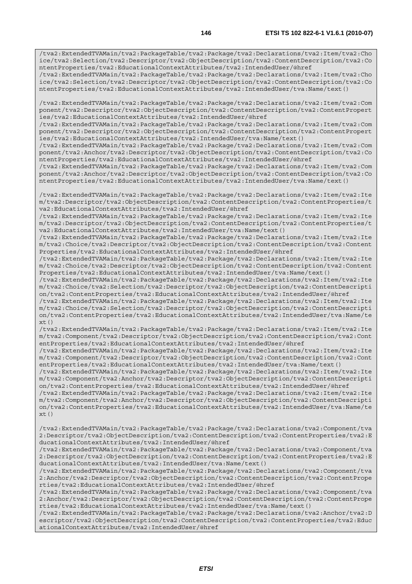/tva2:ExtendedTVAMain/tva2:PackageTable/tva2:Package/tva2:Declarations/tva2:Item/tva2:Cho ice/tva2:Selection/tva2:Descriptor/tva2:ObjectDescription/tva2:ContentDescription/tva2:Co ntentProperties/tva2:EducationalContextAttributes/tva2:IntendedUser/@href /tva2:ExtendedTVAMain/tva2:PackageTable/tva2:Package/tva2:Declarations/tva2:Item/tva2:Cho

ice/tva2:Selection/tva2:Descriptor/tva2:ObjectDescription/tva2:ContentDescription/tva2:Co ntentProperties/tva2:EducationalContextAttributes/tva2:IntendedUser/tva:Name/text()

/tva2:ExtendedTVAMain/tva2:PackageTable/tva2:Package/tva2:Declarations/tva2:Item/tva2:Com ponent/tva2:Descriptor/tva2:ObjectDescription/tva2:ContentDescription/tva2:ContentPropert ies/tva2:EducationalContextAttributes/tva2:IntendedUser/@href

/tva2:ExtendedTVAMain/tva2:PackageTable/tva2:Package/tva2:Declarations/tva2:Item/tva2:Com ponent/tva2:Descriptor/tva2:ObjectDescription/tva2:ContentDescription/tva2:ContentPropert ies/tva2:EducationalContextAttributes/tva2:IntendedUser/tva:Name/text()

/tva2:ExtendedTVAMain/tva2:PackageTable/tva2:Package/tva2:Declarations/tva2:Item/tva2:Com ponent/tva2:Anchor/tva2:Descriptor/tva2:ObjectDescription/tva2:ContentDescription/tva2:Co ntentProperties/tva2:EducationalContextAttributes/tva2:IntendedUser/@href

/tva2:ExtendedTVAMain/tva2:PackageTable/tva2:Package/tva2:Declarations/tva2:Item/tva2:Com ponent/tva2:Anchor/tva2:Descriptor/tva2:ObjectDescription/tva2:ContentDescription/tva2:Co ntentProperties/tva2:EducationalContextAttributes/tva2:IntendedUser/tva:Name/text()

/tva2:ExtendedTVAMain/tva2:PackageTable/tva2:Package/tva2:Declarations/tva2:Item/tva2:Ite m/tva2:Descriptor/tva2:ObjectDescription/tva2:ContentDescription/tva2:ContentProperties/t va2:EducationalContextAttributes/tva2:IntendedUser/@href

/tva2:ExtendedTVAMain/tva2:PackageTable/tva2:Package/tva2:Declarations/tva2:Item/tva2:Ite m/tva2:Descriptor/tva2:ObjectDescription/tva2:ContentDescription/tva2:ContentProperties/t va2:EducationalContextAttributes/tva2:IntendedUser/tva:Name/text()

/tva2:ExtendedTVAMain/tva2:PackageTable/tva2:Package/tva2:Declarations/tva2:Item/tva2:Ite m/tva2:Choice/tva2:Descriptor/tva2:ObjectDescription/tva2:ContentDescription/tva2:Content Properties/tva2:EducationalContextAttributes/tva2:IntendedUser/@href

/tva2:ExtendedTVAMain/tva2:PackageTable/tva2:Package/tva2:Declarations/tva2:Item/tva2:Ite m/tva2:Choice/tva2:Descriptor/tva2:ObjectDescription/tva2:ContentDescription/tva2:Content Properties/tva2:EducationalContextAttributes/tva2:IntendedUser/tva:Name/text()

/tva2:ExtendedTVAMain/tva2:PackageTable/tva2:Package/tva2:Declarations/tva2:Item/tva2:Ite m/tva2:Choice/tva2:Selection/tva2:Descriptor/tva2:ObjectDescription/tva2:ContentDescripti on/tva2:ContentProperties/tva2:EducationalContextAttributes/tva2:IntendedUser/@href

/tva2:ExtendedTVAMain/tva2:PackageTable/tva2:Package/tva2:Declarations/tva2:Item/tva2:Ite m/tva2:Choice/tva2:Selection/tva2:Descriptor/tva2:ObjectDescription/tva2:ContentDescripti on/tva2:ContentProperties/tva2:EducationalContextAttributes/tva2:IntendedUser/tva:Name/te  $xt()$ 

/tva2:ExtendedTVAMain/tva2:PackageTable/tva2:Package/tva2:Declarations/tva2:Item/tva2:Ite m/tva2:Component/tva2:Descriptor/tva2:ObjectDescription/tva2:ContentDescription/tva2:Cont entProperties/tva2:EducationalContextAttributes/tva2:IntendedUser/@href

/tva2:ExtendedTVAMain/tva2:PackageTable/tva2:Package/tva2:Declarations/tva2:Item/tva2:Ite m/tva2:Component/tva2:Descriptor/tva2:ObjectDescription/tva2:ContentDescription/tva2:Cont entProperties/tva2:EducationalContextAttributes/tva2:IntendedUser/tva:Name/text()

/tva2:ExtendedTVAMain/tva2:PackageTable/tva2:Package/tva2:Declarations/tva2:Item/tva2:Ite m/tva2:Component/tva2:Anchor/tva2:Descriptor/tva2:ObjectDescription/tva2:ContentDescripti on/tva2:ContentProperties/tva2:EducationalContextAttributes/tva2:IntendedUser/@href

/tva2:ExtendedTVAMain/tva2:PackageTable/tva2:Package/tva2:Declarations/tva2:Item/tva2:Ite m/tva2:Component/tva2:Anchor/tva2:Descriptor/tva2:ObjectDescription/tva2:ContentDescripti on/tva2:ContentProperties/tva2:EducationalContextAttributes/tva2:IntendedUser/tva:Name/te  $xt()$ 

/tva2:ExtendedTVAMain/tva2:PackageTable/tva2:Package/tva2:Declarations/tva2:Component/tva 2:Descriptor/tva2:ObjectDescription/tva2:ContentDescription/tva2:ContentProperties/tva2:E ducationalContextAttributes/tva2:IntendedUser/@href

/tva2:ExtendedTVAMain/tva2:PackageTable/tva2:Package/tva2:Declarations/tva2:Component/tva 2:Descriptor/tva2:ObjectDescription/tva2:ContentDescription/tva2:ContentProperties/tva2:E ducationalContextAttributes/tva2:IntendedUser/tva:Name/text()

/tva2:ExtendedTVAMain/tva2:PackageTable/tva2:Package/tva2:Declarations/tva2:Component/tva 2:Anchor/tva2:Descriptor/tva2:ObjectDescription/tva2:ContentDescription/tva2:ContentPrope rties/tva2:EducationalContextAttributes/tva2:IntendedUser/@href

/tva2:ExtendedTVAMain/tva2:PackageTable/tva2:Package/tva2:Declarations/tva2:Component/tva 2:Anchor/tva2:Descriptor/tva2:ObjectDescription/tva2:ContentDescription/tva2:ContentPrope rties/tva2:EducationalContextAttributes/tva2:IntendedUser/tva:Name/text()

/tva2:ExtendedTVAMain/tva2:PackageTable/tva2:Package/tva2:Declarations/tva2:Anchor/tva2:D escriptor/tva2:ObjectDescription/tva2:ContentDescription/tva2:ContentProperties/tva2:Educ ationalContextAttributes/tva2:IntendedUser/@href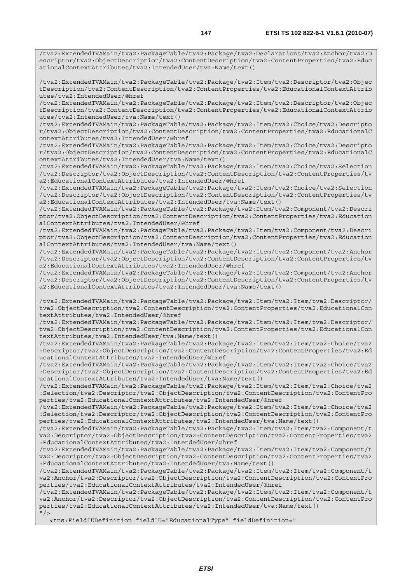/tva2:ExtendedTVAMain/tva2:PackageTable/tva2:Package/tva2:Declarations/tva2:Anchor/tva2:D escriptor/tva2:ObjectDescription/tva2:ContentDescription/tva2:ContentProperties/tva2:Educ ationalContextAttributes/tva2:IntendedUser/tva:Name/text()

/tva2:ExtendedTVAMain/tva2:PackageTable/tva2:Package/tva2:Item/tva2:Descriptor/tva2:Objec tDescription/tva2:ContentDescription/tva2:ContentProperties/tva2:EducationalContextAttrib utes/tva2:IntendedUser/@href

/tva2:ExtendedTVAMain/tva2:PackageTable/tva2:Package/tva2:Item/tva2:Descriptor/tva2:Objec tDescription/tva2:ContentDescription/tva2:ContentProperties/tva2:EducationalContextAttrib utes/tva2:IntendedUser/tva:Name/text()

/tva2:ExtendedTVAMain/tva2:PackageTable/tva2:Package/tva2:Item/tva2:Choice/tva2:Descripto r/tva2:ObjectDescription/tva2:ContentDescription/tva2:ContentProperties/tva2:EducationalC ontextAttributes/tva2:IntendedUser/@href

/tva2:ExtendedTVAMain/tva2:PackageTable/tva2:Package/tva2:Item/tva2:Choice/tva2:Descripto r/tva2:ObjectDescription/tva2:ContentDescription/tva2:ContentProperties/tva2:EducationalC ontextAttributes/tva2:IntendedUser/tva:Name/text()

/tva2:ExtendedTVAMain/tva2:PackageTable/tva2:Package/tva2:Item/tva2:Choice/tva2:Selection /tva2:Descriptor/tva2:ObjectDescription/tva2:ContentDescription/tva2:ContentProperties/tv a2:EducationalContextAttributes/tva2:IntendedUser/@href

/tva2:ExtendedTVAMain/tva2:PackageTable/tva2:Package/tva2:Item/tva2:Choice/tva2:Selection /tva2:Descriptor/tva2:ObjectDescription/tva2:ContentDescription/tva2:ContentProperties/tv a2:EducationalContextAttributes/tva2:IntendedUser/tva:Name/text()

/tva2:ExtendedTVAMain/tva2:PackageTable/tva2:Package/tva2:Item/tva2:Component/tva2:Descri ptor/tva2:ObjectDescription/tva2:ContentDescription/tva2:ContentProperties/tva2:Education alContextAttributes/tva2:IntendedUser/@href

/tva2:ExtendedTVAMain/tva2:PackageTable/tva2:Package/tva2:Item/tva2:Component/tva2:Descri ptor/tva2:ObjectDescription/tva2:ContentDescription/tva2:ContentProperties/tva2:Education alContextAttributes/tva2:IntendedUser/tva:Name/text()

/tva2:ExtendedTVAMain/tva2:PackageTable/tva2:Package/tva2:Item/tva2:Component/tva2:Anchor /tva2:Descriptor/tva2:ObjectDescription/tva2:ContentDescription/tva2:ContentProperties/tv a2:EducationalContextAttributes/tva2:IntendedUser/@href

/tva2:ExtendedTVAMain/tva2:PackageTable/tva2:Package/tva2:Item/tva2:Component/tva2:Anchor /tva2:Descriptor/tva2:ObjectDescription/tva2:ContentDescription/tva2:ContentProperties/tv a2:EducationalContextAttributes/tva2:IntendedUser/tva:Name/text()

/tva2:ExtendedTVAMain/tva2:PackageTable/tva2:Package/tva2:Item/tva2:Item/tva2:Descriptor/ tva2:ObjectDescription/tva2:ContentDescription/tva2:ContentProperties/tva2:EducationalCon textAttributes/tva2:IntendedUser/@href

/tva2:ExtendedTVAMain/tva2:PackageTable/tva2:Package/tva2:Item/tva2:Item/tva2:Descriptor/ tva2:ObjectDescription/tva2:ContentDescription/tva2:ContentProperties/tva2:EducationalCon textAttributes/tva2:IntendedUser/tva:Name/text()

/tva2:ExtendedTVAMain/tva2:PackageTable/tva2:Package/tva2:Item/tva2:Item/tva2:Choice/tva2 :Descriptor/tva2:ObjectDescription/tva2:ContentDescription/tva2:ContentProperties/tva2:Ed ucationalContextAttributes/tva2:IntendedUser/@href

/tva2:ExtendedTVAMain/tva2:PackageTable/tva2:Package/tva2:Item/tva2:Item/tva2:Choice/tva2 :Descriptor/tva2:ObjectDescription/tva2:ContentDescription/tva2:ContentProperties/tva2:Ed ucationalContextAttributes/tva2:IntendedUser/tva:Name/text()

/tva2:ExtendedTVAMain/tva2:PackageTable/tva2:Package/tva2:Item/tva2:Item/tva2:Choice/tva2 :Selection/tva2:Descriptor/tva2:ObjectDescription/tva2:ContentDescription/tva2:ContentPro perties/tva2:EducationalContextAttributes/tva2:IntendedUser/@href

/tva2:ExtendedTVAMain/tva2:PackageTable/tva2:Package/tva2:Item/tva2:Item/tva2:Choice/tva2 :Selection/tva2:Descriptor/tva2:ObjectDescription/tva2:ContentDescription/tva2:ContentPro perties/tva2:EducationalContextAttributes/tva2:IntendedUser/tva:Name/text()

/tva2:ExtendedTVAMain/tva2:PackageTable/tva2:Package/tva2:Item/tva2:Item/tva2:Component/t va2:Descriptor/tva2:ObjectDescription/tva2:ContentDescription/tva2:ContentProperties/tva2 :EducationalContextAttributes/tva2:IntendedUser/@href

/tva2:ExtendedTVAMain/tva2:PackageTable/tva2:Package/tva2:Item/tva2:Item/tva2:Component/t va2:Descriptor/tva2:ObjectDescription/tva2:ContentDescription/tva2:ContentProperties/tva2 :EducationalContextAttributes/tva2:IntendedUser/tva:Name/text()

/tva2:ExtendedTVAMain/tva2:PackageTable/tva2:Package/tva2:Item/tva2:Item/tva2:Component/t va2:Anchor/tva2:Descriptor/tva2:ObjectDescription/tva2:ContentDescription/tva2:ContentPro perties/tva2:EducationalContextAttributes/tva2:IntendedUser/@href

/tva2:ExtendedTVAMain/tva2:PackageTable/tva2:Package/tva2:Item/tva2:Item/tva2:Component/t va2:Anchor/tva2:Descriptor/tva2:ObjectDescription/tva2:ContentDescription/tva2:ContentPro perties/tva2:EducationalContextAttributes/tva2:IntendedUser/tva:Name/text()  $''$  / >

<tns:FieldIDDefinition fieldID="EducationalType" fieldDefinition="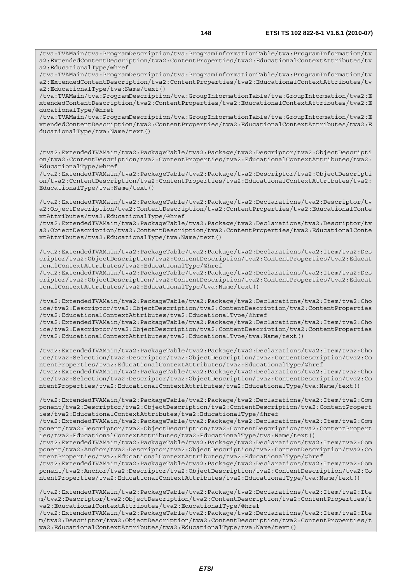/tva:TVAMain/tva:ProgramDescription/tva:ProgramInformationTable/tva:ProgramInformation/tv a2:ExtendedContentDescription/tva2:ContentProperties/tva2:EducationalContextAttributes/tv a2:EducationalType/@href

/tva:TVAMain/tva:ProgramDescription/tva:ProgramInformationTable/tva:ProgramInformation/tv a2:ExtendedContentDescription/tva2:ContentProperties/tva2:EducationalContextAttributes/tv a2:EducationalType/tva:Name/text()

/tva:TVAMain/tva:ProgramDescription/tva:GroupInformationTable/tva:GroupInformation/tva2:E xtendedContentDescription/tva2:ContentProperties/tva2:EducationalContextAttributes/tva2:E ducationalType/@href

/tva:TVAMain/tva:ProgramDescription/tva:GroupInformationTable/tva:GroupInformation/tva2:E xtendedContentDescription/tva2:ContentProperties/tva2:EducationalContextAttributes/tva2:E ducationalType/tva:Name/text()

/tva2:ExtendedTVAMain/tva2:PackageTable/tva2:Package/tva2:Descriptor/tva2:ObjectDescripti on/tva2:ContentDescription/tva2:ContentProperties/tva2:EducationalContextAttributes/tva2: EducationalType/@href

/tva2:ExtendedTVAMain/tva2:PackageTable/tva2:Package/tva2:Descriptor/tva2:ObjectDescripti on/tva2:ContentDescription/tva2:ContentProperties/tva2:EducationalContextAttributes/tva2: EducationalType/tva:Name/text()

/tva2:ExtendedTVAMain/tva2:PackageTable/tva2:Package/tva2:Declarations/tva2:Descriptor/tv a2:ObjectDescription/tva2:ContentDescription/tva2:ContentProperties/tva2:EducationalConte xtAttributes/tva2:EducationalType/@href

/tva2:ExtendedTVAMain/tva2:PackageTable/tva2:Package/tva2:Declarations/tva2:Descriptor/tv a2:ObjectDescription/tva2:ContentDescription/tva2:ContentProperties/tva2:EducationalConte xtAttributes/tva2:EducationalType/tva:Name/text()

/tva2:ExtendedTVAMain/tva2:PackageTable/tva2:Package/tva2:Declarations/tva2:Item/tva2:Des criptor/tva2:ObjectDescription/tva2:ContentDescription/tva2:ContentProperties/tva2:Educat ionalContextAttributes/tva2:EducationalType/@href

/tva2:ExtendedTVAMain/tva2:PackageTable/tva2:Package/tva2:Declarations/tva2:Item/tva2:Des criptor/tva2:ObjectDescription/tva2:ContentDescription/tva2:ContentProperties/tva2:Educat ionalContextAttributes/tva2:EducationalType/tva:Name/text()

/tva2:ExtendedTVAMain/tva2:PackageTable/tva2:Package/tva2:Declarations/tva2:Item/tva2:Cho ice/tva2:Descriptor/tva2:ObjectDescription/tva2:ContentDescription/tva2:ContentProperties /tva2:EducationalContextAttributes/tva2:EducationalType/@href /tva2:ExtendedTVAMain/tva2:PackageTable/tva2:Package/tva2:Declarations/tva2:Item/tva2:Cho

ice/tva2:Descriptor/tva2:ObjectDescription/tva2:ContentDescription/tva2:ContentProperties /tva2:EducationalContextAttributes/tva2:EducationalType/tva:Name/text()

/tva2:ExtendedTVAMain/tva2:PackageTable/tva2:Package/tva2:Declarations/tva2:Item/tva2:Cho ice/tva2:Selection/tva2:Descriptor/tva2:ObjectDescription/tva2:ContentDescription/tva2:Co ntentProperties/tva2:EducationalContextAttributes/tva2:EducationalType/@href /tva2:ExtendedTVAMain/tva2:PackageTable/tva2:Package/tva2:Declarations/tva2:Item/tva2:Cho ice/tva2:Selection/tva2:Descriptor/tva2:ObjectDescription/tva2:ContentDescription/tva2:Co ntentProperties/tva2:EducationalContextAttributes/tva2:EducationalType/tva:Name/text()

/tva2:ExtendedTVAMain/tva2:PackageTable/tva2:Package/tva2:Declarations/tva2:Item/tva2:Com ponent/tva2:Descriptor/tva2:ObjectDescription/tva2:ContentDescription/tva2:ContentPropert ies/tva2:EducationalContextAttributes/tva2:EducationalType/@href

/tva2:ExtendedTVAMain/tva2:PackageTable/tva2:Package/tva2:Declarations/tva2:Item/tva2:Com ponent/tva2:Descriptor/tva2:ObjectDescription/tva2:ContentDescription/tva2:ContentPropert ies/tva2:EducationalContextAttributes/tva2:EducationalType/tva:Name/text()

/tva2:ExtendedTVAMain/tva2:PackageTable/tva2:Package/tva2:Declarations/tva2:Item/tva2:Com ponent/tva2:Anchor/tva2:Descriptor/tva2:ObjectDescription/tva2:ContentDescription/tva2:Co ntentProperties/tva2:EducationalContextAttributes/tva2:EducationalType/@href

/tva2:ExtendedTVAMain/tva2:PackageTable/tva2:Package/tva2:Declarations/tva2:Item/tva2:Com ponent/tva2:Anchor/tva2:Descriptor/tva2:ObjectDescription/tva2:ContentDescription/tva2:Co ntentProperties/tva2:EducationalContextAttributes/tva2:EducationalType/tva:Name/text()

/tva2:ExtendedTVAMain/tva2:PackageTable/tva2:Package/tva2:Declarations/tva2:Item/tva2:Ite m/tva2:Descriptor/tva2:ObjectDescription/tva2:ContentDescription/tva2:ContentProperties/t va2:EducationalContextAttributes/tva2:EducationalType/@href /tva2:ExtendedTVAMain/tva2:PackageTable/tva2:Package/tva2:Declarations/tva2:Item/tva2:Ite m/tva2:Descriptor/tva2:ObjectDescription/tva2:ContentDescription/tva2:ContentProperties/t

va2:EducationalContextAttributes/tva2:EducationalType/tva:Name/text()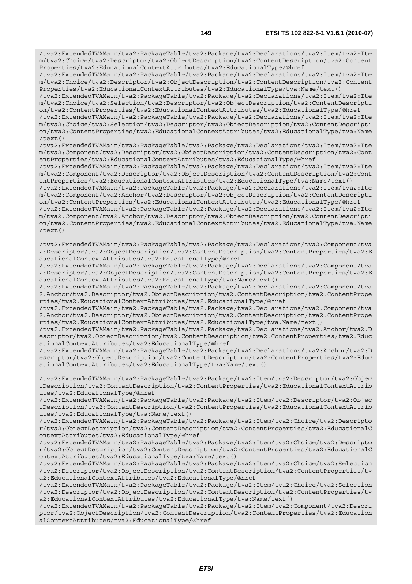/tva2:ExtendedTVAMain/tva2:PackageTable/tva2:Package/tva2:Declarations/tva2:Item/tva2:Ite m/tva2:Choice/tva2:Descriptor/tva2:ObjectDescription/tva2:ContentDescription/tva2:Content Properties/tva2:EducationalContextAttributes/tva2:EducationalType/@href

/tva2:ExtendedTVAMain/tva2:PackageTable/tva2:Package/tva2:Declarations/tva2:Item/tva2:Ite m/tva2:Choice/tva2:Descriptor/tva2:ObjectDescription/tva2:ContentDescription/tva2:Content Properties/tva2:EducationalContextAttributes/tva2:EducationalType/tva:Name/text()

/tva2:ExtendedTVAMain/tva2:PackageTable/tva2:Package/tva2:Declarations/tva2:Item/tva2:Ite m/tva2:Choice/tva2:Selection/tva2:Descriptor/tva2:ObjectDescription/tva2:ContentDescripti on/tva2:ContentProperties/tva2:EducationalContextAttributes/tva2:EducationalType/@href

/tva2:ExtendedTVAMain/tva2:PackageTable/tva2:Package/tva2:Declarations/tva2:Item/tva2:Ite m/tva2:Choice/tva2:Selection/tva2:Descriptor/tva2:ObjectDescription/tva2:ContentDescripti on/tva2:ContentProperties/tva2:EducationalContextAttributes/tva2:EducationalType/tva:Name /text()

/tva2:ExtendedTVAMain/tva2:PackageTable/tva2:Package/tva2:Declarations/tva2:Item/tva2:Ite m/tva2:Component/tva2:Descriptor/tva2:ObjectDescription/tva2:ContentDescription/tva2:Cont entProperties/tva2:EducationalContextAttributes/tva2:EducationalType/@href

/tva2:ExtendedTVAMain/tva2:PackageTable/tva2:Package/tva2:Declarations/tva2:Item/tva2:Ite m/tva2:Component/tva2:Descriptor/tva2:ObjectDescription/tva2:ContentDescription/tva2:Cont entProperties/tva2:EducationalContextAttributes/tva2:EducationalType/tva:Name/text()

/tva2:ExtendedTVAMain/tva2:PackageTable/tva2:Package/tva2:Declarations/tva2:Item/tva2:Ite m/tva2:Component/tva2:Anchor/tva2:Descriptor/tva2:ObjectDescription/tva2:ContentDescripti on/tva2:ContentProperties/tva2:EducationalContextAttributes/tva2:EducationalType/@href

/tva2:ExtendedTVAMain/tva2:PackageTable/tva2:Package/tva2:Declarations/tva2:Item/tva2:Ite m/tva2:Component/tva2:Anchor/tva2:Descriptor/tva2:ObjectDescription/tva2:ContentDescripti on/tva2:ContentProperties/tva2:EducationalContextAttributes/tva2:EducationalType/tva:Name /text()

/tva2:ExtendedTVAMain/tva2:PackageTable/tva2:Package/tva2:Declarations/tva2:Component/tva 2:Descriptor/tva2:ObjectDescription/tva2:ContentDescription/tva2:ContentProperties/tva2:E ducationalContextAttributes/tva2:EducationalType/@href

/tva2:ExtendedTVAMain/tva2:PackageTable/tva2:Package/tva2:Declarations/tva2:Component/tva 2:Descriptor/tva2:ObjectDescription/tva2:ContentDescription/tva2:ContentProperties/tva2:E ducationalContextAttributes/tva2:EducationalType/tva:Name/text()

/tva2:ExtendedTVAMain/tva2:PackageTable/tva2:Package/tva2:Declarations/tva2:Component/tva 2:Anchor/tva2:Descriptor/tva2:ObjectDescription/tva2:ContentDescription/tva2:ContentPrope rties/tva2:EducationalContextAttributes/tva2:EducationalType/@href

/tva2:ExtendedTVAMain/tva2:PackageTable/tva2:Package/tva2:Declarations/tva2:Component/tva 2:Anchor/tva2:Descriptor/tva2:ObjectDescription/tva2:ContentDescription/tva2:ContentPrope rties/tva2:EducationalContextAttributes/tva2:EducationalType/tva:Name/text()

/tva2:ExtendedTVAMain/tva2:PackageTable/tva2:Package/tva2:Declarations/tva2:Anchor/tva2:D escriptor/tva2:ObjectDescription/tva2:ContentDescription/tva2:ContentProperties/tva2:Educ ationalContextAttributes/tva2:EducationalType/@href

/tva2:ExtendedTVAMain/tva2:PackageTable/tva2:Package/tva2:Declarations/tva2:Anchor/tva2:D escriptor/tva2:ObjectDescription/tva2:ContentDescription/tva2:ContentProperties/tva2:Educ ationalContextAttributes/tva2:EducationalType/tva:Name/text()

/tva2:ExtendedTVAMain/tva2:PackageTable/tva2:Package/tva2:Item/tva2:Descriptor/tva2:Objec tDescription/tva2:ContentDescription/tva2:ContentProperties/tva2:EducationalContextAttrib utes/tva2:EducationalType/@href

/tva2:ExtendedTVAMain/tva2:PackageTable/tva2:Package/tva2:Item/tva2:Descriptor/tva2:Objec tDescription/tva2:ContentDescription/tva2:ContentProperties/tva2:EducationalContextAttrib utes/tva2:EducationalType/tva:Name/text()

/tva2:ExtendedTVAMain/tva2:PackageTable/tva2:Package/tva2:Item/tva2:Choice/tva2:Descripto r/tva2:ObjectDescription/tva2:ContentDescription/tva2:ContentProperties/tva2:EducationalC ontextAttributes/tva2:EducationalType/@href

/tva2:ExtendedTVAMain/tva2:PackageTable/tva2:Package/tva2:Item/tva2:Choice/tva2:Descripto r/tva2:ObjectDescription/tva2:ContentDescription/tva2:ContentProperties/tva2:EducationalC ontextAttributes/tva2:EducationalType/tva:Name/text()

/tva2:ExtendedTVAMain/tva2:PackageTable/tva2:Package/tva2:Item/tva2:Choice/tva2:Selection /tva2:Descriptor/tva2:ObjectDescription/tva2:ContentDescription/tva2:ContentProperties/tv a2:EducationalContextAttributes/tva2:EducationalType/@href

/tva2:ExtendedTVAMain/tva2:PackageTable/tva2:Package/tva2:Item/tva2:Choice/tva2:Selection /tva2:Descriptor/tva2:ObjectDescription/tva2:ContentDescription/tva2:ContentProperties/tv a2:EducationalContextAttributes/tva2:EducationalType/tva:Name/text()

/tva2:ExtendedTVAMain/tva2:PackageTable/tva2:Package/tva2:Item/tva2:Component/tva2:Descri ptor/tva2:ObjectDescription/tva2:ContentDescription/tva2:ContentProperties/tva2:Education alContextAttributes/tva2:EducationalType/@href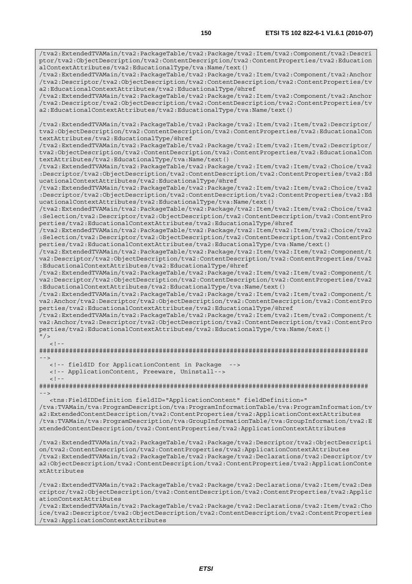/tva2:ExtendedTVAMain/tva2:PackageTable/tva2:Package/tva2:Item/tva2:Component/tva2:Descri ptor/tva2:ObjectDescription/tva2:ContentDescription/tva2:ContentProperties/tva2:Education alContextAttributes/tva2:EducationalType/tva:Name/text()

/tva2:ExtendedTVAMain/tva2:PackageTable/tva2:Package/tva2:Item/tva2:Component/tva2:Anchor /tva2:Descriptor/tva2:ObjectDescription/tva2:ContentDescription/tva2:ContentProperties/tv a2:EducationalContextAttributes/tva2:EducationalType/@href

/tva2:ExtendedTVAMain/tva2:PackageTable/tva2:Package/tva2:Item/tva2:Component/tva2:Anchor /tva2:Descriptor/tva2:ObjectDescription/tva2:ContentDescription/tva2:ContentProperties/tv a2:EducationalContextAttributes/tva2:EducationalType/tva:Name/text()

/tva2:ExtendedTVAMain/tva2:PackageTable/tva2:Package/tva2:Item/tva2:Item/tva2:Descriptor/ tva2:ObjectDescription/tva2:ContentDescription/tva2:ContentProperties/tva2:EducationalCon textAttributes/tva2:EducationalType/@href

/tva2:ExtendedTVAMain/tva2:PackageTable/tva2:Package/tva2:Item/tva2:Item/tva2:Descriptor/ tva2:ObjectDescription/tva2:ContentDescription/tva2:ContentProperties/tva2:EducationalCon textAttributes/tva2:EducationalType/tva:Name/text()

/tva2:ExtendedTVAMain/tva2:PackageTable/tva2:Package/tva2:Item/tva2:Item/tva2:Choice/tva2 :Descriptor/tva2:ObjectDescription/tva2:ContentDescription/tva2:ContentProperties/tva2:Ed ucationalContextAttributes/tva2:EducationalType/@href

/tva2:ExtendedTVAMain/tva2:PackageTable/tva2:Package/tva2:Item/tva2:Item/tva2:Choice/tva2 :Descriptor/tva2:ObjectDescription/tva2:ContentDescription/tva2:ContentProperties/tva2:Ed ucationalContextAttributes/tva2:EducationalType/tva:Name/text()

/tva2:ExtendedTVAMain/tva2:PackageTable/tva2:Package/tva2:Item/tva2:Item/tva2:Choice/tva2 :Selection/tva2:Descriptor/tva2:ObjectDescription/tva2:ContentDescription/tva2:ContentPro perties/tva2:EducationalContextAttributes/tva2:EducationalType/@href

/tva2:ExtendedTVAMain/tva2:PackageTable/tva2:Package/tva2:Item/tva2:Item/tva2:Choice/tva2 :Selection/tva2:Descriptor/tva2:ObjectDescription/tva2:ContentDescription/tva2:ContentPro perties/tva2:EducationalContextAttributes/tva2:EducationalType/tva:Name/text()

/tva2:ExtendedTVAMain/tva2:PackageTable/tva2:Package/tva2:Item/tva2:Item/tva2:Component/t va2:Descriptor/tva2:ObjectDescription/tva2:ContentDescription/tva2:ContentProperties/tva2 :EducationalContextAttributes/tva2:EducationalType/@href

/tva2:ExtendedTVAMain/tva2:PackageTable/tva2:Package/tva2:Item/tva2:Item/tva2:Component/t va2:Descriptor/tva2:ObjectDescription/tva2:ContentDescription/tva2:ContentProperties/tva2 :EducationalContextAttributes/tva2:EducationalType/tva:Name/text()

/tva2:ExtendedTVAMain/tva2:PackageTable/tva2:Package/tva2:Item/tva2:Item/tva2:Component/t va2:Anchor/tva2:Descriptor/tva2:ObjectDescription/tva2:ContentDescription/tva2:ContentPro perties/tva2:EducationalContextAttributes/tva2:EducationalType/@href

/tva2:ExtendedTVAMain/tva2:PackageTable/tva2:Package/tva2:Item/tva2:Item/tva2:Component/t va2:Anchor/tva2:Descriptor/tva2:ObjectDescription/tva2:ContentDescription/tva2:ContentPro perties/tva2:EducationalContextAttributes/tva2:EducationalType/tva:Name/text()  $"$  / >

 $\geq$  1.

######################################################################################## -->

<!-- fieldID for ApplicationContent in Package -->

<!-- ApplicationContent, Freeware, Uninstall-->

 $<$ ! --

######################################################################################## -->

 <tns:FieldIDDefinition fieldID="ApplicationContent" fieldDefinition=" /tva:TVAMain/tva:ProgramDescription/tva:ProgramInformationTable/tva:ProgramInformation/tv a2:ExtendedContentDescription/tva2:ContentProperties/tva2:ApplicationContextAttributes /tva:TVAMain/tva:ProgramDescription/tva:GroupInformationTable/tva:GroupInformation/tva2:E

xtendedContentDescription/tva2:ContentProperties/tva2:ApplicationContextAttributes

/tva2:ExtendedTVAMain/tva2:PackageTable/tva2:Package/tva2:Descriptor/tva2:ObjectDescripti on/tva2:ContentDescription/tva2:ContentProperties/tva2:ApplicationContextAttributes /tva2:ExtendedTVAMain/tva2:PackageTable/tva2:Package/tva2:Declarations/tva2:Descriptor/tv a2:ObjectDescription/tva2:ContentDescription/tva2:ContentProperties/tva2:ApplicationConte xtAttributes

/tva2:ExtendedTVAMain/tva2:PackageTable/tva2:Package/tva2:Declarations/tva2:Item/tva2:Des criptor/tva2:ObjectDescription/tva2:ContentDescription/tva2:ContentProperties/tva2:Applic ationContextAttributes

/tva2:ExtendedTVAMain/tva2:PackageTable/tva2:Package/tva2:Declarations/tva2:Item/tva2:Cho ice/tva2:Descriptor/tva2:ObjectDescription/tva2:ContentDescription/tva2:ContentProperties /tva2:ApplicationContextAttributes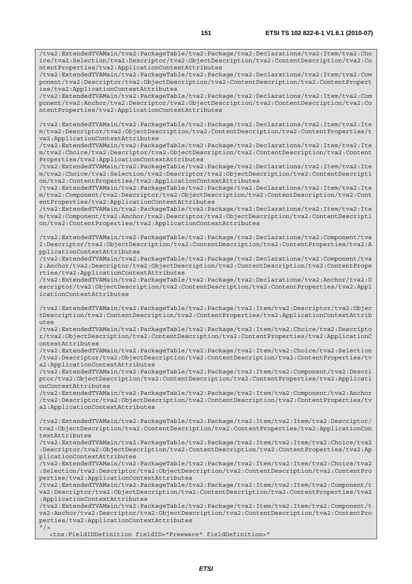/tva2:ExtendedTVAMain/tva2:PackageTable/tva2:Package/tva2:Declarations/tva2:Item/tva2:Cho ice/tva2:Selection/tva2:Descriptor/tva2:ObjectDescription/tva2:ContentDescription/tva2:Co ntentProperties/tva2:ApplicationContextAttributes

/tva2:ExtendedTVAMain/tva2:PackageTable/tva2:Package/tva2:Declarations/tva2:Item/tva2:Com ponent/tva2:Descriptor/tva2:ObjectDescription/tva2:ContentDescription/tva2:ContentPropert ies/tva2:ApplicationContextAttributes

/tva2:ExtendedTVAMain/tva2:PackageTable/tva2:Package/tva2:Declarations/tva2:Item/tva2:Com ponent/tva2:Anchor/tva2:Descriptor/tva2:ObjectDescription/tva2:ContentDescription/tva2:Co ntentProperties/tva2:ApplicationContextAttributes

/tva2:ExtendedTVAMain/tva2:PackageTable/tva2:Package/tva2:Declarations/tva2:Item/tva2:Ite m/tva2:Descriptor/tva2:ObjectDescription/tva2:ContentDescription/tva2:ContentProperties/t va2:ApplicationContextAttributes

/tva2:ExtendedTVAMain/tva2:PackageTable/tva2:Package/tva2:Declarations/tva2:Item/tva2:Ite m/tva2:Choice/tva2:Descriptor/tva2:ObjectDescription/tva2:ContentDescription/tva2:Content Properties/tva2:ApplicationContextAttributes

/tva2:ExtendedTVAMain/tva2:PackageTable/tva2:Package/tva2:Declarations/tva2:Item/tva2:Ite m/tva2:Choice/tva2:Selection/tva2:Descriptor/tva2:ObjectDescription/tva2:ContentDescripti on/tva2:ContentProperties/tva2:ApplicationContextAttributes

/tva2:ExtendedTVAMain/tva2:PackageTable/tva2:Package/tva2:Declarations/tva2:Item/tva2:Ite m/tva2:Component/tva2:Descriptor/tva2:ObjectDescription/tva2:ContentDescription/tva2:Cont entProperties/tva2:ApplicationContextAttributes

/tva2:ExtendedTVAMain/tva2:PackageTable/tva2:Package/tva2:Declarations/tva2:Item/tva2:Ite m/tva2:Component/tva2:Anchor/tva2:Descriptor/tva2:ObjectDescription/tva2:ContentDescripti on/tva2:ContentProperties/tva2:ApplicationContextAttributes

/tva2:ExtendedTVAMain/tva2:PackageTable/tva2:Package/tva2:Declarations/tva2:Component/tva 2:Descriptor/tva2:ObjectDescription/tva2:ContentDescription/tva2:ContentProperties/tva2:A pplicationContextAttributes

/tva2:ExtendedTVAMain/tva2:PackageTable/tva2:Package/tva2:Declarations/tva2:Component/tva 2:Anchor/tva2:Descriptor/tva2:ObjectDescription/tva2:ContentDescription/tva2:ContentPrope rties/tva2:ApplicationContextAttributes

/tva2:ExtendedTVAMain/tva2:PackageTable/tva2:Package/tva2:Declarations/tva2:Anchor/tva2:D escriptor/tva2:ObjectDescription/tva2:ContentDescription/tva2:ContentProperties/tva2:Appl icationContextAttributes

/tva2:ExtendedTVAMain/tva2:PackageTable/tva2:Package/tva2:Item/tva2:Descriptor/tva2:Objec tDescription/tva2:ContentDescription/tva2:ContentProperties/tva2:ApplicationContextAttrib utes

/tva2:ExtendedTVAMain/tva2:PackageTable/tva2:Package/tva2:Item/tva2:Choice/tva2:Descripto r/tva2:ObjectDescription/tva2:ContentDescription/tva2:ContentProperties/tva2:ApplicationC ontextAttributes

/tva2:ExtendedTVAMain/tva2:PackageTable/tva2:Package/tva2:Item/tva2:Choice/tva2:Selection /tva2:Descriptor/tva2:ObjectDescription/tva2:ContentDescription/tva2:ContentProperties/tv a2:ApplicationContextAttributes

/tva2:ExtendedTVAMain/tva2:PackageTable/tva2:Package/tva2:Item/tva2:Component/tva2:Descri ptor/tva2:ObjectDescription/tva2:ContentDescription/tva2:ContentProperties/tva2:Applicati onContextAttributes

/tva2:ExtendedTVAMain/tva2:PackageTable/tva2:Package/tva2:Item/tva2:Component/tva2:Anchor /tva2:Descriptor/tva2:ObjectDescription/tva2:ContentDescription/tva2:ContentProperties/tv a2:ApplicationContextAttributes

/tva2:ExtendedTVAMain/tva2:PackageTable/tva2:Package/tva2:Item/tva2:Item/tva2:Descriptor/ tva2:ObjectDescription/tva2:ContentDescription/tva2:ContentProperties/tva2:ApplicationCon textAttributes

/tva2:ExtendedTVAMain/tva2:PackageTable/tva2:Package/tva2:Item/tva2:Item/tva2:Choice/tva2 :Descriptor/tva2:ObjectDescription/tva2:ContentDescription/tva2:ContentProperties/tva2:Ap plicationContextAttributes

/tva2:ExtendedTVAMain/tva2:PackageTable/tva2:Package/tva2:Item/tva2:Item/tva2:Choice/tva2 :Selection/tva2:Descriptor/tva2:ObjectDescription/tva2:ContentDescription/tva2:ContentPro perties/tva2:ApplicationContextAttributes

/tva2:ExtendedTVAMain/tva2:PackageTable/tva2:Package/tva2:Item/tva2:Item/tva2:Component/t va2:Descriptor/tva2:ObjectDescription/tva2:ContentDescription/tva2:ContentProperties/tva2 :ApplicationContextAttributes

/tva2:ExtendedTVAMain/tva2:PackageTable/tva2:Package/tva2:Item/tva2:Item/tva2:Component/t va2:Anchor/tva2:Descriptor/tva2:ObjectDescription/tva2:ContentDescription/tva2:ContentPro perties/tva2:ApplicationContextAttributes  $"$  / >

<tns:FieldIDDefinition fieldID="Freeware" fieldDefinition="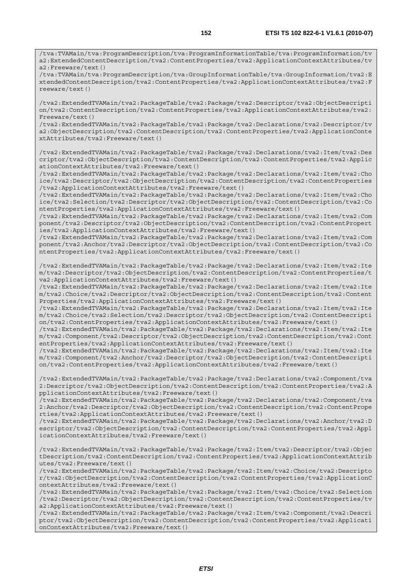/tva:TVAMain/tva:ProgramDescription/tva:ProgramInformationTable/tva:ProgramInformation/tv a2:ExtendedContentDescription/tva2:ContentProperties/tva2:ApplicationContextAttributes/tv a2:Freeware/text()

/tva:TVAMain/tva:ProgramDescription/tva:GroupInformationTable/tva:GroupInformation/tva2:E xtendedContentDescription/tva2:ContentProperties/tva2:ApplicationContextAttributes/tva2:F reeware/text()

/tva2:ExtendedTVAMain/tva2:PackageTable/tva2:Package/tva2:Descriptor/tva2:ObjectDescripti on/tva2:ContentDescription/tva2:ContentProperties/tva2:ApplicationContextAttributes/tva2: Freeware/text()

/tva2:ExtendedTVAMain/tva2:PackageTable/tva2:Package/tva2:Declarations/tva2:Descriptor/tv a2:ObjectDescription/tva2:ContentDescription/tva2:ContentProperties/tva2:ApplicationConte xtAttributes/tva2:Freeware/text()

/tva2:ExtendedTVAMain/tva2:PackageTable/tva2:Package/tva2:Declarations/tva2:Item/tva2:Des criptor/tva2:ObjectDescription/tva2:ContentDescription/tva2:ContentProperties/tva2:Applic ationContextAttributes/tva2:Freeware/text()

/tva2:ExtendedTVAMain/tva2:PackageTable/tva2:Package/tva2:Declarations/tva2:Item/tva2:Cho ice/tva2:Descriptor/tva2:ObjectDescription/tva2:ContentDescription/tva2:ContentProperties /tva2:ApplicationContextAttributes/tva2:Freeware/text()

/tva2:ExtendedTVAMain/tva2:PackageTable/tva2:Package/tva2:Declarations/tva2:Item/tva2:Cho ice/tva2:Selection/tva2:Descriptor/tva2:ObjectDescription/tva2:ContentDescription/tva2:Co ntentProperties/tva2:ApplicationContextAttributes/tva2:Freeware/text()

/tva2:ExtendedTVAMain/tva2:PackageTable/tva2:Package/tva2:Declarations/tva2:Item/tva2:Com ponent/tva2:Descriptor/tva2:ObjectDescription/tva2:ContentDescription/tva2:ContentPropert ies/tva2:ApplicationContextAttributes/tva2:Freeware/text()

/tva2:ExtendedTVAMain/tva2:PackageTable/tva2:Package/tva2:Declarations/tva2:Item/tva2:Com ponent/tva2:Anchor/tva2:Descriptor/tva2:ObjectDescription/tva2:ContentDescription/tva2:Co ntentProperties/tva2:ApplicationContextAttributes/tva2:Freeware/text()

/tva2:ExtendedTVAMain/tva2:PackageTable/tva2:Package/tva2:Declarations/tva2:Item/tva2:Ite m/tva2:Descriptor/tva2:ObjectDescription/tva2:ContentDescription/tva2:ContentProperties/t va2:ApplicationContextAttributes/tva2:Freeware/text()

/tva2:ExtendedTVAMain/tva2:PackageTable/tva2:Package/tva2:Declarations/tva2:Item/tva2:Ite m/tva2:Choice/tva2:Descriptor/tva2:ObjectDescription/tva2:ContentDescription/tva2:Content Properties/tva2:ApplicationContextAttributes/tva2:Freeware/text()

/tva2:ExtendedTVAMain/tva2:PackageTable/tva2:Package/tva2:Declarations/tva2:Item/tva2:Ite m/tva2:Choice/tva2:Selection/tva2:Descriptor/tva2:ObjectDescription/tva2:ContentDescripti on/tva2:ContentProperties/tva2:ApplicationContextAttributes/tva2:Freeware/text()

/tva2:ExtendedTVAMain/tva2:PackageTable/tva2:Package/tva2:Declarations/tva2:Item/tva2:Ite m/tva2:Component/tva2:Descriptor/tva2:ObjectDescription/tva2:ContentDescription/tva2:Cont entProperties/tva2:ApplicationContextAttributes/tva2:Freeware/text()

/tva2:ExtendedTVAMain/tva2:PackageTable/tva2:Package/tva2:Declarations/tva2:Item/tva2:Ite m/tva2:Component/tva2:Anchor/tva2:Descriptor/tva2:ObjectDescription/tva2:ContentDescripti on/tva2:ContentProperties/tva2:ApplicationContextAttributes/tva2:Freeware/text()

/tva2:ExtendedTVAMain/tva2:PackageTable/tva2:Package/tva2:Declarations/tva2:Component/tva 2:Descriptor/tva2:ObjectDescription/tva2:ContentDescription/tva2:ContentProperties/tva2:A pplicationContextAttributes/tva2:Freeware/text()

/tva2:ExtendedTVAMain/tva2:PackageTable/tva2:Package/tva2:Declarations/tva2:Component/tva 2:Anchor/tva2:Descriptor/tva2:ObjectDescription/tva2:ContentDescription/tva2:ContentPrope rties/tva2:ApplicationContextAttributes/tva2:Freeware/text()

/tva2:ExtendedTVAMain/tva2:PackageTable/tva2:Package/tva2:Declarations/tva2:Anchor/tva2:D escriptor/tva2:ObjectDescription/tva2:ContentDescription/tva2:ContentProperties/tva2:Appl icationContextAttributes/tva2:Freeware/text()

/tva2:ExtendedTVAMain/tva2:PackageTable/tva2:Package/tva2:Item/tva2:Descriptor/tva2:Objec tDescription/tva2:ContentDescription/tva2:ContentProperties/tva2:ApplicationContextAttrib utes/tva2:Freeware/text()

/tva2:ExtendedTVAMain/tva2:PackageTable/tva2:Package/tva2:Item/tva2:Choice/tva2:Descripto r/tva2:ObjectDescription/tva2:ContentDescription/tva2:ContentProperties/tva2:ApplicationC ontextAttributes/tva2:Freeware/text()

/tva2:ExtendedTVAMain/tva2:PackageTable/tva2:Package/tva2:Item/tva2:Choice/tva2:Selection /tva2:Descriptor/tva2:ObjectDescription/tva2:ContentDescription/tva2:ContentProperties/tv a2:ApplicationContextAttributes/tva2:Freeware/text()

/tva2:ExtendedTVAMain/tva2:PackageTable/tva2:Package/tva2:Item/tva2:Component/tva2:Descri ptor/tva2:ObjectDescription/tva2:ContentDescription/tva2:ContentProperties/tva2:Applicati onContextAttributes/tva2:Freeware/text()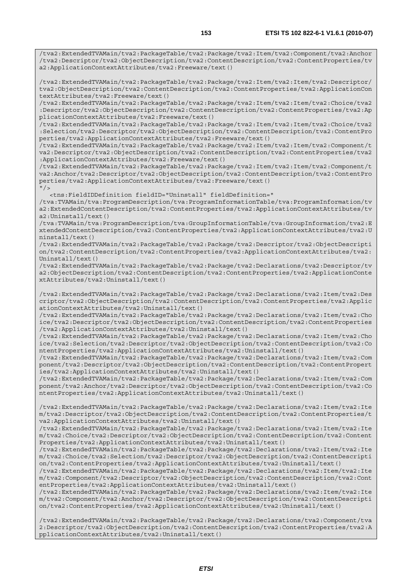/tva2:ExtendedTVAMain/tva2:PackageTable/tva2:Package/tva2:Item/tva2:Component/tva2:Anchor /tva2:Descriptor/tva2:ObjectDescription/tva2:ContentDescription/tva2:ContentProperties/tv a2:ApplicationContextAttributes/tva2:Freeware/text()

/tva2:ExtendedTVAMain/tva2:PackageTable/tva2:Package/tva2:Item/tva2:Item/tva2:Descriptor/ tva2:ObjectDescription/tva2:ContentDescription/tva2:ContentProperties/tva2:ApplicationCon textAttributes/tva2:Freeware/text()

/tva2:ExtendedTVAMain/tva2:PackageTable/tva2:Package/tva2:Item/tva2:Item/tva2:Choice/tva2 :Descriptor/tva2:ObjectDescription/tva2:ContentDescription/tva2:ContentProperties/tva2:Ap plicationContextAttributes/tva2:Freeware/text()

/tva2:ExtendedTVAMain/tva2:PackageTable/tva2:Package/tva2:Item/tva2:Item/tva2:Choice/tva2 :Selection/tva2:Descriptor/tva2:ObjectDescription/tva2:ContentDescription/tva2:ContentPro perties/tva2:ApplicationContextAttributes/tva2:Freeware/text()

/tva2:ExtendedTVAMain/tva2:PackageTable/tva2:Package/tva2:Item/tva2:Item/tva2:Component/t va2:Descriptor/tva2:ObjectDescription/tva2:ContentDescription/tva2:ContentProperties/tva2 :ApplicationContextAttributes/tva2:Freeware/text()

/tva2:ExtendedTVAMain/tva2:PackageTable/tva2:Package/tva2:Item/tva2:Item/tva2:Component/t va2:Anchor/tva2:Descriptor/tva2:ObjectDescription/tva2:ContentDescription/tva2:ContentPro perties/tva2:ApplicationContextAttributes/tva2:Freeware/text()  $''$  / >

<tns:FieldIDDefinition fieldID="Uninstall" fieldDefinition="

/tva:TVAMain/tva:ProgramDescription/tva:ProgramInformationTable/tva:ProgramInformation/tv a2:ExtendedContentDescription/tva2:ContentProperties/tva2:ApplicationContextAttributes/tv a2:Uninstall/text()

/tva:TVAMain/tva:ProgramDescription/tva:GroupInformationTable/tva:GroupInformation/tva2:E xtendedContentDescription/tva2:ContentProperties/tva2:ApplicationContextAttributes/tva2:U ninstall/text()

/tva2:ExtendedTVAMain/tva2:PackageTable/tva2:Package/tva2:Descriptor/tva2:ObjectDescripti on/tva2:ContentDescription/tva2:ContentProperties/tva2:ApplicationContextAttributes/tva2: Uninstall/text()

/tva2:ExtendedTVAMain/tva2:PackageTable/tva2:Package/tva2:Declarations/tva2:Descriptor/tv a2:ObjectDescription/tva2:ContentDescription/tva2:ContentProperties/tva2:ApplicationConte xtAttributes/tva2:Uninstall/text()

/tva2:ExtendedTVAMain/tva2:PackageTable/tva2:Package/tva2:Declarations/tva2:Item/tva2:Des criptor/tva2:ObjectDescription/tva2:ContentDescription/tva2:ContentProperties/tva2:Applic ationContextAttributes/tva2:Uninstall/text()

/tva2:ExtendedTVAMain/tva2:PackageTable/tva2:Package/tva2:Declarations/tva2:Item/tva2:Cho ice/tva2:Descriptor/tva2:ObjectDescription/tva2:ContentDescription/tva2:ContentProperties /tva2:ApplicationContextAttributes/tva2:Uninstall/text()

/tva2:ExtendedTVAMain/tva2:PackageTable/tva2:Package/tva2:Declarations/tva2:Item/tva2:Cho ice/tva2:Selection/tva2:Descriptor/tva2:ObjectDescription/tva2:ContentDescription/tva2:Co ntentProperties/tva2:ApplicationContextAttributes/tva2:Uninstall/text()

/tva2:ExtendedTVAMain/tva2:PackageTable/tva2:Package/tva2:Declarations/tva2:Item/tva2:Com ponent/tva2:Descriptor/tva2:ObjectDescription/tva2:ContentDescription/tva2:ContentPropert ies/tva2:ApplicationContextAttributes/tva2:Uninstall/text()

/tva2:ExtendedTVAMain/tva2:PackageTable/tva2:Package/tva2:Declarations/tva2:Item/tva2:Com ponent/tva2:Anchor/tva2:Descriptor/tva2:ObjectDescription/tva2:ContentDescription/tva2:Co ntentProperties/tva2:ApplicationContextAttributes/tva2:Uninstall/text()

/tva2:ExtendedTVAMain/tva2:PackageTable/tva2:Package/tva2:Declarations/tva2:Item/tva2:Ite m/tva2:Descriptor/tva2:ObjectDescription/tva2:ContentDescription/tva2:ContentProperties/t va2:ApplicationContextAttributes/tva2:Uninstall/text()

/tva2:ExtendedTVAMain/tva2:PackageTable/tva2:Package/tva2:Declarations/tva2:Item/tva2:Ite m/tva2:Choice/tva2:Descriptor/tva2:ObjectDescription/tva2:ContentDescription/tva2:Content Properties/tva2:ApplicationContextAttributes/tva2:Uninstall/text()

/tva2:ExtendedTVAMain/tva2:PackageTable/tva2:Package/tva2:Declarations/tva2:Item/tva2:Ite m/tva2:Choice/tva2:Selection/tva2:Descriptor/tva2:ObjectDescription/tva2:ContentDescripti on/tva2:ContentProperties/tva2:ApplicationContextAttributes/tva2:Uninstall/text()

/tva2:ExtendedTVAMain/tva2:PackageTable/tva2:Package/tva2:Declarations/tva2:Item/tva2:Ite m/tva2:Component/tva2:Descriptor/tva2:ObjectDescription/tva2:ContentDescription/tva2:Cont entProperties/tva2:ApplicationContextAttributes/tva2:Uninstall/text()

/tva2:ExtendedTVAMain/tva2:PackageTable/tva2:Package/tva2:Declarations/tva2:Item/tva2:Ite m/tva2:Component/tva2:Anchor/tva2:Descriptor/tva2:ObjectDescription/tva2:ContentDescripti on/tva2:ContentProperties/tva2:ApplicationContextAttributes/tva2:Uninstall/text()

/tva2:ExtendedTVAMain/tva2:PackageTable/tva2:Package/tva2:Declarations/tva2:Component/tva 2:Descriptor/tva2:ObjectDescription/tva2:ContentDescription/tva2:ContentProperties/tva2:A pplicationContextAttributes/tva2:Uninstall/text()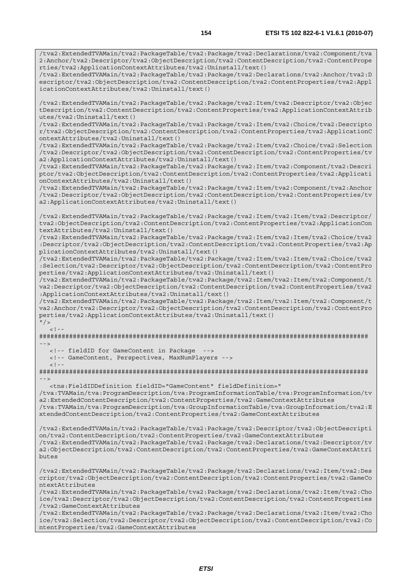/tva2:ExtendedTVAMain/tva2:PackageTable/tva2:Package/tva2:Declarations/tva2:Anchor/tva2:D escriptor/tva2:ObjectDescription/tva2:ContentDescription/tva2:ContentProperties/tva2:Appl icationContextAttributes/tva2:Uninstall/text()

/tva2:ExtendedTVAMain/tva2:PackageTable/tva2:Package/tva2:Item/tva2:Descriptor/tva2:Objec tDescription/tva2:ContentDescription/tva2:ContentProperties/tva2:ApplicationContextAttrib utes/tva2:Uninstall/text()

/tva2:ExtendedTVAMain/tva2:PackageTable/tva2:Package/tva2:Item/tva2:Choice/tva2:Descripto r/tva2:ObjectDescription/tva2:ContentDescription/tva2:ContentProperties/tva2:ApplicationC ontextAttributes/tva2:Uninstall/text()

/tva2:ExtendedTVAMain/tva2:PackageTable/tva2:Package/tva2:Item/tva2:Choice/tva2:Selection /tva2:Descriptor/tva2:ObjectDescription/tva2:ContentDescription/tva2:ContentProperties/tv a2:ApplicationContextAttributes/tva2:Uninstall/text()

/tva2:ExtendedTVAMain/tva2:PackageTable/tva2:Package/tva2:Item/tva2:Component/tva2:Descri ptor/tva2:ObjectDescription/tva2:ContentDescription/tva2:ContentProperties/tva2:Applicati onContextAttributes/tva2:Uninstall/text()

/tva2:ExtendedTVAMain/tva2:PackageTable/tva2:Package/tva2:Item/tva2:Component/tva2:Anchor /tva2:Descriptor/tva2:ObjectDescription/tva2:ContentDescription/tva2:ContentProperties/tv a2:ApplicationContextAttributes/tva2:Uninstall/text()

/tva2:ExtendedTVAMain/tva2:PackageTable/tva2:Package/tva2:Item/tva2:Item/tva2:Descriptor/ tva2:ObjectDescription/tva2:ContentDescription/tva2:ContentProperties/tva2:ApplicationCon textAttributes/tva2:Uninstall/text()

/tva2:ExtendedTVAMain/tva2:PackageTable/tva2:Package/tva2:Item/tva2:Item/tva2:Choice/tva2 :Descriptor/tva2:ObjectDescription/tva2:ContentDescription/tva2:ContentProperties/tva2:Ap plicationContextAttributes/tva2:Uninstall/text()

/tva2:ExtendedTVAMain/tva2:PackageTable/tva2:Package/tva2:Item/tva2:Item/tva2:Choice/tva2 :Selection/tva2:Descriptor/tva2:ObjectDescription/tva2:ContentDescription/tva2:ContentPro perties/tva2:ApplicationContextAttributes/tva2:Uninstall/text()

/tva2:ExtendedTVAMain/tva2:PackageTable/tva2:Package/tva2:Item/tva2:Item/tva2:Component/t va2:Descriptor/tva2:ObjectDescription/tva2:ContentDescription/tva2:ContentProperties/tva2 :ApplicationContextAttributes/tva2:Uninstall/text()

/tva2:ExtendedTVAMain/tva2:PackageTable/tva2:Package/tva2:Item/tva2:Item/tva2:Component/t va2:Anchor/tva2:Descriptor/tva2:ObjectDescription/tva2:ContentDescription/tva2:ContentPro perties/tva2:ApplicationContextAttributes/tva2:Uninstall/text()

 $''$  / >  $\lt$  ! -

######################################################################################## -->

<!-- fieldID for GameContent in Package

 <!-- GameContent, Perspectives, MaxNumPlayers -->  $< 1 -$ 

######################################################################################## -->

 <tns:FieldIDDefinition fieldID="GameContent" fieldDefinition=" /tva:TVAMain/tva:ProgramDescription/tva:ProgramInformationTable/tva:ProgramInformation/tv a2:ExtendedContentDescription/tva2:ContentProperties/tva2:GameContextAttributes /tva:TVAMain/tva:ProgramDescription/tva:GroupInformationTable/tva:GroupInformation/tva2:E xtendedContentDescription/tva2:ContentProperties/tva2:GameContextAttributes

/tva2:ExtendedTVAMain/tva2:PackageTable/tva2:Package/tva2:Descriptor/tva2:ObjectDescripti on/tva2:ContentDescription/tva2:ContentProperties/tva2:GameContextAttributes /tva2:ExtendedTVAMain/tva2:PackageTable/tva2:Package/tva2:Declarations/tva2:Descriptor/tv a2:ObjectDescription/tva2:ContentDescription/tva2:ContentProperties/tva2:GameContextAttri butes

/tva2:ExtendedTVAMain/tva2:PackageTable/tva2:Package/tva2:Declarations/tva2:Item/tva2:Des criptor/tva2:ObjectDescription/tva2:ContentDescription/tva2:ContentProperties/tva2:GameCo ntextAttributes

/tva2:ExtendedTVAMain/tva2:PackageTable/tva2:Package/tva2:Declarations/tva2:Item/tva2:Cho ice/tva2:Descriptor/tva2:ObjectDescription/tva2:ContentDescription/tva2:ContentProperties /tva2:GameContextAttributes

/tva2:ExtendedTVAMain/tva2:PackageTable/tva2:Package/tva2:Declarations/tva2:Item/tva2:Cho ice/tva2:Selection/tva2:Descriptor/tva2:ObjectDescription/tva2:ContentDescription/tva2:Co ntentProperties/tva2:GameContextAttributes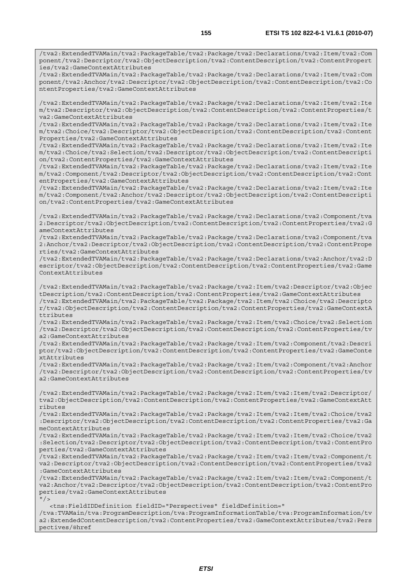/tva2:ExtendedTVAMain/tva2:PackageTable/tva2:Package/tva2:Declarations/tva2:Item/tva2:Com ponent/tva2:Descriptor/tva2:ObjectDescription/tva2:ContentDescription/tva2:ContentPropert ies/tva2:GameContextAttributes

/tva2:ExtendedTVAMain/tva2:PackageTable/tva2:Package/tva2:Declarations/tva2:Item/tva2:Com ponent/tva2:Anchor/tva2:Descriptor/tva2:ObjectDescription/tva2:ContentDescription/tva2:Co ntentProperties/tva2:GameContextAttributes

/tva2:ExtendedTVAMain/tva2:PackageTable/tva2:Package/tva2:Declarations/tva2:Item/tva2:Ite m/tva2:Descriptor/tva2:ObjectDescription/tva2:ContentDescription/tva2:ContentProperties/t va2:GameContextAttributes

/tva2:ExtendedTVAMain/tva2:PackageTable/tva2:Package/tva2:Declarations/tva2:Item/tva2:Ite m/tva2:Choice/tva2:Descriptor/tva2:ObjectDescription/tva2:ContentDescription/tva2:Content Properties/tva2:GameContextAttributes

/tva2:ExtendedTVAMain/tva2:PackageTable/tva2:Package/tva2:Declarations/tva2:Item/tva2:Ite m/tva2:Choice/tva2:Selection/tva2:Descriptor/tva2:ObjectDescription/tva2:ContentDescripti on/tva2:ContentProperties/tva2:GameContextAttributes

/tva2:ExtendedTVAMain/tva2:PackageTable/tva2:Package/tva2:Declarations/tva2:Item/tva2:Ite m/tva2:Component/tva2:Descriptor/tva2:ObjectDescription/tva2:ContentDescription/tva2:Cont entProperties/tva2:GameContextAttributes

/tva2:ExtendedTVAMain/tva2:PackageTable/tva2:Package/tva2:Declarations/tva2:Item/tva2:Ite m/tva2:Component/tva2:Anchor/tva2:Descriptor/tva2:ObjectDescription/tva2:ContentDescripti on/tva2:ContentProperties/tva2:GameContextAttributes

/tva2:ExtendedTVAMain/tva2:PackageTable/tva2:Package/tva2:Declarations/tva2:Component/tva 2:Descriptor/tva2:ObjectDescription/tva2:ContentDescription/tva2:ContentProperties/tva2:G ameContextAttributes

/tva2:ExtendedTVAMain/tva2:PackageTable/tva2:Package/tva2:Declarations/tva2:Component/tva 2:Anchor/tva2:Descriptor/tva2:ObjectDescription/tva2:ContentDescription/tva2:ContentPrope rties/tva2:GameContextAttributes

/tva2:ExtendedTVAMain/tva2:PackageTable/tva2:Package/tva2:Declarations/tva2:Anchor/tva2:D escriptor/tva2:ObjectDescription/tva2:ContentDescription/tva2:ContentProperties/tva2:Game ContextAttributes

/tva2:ExtendedTVAMain/tva2:PackageTable/tva2:Package/tva2:Item/tva2:Descriptor/tva2:Objec tDescription/tva2:ContentDescription/tva2:ContentProperties/tva2:GameContextAttributes /tva2:ExtendedTVAMain/tva2:PackageTable/tva2:Package/tva2:Item/tva2:Choice/tva2:Descripto r/tva2:ObjectDescription/tva2:ContentDescription/tva2:ContentProperties/tva2:GameContextA ttributes

/tva2:ExtendedTVAMain/tva2:PackageTable/tva2:Package/tva2:Item/tva2:Choice/tva2:Selection /tva2:Descriptor/tva2:ObjectDescription/tva2:ContentDescription/tva2:ContentProperties/tv a2:GameContextAttributes

/tva2:ExtendedTVAMain/tva2:PackageTable/tva2:Package/tva2:Item/tva2:Component/tva2:Descri ptor/tva2:ObjectDescription/tva2:ContentDescription/tva2:ContentProperties/tva2:GameConte xtAttributes

/tva2:ExtendedTVAMain/tva2:PackageTable/tva2:Package/tva2:Item/tva2:Component/tva2:Anchor /tva2:Descriptor/tva2:ObjectDescription/tva2:ContentDescription/tva2:ContentProperties/tv a2:GameContextAttributes

/tva2:ExtendedTVAMain/tva2:PackageTable/tva2:Package/tva2:Item/tva2:Item/tva2:Descriptor/ tva2:ObjectDescription/tva2:ContentDescription/tva2:ContentProperties/tva2:GameContextAtt ributes

/tva2:ExtendedTVAMain/tva2:PackageTable/tva2:Package/tva2:Item/tva2:Item/tva2:Choice/tva2 :Descriptor/tva2:ObjectDescription/tva2:ContentDescription/tva2:ContentProperties/tva2:Ga meContextAttributes

/tva2:ExtendedTVAMain/tva2:PackageTable/tva2:Package/tva2:Item/tva2:Item/tva2:Choice/tva2 :Selection/tva2:Descriptor/tva2:ObjectDescription/tva2:ContentDescription/tva2:ContentPro perties/tva2:GameContextAttributes

/tva2:ExtendedTVAMain/tva2:PackageTable/tva2:Package/tva2:Item/tva2:Item/tva2:Component/t va2:Descriptor/tva2:ObjectDescription/tva2:ContentDescription/tva2:ContentProperties/tva2 :GameContextAttributes

/tva2:ExtendedTVAMain/tva2:PackageTable/tva2:Package/tva2:Item/tva2:Item/tva2:Component/t va2:Anchor/tva2:Descriptor/tva2:ObjectDescription/tva2:ContentDescription/tva2:ContentPro perties/tva2:GameContextAttributes  $"$ /

 <tns:FieldIDDefinition fieldID="Perspectives" fieldDefinition=" /tva:TVAMain/tva:ProgramDescription/tva:ProgramInformationTable/tva:ProgramInformation/tv a2:ExtendedContentDescription/tva2:ContentProperties/tva2:GameContextAttributes/tva2:Pers pectives/@href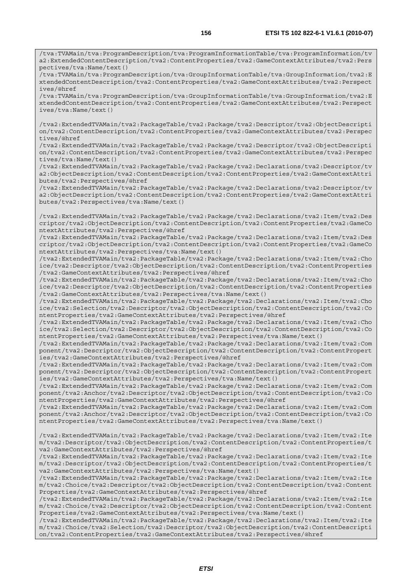/tva:TVAMain/tva:ProgramDescription/tva:ProgramInformationTable/tva:ProgramInformation/tv a2:ExtendedContentDescription/tva2:ContentProperties/tva2:GameContextAttributes/tva2:Pers pectives/tva:Name/text()

/tva:TVAMain/tva:ProgramDescription/tva:GroupInformationTable/tva:GroupInformation/tva2:E xtendedContentDescription/tva2:ContentProperties/tva2:GameContextAttributes/tva2:Perspect ives/@href

/tva:TVAMain/tva:ProgramDescription/tva:GroupInformationTable/tva:GroupInformation/tva2:E xtendedContentDescription/tva2:ContentProperties/tva2:GameContextAttributes/tva2:Perspect ives/tva:Name/text()

/tva2:ExtendedTVAMain/tva2:PackageTable/tva2:Package/tva2:Descriptor/tva2:ObjectDescripti on/tva2:ContentDescription/tva2:ContentProperties/tva2:GameContextAttributes/tva2:Perspec tives/@href

/tva2:ExtendedTVAMain/tva2:PackageTable/tva2:Package/tva2:Descriptor/tva2:ObjectDescripti on/tva2:ContentDescription/tva2:ContentProperties/tva2:GameContextAttributes/tva2:Perspec tives/tva:Name/text()

/tva2:ExtendedTVAMain/tva2:PackageTable/tva2:Package/tva2:Declarations/tva2:Descriptor/tv a2:ObjectDescription/tva2:ContentDescription/tva2:ContentProperties/tva2:GameContextAttri butes/tva2:Perspectives/@href

/tva2:ExtendedTVAMain/tva2:PackageTable/tva2:Package/tva2:Declarations/tva2:Descriptor/tv a2:ObjectDescription/tva2:ContentDescription/tva2:ContentProperties/tva2:GameContextAttri butes/tva2:Perspectives/tva:Name/text()

/tva2:ExtendedTVAMain/tva2:PackageTable/tva2:Package/tva2:Declarations/tva2:Item/tva2:Des criptor/tva2:ObjectDescription/tva2:ContentDescription/tva2:ContentProperties/tva2:GameCo ntextAttributes/tva2:Perspectives/@href

/tva2:ExtendedTVAMain/tva2:PackageTable/tva2:Package/tva2:Declarations/tva2:Item/tva2:Des criptor/tva2:ObjectDescription/tva2:ContentDescription/tva2:ContentProperties/tva2:GameCo ntextAttributes/tva2:Perspectives/tva:Name/text()

/tva2:ExtendedTVAMain/tva2:PackageTable/tva2:Package/tva2:Declarations/tva2:Item/tva2:Cho ice/tva2:Descriptor/tva2:ObjectDescription/tva2:ContentDescription/tva2:ContentProperties /tva2:GameContextAttributes/tva2:Perspectives/@href

/tva2:ExtendedTVAMain/tva2:PackageTable/tva2:Package/tva2:Declarations/tva2:Item/tva2:Cho ice/tva2:Descriptor/tva2:ObjectDescription/tva2:ContentDescription/tva2:ContentProperties /tva2:GameContextAttributes/tva2:Perspectives/tva:Name/text()

/tva2:ExtendedTVAMain/tva2:PackageTable/tva2:Package/tva2:Declarations/tva2:Item/tva2:Cho ice/tva2:Selection/tva2:Descriptor/tva2:ObjectDescription/tva2:ContentDescription/tva2:Co ntentProperties/tva2:GameContextAttributes/tva2:Perspectives/@href

/tva2:ExtendedTVAMain/tva2:PackageTable/tva2:Package/tva2:Declarations/tva2:Item/tva2:Cho ice/tva2:Selection/tva2:Descriptor/tva2:ObjectDescription/tva2:ContentDescription/tva2:Co ntentProperties/tva2:GameContextAttributes/tva2:Perspectives/tva:Name/text()

/tva2:ExtendedTVAMain/tva2:PackageTable/tva2:Package/tva2:Declarations/tva2:Item/tva2:Com ponent/tva2:Descriptor/tva2:ObjectDescription/tva2:ContentDescription/tva2:ContentPropert ies/tva2:GameContextAttributes/tva2:Perspectives/@href

/tva2:ExtendedTVAMain/tva2:PackageTable/tva2:Package/tva2:Declarations/tva2:Item/tva2:Com ponent/tva2:Descriptor/tva2:ObjectDescription/tva2:ContentDescription/tva2:ContentPropert ies/tva2:GameContextAttributes/tva2:Perspectives/tva:Name/text()

/tva2:ExtendedTVAMain/tva2:PackageTable/tva2:Package/tva2:Declarations/tva2:Item/tva2:Com ponent/tva2:Anchor/tva2:Descriptor/tva2:ObjectDescription/tva2:ContentDescription/tva2:Co ntentProperties/tva2:GameContextAttributes/tva2:Perspectives/@href

/tva2:ExtendedTVAMain/tva2:PackageTable/tva2:Package/tva2:Declarations/tva2:Item/tva2:Com ponent/tva2:Anchor/tva2:Descriptor/tva2:ObjectDescription/tva2:ContentDescription/tva2:Co ntentProperties/tva2:GameContextAttributes/tva2:Perspectives/tva:Name/text()

/tva2:ExtendedTVAMain/tva2:PackageTable/tva2:Package/tva2:Declarations/tva2:Item/tva2:Ite m/tva2:Descriptor/tva2:ObjectDescription/tva2:ContentDescription/tva2:ContentProperties/t va2:GameContextAttributes/tva2:Perspectives/@href

/tva2:ExtendedTVAMain/tva2:PackageTable/tva2:Package/tva2:Declarations/tva2:Item/tva2:Ite m/tva2:Descriptor/tva2:ObjectDescription/tva2:ContentDescription/tva2:ContentProperties/t va2:GameContextAttributes/tva2:Perspectives/tva:Name/text()

/tva2:ExtendedTVAMain/tva2:PackageTable/tva2:Package/tva2:Declarations/tva2:Item/tva2:Ite m/tva2:Choice/tva2:Descriptor/tva2:ObjectDescription/tva2:ContentDescription/tva2:Content Properties/tva2:GameContextAttributes/tva2:Perspectives/@href

/tva2:ExtendedTVAMain/tva2:PackageTable/tva2:Package/tva2:Declarations/tva2:Item/tva2:Ite m/tva2:Choice/tva2:Descriptor/tva2:ObjectDescription/tva2:ContentDescription/tva2:Content Properties/tva2:GameContextAttributes/tva2:Perspectives/tva:Name/text()

/tva2:ExtendedTVAMain/tva2:PackageTable/tva2:Package/tva2:Declarations/tva2:Item/tva2:Ite m/tva2:Choice/tva2:Selection/tva2:Descriptor/tva2:ObjectDescription/tva2:ContentDescripti on/tva2:ContentProperties/tva2:GameContextAttributes/tva2:Perspectives/@href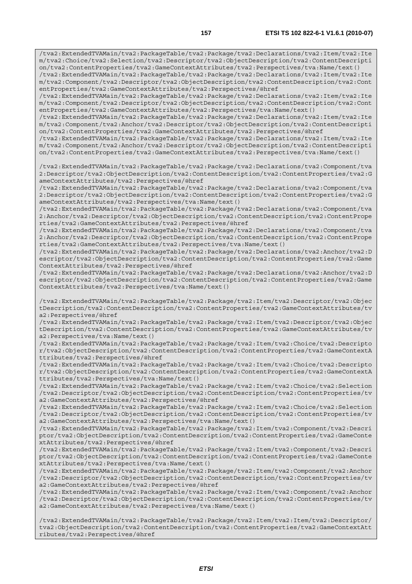/tva2:ExtendedTVAMain/tva2:PackageTable/tva2:Package/tva2:Declarations/tva2:Item/tva2:Ite m/tva2:Choice/tva2:Selection/tva2:Descriptor/tva2:ObjectDescription/tva2:ContentDescripti on/tva2:ContentProperties/tva2:GameContextAttributes/tva2:Perspectives/tva:Name/text()

/tva2:ExtendedTVAMain/tva2:PackageTable/tva2:Package/tva2:Declarations/tva2:Item/tva2:Ite m/tva2:Component/tva2:Descriptor/tva2:ObjectDescription/tva2:ContentDescription/tva2:Cont entProperties/tva2:GameContextAttributes/tva2:Perspectives/@href

/tva2:ExtendedTVAMain/tva2:PackageTable/tva2:Package/tva2:Declarations/tva2:Item/tva2:Ite m/tva2:Component/tva2:Descriptor/tva2:ObjectDescription/tva2:ContentDescription/tva2:Cont entProperties/tva2:GameContextAttributes/tva2:Perspectives/tva:Name/text()

/tva2:ExtendedTVAMain/tva2:PackageTable/tva2:Package/tva2:Declarations/tva2:Item/tva2:Ite m/tva2:Component/tva2:Anchor/tva2:Descriptor/tva2:ObjectDescription/tva2:ContentDescripti on/tva2:ContentProperties/tva2:GameContextAttributes/tva2:Perspectives/@href

/tva2:ExtendedTVAMain/tva2:PackageTable/tva2:Package/tva2:Declarations/tva2:Item/tva2:Ite m/tva2:Component/tva2:Anchor/tva2:Descriptor/tva2:ObjectDescription/tva2:ContentDescripti on/tva2:ContentProperties/tva2:GameContextAttributes/tva2:Perspectives/tva:Name/text()

/tva2:ExtendedTVAMain/tva2:PackageTable/tva2:Package/tva2:Declarations/tva2:Component/tva 2:Descriptor/tva2:ObjectDescription/tva2:ContentDescription/tva2:ContentProperties/tva2:G ameContextAttributes/tva2:Perspectives/@href

/tva2:ExtendedTVAMain/tva2:PackageTable/tva2:Package/tva2:Declarations/tva2:Component/tva 2:Descriptor/tva2:ObjectDescription/tva2:ContentDescription/tva2:ContentProperties/tva2:G ameContextAttributes/tva2:Perspectives/tva:Name/text()

/tva2:ExtendedTVAMain/tva2:PackageTable/tva2:Package/tva2:Declarations/tva2:Component/tva 2:Anchor/tva2:Descriptor/tva2:ObjectDescription/tva2:ContentDescription/tva2:ContentPrope rties/tva2:GameContextAttributes/tva2:Perspectives/@href

/tva2:ExtendedTVAMain/tva2:PackageTable/tva2:Package/tva2:Declarations/tva2:Component/tva 2:Anchor/tva2:Descriptor/tva2:ObjectDescription/tva2:ContentDescription/tva2:ContentPrope rties/tva2:GameContextAttributes/tva2:Perspectives/tva:Name/text()

/tva2:ExtendedTVAMain/tva2:PackageTable/tva2:Package/tva2:Declarations/tva2:Anchor/tva2:D escriptor/tva2:ObjectDescription/tva2:ContentDescription/tva2:ContentProperties/tva2:Game ContextAttributes/tva2:Perspectives/@href

/tva2:ExtendedTVAMain/tva2:PackageTable/tva2:Package/tva2:Declarations/tva2:Anchor/tva2:D escriptor/tva2:ObjectDescription/tva2:ContentDescription/tva2:ContentProperties/tva2:Game ContextAttributes/tva2:Perspectives/tva:Name/text()

/tva2:ExtendedTVAMain/tva2:PackageTable/tva2:Package/tva2:Item/tva2:Descriptor/tva2:Objec tDescription/tva2:ContentDescription/tva2:ContentProperties/tva2:GameContextAttributes/tv a2:Perspectives/@href

/tva2:ExtendedTVAMain/tva2:PackageTable/tva2:Package/tva2:Item/tva2:Descriptor/tva2:Objec tDescription/tva2:ContentDescription/tva2:ContentProperties/tva2:GameContextAttributes/tv a2:Perspectives/tva:Name/text()

/tva2:ExtendedTVAMain/tva2:PackageTable/tva2:Package/tva2:Item/tva2:Choice/tva2:Descripto r/tva2:ObjectDescription/tva2:ContentDescription/tva2:ContentProperties/tva2:GameContextA ttributes/tva2:Perspectives/@href

/tva2:ExtendedTVAMain/tva2:PackageTable/tva2:Package/tva2:Item/tva2:Choice/tva2:Descripto r/tva2:ObjectDescription/tva2:ContentDescription/tva2:ContentProperties/tva2:GameContextA ttributes/tva2:Perspectives/tva:Name/text()

/tva2:ExtendedTVAMain/tva2:PackageTable/tva2:Package/tva2:Item/tva2:Choice/tva2:Selection /tva2:Descriptor/tva2:ObjectDescription/tva2:ContentDescription/tva2:ContentProperties/tv a2:GameContextAttributes/tva2:Perspectives/@href

/tva2:ExtendedTVAMain/tva2:PackageTable/tva2:Package/tva2:Item/tva2:Choice/tva2:Selection /tva2:Descriptor/tva2:ObjectDescription/tva2:ContentDescription/tva2:ContentProperties/tv a2:GameContextAttributes/tva2:Perspectives/tva:Name/text()

/tva2:ExtendedTVAMain/tva2:PackageTable/tva2:Package/tva2:Item/tva2:Component/tva2:Descri ptor/tva2:ObjectDescription/tva2:ContentDescription/tva2:ContentProperties/tva2:GameConte xtAttributes/tva2:Perspectives/@href

/tva2:ExtendedTVAMain/tva2:PackageTable/tva2:Package/tva2:Item/tva2:Component/tva2:Descri ptor/tva2:ObjectDescription/tva2:ContentDescription/tva2:ContentProperties/tva2:GameConte xtAttributes/tva2:Perspectives/tva:Name/text()

/tva2:ExtendedTVAMain/tva2:PackageTable/tva2:Package/tva2:Item/tva2:Component/tva2:Anchor /tva2:Descriptor/tva2:ObjectDescription/tva2:ContentDescription/tva2:ContentProperties/tv a2:GameContextAttributes/tva2:Perspectives/@href

/tva2:ExtendedTVAMain/tva2:PackageTable/tva2:Package/tva2:Item/tva2:Component/tva2:Anchor /tva2:Descriptor/tva2:ObjectDescription/tva2:ContentDescription/tva2:ContentProperties/tv a2:GameContextAttributes/tva2:Perspectives/tva:Name/text()

/tva2:ExtendedTVAMain/tva2:PackageTable/tva2:Package/tva2:Item/tva2:Item/tva2:Descriptor/ tva2:ObjectDescription/tva2:ContentDescription/tva2:ContentProperties/tva2:GameContextAtt ributes/tva2:Perspectives/@href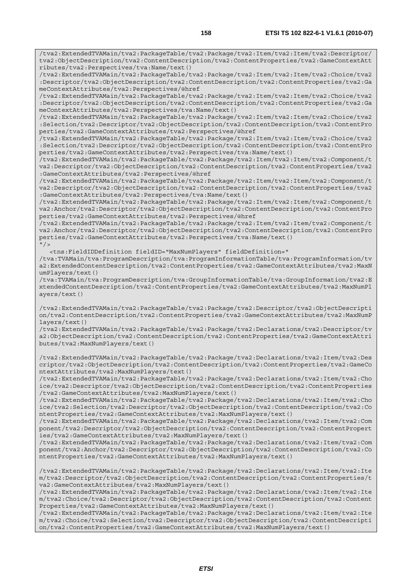/tva2:ExtendedTVAMain/tva2:PackageTable/tva2:Package/tva2:Item/tva2:Item/tva2:Descriptor/ tva2:ObjectDescription/tva2:ContentDescription/tva2:ContentProperties/tva2:GameContextAtt ributes/tva2:Perspectives/tva:Name/text()

/tva2:ExtendedTVAMain/tva2:PackageTable/tva2:Package/tva2:Item/tva2:Item/tva2:Choice/tva2 :Descriptor/tva2:ObjectDescription/tva2:ContentDescription/tva2:ContentProperties/tva2:Ga meContextAttributes/tva2:Perspectives/@href

/tva2:ExtendedTVAMain/tva2:PackageTable/tva2:Package/tva2:Item/tva2:Item/tva2:Choice/tva2 :Descriptor/tva2:ObjectDescription/tva2:ContentDescription/tva2:ContentProperties/tva2:Ga meContextAttributes/tva2:Perspectives/tva:Name/text()

/tva2:ExtendedTVAMain/tva2:PackageTable/tva2:Package/tva2:Item/tva2:Item/tva2:Choice/tva2 :Selection/tva2:Descriptor/tva2:ObjectDescription/tva2:ContentDescription/tva2:ContentPro perties/tva2:GameContextAttributes/tva2:Perspectives/@href

/tva2:ExtendedTVAMain/tva2:PackageTable/tva2:Package/tva2:Item/tva2:Item/tva2:Choice/tva2 :Selection/tva2:Descriptor/tva2:ObjectDescription/tva2:ContentDescription/tva2:ContentPro perties/tva2:GameContextAttributes/tva2:Perspectives/tva:Name/text()

/tva2:ExtendedTVAMain/tva2:PackageTable/tva2:Package/tva2:Item/tva2:Item/tva2:Component/t va2:Descriptor/tva2:ObjectDescription/tva2:ContentDescription/tva2:ContentProperties/tva2 :GameContextAttributes/tva2:Perspectives/@href

/tva2:ExtendedTVAMain/tva2:PackageTable/tva2:Package/tva2:Item/tva2:Item/tva2:Component/t va2:Descriptor/tva2:ObjectDescription/tva2:ContentDescription/tva2:ContentProperties/tva2 :GameContextAttributes/tva2:Perspectives/tva:Name/text()

/tva2:ExtendedTVAMain/tva2:PackageTable/tva2:Package/tva2:Item/tva2:Item/tva2:Component/t va2:Anchor/tva2:Descriptor/tva2:ObjectDescription/tva2:ContentDescription/tva2:ContentPro perties/tva2:GameContextAttributes/tva2:Perspectives/@href

/tva2:ExtendedTVAMain/tva2:PackageTable/tva2:Package/tva2:Item/tva2:Item/tva2:Component/t va2:Anchor/tva2:Descriptor/tva2:ObjectDescription/tva2:ContentDescription/tva2:ContentPro perties/tva2:GameContextAttributes/tva2:Perspectives/tva:Name/text()  $"$  />

<tns:FieldIDDefinition fieldID="MaxNumPlayers" fieldDefinition="

/tva:TVAMain/tva:ProgramDescription/tva:ProgramInformationTable/tva:ProgramInformation/tv a2:ExtendedContentDescription/tva2:ContentProperties/tva2:GameContextAttributes/tva2:MaxN umPlayers/text()

/tva:TVAMain/tva:ProgramDescription/tva:GroupInformationTable/tva:GroupInformation/tva2:E xtendedContentDescription/tva2:ContentProperties/tva2:GameContextAttributes/tva2:MaxNumPl ayers/text()

/tva2:ExtendedTVAMain/tva2:PackageTable/tva2:Package/tva2:Descriptor/tva2:ObjectDescripti on/tva2:ContentDescription/tva2:ContentProperties/tva2:GameContextAttributes/tva2:MaxNumP layers/text()

/tva2:ExtendedTVAMain/tva2:PackageTable/tva2:Package/tva2:Declarations/tva2:Descriptor/tv a2:ObjectDescription/tva2:ContentDescription/tva2:ContentProperties/tva2:GameContextAttri butes/tva2:MaxNumPlayers/text()

/tva2:ExtendedTVAMain/tva2:PackageTable/tva2:Package/tva2:Declarations/tva2:Item/tva2:Des criptor/tva2:ObjectDescription/tva2:ContentDescription/tva2:ContentProperties/tva2:GameCo ntextAttributes/tva2:MaxNumPlayers/text()

/tva2:ExtendedTVAMain/tva2:PackageTable/tva2:Package/tva2:Declarations/tva2:Item/tva2:Cho ice/tva2:Descriptor/tva2:ObjectDescription/tva2:ContentDescription/tva2:ContentProperties /tva2:GameContextAttributes/tva2:MaxNumPlayers/text()

/tva2:ExtendedTVAMain/tva2:PackageTable/tva2:Package/tva2:Declarations/tva2:Item/tva2:Cho ice/tva2:Selection/tva2:Descriptor/tva2:ObjectDescription/tva2:ContentDescription/tva2:Co ntentProperties/tva2:GameContextAttributes/tva2:MaxNumPlayers/text()

/tva2:ExtendedTVAMain/tva2:PackageTable/tva2:Package/tva2:Declarations/tva2:Item/tva2:Com ponent/tva2:Descriptor/tva2:ObjectDescription/tva2:ContentDescription/tva2:ContentPropert ies/tva2:GameContextAttributes/tva2:MaxNumPlayers/text()

/tva2:ExtendedTVAMain/tva2:PackageTable/tva2:Package/tva2:Declarations/tva2:Item/tva2:Com ponent/tva2:Anchor/tva2:Descriptor/tva2:ObjectDescription/tva2:ContentDescription/tva2:Co ntentProperties/tva2:GameContextAttributes/tva2:MaxNumPlayers/text()

/tva2:ExtendedTVAMain/tva2:PackageTable/tva2:Package/tva2:Declarations/tva2:Item/tva2:Ite m/tva2:Descriptor/tva2:ObjectDescription/tva2:ContentDescription/tva2:ContentProperties/t va2:GameContextAttributes/tva2:MaxNumPlayers/text()

/tva2:ExtendedTVAMain/tva2:PackageTable/tva2:Package/tva2:Declarations/tva2:Item/tva2:Ite m/tva2:Choice/tva2:Descriptor/tva2:ObjectDescription/tva2:ContentDescription/tva2:Content Properties/tva2:GameContextAttributes/tva2:MaxNumPlayers/text()

/tva2:ExtendedTVAMain/tva2:PackageTable/tva2:Package/tva2:Declarations/tva2:Item/tva2:Ite m/tva2:Choice/tva2:Selection/tva2:Descriptor/tva2:ObjectDescription/tva2:ContentDescripti on/tva2:ContentProperties/tva2:GameContextAttributes/tva2:MaxNumPlayers/text()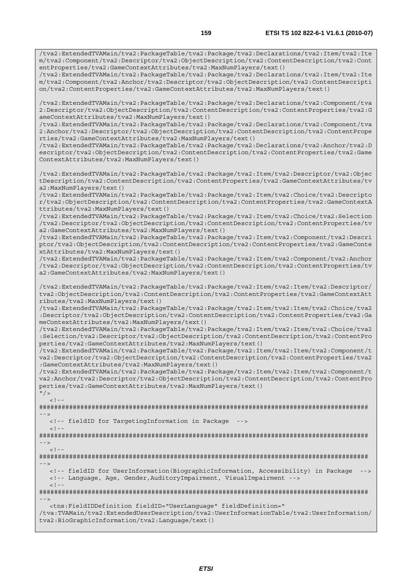/tva2:ExtendedTVAMain/tva2:PackageTable/tva2:Package/tva2:Declarations/tva2:Item/tva2:Ite m/tva2:Component/tva2:Descriptor/tva2:ObjectDescription/tva2:ContentDescription/tva2:Cont entProperties/tva2:GameContextAttributes/tva2:MaxNumPlayers/text()

/tva2:ExtendedTVAMain/tva2:PackageTable/tva2:Package/tva2:Declarations/tva2:Item/tva2:Ite m/tva2:Component/tva2:Anchor/tva2:Descriptor/tva2:ObjectDescription/tva2:ContentDescripti on/tva2:ContentProperties/tva2:GameContextAttributes/tva2:MaxNumPlayers/text()

/tva2:ExtendedTVAMain/tva2:PackageTable/tva2:Package/tva2:Declarations/tva2:Component/tva 2:Descriptor/tva2:ObjectDescription/tva2:ContentDescription/tva2:ContentProperties/tva2:G ameContextAttributes/tva2:MaxNumPlayers/text()

/tva2:ExtendedTVAMain/tva2:PackageTable/tva2:Package/tva2:Declarations/tva2:Component/tva 2:Anchor/tva2:Descriptor/tva2:ObjectDescription/tva2:ContentDescription/tva2:ContentPrope rties/tva2:GameContextAttributes/tva2:MaxNumPlayers/text()

/tva2:ExtendedTVAMain/tva2:PackageTable/tva2:Package/tva2:Declarations/tva2:Anchor/tva2:D escriptor/tva2:ObjectDescription/tva2:ContentDescription/tva2:ContentProperties/tva2:Game ContextAttributes/tva2:MaxNumPlayers/text()

/tva2:ExtendedTVAMain/tva2:PackageTable/tva2:Package/tva2:Item/tva2:Descriptor/tva2:Objec tDescription/tva2:ContentDescription/tva2:ContentProperties/tva2:GameContextAttributes/tv a2:MaxNumPlayers/text()

/tva2:ExtendedTVAMain/tva2:PackageTable/tva2:Package/tva2:Item/tva2:Choice/tva2:Descripto r/tva2:ObjectDescription/tva2:ContentDescription/tva2:ContentProperties/tva2:GameContextA ttributes/tva2:MaxNumPlayers/text()

/tva2:ExtendedTVAMain/tva2:PackageTable/tva2:Package/tva2:Item/tva2:Choice/tva2:Selection /tva2:Descriptor/tva2:ObjectDescription/tva2:ContentDescription/tva2:ContentProperties/tv a2:GameContextAttributes/tva2:MaxNumPlayers/text()

/tva2:ExtendedTVAMain/tva2:PackageTable/tva2:Package/tva2:Item/tva2:Component/tva2:Descri ptor/tva2:ObjectDescription/tva2:ContentDescription/tva2:ContentProperties/tva2:GameConte xtAttributes/tva2:MaxNumPlayers/text()

/tva2:ExtendedTVAMain/tva2:PackageTable/tva2:Package/tva2:Item/tva2:Component/tva2:Anchor /tva2:Descriptor/tva2:ObjectDescription/tva2:ContentDescription/tva2:ContentProperties/tv a2:GameContextAttributes/tva2:MaxNumPlayers/text()

/tva2:ExtendedTVAMain/tva2:PackageTable/tva2:Package/tva2:Item/tva2:Item/tva2:Descriptor/ tva2:ObjectDescription/tva2:ContentDescription/tva2:ContentProperties/tva2:GameContextAtt ributes/tva2:MaxNumPlayers/text()

/tva2:ExtendedTVAMain/tva2:PackageTable/tva2:Package/tva2:Item/tva2:Item/tva2:Choice/tva2 :Descriptor/tva2:ObjectDescription/tva2:ContentDescription/tva2:ContentProperties/tva2:Ga meContextAttributes/tva2:MaxNumPlayers/text()

/tva2:ExtendedTVAMain/tva2:PackageTable/tva2:Package/tva2:Item/tva2:Item/tva2:Choice/tva2 :Selection/tva2:Descriptor/tva2:ObjectDescription/tva2:ContentDescription/tva2:ContentPro perties/tva2:GameContextAttributes/tva2:MaxNumPlayers/text()

/tva2:ExtendedTVAMain/tva2:PackageTable/tva2:Package/tva2:Item/tva2:Item/tva2:Component/t va2:Descriptor/tva2:ObjectDescription/tva2:ContentDescription/tva2:ContentProperties/tva2 :GameContextAttributes/tva2:MaxNumPlayers/text()

/tva2:ExtendedTVAMain/tva2:PackageTable/tva2:Package/tva2:Item/tva2:Item/tva2:Component/t va2:Anchor/tva2:Descriptor/tva2:ObjectDescription/tva2:ContentDescription/tva2:ContentPro perties/tva2:GameContextAttributes/tva2:MaxNumPlayers/text()

 $''$ />  $\leq$  !  $-$ 

######################################################################################## -->

 <!-- fieldID for TargetingInformation in Package -->  $\leq$  !  $-$ 

######################################################################################## -->

 $\lt$  !  $-$ 

######################################################################################## -->

 <!-- fieldID for UserInformation(BiographicInformation, Accessibility) in Package --> <!-- Language, Age, Gender,AuditoryImpairment, VisualImpairment -->  $<$ ! --

######################################################################################## -->

 <tns:FieldIDDefinition fieldID="UserLanguage" fieldDefinition=" /tva:TVAMain/tva2:ExtendedUserDescription/tva2:UserInformationTable/tva2:UserInformation/ tva2:BioGraphicInformation/tva2:Language/text()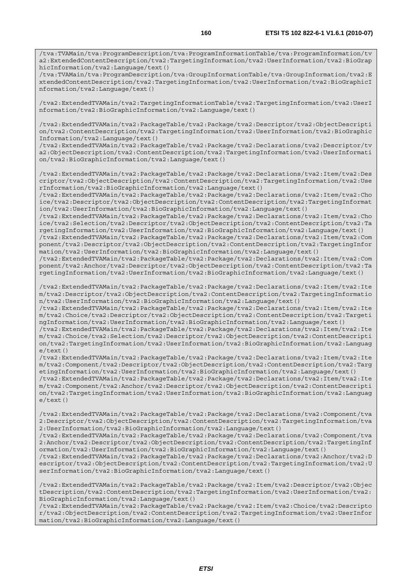/tva:TVAMain/tva:ProgramDescription/tva:ProgramInformationTable/tva:ProgramInformation/tv a2:ExtendedContentDescription/tva2:TargetingInformation/tva2:UserInformation/tva2:BioGrap hicInformation/tva2:Language/text()

/tva:TVAMain/tva:ProgramDescription/tva:GroupInformationTable/tva:GroupInformation/tva2:E xtendedContentDescription/tva2:TargetingInformation/tva2:UserInformation/tva2:BioGraphicI nformation/tva2:Language/text()

/tva2:ExtendedTVAMain/tva2:TargetingInformationTable/tva2:TargetingInformation/tva2:UserI nformation/tva2:BioGraphicInformation/tva2:Language/text()

/tva2:ExtendedTVAMain/tva2:PackageTable/tva2:Package/tva2:Descriptor/tva2:ObjectDescripti on/tva2:ContentDescription/tva2:TargetingInformation/tva2:UserInformation/tva2:BioGraphic Information/tva2:Language/text()

/tva2:ExtendedTVAMain/tva2:PackageTable/tva2:Package/tva2:Declarations/tva2:Descriptor/tv a2:ObjectDescription/tva2:ContentDescription/tva2:TargetingInformation/tva2:UserInformati on/tva2:BioGraphicInformation/tva2:Language/text()

/tva2:ExtendedTVAMain/tva2:PackageTable/tva2:Package/tva2:Declarations/tva2:Item/tva2:Des criptor/tva2:ObjectDescription/tva2:ContentDescription/tva2:TargetingInformation/tva2:Use rInformation/tva2:BioGraphicInformation/tva2:Language/text()

/tva2:ExtendedTVAMain/tva2:PackageTable/tva2:Package/tva2:Declarations/tva2:Item/tva2:Cho ice/tva2:Descriptor/tva2:ObjectDescription/tva2:ContentDescription/tva2:TargetingInformat ion/tva2:UserInformation/tva2:BioGraphicInformation/tva2:Language/text()

/tva2:ExtendedTVAMain/tva2:PackageTable/tva2:Package/tva2:Declarations/tva2:Item/tva2:Cho ice/tva2:Selection/tva2:Descriptor/tva2:ObjectDescription/tva2:ContentDescription/tva2:Ta rgetingInformation/tva2:UserInformation/tva2:BioGraphicInformation/tva2:Language/text()

/tva2:ExtendedTVAMain/tva2:PackageTable/tva2:Package/tva2:Declarations/tva2:Item/tva2:Com ponent/tva2:Descriptor/tva2:ObjectDescription/tva2:ContentDescription/tva2:TargetingInfor mation/tva2:UserInformation/tva2:BioGraphicInformation/tva2:Language/text()

/tva2:ExtendedTVAMain/tva2:PackageTable/tva2:Package/tva2:Declarations/tva2:Item/tva2:Com ponent/tva2:Anchor/tva2:Descriptor/tva2:ObjectDescription/tva2:ContentDescription/tva2:Ta rgetingInformation/tva2:UserInformation/tva2:BioGraphicInformation/tva2:Language/text()

/tva2:ExtendedTVAMain/tva2:PackageTable/tva2:Package/tva2:Declarations/tva2:Item/tva2:Ite m/tva2:Descriptor/tva2:ObjectDescription/tva2:ContentDescription/tva2:TargetingInformatio n/tva2:UserInformation/tva2:BioGraphicInformation/tva2:Language/text()

/tva2:ExtendedTVAMain/tva2:PackageTable/tva2:Package/tva2:Declarations/tva2:Item/tva2:Ite m/tva2:Choice/tva2:Descriptor/tva2:ObjectDescription/tva2:ContentDescription/tva2:Targeti ngInformation/tva2:UserInformation/tva2:BioGraphicInformation/tva2:Language/text()

/tva2:ExtendedTVAMain/tva2:PackageTable/tva2:Package/tva2:Declarations/tva2:Item/tva2:Ite m/tva2:Choice/tva2:Selection/tva2:Descriptor/tva2:ObjectDescription/tva2:ContentDescripti on/tva2:TargetingInformation/tva2:UserInformation/tva2:BioGraphicInformation/tva2:Languag e/text()

/tva2:ExtendedTVAMain/tva2:PackageTable/tva2:Package/tva2:Declarations/tva2:Item/tva2:Ite m/tva2:Component/tva2:Descriptor/tva2:ObjectDescription/tva2:ContentDescription/tva2:Targ etingInformation/tva2:UserInformation/tva2:BioGraphicInformation/tva2:Language/text()

/tva2:ExtendedTVAMain/tva2:PackageTable/tva2:Package/tva2:Declarations/tva2:Item/tva2:Ite m/tva2:Component/tva2:Anchor/tva2:Descriptor/tva2:ObjectDescription/tva2:ContentDescripti on/tva2:TargetingInformation/tva2:UserInformation/tva2:BioGraphicInformation/tva2:Languag  $e$ /text $()$ 

/tva2:ExtendedTVAMain/tva2:PackageTable/tva2:Package/tva2:Declarations/tva2:Component/tva 2:Descriptor/tva2:ObjectDescription/tva2:ContentDescription/tva2:TargetingInformation/tva 2:UserInformation/tva2:BioGraphicInformation/tva2:Language/text()

/tva2:ExtendedTVAMain/tva2:PackageTable/tva2:Package/tva2:Declarations/tva2:Component/tva 2:Anchor/tva2:Descriptor/tva2:ObjectDescription/tva2:ContentDescription/tva2:TargetingInf ormation/tva2:UserInformation/tva2:BioGraphicInformation/tva2:Language/text()

/tva2:ExtendedTVAMain/tva2:PackageTable/tva2:Package/tva2:Declarations/tva2:Anchor/tva2:D escriptor/tva2:ObjectDescription/tva2:ContentDescription/tva2:TargetingInformation/tva2:U serInformation/tva2:BioGraphicInformation/tva2:Language/text()

/tva2:ExtendedTVAMain/tva2:PackageTable/tva2:Package/tva2:Item/tva2:Descriptor/tva2:Objec tDescription/tva2:ContentDescription/tva2:TargetingInformation/tva2:UserInformation/tva2: BioGraphicInformation/tva2:Language/text()

/tva2:ExtendedTVAMain/tva2:PackageTable/tva2:Package/tva2:Item/tva2:Choice/tva2:Descripto r/tva2:ObjectDescription/tva2:ContentDescription/tva2:TargetingInformation/tva2:UserInfor mation/tva2:BioGraphicInformation/tva2:Language/text()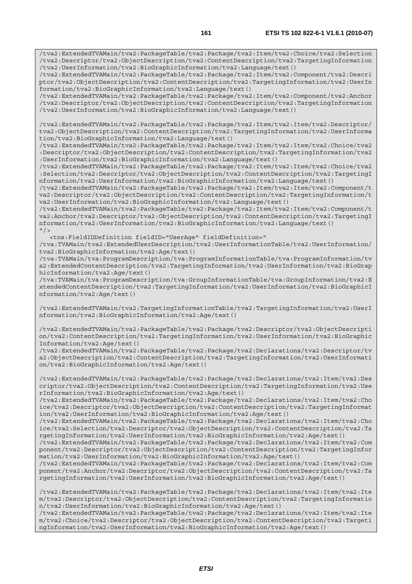/tva2:ExtendedTVAMain/tva2:PackageTable/tva2:Package/tva2:Item/tva2:Choice/tva2:Selection /tva2:Descriptor/tva2:ObjectDescription/tva2:ContentDescription/tva2:TargetingInformation /tva2:UserInformation/tva2:BioGraphicInformation/tva2:Language/text()

/tva2:ExtendedTVAMain/tva2:PackageTable/tva2:Package/tva2:Item/tva2:Component/tva2:Descri ptor/tva2:ObjectDescription/tva2:ContentDescription/tva2:TargetingInformation/tva2:UserIn formation/tva2:BioGraphicInformation/tva2:Language/text()

/tva2:ExtendedTVAMain/tva2:PackageTable/tva2:Package/tva2:Item/tva2:Component/tva2:Anchor /tva2:Descriptor/tva2:ObjectDescription/tva2:ContentDescription/tva2:TargetingInformation /tva2:UserInformation/tva2:BioGraphicInformation/tva2:Language/text()

/tva2:ExtendedTVAMain/tva2:PackageTable/tva2:Package/tva2:Item/tva2:Item/tva2:Descriptor/ tva2:ObjectDescription/tva2:ContentDescription/tva2:TargetingInformation/tva2:UserInforma tion/tva2:BioGraphicInformation/tva2:Language/text()

/tva2:ExtendedTVAMain/tva2:PackageTable/tva2:Package/tva2:Item/tva2:Item/tva2:Choice/tva2 :Descriptor/tva2:ObjectDescription/tva2:ContentDescription/tva2:TargetingInformation/tva2 :UserInformation/tva2:BioGraphicInformation/tva2:Language/text()

/tva2:ExtendedTVAMain/tva2:PackageTable/tva2:Package/tva2:Item/tva2:Item/tva2:Choice/tva2 :Selection/tva2:Descriptor/tva2:ObjectDescription/tva2:ContentDescription/tva2:TargetingI nformation/tva2:UserInformation/tva2:BioGraphicInformation/tva2:Language/text()

/tva2:ExtendedTVAMain/tva2:PackageTable/tva2:Package/tva2:Item/tva2:Item/tva2:Component/t va2:Descriptor/tva2:ObjectDescription/tva2:ContentDescription/tva2:TargetingInformation/t va2:UserInformation/tva2:BioGraphicInformation/tva2:Language/text()

/tva2:ExtendedTVAMain/tva2:PackageTable/tva2:Package/tva2:Item/tva2:Item/tva2:Component/t va2:Anchor/tva2:Descriptor/tva2:ObjectDescription/tva2:ContentDescription/tva2:TargetingI nformation/tva2:UserInformation/tva2:BioGraphicInformation/tva2:Language/text()  $''$  />

<tns:FieldIDDefinition fieldID="UserAge" fieldDefinition="

/tva:TVAMain/tva2:ExtendedUserDescription/tva2:UserInformationTable/tva2:UserInformation/ tva2:BioGraphicInformation/tva2:Age/text()

/tva:TVAMain/tva:ProgramDescription/tva:ProgramInformationTable/tva:ProgramInformation/tv a2:ExtendedContentDescription/tva2:TargetingInformation/tva2:UserInformation/tva2:BioGrap hicInformation/tva2:Age/text()

/tva:TVAMain/tva:ProgramDescription/tva:GroupInformationTable/tva:GroupInformation/tva2:E xtendedContentDescription/tva2:TargetingInformation/tva2:UserInformation/tva2:BioGraphicI nformation/tva2:Age/text()

/tva2:ExtendedTVAMain/tva2:TargetingInformationTable/tva2:TargetingInformation/tva2:UserI nformation/tva2:BioGraphicInformation/tva2:Age/text()

/tva2:ExtendedTVAMain/tva2:PackageTable/tva2:Package/tva2:Descriptor/tva2:ObjectDescripti on/tva2:ContentDescription/tva2:TargetingInformation/tva2:UserInformation/tva2:BioGraphic Information/tva2:Age/text()

/tva2:ExtendedTVAMain/tva2:PackageTable/tva2:Package/tva2:Declarations/tva2:Descriptor/tv a2:ObjectDescription/tva2:ContentDescription/tva2:TargetingInformation/tva2:UserInformati on/tva2:BioGraphicInformation/tva2:Age/text()

/tva2:ExtendedTVAMain/tva2:PackageTable/tva2:Package/tva2:Declarations/tva2:Item/tva2:Des criptor/tva2:ObjectDescription/tva2:ContentDescription/tva2:TargetingInformation/tva2:Use rInformation/tva2:BioGraphicInformation/tva2:Age/text()

/tva2:ExtendedTVAMain/tva2:PackageTable/tva2:Package/tva2:Declarations/tva2:Item/tva2:Cho ice/tva2:Descriptor/tva2:ObjectDescription/tva2:ContentDescription/tva2:TargetingInformat ion/tva2:UserInformation/tva2:BioGraphicInformation/tva2:Age/text()

/tva2:ExtendedTVAMain/tva2:PackageTable/tva2:Package/tva2:Declarations/tva2:Item/tva2:Cho ice/tva2:Selection/tva2:Descriptor/tva2:ObjectDescription/tva2:ContentDescription/tva2:Ta rgetingInformation/tva2:UserInformation/tva2:BioGraphicInformation/tva2:Age/text()

/tva2:ExtendedTVAMain/tva2:PackageTable/tva2:Package/tva2:Declarations/tva2:Item/tva2:Com ponent/tva2:Descriptor/tva2:ObjectDescription/tva2:ContentDescription/tva2:TargetingInfor mation/tva2:UserInformation/tva2:BioGraphicInformation/tva2:Age/text()

/tva2:ExtendedTVAMain/tva2:PackageTable/tva2:Package/tva2:Declarations/tva2:Item/tva2:Com ponent/tva2:Anchor/tva2:Descriptor/tva2:ObjectDescription/tva2:ContentDescription/tva2:Ta rgetingInformation/tva2:UserInformation/tva2:BioGraphicInformation/tva2:Age/text()

/tva2:ExtendedTVAMain/tva2:PackageTable/tva2:Package/tva2:Declarations/tva2:Item/tva2:Ite m/tva2:Descriptor/tva2:ObjectDescription/tva2:ContentDescription/tva2:TargetingInformatio n/tva2:UserInformation/tva2:BioGraphicInformation/tva2:Age/text()

/tva2:ExtendedTVAMain/tva2:PackageTable/tva2:Package/tva2:Declarations/tva2:Item/tva2:Ite m/tva2:Choice/tva2:Descriptor/tva2:ObjectDescription/tva2:ContentDescription/tva2:Targeti ngInformation/tva2:UserInformation/tva2:BioGraphicInformation/tva2:Age/text()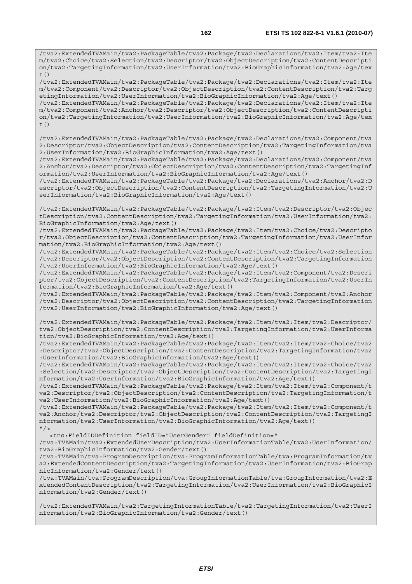/tva2:ExtendedTVAMain/tva2:PackageTable/tva2:Package/tva2:Declarations/tva2:Item/tva2:Ite m/tva2:Choice/tva2:Selection/tva2:Descriptor/tva2:ObjectDescription/tva2:ContentDescripti on/tva2:TargetingInformation/tva2:UserInformation/tva2:BioGraphicInformation/tva2:Age/tex  $+$  ()

/tva2:ExtendedTVAMain/tva2:PackageTable/tva2:Package/tva2:Declarations/tva2:Item/tva2:Ite m/tva2:Component/tva2:Descriptor/tva2:ObjectDescription/tva2:ContentDescription/tva2:Targ etingInformation/tva2:UserInformation/tva2:BioGraphicInformation/tva2:Age/text()

/tva2:ExtendedTVAMain/tva2:PackageTable/tva2:Package/tva2:Declarations/tva2:Item/tva2:Ite m/tva2:Component/tva2:Anchor/tva2:Descriptor/tva2:ObjectDescription/tva2:ContentDescripti on/tva2:TargetingInformation/tva2:UserInformation/tva2:BioGraphicInformation/tva2:Age/tex t()

/tva2:ExtendedTVAMain/tva2:PackageTable/tva2:Package/tva2:Declarations/tva2:Component/tva 2:Descriptor/tva2:ObjectDescription/tva2:ContentDescription/tva2:TargetingInformation/tva 2:UserInformation/tva2:BioGraphicInformation/tva2:Age/text()

/tva2:ExtendedTVAMain/tva2:PackageTable/tva2:Package/tva2:Declarations/tva2:Component/tva 2:Anchor/tva2:Descriptor/tva2:ObjectDescription/tva2:ContentDescription/tva2:TargetingInf ormation/tva2:UserInformation/tva2:BioGraphicInformation/tva2:Age/text()

/tva2:ExtendedTVAMain/tva2:PackageTable/tva2:Package/tva2:Declarations/tva2:Anchor/tva2:D escriptor/tva2:ObjectDescription/tva2:ContentDescription/tva2:TargetingInformation/tva2:U serInformation/tva2:BioGraphicInformation/tva2:Age/text()

/tva2:ExtendedTVAMain/tva2:PackageTable/tva2:Package/tva2:Item/tva2:Descriptor/tva2:Objec tDescription/tva2:ContentDescription/tva2:TargetingInformation/tva2:UserInformation/tva2: BioGraphicInformation/tva2:Age/text()

/tva2:ExtendedTVAMain/tva2:PackageTable/tva2:Package/tva2:Item/tva2:Choice/tva2:Descripto r/tva2:ObjectDescription/tva2:ContentDescription/tva2:TargetingInformation/tva2:UserInfor mation/tva2:BioGraphicInformation/tva2:Age/text()

/tva2:ExtendedTVAMain/tva2:PackageTable/tva2:Package/tva2:Item/tva2:Choice/tva2:Selection /tva2:Descriptor/tva2:ObjectDescription/tva2:ContentDescription/tva2:TargetingInformation /tva2:UserInformation/tva2:BioGraphicInformation/tva2:Age/text()

/tva2:ExtendedTVAMain/tva2:PackageTable/tva2:Package/tva2:Item/tva2:Component/tva2:Descri ptor/tva2:ObjectDescription/tva2:ContentDescription/tva2:TargetingInformation/tva2:UserIn formation/tva2:BioGraphicInformation/tva2:Age/text()

/tva2:ExtendedTVAMain/tva2:PackageTable/tva2:Package/tva2:Item/tva2:Component/tva2:Anchor /tva2:Descriptor/tva2:ObjectDescription/tva2:ContentDescription/tva2:TargetingInformation /tva2:UserInformation/tva2:BioGraphicInformation/tva2:Age/text()

/tva2:ExtendedTVAMain/tva2:PackageTable/tva2:Package/tva2:Item/tva2:Item/tva2:Descriptor/ tva2:ObjectDescription/tva2:ContentDescription/tva2:TargetingInformation/tva2:UserInforma tion/tva2:BioGraphicInformation/tva2:Age/text()

/tva2:ExtendedTVAMain/tva2:PackageTable/tva2:Package/tva2:Item/tva2:Item/tva2:Choice/tva2 :Descriptor/tva2:ObjectDescription/tva2:ContentDescription/tva2:TargetingInformation/tva2 :UserInformation/tva2:BioGraphicInformation/tva2:Age/text()

/tva2:ExtendedTVAMain/tva2:PackageTable/tva2:Package/tva2:Item/tva2:Item/tva2:Choice/tva2 :Selection/tva2:Descriptor/tva2:ObjectDescription/tva2:ContentDescription/tva2:TargetingI nformation/tva2:UserInformation/tva2:BioGraphicInformation/tva2:Age/text()

/tva2:ExtendedTVAMain/tva2:PackageTable/tva2:Package/tva2:Item/tva2:Item/tva2:Component/t va2:Descriptor/tva2:ObjectDescription/tva2:ContentDescription/tva2:TargetingInformation/t va2:UserInformation/tva2:BioGraphicInformation/tva2:Age/text()

/tva2:ExtendedTVAMain/tva2:PackageTable/tva2:Package/tva2:Item/tva2:Item/tva2:Component/t va2:Anchor/tva2:Descriptor/tva2:ObjectDescription/tva2:ContentDescription/tva2:TargetingI nformation/tva2:UserInformation/tva2:BioGraphicInformation/tva2:Age/text()  $''/$ 

<tns:FieldIDDefinition fieldID="UserGender" fieldDefinition="

/tva:TVAMain/tva2:ExtendedUserDescription/tva2:UserInformationTable/tva2:UserInformation/ tva2:BioGraphicInformation/tva2:Gender/text()

/tva:TVAMain/tva:ProgramDescription/tva:ProgramInformationTable/tva:ProgramInformation/tv a2:ExtendedContentDescription/tva2:TargetingInformation/tva2:UserInformation/tva2:BioGrap hicInformation/tva2:Gender/text()

/tva:TVAMain/tva:ProgramDescription/tva:GroupInformationTable/tva:GroupInformation/tva2:E xtendedContentDescription/tva2:TargetingInformation/tva2:UserInformation/tva2:BioGraphicI nformation/tva2:Gender/text()

/tva2:ExtendedTVAMain/tva2:TargetingInformationTable/tva2:TargetingInformation/tva2:UserI nformation/tva2:BioGraphicInformation/tva2:Gender/text()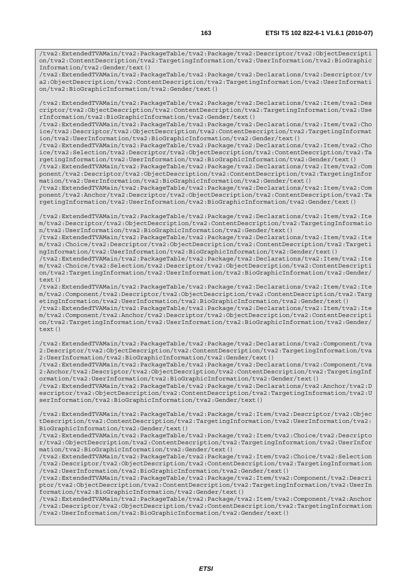/tva2:ExtendedTVAMain/tva2:PackageTable/tva2:Package/tva2:Declarations/tva2:Descriptor/tv a2:ObjectDescription/tva2:ContentDescription/tva2:TargetingInformation/tva2:UserInformati on/tva2:BioGraphicInformation/tva2:Gender/text()

/tva2:ExtendedTVAMain/tva2:PackageTable/tva2:Package/tva2:Declarations/tva2:Item/tva2:Des criptor/tva2:ObjectDescription/tva2:ContentDescription/tva2:TargetingInformation/tva2:Use rInformation/tva2:BioGraphicInformation/tva2:Gender/text()

/tva2:ExtendedTVAMain/tva2:PackageTable/tva2:Package/tva2:Declarations/tva2:Item/tva2:Cho ice/tva2:Descriptor/tva2:ObjectDescription/tva2:ContentDescription/tva2:TargetingInformat ion/tva2:UserInformation/tva2:BioGraphicInformation/tva2:Gender/text()

/tva2:ExtendedTVAMain/tva2:PackageTable/tva2:Package/tva2:Declarations/tva2:Item/tva2:Cho ice/tva2:Selection/tva2:Descriptor/tva2:ObjectDescription/tva2:ContentDescription/tva2:Ta rgetingInformation/tva2:UserInformation/tva2:BioGraphicInformation/tva2:Gender/text()

/tva2:ExtendedTVAMain/tva2:PackageTable/tva2:Package/tva2:Declarations/tva2:Item/tva2:Com ponent/tva2:Descriptor/tva2:ObjectDescription/tva2:ContentDescription/tva2:TargetingInfor mation/tva2:UserInformation/tva2:BioGraphicInformation/tva2:Gender/text()

/tva2:ExtendedTVAMain/tva2:PackageTable/tva2:Package/tva2:Declarations/tva2:Item/tva2:Com ponent/tva2:Anchor/tva2:Descriptor/tva2:ObjectDescription/tva2:ContentDescription/tva2:Ta rgetingInformation/tva2:UserInformation/tva2:BioGraphicInformation/tva2:Gender/text()

/tva2:ExtendedTVAMain/tva2:PackageTable/tva2:Package/tva2:Declarations/tva2:Item/tva2:Ite m/tva2:Descriptor/tva2:ObjectDescription/tva2:ContentDescription/tva2:TargetingInformatio n/tva2:UserInformation/tva2:BioGraphicInformation/tva2:Gender/text()

/tva2:ExtendedTVAMain/tva2:PackageTable/tva2:Package/tva2:Declarations/tva2:Item/tva2:Ite m/tva2:Choice/tva2:Descriptor/tva2:ObjectDescription/tva2:ContentDescription/tva2:Targeti ngInformation/tva2:UserInformation/tva2:BioGraphicInformation/tva2:Gender/text()

/tva2:ExtendedTVAMain/tva2:PackageTable/tva2:Package/tva2:Declarations/tva2:Item/tva2:Ite m/tva2:Choice/tva2:Selection/tva2:Descriptor/tva2:ObjectDescription/tva2:ContentDescripti on/tva2:TargetingInformation/tva2:UserInformation/tva2:BioGraphicInformation/tva2:Gender/ text()

/tva2:ExtendedTVAMain/tva2:PackageTable/tva2:Package/tva2:Declarations/tva2:Item/tva2:Ite m/tva2:Component/tva2:Descriptor/tva2:ObjectDescription/tva2:ContentDescription/tva2:Targ etingInformation/tva2:UserInformation/tva2:BioGraphicInformation/tva2:Gender/text()

/tva2:ExtendedTVAMain/tva2:PackageTable/tva2:Package/tva2:Declarations/tva2:Item/tva2:Ite m/tva2:Component/tva2:Anchor/tva2:Descriptor/tva2:ObjectDescription/tva2:ContentDescripti on/tva2:TargetingInformation/tva2:UserInformation/tva2:BioGraphicInformation/tva2:Gender/ text()

/tva2:ExtendedTVAMain/tva2:PackageTable/tva2:Package/tva2:Declarations/tva2:Component/tva 2:Descriptor/tva2:ObjectDescription/tva2:ContentDescription/tva2:TargetingInformation/tva 2:UserInformation/tva2:BioGraphicInformation/tva2:Gender/text()

/tva2:ExtendedTVAMain/tva2:PackageTable/tva2:Package/tva2:Declarations/tva2:Component/tva 2:Anchor/tva2:Descriptor/tva2:ObjectDescription/tva2:ContentDescription/tva2:TargetingInf ormation/tva2:UserInformation/tva2:BioGraphicInformation/tva2:Gender/text()

/tva2:ExtendedTVAMain/tva2:PackageTable/tva2:Package/tva2:Declarations/tva2:Anchor/tva2:D escriptor/tva2:ObjectDescription/tva2:ContentDescription/tva2:TargetingInformation/tva2:U serInformation/tva2:BioGraphicInformation/tva2:Gender/text()

/tva2:ExtendedTVAMain/tva2:PackageTable/tva2:Package/tva2:Item/tva2:Descriptor/tva2:Objec tDescription/tva2:ContentDescription/tva2:TargetingInformation/tva2:UserInformation/tva2: BioGraphicInformation/tva2:Gender/text()

/tva2:ExtendedTVAMain/tva2:PackageTable/tva2:Package/tva2:Item/tva2:Choice/tva2:Descripto r/tva2:ObjectDescription/tva2:ContentDescription/tva2:TargetingInformation/tva2:UserInfor mation/tva2:BioGraphicInformation/tva2:Gender/text()

/tva2:ExtendedTVAMain/tva2:PackageTable/tva2:Package/tva2:Item/tva2:Choice/tva2:Selection /tva2:Descriptor/tva2:ObjectDescription/tva2:ContentDescription/tva2:TargetingInformation /tva2:UserInformation/tva2:BioGraphicInformation/tva2:Gender/text()

/tva2:ExtendedTVAMain/tva2:PackageTable/tva2:Package/tva2:Item/tva2:Component/tva2:Descri ptor/tva2:ObjectDescription/tva2:ContentDescription/tva2:TargetingInformation/tva2:UserIn formation/tva2:BioGraphicInformation/tva2:Gender/text()

/tva2:ExtendedTVAMain/tva2:PackageTable/tva2:Package/tva2:Item/tva2:Component/tva2:Anchor /tva2:Descriptor/tva2:ObjectDescription/tva2:ContentDescription/tva2:TargetingInformation /tva2:UserInformation/tva2:BioGraphicInformation/tva2:Gender/text()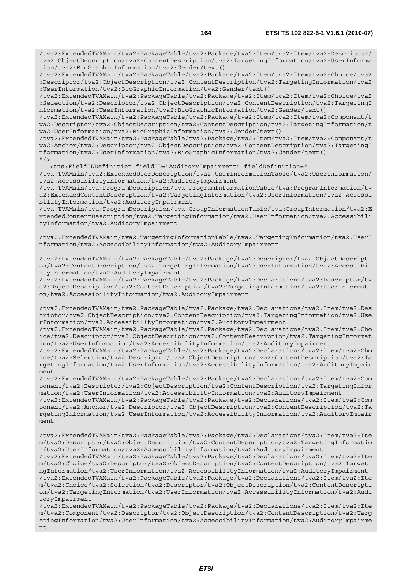/tva2:ExtendedTVAMain/tva2:PackageTable/tva2:Package/tva2:Item/tva2:Item/tva2:Descriptor/ tva2:ObjectDescription/tva2:ContentDescription/tva2:TargetingInformation/tva2:UserInforma tion/tva2:BioGraphicInformation/tva2:Gender/text()

/tva2:ExtendedTVAMain/tva2:PackageTable/tva2:Package/tva2:Item/tva2:Item/tva2:Choice/tva2 :Descriptor/tva2:ObjectDescription/tva2:ContentDescription/tva2:TargetingInformation/tva2 :UserInformation/tva2:BioGraphicInformation/tva2:Gender/text()

/tva2:ExtendedTVAMain/tva2:PackageTable/tva2:Package/tva2:Item/tva2:Item/tva2:Choice/tva2 :Selection/tva2:Descriptor/tva2:ObjectDescription/tva2:ContentDescription/tva2:TargetingI nformation/tva2:UserInformation/tva2:BioGraphicInformation/tva2:Gender/text()

/tva2:ExtendedTVAMain/tva2:PackageTable/tva2:Package/tva2:Item/tva2:Item/tva2:Component/t va2:Descriptor/tva2:ObjectDescription/tva2:ContentDescription/tva2:TargetingInformation/t va2:UserInformation/tva2:BioGraphicInformation/tva2:Gender/text()

/tva2:ExtendedTVAMain/tva2:PackageTable/tva2:Package/tva2:Item/tva2:Item/tva2:Component/t va2:Anchor/tva2:Descriptor/tva2:ObjectDescription/tva2:ContentDescription/tva2:TargetingI nformation/tva2:UserInformation/tva2:BioGraphicInformation/tva2:Gender/text()  $"$  / >

<tns:FieldIDDefinition fieldID="AuditoryImpairment" fieldDefinition="

/tva:TVAMain/tva2:ExtendedUserDescription/tva2:UserInformationTable/tva2:UserInformation/ tva2:AccessibilityInformation/tva2:AuditoryImpairment

/tva:TVAMain/tva:ProgramDescription/tva:ProgramInformationTable/tva:ProgramInformation/tv a2:ExtendedContentDescription/tva2:TargetingInformation/tva2:UserInformation/tva2:Accessi bilityInformation/tva2:AuditoryImpairment

/tva:TVAMain/tva:ProgramDescription/tva:GroupInformationTable/tva:GroupInformation/tva2:E xtendedContentDescription/tva2:TargetingInformation/tva2:UserInformation/tva2:Accessibili tyInformation/tva2:AuditoryImpairment

/tva2:ExtendedTVAMain/tva2:TargetingInformationTable/tva2:TargetingInformation/tva2:UserI nformation/tva2:AccessibilityInformation/tva2:AuditoryImpairment

/tva2:ExtendedTVAMain/tva2:PackageTable/tva2:Package/tva2:Descriptor/tva2:ObjectDescripti on/tva2:ContentDescription/tva2:TargetingInformation/tva2:UserInformation/tva2:Accessibil ityInformation/tva2:AuditoryImpairment

/tva2:ExtendedTVAMain/tva2:PackageTable/tva2:Package/tva2:Declarations/tva2:Descriptor/tv a2:ObjectDescription/tva2:ContentDescription/tva2:TargetingInformation/tva2:UserInformati on/tva2:AccessibilityInformation/tva2:AuditoryImpairment

/tva2:ExtendedTVAMain/tva2:PackageTable/tva2:Package/tva2:Declarations/tva2:Item/tva2:Des criptor/tva2:ObjectDescription/tva2:ContentDescription/tva2:TargetingInformation/tva2:Use rInformation/tva2:AccessibilityInformation/tva2:AuditoryImpairment

/tva2:ExtendedTVAMain/tva2:PackageTable/tva2:Package/tva2:Declarations/tva2:Item/tva2:Cho ice/tva2:Descriptor/tva2:ObjectDescription/tva2:ContentDescription/tva2:TargetingInformat ion/tva2:UserInformation/tva2:AccessibilityInformation/tva2:AuditoryImpairment

/tva2:ExtendedTVAMain/tva2:PackageTable/tva2:Package/tva2:Declarations/tva2:Item/tva2:Cho ice/tva2:Selection/tva2:Descriptor/tva2:ObjectDescription/tva2:ContentDescription/tva2:Ta rgetingInformation/tva2:UserInformation/tva2:AccessibilityInformation/tva2:AuditoryImpair ment

/tva2:ExtendedTVAMain/tva2:PackageTable/tva2:Package/tva2:Declarations/tva2:Item/tva2:Com ponent/tva2:Descriptor/tva2:ObjectDescription/tva2:ContentDescription/tva2:TargetingInfor mation/tva2:UserInformation/tva2:AccessibilityInformation/tva2:AuditoryImpairment

/tva2:ExtendedTVAMain/tva2:PackageTable/tva2:Package/tva2:Declarations/tva2:Item/tva2:Com ponent/tva2:Anchor/tva2:Descriptor/tva2:ObjectDescription/tva2:ContentDescription/tva2:Ta rgetingInformation/tva2:UserInformation/tva2:AccessibilityInformation/tva2:AuditoryImpair ment

/tva2:ExtendedTVAMain/tva2:PackageTable/tva2:Package/tva2:Declarations/tva2:Item/tva2:Ite m/tva2:Descriptor/tva2:ObjectDescription/tva2:ContentDescription/tva2:TargetingInformatio n/tva2:UserInformation/tva2:AccessibilityInformation/tva2:AuditoryImpairment

/tva2:ExtendedTVAMain/tva2:PackageTable/tva2:Package/tva2:Declarations/tva2:Item/tva2:Ite m/tva2:Choice/tva2:Descriptor/tva2:ObjectDescription/tva2:ContentDescription/tva2:Targeti ngInformation/tva2:UserInformation/tva2:AccessibilityInformation/tva2:AuditoryImpairment /tva2:ExtendedTVAMain/tva2:PackageTable/tva2:Package/tva2:Declarations/tva2:Item/tva2:Ite m/tva2:Choice/tva2:Selection/tva2:Descriptor/tva2:ObjectDescription/tva2:ContentDescripti on/tva2:TargetingInformation/tva2:UserInformation/tva2:AccessibilityInformation/tva2:Audi toryImpairment

/tva2:ExtendedTVAMain/tva2:PackageTable/tva2:Package/tva2:Declarations/tva2:Item/tva2:Ite m/tva2:Component/tva2:Descriptor/tva2:ObjectDescription/tva2:ContentDescription/tva2:Targ etingInformation/tva2:UserInformation/tva2:AccessibilityInformation/tva2:AuditoryImpairme nt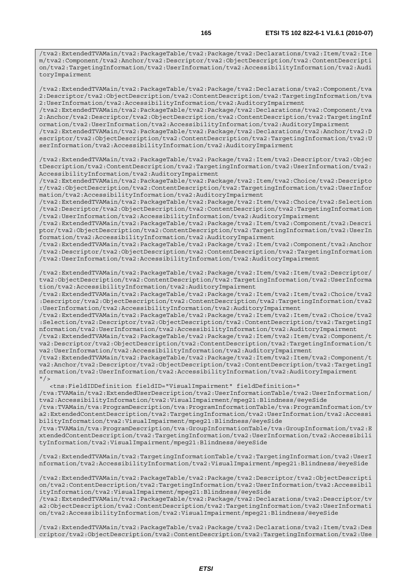/tva2:ExtendedTVAMain/tva2:PackageTable/tva2:Package/tva2:Declarations/tva2:Item/tva2:Ite m/tva2:Component/tva2:Anchor/tva2:Descriptor/tva2:ObjectDescription/tva2:ContentDescripti on/tva2:TargetingInformation/tva2:UserInformation/tva2:AccessibilityInformation/tva2:Audi toryImpairment

/tva2:ExtendedTVAMain/tva2:PackageTable/tva2:Package/tva2:Declarations/tva2:Component/tva 2:Descriptor/tva2:ObjectDescription/tva2:ContentDescription/tva2:TargetingInformation/tva 2:UserInformation/tva2:AccessibilityInformation/tva2:AuditoryImpairment

/tva2:ExtendedTVAMain/tva2:PackageTable/tva2:Package/tva2:Declarations/tva2:Component/tva 2:Anchor/tva2:Descriptor/tva2:ObjectDescription/tva2:ContentDescription/tva2:TargetingInf ormation/tva2:UserInformation/tva2:AccessibilityInformation/tva2:AuditoryImpairment

/tva2:ExtendedTVAMain/tva2:PackageTable/tva2:Package/tva2:Declarations/tva2:Anchor/tva2:D escriptor/tva2:ObjectDescription/tva2:ContentDescription/tva2:TargetingInformation/tva2:U serInformation/tva2:AccessibilityInformation/tva2:AuditoryImpairment

/tva2:ExtendedTVAMain/tva2:PackageTable/tva2:Package/tva2:Item/tva2:Descriptor/tva2:Objec tDescription/tva2:ContentDescription/tva2:TargetingInformation/tva2:UserInformation/tva2: AccessibilityInformation/tva2:AuditoryImpairment

/tva2:ExtendedTVAMain/tva2:PackageTable/tva2:Package/tva2:Item/tva2:Choice/tva2:Descripto r/tva2:ObjectDescription/tva2:ContentDescription/tva2:TargetingInformation/tva2:UserInfor mation/tva2:AccessibilityInformation/tva2:AuditoryImpairment

/tva2:ExtendedTVAMain/tva2:PackageTable/tva2:Package/tva2:Item/tva2:Choice/tva2:Selection /tva2:Descriptor/tva2:ObjectDescription/tva2:ContentDescription/tva2:TargetingInformation /tva2:UserInformation/tva2:AccessibilityInformation/tva2:AuditoryImpairment

/tva2:ExtendedTVAMain/tva2:PackageTable/tva2:Package/tva2:Item/tva2:Component/tva2:Descri ptor/tva2:ObjectDescription/tva2:ContentDescription/tva2:TargetingInformation/tva2:UserIn formation/tva2:AccessibilityInformation/tva2:AuditoryImpairment

/tva2:ExtendedTVAMain/tva2:PackageTable/tva2:Package/tva2:Item/tva2:Component/tva2:Anchor /tva2:Descriptor/tva2:ObjectDescription/tva2:ContentDescription/tva2:TargetingInformation /tva2:UserInformation/tva2:AccessibilityInformation/tva2:AuditoryImpairment

/tva2:ExtendedTVAMain/tva2:PackageTable/tva2:Package/tva2:Item/tva2:Item/tva2:Descriptor/ tva2:ObjectDescription/tva2:ContentDescription/tva2:TargetingInformation/tva2:UserInforma tion/tva2:AccessibilityInformation/tva2:AuditoryImpairment

/tva2:ExtendedTVAMain/tva2:PackageTable/tva2:Package/tva2:Item/tva2:Item/tva2:Choice/tva2 :Descriptor/tva2:ObjectDescription/tva2:ContentDescription/tva2:TargetingInformation/tva2 :UserInformation/tva2:AccessibilityInformation/tva2:AuditoryImpairment

/tva2:ExtendedTVAMain/tva2:PackageTable/tva2:Package/tva2:Item/tva2:Item/tva2:Choice/tva2 :Selection/tva2:Descriptor/tva2:ObjectDescription/tva2:ContentDescription/tva2:TargetingI nformation/tva2:UserInformation/tva2:AccessibilityInformation/tva2:AuditoryImpairment

/tva2:ExtendedTVAMain/tva2:PackageTable/tva2:Package/tva2:Item/tva2:Item/tva2:Component/t va2:Descriptor/tva2:ObjectDescription/tva2:ContentDescription/tva2:TargetingInformation/t va2:UserInformation/tva2:AccessibilityInformation/tva2:AuditoryImpairment

/tva2:ExtendedTVAMain/tva2:PackageTable/tva2:Package/tva2:Item/tva2:Item/tva2:Component/t va2:Anchor/tva2:Descriptor/tva2:ObjectDescription/tva2:ContentDescription/tva2:TargetingI nformation/tva2:UserInformation/tva2:AccessibilityInformation/tva2:AuditoryImpairment  $"$  />

 <tns:FieldIDDefinition fieldID="VisualImpairment" fieldDefinition=" /tva:TVAMain/tva2:ExtendedUserDescription/tva2:UserInformationTable/tva2:UserInformation/ tva2:AccessibilityInformation/tva2:VisualImpairment/mpeg21:Blindness/@eyeSide /tva:TVAMain/tva:ProgramDescription/tva:ProgramInformationTable/tva:ProgramInformation/tv a2:ExtendedContentDescription/tva2:TargetingInformation/tva2:UserInformation/tva2:Accessi bilityInformation/tva2:VisualImpairment/mpeg21:Blindness/@eyeSide /tva:TVAMain/tva:ProgramDescription/tva:GroupInformationTable/tva:GroupInformation/tva2:E xtendedContentDescription/tva2:TargetingInformation/tva2:UserInformation/tva2:Accessibili

tyInformation/tva2:VisualImpairment/mpeg21:Blindness/@eyeSide

/tva2:ExtendedTVAMain/tva2:TargetingInformationTable/tva2:TargetingInformation/tva2:UserI nformation/tva2:AccessibilityInformation/tva2:VisualImpairment/mpeg21:Blindness/@eyeSide

/tva2:ExtendedTVAMain/tva2:PackageTable/tva2:Package/tva2:Descriptor/tva2:ObjectDescripti on/tva2:ContentDescription/tva2:TargetingInformation/tva2:UserInformation/tva2:Accessibil ityInformation/tva2:VisualImpairment/mpeg21:Blindness/@eyeSide

/tva2:ExtendedTVAMain/tva2:PackageTable/tva2:Package/tva2:Declarations/tva2:Descriptor/tv a2:ObjectDescription/tva2:ContentDescription/tva2:TargetingInformation/tva2:UserInformati on/tva2:AccessibilityInformation/tva2:VisualImpairment/mpeg21:Blindness/@eyeSide

/tva2:ExtendedTVAMain/tva2:PackageTable/tva2:Package/tva2:Declarations/tva2:Item/tva2:Des criptor/tva2:ObjectDescription/tva2:ContentDescription/tva2:TargetingInformation/tva2:Use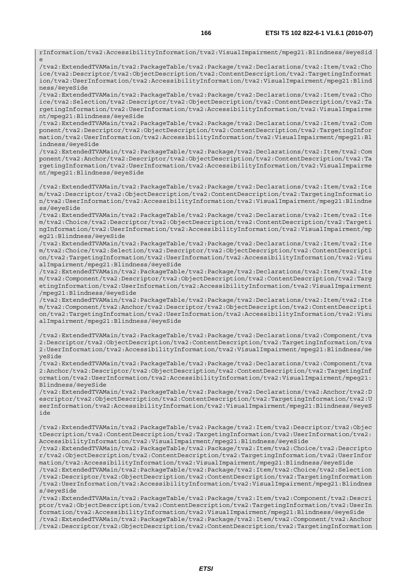rInformation/tva2:AccessibilityInformation/tva2:VisualImpairment/mpeg21:Blindness/@eyeSid e

/tva2:ExtendedTVAMain/tva2:PackageTable/tva2:Package/tva2:Declarations/tva2:Item/tva2:Cho ice/tva2:Descriptor/tva2:ObjectDescription/tva2:ContentDescription/tva2:TargetingInformat ion/tva2:UserInformation/tva2:AccessibilityInformation/tva2:VisualImpairment/mpeg21:Blind ness/@eyeSide

/tva2:ExtendedTVAMain/tva2:PackageTable/tva2:Package/tva2:Declarations/tva2:Item/tva2:Cho ice/tva2:Selection/tva2:Descriptor/tva2:ObjectDescription/tva2:ContentDescription/tva2:Ta rgetingInformation/tva2:UserInformation/tva2:AccessibilityInformation/tva2:VisualImpairme nt/mpeg21:Blindness/@eyeSide

/tva2:ExtendedTVAMain/tva2:PackageTable/tva2:Package/tva2:Declarations/tva2:Item/tva2:Com ponent/tva2:Descriptor/tva2:ObjectDescription/tva2:ContentDescription/tva2:TargetingInfor mation/tva2:UserInformation/tva2:AccessibilityInformation/tva2:VisualImpairment/mpeg21:Bl indness/@eyeSide

/tva2:ExtendedTVAMain/tva2:PackageTable/tva2:Package/tva2:Declarations/tva2:Item/tva2:Com ponent/tva2:Anchor/tva2:Descriptor/tva2:ObjectDescription/tva2:ContentDescription/tva2:Ta rgetingInformation/tva2:UserInformation/tva2:AccessibilityInformation/tva2:VisualImpairme nt/mpeg21:Blindness/@eyeSide

/tva2:ExtendedTVAMain/tva2:PackageTable/tva2:Package/tva2:Declarations/tva2:Item/tva2:Ite m/tva2:Descriptor/tva2:ObjectDescription/tva2:ContentDescription/tva2:TargetingInformatio n/tva2:UserInformation/tva2:AccessibilityInformation/tva2:VisualImpairment/mpeg21:Blindne ss/@eyeSide

/tva2:ExtendedTVAMain/tva2:PackageTable/tva2:Package/tva2:Declarations/tva2:Item/tva2:Ite m/tva2:Choice/tva2:Descriptor/tva2:ObjectDescription/tva2:ContentDescription/tva2:Targeti ngInformation/tva2:UserInformation/tva2:AccessibilityInformation/tva2:VisualImpairment/mp eg21:Blindness/@eyeSide

/tva2:ExtendedTVAMain/tva2:PackageTable/tva2:Package/tva2:Declarations/tva2:Item/tva2:Ite m/tva2:Choice/tva2:Selection/tva2:Descriptor/tva2:ObjectDescription/tva2:ContentDescripti on/tva2:TargetingInformation/tva2:UserInformation/tva2:AccessibilityInformation/tva2:Visu alImpairment/mpeg21:Blindness/@eyeSide

/tva2:ExtendedTVAMain/tva2:PackageTable/tva2:Package/tva2:Declarations/tva2:Item/tva2:Ite m/tva2:Component/tva2:Descriptor/tva2:ObjectDescription/tva2:ContentDescription/tva2:Targ etingInformation/tva2:UserInformation/tva2:AccessibilityInformation/tva2:VisualImpairment /mpeg21:Blindness/@eyeSide

/tva2:ExtendedTVAMain/tva2:PackageTable/tva2:Package/tva2:Declarations/tva2:Item/tva2:Ite m/tva2:Component/tva2:Anchor/tva2:Descriptor/tva2:ObjectDescription/tva2:ContentDescripti on/tva2:TargetingInformation/tva2:UserInformation/tva2:AccessibilityInformation/tva2:Visu alImpairment/mpeg21:Blindness/@eyeSide

/tva2:ExtendedTVAMain/tva2:PackageTable/tva2:Package/tva2:Declarations/tva2:Component/tva 2:Descriptor/tva2:ObjectDescription/tva2:ContentDescription/tva2:TargetingInformation/tva 2:UserInformation/tva2:AccessibilityInformation/tva2:VisualImpairment/mpeg21:Blindness/@e yeSide

/tva2:ExtendedTVAMain/tva2:PackageTable/tva2:Package/tva2:Declarations/tva2:Component/tva 2:Anchor/tva2:Descriptor/tva2:ObjectDescription/tva2:ContentDescription/tva2:TargetingInf ormation/tva2:UserInformation/tva2:AccessibilityInformation/tva2:VisualImpairment/mpeg21: Blindness/@eyeSide

/tva2:ExtendedTVAMain/tva2:PackageTable/tva2:Package/tva2:Declarations/tva2:Anchor/tva2:D escriptor/tva2:ObjectDescription/tva2:ContentDescription/tva2:TargetingInformation/tva2:U serInformation/tva2:AccessibilityInformation/tva2:VisualImpairment/mpeg21:Blindness/@eyeS ide

/tva2:ExtendedTVAMain/tva2:PackageTable/tva2:Package/tva2:Item/tva2:Descriptor/tva2:Objec tDescription/tva2:ContentDescription/tva2:TargetingInformation/tva2:UserInformation/tva2: AccessibilityInformation/tva2:VisualImpairment/mpeg21:Blindness/@eyeSide

/tva2:ExtendedTVAMain/tva2:PackageTable/tva2:Package/tva2:Item/tva2:Choice/tva2:Descripto r/tva2:ObjectDescription/tva2:ContentDescription/tva2:TargetingInformation/tva2:UserInfor mation/tva2:AccessibilityInformation/tva2:VisualImpairment/mpeg21:Blindness/@eyeSide

/tva2:ExtendedTVAMain/tva2:PackageTable/tva2:Package/tva2:Item/tva2:Choice/tva2:Selection /tva2:Descriptor/tva2:ObjectDescription/tva2:ContentDescription/tva2:TargetingInformation /tva2:UserInformation/tva2:AccessibilityInformation/tva2:VisualImpairment/mpeg21:Blindnes s/@eyeSide

/tva2:ExtendedTVAMain/tva2:PackageTable/tva2:Package/tva2:Item/tva2:Component/tva2:Descri ptor/tva2:ObjectDescription/tva2:ContentDescription/tva2:TargetingInformation/tva2:UserIn formation/tva2:AccessibilityInformation/tva2:VisualImpairment/mpeg21:Blindness/@eyeSide /tva2:ExtendedTVAMain/tva2:PackageTable/tva2:Package/tva2:Item/tva2:Component/tva2:Anchor /tva2:Descriptor/tva2:ObjectDescription/tva2:ContentDescription/tva2:TargetingInformation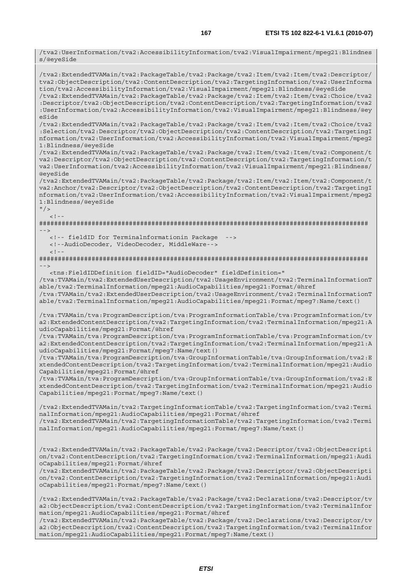/tva2:UserInformation/tva2:AccessibilityInformation/tva2:VisualImpairment/mpeg21:Blindnes s/@eyeSide /tva2:ExtendedTVAMain/tva2:PackageTable/tva2:Package/tva2:Item/tva2:Item/tva2:Descriptor/ tva2:ObjectDescription/tva2:ContentDescription/tva2:TargetingInformation/tva2:UserInforma tion/tva2:AccessibilityInformation/tva2:VisualImpairment/mpeg21:Blindness/@eyeSide /tva2:ExtendedTVAMain/tva2:PackageTable/tva2:Package/tva2:Item/tva2:Item/tva2:Choice/tva2 :Descriptor/tva2:ObjectDescription/tva2:ContentDescription/tva2:TargetingInformation/tva2 :UserInformation/tva2:AccessibilityInformation/tva2:VisualImpairment/mpeg21:Blindness/@ey eSide /tva2:ExtendedTVAMain/tva2:PackageTable/tva2:Package/tva2:Item/tva2:Item/tva2:Choice/tva2 :Selection/tva2:Descriptor/tva2:ObjectDescription/tva2:ContentDescription/tva2:TargetingI nformation/tva2:UserInformation/tva2:AccessibilityInformation/tva2:VisualImpairment/mpeg2 1:Blindness/@eyeSide /tva2:ExtendedTVAMain/tva2:PackageTable/tva2:Package/tva2:Item/tva2:Item/tva2:Component/t va2:Descriptor/tva2:ObjectDescription/tva2:ContentDescription/tva2:TargetingInformation/t va2:UserInformation/tva2:AccessibilityInformation/tva2:VisualImpairment/mpeg21:Blindness/ @eyeSide /tva2:ExtendedTVAMain/tva2:PackageTable/tva2:Package/tva2:Item/tva2:Item/tva2:Component/t va2:Anchor/tva2:Descriptor/tva2:ObjectDescription/tva2:ContentDescription/tva2:TargetingI nformation/tva2:UserInformation/tva2:AccessibilityInformation/tva2:VisualImpairment/mpeg2 1:Blindness/@eyeSide  $"$  />  $\leq$ ! ######################################################################################## --> <!-- fieldID for Terminalnformationin Package <!--AudioDecoder, VideoDecoder, MiddleWare-->  $<$ ! --######################################################################################## --> <tns:FieldIDDefinition fieldID="AudioDecoder" fieldDefinition=" /tva:TVAMain/tva2:ExtendedUserDescription/tva2:UsageEnvironment/tva2:TerminalInformationT able/tva2:TerminalInformation/mpeg21:AudioCapabilities/mpeg21:Format/@href /tva:TVAMain/tva2:ExtendedUserDescription/tva2:UsageEnvironment/tva2:TerminalInformationT able/tva2:TerminalInformation/mpeg21:AudioCapabilities/mpeg21:Format/mpeg7:Name/text() /tva:TVAMain/tva:ProgramDescription/tva:ProgramInformationTable/tva:ProgramInformation/tv a2:ExtendedContentDescription/tva2:TargetingInformation/tva2:TerminalInformation/mpeg21:A udioCapabilities/mpeg21:Format/@href /tva:TVAMain/tva:ProgramDescription/tva:ProgramInformationTable/tva:ProgramInformation/tv a2:ExtendedContentDescription/tva2:TargetingInformation/tva2:TerminalInformation/mpeg21:A udioCapabilities/mpeg21:Format/mpeg7:Name/text() /tva:TVAMain/tva:ProgramDescription/tva:GroupInformationTable/tva:GroupInformation/tva2:E xtendedContentDescription/tva2:TargetingInformation/tva2:TerminalInformation/mpeg21:Audio Capabilities/mpeg21:Format/@href /tva:TVAMain/tva:ProgramDescription/tva:GroupInformationTable/tva:GroupInformation/tva2:E xtendedContentDescription/tva2:TargetingInformation/tva2:TerminalInformation/mpeg21:Audio Capabilities/mpeg21:Format/mpeg7:Name/text() /tva2:ExtendedTVAMain/tva2:TargetingInformationTable/tva2:TargetingInformation/tva2:Termi nalInformation/mpeg21:AudioCapabilities/mpeg21:Format/@href /tva2:ExtendedTVAMain/tva2:TargetingInformationTable/tva2:TargetingInformation/tva2:Termi nalInformation/mpeg21:AudioCapabilities/mpeg21:Format/mpeg7:Name/text() /tva2:ExtendedTVAMain/tva2:PackageTable/tva2:Package/tva2:Descriptor/tva2:ObjectDescripti on/tva2:ContentDescription/tva2:TargetingInformation/tva2:TerminalInformation/mpeg21:Audi oCapabilities/mpeg21:Format/@href /tva2:ExtendedTVAMain/tva2:PackageTable/tva2:Package/tva2:Descriptor/tva2:ObjectDescripti on/tva2:ContentDescription/tva2:TargetingInformation/tva2:TerminalInformation/mpeg21:Audi oCapabilities/mpeg21:Format/mpeg7:Name/text() /tva2:ExtendedTVAMain/tva2:PackageTable/tva2:Package/tva2:Declarations/tva2:Descriptor/tv a2:ObjectDescription/tva2:ContentDescription/tva2:TargetingInformation/tva2:TerminalInfor

mation/mpeg21:AudioCapabilities/mpeg21:Format/@href /tva2:ExtendedTVAMain/tva2:PackageTable/tva2:Package/tva2:Declarations/tva2:Descriptor/tv a2:ObjectDescription/tva2:ContentDescription/tva2:TargetingInformation/tva2:TerminalInfor mation/mpeg21:AudioCapabilities/mpeg21:Format/mpeg7:Name/text()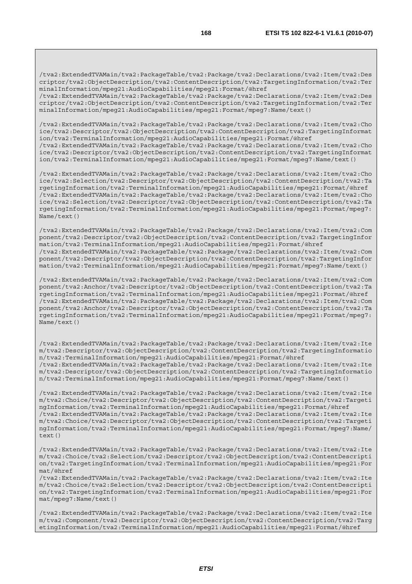/tva2:ExtendedTVAMain/tva2:PackageTable/tva2:Package/tva2:Declarations/tva2:Item/tva2:Des criptor/tva2:ObjectDescription/tva2:ContentDescription/tva2:TargetingInformation/tva2:Ter minalInformation/mpeg21:AudioCapabilities/mpeg21:Format/@href /tva2:ExtendedTVAMain/tva2:PackageTable/tva2:Package/tva2:Declarations/tva2:Item/tva2:Des

criptor/tva2:ObjectDescription/tva2:ContentDescription/tva2:TargetingInformation/tva2:Ter minalInformation/mpeg21:AudioCapabilities/mpeg21:Format/mpeg7:Name/text()

/tva2:ExtendedTVAMain/tva2:PackageTable/tva2:Package/tva2:Declarations/tva2:Item/tva2:Cho ice/tva2:Descriptor/tva2:ObjectDescription/tva2:ContentDescription/tva2:TargetingInformat ion/tva2:TerminalInformation/mpeg21:AudioCapabilities/mpeg21:Format/@href /tva2:ExtendedTVAMain/tva2:PackageTable/tva2:Package/tva2:Declarations/tva2:Item/tva2:Cho ice/tva2:Descriptor/tva2:ObjectDescription/tva2:ContentDescription/tva2:TargetingInformat ion/tva2:TerminalInformation/mpeg21:AudioCapabilities/mpeg21:Format/mpeg7:Name/text()

/tva2:ExtendedTVAMain/tva2:PackageTable/tva2:Package/tva2:Declarations/tva2:Item/tva2:Cho ice/tva2:Selection/tva2:Descriptor/tva2:ObjectDescription/tva2:ContentDescription/tva2:Ta rgetingInformation/tva2:TerminalInformation/mpeg21:AudioCapabilities/mpeg21:Format/@href /tva2:ExtendedTVAMain/tva2:PackageTable/tva2:Package/tva2:Declarations/tva2:Item/tva2:Cho ice/tva2:Selection/tva2:Descriptor/tva2:ObjectDescription/tva2:ContentDescription/tva2:Ta rgetingInformation/tva2:TerminalInformation/mpeg21:AudioCapabilities/mpeg21:Format/mpeg7: Name/text()

/tva2:ExtendedTVAMain/tva2:PackageTable/tva2:Package/tva2:Declarations/tva2:Item/tva2:Com ponent/tva2:Descriptor/tva2:ObjectDescription/tva2:ContentDescription/tva2:TargetingInfor mation/tva2:TerminalInformation/mpeg21:AudioCapabilities/mpeg21:Format/@href /tva2:ExtendedTVAMain/tva2:PackageTable/tva2:Package/tva2:Declarations/tva2:Item/tva2:Com ponent/tva2:Descriptor/tva2:ObjectDescription/tva2:ContentDescription/tva2:TargetingInfor mation/tva2:TerminalInformation/mpeg21:AudioCapabilities/mpeg21:Format/mpeg7:Name/text()

/tva2:ExtendedTVAMain/tva2:PackageTable/tva2:Package/tva2:Declarations/tva2:Item/tva2:Com ponent/tva2:Anchor/tva2:Descriptor/tva2:ObjectDescription/tva2:ContentDescription/tva2:Ta rgetingInformation/tva2:TerminalInformation/mpeg21:AudioCapabilities/mpeg21:Format/@href /tva2:ExtendedTVAMain/tva2:PackageTable/tva2:Package/tva2:Declarations/tva2:Item/tva2:Com ponent/tva2:Anchor/tva2:Descriptor/tva2:ObjectDescription/tva2:ContentDescription/tva2:Ta rgetingInformation/tva2:TerminalInformation/mpeg21:AudioCapabilities/mpeg21:Format/mpeg7:  $Name/fext()$ 

/tva2:ExtendedTVAMain/tva2:PackageTable/tva2:Package/tva2:Declarations/tva2:Item/tva2:Ite m/tva2:Descriptor/tva2:ObjectDescription/tva2:ContentDescription/tva2:TargetingInformatio n/tva2:TerminalInformation/mpeg21:AudioCapabilities/mpeg21:Format/@href /tva2:ExtendedTVAMain/tva2:PackageTable/tva2:Package/tva2:Declarations/tva2:Item/tva2:Ite m/tva2:Descriptor/tva2:ObjectDescription/tva2:ContentDescription/tva2:TargetingInformatio n/tva2:TerminalInformation/mpeg21:AudioCapabilities/mpeg21:Format/mpeg7:Name/text()

/tva2:ExtendedTVAMain/tva2:PackageTable/tva2:Package/tva2:Declarations/tva2:Item/tva2:Ite m/tva2:Choice/tva2:Descriptor/tva2:ObjectDescription/tva2:ContentDescription/tva2:Targeti ngInformation/tva2:TerminalInformation/mpeg21:AudioCapabilities/mpeg21:Format/@href /tva2:ExtendedTVAMain/tva2:PackageTable/tva2:Package/tva2:Declarations/tva2:Item/tva2:Ite m/tva2:Choice/tva2:Descriptor/tva2:ObjectDescription/tva2:ContentDescription/tva2:Targeti ngInformation/tva2:TerminalInformation/mpeg21:AudioCapabilities/mpeg21:Format/mpeg7:Name/ text()

/tva2:ExtendedTVAMain/tva2:PackageTable/tva2:Package/tva2:Declarations/tva2:Item/tva2:Ite m/tva2:Choice/tva2:Selection/tva2:Descriptor/tva2:ObjectDescription/tva2:ContentDescripti on/tva2:TargetingInformation/tva2:TerminalInformation/mpeg21:AudioCapabilities/mpeg21:For mat/@href

/tva2:ExtendedTVAMain/tva2:PackageTable/tva2:Package/tva2:Declarations/tva2:Item/tva2:Ite m/tva2:Choice/tva2:Selection/tva2:Descriptor/tva2:ObjectDescription/tva2:ContentDescripti on/tva2:TargetingInformation/tva2:TerminalInformation/mpeg21:AudioCapabilities/mpeg21:For mat/mpeg7:Name/text()

/tva2:ExtendedTVAMain/tva2:PackageTable/tva2:Package/tva2:Declarations/tva2:Item/tva2:Ite m/tva2:Component/tva2:Descriptor/tva2:ObjectDescription/tva2:ContentDescription/tva2:Targ etingInformation/tva2:TerminalInformation/mpeg21:AudioCapabilities/mpeg21:Format/@href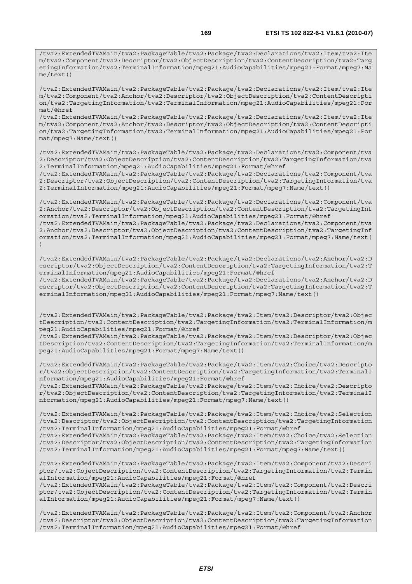/tva2:ExtendedTVAMain/tva2:PackageTable/tva2:Package/tva2:Declarations/tva2:Item/tva2:Ite m/tva2:Component/tva2:Anchor/tva2:Descriptor/tva2:ObjectDescription/tva2:ContentDescripti on/tva2:TargetingInformation/tva2:TerminalInformation/mpeg21:AudioCapabilities/mpeg21:For mat/@href

/tva2:ExtendedTVAMain/tva2:PackageTable/tva2:Package/tva2:Declarations/tva2:Item/tva2:Ite m/tva2:Component/tva2:Anchor/tva2:Descriptor/tva2:ObjectDescription/tva2:ContentDescripti on/tva2:TargetingInformation/tva2:TerminalInformation/mpeg21:AudioCapabilities/mpeg21:For mat/mpeg7:Name/text()

/tva2:ExtendedTVAMain/tva2:PackageTable/tva2:Package/tva2:Declarations/tva2:Component/tva 2:Descriptor/tva2:ObjectDescription/tva2:ContentDescription/tva2:TargetingInformation/tva 2:TerminalInformation/mpeg21:AudioCapabilities/mpeg21:Format/@href

/tva2:ExtendedTVAMain/tva2:PackageTable/tva2:Package/tva2:Declarations/tva2:Component/tva 2:Descriptor/tva2:ObjectDescription/tva2:ContentDescription/tva2:TargetingInformation/tva 2:TerminalInformation/mpeg21:AudioCapabilities/mpeg21:Format/mpeg7:Name/text()

/tva2:ExtendedTVAMain/tva2:PackageTable/tva2:Package/tva2:Declarations/tva2:Component/tva 2:Anchor/tva2:Descriptor/tva2:ObjectDescription/tva2:ContentDescription/tva2:TargetingInf ormation/tva2:TerminalInformation/mpeg21:AudioCapabilities/mpeg21:Format/@href

/tva2:ExtendedTVAMain/tva2:PackageTable/tva2:Package/tva2:Declarations/tva2:Component/tva 2:Anchor/tva2:Descriptor/tva2:ObjectDescription/tva2:ContentDescription/tva2:TargetingInf ormation/tva2:TerminalInformation/mpeg21:AudioCapabilities/mpeg21:Format/mpeg7:Name/text( )

/tva2:ExtendedTVAMain/tva2:PackageTable/tva2:Package/tva2:Declarations/tva2:Anchor/tva2:D escriptor/tva2:ObjectDescription/tva2:ContentDescription/tva2:TargetingInformation/tva2:T erminalInformation/mpeg21:AudioCapabilities/mpeg21:Format/@href /tva2:ExtendedTVAMain/tva2:PackageTable/tva2:Package/tva2:Declarations/tva2:Anchor/tva2:D

escriptor/tva2:ObjectDescription/tva2:ContentDescription/tva2:TargetingInformation/tva2:T erminalInformation/mpeg21:AudioCapabilities/mpeg21:Format/mpeg7:Name/text()

/tva2:ExtendedTVAMain/tva2:PackageTable/tva2:Package/tva2:Item/tva2:Descriptor/tva2:Objec tDescription/tva2:ContentDescription/tva2:TargetingInformation/tva2:TerminalInformation/m peg21:AudioCapabilities/mpeg21:Format/@href

/tva2:ExtendedTVAMain/tva2:PackageTable/tva2:Package/tva2:Item/tva2:Descriptor/tva2:Objec tDescription/tva2:ContentDescription/tva2:TargetingInformation/tva2:TerminalInformation/m peg21:AudioCapabilities/mpeg21:Format/mpeg7:Name/text()

/tva2:ExtendedTVAMain/tva2:PackageTable/tva2:Package/tva2:Item/tva2:Choice/tva2:Descripto r/tva2:ObjectDescription/tva2:ContentDescription/tva2:TargetingInformation/tva2:TerminalI nformation/mpeg21:AudioCapabilities/mpeg21:Format/@href

/tva2:ExtendedTVAMain/tva2:PackageTable/tva2:Package/tva2:Item/tva2:Choice/tva2:Descripto r/tva2:ObjectDescription/tva2:ContentDescription/tva2:TargetingInformation/tva2:TerminalI nformation/mpeg21:AudioCapabilities/mpeg21:Format/mpeg7:Name/text()

/tva2:ExtendedTVAMain/tva2:PackageTable/tva2:Package/tva2:Item/tva2:Choice/tva2:Selection /tva2:Descriptor/tva2:ObjectDescription/tva2:ContentDescription/tva2:TargetingInformation /tva2:TerminalInformation/mpeg21:AudioCapabilities/mpeg21:Format/@href

/tva2:ExtendedTVAMain/tva2:PackageTable/tva2:Package/tva2:Item/tva2:Choice/tva2:Selection /tva2:Descriptor/tva2:ObjectDescription/tva2:ContentDescription/tva2:TargetingInformation /tva2:TerminalInformation/mpeg21:AudioCapabilities/mpeg21:Format/mpeg7:Name/text()

/tva2:ExtendedTVAMain/tva2:PackageTable/tva2:Package/tva2:Item/tva2:Component/tva2:Descri ptor/tva2:ObjectDescription/tva2:ContentDescription/tva2:TargetingInformation/tva2:Termin alInformation/mpeg21:AudioCapabilities/mpeg21:Format/@href

/tva2:ExtendedTVAMain/tva2:PackageTable/tva2:Package/tva2:Item/tva2:Component/tva2:Descri ptor/tva2:ObjectDescription/tva2:ContentDescription/tva2:TargetingInformation/tva2:Termin alInformation/mpeg21:AudioCapabilities/mpeg21:Format/mpeg7:Name/text()

/tva2:ExtendedTVAMain/tva2:PackageTable/tva2:Package/tva2:Item/tva2:Component/tva2:Anchor /tva2:Descriptor/tva2:ObjectDescription/tva2:ContentDescription/tva2:TargetingInformation /tva2:TerminalInformation/mpeg21:AudioCapabilities/mpeg21:Format/@href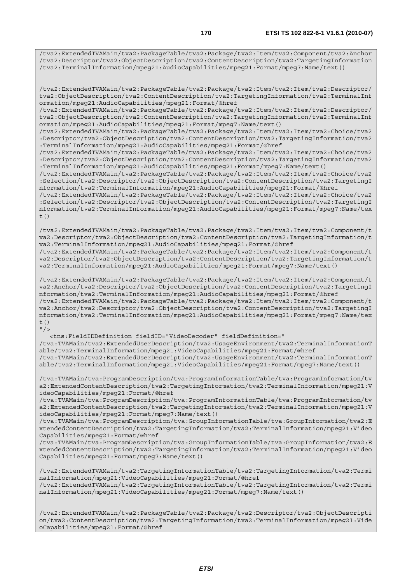/tva2:ExtendedTVAMain/tva2:PackageTable/tva2:Package/tva2:Item/tva2:Component/tva2:Anchor /tva2:Descriptor/tva2:ObjectDescription/tva2:ContentDescription/tva2:TargetingInformation /tva2:TerminalInformation/mpeg21:AudioCapabilities/mpeg21:Format/mpeg7:Name/text()

/tva2:ExtendedTVAMain/tva2:PackageTable/tva2:Package/tva2:Item/tva2:Item/tva2:Descriptor/ tva2:ObjectDescription/tva2:ContentDescription/tva2:TargetingInformation/tva2:TerminalInf ormation/mpeg21:AudioCapabilities/mpeg21:Format/@href

/tva2:ExtendedTVAMain/tva2:PackageTable/tva2:Package/tva2:Item/tva2:Item/tva2:Descriptor/ tva2:ObjectDescription/tva2:ContentDescription/tva2:TargetingInformation/tva2:TerminalInf ormation/mpeg21:AudioCapabilities/mpeg21:Format/mpeg7:Name/text()

/tva2:ExtendedTVAMain/tva2:PackageTable/tva2:Package/tva2:Item/tva2:Item/tva2:Choice/tva2 :Descriptor/tva2:ObjectDescription/tva2:ContentDescription/tva2:TargetingInformation/tva2 :TerminalInformation/mpeg21:AudioCapabilities/mpeg21:Format/@href

/tva2:ExtendedTVAMain/tva2:PackageTable/tva2:Package/tva2:Item/tva2:Item/tva2:Choice/tva2 :Descriptor/tva2:ObjectDescription/tva2:ContentDescription/tva2:TargetingInformation/tva2 :TerminalInformation/mpeg21:AudioCapabilities/mpeg21:Format/mpeg7:Name/text()

/tva2:ExtendedTVAMain/tva2:PackageTable/tva2:Package/tva2:Item/tva2:Item/tva2:Choice/tva2 :Selection/tva2:Descriptor/tva2:ObjectDescription/tva2:ContentDescription/tva2:TargetingI nformation/tva2:TerminalInformation/mpeg21:AudioCapabilities/mpeg21:Format/@href

/tva2:ExtendedTVAMain/tva2:PackageTable/tva2:Package/tva2:Item/tva2:Item/tva2:Choice/tva2 :Selection/tva2:Descriptor/tva2:ObjectDescription/tva2:ContentDescription/tva2:TargetingI nformation/tva2:TerminalInformation/mpeg21:AudioCapabilities/mpeg21:Format/mpeg7:Name/tex t $($ )

/tva2:ExtendedTVAMain/tva2:PackageTable/tva2:Package/tva2:Item/tva2:Item/tva2:Component/t va2:Descriptor/tva2:ObjectDescription/tva2:ContentDescription/tva2:TargetingInformation/t va2:TerminalInformation/mpeg21:AudioCapabilities/mpeg21:Format/@href /tva2:ExtendedTVAMain/tva2:PackageTable/tva2:Package/tva2:Item/tva2:Item/tva2:Component/t

va2:Descriptor/tva2:ObjectDescription/tva2:ContentDescription/tva2:TargetingInformation/t va2:TerminalInformation/mpeg21:AudioCapabilities/mpeg21:Format/mpeg7:Name/text()

/tva2:ExtendedTVAMain/tva2:PackageTable/tva2:Package/tva2:Item/tva2:Item/tva2:Component/t va2:Anchor/tva2:Descriptor/tva2:ObjectDescription/tva2:ContentDescription/tva2:TargetingI nformation/tva2:TerminalInformation/mpeg21:AudioCapabilities/mpeg21:Format/@href /tva2:ExtendedTVAMain/tva2:PackageTable/tva2:Package/tva2:Item/tva2:Item/tva2:Component/t va2:Anchor/tva2:Descriptor/tva2:ObjectDescription/tva2:ContentDescription/tva2:TargetingI nformation/tva2:TerminalInformation/mpeg21:AudioCapabilities/mpeg21:Format/mpeg7:Name/tex  $t($ )  $"$ />

 <tns:FieldIDDefinition fieldID="VideoDecoder" fieldDefinition=" /tva:TVAMain/tva2:ExtendedUserDescription/tva2:UsageEnvironment/tva2:TerminalInformationT able/tva2:TerminalInformation/mpeg21:VideoCapabilities/mpeg21:Format/@href /tva:TVAMain/tva2:ExtendedUserDescription/tva2:UsageEnvironment/tva2:TerminalInformationT able/tva2:TerminalInformation/mpeg21:VideoCapabilities/mpeg21:Format/mpeg7:Name/text()

/tva:TVAMain/tva:ProgramDescription/tva:ProgramInformationTable/tva:ProgramInformation/tv a2:ExtendedContentDescription/tva2:TargetingInformation/tva2:TerminalInformation/mpeg21:V ideoCapabilities/mpeg21:Format/@href

/tva:TVAMain/tva:ProgramDescription/tva:ProgramInformationTable/tva:ProgramInformation/tv a2:ExtendedContentDescription/tva2:TargetingInformation/tva2:TerminalInformation/mpeg21:V ideoCapabilities/mpeg21:Format/mpeg7:Name/text()

/tva:TVAMain/tva:ProgramDescription/tva:GroupInformationTable/tva:GroupInformation/tva2:E xtendedContentDescription/tva2:TargetingInformation/tva2:TerminalInformation/mpeg21:Video Capabilities/mpeg21:Format/@href

/tva:TVAMain/tva:ProgramDescription/tva:GroupInformationTable/tva:GroupInformation/tva2:E xtendedContentDescription/tva2:TargetingInformation/tva2:TerminalInformation/mpeg21:Video Capabilities/mpeg21:Format/mpeg7:Name/text()

/tva2:ExtendedTVAMain/tva2:TargetingInformationTable/tva2:TargetingInformation/tva2:Termi nalInformation/mpeg21:VideoCapabilities/mpeg21:Format/@href /tva2:ExtendedTVAMain/tva2:TargetingInformationTable/tva2:TargetingInformation/tva2:Termi nalInformation/mpeg21:VideoCapabilities/mpeg21:Format/mpeg7:Name/text()

/tva2:ExtendedTVAMain/tva2:PackageTable/tva2:Package/tva2:Descriptor/tva2:ObjectDescripti on/tva2:ContentDescription/tva2:TargetingInformation/tva2:TerminalInformation/mpeg21:Vide oCapabilities/mpeg21:Format/@href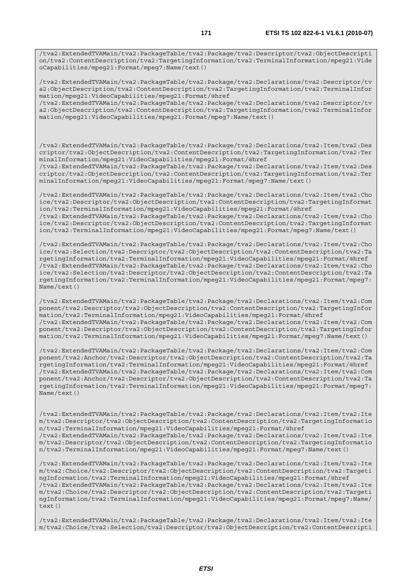/tva2:ExtendedTVAMain/tva2:PackageTable/tva2:Package/tva2:Descriptor/tva2:ObjectDescripti on/tva2:ContentDescription/tva2:TargetingInformation/tva2:TerminalInformation/mpeg21:Vide oCapabilities/mpeg21:Format/mpeg7:Name/text()

/tva2:ExtendedTVAMain/tva2:PackageTable/tva2:Package/tva2:Declarations/tva2:Descriptor/tv a2:ObjectDescription/tva2:ContentDescription/tva2:TargetingInformation/tva2:TerminalInfor mation/mpeg21:VideoCapabilities/mpeg21:Format/@href

/tva2:ExtendedTVAMain/tva2:PackageTable/tva2:Package/tva2:Declarations/tva2:Descriptor/tv a2:ObjectDescription/tva2:ContentDescription/tva2:TargetingInformation/tva2:TerminalInfor mation/mpeg21:VideoCapabilities/mpeg21:Format/mpeg7:Name/text()

/tva2:ExtendedTVAMain/tva2:PackageTable/tva2:Package/tva2:Declarations/tva2:Item/tva2:Des criptor/tva2:ObjectDescription/tva2:ContentDescription/tva2:TargetingInformation/tva2:Ter minalInformation/mpeg21:VideoCapabilities/mpeg21:Format/@href

/tva2:ExtendedTVAMain/tva2:PackageTable/tva2:Package/tva2:Declarations/tva2:Item/tva2:Des criptor/tva2:ObjectDescription/tva2:ContentDescription/tva2:TargetingInformation/tva2:Ter minalInformation/mpeg21:VideoCapabilities/mpeg21:Format/mpeg7:Name/text()

/tva2:ExtendedTVAMain/tva2:PackageTable/tva2:Package/tva2:Declarations/tva2:Item/tva2:Cho ice/tva2:Descriptor/tva2:ObjectDescription/tva2:ContentDescription/tva2:TargetingInformat ion/tva2:TerminalInformation/mpeg21:VideoCapabilities/mpeg21:Format/@href /tva2:ExtendedTVAMain/tva2:PackageTable/tva2:Package/tva2:Declarations/tva2:Item/tva2:Cho ice/tva2:Descriptor/tva2:ObjectDescription/tva2:ContentDescription/tva2:TargetingInformat ion/tva2:TerminalInformation/mpeg21:VideoCapabilities/mpeg21:Format/mpeg7:Name/text()

/tva2:ExtendedTVAMain/tva2:PackageTable/tva2:Package/tva2:Declarations/tva2:Item/tva2:Cho ice/tva2:Selection/tva2:Descriptor/tva2:ObjectDescription/tva2:ContentDescription/tva2:Ta rgetingInformation/tva2:TerminalInformation/mpeg21:VideoCapabilities/mpeg21:Format/@href /tva2:ExtendedTVAMain/tva2:PackageTable/tva2:Package/tva2:Declarations/tva2:Item/tva2:Cho ice/tva2:Selection/tva2:Descriptor/tva2:ObjectDescription/tva2:ContentDescription/tva2:Ta rgetingInformation/tva2:TerminalInformation/mpeg21:VideoCapabilities/mpeg21:Format/mpeg7: Name/text()

/tva2:ExtendedTVAMain/tva2:PackageTable/tva2:Package/tva2:Declarations/tva2:Item/tva2:Com ponent/tva2:Descriptor/tva2:ObjectDescription/tva2:ContentDescription/tva2:TargetingInfor mation/tva2:TerminalInformation/mpeg21:VideoCapabilities/mpeg21:Format/@href /tva2:ExtendedTVAMain/tva2:PackageTable/tva2:Package/tva2:Declarations/tva2:Item/tva2:Com ponent/tva2:Descriptor/tva2:ObjectDescription/tva2:ContentDescription/tva2:TargetingInfor mation/tva2:TerminalInformation/mpeg21:VideoCapabilities/mpeg21:Format/mpeg7:Name/text()

/tva2:ExtendedTVAMain/tva2:PackageTable/tva2:Package/tva2:Declarations/tva2:Item/tva2:Com ponent/tva2:Anchor/tva2:Descriptor/tva2:ObjectDescription/tva2:ContentDescription/tva2:Ta rgetingInformation/tva2:TerminalInformation/mpeg21:VideoCapabilities/mpeg21:Format/@href /tva2:ExtendedTVAMain/tva2:PackageTable/tva2:Package/tva2:Declarations/tva2:Item/tva2:Com ponent/tva2:Anchor/tva2:Descriptor/tva2:ObjectDescription/tva2:ContentDescription/tva2:Ta rgetingInformation/tva2:TerminalInformation/mpeg21:VideoCapabilities/mpeg21:Format/mpeg7: Name/text()

/tva2:ExtendedTVAMain/tva2:PackageTable/tva2:Package/tva2:Declarations/tva2:Item/tva2:Ite m/tva2:Descriptor/tva2:ObjectDescription/tva2:ContentDescription/tva2:TargetingInformatio n/tva2:TerminalInformation/mpeg21:VideoCapabilities/mpeg21:Format/@href /tva2:ExtendedTVAMain/tva2:PackageTable/tva2:Package/tva2:Declarations/tva2:Item/tva2:Ite m/tva2:Descriptor/tva2:ObjectDescription/tva2:ContentDescription/tva2:TargetingInformatio n/tva2:TerminalInformation/mpeg21:VideoCapabilities/mpeg21:Format/mpeg7:Name/text()

/tva2:ExtendedTVAMain/tva2:PackageTable/tva2:Package/tva2:Declarations/tva2:Item/tva2:Ite m/tva2:Choice/tva2:Descriptor/tva2:ObjectDescription/tva2:ContentDescription/tva2:Targeti ngInformation/tva2:TerminalInformation/mpeg21:VideoCapabilities/mpeg21:Format/@href /tva2:ExtendedTVAMain/tva2:PackageTable/tva2:Package/tva2:Declarations/tva2:Item/tva2:Ite m/tva2:Choice/tva2:Descriptor/tva2:ObjectDescription/tva2:ContentDescription/tva2:Targeti ngInformation/tva2:TerminalInformation/mpeg21:VideoCapabilities/mpeg21:Format/mpeg7:Name/ text()

/tva2:ExtendedTVAMain/tva2:PackageTable/tva2:Package/tva2:Declarations/tva2:Item/tva2:Ite m/tva2:Choice/tva2:Selection/tva2:Descriptor/tva2:ObjectDescription/tva2:ContentDescripti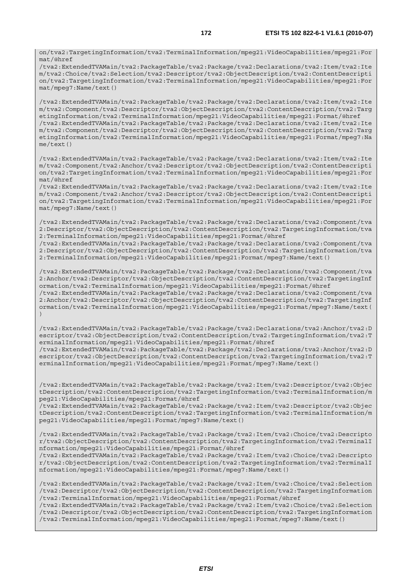on/tva2:TargetingInformation/tva2:TerminalInformation/mpeg21:VideoCapabilities/mpeg21:For mat/@href

/tva2:ExtendedTVAMain/tva2:PackageTable/tva2:Package/tva2:Declarations/tva2:Item/tva2:Ite m/tva2:Choice/tva2:Selection/tva2:Descriptor/tva2:ObjectDescription/tva2:ContentDescripti on/tva2:TargetingInformation/tva2:TerminalInformation/mpeg21:VideoCapabilities/mpeg21:For mat/mpeg7:Name/text()

/tva2:ExtendedTVAMain/tva2:PackageTable/tva2:Package/tva2:Declarations/tva2:Item/tva2:Ite m/tva2:Component/tva2:Descriptor/tva2:ObjectDescription/tva2:ContentDescription/tva2:Targ etingInformation/tva2:TerminalInformation/mpeg21:VideoCapabilities/mpeg21:Format/@href /tva2:ExtendedTVAMain/tva2:PackageTable/tva2:Package/tva2:Declarations/tva2:Item/tva2:Ite m/tva2:Component/tva2:Descriptor/tva2:ObjectDescription/tva2:ContentDescription/tva2:Targ etingInformation/tva2:TerminalInformation/mpeg21:VideoCapabilities/mpeg21:Format/mpeg7:Na me/text()

/tva2:ExtendedTVAMain/tva2:PackageTable/tva2:Package/tva2:Declarations/tva2:Item/tva2:Ite m/tva2:Component/tva2:Anchor/tva2:Descriptor/tva2:ObjectDescription/tva2:ContentDescripti on/tva2:TargetingInformation/tva2:TerminalInformation/mpeg21:VideoCapabilities/mpeg21:For mat/@href

/tva2:ExtendedTVAMain/tva2:PackageTable/tva2:Package/tva2:Declarations/tva2:Item/tva2:Ite m/tva2:Component/tva2:Anchor/tva2:Descriptor/tva2:ObjectDescription/tva2:ContentDescripti on/tva2:TargetingInformation/tva2:TerminalInformation/mpeg21:VideoCapabilities/mpeg21:For mat/mpeg7:Name/text()

/tva2:ExtendedTVAMain/tva2:PackageTable/tva2:Package/tva2:Declarations/tva2:Component/tva 2:Descriptor/tva2:ObjectDescription/tva2:ContentDescription/tva2:TargetingInformation/tva 2:TerminalInformation/mpeg21:VideoCapabilities/mpeg21:Format/@href

/tva2:ExtendedTVAMain/tva2:PackageTable/tva2:Package/tva2:Declarations/tva2:Component/tva 2:Descriptor/tva2:ObjectDescription/tva2:ContentDescription/tva2:TargetingInformation/tva 2:TerminalInformation/mpeg21:VideoCapabilities/mpeg21:Format/mpeg7:Name/text()

/tva2:ExtendedTVAMain/tva2:PackageTable/tva2:Package/tva2:Declarations/tva2:Component/tva 2:Anchor/tva2:Descriptor/tva2:ObjectDescription/tva2:ContentDescription/tva2:TargetingInf ormation/tva2:TerminalInformation/mpeg21:VideoCapabilities/mpeg21:Format/@href /tva2:ExtendedTVAMain/tva2:PackageTable/tva2:Package/tva2:Declarations/tva2:Component/tva 2:Anchor/tva2:Descriptor/tva2:ObjectDescription/tva2:ContentDescription/tva2:TargetingInf ormation/tva2:TerminalInformation/mpeg21:VideoCapabilities/mpeg21:Format/mpeg7:Name/text( )

/tva2:ExtendedTVAMain/tva2:PackageTable/tva2:Package/tva2:Declarations/tva2:Anchor/tva2:D escriptor/tva2:ObjectDescription/tva2:ContentDescription/tva2:TargetingInformation/tva2:T erminalInformation/mpeg21:VideoCapabilities/mpeg21:Format/@href /tva2:ExtendedTVAMain/tva2:PackageTable/tva2:Package/tva2:Declarations/tva2:Anchor/tva2:D escriptor/tva2:ObjectDescription/tva2:ContentDescription/tva2:TargetingInformation/tva2:T erminalInformation/mpeg21:VideoCapabilities/mpeg21:Format/mpeg7:Name/text()

/tva2:ExtendedTVAMain/tva2:PackageTable/tva2:Package/tva2:Item/tva2:Descriptor/tva2:Objec tDescription/tva2:ContentDescription/tva2:TargetingInformation/tva2:TerminalInformation/m peg21:VideoCapabilities/mpeg21:Format/@href

/tva2:ExtendedTVAMain/tva2:PackageTable/tva2:Package/tva2:Item/tva2:Descriptor/tva2:Objec tDescription/tva2:ContentDescription/tva2:TargetingInformation/tva2:TerminalInformation/m peg21:VideoCapabilities/mpeg21:Format/mpeg7:Name/text()

/tva2:ExtendedTVAMain/tva2:PackageTable/tva2:Package/tva2:Item/tva2:Choice/tva2:Descripto r/tva2:ObjectDescription/tva2:ContentDescription/tva2:TargetingInformation/tva2:TerminalI nformation/mpeg21:VideoCapabilities/mpeg21:Format/@href

/tva2:ExtendedTVAMain/tva2:PackageTable/tva2:Package/tva2:Item/tva2:Choice/tva2:Descripto r/tva2:ObjectDescription/tva2:ContentDescription/tva2:TargetingInformation/tva2:TerminalI nformation/mpeg21:VideoCapabilities/mpeg21:Format/mpeg7:Name/text()

/tva2:ExtendedTVAMain/tva2:PackageTable/tva2:Package/tva2:Item/tva2:Choice/tva2:Selection /tva2:Descriptor/tva2:ObjectDescription/tva2:ContentDescription/tva2:TargetingInformation /tva2:TerminalInformation/mpeg21:VideoCapabilities/mpeg21:Format/@href

/tva2:ExtendedTVAMain/tva2:PackageTable/tva2:Package/tva2:Item/tva2:Choice/tva2:Selection /tva2:Descriptor/tva2:ObjectDescription/tva2:ContentDescription/tva2:TargetingInformation /tva2:TerminalInformation/mpeg21:VideoCapabilities/mpeg21:Format/mpeg7:Name/text()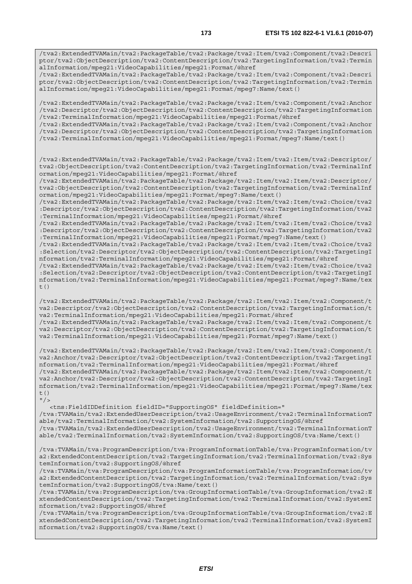/tva2:ExtendedTVAMain/tva2:PackageTable/tva2:Package/tva2:Item/tva2:Component/tva2:Descri ptor/tva2:ObjectDescription/tva2:ContentDescription/tva2:TargetingInformation/tva2:Termin alInformation/mpeg21:VideoCapabilities/mpeg21:Format/mpeg7:Name/text()

/tva2:ExtendedTVAMain/tva2:PackageTable/tva2:Package/tva2:Item/tva2:Component/tva2:Anchor /tva2:Descriptor/tva2:ObjectDescription/tva2:ContentDescription/tva2:TargetingInformation /tva2:TerminalInformation/mpeg21:VideoCapabilities/mpeg21:Format/@href

/tva2:ExtendedTVAMain/tva2:PackageTable/tva2:Package/tva2:Item/tva2:Component/tva2:Anchor /tva2:Descriptor/tva2:ObjectDescription/tva2:ContentDescription/tva2:TargetingInformation /tva2:TerminalInformation/mpeg21:VideoCapabilities/mpeg21:Format/mpeg7:Name/text()

/tva2:ExtendedTVAMain/tva2:PackageTable/tva2:Package/tva2:Item/tva2:Item/tva2:Descriptor/ tva2:ObjectDescription/tva2:ContentDescription/tva2:TargetingInformation/tva2:TerminalInf ormation/mpeg21:VideoCapabilities/mpeg21:Format/@href

/tva2:ExtendedTVAMain/tva2:PackageTable/tva2:Package/tva2:Item/tva2:Item/tva2:Descriptor/ tva2:ObjectDescription/tva2:ContentDescription/tva2:TargetingInformation/tva2:TerminalInf ormation/mpeg21:VideoCapabilities/mpeg21:Format/mpeg7:Name/text()

/tva2:ExtendedTVAMain/tva2:PackageTable/tva2:Package/tva2:Item/tva2:Item/tva2:Choice/tva2 :Descriptor/tva2:ObjectDescription/tva2:ContentDescription/tva2:TargetingInformation/tva2 :TerminalInformation/mpeg21:VideoCapabilities/mpeg21:Format/@href

/tva2:ExtendedTVAMain/tva2:PackageTable/tva2:Package/tva2:Item/tva2:Item/tva2:Choice/tva2 :Descriptor/tva2:ObjectDescription/tva2:ContentDescription/tva2:TargetingInformation/tva2 :TerminalInformation/mpeg21:VideoCapabilities/mpeg21:Format/mpeg7:Name/text()

/tva2:ExtendedTVAMain/tva2:PackageTable/tva2:Package/tva2:Item/tva2:Item/tva2:Choice/tva2 :Selection/tva2:Descriptor/tva2:ObjectDescription/tva2:ContentDescription/tva2:TargetingI nformation/tva2:TerminalInformation/mpeg21:VideoCapabilities/mpeg21:Format/@href

/tva2:ExtendedTVAMain/tva2:PackageTable/tva2:Package/tva2:Item/tva2:Item/tva2:Choice/tva2 :Selection/tva2:Descriptor/tva2:ObjectDescription/tva2:ContentDescription/tva2:TargetingI nformation/tva2:TerminalInformation/mpeg21:VideoCapabilities/mpeg21:Format/mpeg7:Name/tex  $+$  ()

/tva2:ExtendedTVAMain/tva2:PackageTable/tva2:Package/tva2:Item/tva2:Item/tva2:Component/t va2:Descriptor/tva2:ObjectDescription/tva2:ContentDescription/tva2:TargetingInformation/t va2:TerminalInformation/mpeg21:VideoCapabilities/mpeg21:Format/@href

/tva2:ExtendedTVAMain/tva2:PackageTable/tva2:Package/tva2:Item/tva2:Item/tva2:Component/t va2:Descriptor/tva2:ObjectDescription/tva2:ContentDescription/tva2:TargetingInformation/t va2:TerminalInformation/mpeg21:VideoCapabilities/mpeg21:Format/mpeg7:Name/text()

/tva2:ExtendedTVAMain/tva2:PackageTable/tva2:Package/tva2:Item/tva2:Item/tva2:Component/t va2:Anchor/tva2:Descriptor/tva2:ObjectDescription/tva2:ContentDescription/tva2:TargetingI nformation/tva2:TerminalInformation/mpeg21:VideoCapabilities/mpeg21:Format/@href /tva2:ExtendedTVAMain/tva2:PackageTable/tva2:Package/tva2:Item/tva2:Item/tva2:Component/t va2:Anchor/tva2:Descriptor/tva2:ObjectDescription/tva2:ContentDescription/tva2:TargetingI nformation/tva2:TerminalInformation/mpeg21:VideoCapabilities/mpeg21:Format/mpeg7:Name/tex t()  $"$ />

 <tns:FieldIDDefinition fieldID="SupportingOS" fieldDefinition=" /tva:TVAMain/tva2:ExtendedUserDescription/tva2:UsageEnvironment/tva2:TerminalInformationT able/tva2:TerminalInformation/tva2:SystemInformation/tva2:SupportingOS/@href /tva:TVAMain/tva2:ExtendedUserDescription/tva2:UsageEnvironment/tva2:TerminalInformationT able/tva2:TerminalInformation/tva2:SystemInformation/tva2:SupportingOS/tva:Name/text()

/tva:TVAMain/tva:ProgramDescription/tva:ProgramInformationTable/tva:ProgramInformation/tv a2:ExtendedContentDescription/tva2:TargetingInformation/tva2:TerminalInformation/tva2:Sys temInformation/tva2:SupportingOS/@href

/tva:TVAMain/tva:ProgramDescription/tva:ProgramInformationTable/tva:ProgramInformation/tv a2:ExtendedContentDescription/tva2:TargetingInformation/tva2:TerminalInformation/tva2:Sys temInformation/tva2:SupportingOS/tva:Name/text()

/tva:TVAMain/tva:ProgramDescription/tva:GroupInformationTable/tva:GroupInformation/tva2:E xtendedContentDescription/tva2:TargetingInformation/tva2:TerminalInformation/tva2:SystemI nformation/tva2:SupportingOS/@href

/tva:TVAMain/tva:ProgramDescription/tva:GroupInformationTable/tva:GroupInformation/tva2:E xtendedContentDescription/tva2:TargetingInformation/tva2:TerminalInformation/tva2:SystemI nformation/tva2:SupportingOS/tva:Name/text()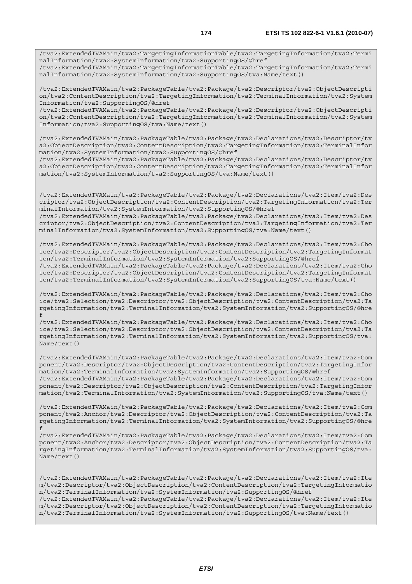/tva2:ExtendedTVAMain/tva2:TargetingInformationTable/tva2:TargetingInformation/tva2:Termi nalInformation/tva2:SystemInformation/tva2:SupportingOS/@href /tva2:ExtendedTVAMain/tva2:TargetingInformationTable/tva2:TargetingInformation/tva2:Termi

nalInformation/tva2:SystemInformation/tva2:SupportingOS/tva:Name/text()

/tva2:ExtendedTVAMain/tva2:PackageTable/tva2:Package/tva2:Descriptor/tva2:ObjectDescripti on/tva2:ContentDescription/tva2:TargetingInformation/tva2:TerminalInformation/tva2:System Information/tva2:SupportingOS/@href

/tva2:ExtendedTVAMain/tva2:PackageTable/tva2:Package/tva2:Descriptor/tva2:ObjectDescripti on/tva2:ContentDescription/tva2:TargetingInformation/tva2:TerminalInformation/tva2:System Information/tva2:SupportingOS/tva:Name/text()

/tva2:ExtendedTVAMain/tva2:PackageTable/tva2:Package/tva2:Declarations/tva2:Descriptor/tv a2:ObjectDescription/tva2:ContentDescription/tva2:TargetingInformation/tva2:TerminalInfor mation/tva2:SystemInformation/tva2:SupportingOS/@href

/tva2:ExtendedTVAMain/tva2:PackageTable/tva2:Package/tva2:Declarations/tva2:Descriptor/tv a2:ObjectDescription/tva2:ContentDescription/tva2:TargetingInformation/tva2:TerminalInfor mation/tva2:SystemInformation/tva2:SupportingOS/tva:Name/text()

/tva2:ExtendedTVAMain/tva2:PackageTable/tva2:Package/tva2:Declarations/tva2:Item/tva2:Des criptor/tva2:ObjectDescription/tva2:ContentDescription/tva2:TargetingInformation/tva2:Ter minalInformation/tva2:SystemInformation/tva2:SupportingOS/@href /tva2:ExtendedTVAMain/tva2:PackageTable/tva2:Package/tva2:Declarations/tva2:Item/tva2:Des criptor/tva2:ObjectDescription/tva2:ContentDescription/tva2:TargetingInformation/tva2:Ter

minalInformation/tva2:SystemInformation/tva2:SupportingOS/tva:Name/text()

/tva2:ExtendedTVAMain/tva2:PackageTable/tva2:Package/tva2:Declarations/tva2:Item/tva2:Cho ice/tva2:Descriptor/tva2:ObjectDescription/tva2:ContentDescription/tva2:TargetingInformat ion/tva2:TerminalInformation/tva2:SystemInformation/tva2:SupportingOS/@href /tva2:ExtendedTVAMain/tva2:PackageTable/tva2:Package/tva2:Declarations/tva2:Item/tva2:Cho ice/tva2:Descriptor/tva2:ObjectDescription/tva2:ContentDescription/tva2:TargetingInformat ion/tva2:TerminalInformation/tva2:SystemInformation/tva2:SupportingOS/tva:Name/text()

/tva2:ExtendedTVAMain/tva2:PackageTable/tva2:Package/tva2:Declarations/tva2:Item/tva2:Cho ice/tva2:Selection/tva2:Descriptor/tva2:ObjectDescription/tva2:ContentDescription/tva2:Ta rgetingInformation/tva2:TerminalInformation/tva2:SystemInformation/tva2:SupportingOS/@hre f

/tva2:ExtendedTVAMain/tva2:PackageTable/tva2:Package/tva2:Declarations/tva2:Item/tva2:Cho ice/tva2:Selection/tva2:Descriptor/tva2:ObjectDescription/tva2:ContentDescription/tva2:Ta rgetingInformation/tva2:TerminalInformation/tva2:SystemInformation/tva2:SupportingOS/tva: Name/text()

/tva2:ExtendedTVAMain/tva2:PackageTable/tva2:Package/tva2:Declarations/tva2:Item/tva2:Com ponent/tva2:Descriptor/tva2:ObjectDescription/tva2:ContentDescription/tva2:TargetingInfor mation/tva2:TerminalInformation/tva2:SystemInformation/tva2:SupportingOS/@href /tva2:ExtendedTVAMain/tva2:PackageTable/tva2:Package/tva2:Declarations/tva2:Item/tva2:Com ponent/tva2:Descriptor/tva2:ObjectDescription/tva2:ContentDescription/tva2:TargetingInfor mation/tva2:TerminalInformation/tva2:SystemInformation/tva2:SupportingOS/tva:Name/text()

/tva2:ExtendedTVAMain/tva2:PackageTable/tva2:Package/tva2:Declarations/tva2:Item/tva2:Com ponent/tva2:Anchor/tva2:Descriptor/tva2:ObjectDescription/tva2:ContentDescription/tva2:Ta rgetingInformation/tva2:TerminalInformation/tva2:SystemInformation/tva2:SupportingOS/@hre f

/tva2:ExtendedTVAMain/tva2:PackageTable/tva2:Package/tva2:Declarations/tva2:Item/tva2:Com ponent/tva2:Anchor/tva2:Descriptor/tva2:ObjectDescription/tva2:ContentDescription/tva2:Ta rgetingInformation/tva2:TerminalInformation/tva2:SystemInformation/tva2:SupportingOS/tva: Name/text()

/tva2:ExtendedTVAMain/tva2:PackageTable/tva2:Package/tva2:Declarations/tva2:Item/tva2:Ite m/tva2:Descriptor/tva2:ObjectDescription/tva2:ContentDescription/tva2:TargetingInformatio n/tva2:TerminalInformation/tva2:SystemInformation/tva2:SupportingOS/@href /tva2:ExtendedTVAMain/tva2:PackageTable/tva2:Package/tva2:Declarations/tva2:Item/tva2:Ite m/tva2:Descriptor/tva2:ObjectDescription/tva2:ContentDescription/tva2:TargetingInformatio

n/tva2:TerminalInformation/tva2:SystemInformation/tva2:SupportingOS/tva:Name/text()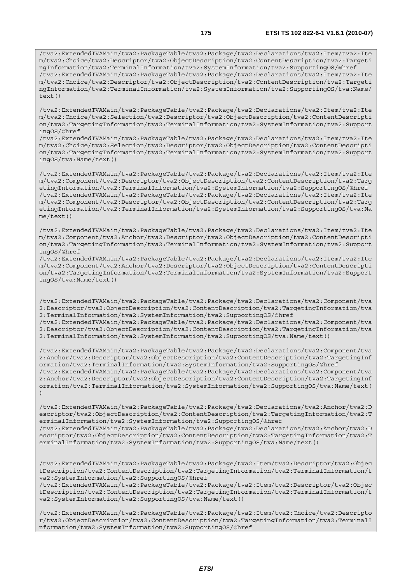/tva2:ExtendedTVAMain/tva2:PackageTable/tva2:Package/tva2:Declarations/tva2:Item/tva2:Ite m/tva2:Choice/tva2:Descriptor/tva2:ObjectDescription/tva2:ContentDescription/tva2:Targeti ngInformation/tva2:TerminalInformation/tva2:SystemInformation/tva2:SupportingOS/@href /tva2:ExtendedTVAMain/tva2:PackageTable/tva2:Package/tva2:Declarations/tva2:Item/tva2:Ite m/tva2:Choice/tva2:Descriptor/tva2:ObjectDescription/tva2:ContentDescription/tva2:Targeti ngInformation/tva2:TerminalInformation/tva2:SystemInformation/tva2:SupportingOS/tva:Name/ text()

/tva2:ExtendedTVAMain/tva2:PackageTable/tva2:Package/tva2:Declarations/tva2:Item/tva2:Ite m/tva2:Choice/tva2:Selection/tva2:Descriptor/tva2:ObjectDescription/tva2:ContentDescripti on/tva2:TargetingInformation/tva2:TerminalInformation/tva2:SystemInformation/tva2:Support ingOS/@href

/tva2:ExtendedTVAMain/tva2:PackageTable/tva2:Package/tva2:Declarations/tva2:Item/tva2:Ite m/tva2:Choice/tva2:Selection/tva2:Descriptor/tva2:ObjectDescription/tva2:ContentDescripti on/tva2:TargetingInformation/tva2:TerminalInformation/tva2:SystemInformation/tva2:Support ingOS/tva:Name/text()

/tva2:ExtendedTVAMain/tva2:PackageTable/tva2:Package/tva2:Declarations/tva2:Item/tva2:Ite m/tva2:Component/tva2:Descriptor/tva2:ObjectDescription/tva2:ContentDescription/tva2:Targ etingInformation/tva2:TerminalInformation/tva2:SystemInformation/tva2:SupportingOS/@href /tva2:ExtendedTVAMain/tva2:PackageTable/tva2:Package/tva2:Declarations/tva2:Item/tva2:Ite m/tva2:Component/tva2:Descriptor/tva2:ObjectDescription/tva2:ContentDescription/tva2:Targ etingInformation/tva2:TerminalInformation/tva2:SystemInformation/tva2:SupportingOS/tva:Na me/text()

/tva2:ExtendedTVAMain/tva2:PackageTable/tva2:Package/tva2:Declarations/tva2:Item/tva2:Ite m/tva2:Component/tva2:Anchor/tva2:Descriptor/tva2:ObjectDescription/tva2:ContentDescripti on/tva2:TargetingInformation/tva2:TerminalInformation/tva2:SystemInformation/tva2:Support ingOS/@href

/tva2:ExtendedTVAMain/tva2:PackageTable/tva2:Package/tva2:Declarations/tva2:Item/tva2:Ite m/tva2:Component/tva2:Anchor/tva2:Descriptor/tva2:ObjectDescription/tva2:ContentDescripti on/tva2:TargetingInformation/tva2:TerminalInformation/tva2:SystemInformation/tva2:Support ingOS/tva:Name/text()

/tva2:ExtendedTVAMain/tva2:PackageTable/tva2:Package/tva2:Declarations/tva2:Component/tva 2:Descriptor/tva2:ObjectDescription/tva2:ContentDescription/tva2:TargetingInformation/tva 2:TerminalInformation/tva2:SystemInformation/tva2:SupportingOS/@href /tva2:ExtendedTVAMain/tva2:PackageTable/tva2:Package/tva2:Declarations/tva2:Component/tva

2:Descriptor/tva2:ObjectDescription/tva2:ContentDescription/tva2:TargetingInformation/tva 2:TerminalInformation/tva2:SystemInformation/tva2:SupportingOS/tva:Name/text()

/tva2:ExtendedTVAMain/tva2:PackageTable/tva2:Package/tva2:Declarations/tva2:Component/tva 2:Anchor/tva2:Descriptor/tva2:ObjectDescription/tva2:ContentDescription/tva2:TargetingInf ormation/tva2:TerminalInformation/tva2:SystemInformation/tva2:SupportingOS/@href /tva2:ExtendedTVAMain/tva2:PackageTable/tva2:Package/tva2:Declarations/tva2:Component/tva 2:Anchor/tva2:Descriptor/tva2:ObjectDescription/tva2:ContentDescription/tva2:TargetingInf ormation/tva2:TerminalInformation/tva2:SystemInformation/tva2:SupportingOS/tva:Name/text( )

/tva2:ExtendedTVAMain/tva2:PackageTable/tva2:Package/tva2:Declarations/tva2:Anchor/tva2:D escriptor/tva2:ObjectDescription/tva2:ContentDescription/tva2:TargetingInformation/tva2:T erminalInformation/tva2:SystemInformation/tva2:SupportingOS/@href /tva2:ExtendedTVAMain/tva2:PackageTable/tva2:Package/tva2:Declarations/tva2:Anchor/tva2:D escriptor/tva2:ObjectDescription/tva2:ContentDescription/tva2:TargetingInformation/tva2:T erminalInformation/tva2:SystemInformation/tva2:SupportingOS/tva:Name/text()

/tva2:ExtendedTVAMain/tva2:PackageTable/tva2:Package/tva2:Item/tva2:Descriptor/tva2:Objec tDescription/tva2:ContentDescription/tva2:TargetingInformation/tva2:TerminalInformation/t va2:SystemInformation/tva2:SupportingOS/@href

/tva2:ExtendedTVAMain/tva2:PackageTable/tva2:Package/tva2:Item/tva2:Descriptor/tva2:Objec tDescription/tva2:ContentDescription/tva2:TargetingInformation/tva2:TerminalInformation/t va2:SystemInformation/tva2:SupportingOS/tva:Name/text()

/tva2:ExtendedTVAMain/tva2:PackageTable/tva2:Package/tva2:Item/tva2:Choice/tva2:Descripto r/tva2:ObjectDescription/tva2:ContentDescription/tva2:TargetingInformation/tva2:TerminalI nformation/tva2:SystemInformation/tva2:SupportingOS/@href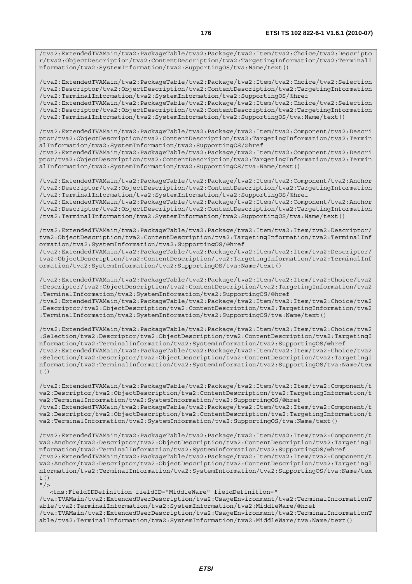/tva2:ExtendedTVAMain/tva2:PackageTable/tva2:Package/tva2:Item/tva2:Choice/tva2:Descripto r/tva2:ObjectDescription/tva2:ContentDescription/tva2:TargetingInformation/tva2:TerminalI nformation/tva2:SystemInformation/tva2:SupportingOS/tva:Name/text()

/tva2:ExtendedTVAMain/tva2:PackageTable/tva2:Package/tva2:Item/tva2:Choice/tva2:Selection /tva2:Descriptor/tva2:ObjectDescription/tva2:ContentDescription/tva2:TargetingInformation /tva2:TerminalInformation/tva2:SystemInformation/tva2:SupportingOS/@href

/tva2:ExtendedTVAMain/tva2:PackageTable/tva2:Package/tva2:Item/tva2:Choice/tva2:Selection /tva2:Descriptor/tva2:ObjectDescription/tva2:ContentDescription/tva2:TargetingInformation /tva2:TerminalInformation/tva2:SystemInformation/tva2:SupportingOS/tva:Name/text()

/tva2:ExtendedTVAMain/tva2:PackageTable/tva2:Package/tva2:Item/tva2:Component/tva2:Descri ptor/tva2:ObjectDescription/tva2:ContentDescription/tva2:TargetingInformation/tva2:Termin alInformation/tva2:SystemInformation/tva2:SupportingOS/@href

/tva2:ExtendedTVAMain/tva2:PackageTable/tva2:Package/tva2:Item/tva2:Component/tva2:Descri ptor/tva2:ObjectDescription/tva2:ContentDescription/tva2:TargetingInformation/tva2:Termin alInformation/tva2:SystemInformation/tva2:SupportingOS/tva:Name/text()

/tva2:ExtendedTVAMain/tva2:PackageTable/tva2:Package/tva2:Item/tva2:Component/tva2:Anchor /tva2:Descriptor/tva2:ObjectDescription/tva2:ContentDescription/tva2:TargetingInformation /tva2:TerminalInformation/tva2:SystemInformation/tva2:SupportingOS/@href

/tva2:ExtendedTVAMain/tva2:PackageTable/tva2:Package/tva2:Item/tva2:Component/tva2:Anchor /tva2:Descriptor/tva2:ObjectDescription/tva2:ContentDescription/tva2:TargetingInformation /tva2:TerminalInformation/tva2:SystemInformation/tva2:SupportingOS/tva:Name/text()

/tva2:ExtendedTVAMain/tva2:PackageTable/tva2:Package/tva2:Item/tva2:Item/tva2:Descriptor/ tva2:ObjectDescription/tva2:ContentDescription/tva2:TargetingInformation/tva2:TerminalInf ormation/tva2:SystemInformation/tva2:SupportingOS/@href

/tva2:ExtendedTVAMain/tva2:PackageTable/tva2:Package/tva2:Item/tva2:Item/tva2:Descriptor/ tva2:ObjectDescription/tva2:ContentDescription/tva2:TargetingInformation/tva2:TerminalInf ormation/tva2:SystemInformation/tva2:SupportingOS/tva:Name/text()

/tva2:ExtendedTVAMain/tva2:PackageTable/tva2:Package/tva2:Item/tva2:Item/tva2:Choice/tva2 :Descriptor/tva2:ObjectDescription/tva2:ContentDescription/tva2:TargetingInformation/tva2 :TerminalInformation/tva2:SystemInformation/tva2:SupportingOS/@href

/tva2:ExtendedTVAMain/tva2:PackageTable/tva2:Package/tva2:Item/tva2:Item/tva2:Choice/tva2 :Descriptor/tva2:ObjectDescription/tva2:ContentDescription/tva2:TargetingInformation/tva2 :TerminalInformation/tva2:SystemInformation/tva2:SupportingOS/tva:Name/text()

/tva2:ExtendedTVAMain/tva2:PackageTable/tva2:Package/tva2:Item/tva2:Item/tva2:Choice/tva2 :Selection/tva2:Descriptor/tva2:ObjectDescription/tva2:ContentDescription/tva2:TargetingI nformation/tva2:TerminalInformation/tva2:SystemInformation/tva2:SupportingOS/@href /tva2:ExtendedTVAMain/tva2:PackageTable/tva2:Package/tva2:Item/tva2:Item/tva2:Choice/tva2 :Selection/tva2:Descriptor/tva2:ObjectDescription/tva2:ContentDescription/tva2:TargetingI nformation/tva2:TerminalInformation/tva2:SystemInformation/tva2:SupportingOS/tva:Name/tex  $t($ )

/tva2:ExtendedTVAMain/tva2:PackageTable/tva2:Package/tva2:Item/tva2:Item/tva2:Component/t va2:Descriptor/tva2:ObjectDescription/tva2:ContentDescription/tva2:TargetingInformation/t va2:TerminalInformation/tva2:SystemInformation/tva2:SupportingOS/@href /tva2:ExtendedTVAMain/tva2:PackageTable/tva2:Package/tva2:Item/tva2:Item/tva2:Component/t

va2:Descriptor/tva2:ObjectDescription/tva2:ContentDescription/tva2:TargetingInformation/t va2:TerminalInformation/tva2:SystemInformation/tva2:SupportingOS/tva:Name/text()

/tva2:ExtendedTVAMain/tva2:PackageTable/tva2:Package/tva2:Item/tva2:Item/tva2:Component/t va2:Anchor/tva2:Descriptor/tva2:ObjectDescription/tva2:ContentDescription/tva2:TargetingI nformation/tva2:TerminalInformation/tva2:SystemInformation/tva2:SupportingOS/@href /tva2:ExtendedTVAMain/tva2:PackageTable/tva2:Package/tva2:Item/tva2:Item/tva2:Component/t va2:Anchor/tva2:Descriptor/tva2:ObjectDescription/tva2:ContentDescription/tva2:TargetingI nformation/tva2:TerminalInformation/tva2:SystemInformation/tva2:SupportingOS/tva:Name/tex t()  $"$ />

 <tns:FieldIDDefinition fieldID="MiddleWare" fieldDefinition=" /tva:TVAMain/tva2:ExtendedUserDescription/tva2:UsageEnvironment/tva2:TerminalInformationT able/tva2:TerminalInformation/tva2:SystemInformation/tva2:MiddleWare/@href /tva:TVAMain/tva2:ExtendedUserDescription/tva2:UsageEnvironment/tva2:TerminalInformationT able/tva2:TerminalInformation/tva2:SystemInformation/tva2:MiddleWare/tva:Name/text()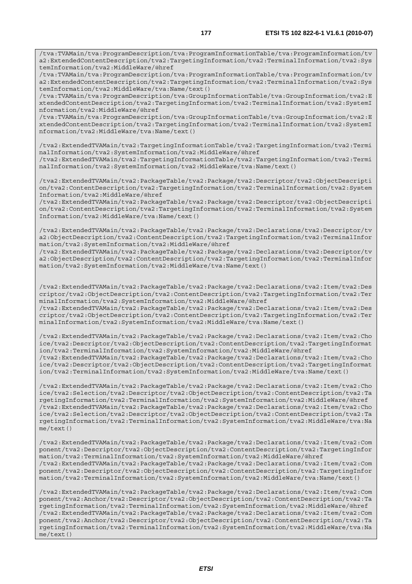/tva:TVAMain/tva:ProgramDescription/tva:ProgramInformationTable/tva:ProgramInformation/tv a2:ExtendedContentDescription/tva2:TargetingInformation/tva2:TerminalInformation/tva2:Sys temInformation/tva2:MiddleWare/tva:Name/text()

/tva:TVAMain/tva:ProgramDescription/tva:GroupInformationTable/tva:GroupInformation/tva2:E xtendedContentDescription/tva2:TargetingInformation/tva2:TerminalInformation/tva2:SystemI nformation/tva2:MiddleWare/@href

/tva:TVAMain/tva:ProgramDescription/tva:GroupInformationTable/tva:GroupInformation/tva2:E xtendedContentDescription/tva2:TargetingInformation/tva2:TerminalInformation/tva2:SystemI nformation/tva2:MiddleWare/tva:Name/text()

/tva2:ExtendedTVAMain/tva2:TargetingInformationTable/tva2:TargetingInformation/tva2:Termi nalInformation/tva2:SystemInformation/tva2:MiddleWare/@href

/tva2:ExtendedTVAMain/tva2:TargetingInformationTable/tva2:TargetingInformation/tva2:Termi nalInformation/tva2:SystemInformation/tva2:MiddleWare/tva:Name/text()

/tva2:ExtendedTVAMain/tva2:PackageTable/tva2:Package/tva2:Descriptor/tva2:ObjectDescripti on/tva2:ContentDescription/tva2:TargetingInformation/tva2:TerminalInformation/tva2:System Information/tva2:MiddleWare/@href

/tva2:ExtendedTVAMain/tva2:PackageTable/tva2:Package/tva2:Descriptor/tva2:ObjectDescripti on/tva2:ContentDescription/tva2:TargetingInformation/tva2:TerminalInformation/tva2:System Information/tva2:MiddleWare/tva:Name/text()

/tva2:ExtendedTVAMain/tva2:PackageTable/tva2:Package/tva2:Declarations/tva2:Descriptor/tv a2:ObjectDescription/tva2:ContentDescription/tva2:TargetingInformation/tva2:TerminalInfor mation/tva2:SystemInformation/tva2:MiddleWare/@href

/tva2:ExtendedTVAMain/tva2:PackageTable/tva2:Package/tva2:Declarations/tva2:Descriptor/tv a2:ObjectDescription/tva2:ContentDescription/tva2:TargetingInformation/tva2:TerminalInfor mation/tva2:SystemInformation/tva2:MiddleWare/tva:Name/text()

/tva2:ExtendedTVAMain/tva2:PackageTable/tva2:Package/tva2:Declarations/tva2:Item/tva2:Des criptor/tva2:ObjectDescription/tva2:ContentDescription/tva2:TargetingInformation/tva2:Ter minalInformation/tva2:SystemInformation/tva2:MiddleWare/@href /tva2:ExtendedTVAMain/tva2:PackageTable/tva2:Package/tva2:Declarations/tva2:Item/tva2:Des criptor/tva2:ObjectDescription/tva2:ContentDescription/tva2:TargetingInformation/tva2:Ter

minalInformation/tva2:SystemInformation/tva2:MiddleWare/tva:Name/text()

/tva2:ExtendedTVAMain/tva2:PackageTable/tva2:Package/tva2:Declarations/tva2:Item/tva2:Cho ice/tva2:Descriptor/tva2:ObjectDescription/tva2:ContentDescription/tva2:TargetingInformat ion/tva2:TerminalInformation/tva2:SystemInformation/tva2:MiddleWare/@href /tva2:ExtendedTVAMain/tva2:PackageTable/tva2:Package/tva2:Declarations/tva2:Item/tva2:Cho ice/tva2:Descriptor/tva2:ObjectDescription/tva2:ContentDescription/tva2:TargetingInformat ion/tva2:TerminalInformation/tva2:SystemInformation/tva2:MiddleWare/tva:Name/text()

/tva2:ExtendedTVAMain/tva2:PackageTable/tva2:Package/tva2:Declarations/tva2:Item/tva2:Cho ice/tva2:Selection/tva2:Descriptor/tva2:ObjectDescription/tva2:ContentDescription/tva2:Ta rgetingInformation/tva2:TerminalInformation/tva2:SystemInformation/tva2:MiddleWare/@href /tva2:ExtendedTVAMain/tva2:PackageTable/tva2:Package/tva2:Declarations/tva2:Item/tva2:Cho ice/tva2:Selection/tva2:Descriptor/tva2:ObjectDescription/tva2:ContentDescription/tva2:Ta rgetingInformation/tva2:TerminalInformation/tva2:SystemInformation/tva2:MiddleWare/tva:Na me/text()

/tva2:ExtendedTVAMain/tva2:PackageTable/tva2:Package/tva2:Declarations/tva2:Item/tva2:Com ponent/tva2:Descriptor/tva2:ObjectDescription/tva2:ContentDescription/tva2:TargetingInfor mation/tva2:TerminalInformation/tva2:SystemInformation/tva2:MiddleWare/@href /tva2:ExtendedTVAMain/tva2:PackageTable/tva2:Package/tva2:Declarations/tva2:Item/tva2:Com ponent/tva2:Descriptor/tva2:ObjectDescription/tva2:ContentDescription/tva2:TargetingInfor mation/tva2:TerminalInformation/tva2:SystemInformation/tva2:MiddleWare/tva:Name/text()

/tva2:ExtendedTVAMain/tva2:PackageTable/tva2:Package/tva2:Declarations/tva2:Item/tva2:Com ponent/tva2:Anchor/tva2:Descriptor/tva2:ObjectDescription/tva2:ContentDescription/tva2:Ta rgetingInformation/tva2:TerminalInformation/tva2:SystemInformation/tva2:MiddleWare/@href /tva2:ExtendedTVAMain/tva2:PackageTable/tva2:Package/tva2:Declarations/tva2:Item/tva2:Com ponent/tva2:Anchor/tva2:Descriptor/tva2:ObjectDescription/tva2:ContentDescription/tva2:Ta rgetingInformation/tva2:TerminalInformation/tva2:SystemInformation/tva2:MiddleWare/tva:Na me/text()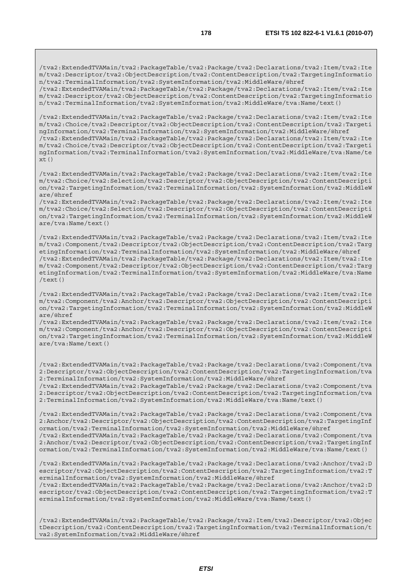/tva2:ExtendedTVAMain/tva2:PackageTable/tva2:Package/tva2:Declarations/tva2:Item/tva2:Ite m/tva2:Descriptor/tva2:ObjectDescription/tva2:ContentDescription/tva2:TargetingInformatio n/tva2:TerminalInformation/tva2:SystemInformation/tva2:MiddleWare/@href /tva2:ExtendedTVAMain/tva2:PackageTable/tva2:Package/tva2:Declarations/tva2:Item/tva2:Ite

m/tva2:Descriptor/tva2:ObjectDescription/tva2:ContentDescription/tva2:TargetingInformatio n/tva2:TerminalInformation/tva2:SystemInformation/tva2:MiddleWare/tva:Name/text()

/tva2:ExtendedTVAMain/tva2:PackageTable/tva2:Package/tva2:Declarations/tva2:Item/tva2:Ite m/tva2:Choice/tva2:Descriptor/tva2:ObjectDescription/tva2:ContentDescription/tva2:Targeti ngInformation/tva2:TerminalInformation/tva2:SystemInformation/tva2:MiddleWare/@href /tva2:ExtendedTVAMain/tva2:PackageTable/tva2:Package/tva2:Declarations/tva2:Item/tva2:Ite m/tva2:Choice/tva2:Descriptor/tva2:ObjectDescription/tva2:ContentDescription/tva2:Targeti ngInformation/tva2:TerminalInformation/tva2:SystemInformation/tva2:MiddleWare/tva:Name/te  $xt()$ 

/tva2:ExtendedTVAMain/tva2:PackageTable/tva2:Package/tva2:Declarations/tva2:Item/tva2:Ite m/tva2:Choice/tva2:Selection/tva2:Descriptor/tva2:ObjectDescription/tva2:ContentDescripti on/tva2:TargetingInformation/tva2:TerminalInformation/tva2:SystemInformation/tva2:MiddleW are/@href

/tva2:ExtendedTVAMain/tva2:PackageTable/tva2:Package/tva2:Declarations/tva2:Item/tva2:Ite m/tva2:Choice/tva2:Selection/tva2:Descriptor/tva2:ObjectDescription/tva2:ContentDescripti on/tva2:TargetingInformation/tva2:TerminalInformation/tva2:SystemInformation/tva2:MiddleW are/tva:Name/text()

/tva2:ExtendedTVAMain/tva2:PackageTable/tva2:Package/tva2:Declarations/tva2:Item/tva2:Ite m/tva2:Component/tva2:Descriptor/tva2:ObjectDescription/tva2:ContentDescription/tva2:Targ etingInformation/tva2:TerminalInformation/tva2:SystemInformation/tva2:MiddleWare/@href /tva2:ExtendedTVAMain/tva2:PackageTable/tva2:Package/tva2:Declarations/tva2:Item/tva2:Ite m/tva2:Component/tva2:Descriptor/tva2:ObjectDescription/tva2:ContentDescription/tva2:Targ etingInformation/tva2:TerminalInformation/tva2:SystemInformation/tva2:MiddleWare/tva:Name /text()

/tva2:ExtendedTVAMain/tva2:PackageTable/tva2:Package/tva2:Declarations/tva2:Item/tva2:Ite m/tva2:Component/tva2:Anchor/tva2:Descriptor/tva2:ObjectDescription/tva2:ContentDescripti on/tva2:TargetingInformation/tva2:TerminalInformation/tva2:SystemInformation/tva2:MiddleW are/@href

/tva2:ExtendedTVAMain/tva2:PackageTable/tva2:Package/tva2:Declarations/tva2:Item/tva2:Ite m/tva2:Component/tva2:Anchor/tva2:Descriptor/tva2:ObjectDescription/tva2:ContentDescripti on/tva2:TargetingInformation/tva2:TerminalInformation/tva2:SystemInformation/tva2:MiddleW are/tva:Name/text()

/tva2:ExtendedTVAMain/tva2:PackageTable/tva2:Package/tva2:Declarations/tva2:Component/tva 2:Descriptor/tva2:ObjectDescription/tva2:ContentDescription/tva2:TargetingInformation/tva 2:TerminalInformation/tva2:SystemInformation/tva2:MiddleWare/@href

/tva2:ExtendedTVAMain/tva2:PackageTable/tva2:Package/tva2:Declarations/tva2:Component/tva 2:Descriptor/tva2:ObjectDescription/tva2:ContentDescription/tva2:TargetingInformation/tva 2:TerminalInformation/tva2:SystemInformation/tva2:MiddleWare/tva:Name/text()

/tva2:ExtendedTVAMain/tva2:PackageTable/tva2:Package/tva2:Declarations/tva2:Component/tva 2:Anchor/tva2:Descriptor/tva2:ObjectDescription/tva2:ContentDescription/tva2:TargetingInf ormation/tva2:TerminalInformation/tva2:SystemInformation/tva2:MiddleWare/@href /tva2:ExtendedTVAMain/tva2:PackageTable/tva2:Package/tva2:Declarations/tva2:Component/tva 2:Anchor/tva2:Descriptor/tva2:ObjectDescription/tva2:ContentDescription/tva2:TargetingInf ormation/tva2:TerminalInformation/tva2:SystemInformation/tva2:MiddleWare/tva:Name/text()

/tva2:ExtendedTVAMain/tva2:PackageTable/tva2:Package/tva2:Declarations/tva2:Anchor/tva2:D escriptor/tva2:ObjectDescription/tva2:ContentDescription/tva2:TargetingInformation/tva2:T erminalInformation/tva2:SystemInformation/tva2:MiddleWare/@href /tva2:ExtendedTVAMain/tva2:PackageTable/tva2:Package/tva2:Declarations/tva2:Anchor/tva2:D escriptor/tva2:ObjectDescription/tva2:ContentDescription/tva2:TargetingInformation/tva2:T erminalInformation/tva2:SystemInformation/tva2:MiddleWare/tva:Name/text()

/tva2:ExtendedTVAMain/tva2:PackageTable/tva2:Package/tva2:Item/tva2:Descriptor/tva2:Objec tDescription/tva2:ContentDescription/tva2:TargetingInformation/tva2:TerminalInformation/t va2:SystemInformation/tva2:MiddleWare/@href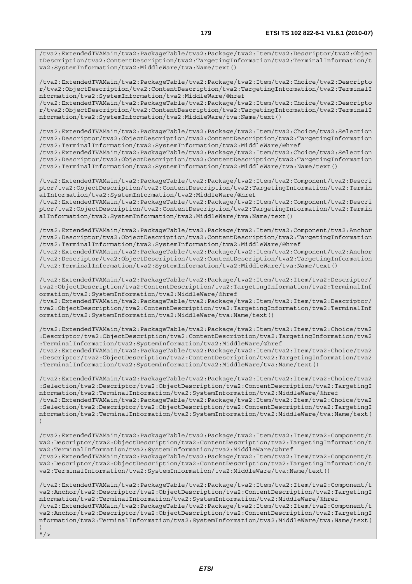/tva2:ExtendedTVAMain/tva2:PackageTable/tva2:Package/tva2:Item/tva2:Descriptor/tva2:Objec tDescription/tva2:ContentDescription/tva2:TargetingInformation/tva2:TerminalInformation/t va2:SystemInformation/tva2:MiddleWare/tva:Name/text()

/tva2:ExtendedTVAMain/tva2:PackageTable/tva2:Package/tva2:Item/tva2:Choice/tva2:Descripto r/tva2:ObjectDescription/tva2:ContentDescription/tva2:TargetingInformation/tva2:TerminalI nformation/tva2:SystemInformation/tva2:MiddleWare/@href

/tva2:ExtendedTVAMain/tva2:PackageTable/tva2:Package/tva2:Item/tva2:Choice/tva2:Descripto r/tva2:ObjectDescription/tva2:ContentDescription/tva2:TargetingInformation/tva2:TerminalI nformation/tva2:SystemInformation/tva2:MiddleWare/tva:Name/text()

/tva2:ExtendedTVAMain/tva2:PackageTable/tva2:Package/tva2:Item/tva2:Choice/tva2:Selection /tva2:Descriptor/tva2:ObjectDescription/tva2:ContentDescription/tva2:TargetingInformation /tva2:TerminalInformation/tva2:SystemInformation/tva2:MiddleWare/@href

/tva2:ExtendedTVAMain/tva2:PackageTable/tva2:Package/tva2:Item/tva2:Choice/tva2:Selection /tva2:Descriptor/tva2:ObjectDescription/tva2:ContentDescription/tva2:TargetingInformation /tva2:TerminalInformation/tva2:SystemInformation/tva2:MiddleWare/tva:Name/text()

/tva2:ExtendedTVAMain/tva2:PackageTable/tva2:Package/tva2:Item/tva2:Component/tva2:Descri ptor/tva2:ObjectDescription/tva2:ContentDescription/tva2:TargetingInformation/tva2:Termin alInformation/tva2:SystemInformation/tva2:MiddleWare/@href

/tva2:ExtendedTVAMain/tva2:PackageTable/tva2:Package/tva2:Item/tva2:Component/tva2:Descri ptor/tva2:ObjectDescription/tva2:ContentDescription/tva2:TargetingInformation/tva2:Termin alInformation/tva2:SystemInformation/tva2:MiddleWare/tva:Name/text()

/tva2:ExtendedTVAMain/tva2:PackageTable/tva2:Package/tva2:Item/tva2:Component/tva2:Anchor /tva2:Descriptor/tva2:ObjectDescription/tva2:ContentDescription/tva2:TargetingInformation /tva2:TerminalInformation/tva2:SystemInformation/tva2:MiddleWare/@href

/tva2:ExtendedTVAMain/tva2:PackageTable/tva2:Package/tva2:Item/tva2:Component/tva2:Anchor /tva2:Descriptor/tva2:ObjectDescription/tva2:ContentDescription/tva2:TargetingInformation /tva2:TerminalInformation/tva2:SystemInformation/tva2:MiddleWare/tva:Name/text()

/tva2:ExtendedTVAMain/tva2:PackageTable/tva2:Package/tva2:Item/tva2:Item/tva2:Descriptor/ tva2:ObjectDescription/tva2:ContentDescription/tva2:TargetingInformation/tva2:TerminalInf ormation/tva2:SystemInformation/tva2:MiddleWare/@href

/tva2:ExtendedTVAMain/tva2:PackageTable/tva2:Package/tva2:Item/tva2:Item/tva2:Descriptor/ tva2:ObjectDescription/tva2:ContentDescription/tva2:TargetingInformation/tva2:TerminalInf ormation/tva2:SystemInformation/tva2:MiddleWare/tva:Name/text()

/tva2:ExtendedTVAMain/tva2:PackageTable/tva2:Package/tva2:Item/tva2:Item/tva2:Choice/tva2 :Descriptor/tva2:ObjectDescription/tva2:ContentDescription/tva2:TargetingInformation/tva2 :TerminalInformation/tva2:SystemInformation/tva2:MiddleWare/@href

/tva2:ExtendedTVAMain/tva2:PackageTable/tva2:Package/tva2:Item/tva2:Item/tva2:Choice/tva2 :Descriptor/tva2:ObjectDescription/tva2:ContentDescription/tva2:TargetingInformation/tva2 :TerminalInformation/tva2:SystemInformation/tva2:MiddleWare/tva:Name/text()

/tva2:ExtendedTVAMain/tva2:PackageTable/tva2:Package/tva2:Item/tva2:Item/tva2:Choice/tva2 :Selection/tva2:Descriptor/tva2:ObjectDescription/tva2:ContentDescription/tva2:TargetingI nformation/tva2:TerminalInformation/tva2:SystemInformation/tva2:MiddleWare/@href /tva2:ExtendedTVAMain/tva2:PackageTable/tva2:Package/tva2:Item/tva2:Item/tva2:Choice/tva2 :Selection/tva2:Descriptor/tva2:ObjectDescription/tva2:ContentDescription/tva2:TargetingI nformation/tva2:TerminalInformation/tva2:SystemInformation/tva2:MiddleWare/tva:Name/text( )

/tva2:ExtendedTVAMain/tva2:PackageTable/tva2:Package/tva2:Item/tva2:Item/tva2:Component/t va2:Descriptor/tva2:ObjectDescription/tva2:ContentDescription/tva2:TargetingInformation/t va2:TerminalInformation/tva2:SystemInformation/tva2:MiddleWare/@href

/tva2:ExtendedTVAMain/tva2:PackageTable/tva2:Package/tva2:Item/tva2:Item/tva2:Component/t va2:Descriptor/tva2:ObjectDescription/tva2:ContentDescription/tva2:TargetingInformation/t va2:TerminalInformation/tva2:SystemInformation/tva2:MiddleWare/tva:Name/text()

/tva2:ExtendedTVAMain/tva2:PackageTable/tva2:Package/tva2:Item/tva2:Item/tva2:Component/t va2:Anchor/tva2:Descriptor/tva2:ObjectDescription/tva2:ContentDescription/tva2:TargetingI nformation/tva2:TerminalInformation/tva2:SystemInformation/tva2:MiddleWare/@href /tva2:ExtendedTVAMain/tva2:PackageTable/tva2:Package/tva2:Item/tva2:Item/tva2:Component/t va2:Anchor/tva2:Descriptor/tva2:ObjectDescription/tva2:ContentDescription/tva2:TargetingI nformation/tva2:TerminalInformation/tva2:SystemInformation/tva2:MiddleWare/tva:Name/text( )  $"$ />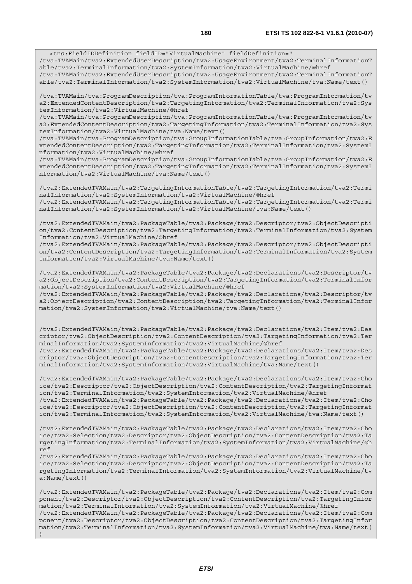able/tva2:TerminalInformation/tva2:SystemInformation/tva2:VirtualMachine/@href /tva:TVAMain/tva2:ExtendedUserDescription/tva2:UsageEnvironment/tva2:TerminalInformationT able/tva2:TerminalInformation/tva2:SystemInformation/tva2:VirtualMachine/tva:Name/text()

/tva:TVAMain/tva:ProgramDescription/tva:ProgramInformationTable/tva:ProgramInformation/tv a2:ExtendedContentDescription/tva2:TargetingInformation/tva2:TerminalInformation/tva2:Sys temInformation/tva2:VirtualMachine/@href

/tva:TVAMain/tva:ProgramDescription/tva:ProgramInformationTable/tva:ProgramInformation/tv a2:ExtendedContentDescription/tva2:TargetingInformation/tva2:TerminalInformation/tva2:Sys temInformation/tva2:VirtualMachine/tva:Name/text()

/tva:TVAMain/tva:ProgramDescription/tva:GroupInformationTable/tva:GroupInformation/tva2:E xtendedContentDescription/tva2:TargetingInformation/tva2:TerminalInformation/tva2:SystemI nformation/tva2:VirtualMachine/@href

/tva:TVAMain/tva:ProgramDescription/tva:GroupInformationTable/tva:GroupInformation/tva2:E xtendedContentDescription/tva2:TargetingInformation/tva2:TerminalInformation/tva2:SystemI nformation/tva2:VirtualMachine/tva:Name/text()

/tva2:ExtendedTVAMain/tva2:TargetingInformationTable/tva2:TargetingInformation/tva2:Termi nalInformation/tva2:SystemInformation/tva2:VirtualMachine/@href /tva2:ExtendedTVAMain/tva2:TargetingInformationTable/tva2:TargetingInformation/tva2:Termi nalInformation/tva2:SystemInformation/tva2:VirtualMachine/tva:Name/text()

/tva2:ExtendedTVAMain/tva2:PackageTable/tva2:Package/tva2:Descriptor/tva2:ObjectDescripti on/tva2:ContentDescription/tva2:TargetingInformation/tva2:TerminalInformation/tva2:System Information/tva2:VirtualMachine/@href

/tva2:ExtendedTVAMain/tva2:PackageTable/tva2:Package/tva2:Descriptor/tva2:ObjectDescripti on/tva2:ContentDescription/tva2:TargetingInformation/tva2:TerminalInformation/tva2:System Information/tva2:VirtualMachine/tva:Name/text()

/tva2:ExtendedTVAMain/tva2:PackageTable/tva2:Package/tva2:Declarations/tva2:Descriptor/tv a2:ObjectDescription/tva2:ContentDescription/tva2:TargetingInformation/tva2:TerminalInfor mation/tva2:SystemInformation/tva2:VirtualMachine/@href

/tva2:ExtendedTVAMain/tva2:PackageTable/tva2:Package/tva2:Declarations/tva2:Descriptor/tv a2:ObjectDescription/tva2:ContentDescription/tva2:TargetingInformation/tva2:TerminalInfor mation/tva2:SystemInformation/tva2:VirtualMachine/tva:Name/text()

/tva2:ExtendedTVAMain/tva2:PackageTable/tva2:Package/tva2:Declarations/tva2:Item/tva2:Des criptor/tva2:ObjectDescription/tva2:ContentDescription/tva2:TargetingInformation/tva2:Ter minalInformation/tva2:SystemInformation/tva2:VirtualMachine/@href /tva2:ExtendedTVAMain/tva2:PackageTable/tva2:Package/tva2:Declarations/tva2:Item/tva2:Des criptor/tva2:ObjectDescription/tva2:ContentDescription/tva2:TargetingInformation/tva2:Ter

minalInformation/tva2:SystemInformation/tva2:VirtualMachine/tva:Name/text()

/tva2:ExtendedTVAMain/tva2:PackageTable/tva2:Package/tva2:Declarations/tva2:Item/tva2:Cho ice/tva2:Descriptor/tva2:ObjectDescription/tva2:ContentDescription/tva2:TargetingInformat ion/tva2:TerminalInformation/tva2:SystemInformation/tva2:VirtualMachine/@href /tva2:ExtendedTVAMain/tva2:PackageTable/tva2:Package/tva2:Declarations/tva2:Item/tva2:Cho ice/tva2:Descriptor/tva2:ObjectDescription/tva2:ContentDescription/tva2:TargetingInformat

ion/tva2:TerminalInformation/tva2:SystemInformation/tva2:VirtualMachine/tva:Name/text()

/tva2:ExtendedTVAMain/tva2:PackageTable/tva2:Package/tva2:Declarations/tva2:Item/tva2:Cho ice/tva2:Selection/tva2:Descriptor/tva2:ObjectDescription/tva2:ContentDescription/tva2:Ta rgetingInformation/tva2:TerminalInformation/tva2:SystemInformation/tva2:VirtualMachine/@h ref

/tva2:ExtendedTVAMain/tva2:PackageTable/tva2:Package/tva2:Declarations/tva2:Item/tva2:Cho ice/tva2:Selection/tva2:Descriptor/tva2:ObjectDescription/tva2:ContentDescription/tva2:Ta rgetingInformation/tva2:TerminalInformation/tva2:SystemInformation/tva2:VirtualMachine/tv a:Name/text()

/tva2:ExtendedTVAMain/tva2:PackageTable/tva2:Package/tva2:Declarations/tva2:Item/tva2:Com ponent/tva2:Descriptor/tva2:ObjectDescription/tva2:ContentDescription/tva2:TargetingInfor mation/tva2:TerminalInformation/tva2:SystemInformation/tva2:VirtualMachine/@href /tva2:ExtendedTVAMain/tva2:PackageTable/tva2:Package/tva2:Declarations/tva2:Item/tva2:Com ponent/tva2:Descriptor/tva2:ObjectDescription/tva2:ContentDescription/tva2:TargetingInfor mation/tva2:TerminalInformation/tva2:SystemInformation/tva2:VirtualMachine/tva:Name/text( )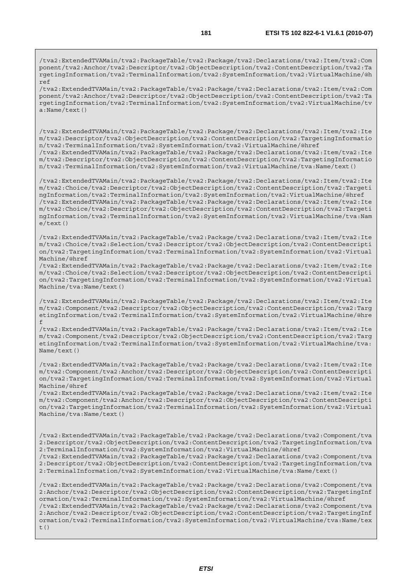/tva2:ExtendedTVAMain/tva2:PackageTable/tva2:Package/tva2:Declarations/tva2:Item/tva2:Com ponent/tva2:Anchor/tva2:Descriptor/tva2:ObjectDescription/tva2:ContentDescription/tva2:Ta rgetingInformation/tva2:TerminalInformation/tva2:SystemInformation/tva2:VirtualMachine/@h ref

/tva2:ExtendedTVAMain/tva2:PackageTable/tva2:Package/tva2:Declarations/tva2:Item/tva2:Com ponent/tva2:Anchor/tva2:Descriptor/tva2:ObjectDescription/tva2:ContentDescription/tva2:Ta rgetingInformation/tva2:TerminalInformation/tva2:SystemInformation/tva2:VirtualMachine/tv a:Name/text()

/tva2:ExtendedTVAMain/tva2:PackageTable/tva2:Package/tva2:Declarations/tva2:Item/tva2:Ite m/tva2:Descriptor/tva2:ObjectDescription/tva2:ContentDescription/tva2:TargetingInformatio n/tva2:TerminalInformation/tva2:SystemInformation/tva2:VirtualMachine/@href /tva2:ExtendedTVAMain/tva2:PackageTable/tva2:Package/tva2:Declarations/tva2:Item/tva2:Ite m/tva2:Descriptor/tva2:ObjectDescription/tva2:ContentDescription/tva2:TargetingInformatio n/tva2:TerminalInformation/tva2:SystemInformation/tva2:VirtualMachine/tva:Name/text()

/tva2:ExtendedTVAMain/tva2:PackageTable/tva2:Package/tva2:Declarations/tva2:Item/tva2:Ite m/tva2:Choice/tva2:Descriptor/tva2:ObjectDescription/tva2:ContentDescription/tva2:Targeti ngInformation/tva2:TerminalInformation/tva2:SystemInformation/tva2:VirtualMachine/@href /tva2:ExtendedTVAMain/tva2:PackageTable/tva2:Package/tva2:Declarations/tva2:Item/tva2:Ite m/tva2:Choice/tva2:Descriptor/tva2:ObjectDescription/tva2:ContentDescription/tva2:Targeti ngInformation/tva2:TerminalInformation/tva2:SystemInformation/tva2:VirtualMachine/tva:Nam e/text()

/tva2:ExtendedTVAMain/tva2:PackageTable/tva2:Package/tva2:Declarations/tva2:Item/tva2:Ite m/tva2:Choice/tva2:Selection/tva2:Descriptor/tva2:ObjectDescription/tva2:ContentDescripti on/tva2:TargetingInformation/tva2:TerminalInformation/tva2:SystemInformation/tva2:Virtual Machine/@href

/tva2:ExtendedTVAMain/tva2:PackageTable/tva2:Package/tva2:Declarations/tva2:Item/tva2:Ite m/tva2:Choice/tva2:Selection/tva2:Descriptor/tva2:ObjectDescription/tva2:ContentDescripti on/tva2:TargetingInformation/tva2:TerminalInformation/tva2:SystemInformation/tva2:Virtual Machine/tva:Name/text()

/tva2:ExtendedTVAMain/tva2:PackageTable/tva2:Package/tva2:Declarations/tva2:Item/tva2:Ite m/tva2:Component/tva2:Descriptor/tva2:ObjectDescription/tva2:ContentDescription/tva2:Targ etingInformation/tva2:TerminalInformation/tva2:SystemInformation/tva2:VirtualMachine/@hre f

/tva2:ExtendedTVAMain/tva2:PackageTable/tva2:Package/tva2:Declarations/tva2:Item/tva2:Ite m/tva2:Component/tva2:Descriptor/tva2:ObjectDescription/tva2:ContentDescription/tva2:Targ etingInformation/tva2:TerminalInformation/tva2:SystemInformation/tva2:VirtualMachine/tva: Name/text()

/tva2:ExtendedTVAMain/tva2:PackageTable/tva2:Package/tva2:Declarations/tva2:Item/tva2:Ite m/tva2:Component/tva2:Anchor/tva2:Descriptor/tva2:ObjectDescription/tva2:ContentDescripti on/tva2:TargetingInformation/tva2:TerminalInformation/tva2:SystemInformation/tva2:Virtual Machine/@href

/tva2:ExtendedTVAMain/tva2:PackageTable/tva2:Package/tva2:Declarations/tva2:Item/tva2:Ite m/tva2:Component/tva2:Anchor/tva2:Descriptor/tva2:ObjectDescription/tva2:ContentDescripti on/tva2:TargetingInformation/tva2:TerminalInformation/tva2:SystemInformation/tva2:Virtual Machine/tva:Name/text()

/tva2:ExtendedTVAMain/tva2:PackageTable/tva2:Package/tva2:Declarations/tva2:Component/tva 2:Descriptor/tva2:ObjectDescription/tva2:ContentDescription/tva2:TargetingInformation/tva 2:TerminalInformation/tva2:SystemInformation/tva2:VirtualMachine/@href

/tva2:ExtendedTVAMain/tva2:PackageTable/tva2:Package/tva2:Declarations/tva2:Component/tva 2:Descriptor/tva2:ObjectDescription/tva2:ContentDescription/tva2:TargetingInformation/tva 2:TerminalInformation/tva2:SystemInformation/tva2:VirtualMachine/tva:Name/text()

/tva2:ExtendedTVAMain/tva2:PackageTable/tva2:Package/tva2:Declarations/tva2:Component/tva 2:Anchor/tva2:Descriptor/tva2:ObjectDescription/tva2:ContentDescription/tva2:TargetingInf ormation/tva2:TerminalInformation/tva2:SystemInformation/tva2:VirtualMachine/@href /tva2:ExtendedTVAMain/tva2:PackageTable/tva2:Package/tva2:Declarations/tva2:Component/tva 2:Anchor/tva2:Descriptor/tva2:ObjectDescription/tva2:ContentDescription/tva2:TargetingInf ormation/tva2:TerminalInformation/tva2:SystemInformation/tva2:VirtualMachine/tva:Name/tex t()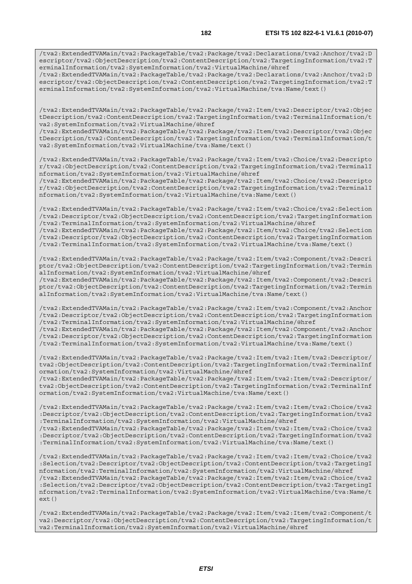/tva2:ExtendedTVAMain/tva2:PackageTable/tva2:Package/tva2:Declarations/tva2:Anchor/tva2:D escriptor/tva2:ObjectDescription/tva2:ContentDescription/tva2:TargetingInformation/tva2:T erminalInformation/tva2:SystemInformation/tva2:VirtualMachine/@href

/tva2:ExtendedTVAMain/tva2:PackageTable/tva2:Package/tva2:Declarations/tva2:Anchor/tva2:D escriptor/tva2:ObjectDescription/tva2:ContentDescription/tva2:TargetingInformation/tva2:T erminalInformation/tva2:SystemInformation/tva2:VirtualMachine/tva:Name/text()

/tva2:ExtendedTVAMain/tva2:PackageTable/tva2:Package/tva2:Item/tva2:Descriptor/tva2:Objec tDescription/tva2:ContentDescription/tva2:TargetingInformation/tva2:TerminalInformation/t va2:SystemInformation/tva2:VirtualMachine/@href

/tva2:ExtendedTVAMain/tva2:PackageTable/tva2:Package/tva2:Item/tva2:Descriptor/tva2:Objec tDescription/tva2:ContentDescription/tva2:TargetingInformation/tva2:TerminalInformation/t va2:SystemInformation/tva2:VirtualMachine/tva:Name/text()

/tva2:ExtendedTVAMain/tva2:PackageTable/tva2:Package/tva2:Item/tva2:Choice/tva2:Descripto r/tva2:ObjectDescription/tva2:ContentDescription/tva2:TargetingInformation/tva2:TerminalI nformation/tva2:SystemInformation/tva2:VirtualMachine/@href

/tva2:ExtendedTVAMain/tva2:PackageTable/tva2:Package/tva2:Item/tva2:Choice/tva2:Descripto r/tva2:ObjectDescription/tva2:ContentDescription/tva2:TargetingInformation/tva2:TerminalI nformation/tva2:SystemInformation/tva2:VirtualMachine/tva:Name/text()

/tva2:ExtendedTVAMain/tva2:PackageTable/tva2:Package/tva2:Item/tva2:Choice/tva2:Selection /tva2:Descriptor/tva2:ObjectDescription/tva2:ContentDescription/tva2:TargetingInformation /tva2:TerminalInformation/tva2:SystemInformation/tva2:VirtualMachine/@href /tva2:ExtendedTVAMain/tva2:PackageTable/tva2:Package/tva2:Item/tva2:Choice/tva2:Selection

/tva2:Descriptor/tva2:ObjectDescription/tva2:ContentDescription/tva2:TargetingInformation /tva2:TerminalInformation/tva2:SystemInformation/tva2:VirtualMachine/tva:Name/text()

/tva2:ExtendedTVAMain/tva2:PackageTable/tva2:Package/tva2:Item/tva2:Component/tva2:Descri ptor/tva2:ObjectDescription/tva2:ContentDescription/tva2:TargetingInformation/tva2:Termin alInformation/tva2:SystemInformation/tva2:VirtualMachine/@href

/tva2:ExtendedTVAMain/tva2:PackageTable/tva2:Package/tva2:Item/tva2:Component/tva2:Descri ptor/tva2:ObjectDescription/tva2:ContentDescription/tva2:TargetingInformation/tva2:Termin alInformation/tva2:SystemInformation/tva2:VirtualMachine/tva:Name/text()

/tva2:ExtendedTVAMain/tva2:PackageTable/tva2:Package/tva2:Item/tva2:Component/tva2:Anchor /tva2:Descriptor/tva2:ObjectDescription/tva2:ContentDescription/tva2:TargetingInformation /tva2:TerminalInformation/tva2:SystemInformation/tva2:VirtualMachine/@href /tva2:ExtendedTVAMain/tva2:PackageTable/tva2:Package/tva2:Item/tva2:Component/tva2:Anchor /tva2:Descriptor/tva2:ObjectDescription/tva2:ContentDescription/tva2:TargetingInformation /tva2:TerminalInformation/tva2:SystemInformation/tva2:VirtualMachine/tva:Name/text()

/tva2:ExtendedTVAMain/tva2:PackageTable/tva2:Package/tva2:Item/tva2:Item/tva2:Descriptor/ tva2:ObjectDescription/tva2:ContentDescription/tva2:TargetingInformation/tva2:TerminalInf ormation/tva2:SystemInformation/tva2:VirtualMachine/@href /tva2:ExtendedTVAMain/tva2:PackageTable/tva2:Package/tva2:Item/tva2:Item/tva2:Descriptor/

tva2:ObjectDescription/tva2:ContentDescription/tva2:TargetingInformation/tva2:TerminalInf ormation/tva2:SystemInformation/tva2:VirtualMachine/tva:Name/text()

/tva2:ExtendedTVAMain/tva2:PackageTable/tva2:Package/tva2:Item/tva2:Item/tva2:Choice/tva2 :Descriptor/tva2:ObjectDescription/tva2:ContentDescription/tva2:TargetingInformation/tva2 :TerminalInformation/tva2:SystemInformation/tva2:VirtualMachine/@href /tva2:ExtendedTVAMain/tva2:PackageTable/tva2:Package/tva2:Item/tva2:Item/tva2:Choice/tva2 :Descriptor/tva2:ObjectDescription/tva2:ContentDescription/tva2:TargetingInformation/tva2 :TerminalInformation/tva2:SystemInformation/tva2:VirtualMachine/tva:Name/text()

/tva2:ExtendedTVAMain/tva2:PackageTable/tva2:Package/tva2:Item/tva2:Item/tva2:Choice/tva2 :Selection/tva2:Descriptor/tva2:ObjectDescription/tva2:ContentDescription/tva2:TargetingI nformation/tva2:TerminalInformation/tva2:SystemInformation/tva2:VirtualMachine/@href /tva2:ExtendedTVAMain/tva2:PackageTable/tva2:Package/tva2:Item/tva2:Item/tva2:Choice/tva2 :Selection/tva2:Descriptor/tva2:ObjectDescription/tva2:ContentDescription/tva2:TargetingI nformation/tva2:TerminalInformation/tva2:SystemInformation/tva2:VirtualMachine/tva:Name/t ext()

/tva2:ExtendedTVAMain/tva2:PackageTable/tva2:Package/tva2:Item/tva2:Item/tva2:Component/t va2:Descriptor/tva2:ObjectDescription/tva2:ContentDescription/tva2:TargetingInformation/t va2:TerminalInformation/tva2:SystemInformation/tva2:VirtualMachine/@href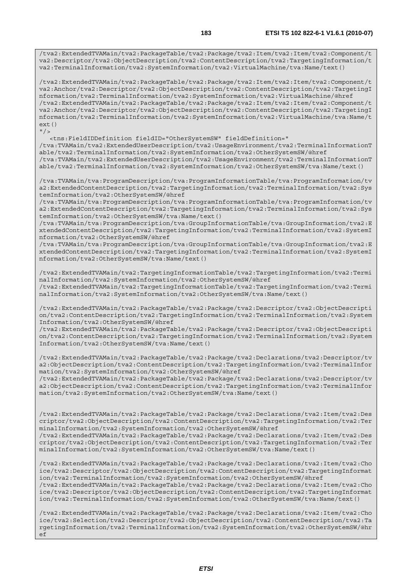/tva2:ExtendedTVAMain/tva2:PackageTable/tva2:Package/tva2:Item/tva2:Item/tva2:Component/t va2:Descriptor/tva2:ObjectDescription/tva2:ContentDescription/tva2:TargetingInformation/t va2:TerminalInformation/tva2:SystemInformation/tva2:VirtualMachine/tva:Name/text()

/tva2:ExtendedTVAMain/tva2:PackageTable/tva2:Package/tva2:Item/tva2:Item/tva2:Component/t va2:Anchor/tva2:Descriptor/tva2:ObjectDescription/tva2:ContentDescription/tva2:TargetingI nformation/tva2:TerminalInformation/tva2:SystemInformation/tva2:VirtualMachine/@href /tva2:ExtendedTVAMain/tva2:PackageTable/tva2:Package/tva2:Item/tva2:Item/tva2:Component/t va2:Anchor/tva2:Descriptor/tva2:ObjectDescription/tva2:ContentDescription/tva2:TargetingI nformation/tva2:TerminalInformation/tva2:SystemInformation/tva2:VirtualMachine/tva:Name/t ext()  $"$ />

 <tns:FieldIDDefinition fieldID="OtherSystemSW" fieldDefinition=" /tva:TVAMain/tva2:ExtendedUserDescription/tva2:UsageEnvironment/tva2:TerminalInformationT able/tva2:TerminalInformation/tva2:SystemInformation/tva2:OtherSystemSW/@href /tva:TVAMain/tva2:ExtendedUserDescription/tva2:UsageEnvironment/tva2:TerminalInformationT able/tva2:TerminalInformation/tva2:SystemInformation/tva2:OtherSystemSW/tva:Name/text()

/tva:TVAMain/tva:ProgramDescription/tva:ProgramInformationTable/tva:ProgramInformation/tv a2:ExtendedContentDescription/tva2:TargetingInformation/tva2:TerminalInformation/tva2:Sys temInformation/tva2:OtherSystemSW/@href

/tva:TVAMain/tva:ProgramDescription/tva:ProgramInformationTable/tva:ProgramInformation/tv a2:ExtendedContentDescription/tva2:TargetingInformation/tva2:TerminalInformation/tva2:Sys temInformation/tva2:OtherSystemSW/tva:Name/text()

/tva:TVAMain/tva:ProgramDescription/tva:GroupInformationTable/tva:GroupInformation/tva2:E xtendedContentDescription/tva2:TargetingInformation/tva2:TerminalInformation/tva2:SystemI nformation/tva2:OtherSystemSW/@href

/tva:TVAMain/tva:ProgramDescription/tva:GroupInformationTable/tva:GroupInformation/tva2:E xtendedContentDescription/tva2:TargetingInformation/tva2:TerminalInformation/tva2:SystemI nformation/tva2:OtherSystemSW/tva:Name/text()

/tva2:ExtendedTVAMain/tva2:TargetingInformationTable/tva2:TargetingInformation/tva2:Termi nalInformation/tva2:SystemInformation/tva2:OtherSystemSW/@href /tva2:ExtendedTVAMain/tva2:TargetingInformationTable/tva2:TargetingInformation/tva2:Termi nalInformation/tva2:SystemInformation/tva2:OtherSystemSW/tva:Name/text()

/tva2:ExtendedTVAMain/tva2:PackageTable/tva2:Package/tva2:Descriptor/tva2:ObjectDescripti on/tva2:ContentDescription/tva2:TargetingInformation/tva2:TerminalInformation/tva2:System Information/tva2:OtherSystemSW/@href

/tva2:ExtendedTVAMain/tva2:PackageTable/tva2:Package/tva2:Descriptor/tva2:ObjectDescripti on/tva2:ContentDescription/tva2:TargetingInformation/tva2:TerminalInformation/tva2:System Information/tva2:OtherSystemSW/tva:Name/text()

/tva2:ExtendedTVAMain/tva2:PackageTable/tva2:Package/tva2:Declarations/tva2:Descriptor/tv a2:ObjectDescription/tva2:ContentDescription/tva2:TargetingInformation/tva2:TerminalInfor mation/tva2:SystemInformation/tva2:OtherSystemSW/@href

/tva2:ExtendedTVAMain/tva2:PackageTable/tva2:Package/tva2:Declarations/tva2:Descriptor/tv a2:ObjectDescription/tva2:ContentDescription/tva2:TargetingInformation/tva2:TerminalInfor mation/tva2:SystemInformation/tva2:OtherSystemSW/tva:Name/text()

/tva2:ExtendedTVAMain/tva2:PackageTable/tva2:Package/tva2:Declarations/tva2:Item/tva2:Des criptor/tva2:ObjectDescription/tva2:ContentDescription/tva2:TargetingInformation/tva2:Ter minalInformation/tva2:SystemInformation/tva2:OtherSystemSW/@href /tva2:ExtendedTVAMain/tva2:PackageTable/tva2:Package/tva2:Declarations/tva2:Item/tva2:Des

criptor/tva2:ObjectDescription/tva2:ContentDescription/tva2:TargetingInformation/tva2:Ter minalInformation/tva2:SystemInformation/tva2:OtherSystemSW/tva:Name/text()

/tva2:ExtendedTVAMain/tva2:PackageTable/tva2:Package/tva2:Declarations/tva2:Item/tva2:Cho ice/tva2:Descriptor/tva2:ObjectDescription/tva2:ContentDescription/tva2:TargetingInformat ion/tva2:TerminalInformation/tva2:SystemInformation/tva2:OtherSystemSW/@href /tva2:ExtendedTVAMain/tva2:PackageTable/tva2:Package/tva2:Declarations/tva2:Item/tva2:Cho ice/tva2:Descriptor/tva2:ObjectDescription/tva2:ContentDescription/tva2:TargetingInformat ion/tva2:TerminalInformation/tva2:SystemInformation/tva2:OtherSystemSW/tva:Name/text()

/tva2:ExtendedTVAMain/tva2:PackageTable/tva2:Package/tva2:Declarations/tva2:Item/tva2:Cho ice/tva2:Selection/tva2:Descriptor/tva2:ObjectDescription/tva2:ContentDescription/tva2:Ta rgetingInformation/tva2:TerminalInformation/tva2:SystemInformation/tva2:OtherSystemSW/@hr ef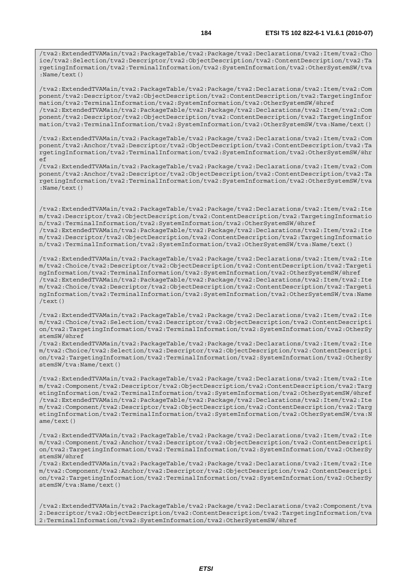/tva2:ExtendedTVAMain/tva2:PackageTable/tva2:Package/tva2:Declarations/tva2:Item/tva2:Cho ice/tva2:Selection/tva2:Descriptor/tva2:ObjectDescription/tva2:ContentDescription/tva2:Ta rgetingInformation/tva2:TerminalInformation/tva2:SystemInformation/tva2:OtherSystemSW/tva :Name/text()

/tva2:ExtendedTVAMain/tva2:PackageTable/tva2:Package/tva2:Declarations/tva2:Item/tva2:Com ponent/tva2:Descriptor/tva2:ObjectDescription/tva2:ContentDescription/tva2:TargetingInfor mation/tva2:TerminalInformation/tva2:SystemInformation/tva2:OtherSystemSW/@href /tva2:ExtendedTVAMain/tva2:PackageTable/tva2:Package/tva2:Declarations/tva2:Item/tva2:Com ponent/tva2:Descriptor/tva2:ObjectDescription/tva2:ContentDescription/tva2:TargetingInfor mation/tva2:TerminalInformation/tva2:SystemInformation/tva2:OtherSystemSW/tva:Name/text()

/tva2:ExtendedTVAMain/tva2:PackageTable/tva2:Package/tva2:Declarations/tva2:Item/tva2:Com ponent/tva2:Anchor/tva2:Descriptor/tva2:ObjectDescription/tva2:ContentDescription/tva2:Ta rgetingInformation/tva2:TerminalInformation/tva2:SystemInformation/tva2:OtherSystemSW/@hr ef

/tva2:ExtendedTVAMain/tva2:PackageTable/tva2:Package/tva2:Declarations/tva2:Item/tva2:Com ponent/tva2:Anchor/tva2:Descriptor/tva2:ObjectDescription/tva2:ContentDescription/tva2:Ta rgetingInformation/tva2:TerminalInformation/tva2:SystemInformation/tva2:OtherSystemSW/tva :Name/text()

/tva2:ExtendedTVAMain/tva2:PackageTable/tva2:Package/tva2:Declarations/tva2:Item/tva2:Ite m/tva2:Descriptor/tva2:ObjectDescription/tva2:ContentDescription/tva2:TargetingInformatio n/tva2:TerminalInformation/tva2:SystemInformation/tva2:OtherSystemSW/@href /tva2:ExtendedTVAMain/tva2:PackageTable/tva2:Package/tva2:Declarations/tva2:Item/tva2:Ite m/tva2:Descriptor/tva2:ObjectDescription/tva2:ContentDescription/tva2:TargetingInformatio n/tva2:TerminalInformation/tva2:SystemInformation/tva2:OtherSystemSW/tva:Name/text()

/tva2:ExtendedTVAMain/tva2:PackageTable/tva2:Package/tva2:Declarations/tva2:Item/tva2:Ite m/tva2:Choice/tva2:Descriptor/tva2:ObjectDescription/tva2:ContentDescription/tva2:Targeti ngInformation/tva2:TerminalInformation/tva2:SystemInformation/tva2:OtherSystemSW/@href /tva2:ExtendedTVAMain/tva2:PackageTable/tva2:Package/tva2:Declarations/tva2:Item/tva2:Ite m/tva2:Choice/tva2:Descriptor/tva2:ObjectDescription/tva2:ContentDescription/tva2:Targeti ngInformation/tva2:TerminalInformation/tva2:SystemInformation/tva2:OtherSystemSW/tva:Name /text()

/tva2:ExtendedTVAMain/tva2:PackageTable/tva2:Package/tva2:Declarations/tva2:Item/tva2:Ite m/tva2:Choice/tva2:Selection/tva2:Descriptor/tva2:ObjectDescription/tva2:ContentDescripti on/tva2:TargetingInformation/tva2:TerminalInformation/tva2:SystemInformation/tva2:OtherSy stemSW/@href

/tva2:ExtendedTVAMain/tva2:PackageTable/tva2:Package/tva2:Declarations/tva2:Item/tva2:Ite m/tva2:Choice/tva2:Selection/tva2:Descriptor/tva2:ObjectDescription/tva2:ContentDescripti on/tva2:TargetingInformation/tva2:TerminalInformation/tva2:SystemInformation/tva2:OtherSy stemSW/tva:Name/text()

/tva2:ExtendedTVAMain/tva2:PackageTable/tva2:Package/tva2:Declarations/tva2:Item/tva2:Ite m/tva2:Component/tva2:Descriptor/tva2:ObjectDescription/tva2:ContentDescription/tva2:Targ etingInformation/tva2:TerminalInformation/tva2:SystemInformation/tva2:OtherSystemSW/@href /tva2:ExtendedTVAMain/tva2:PackageTable/tva2:Package/tva2:Declarations/tva2:Item/tva2:Ite m/tva2:Component/tva2:Descriptor/tva2:ObjectDescription/tva2:ContentDescription/tva2:Targ etingInformation/tva2:TerminalInformation/tva2:SystemInformation/tva2:OtherSystemSW/tva:N ame/text()

/tva2:ExtendedTVAMain/tva2:PackageTable/tva2:Package/tva2:Declarations/tva2:Item/tva2:Ite m/tva2:Component/tva2:Anchor/tva2:Descriptor/tva2:ObjectDescription/tva2:ContentDescripti on/tva2:TargetingInformation/tva2:TerminalInformation/tva2:SystemInformation/tva2:OtherSy stemSW/@href

/tva2:ExtendedTVAMain/tva2:PackageTable/tva2:Package/tva2:Declarations/tva2:Item/tva2:Ite m/tva2:Component/tva2:Anchor/tva2:Descriptor/tva2:ObjectDescription/tva2:ContentDescripti on/tva2:TargetingInformation/tva2:TerminalInformation/tva2:SystemInformation/tva2:OtherSy stemSW/tva:Name/text()

/tva2:ExtendedTVAMain/tva2:PackageTable/tva2:Package/tva2:Declarations/tva2:Component/tva 2:Descriptor/tva2:ObjectDescription/tva2:ContentDescription/tva2:TargetingInformation/tva 2:TerminalInformation/tva2:SystemInformation/tva2:OtherSystemSW/@href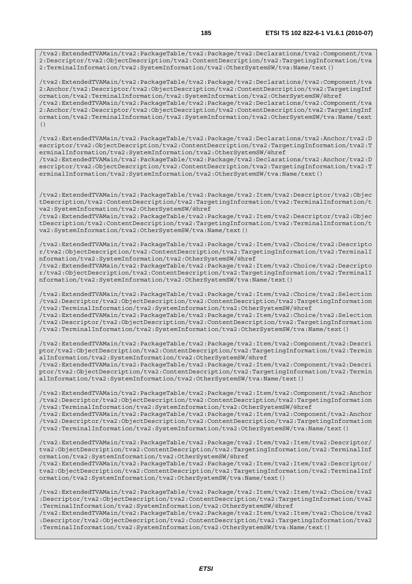/tva2:ExtendedTVAMain/tva2:PackageTable/tva2:Package/tva2:Declarations/tva2:Component/tva 2:Descriptor/tva2:ObjectDescription/tva2:ContentDescription/tva2:TargetingInformation/tva 2:TerminalInformation/tva2:SystemInformation/tva2:OtherSystemSW/tva:Name/text()

/tva2:ExtendedTVAMain/tva2:PackageTable/tva2:Package/tva2:Declarations/tva2:Component/tva 2:Anchor/tva2:Descriptor/tva2:ObjectDescription/tva2:ContentDescription/tva2:TargetingInf ormation/tva2:TerminalInformation/tva2:SystemInformation/tva2:OtherSystemSW/@href /tva2:ExtendedTVAMain/tva2:PackageTable/tva2:Package/tva2:Declarations/tva2:Component/tva 2:Anchor/tva2:Descriptor/tva2:ObjectDescription/tva2:ContentDescription/tva2:TargetingInf ormation/tva2:TerminalInformation/tva2:SystemInformation/tva2:OtherSystemSW/tva:Name/text  $( )$ 

/tva2:ExtendedTVAMain/tva2:PackageTable/tva2:Package/tva2:Declarations/tva2:Anchor/tva2:D escriptor/tva2:ObjectDescription/tva2:ContentDescription/tva2:TargetingInformation/tva2:T erminalInformation/tva2:SystemInformation/tva2:OtherSystemSW/@href

/tva2:ExtendedTVAMain/tva2:PackageTable/tva2:Package/tva2:Declarations/tva2:Anchor/tva2:D escriptor/tva2:ObjectDescription/tva2:ContentDescription/tva2:TargetingInformation/tva2:T erminalInformation/tva2:SystemInformation/tva2:OtherSystemSW/tva:Name/text()

/tva2:ExtendedTVAMain/tva2:PackageTable/tva2:Package/tva2:Item/tva2:Descriptor/tva2:Objec tDescription/tva2:ContentDescription/tva2:TargetingInformation/tva2:TerminalInformation/t va2:SystemInformation/tva2:OtherSystemSW/@href

/tva2:ExtendedTVAMain/tva2:PackageTable/tva2:Package/tva2:Item/tva2:Descriptor/tva2:Objec tDescription/tva2:ContentDescription/tva2:TargetingInformation/tva2:TerminalInformation/t va2:SystemInformation/tva2:OtherSystemSW/tva:Name/text()

/tva2:ExtendedTVAMain/tva2:PackageTable/tva2:Package/tva2:Item/tva2:Choice/tva2:Descripto r/tva2:ObjectDescription/tva2:ContentDescription/tva2:TargetingInformation/tva2:TerminalI nformation/tva2:SystemInformation/tva2:OtherSystemSW/@href

/tva2:ExtendedTVAMain/tva2:PackageTable/tva2:Package/tva2:Item/tva2:Choice/tva2:Descripto r/tva2:ObjectDescription/tva2:ContentDescription/tva2:TargetingInformation/tva2:TerminalI nformation/tva2:SystemInformation/tva2:OtherSystemSW/tva:Name/text()

/tva2:ExtendedTVAMain/tva2:PackageTable/tva2:Package/tva2:Item/tva2:Choice/tva2:Selection /tva2:Descriptor/tva2:ObjectDescription/tva2:ContentDescription/tva2:TargetingInformation /tva2:TerminalInformation/tva2:SystemInformation/tva2:OtherSystemSW/@href /tva2:ExtendedTVAMain/tva2:PackageTable/tva2:Package/tva2:Item/tva2:Choice/tva2:Selection /tva2:Descriptor/tva2:ObjectDescription/tva2:ContentDescription/tva2:TargetingInformation /tva2:TerminalInformation/tva2:SystemInformation/tva2:OtherSystemSW/tva:Name/text()

/tva2:ExtendedTVAMain/tva2:PackageTable/tva2:Package/tva2:Item/tva2:Component/tva2:Descri ptor/tva2:ObjectDescription/tva2:ContentDescription/tva2:TargetingInformation/tva2:Termin alInformation/tva2:SystemInformation/tva2:OtherSystemSW/@href /tva2:ExtendedTVAMain/tva2:PackageTable/tva2:Package/tva2:Item/tva2:Component/tva2:Descri

ptor/tva2:ObjectDescription/tva2:ContentDescription/tva2:TargetingInformation/tva2:Termin alInformation/tva2:SystemInformation/tva2:OtherSystemSW/tva:Name/text()

/tva2:ExtendedTVAMain/tva2:PackageTable/tva2:Package/tva2:Item/tva2:Component/tva2:Anchor /tva2:Descriptor/tva2:ObjectDescription/tva2:ContentDescription/tva2:TargetingInformation /tva2:TerminalInformation/tva2:SystemInformation/tva2:OtherSystemSW/@href /tva2:ExtendedTVAMain/tva2:PackageTable/tva2:Package/tva2:Item/tva2:Component/tva2:Anchor

/tva2:Descriptor/tva2:ObjectDescription/tva2:ContentDescription/tva2:TargetingInformation /tva2:TerminalInformation/tva2:SystemInformation/tva2:OtherSystemSW/tva:Name/text()

/tva2:ExtendedTVAMain/tva2:PackageTable/tva2:Package/tva2:Item/tva2:Item/tva2:Descriptor/ tva2:ObjectDescription/tva2:ContentDescription/tva2:TargetingInformation/tva2:TerminalInf ormation/tva2:SystemInformation/tva2:OtherSystemSW/@href

/tva2:ExtendedTVAMain/tva2:PackageTable/tva2:Package/tva2:Item/tva2:Item/tva2:Descriptor/ tva2:ObjectDescription/tva2:ContentDescription/tva2:TargetingInformation/tva2:TerminalInf ormation/tva2:SystemInformation/tva2:OtherSystemSW/tva:Name/text()

/tva2:ExtendedTVAMain/tva2:PackageTable/tva2:Package/tva2:Item/tva2:Item/tva2:Choice/tva2 :Descriptor/tva2:ObjectDescription/tva2:ContentDescription/tva2:TargetingInformation/tva2 :TerminalInformation/tva2:SystemInformation/tva2:OtherSystemSW/@href /tva2:ExtendedTVAMain/tva2:PackageTable/tva2:Package/tva2:Item/tva2:Item/tva2:Choice/tva2

:Descriptor/tva2:ObjectDescription/tva2:ContentDescription/tva2:TargetingInformation/tva2 :TerminalInformation/tva2:SystemInformation/tva2:OtherSystemSW/tva:Name/text()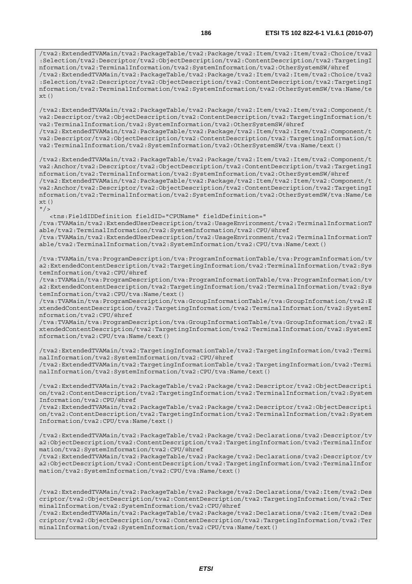/tva2:ExtendedTVAMain/tva2:PackageTable/tva2:Package/tva2:Item/tva2:Item/tva2:Component/t va2:Descriptor/tva2:ObjectDescription/tva2:ContentDescription/tva2:TargetingInformation/t va2:TerminalInformation/tva2:SystemInformation/tva2:OtherSystemSW/@href /tva2:ExtendedTVAMain/tva2:PackageTable/tva2:Package/tva2:Item/tva2:Item/tva2:Component/t va2:Descriptor/tva2:ObjectDescription/tva2:ContentDescription/tva2:TargetingInformation/t va2:TerminalInformation/tva2:SystemInformation/tva2:OtherSystemSW/tva:Name/text()

/tva2:ExtendedTVAMain/tva2:PackageTable/tva2:Package/tva2:Item/tva2:Item/tva2:Component/t va2:Anchor/tva2:Descriptor/tva2:ObjectDescription/tva2:ContentDescription/tva2:TargetingI nformation/tva2:TerminalInformation/tva2:SystemInformation/tva2:OtherSystemSW/@href /tva2:ExtendedTVAMain/tva2:PackageTable/tva2:Package/tva2:Item/tva2:Item/tva2:Component/t va2:Anchor/tva2:Descriptor/tva2:ObjectDescription/tva2:ContentDescription/tva2:TargetingI nformation/tva2:TerminalInformation/tva2:SystemInformation/tva2:OtherSystemSW/tva:Name/te xt()  $"$  />

<tns:FieldIDDefinition fieldID="CPUName" fieldDefinition="

/tva:TVAMain/tva2:ExtendedUserDescription/tva2:UsageEnvironment/tva2:TerminalInformationT able/tva2:TerminalInformation/tva2:SystemInformation/tva2:CPU/@href

/tva:TVAMain/tva2:ExtendedUserDescription/tva2:UsageEnvironment/tva2:TerminalInformationT able/tva2:TerminalInformation/tva2:SystemInformation/tva2:CPU/tva:Name/text()

/tva:TVAMain/tva:ProgramDescription/tva:ProgramInformationTable/tva:ProgramInformation/tv a2:ExtendedContentDescription/tva2:TargetingInformation/tva2:TerminalInformation/tva2:Sys temInformation/tva2:CPU/@href

/tva:TVAMain/tva:ProgramDescription/tva:ProgramInformationTable/tva:ProgramInformation/tv a2:ExtendedContentDescription/tva2:TargetingInformation/tva2:TerminalInformation/tva2:Sys temInformation/tva2:CPU/tva:Name/text()

/tva:TVAMain/tva:ProgramDescription/tva:GroupInformationTable/tva:GroupInformation/tva2:E xtendedContentDescription/tva2:TargetingInformation/tva2:TerminalInformation/tva2:SystemI nformation/tva2:CPU/@href

/tva:TVAMain/tva:ProgramDescription/tva:GroupInformationTable/tva:GroupInformation/tva2:E xtendedContentDescription/tva2:TargetingInformation/tva2:TerminalInformation/tva2:SystemI nformation/tva2:CPU/tva:Name/text()

/tva2:ExtendedTVAMain/tva2:TargetingInformationTable/tva2:TargetingInformation/tva2:Termi nalInformation/tva2:SystemInformation/tva2:CPU/@href /tva2:ExtendedTVAMain/tva2:TargetingInformationTable/tva2:TargetingInformation/tva2:Termi nalInformation/tva2:SystemInformation/tva2:CPU/tva:Name/text()

/tva2:ExtendedTVAMain/tva2:PackageTable/tva2:Package/tva2:Descriptor/tva2:ObjectDescripti on/tva2:ContentDescription/tva2:TargetingInformation/tva2:TerminalInformation/tva2:System Information/tva2:CPU/@href

/tva2:ExtendedTVAMain/tva2:PackageTable/tva2:Package/tva2:Descriptor/tva2:ObjectDescripti on/tva2:ContentDescription/tva2:TargetingInformation/tva2:TerminalInformation/tva2:System Information/tva2:CPU/tva:Name/text()

/tva2:ExtendedTVAMain/tva2:PackageTable/tva2:Package/tva2:Declarations/tva2:Descriptor/tv a2:ObjectDescription/tva2:ContentDescription/tva2:TargetingInformation/tva2:TerminalInfor mation/tva2:SystemInformation/tva2:CPU/@href

/tva2:ExtendedTVAMain/tva2:PackageTable/tva2:Package/tva2:Declarations/tva2:Descriptor/tv a2:ObjectDescription/tva2:ContentDescription/tva2:TargetingInformation/tva2:TerminalInfor mation/tva2:SystemInformation/tva2:CPU/tva:Name/text()

/tva2:ExtendedTVAMain/tva2:PackageTable/tva2:Package/tva2:Declarations/tva2:Item/tva2:Des criptor/tva2:ObjectDescription/tva2:ContentDescription/tva2:TargetingInformation/tva2:Ter minalInformation/tva2:SystemInformation/tva2:CPU/@href /tva2:ExtendedTVAMain/tva2:PackageTable/tva2:Package/tva2:Declarations/tva2:Item/tva2:Des criptor/tva2:ObjectDescription/tva2:ContentDescription/tva2:TargetingInformation/tva2:Ter minalInformation/tva2:SystemInformation/tva2:CPU/tva:Name/text()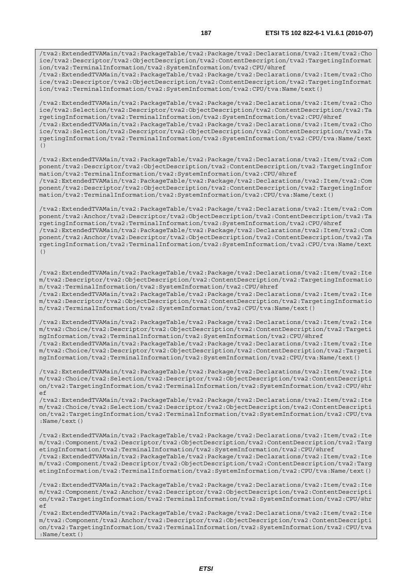/tva2:ExtendedTVAMain/tva2:PackageTable/tva2:Package/tva2:Declarations/tva2:Item/tva2:Cho ice/tva2:Descriptor/tva2:ObjectDescription/tva2:ContentDescription/tva2:TargetingInformat ion/tva2:TerminalInformation/tva2:SystemInformation/tva2:CPU/@href /tva2:ExtendedTVAMain/tva2:PackageTable/tva2:Package/tva2:Declarations/tva2:Item/tva2:Cho

ice/tva2:Descriptor/tva2:ObjectDescription/tva2:ContentDescription/tva2:TargetingInformat ion/tva2:TerminalInformation/tva2:SystemInformation/tva2:CPU/tva:Name/text()

/tva2:ExtendedTVAMain/tva2:PackageTable/tva2:Package/tva2:Declarations/tva2:Item/tva2:Cho ice/tva2:Selection/tva2:Descriptor/tva2:ObjectDescription/tva2:ContentDescription/tva2:Ta rgetingInformation/tva2:TerminalInformation/tva2:SystemInformation/tva2:CPU/@href /tva2:ExtendedTVAMain/tva2:PackageTable/tva2:Package/tva2:Declarations/tva2:Item/tva2:Cho ice/tva2:Selection/tva2:Descriptor/tva2:ObjectDescription/tva2:ContentDescription/tva2:Ta rgetingInformation/tva2:TerminalInformation/tva2:SystemInformation/tva2:CPU/tva:Name/text ()

/tva2:ExtendedTVAMain/tva2:PackageTable/tva2:Package/tva2:Declarations/tva2:Item/tva2:Com ponent/tva2:Descriptor/tva2:ObjectDescription/tva2:ContentDescription/tva2:TargetingInfor mation/tva2:TerminalInformation/tva2:SystemInformation/tva2:CPU/@href /tva2:ExtendedTVAMain/tva2:PackageTable/tva2:Package/tva2:Declarations/tva2:Item/tva2:Com ponent/tva2:Descriptor/tva2:ObjectDescription/tva2:ContentDescription/tva2:TargetingInfor mation/tva2:TerminalInformation/tva2:SystemInformation/tva2:CPU/tva:Name/text()

/tva2:ExtendedTVAMain/tva2:PackageTable/tva2:Package/tva2:Declarations/tva2:Item/tva2:Com ponent/tva2:Anchor/tva2:Descriptor/tva2:ObjectDescription/tva2:ContentDescription/tva2:Ta rgetingInformation/tva2:TerminalInformation/tva2:SystemInformation/tva2:CPU/@href /tva2:ExtendedTVAMain/tva2:PackageTable/tva2:Package/tva2:Declarations/tva2:Item/tva2:Com ponent/tva2:Anchor/tva2:Descriptor/tva2:ObjectDescription/tva2:ContentDescription/tva2:Ta rgetingInformation/tva2:TerminalInformation/tva2:SystemInformation/tva2:CPU/tva:Name/text ()

/tva2:ExtendedTVAMain/tva2:PackageTable/tva2:Package/tva2:Declarations/tva2:Item/tva2:Ite m/tva2:Descriptor/tva2:ObjectDescription/tva2:ContentDescription/tva2:TargetingInformatio n/tva2:TerminalInformation/tva2:SystemInformation/tva2:CPU/@href /tva2:ExtendedTVAMain/tva2:PackageTable/tva2:Package/tva2:Declarations/tva2:Item/tva2:Ite m/tva2:Descriptor/tva2:ObjectDescription/tva2:ContentDescription/tva2:TargetingInformatio n/tva2:TerminalInformation/tva2:SystemInformation/tva2:CPU/tva:Name/text()

/tva2:ExtendedTVAMain/tva2:PackageTable/tva2:Package/tva2:Declarations/tva2:Item/tva2:Ite m/tva2:Choice/tva2:Descriptor/tva2:ObjectDescription/tva2:ContentDescription/tva2:Targeti ngInformation/tva2:TerminalInformation/tva2:SystemInformation/tva2:CPU/@href /tva2:ExtendedTVAMain/tva2:PackageTable/tva2:Package/tva2:Declarations/tva2:Item/tva2:Ite m/tva2:Choice/tva2:Descriptor/tva2:ObjectDescription/tva2:ContentDescription/tva2:Targeti ngInformation/tva2:TerminalInformation/tva2:SystemInformation/tva2:CPU/tva:Name/text()

/tva2:ExtendedTVAMain/tva2:PackageTable/tva2:Package/tva2:Declarations/tva2:Item/tva2:Ite m/tva2:Choice/tva2:Selection/tva2:Descriptor/tva2:ObjectDescription/tva2:ContentDescripti on/tva2:TargetingInformation/tva2:TerminalInformation/tva2:SystemInformation/tva2:CPU/@hr ef

/tva2:ExtendedTVAMain/tva2:PackageTable/tva2:Package/tva2:Declarations/tva2:Item/tva2:Ite m/tva2:Choice/tva2:Selection/tva2:Descriptor/tva2:ObjectDescription/tva2:ContentDescripti on/tva2:TargetingInformation/tva2:TerminalInformation/tva2:SystemInformation/tva2:CPU/tva :Name/text()

/tva2:ExtendedTVAMain/tva2:PackageTable/tva2:Package/tva2:Declarations/tva2:Item/tva2:Ite m/tva2:Component/tva2:Descriptor/tva2:ObjectDescription/tva2:ContentDescription/tva2:Targ etingInformation/tva2:TerminalInformation/tva2:SystemInformation/tva2:CPU/@href /tva2:ExtendedTVAMain/tva2:PackageTable/tva2:Package/tva2:Declarations/tva2:Item/tva2:Ite m/tva2:Component/tva2:Descriptor/tva2:ObjectDescription/tva2:ContentDescription/tva2:Targ etingInformation/tva2:TerminalInformation/tva2:SystemInformation/tva2:CPU/tva:Name/text()

/tva2:ExtendedTVAMain/tva2:PackageTable/tva2:Package/tva2:Declarations/tva2:Item/tva2:Ite m/tva2:Component/tva2:Anchor/tva2:Descriptor/tva2:ObjectDescription/tva2:ContentDescripti on/tva2:TargetingInformation/tva2:TerminalInformation/tva2:SystemInformation/tva2:CPU/@hr ef

/tva2:ExtendedTVAMain/tva2:PackageTable/tva2:Package/tva2:Declarations/tva2:Item/tva2:Ite m/tva2:Component/tva2:Anchor/tva2:Descriptor/tva2:ObjectDescription/tva2:ContentDescripti on/tva2:TargetingInformation/tva2:TerminalInformation/tva2:SystemInformation/tva2:CPU/tva :Name/text()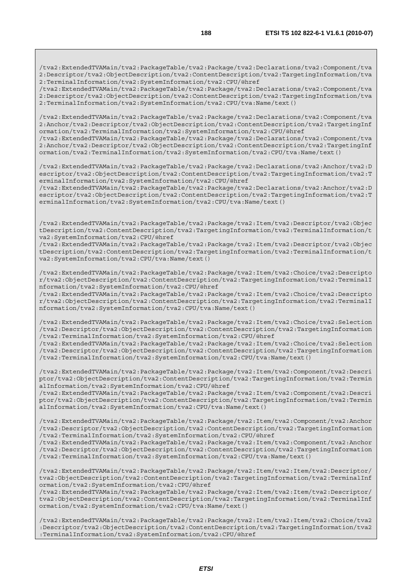/tva2:ExtendedTVAMain/tva2:PackageTable/tva2:Package/tva2:Declarations/tva2:Component/tva 2:Descriptor/tva2:ObjectDescription/tva2:ContentDescription/tva2:TargetingInformation/tva 2:TerminalInformation/tva2:SystemInformation/tva2:CPU/@href

/tva2:ExtendedTVAMain/tva2:PackageTable/tva2:Package/tva2:Declarations/tva2:Component/tva 2:Descriptor/tva2:ObjectDescription/tva2:ContentDescription/tva2:TargetingInformation/tva 2:TerminalInformation/tva2:SystemInformation/tva2:CPU/tva:Name/text()

/tva2:ExtendedTVAMain/tva2:PackageTable/tva2:Package/tva2:Declarations/tva2:Component/tva 2:Anchor/tva2:Descriptor/tva2:ObjectDescription/tva2:ContentDescription/tva2:TargetingInf ormation/tva2:TerminalInformation/tva2:SystemInformation/tva2:CPU/@href /tva2:ExtendedTVAMain/tva2:PackageTable/tva2:Package/tva2:Declarations/tva2:Component/tva

2:Anchor/tva2:Descriptor/tva2:ObjectDescription/tva2:ContentDescription/tva2:TargetingInf ormation/tva2:TerminalInformation/tva2:SystemInformation/tva2:CPU/tva:Name/text()

/tva2:ExtendedTVAMain/tva2:PackageTable/tva2:Package/tva2:Declarations/tva2:Anchor/tva2:D escriptor/tva2:ObjectDescription/tva2:ContentDescription/tva2:TargetingInformation/tva2:T erminalInformation/tva2:SystemInformation/tva2:CPU/@href

/tva2:ExtendedTVAMain/tva2:PackageTable/tva2:Package/tva2:Declarations/tva2:Anchor/tva2:D escriptor/tva2:ObjectDescription/tva2:ContentDescription/tva2:TargetingInformation/tva2:T erminalInformation/tva2:SystemInformation/tva2:CPU/tva:Name/text()

/tva2:ExtendedTVAMain/tva2:PackageTable/tva2:Package/tva2:Item/tva2:Descriptor/tva2:Objec tDescription/tva2:ContentDescription/tva2:TargetingInformation/tva2:TerminalInformation/t va2:SystemInformation/tva2:CPU/@href

/tva2:ExtendedTVAMain/tva2:PackageTable/tva2:Package/tva2:Item/tva2:Descriptor/tva2:Objec tDescription/tva2:ContentDescription/tva2:TargetingInformation/tva2:TerminalInformation/t va2:SystemInformation/tva2:CPU/tva:Name/text()

/tva2:ExtendedTVAMain/tva2:PackageTable/tva2:Package/tva2:Item/tva2:Choice/tva2:Descripto r/tva2:ObjectDescription/tva2:ContentDescription/tva2:TargetingInformation/tva2:TerminalI nformation/tva2:SystemInformation/tva2:CPU/@href

/tva2:ExtendedTVAMain/tva2:PackageTable/tva2:Package/tva2:Item/tva2:Choice/tva2:Descripto r/tva2:ObjectDescription/tva2:ContentDescription/tva2:TargetingInformation/tva2:TerminalI nformation/tva2:SystemInformation/tva2:CPU/tva:Name/text()

/tva2:ExtendedTVAMain/tva2:PackageTable/tva2:Package/tva2:Item/tva2:Choice/tva2:Selection /tva2:Descriptor/tva2:ObjectDescription/tva2:ContentDescription/tva2:TargetingInformation /tva2:TerminalInformation/tva2:SystemInformation/tva2:CPU/@href

/tva2:ExtendedTVAMain/tva2:PackageTable/tva2:Package/tva2:Item/tva2:Choice/tva2:Selection /tva2:Descriptor/tva2:ObjectDescription/tva2:ContentDescription/tva2:TargetingInformation /tva2:TerminalInformation/tva2:SystemInformation/tva2:CPU/tva:Name/text()

/tva2:ExtendedTVAMain/tva2:PackageTable/tva2:Package/tva2:Item/tva2:Component/tva2:Descri ptor/tva2:ObjectDescription/tva2:ContentDescription/tva2:TargetingInformation/tva2:Termin alInformation/tva2:SystemInformation/tva2:CPU/@href

/tva2:ExtendedTVAMain/tva2:PackageTable/tva2:Package/tva2:Item/tva2:Component/tva2:Descri ptor/tva2:ObjectDescription/tva2:ContentDescription/tva2:TargetingInformation/tva2:Termin alInformation/tva2:SystemInformation/tva2:CPU/tva:Name/text()

/tva2:ExtendedTVAMain/tva2:PackageTable/tva2:Package/tva2:Item/tva2:Component/tva2:Anchor /tva2:Descriptor/tva2:ObjectDescription/tva2:ContentDescription/tva2:TargetingInformation /tva2:TerminalInformation/tva2:SystemInformation/tva2:CPU/@href

/tva2:ExtendedTVAMain/tva2:PackageTable/tva2:Package/tva2:Item/tva2:Component/tva2:Anchor /tva2:Descriptor/tva2:ObjectDescription/tva2:ContentDescription/tva2:TargetingInformation /tva2:TerminalInformation/tva2:SystemInformation/tva2:CPU/tva:Name/text()

/tva2:ExtendedTVAMain/tva2:PackageTable/tva2:Package/tva2:Item/tva2:Item/tva2:Descriptor/ tva2:ObjectDescription/tva2:ContentDescription/tva2:TargetingInformation/tva2:TerminalInf ormation/tva2:SystemInformation/tva2:CPU/@href

/tva2:ExtendedTVAMain/tva2:PackageTable/tva2:Package/tva2:Item/tva2:Item/tva2:Descriptor/ tva2:ObjectDescription/tva2:ContentDescription/tva2:TargetingInformation/tva2:TerminalInf ormation/tva2:SystemInformation/tva2:CPU/tva:Name/text()

/tva2:ExtendedTVAMain/tva2:PackageTable/tva2:Package/tva2:Item/tva2:Item/tva2:Choice/tva2 :Descriptor/tva2:ObjectDescription/tva2:ContentDescription/tva2:TargetingInformation/tva2 :TerminalInformation/tva2:SystemInformation/tva2:CPU/@href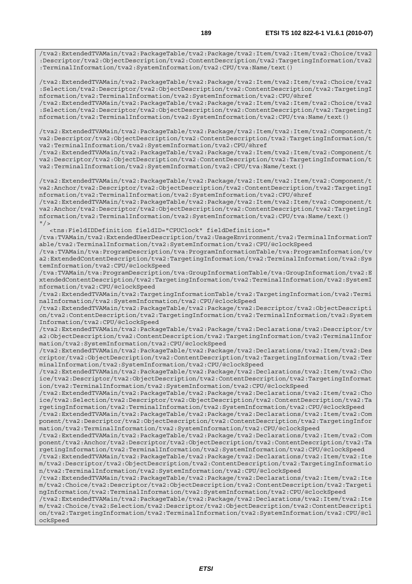/tva2:ExtendedTVAMain/tva2:PackageTable/tva2:Package/tva2:Item/tva2:Item/tva2:Choice/tva2 :Descriptor/tva2:ObjectDescription/tva2:ContentDescription/tva2:TargetingInformation/tva2 :TerminalInformation/tva2:SystemInformation/tva2:CPU/tva:Name/text()

/tva2:ExtendedTVAMain/tva2:PackageTable/tva2:Package/tva2:Item/tva2:Item/tva2:Choice/tva2 :Selection/tva2:Descriptor/tva2:ObjectDescription/tva2:ContentDescription/tva2:TargetingI nformation/tva2:TerminalInformation/tva2:SystemInformation/tva2:CPU/@href

/tva2:ExtendedTVAMain/tva2:PackageTable/tva2:Package/tva2:Item/tva2:Item/tva2:Choice/tva2 :Selection/tva2:Descriptor/tva2:ObjectDescription/tva2:ContentDescription/tva2:TargetingI nformation/tva2:TerminalInformation/tva2:SystemInformation/tva2:CPU/tva:Name/text()

/tva2:ExtendedTVAMain/tva2:PackageTable/tva2:Package/tva2:Item/tva2:Item/tva2:Component/t va2:Descriptor/tva2:ObjectDescription/tva2:ContentDescription/tva2:TargetingInformation/t va2:TerminalInformation/tva2:SystemInformation/tva2:CPU/@href

/tva2:ExtendedTVAMain/tva2:PackageTable/tva2:Package/tva2:Item/tva2:Item/tva2:Component/t va2:Descriptor/tva2:ObjectDescription/tva2:ContentDescription/tva2:TargetingInformation/t va2:TerminalInformation/tva2:SystemInformation/tva2:CPU/tva:Name/text()

/tva2:ExtendedTVAMain/tva2:PackageTable/tva2:Package/tva2:Item/tva2:Item/tva2:Component/t va2:Anchor/tva2:Descriptor/tva2:ObjectDescription/tva2:ContentDescription/tva2:TargetingI nformation/tva2:TerminalInformation/tva2:SystemInformation/tva2:CPU/@href

/tva2:ExtendedTVAMain/tva2:PackageTable/tva2:Package/tva2:Item/tva2:Item/tva2:Component/t va2:Anchor/tva2:Descriptor/tva2:ObjectDescription/tva2:ContentDescription/tva2:TargetingI nformation/tva2:TerminalInformation/tva2:SystemInformation/tva2:CPU/tva:Name/text()  $''$  />

<tns:FieldIDDefinition fieldID="CPUClock" fieldDefinition="

/tva:TVAMain/tva2:ExtendedUserDescription/tva2:UsageEnvironment/tva2:TerminalInformationT able/tva2:TerminalInformation/tva2:SystemInformation/tva2:CPU/@clockSpeed

/tva:TVAMain/tva:ProgramDescription/tva:ProgramInformationTable/tva:ProgramInformation/tv a2:ExtendedContentDescription/tva2:TargetingInformation/tva2:TerminalInformation/tva2:Sys temInformation/tva2:CPU/@clockSpeed

/tva:TVAMain/tva:ProgramDescription/tva:GroupInformationTable/tva:GroupInformation/tva2:E xtendedContentDescription/tva2:TargetingInformation/tva2:TerminalInformation/tva2:SystemI nformation/tva2:CPU/@clockSpeed

/tva2:ExtendedTVAMain/tva2:TargetingInformationTable/tva2:TargetingInformation/tva2:Termi nalInformation/tva2:SystemInformation/tva2:CPU/@clockSpeed

/tva2:ExtendedTVAMain/tva2:PackageTable/tva2:Package/tva2:Descriptor/tva2:ObjectDescripti on/tva2:ContentDescription/tva2:TargetingInformation/tva2:TerminalInformation/tva2:System Information/tva2:CPU/@clockSpeed

/tva2:ExtendedTVAMain/tva2:PackageTable/tva2:Package/tva2:Declarations/tva2:Descriptor/tv a2:ObjectDescription/tva2:ContentDescription/tva2:TargetingInformation/tva2:TerminalInfor mation/tva2:SystemInformation/tva2:CPU/@clockSpeed

/tva2:ExtendedTVAMain/tva2:PackageTable/tva2:Package/tva2:Declarations/tva2:Item/tva2:Des criptor/tva2:ObjectDescription/tva2:ContentDescription/tva2:TargetingInformation/tva2:Ter minalInformation/tva2:SystemInformation/tva2:CPU/@clockSpeed

/tva2:ExtendedTVAMain/tva2:PackageTable/tva2:Package/tva2:Declarations/tva2:Item/tva2:Cho ice/tva2:Descriptor/tva2:ObjectDescription/tva2:ContentDescription/tva2:TargetingInformat ion/tva2:TerminalInformation/tva2:SystemInformation/tva2:CPU/@clockSpeed

/tva2:ExtendedTVAMain/tva2:PackageTable/tva2:Package/tva2:Declarations/tva2:Item/tva2:Cho ice/tva2:Selection/tva2:Descriptor/tva2:ObjectDescription/tva2:ContentDescription/tva2:Ta rgetingInformation/tva2:TerminalInformation/tva2:SystemInformation/tva2:CPU/@clockSpeed

/tva2:ExtendedTVAMain/tva2:PackageTable/tva2:Package/tva2:Declarations/tva2:Item/tva2:Com ponent/tva2:Descriptor/tva2:ObjectDescription/tva2:ContentDescription/tva2:TargetingInfor mation/tva2:TerminalInformation/tva2:SystemInformation/tva2:CPU/@clockSpeed

/tva2:ExtendedTVAMain/tva2:PackageTable/tva2:Package/tva2:Declarations/tva2:Item/tva2:Com ponent/tva2:Anchor/tva2:Descriptor/tva2:ObjectDescription/tva2:ContentDescription/tva2:Ta rgetingInformation/tva2:TerminalInformation/tva2:SystemInformation/tva2:CPU/@clockSpeed

/tva2:ExtendedTVAMain/tva2:PackageTable/tva2:Package/tva2:Declarations/tva2:Item/tva2:Ite m/tva2:Descriptor/tva2:ObjectDescription/tva2:ContentDescription/tva2:TargetingInformatio n/tva2:TerminalInformation/tva2:SystemInformation/tva2:CPU/@clockSpeed

/tva2:ExtendedTVAMain/tva2:PackageTable/tva2:Package/tva2:Declarations/tva2:Item/tva2:Ite m/tva2:Choice/tva2:Descriptor/tva2:ObjectDescription/tva2:ContentDescription/tva2:Targeti ngInformation/tva2:TerminalInformation/tva2:SystemInformation/tva2:CPU/@clockSpeed

/tva2:ExtendedTVAMain/tva2:PackageTable/tva2:Package/tva2:Declarations/tva2:Item/tva2:Ite m/tva2:Choice/tva2:Selection/tva2:Descriptor/tva2:ObjectDescription/tva2:ContentDescripti on/tva2:TargetingInformation/tva2:TerminalInformation/tva2:SystemInformation/tva2:CPU/@cl ockSpeed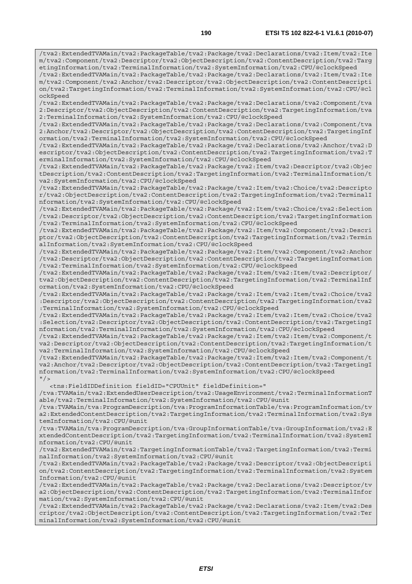/tva2:ExtendedTVAMain/tva2:PackageTable/tva2:Package/tva2:Declarations/tva2:Item/tva2:Ite m/tva2:Component/tva2:Descriptor/tva2:ObjectDescription/tva2:ContentDescription/tva2:Targ etingInformation/tva2:TerminalInformation/tva2:SystemInformation/tva2:CPU/@clockSpeed /tva2:ExtendedTVAMain/tva2:PackageTable/tva2:Package/tva2:Declarations/tva2:Item/tva2:Ite m/tva2:Component/tva2:Anchor/tva2:Descriptor/tva2:ObjectDescription/tva2:ContentDescripti on/tva2:TargetingInformation/tva2:TerminalInformation/tva2:SystemInformation/tva2:CPU/@cl ockSpeed

/tva2:ExtendedTVAMain/tva2:PackageTable/tva2:Package/tva2:Declarations/tva2:Component/tva 2:Descriptor/tva2:ObjectDescription/tva2:ContentDescription/tva2:TargetingInformation/tva 2:TerminalInformation/tva2:SystemInformation/tva2:CPU/@clockSpeed

/tva2:ExtendedTVAMain/tva2:PackageTable/tva2:Package/tva2:Declarations/tva2:Component/tva 2:Anchor/tva2:Descriptor/tva2:ObjectDescription/tva2:ContentDescription/tva2:TargetingInf ormation/tva2:TerminalInformation/tva2:SystemInformation/tva2:CPU/@clockSpeed

/tva2:ExtendedTVAMain/tva2:PackageTable/tva2:Package/tva2:Declarations/tva2:Anchor/tva2:D escriptor/tva2:ObjectDescription/tva2:ContentDescription/tva2:TargetingInformation/tva2:T erminalInformation/tva2:SystemInformation/tva2:CPU/@clockSpeed

/tva2:ExtendedTVAMain/tva2:PackageTable/tva2:Package/tva2:Item/tva2:Descriptor/tva2:Objec tDescription/tva2:ContentDescription/tva2:TargetingInformation/tva2:TerminalInformation/t va2:SystemInformation/tva2:CPU/@clockSpeed

/tva2:ExtendedTVAMain/tva2:PackageTable/tva2:Package/tva2:Item/tva2:Choice/tva2:Descripto r/tva2:ObjectDescription/tva2:ContentDescription/tva2:TargetingInformation/tva2:TerminalI nformation/tva2:SystemInformation/tva2:CPU/@clockSpeed

/tva2:ExtendedTVAMain/tva2:PackageTable/tva2:Package/tva2:Item/tva2:Choice/tva2:Selection /tva2:Descriptor/tva2:ObjectDescription/tva2:ContentDescription/tva2:TargetingInformation /tva2:TerminalInformation/tva2:SystemInformation/tva2:CPU/@clockSpeed

/tva2:ExtendedTVAMain/tva2:PackageTable/tva2:Package/tva2:Item/tva2:Component/tva2:Descri ptor/tva2:ObjectDescription/tva2:ContentDescription/tva2:TargetingInformation/tva2:Termin alInformation/tva2:SystemInformation/tva2:CPU/@clockSpeed

/tva2:ExtendedTVAMain/tva2:PackageTable/tva2:Package/tva2:Item/tva2:Component/tva2:Anchor /tva2:Descriptor/tva2:ObjectDescription/tva2:ContentDescription/tva2:TargetingInformation /tva2:TerminalInformation/tva2:SystemInformation/tva2:CPU/@clockSpeed

/tva2:ExtendedTVAMain/tva2:PackageTable/tva2:Package/tva2:Item/tva2:Item/tva2:Descriptor/ tva2:ObjectDescription/tva2:ContentDescription/tva2:TargetingInformation/tva2:TerminalInf ormation/tva2:SystemInformation/tva2:CPU/@clockSpeed

/tva2:ExtendedTVAMain/tva2:PackageTable/tva2:Package/tva2:Item/tva2:Item/tva2:Choice/tva2 :Descriptor/tva2:ObjectDescription/tva2:ContentDescription/tva2:TargetingInformation/tva2 :TerminalInformation/tva2:SystemInformation/tva2:CPU/@clockSpeed

/tva2:ExtendedTVAMain/tva2:PackageTable/tva2:Package/tva2:Item/tva2:Item/tva2:Choice/tva2 :Selection/tva2:Descriptor/tva2:ObjectDescription/tva2:ContentDescription/tva2:TargetingI nformation/tva2:TerminalInformation/tva2:SystemInformation/tva2:CPU/@clockSpeed

/tva2:ExtendedTVAMain/tva2:PackageTable/tva2:Package/tva2:Item/tva2:Item/tva2:Component/t va2:Descriptor/tva2:ObjectDescription/tva2:ContentDescription/tva2:TargetingInformation/t va2:TerminalInformation/tva2:SystemInformation/tva2:CPU/@clockSpeed

/tva2:ExtendedTVAMain/tva2:PackageTable/tva2:Package/tva2:Item/tva2:Item/tva2:Component/t va2:Anchor/tva2:Descriptor/tva2:ObjectDescription/tva2:ContentDescription/tva2:TargetingI nformation/tva2:TerminalInformation/tva2:SystemInformation/tva2:CPU/@clockSpeed  $"$  />

<tns:FieldIDDefinition fieldID="CPUUnit" fieldDefinition="

/tva:TVAMain/tva2:ExtendedUserDescription/tva2:UsageEnvironment/tva2:TerminalInformationT able/tva2:TerminalInformation/tva2:SystemInformation/tva2:CPU/@unit

/tva:TVAMain/tva:ProgramDescription/tva:ProgramInformationTable/tva:ProgramInformation/tv a2:ExtendedContentDescription/tva2:TargetingInformation/tva2:TerminalInformation/tva2:Sys temInformation/tva2:CPU/@unit

/tva:TVAMain/tva:ProgramDescription/tva:GroupInformationTable/tva:GroupInformation/tva2:E xtendedContentDescription/tva2:TargetingInformation/tva2:TerminalInformation/tva2:SystemI nformation/tva2:CPU/@unit

/tva2:ExtendedTVAMain/tva2:TargetingInformationTable/tva2:TargetingInformation/tva2:Termi nalInformation/tva2:SystemInformation/tva2:CPU/@unit

/tva2:ExtendedTVAMain/tva2:PackageTable/tva2:Package/tva2:Descriptor/tva2:ObjectDescripti on/tva2:ContentDescription/tva2:TargetingInformation/tva2:TerminalInformation/tva2:System Information/tva2:CPU/@unit

/tva2:ExtendedTVAMain/tva2:PackageTable/tva2:Package/tva2:Declarations/tva2:Descriptor/tv a2:ObjectDescription/tva2:ContentDescription/tva2:TargetingInformation/tva2:TerminalInfor mation/tva2:SystemInformation/tva2:CPU/@unit

/tva2:ExtendedTVAMain/tva2:PackageTable/tva2:Package/tva2:Declarations/tva2:Item/tva2:Des criptor/tva2:ObjectDescription/tva2:ContentDescription/tva2:TargetingInformation/tva2:Ter minalInformation/tva2:SystemInformation/tva2:CPU/@unit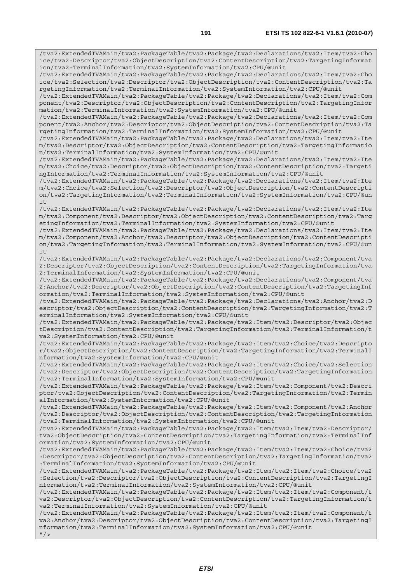/tva2:ExtendedTVAMain/tva2:PackageTable/tva2:Package/tva2:Declarations/tva2:Item/tva2:Cho ice/tva2:Descriptor/tva2:ObjectDescription/tva2:ContentDescription/tva2:TargetingInformat ion/tva2:TerminalInformation/tva2:SystemInformation/tva2:CPU/@unit /tva2:ExtendedTVAMain/tva2:PackageTable/tva2:Package/tva2:Declarations/tva2:Item/tva2:Cho ice/tva2:Selection/tva2:Descriptor/tva2:ObjectDescription/tva2:ContentDescription/tva2:Ta rgetingInformation/tva2:TerminalInformation/tva2:SystemInformation/tva2:CPU/@unit /tva2:ExtendedTVAMain/tva2:PackageTable/tva2:Package/tva2:Declarations/tva2:Item/tva2:Com ponent/tva2:Descriptor/tva2:ObjectDescription/tva2:ContentDescription/tva2:TargetingInfor mation/tva2:TerminalInformation/tva2:SystemInformation/tva2:CPU/@unit /tva2:ExtendedTVAMain/tva2:PackageTable/tva2:Package/tva2:Declarations/tva2:Item/tva2:Com ponent/tva2:Anchor/tva2:Descriptor/tva2:ObjectDescription/tva2:ContentDescription/tva2:Ta rgetingInformation/tva2:TerminalInformation/tva2:SystemInformation/tva2:CPU/@unit /tva2:ExtendedTVAMain/tva2:PackageTable/tva2:Package/tva2:Declarations/tva2:Item/tva2:Ite m/tva2:Descriptor/tva2:ObjectDescription/tva2:ContentDescription/tva2:TargetingInformatio n/tva2:TerminalInformation/tva2:SystemInformation/tva2:CPU/@unit /tva2:ExtendedTVAMain/tva2:PackageTable/tva2:Package/tva2:Declarations/tva2:Item/tva2:Ite m/tva2:Choice/tva2:Descriptor/tva2:ObjectDescription/tva2:ContentDescription/tva2:Targeti ngInformation/tva2:TerminalInformation/tva2:SystemInformation/tva2:CPU/@unit /tva2:ExtendedTVAMain/tva2:PackageTable/tva2:Package/tva2:Declarations/tva2:Item/tva2:Ite m/tva2:Choice/tva2:Selection/tva2:Descriptor/tva2:ObjectDescription/tva2:ContentDescripti on/tva2:TargetingInformation/tva2:TerminalInformation/tva2:SystemInformation/tva2:CPU/@un it /tva2:ExtendedTVAMain/tva2:PackageTable/tva2:Package/tva2:Declarations/tva2:Item/tva2:Ite m/tva2:Component/tva2:Descriptor/tva2:ObjectDescription/tva2:ContentDescription/tva2:Targ etingInformation/tva2:TerminalInformation/tva2:SystemInformation/tva2:CPU/@unit /tva2:ExtendedTVAMain/tva2:PackageTable/tva2:Package/tva2:Declarations/tva2:Item/tva2:Ite m/tva2:Component/tva2:Anchor/tva2:Descriptor/tva2:ObjectDescription/tva2:ContentDescripti on/tva2:TargetingInformation/tva2:TerminalInformation/tva2:SystemInformation/tva2:CPU/@un it /tva2:ExtendedTVAMain/tva2:PackageTable/tva2:Package/tva2:Declarations/tva2:Component/tva 2:Descriptor/tva2:ObjectDescription/tva2:ContentDescription/tva2:TargetingInformation/tva 2:TerminalInformation/tva2:SystemInformation/tva2:CPU/@unit /tva2:ExtendedTVAMain/tva2:PackageTable/tva2:Package/tva2:Declarations/tva2:Component/tva 2:Anchor/tva2:Descriptor/tva2:ObjectDescription/tva2:ContentDescription/tva2:TargetingInf ormation/tva2:TerminalInformation/tva2:SystemInformation/tva2:CPU/@unit /tva2:ExtendedTVAMain/tva2:PackageTable/tva2:Package/tva2:Declarations/tva2:Anchor/tva2:D escriptor/tva2:ObjectDescription/tva2:ContentDescription/tva2:TargetingInformation/tva2:T erminalInformation/tva2:SystemInformation/tva2:CPU/@unit /tva2:ExtendedTVAMain/tva2:PackageTable/tva2:Package/tva2:Item/tva2:Descriptor/tva2:Objec tDescription/tva2:ContentDescription/tva2:TargetingInformation/tva2:TerminalInformation/t va2:SystemInformation/tva2:CPU/@unit /tva2:ExtendedTVAMain/tva2:PackageTable/tva2:Package/tva2:Item/tva2:Choice/tva2:Descripto r/tva2:ObjectDescription/tva2:ContentDescription/tva2:TargetingInformation/tva2:TerminalI nformation/tva2:SystemInformation/tva2:CPU/@unit /tva2:ExtendedTVAMain/tva2:PackageTable/tva2:Package/tva2:Item/tva2:Choice/tva2:Selection /tva2:Descriptor/tva2:ObjectDescription/tva2:ContentDescription/tva2:TargetingInformation /tva2:TerminalInformation/tva2:SystemInformation/tva2:CPU/@unit /tva2:ExtendedTVAMain/tva2:PackageTable/tva2:Package/tva2:Item/tva2:Component/tva2:Descri ptor/tva2:ObjectDescription/tva2:ContentDescription/tva2:TargetingInformation/tva2:Termin alInformation/tva2:SystemInformation/tva2:CPU/@unit /tva2:ExtendedTVAMain/tva2:PackageTable/tva2:Package/tva2:Item/tva2:Component/tva2:Anchor /tva2:Descriptor/tva2:ObjectDescription/tva2:ContentDescription/tva2:TargetingInformation /tva2:TerminalInformation/tva2:SystemInformation/tva2:CPU/@unit /tva2:ExtendedTVAMain/tva2:PackageTable/tva2:Package/tva2:Item/tva2:Item/tva2:Descriptor/ tva2:ObjectDescription/tva2:ContentDescription/tva2:TargetingInformation/tva2:TerminalInf ormation/tva2:SystemInformation/tva2:CPU/@unit /tva2:ExtendedTVAMain/tva2:PackageTable/tva2:Package/tva2:Item/tva2:Item/tva2:Choice/tva2 :Descriptor/tva2:ObjectDescription/tva2:ContentDescription/tva2:TargetingInformation/tva2 :TerminalInformation/tva2:SystemInformation/tva2:CPU/@unit /tva2:ExtendedTVAMain/tva2:PackageTable/tva2:Package/tva2:Item/tva2:Item/tva2:Choice/tva2 :Selection/tva2:Descriptor/tva2:ObjectDescription/tva2:ContentDescription/tva2:TargetingI nformation/tva2:TerminalInformation/tva2:SystemInformation/tva2:CPU/@unit /tva2:ExtendedTVAMain/tva2:PackageTable/tva2:Package/tva2:Item/tva2:Item/tva2:Component/t va2:Descriptor/tva2:ObjectDescription/tva2:ContentDescription/tva2:TargetingInformation/t va2:TerminalInformation/tva2:SystemInformation/tva2:CPU/@unit /tva2:ExtendedTVAMain/tva2:PackageTable/tva2:Package/tva2:Item/tva2:Item/tva2:Component/t va2:Anchor/tva2:Descriptor/tva2:ObjectDescription/tva2:ContentDescription/tva2:TargetingI nformation/tva2:TerminalInformation/tva2:SystemInformation/tva2:CPU/@unit  $"$  />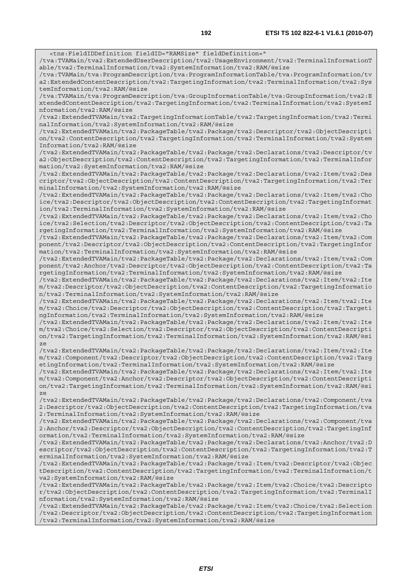<tns:FieldIDDefinition fieldID="RAMSize" fieldDefinition=" /tva:TVAMain/tva2:ExtendedUserDescription/tva2:UsageEnvironment/tva2:TerminalInformationT able/tva2:TerminalInformation/tva2:SystemInformation/tva2:RAM/@size /tva:TVAMain/tva:ProgramDescription/tva:ProgramInformationTable/tva:ProgramInformation/tv a2:ExtendedContentDescription/tva2:TargetingInformation/tva2:TerminalInformation/tva2:Sys temInformation/tva2:RAM/@size /tva:TVAMain/tva:ProgramDescription/tva:GroupInformationTable/tva:GroupInformation/tva2:E xtendedContentDescription/tva2:TargetingInformation/tva2:TerminalInformation/tva2:SystemI nformation/tva2:RAM/@size /tva2:ExtendedTVAMain/tva2:TargetingInformationTable/tva2:TargetingInformation/tva2:Termi nalInformation/tva2:SystemInformation/tva2:RAM/@size /tva2:ExtendedTVAMain/tva2:PackageTable/tva2:Package/tva2:Descriptor/tva2:ObjectDescripti on/tva2:ContentDescription/tva2:TargetingInformation/tva2:TerminalInformation/tva2:System Information/tva2:RAM/@size /tva2:ExtendedTVAMain/tva2:PackageTable/tva2:Package/tva2:Declarations/tva2:Descriptor/tv a2:ObjectDescription/tva2:ContentDescription/tva2:TargetingInformation/tva2:TerminalInfor mation/tva2:SystemInformation/tva2:RAM/@size /tva2:ExtendedTVAMain/tva2:PackageTable/tva2:Package/tva2:Declarations/tva2:Item/tva2:Des criptor/tva2:ObjectDescription/tva2:ContentDescription/tva2:TargetingInformation/tva2:Ter minalInformation/tva2:SystemInformation/tva2:RAM/@size /tva2:ExtendedTVAMain/tva2:PackageTable/tva2:Package/tva2:Declarations/tva2:Item/tva2:Cho ice/tva2:Descriptor/tva2:ObjectDescription/tva2:ContentDescription/tva2:TargetingInformat ion/tva2:TerminalInformation/tva2:SystemInformation/tva2:RAM/@size /tva2:ExtendedTVAMain/tva2:PackageTable/tva2:Package/tva2:Declarations/tva2:Item/tva2:Cho ice/tva2:Selection/tva2:Descriptor/tva2:ObjectDescription/tva2:ContentDescription/tva2:Ta rgetingInformation/tva2:TerminalInformation/tva2:SystemInformation/tva2:RAM/@size /tva2:ExtendedTVAMain/tva2:PackageTable/tva2:Package/tva2:Declarations/tva2:Item/tva2:Com ponent/tva2:Descriptor/tva2:ObjectDescription/tva2:ContentDescription/tva2:TargetingInfor mation/tva2:TerminalInformation/tva2:SystemInformation/tva2:RAM/@size /tva2:ExtendedTVAMain/tva2:PackageTable/tva2:Package/tva2:Declarations/tva2:Item/tva2:Com ponent/tva2:Anchor/tva2:Descriptor/tva2:ObjectDescription/tva2:ContentDescription/tva2:Ta rgetingInformation/tva2:TerminalInformation/tva2:SystemInformation/tva2:RAM/@size /tva2:ExtendedTVAMain/tva2:PackageTable/tva2:Package/tva2:Declarations/tva2:Item/tva2:Ite m/tva2:Descriptor/tva2:ObjectDescription/tva2:ContentDescription/tva2:TargetingInformatio n/tva2:TerminalInformation/tva2:SystemInformation/tva2:RAM/@size /tva2:ExtendedTVAMain/tva2:PackageTable/tva2:Package/tva2:Declarations/tva2:Item/tva2:Ite m/tva2:Choice/tva2:Descriptor/tva2:ObjectDescription/tva2:ContentDescription/tva2:Targeti ngInformation/tva2:TerminalInformation/tva2:SystemInformation/tva2:RAM/@size /tva2:ExtendedTVAMain/tva2:PackageTable/tva2:Package/tva2:Declarations/tva2:Item/tva2:Ite m/tva2:Choice/tva2:Selection/tva2:Descriptor/tva2:ObjectDescription/tva2:ContentDescripti on/tva2:TargetingInformation/tva2:TerminalInformation/tva2:SystemInformation/tva2:RAM/@si /tva2:ExtendedTVAMain/tva2:PackageTable/tva2:Package/tva2:Declarations/tva2:Item/tva2:Ite m/tva2:Component/tva2:Descriptor/tva2:ObjectDescription/tva2:ContentDescription/tva2:Targ etingInformation/tva2:TerminalInformation/tva2:SystemInformation/tva2:RAM/@size /tva2:ExtendedTVAMain/tva2:PackageTable/tva2:Package/tva2:Declarations/tva2:Item/tva2:Ite m/tva2:Component/tva2:Anchor/tva2:Descriptor/tva2:ObjectDescription/tva2:ContentDescripti on/tva2:TargetingInformation/tva2:TerminalInformation/tva2:SystemInformation/tva2:RAM/@si /tva2:ExtendedTVAMain/tva2:PackageTable/tva2:Package/tva2:Declarations/tva2:Component/tva 2:Descriptor/tva2:ObjectDescription/tva2:ContentDescription/tva2:TargetingInformation/tva 2:TerminalInformation/tva2:SystemInformation/tva2:RAM/@size /tva2:ExtendedTVAMain/tva2:PackageTable/tva2:Package/tva2:Declarations/tva2:Component/tva 2:Anchor/tva2:Descriptor/tva2:ObjectDescription/tva2:ContentDescription/tva2:TargetingInf

ormation/tva2:TerminalInformation/tva2:SystemInformation/tva2:RAM/@size /tva2:ExtendedTVAMain/tva2:PackageTable/tva2:Package/tva2:Declarations/tva2:Anchor/tva2:D escriptor/tva2:ObjectDescription/tva2:ContentDescription/tva2:TargetingInformation/tva2:T

ze

ze

erminalInformation/tva2:SystemInformation/tva2:RAM/@size /tva2:ExtendedTVAMain/tva2:PackageTable/tva2:Package/tva2:Item/tva2:Descriptor/tva2:Objec tDescription/tva2:ContentDescription/tva2:TargetingInformation/tva2:TerminalInformation/t va2:SystemInformation/tva2:RAM/@size

/tva2:ExtendedTVAMain/tva2:PackageTable/tva2:Package/tva2:Item/tva2:Choice/tva2:Descripto r/tva2:ObjectDescription/tva2:ContentDescription/tva2:TargetingInformation/tva2:TerminalI nformation/tva2:SystemInformation/tva2:RAM/@size

/tva2:ExtendedTVAMain/tva2:PackageTable/tva2:Package/tva2:Item/tva2:Choice/tva2:Selection /tva2:Descriptor/tva2:ObjectDescription/tva2:ContentDescription/tva2:TargetingInformation /tva2:TerminalInformation/tva2:SystemInformation/tva2:RAM/@size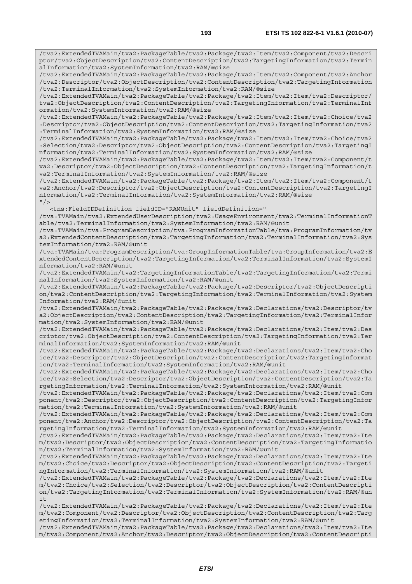/tva2:ExtendedTVAMain/tva2:PackageTable/tva2:Package/tva2:Item/tva2:Component/tva2:Descri ptor/tva2:ObjectDescription/tva2:ContentDescription/tva2:TargetingInformation/tva2:Termin alInformation/tva2:SystemInformation/tva2:RAM/@size

/tva2:ExtendedTVAMain/tva2:PackageTable/tva2:Package/tva2:Item/tva2:Component/tva2:Anchor /tva2:Descriptor/tva2:ObjectDescription/tva2:ContentDescription/tva2:TargetingInformation /tva2:TerminalInformation/tva2:SystemInformation/tva2:RAM/@size

/tva2:ExtendedTVAMain/tva2:PackageTable/tva2:Package/tva2:Item/tva2:Item/tva2:Descriptor/ tva2:ObjectDescription/tva2:ContentDescription/tva2:TargetingInformation/tva2:TerminalInf ormation/tva2:SystemInformation/tva2:RAM/@size

/tva2:ExtendedTVAMain/tva2:PackageTable/tva2:Package/tva2:Item/tva2:Item/tva2:Choice/tva2 :Descriptor/tva2:ObjectDescription/tva2:ContentDescription/tva2:TargetingInformation/tva2 :TerminalInformation/tva2:SystemInformation/tva2:RAM/@size

/tva2:ExtendedTVAMain/tva2:PackageTable/tva2:Package/tva2:Item/tva2:Item/tva2:Choice/tva2 :Selection/tva2:Descriptor/tva2:ObjectDescription/tva2:ContentDescription/tva2:TargetingI nformation/tva2:TerminalInformation/tva2:SystemInformation/tva2:RAM/@size

/tva2:ExtendedTVAMain/tva2:PackageTable/tva2:Package/tva2:Item/tva2:Item/tva2:Component/t va2:Descriptor/tva2:ObjectDescription/tva2:ContentDescription/tva2:TargetingInformation/t va2:TerminalInformation/tva2:SystemInformation/tva2:RAM/@size

/tva2:ExtendedTVAMain/tva2:PackageTable/tva2:Package/tva2:Item/tva2:Item/tva2:Component/t va2:Anchor/tva2:Descriptor/tva2:ObjectDescription/tva2:ContentDescription/tva2:TargetingI nformation/tva2:TerminalInformation/tva2:SystemInformation/tva2:RAM/@size  $"$  / >

<tns:FieldIDDefinition fieldID="RAMUnit" fieldDefinition="

/tva:TVAMain/tva2:ExtendedUserDescription/tva2:UsageEnvironment/tva2:TerminalInformationT able/tva2:TerminalInformation/tva2:SystemInformation/tva2:RAM/@unit

/tva:TVAMain/tva:ProgramDescription/tva:ProgramInformationTable/tva:ProgramInformation/tv a2:ExtendedContentDescription/tva2:TargetingInformation/tva2:TerminalInformation/tva2:Sys temInformation/tva2:RAM/@unit

/tva:TVAMain/tva:ProgramDescription/tva:GroupInformationTable/tva:GroupInformation/tva2:E xtendedContentDescription/tva2:TargetingInformation/tva2:TerminalInformation/tva2:SystemI nformation/tva2:RAM/@unit

/tva2:ExtendedTVAMain/tva2:TargetingInformationTable/tva2:TargetingInformation/tva2:Termi nalInformation/tva2:SystemInformation/tva2:RAM/@unit

/tva2:ExtendedTVAMain/tva2:PackageTable/tva2:Package/tva2:Descriptor/tva2:ObjectDescripti on/tva2:ContentDescription/tva2:TargetingInformation/tva2:TerminalInformation/tva2:System Information/tva2:RAM/@unit

/tva2:ExtendedTVAMain/tva2:PackageTable/tva2:Package/tva2:Declarations/tva2:Descriptor/tv a2:ObjectDescription/tva2:ContentDescription/tva2:TargetingInformation/tva2:TerminalInfor mation/tva2:SystemInformation/tva2:RAM/@unit

/tva2:ExtendedTVAMain/tva2:PackageTable/tva2:Package/tva2:Declarations/tva2:Item/tva2:Des criptor/tva2:ObjectDescription/tva2:ContentDescription/tva2:TargetingInformation/tva2:Ter minalInformation/tva2:SystemInformation/tva2:RAM/@unit

/tva2:ExtendedTVAMain/tva2:PackageTable/tva2:Package/tva2:Declarations/tva2:Item/tva2:Cho ice/tva2:Descriptor/tva2:ObjectDescription/tva2:ContentDescription/tva2:TargetingInformat ion/tva2:TerminalInformation/tva2:SystemInformation/tva2:RAM/@unit

/tva2:ExtendedTVAMain/tva2:PackageTable/tva2:Package/tva2:Declarations/tva2:Item/tva2:Cho ice/tva2:Selection/tva2:Descriptor/tva2:ObjectDescription/tva2:ContentDescription/tva2:Ta rgetingInformation/tva2:TerminalInformation/tva2:SystemInformation/tva2:RAM/@unit

/tva2:ExtendedTVAMain/tva2:PackageTable/tva2:Package/tva2:Declarations/tva2:Item/tva2:Com ponent/tva2:Descriptor/tva2:ObjectDescription/tva2:ContentDescription/tva2:TargetingInfor mation/tva2:TerminalInformation/tva2:SystemInformation/tva2:RAM/@unit

/tva2:ExtendedTVAMain/tva2:PackageTable/tva2:Package/tva2:Declarations/tva2:Item/tva2:Com ponent/tva2:Anchor/tva2:Descriptor/tva2:ObjectDescription/tva2:ContentDescription/tva2:Ta rgetingInformation/tva2:TerminalInformation/tva2:SystemInformation/tva2:RAM/@unit

/tva2:ExtendedTVAMain/tva2:PackageTable/tva2:Package/tva2:Declarations/tva2:Item/tva2:Ite m/tva2:Descriptor/tva2:ObjectDescription/tva2:ContentDescription/tva2:TargetingInformatio n/tva2:TerminalInformation/tva2:SystemInformation/tva2:RAM/@unit

/tva2:ExtendedTVAMain/tva2:PackageTable/tva2:Package/tva2:Declarations/tva2:Item/tva2:Ite m/tva2:Choice/tva2:Descriptor/tva2:ObjectDescription/tva2:ContentDescription/tva2:Targeti ngInformation/tva2:TerminalInformation/tva2:SystemInformation/tva2:RAM/@unit

/tva2:ExtendedTVAMain/tva2:PackageTable/tva2:Package/tva2:Declarations/tva2:Item/tva2:Ite m/tva2:Choice/tva2:Selection/tva2:Descriptor/tva2:ObjectDescription/tva2:ContentDescripti on/tva2:TargetingInformation/tva2:TerminalInformation/tva2:SystemInformation/tva2:RAM/@un i t

/tva2:ExtendedTVAMain/tva2:PackageTable/tva2:Package/tva2:Declarations/tva2:Item/tva2:Ite m/tva2:Component/tva2:Descriptor/tva2:ObjectDescription/tva2:ContentDescription/tva2:Targ etingInformation/tva2:TerminalInformation/tva2:SystemInformation/tva2:RAM/@unit

/tva2:ExtendedTVAMain/tva2:PackageTable/tva2:Package/tva2:Declarations/tva2:Item/tva2:Ite m/tva2:Component/tva2:Anchor/tva2:Descriptor/tva2:ObjectDescription/tva2:ContentDescripti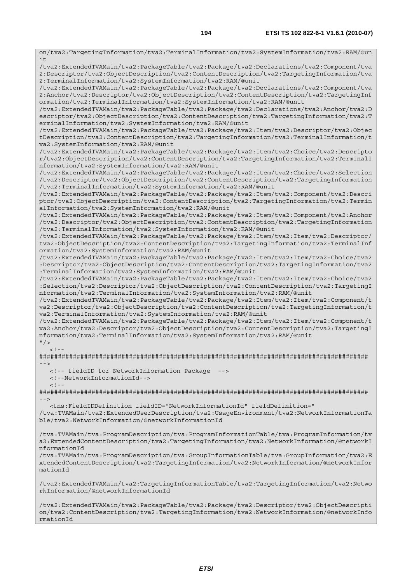on/tva2:TargetingInformation/tva2:TerminalInformation/tva2:SystemInformation/tva2:RAM/@un it /tva2:ExtendedTVAMain/tva2:PackageTable/tva2:Package/tva2:Declarations/tva2:Component/tva 2:Descriptor/tva2:ObjectDescription/tva2:ContentDescription/tva2:TargetingInformation/tva 2:TerminalInformation/tva2:SystemInformation/tva2:RAM/@unit /tva2:ExtendedTVAMain/tva2:PackageTable/tva2:Package/tva2:Declarations/tva2:Component/tva 2:Anchor/tva2:Descriptor/tva2:ObjectDescription/tva2:ContentDescription/tva2:TargetingInf ormation/tva2:TerminalInformation/tva2:SystemInformation/tva2:RAM/@unit /tva2:ExtendedTVAMain/tva2:PackageTable/tva2:Package/tva2:Declarations/tva2:Anchor/tva2:D escriptor/tva2:ObjectDescription/tva2:ContentDescription/tva2:TargetingInformation/tva2:T erminalInformation/tva2:SystemInformation/tva2:RAM/@unit /tva2:ExtendedTVAMain/tva2:PackageTable/tva2:Package/tva2:Item/tva2:Descriptor/tva2:Objec tDescription/tva2:ContentDescription/tva2:TargetingInformation/tva2:TerminalInformation/t va2:SystemInformation/tva2:RAM/@unit /tva2:ExtendedTVAMain/tva2:PackageTable/tva2:Package/tva2:Item/tva2:Choice/tva2:Descripto r/tva2:ObjectDescription/tva2:ContentDescription/tva2:TargetingInformation/tva2:TerminalI nformation/tva2:SystemInformation/tva2:RAM/@unit /tva2:ExtendedTVAMain/tva2:PackageTable/tva2:Package/tva2:Item/tva2:Choice/tva2:Selection /tva2:Descriptor/tva2:ObjectDescription/tva2:ContentDescription/tva2:TargetingInformation /tva2:TerminalInformation/tva2:SystemInformation/tva2:RAM/@unit /tva2:ExtendedTVAMain/tva2:PackageTable/tva2:Package/tva2:Item/tva2:Component/tva2:Descri ptor/tva2:ObjectDescription/tva2:ContentDescription/tva2:TargetingInformation/tva2:Termin alInformation/tva2:SystemInformation/tva2:RAM/@unit /tva2:ExtendedTVAMain/tva2:PackageTable/tva2:Package/tva2:Item/tva2:Component/tva2:Anchor /tva2:Descriptor/tva2:ObjectDescription/tva2:ContentDescription/tva2:TargetingInformation /tva2:TerminalInformation/tva2:SystemInformation/tva2:RAM/@unit /tva2:ExtendedTVAMain/tva2:PackageTable/tva2:Package/tva2:Item/tva2:Item/tva2:Descriptor/ tva2:ObjectDescription/tva2:ContentDescription/tva2:TargetingInformation/tva2:TerminalInf ormation/tva2:SystemInformation/tva2:RAM/@unit /tva2:ExtendedTVAMain/tva2:PackageTable/tva2:Package/tva2:Item/tva2:Item/tva2:Choice/tva2 :Descriptor/tva2:ObjectDescription/tva2:ContentDescription/tva2:TargetingInformation/tva2 :TerminalInformation/tva2:SystemInformation/tva2:RAM/@unit /tva2:ExtendedTVAMain/tva2:PackageTable/tva2:Package/tva2:Item/tva2:Item/tva2:Choice/tva2 :Selection/tva2:Descriptor/tva2:ObjectDescription/tva2:ContentDescription/tva2:TargetingI nformation/tva2:TerminalInformation/tva2:SystemInformation/tva2:RAM/@unit /tva2:ExtendedTVAMain/tva2:PackageTable/tva2:Package/tva2:Item/tva2:Item/tva2:Component/t va2:Descriptor/tva2:ObjectDescription/tva2:ContentDescription/tva2:TargetingInformation/t va2:TerminalInformation/tva2:SystemInformation/tva2:RAM/@unit /tva2:ExtendedTVAMain/tva2:PackageTable/tva2:Package/tva2:Item/tva2:Item/tva2:Component/t va2:Anchor/tva2:Descriptor/tva2:ObjectDescription/tva2:ContentDescription/tva2:TargetingI nformation/tva2:TerminalInformation/tva2:SystemInformation/tva2:RAM/@unit  $"$  />  $\lt$  ! -######################################################################################## --> <!-- fieldID for NetworkInformation Package --> <!--NetworkInformationId-->  $<$ ! --######################################################################################## --> <tns:FieldIDDefinition fieldID="NetworkInformationId" fieldDefinition=" /tva:TVAMain/tva2:ExtendedUserDescription/tva2:UsageEnvironment/tva2:NetworkInformationTa ble/tva2:NetworkInformation/@networkInformationId /tva:TVAMain/tva:ProgramDescription/tva:ProgramInformationTable/tva:ProgramInformation/tv a2:ExtendedContentDescription/tva2:TargetingInformation/tva2:NetworkInformation/@networkI nformationId /tva:TVAMain/tva:ProgramDescription/tva:GroupInformationTable/tva:GroupInformation/tva2:E xtendedContentDescription/tva2:TargetingInformation/tva2:NetworkInformation/@networkInfor mationId /tva2:ExtendedTVAMain/tva2:TargetingInformationTable/tva2:TargetingInformation/tva2:Netwo rkInformation/@networkInformationId /tva2:ExtendedTVAMain/tva2:PackageTable/tva2:Package/tva2:Descriptor/tva2:ObjectDescripti on/tva2:ContentDescription/tva2:TargetingInformation/tva2:NetworkInformation/@networkInfo

rmationId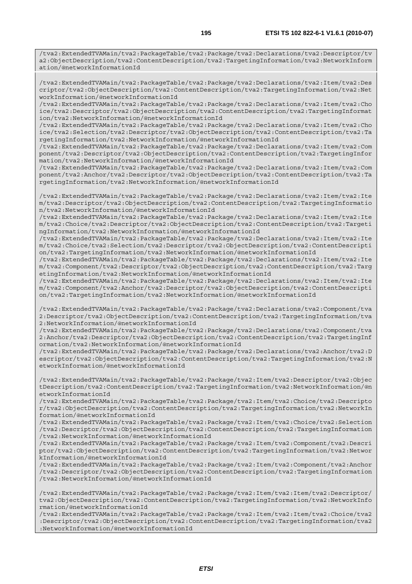/tva2:ExtendedTVAMain/tva2:PackageTable/tva2:Package/tva2:Declarations/tva2:Item/tva2:Des criptor/tva2:ObjectDescription/tva2:ContentDescription/tva2:TargetingInformation/tva2:Net workInformation/@networkInformationId

/tva2:ExtendedTVAMain/tva2:PackageTable/tva2:Package/tva2:Declarations/tva2:Item/tva2:Cho ice/tva2:Descriptor/tva2:ObjectDescription/tva2:ContentDescription/tva2:TargetingInformat ion/tva2:NetworkInformation/@networkInformationId

/tva2:ExtendedTVAMain/tva2:PackageTable/tva2:Package/tva2:Declarations/tva2:Item/tva2:Cho ice/tva2:Selection/tva2:Descriptor/tva2:ObjectDescription/tva2:ContentDescription/tva2:Ta rgetingInformation/tva2:NetworkInformation/@networkInformationId

/tva2:ExtendedTVAMain/tva2:PackageTable/tva2:Package/tva2:Declarations/tva2:Item/tva2:Com ponent/tva2:Descriptor/tva2:ObjectDescription/tva2:ContentDescription/tva2:TargetingInfor mation/tva2:NetworkInformation/@networkInformationId

/tva2:ExtendedTVAMain/tva2:PackageTable/tva2:Package/tva2:Declarations/tva2:Item/tva2:Com ponent/tva2:Anchor/tva2:Descriptor/tva2:ObjectDescription/tva2:ContentDescription/tva2:Ta rgetingInformation/tva2:NetworkInformation/@networkInformationId

/tva2:ExtendedTVAMain/tva2:PackageTable/tva2:Package/tva2:Declarations/tva2:Item/tva2:Ite m/tva2:Descriptor/tva2:ObjectDescription/tva2:ContentDescription/tva2:TargetingInformatio n/tva2:NetworkInformation/@networkInformationId

/tva2:ExtendedTVAMain/tva2:PackageTable/tva2:Package/tva2:Declarations/tva2:Item/tva2:Ite m/tva2:Choice/tva2:Descriptor/tva2:ObjectDescription/tva2:ContentDescription/tva2:Targeti ngInformation/tva2:NetworkInformation/@networkInformationId

/tva2:ExtendedTVAMain/tva2:PackageTable/tva2:Package/tva2:Declarations/tva2:Item/tva2:Ite m/tva2:Choice/tva2:Selection/tva2:Descriptor/tva2:ObjectDescription/tva2:ContentDescripti on/tva2:TargetingInformation/tva2:NetworkInformation/@networkInformationId

/tva2:ExtendedTVAMain/tva2:PackageTable/tva2:Package/tva2:Declarations/tva2:Item/tva2:Ite m/tva2:Component/tva2:Descriptor/tva2:ObjectDescription/tva2:ContentDescription/tva2:Targ etingInformation/tva2:NetworkInformation/@networkInformationId

/tva2:ExtendedTVAMain/tva2:PackageTable/tva2:Package/tva2:Declarations/tva2:Item/tva2:Ite m/tva2:Component/tva2:Anchor/tva2:Descriptor/tva2:ObjectDescription/tva2:ContentDescripti on/tva2:TargetingInformation/tva2:NetworkInformation/@networkInformationId

/tva2:ExtendedTVAMain/tva2:PackageTable/tva2:Package/tva2:Declarations/tva2:Component/tva 2:Descriptor/tva2:ObjectDescription/tva2:ContentDescription/tva2:TargetingInformation/tva 2:NetworkInformation/@networkInformationId

/tva2:ExtendedTVAMain/tva2:PackageTable/tva2:Package/tva2:Declarations/tva2:Component/tva 2:Anchor/tva2:Descriptor/tva2:ObjectDescription/tva2:ContentDescription/tva2:TargetingInf ormation/tva2:NetworkInformation/@networkInformationId

/tva2:ExtendedTVAMain/tva2:PackageTable/tva2:Package/tva2:Declarations/tva2:Anchor/tva2:D escriptor/tva2:ObjectDescription/tva2:ContentDescription/tva2:TargetingInformation/tva2:N etworkInformation/@networkInformationId

/tva2:ExtendedTVAMain/tva2:PackageTable/tva2:Package/tva2:Item/tva2:Descriptor/tva2:Objec tDescription/tva2:ContentDescription/tva2:TargetingInformation/tva2:NetworkInformation/@n etworkInformationId

/tva2:ExtendedTVAMain/tva2:PackageTable/tva2:Package/tva2:Item/tva2:Choice/tva2:Descripto r/tva2:ObjectDescription/tva2:ContentDescription/tva2:TargetingInformation/tva2:NetworkIn formation/@networkInformationId

/tva2:ExtendedTVAMain/tva2:PackageTable/tva2:Package/tva2:Item/tva2:Choice/tva2:Selection /tva2:Descriptor/tva2:ObjectDescription/tva2:ContentDescription/tva2:TargetingInformation /tva2:NetworkInformation/@networkInformationId

/tva2:ExtendedTVAMain/tva2:PackageTable/tva2:Package/tva2:Item/tva2:Component/tva2:Descri ptor/tva2:ObjectDescription/tva2:ContentDescription/tva2:TargetingInformation/tva2:Networ kInformation/@networkInformationId

/tva2:ExtendedTVAMain/tva2:PackageTable/tva2:Package/tva2:Item/tva2:Component/tva2:Anchor /tva2:Descriptor/tva2:ObjectDescription/tva2:ContentDescription/tva2:TargetingInformation /tva2:NetworkInformation/@networkInformationId

/tva2:ExtendedTVAMain/tva2:PackageTable/tva2:Package/tva2:Item/tva2:Item/tva2:Descriptor/ tva2:ObjectDescription/tva2:ContentDescription/tva2:TargetingInformation/tva2:NetworkInfo rmation/@networkInformationId

/tva2:ExtendedTVAMain/tva2:PackageTable/tva2:Package/tva2:Item/tva2:Item/tva2:Choice/tva2 :Descriptor/tva2:ObjectDescription/tva2:ContentDescription/tva2:TargetingInformation/tva2 :NetworkInformation/@networkInformationId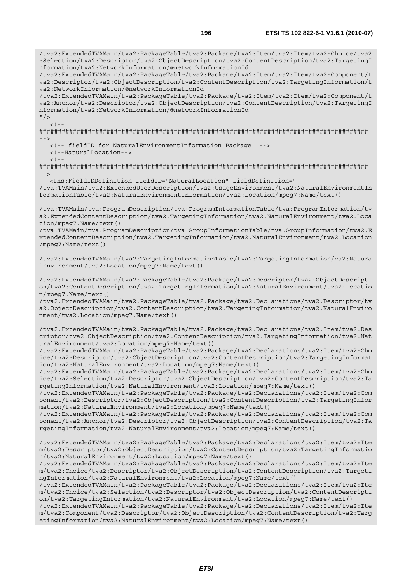/tva2:ExtendedTVAMain/tva2:PackageTable/tva2:Package/tva2:Item/tva2:Item/tva2:Choice/tva2 :Selection/tva2:Descriptor/tva2:ObjectDescription/tva2:ContentDescription/tva2:TargetingI nformation/tva2:NetworkInformation/@networkInformationId /tva2:ExtendedTVAMain/tva2:PackageTable/tva2:Package/tva2:Item/tva2:Item/tva2:Component/t va2:Descriptor/tva2:ObjectDescription/tva2:ContentDescription/tva2:TargetingInformation/t va2:NetworkInformation/@networkInformationId /tva2:ExtendedTVAMain/tva2:PackageTable/tva2:Package/tva2:Item/tva2:Item/tva2:Component/t va2:Anchor/tva2:Descriptor/tva2:ObjectDescription/tva2:ContentDescription/tva2:TargetingI nformation/tva2:NetworkInformation/@networkInformationId  $''$  / >  $\langle$  .  $|$  - -  $|$ ######################################################################################## --> <!-- fieldID for NaturalEnvironmentInformation Package --> <!--NaturalLocation-->  $\lt$  !  $-$ ######################################################################################## --> <tns:FieldIDDefinition fieldID="NaturalLocation" fieldDefinition=" /tva:TVAMain/tva2:ExtendedUserDescription/tva2:UsageEnvironment/tva2:NaturalEnvironmentIn formationTable/tva2:NaturalEnvironmentInformation/tva2:Location/mpeg7:Name/text() /tva:TVAMain/tva:ProgramDescription/tva:ProgramInformationTable/tva:ProgramInformation/tv a2:ExtendedContentDescription/tva2:TargetingInformation/tva2:NaturalEnvironment/tva2:Loca tion/mpeg7:Name/text() /tva:TVAMain/tva:ProgramDescription/tva:GroupInformationTable/tva:GroupInformation/tva2:E xtendedContentDescription/tva2:TargetingInformation/tva2:NaturalEnvironment/tva2:Location /mpeg7:Name/text() /tva2:ExtendedTVAMain/tva2:TargetingInformationTable/tva2:TargetingInformation/va2:Natura lEnvironment/tva2:Location/mpeg7:Name/text() /tva2:ExtendedTVAMain/tva2:PackageTable/tva2:Package/tva2:Descriptor/tva2:ObjectDescripti on/tva2:ContentDescription/tva2:TargetingInformation/tva2:NaturalEnvironment/tva2:Locatio n/mpeg7:Name/text() /tva2:ExtendedTVAMain/tva2:PackageTable/tva2:Package/tva2:Declarations/tva2:Descriptor/tv a2:ObjectDescription/tva2:ContentDescription/tva2:TargetingInformation/tva2:NaturalEnviro nment/tva2:Location/mpeg7:Name/text() /tva2:ExtendedTVAMain/tva2:PackageTable/tva2:Package/tva2:Declarations/tva2:Item/tva2:Des criptor/tva2:ObjectDescription/tva2:ContentDescription/tva2:TargetingInformation/tva2:Nat uralEnvironment/tva2:Location/mpeg7:Name/text() /tva2:ExtendedTVAMain/tva2:PackageTable/tva2:Package/tva2:Declarations/tva2:Item/tva2:Cho ice/tva2:Descriptor/tva2:ObjectDescription/tva2:ContentDescription/tva2:TargetingInformat ion/tva2:NaturalEnvironment/tva2:Location/mpeg7:Name/text() /tva2:ExtendedTVAMain/tva2:PackageTable/tva2:Package/tva2:Declarations/tva2:Item/tva2:Cho ice/tva2:Selection/tva2:Descriptor/tva2:ObjectDescription/tva2:ContentDescription/tva2:Ta rgetingInformation/tva2:NaturalEnvironment/tva2:Location/mpeg7:Name/text() /tva2:ExtendedTVAMain/tva2:PackageTable/tva2:Package/tva2:Declarations/tva2:Item/tva2:Com ponent/tva2:Descriptor/tva2:ObjectDescription/tva2:ContentDescription/tva2:TargetingInfor mation/tva2:NaturalEnvironment/tva2:Location/mpeg7:Name/text() /tva2:ExtendedTVAMain/tva2:PackageTable/tva2:Package/tva2:Declarations/tva2:Item/tva2:Com ponent/tva2:Anchor/tva2:Descriptor/tva2:ObjectDescription/tva2:ContentDescription/tva2:Ta rgetingInformation/tva2:NaturalEnvironment/tva2:Location/mpeg7:Name/text() /tva2:ExtendedTVAMain/tva2:PackageTable/tva2:Package/tva2:Declarations/tva2:Item/tva2:Ite m/tva2:Descriptor/tva2:ObjectDescription/tva2:ContentDescription/tva2:TargetingInformatio n/tva2:NaturalEnvironment/tva2:Location/mpeg7:Name/text() /tva2:ExtendedTVAMain/tva2:PackageTable/tva2:Package/tva2:Declarations/tva2:Item/tva2:Ite m/tva2:Choice/tva2:Descriptor/tva2:ObjectDescription/tva2:ContentDescription/tva2:Targeti ngInformation/tva2:NaturalEnvironment/tva2:Location/mpeg7:Name/text() /tva2:ExtendedTVAMain/tva2:PackageTable/tva2:Package/tva2:Declarations/tva2:Item/tva2:Ite m/tva2:Choice/tva2:Selection/tva2:Descriptor/tva2:ObjectDescription/tva2:ContentDescripti on/tva2:TargetingInformation/tva2:NaturalEnvironment/tva2:Location/mpeg7:Name/text() /tva2:ExtendedTVAMain/tva2:PackageTable/tva2:Package/tva2:Declarations/tva2:Item/tva2:Ite m/tva2:Component/tva2:Descriptor/tva2:ObjectDescription/tva2:ContentDescription/tva2:Targ etingInformation/tva2:NaturalEnvironment/tva2:Location/mpeg7:Name/text()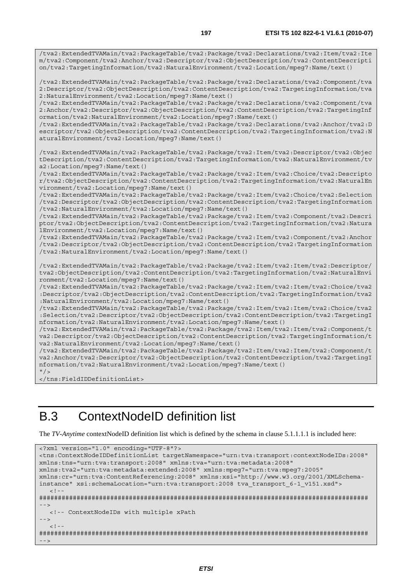/tva2:ExtendedTVAMain/tva2:PackageTable/tva2:Package/tva2:Declarations/tva2:Item/tva2:Ite m/tva2:Component/tva2:Anchor/tva2:Descriptor/tva2:ObjectDescription/tva2:ContentDescripti on/tva2:TargetingInformation/tva2:NaturalEnvironment/tva2:Location/mpeg7:Name/text() /tva2:ExtendedTVAMain/tva2:PackageTable/tva2:Package/tva2:Declarations/tva2:Component/tva 2:Descriptor/tva2:ObjectDescription/tva2:ContentDescription/tva2:TargetingInformation/tva 2:NaturalEnvironment/tva2:Location/mpeg7:Name/text() /tva2:ExtendedTVAMain/tva2:PackageTable/tva2:Package/tva2:Declarations/tva2:Component/tva 2:Anchor/tva2:Descriptor/tva2:ObjectDescription/tva2:ContentDescription/tva2:TargetingInf ormation/tva2:NaturalEnvironment/tva2:Location/mpeg7:Name/text() /tva2:ExtendedTVAMain/tva2:PackageTable/tva2:Package/tva2:Declarations/tva2:Anchor/tva2:D escriptor/tva2:ObjectDescription/tva2:ContentDescription/tva2:TargetingInformation/tva2:N aturalEnvironment/tva2:Location/mpeg7:Name/text() /tva2:ExtendedTVAMain/tva2:PackageTable/tva2:Package/tva2:Item/tva2:Descriptor/tva2:Objec tDescription/tva2:ContentDescription/tva2:TargetingInformation/tva2:NaturalEnvironment/tv a2:Location/mpeg7:Name/text() /tva2:ExtendedTVAMain/tva2:PackageTable/tva2:Package/tva2:Item/tva2:Choice/tva2:Descripto r/tva2:ObjectDescription/tva2:ContentDescription/tva2:TargetingInformation/tva2:NaturalEn vironment/tva2:Location/mpeg7:Name/text() /tva2:ExtendedTVAMain/tva2:PackageTable/tva2:Package/tva2:Item/tva2:Choice/tva2:Selection /tva2:Descriptor/tva2:ObjectDescription/tva2:ContentDescription/tva2:TargetingInformation /tva2:NaturalEnvironment/tva2:Location/mpeg7:Name/text() /tva2:ExtendedTVAMain/tva2:PackageTable/tva2:Package/tva2:Item/tva2:Component/tva2:Descri ptor/tva2:ObjectDescription/tva2:ContentDescription/tva2:TargetingInformation/tva2:Natura lEnvironment/tva2:Location/mpeg7:Name/text() /tva2:ExtendedTVAMain/tva2:PackageTable/tva2:Package/tva2:Item/tva2:Component/tva2:Anchor /tva2:Descriptor/tva2:ObjectDescription/tva2:ContentDescription/tva2:TargetingInformation /tva2:NaturalEnvironment/tva2:Location/mpeg7:Name/text() /tva2:ExtendedTVAMain/tva2:PackageTable/tva2:Package/tva2:Item/tva2:Item/tva2:Descriptor/ tva2:ObjectDescription/tva2:ContentDescription/tva2:TargetingInformation/tva2:NaturalEnvi ronment/tva2:Location/mpeg7:Name/text() /tva2:ExtendedTVAMain/tva2:PackageTable/tva2:Package/tva2:Item/tva2:Item/tva2:Choice/tva2 :Descriptor/tva2:ObjectDescription/tva2:ContentDescription/tva2:TargetingInformation/tva2 :NaturalEnvironment/tva2:Location/mpeg7:Name/text() /tva2:ExtendedTVAMain/tva2:PackageTable/tva2:Package/tva2:Item/tva2:Item/tva2:Choice/tva2 :Selection/tva2:Descriptor/tva2:ObjectDescription/tva2:ContentDescription/tva2:TargetingI nformation/tva2:NaturalEnvironment/tva2:Location/mpeg7:Name/text() /tva2:ExtendedTVAMain/tva2:PackageTable/tva2:Package/tva2:Item/tva2:Item/tva2:Component/t va2:Descriptor/tva2:ObjectDescription/tva2:ContentDescription/tva2:TargetingInformation/t va2:NaturalEnvironment/tva2:Location/mpeg7:Name/text() /tva2:ExtendedTVAMain/tva2:PackageTable/tva2:Package/tva2:Item/tva2:Item/tva2:Component/t va2:Anchor/tva2:Descriptor/tva2:ObjectDescription/tva2:ContentDescription/tva2:TargetingI nformation/tva2:NaturalEnvironment/tva2:Location/mpeg7:Name/text()  $"$  />

</tns:FieldIDDefinitionList>

## B.3 ContextNodeID definition list

The *TV-Anytime* contextNodeID definition list which is defined by the schema in clause 5.1.1.1.1 is included here:

```
<?xml version="1.0" encoding="UTF-8"?> 
<tns:ContextNodeIDDefinitionList targetNamespace="urn:tva:transport:contextNodeIDs:2008" 
xmlns:tns="urn:tva:transport:2008" xmlns:tva="urn:tva:metadata:2008" 
xmlns:tva2="urn:tva:metadata:extended:2008" xmlns:mpeg7="urn:tva:mpeg7:2005" 
xmlns:cr="urn:tva:ContentReferencing:2008" xmlns:xsi="http://www.w3.org/2001/XMLSchema-
instance" xsi:schemaLocation="urn:tva:transport:2008 tva transport 6-1 v151.xsd">
  \lt ! -
######################################################################################## 
--> 
   <!-- ContextNodeIDs with multiple xPath 
--> 
  \lt ! -######################################################################################## 
-->
```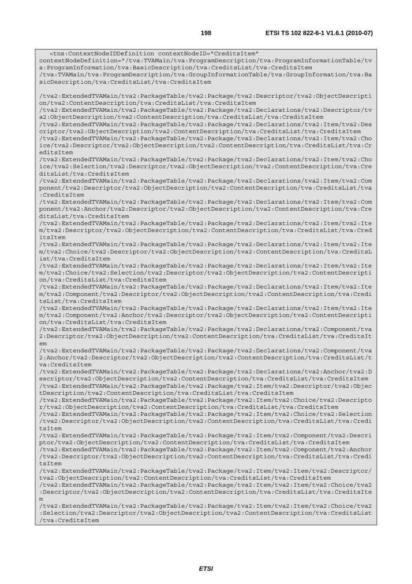<tns:ContextNodeIDDefinition contextNodeID="CreditsItem" contextNodeDefinition="/tva:TVAMain/tva:ProgramDescription/tva:ProgramInformationTable/tv a:ProgramInformation/tva:BasicDescription/tva:CreditsList/tva:CreditsItem /tva:TVAMain/tva:ProgramDescription/tva:GroupInformationTable/tva:GroupInformation/tva:Ba sicDescription/tva:CreditsList/tva:CreditsItem /tva2:ExtendedTVAMain/tva2:PackageTable/tva2:Package/tva2:Descriptor/tva2:ObjectDescripti on/tva2:ContentDescription/tva:CreditsList/tva:CreditsItem /tva2:ExtendedTVAMain/tva2:PackageTable/tva2:Package/tva2:Declarations/tva2:Descriptor/tv a2:ObjectDescription/tva2:ContentDescription/tva:CreditsList/tva:CreditsItem /tva2:ExtendedTVAMain/tva2:PackageTable/tva2:Package/tva2:Declarations/tva2:Item/tva2:Des criptor/tva2:ObjectDescription/tva2:ContentDescription/tva:CreditsList/tva:CreditsItem /tva2:ExtendedTVAMain/tva2:PackageTable/tva2:Package/tva2:Declarations/tva2:Item/tva2:Cho ice/tva2:Descriptor/tva2:ObjectDescription/tva2:ContentDescription/tva:CreditsList/tva:Cr editsItem /tva2:ExtendedTVAMain/tva2:PackageTable/tva2:Package/tva2:Declarations/tva2:Item/tva2:Cho ice/tva2:Selection/tva2:Descriptor/tva2:ObjectDescription/tva2:ContentDescription/tva:Cre ditsList/tva:CreditsItem /tva2:ExtendedTVAMain/tva2:PackageTable/tva2:Package/tva2:Declarations/tva2:Item/tva2:Com ponent/tva2:Descriptor/tva2:ObjectDescription/tva2:ContentDescription/tva:CreditsList/tva :CreditsItem /tva2:ExtendedTVAMain/tva2:PackageTable/tva2:Package/tva2:Declarations/tva2:Item/tva2:Com ponent/tva2:Anchor/tva2:Descriptor/tva2:ObjectDescription/tva2:ContentDescription/tva:Cre ditsList/tva:CreditsItem /tva2:ExtendedTVAMain/tva2:PackageTable/tva2:Package/tva2:Declarations/tva2:Item/tva2:Ite m/tva2:Descriptor/tva2:ObjectDescription/tva2:ContentDescription/tva:CreditsList/tva:Cred itsItem /tva2:ExtendedTVAMain/tva2:PackageTable/tva2:Package/tva2:Declarations/tva2:Item/tva2:Ite m/tva2:Choice/tva2:Descriptor/tva2:ObjectDescription/tva2:ContentDescription/tva:CreditsL ist/tva:CreditsItem /tva2:ExtendedTVAMain/tva2:PackageTable/tva2:Package/tva2:Declarations/tva2:Item/tva2:Ite m/tva2:Choice/tva2:Selection/tva2:Descriptor/tva2:ObjectDescription/tva2:ContentDescripti on/tva:CreditsList/tva:CreditsItem /tva2:ExtendedTVAMain/tva2:PackageTable/tva2:Package/tva2:Declarations/tva2:Item/tva2:Ite m/tva2:Component/tva2:Descriptor/tva2:ObjectDescription/tva2:ContentDescription/tva:Credi tsList/tva:CreditsItem /tva2:ExtendedTVAMain/tva2:PackageTable/tva2:Package/tva2:Declarations/tva2:Item/tva2:Ite m/tva2:Component/tva2:Anchor/tva2:Descriptor/tva2:ObjectDescription/tva2:ContentDescripti on/tva:CreditsList/tva:CreditsItem /tva2:ExtendedTVAMain/tva2:PackageTable/tva2:Package/tva2:Declarations/tva2:Component/tva 2:Descriptor/tva2:ObjectDescription/tva2:ContentDescription/tva:CreditsList/tva:CreditsIt  $em$ /tva2:ExtendedTVAMain/tva2:PackageTable/tva2:Package/tva2:Declarations/tva2:Component/tva 2:Anchor/tva2:Descriptor/tva2:ObjectDescription/tva2:ContentDescription/tva:CreditsList/t va:CreditsItem /tva2:ExtendedTVAMain/tva2:PackageTable/tva2:Package/tva2:Declarations/tva2:Anchor/tva2:D escriptor/tva2:ObjectDescription/tva2:ContentDescription/tva:CreditsList/tva:CreditsItem /tva2:ExtendedTVAMain/tva2:PackageTable/tva2:Package/tva2:Item/tva2:Descriptor/tva2:Objec tDescription/tva2:ContentDescription/tva:CreditsList/tva:CreditsItem /tva2:ExtendedTVAMain/tva2:PackageTable/tva2:Package/tva2:Item/tva2:Choice/tva2:Descripto r/tva2:ObjectDescription/tva2:ContentDescription/tva:CreditsList/tva:CreditsItem /tva2:ExtendedTVAMain/tva2:PackageTable/tva2:Package/tva2:Item/tva2:Choice/tva2:Selection /tva2:Descriptor/tva2:ObjectDescription/tva2:ContentDescription/tva:CreditsList/tva:Credi tsItem /tva2:ExtendedTVAMain/tva2:PackageTable/tva2:Package/tva2:Item/tva2:Component/tva2:Descri ptor/tva2:ObjectDescription/tva2:ContentDescription/tva:CreditsList/tva:CreditsItem /tva2:ExtendedTVAMain/tva2:PackageTable/tva2:Package/tva2:Item/tva2:Component/tva2:Anchor /tva2:Descriptor/tva2:ObjectDescription/tva2:ContentDescription/tva:CreditsList/tva:Credi tsItem /tva2:ExtendedTVAMain/tva2:PackageTable/tva2:Package/tva2:Item/tva2:Item/tva2:Descriptor/ tva2:ObjectDescription/tva2:ContentDescription/tva:CreditsList/tva:CreditsItem /tva2:ExtendedTVAMain/tva2:PackageTable/tva2:Package/tva2:Item/tva2:Item/tva2:Choice/tva2 :Descriptor/tva2:ObjectDescription/tva2:ContentDescription/tva:CreditsList/tva:CreditsIte m /tva2:ExtendedTVAMain/tva2:PackageTable/tva2:Package/tva2:Item/tva2:Item/tva2:Choice/tva2 :Selection/tva2:Descriptor/tva2:ObjectDescription/tva2:ContentDescription/tva:CreditsList /tva:CreditsItem

*ETSI*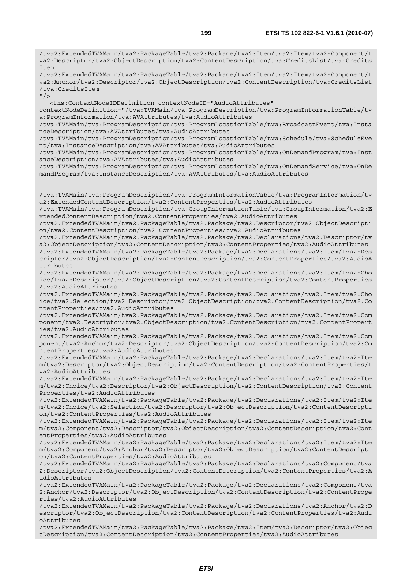/tva2:ExtendedTVAMain/tva2:PackageTable/tva2:Package/tva2:Item/tva2:Item/tva2:Component/t va2:Descriptor/tva2:ObjectDescription/tva2:ContentDescription/tva:CreditsList/tva:Credits Item /tva2:ExtendedTVAMain/tva2:PackageTable/tva2:Package/tva2:Item/tva2:Item/tva2:Component/t va2:Anchor/tva2:Descriptor/tva2:ObjectDescription/tva2:ContentDescription/tva:CreditsList /tva:CreditsItem  $''$ /> <tns:ContextNodeIDDefinition contextNodeID="AudioAttributes" contextNodeDefinition="/tva:TVAMain/tva:ProgramDescription/tva:ProgramInformationTable/tv a:ProgramInformation/tva:AVAttributes/tva:AudioAttributes /tva:TVAMain/tva:ProgramDescription/tva:ProgramLocationTable/tva:BroadcastEvent/tva:Insta nceDescription/tva:AVAttributes/tva:AudioAttributes /tva:TVAMain/tva:ProgramDescription/tva:ProgramLocationTable/tva:Schedule/tva:ScheduleEve nt/tva:InstanceDescription/tva:AVAttributes/tva:AudioAttributes /tva:TVAMain/tva:ProgramDescription/tva:ProgramLocationTable/tva:OnDemandProgram/tva:Inst anceDescription/tva:AVAttributes/tva:AudioAttributes /tva:TVAMain/tva:ProgramDescription/tva:ProgramLocationTable/tva:OnDemandService/tva:OnDe mandProgram/tva:InstanceDescription/tva:AVAttributes/tva:AudioAttributes /tva:TVAMain/tva:ProgramDescription/tva:ProgramInformationTable/tva:ProgramInformation/tv a2:ExtendedContentDescription/tva2:ContentProperties/tva2:AudioAttributes /tva:TVAMain/tva:ProgramDescription/tva:GroupInformationTable/tva:GroupInformation/tva2:E xtendedContentDescription/tva2:ContentProperties/tva2:AudioAttributes /tva2:ExtendedTVAMain/tva2:PackageTable/tva2:Package/tva2:Descriptor/tva2:ObjectDescripti on/tva2:ContentDescription/tva2:ContentProperties/tva2:AudioAttributes /tva2:ExtendedTVAMain/tva2:PackageTable/tva2:Package/tva2:Declarations/tva2:Descriptor/tv a2:ObjectDescription/tva2:ContentDescription/tva2:ContentProperties/tva2:AudioAttributes /tva2:ExtendedTVAMain/tva2:PackageTable/tva2:Package/tva2:Declarations/tva2:Item/tva2:Des criptor/tva2:ObjectDescription/tva2:ContentDescription/tva2:ContentProperties/tva2:AudioA ttributes /tva2:ExtendedTVAMain/tva2:PackageTable/tva2:Package/tva2:Declarations/tva2:Item/tva2:Cho ice/tva2:Descriptor/tva2:ObjectDescription/tva2:ContentDescription/tva2:ContentProperties /tva2:AudioAttributes /tva2:ExtendedTVAMain/tva2:PackageTable/tva2:Package/tva2:Declarations/tva2:Item/tva2:Cho ice/tva2:Selection/tva2:Descriptor/tva2:ObjectDescription/tva2:ContentDescription/tva2:Co ntentProperties/tva2:AudioAttributes /tva2:ExtendedTVAMain/tva2:PackageTable/tva2:Package/tva2:Declarations/tva2:Item/tva2:Com ponent/tva2:Descriptor/tva2:ObjectDescription/tva2:ContentDescription/tva2:ContentPropert ies/tva2:AudioAttributes /tva2:ExtendedTVAMain/tva2:PackageTable/tva2:Package/tva2:Declarations/tva2:Item/tva2:Com ponent/tva2:Anchor/tva2:Descriptor/tva2:ObjectDescription/tva2:ContentDescription/tva2:Co ntentProperties/tva2:AudioAttributes /tva2:ExtendedTVAMain/tva2:PackageTable/tva2:Package/tva2:Declarations/tva2:Item/tva2:Ite m/tva2:Descriptor/tva2:ObjectDescription/tva2:ContentDescription/tva2:ContentProperties/t va2:AudioAttributes /tva2:ExtendedTVAMain/tva2:PackageTable/tva2:Package/tva2:Declarations/tva2:Item/tva2:Ite m/tva2:Choice/tva2:Descriptor/tva2:ObjectDescription/tva2:ContentDescription/tva2:Content Properties/tva2:AudioAttributes /tva2:ExtendedTVAMain/tva2:PackageTable/tva2:Package/tva2:Declarations/tva2:Item/tva2:Ite m/tva2:Choice/tva2:Selection/tva2:Descriptor/tva2:ObjectDescription/tva2:ContentDescripti on/tva2:ContentProperties/tva2:AudioAttributes /tva2:ExtendedTVAMain/tva2:PackageTable/tva2:Package/tva2:Declarations/tva2:Item/tva2:Ite m/tva2:Component/tva2:Descriptor/tva2:ObjectDescription/tva2:ContentDescription/tva2:Cont entProperties/tva2:AudioAttributes /tva2:ExtendedTVAMain/tva2:PackageTable/tva2:Package/tva2:Declarations/tva2:Item/tva2:Ite m/tva2:Component/tva2:Anchor/tva2:Descriptor/tva2:ObjectDescription/tva2:ContentDescripti on/tva2:ContentProperties/tva2:AudioAttributes /tva2:ExtendedTVAMain/tva2:PackageTable/tva2:Package/tva2:Declarations/tva2:Component/tva 2:Descriptor/tva2:ObjectDescription/tva2:ContentDescription/tva2:ContentProperties/tva2:A udioAttributes /tva2:ExtendedTVAMain/tva2:PackageTable/tva2:Package/tva2:Declarations/tva2:Component/tva 2:Anchor/tva2:Descriptor/tva2:ObjectDescription/tva2:ContentDescription/tva2:ContentPrope rties/tva2:AudioAttributes /tva2:ExtendedTVAMain/tva2:PackageTable/tva2:Package/tva2:Declarations/tva2:Anchor/tva2:D escriptor/tva2:ObjectDescription/tva2:ContentDescription/tva2:ContentProperties/tva2:Audi oAttributes

/tva2:ExtendedTVAMain/tva2:PackageTable/tva2:Package/tva2:Item/tva2:Descriptor/tva2:Objec tDescription/tva2:ContentDescription/tva2:ContentProperties/tva2:AudioAttributes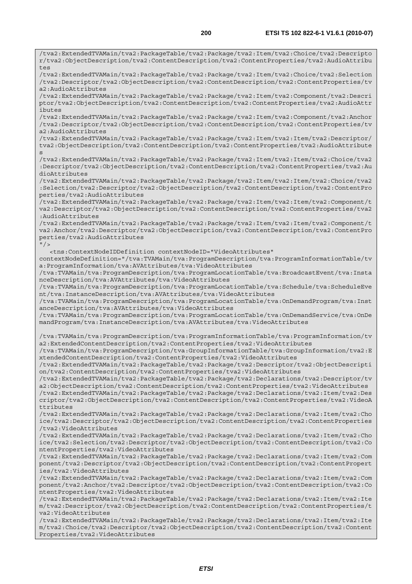/tva2:ExtendedTVAMain/tva2:PackageTable/tva2:Package/tva2:Item/tva2:Choice/tva2:Descripto r/tva2:ObjectDescription/tva2:ContentDescription/tva2:ContentProperties/tva2:AudioAttribu tes /tva2:ExtendedTVAMain/tva2:PackageTable/tva2:Package/tva2:Item/tva2:Choice/tva2:Selection /tva2:Descriptor/tva2:ObjectDescription/tva2:ContentDescription/tva2:ContentProperties/tv a2:AudioAttributes /tva2:ExtendedTVAMain/tva2:PackageTable/tva2:Package/tva2:Item/tva2:Component/tva2:Descri ptor/tva2:ObjectDescription/tva2:ContentDescription/tva2:ContentProperties/tva2:AudioAttr ibutes /tva2:ExtendedTVAMain/tva2:PackageTable/tva2:Package/tva2:Item/tva2:Component/tva2:Anchor /tva2:Descriptor/tva2:ObjectDescription/tva2:ContentDescription/tva2:ContentProperties/tv a2:AudioAttributes /tva2:ExtendedTVAMain/tva2:PackageTable/tva2:Package/tva2:Item/tva2:Item/tva2:Descriptor/ tva2:ObjectDescription/tva2:ContentDescription/tva2:ContentProperties/tva2:AudioAttribute s /tva2:ExtendedTVAMain/tva2:PackageTable/tva2:Package/tva2:Item/tva2:Item/tva2:Choice/tva2 :Descriptor/tva2:ObjectDescription/tva2:ContentDescription/tva2:ContentProperties/tva2:Au dioAttributes /tva2:ExtendedTVAMain/tva2:PackageTable/tva2:Package/tva2:Item/tva2:Item/tva2:Choice/tva2 :Selection/tva2:Descriptor/tva2:ObjectDescription/tva2:ContentDescription/tva2:ContentPro perties/tva2:AudioAttributes /tva2:ExtendedTVAMain/tva2:PackageTable/tva2:Package/tva2:Item/tva2:Item/tva2:Component/t va2:Descriptor/tva2:ObjectDescription/tva2:ContentDescription/tva2:ContentProperties/tva2 :AudioAttributes /tva2:ExtendedTVAMain/tva2:PackageTable/tva2:Package/tva2:Item/tva2:Item/tva2:Component/t va2:Anchor/tva2:Descriptor/tva2:ObjectDescription/tva2:ContentDescription/tva2:ContentPro perties/tva2:AudioAttributes  $"$  /> <tns:ContextNodeIDDefinition contextNodeID="VideoAttributes" contextNodeDefinition="/tva:TVAMain/tva:ProgramDescription/tva:ProgramInformationTable/tv a:ProgramInformation/tva:AVAttributes/tva:VideoAttributes /tva:TVAMain/tva:ProgramDescription/tva:ProgramLocationTable/tva:BroadcastEvent/tva:Insta nceDescription/tva:AVAttributes/tva:VideoAttributes /tva:TVAMain/tva:ProgramDescription/tva:ProgramLocationTable/tva:Schedule/tva:ScheduleEve nt/tva:InstanceDescription/tva:AVAttributes/tva:VideoAttributes /tva:TVAMain/tva:ProgramDescription/tva:ProgramLocationTable/tva:OnDemandProgram/tva:Inst anceDescription/tva:AVAttributes/tva:VideoAttributes /tva:TVAMain/tva:ProgramDescription/tva:ProgramLocationTable/tva:OnDemandService/tva:OnDe mandProgram/tva:InstanceDescription/tva:AVAttributes/tva:VideoAttributes /tva:TVAMain/tva:ProgramDescription/tva:ProgramInformationTable/tva:ProgramInformation/tv a2:ExtendedContentDescription/tva2:ContentProperties/tva2:VideoAttributes /tva:TVAMain/tva:ProgramDescription/tva:GroupInformationTable/tva:GroupInformation/tva2:E xtendedContentDescription/tva2:ContentProperties/tva2:VideoAttributes /tva2:ExtendedTVAMain/tva2:PackageTable/tva2:Package/tva2:Descriptor/tva2:ObjectDescripti on/tva2:ContentDescription/tva2:ContentProperties/tva2:VideoAttributes /tva2:ExtendedTVAMain/tva2:PackageTable/tva2:Package/tva2:Declarations/tva2:Descriptor/tv a2:ObjectDescription/tva2:ContentDescription/tva2:ContentProperties/tva2:VideoAttributes /tva2:ExtendedTVAMain/tva2:PackageTable/tva2:Package/tva2:Declarations/tva2:Item/tva2:Des criptor/tva2:ObjectDescription/tva2:ContentDescription/tva2:ContentProperties/tva2:VideoA ttributes /tva2:ExtendedTVAMain/tva2:PackageTable/tva2:Package/tva2:Declarations/tva2:Item/tva2:Cho ice/tva2:Descriptor/tva2:ObjectDescription/tva2:ContentDescription/tva2:ContentProperties /tva2:VideoAttributes /tva2:ExtendedTVAMain/tva2:PackageTable/tva2:Package/tva2:Declarations/tva2:Item/tva2:Cho ice/tva2:Selection/tva2:Descriptor/tva2:ObjectDescription/tva2:ContentDescription/tva2:Co ntentProperties/tva2:VideoAttributes /tva2:ExtendedTVAMain/tva2:PackageTable/tva2:Package/tva2:Declarations/tva2:Item/tva2:Com ponent/tva2:Descriptor/tva2:ObjectDescription/tva2:ContentDescription/tva2:ContentPropert ies/tva2:VideoAttributes /tva2:ExtendedTVAMain/tva2:PackageTable/tva2:Package/tva2:Declarations/tva2:Item/tva2:Com ponent/tva2:Anchor/tva2:Descriptor/tva2:ObjectDescription/tva2:ContentDescription/tva2:Co ntentProperties/tva2:VideoAttributes /tva2:ExtendedTVAMain/tva2:PackageTable/tva2:Package/tva2:Declarations/tva2:Item/tva2:Ite m/tva2:Descriptor/tva2:ObjectDescription/tva2:ContentDescription/tva2:ContentProperties/t va2:VideoAttributes /tva2:ExtendedTVAMain/tva2:PackageTable/tva2:Package/tva2:Declarations/tva2:Item/tva2:Ite m/tva2:Choice/tva2:Descriptor/tva2:ObjectDescription/tva2:ContentDescription/tva2:Content Properties/tva2:VideoAttributes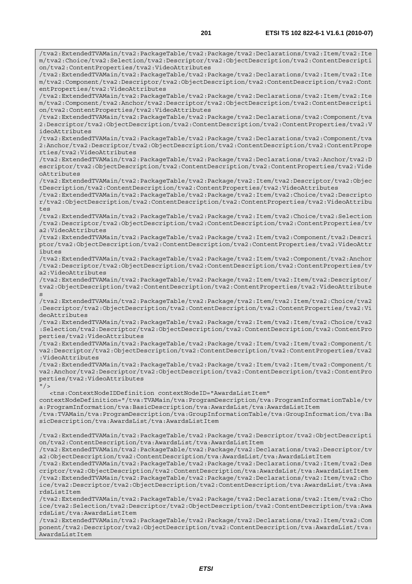/tva2:ExtendedTVAMain/tva2:PackageTable/tva2:Package/tva2:Declarations/tva2:Item/tva2:Ite m/tva2:Choice/tva2:Selection/tva2:Descriptor/tva2:ObjectDescription/tva2:ContentDescripti on/tva2:ContentProperties/tva2:VideoAttributes /tva2:ExtendedTVAMain/tva2:PackageTable/tva2:Package/tva2:Declarations/tva2:Item/tva2:Ite m/tva2:Component/tva2:Descriptor/tva2:ObjectDescription/tva2:ContentDescription/tva2:Cont entProperties/tva2:VideoAttributes /tva2:ExtendedTVAMain/tva2:PackageTable/tva2:Package/tva2:Declarations/tva2:Item/tva2:Ite m/tva2:Component/tva2:Anchor/tva2:Descriptor/tva2:ObjectDescription/tva2:ContentDescripti on/tva2:ContentProperties/tva2:VideoAttributes /tva2:ExtendedTVAMain/tva2:PackageTable/tva2:Package/tva2:Declarations/tva2:Component/tva 2:Descriptor/tva2:ObjectDescription/tva2:ContentDescription/tva2:ContentProperties/tva2:V ideoAttributes /tva2:ExtendedTVAMain/tva2:PackageTable/tva2:Package/tva2:Declarations/tva2:Component/tva 2:Anchor/tva2:Descriptor/tva2:ObjectDescription/tva2:ContentDescription/tva2:ContentPrope rties/tva2:VideoAttributes /tva2:ExtendedTVAMain/tva2:PackageTable/tva2:Package/tva2:Declarations/tva2:Anchor/tva2:D escriptor/tva2:ObjectDescription/tva2:ContentDescription/tva2:ContentProperties/tva2:Vide oAttributes /tva2:ExtendedTVAMain/tva2:PackageTable/tva2:Package/tva2:Item/tva2:Descriptor/tva2:Objec tDescription/tva2:ContentDescription/tva2:ContentProperties/tva2:VideoAttributes /tva2:ExtendedTVAMain/tva2:PackageTable/tva2:Package/tva2:Item/tva2:Choice/tva2:Descripto r/tva2:ObjectDescription/tva2:ContentDescription/tva2:ContentProperties/tva2:VideoAttribu tes /tva2:ExtendedTVAMain/tva2:PackageTable/tva2:Package/tva2:Item/tva2:Choice/tva2:Selection /tva2:Descriptor/tva2:ObjectDescription/tva2:ContentDescription/tva2:ContentProperties/tv a2:VideoAttributes /tva2:ExtendedTVAMain/tva2:PackageTable/tva2:Package/tva2:Item/tva2:Component/tva2:Descri ptor/tva2:ObjectDescription/tva2:ContentDescription/tva2:ContentProperties/tva2:VideoAttr ibutes /tva2:ExtendedTVAMain/tva2:PackageTable/tva2:Package/tva2:Item/tva2:Component/tva2:Anchor /tva2:Descriptor/tva2:ObjectDescription/tva2:ContentDescription/tva2:ContentProperties/tv a2:VideoAttributes /tva2:ExtendedTVAMain/tva2:PackageTable/tva2:Package/tva2:Item/tva2:Item/tva2:Descriptor/ tva2:ObjectDescription/tva2:ContentDescription/tva2:ContentProperties/tva2:VideoAttribute s /tva2:ExtendedTVAMain/tva2:PackageTable/tva2:Package/tva2:Item/tva2:Item/tva2:Choice/tva2 :Descriptor/tva2:ObjectDescription/tva2:ContentDescription/tva2:ContentProperties/tva2:Vi deoAttributes /tva2:ExtendedTVAMain/tva2:PackageTable/tva2:Package/tva2:Item/tva2:Item/tva2:Choice/tva2 :Selection/tva2:Descriptor/tva2:ObjectDescription/tva2:ContentDescription/tva2:ContentPro perties/tva2:VideoAttributes /tva2:ExtendedTVAMain/tva2:PackageTable/tva2:Package/tva2:Item/tva2:Item/tva2:Component/t va2:Descriptor/tva2:ObjectDescription/tva2:ContentDescription/tva2:ContentProperties/tva2 :VideoAttributes /tva2:ExtendedTVAMain/tva2:PackageTable/tva2:Package/tva2:Item/tva2:Item/tva2:Component/t va2:Anchor/tva2:Descriptor/tva2:ObjectDescription/tva2:ContentDescription/tva2:ContentPro perties/tva2:VideoAttributes  $"$  / > <tns:ContextNodeIDDefinition contextNodeID="AwardsListItem" contextNodeDefinition="/tva:TVAMain/tva:ProgramDescription/tva:ProgramInformationTable/tv a:ProgramInformation/tva:BasicDescription/tva:AwardsList/tva:AwardsListItem /tva:TVAMain/tva:ProgramDescription/tva:GroupInformationTable/tva:GroupInformation/tva:Ba sicDescription/tva:AwardsList/tva:AwardsListItem /tva2:ExtendedTVAMain/tva2:PackageTable/tva2:Package/tva2:Descriptor/tva2:ObjectDescripti on/tva2:ContentDescription/tva:AwardsList/tva:AwardsListItem /tva2:ExtendedTVAMain/tva2:PackageTable/tva2:Package/tva2:Declarations/tva2:Descriptor/tv a2:ObjectDescription/tva2:ContentDescription/tva:AwardsList/tva:AwardsListItem /tva2:ExtendedTVAMain/tva2:PackageTable/tva2:Package/tva2:Declarations/tva2:Item/tva2:Des criptor/tva2:ObjectDescription/tva2:ContentDescription/tva:AwardsList/tva:AwardsListItem /tva2:ExtendedTVAMain/tva2:PackageTable/tva2:Package/tva2:Declarations/tva2:Item/tva2:Cho ice/tva2:Descriptor/tva2:ObjectDescription/tva2:ContentDescription/tva:AwardsList/tva:Awa rdsListItem /tva2:ExtendedTVAMain/tva2:PackageTable/tva2:Package/tva2:Declarations/tva2:Item/tva2:Cho ice/tva2:Selection/tva2:Descriptor/tva2:ObjectDescription/tva2:ContentDescription/tva:Awa rdsList/tva:AwardsListItem

/tva2:ExtendedTVAMain/tva2:PackageTable/tva2:Package/tva2:Declarations/tva2:Item/tva2:Com ponent/tva2:Descriptor/tva2:ObjectDescription/tva2:ContentDescription/tva:AwardsList/tva: AwardsListItem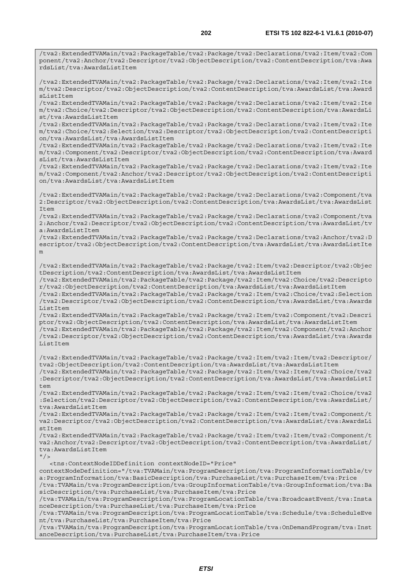/tva2:ExtendedTVAMain/tva2:PackageTable/tva2:Package/tva2:Declarations/tva2:Item/tva2:Com ponent/tva2:Anchor/tva2:Descriptor/tva2:ObjectDescription/tva2:ContentDescription/tva:Awa

/tva2:ExtendedTVAMain/tva2:PackageTable/tva2:Package/tva2:Declarations/tva2:Item/tva2:Ite m/tva2:Descriptor/tva2:ObjectDescription/tva2:ContentDescription/tva:AwardsList/tva:Award sListItem /tva2:ExtendedTVAMain/tva2:PackageTable/tva2:Package/tva2:Declarations/tva2:Item/tva2:Ite m/tva2:Choice/tva2:Descriptor/tva2:ObjectDescription/tva2:ContentDescription/tva:AwardsLi st/tva:AwardsListItem /tva2:ExtendedTVAMain/tva2:PackageTable/tva2:Package/tva2:Declarations/tva2:Item/tva2:Ite m/tva2:Choice/tva2:Selection/tva2:Descriptor/tva2:ObjectDescription/tva2:ContentDescripti on/tva:AwardsList/tva:AwardsListItem /tva2:ExtendedTVAMain/tva2:PackageTable/tva2:Package/tva2:Declarations/tva2:Item/tva2:Ite m/tva2:Component/tva2:Descriptor/tva2:ObjectDescription/tva2:ContentDescription/tva:Award sList/tva:AwardsListItem /tva2:ExtendedTVAMain/tva2:PackageTable/tva2:Package/tva2:Declarations/tva2:Item/tva2:Ite m/tva2:Component/tva2:Anchor/tva2:Descriptor/tva2:ObjectDescription/tva2:ContentDescripti on/tva:AwardsList/tva:AwardsListItem /tva2:ExtendedTVAMain/tva2:PackageTable/tva2:Package/tva2:Declarations/tva2:Component/tva 2:Descriptor/tva2:ObjectDescription/tva2:ContentDescription/tva:AwardsList/tva:AwardsList Item /tva2:ExtendedTVAMain/tva2:PackageTable/tva2:Package/tva2:Declarations/tva2:Component/tva 2:Anchor/tva2:Descriptor/tva2:ObjectDescription/tva2:ContentDescription/tva:AwardsList/tv a:AwardsListItem /tva2:ExtendedTVAMain/tva2:PackageTable/tva2:Package/tva2:Declarations/tva2:Anchor/tva2:D escriptor/tva2:ObjectDescription/tva2:ContentDescription/tva:AwardsList/tva:AwardsListIte m /tva2:ExtendedTVAMain/tva2:PackageTable/tva2:Package/tva2:Item/tva2:Descriptor/tva2:Objec tDescription/tva2:ContentDescription/tva:AwardsList/tva:AwardsListItem /tva2:ExtendedTVAMain/tva2:PackageTable/tva2:Package/tva2:Item/tva2:Choice/tva2:Descripto r/tva2:ObjectDescription/tva2:ContentDescription/tva:AwardsList/tva:AwardsListItem /tva2:ExtendedTVAMain/tva2:PackageTable/tva2:Package/tva2:Item/tva2:Choice/tva2:Selection /tva2:Descriptor/tva2:ObjectDescription/tva2:ContentDescription/tva:AwardsList/tva:Awards ListItem /tva2:ExtendedTVAMain/tva2:PackageTable/tva2:Package/tva2:Item/tva2:Component/tva2:Descri ptor/tva2:ObjectDescription/tva2:ContentDescription/tva:AwardsList/tva:AwardsListItem /tva2:ExtendedTVAMain/tva2:PackageTable/tva2:Package/tva2:Item/tva2:Component/tva2:Anchor /tva2:Descriptor/tva2:ObjectDescription/tva2:ContentDescription/tva:AwardsList/tva:Awards ListItem /tva2:ExtendedTVAMain/tva2:PackageTable/tva2:Package/tva2:Item/tva2:Item/tva2:Descriptor/ tva2:ObjectDescription/tva2:ContentDescription/tva:AwardsList/tva:AwardsListItem /tva2:ExtendedTVAMain/tva2:PackageTable/tva2:Package/tva2:Item/tva2:Item/tva2:Choice/tva2 :Descriptor/tva2:ObjectDescription/tva2:ContentDescription/tva:AwardsList/tva:AwardsListI tem /tva2:ExtendedTVAMain/tva2:PackageTable/tva2:Package/tva2:Item/tva2:Item/tva2:Choice/tva2 :Selection/tva2:Descriptor/tva2:ObjectDescription/tva2:ContentDescription/tva:AwardsList/ tva:AwardsListItem

/tva2:ExtendedTVAMain/tva2:PackageTable/tva2:Package/tva2:Item/tva2:Item/tva2:Component/t va2:Descriptor/tva2:ObjectDescription/tva2:ContentDescription/tva:AwardsList/tva:AwardsLi stItem

/tva2:ExtendedTVAMain/tva2:PackageTable/tva2:Package/tva2:Item/tva2:Item/tva2:Component/t va2:Anchor/tva2:Descriptor/tva2:ObjectDescription/tva2:ContentDescription/tva:AwardsList/ tva:AwardsListItem

 $"$  />

rdsList/tva:AwardsListItem

<tns:ContextNodeIDDefinition contextNodeID="Price"

contextNodeDefinition="/tva:TVAMain/tva:ProgramDescription/tva:ProgramInformationTable/tv a:ProgramInformation/tva:BasicDescription/tva:PurchaseList/tva:PurchaseItem/tva:Price /tva:TVAMain/tva:ProgramDescription/tva:GroupInformationTable/tva:GroupInformation/tva:Ba sicDescription/tva:PurchaseList/tva:PurchaseItem/tva:Price

/tva:TVAMain/tva:ProgramDescription/tva:ProgramLocationTable/tva:BroadcastEvent/tva:Insta nceDescription/tva:PurchaseList/tva:PurchaseItem/tva:Price

/tva:TVAMain/tva:ProgramDescription/tva:ProgramLocationTable/tva:Schedule/tva:ScheduleEve nt/tva:PurchaseList/tva:PurchaseItem/tva:Price

/tva:TVAMain/tva:ProgramDescription/tva:ProgramLocationTable/tva:OnDemandProgram/tva:Inst anceDescription/tva:PurchaseList/tva:PurchaseItem/tva:Price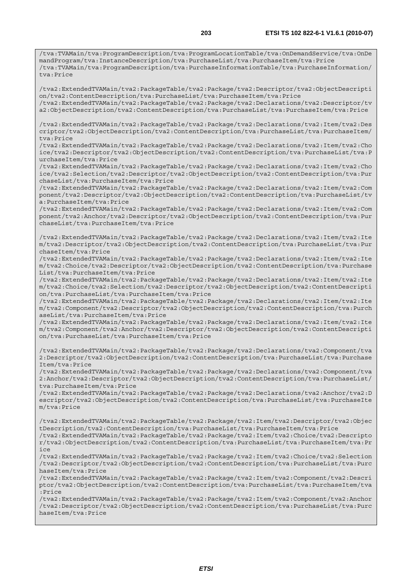/tva:TVAMain/tva:ProgramDescription/tva:ProgramLocationTable/tva:OnDemandService/tva:OnDe mandProgram/tva:InstanceDescription/tva:PurchaseList/tva:PurchaseItem/tva:Price /tva:TVAMain/tva:ProgramDescription/tva:PurchaseInformationTable/tva:PurchaseInformation/ tva:Price

/tva2:ExtendedTVAMain/tva2:PackageTable/tva2:Package/tva2:Descriptor/tva2:ObjectDescripti on/tva2:ContentDescription/tva:PurchaseList/tva:PurchaseItem/tva:Price /tva2:ExtendedTVAMain/tva2:PackageTable/tva2:Package/tva2:Declarations/tva2:Descriptor/tv

a2:ObjectDescription/tva2:ContentDescription/tva:PurchaseList/tva:PurchaseItem/tva:Price

/tva2:ExtendedTVAMain/tva2:PackageTable/tva2:Package/tva2:Declarations/tva2:Item/tva2:Des criptor/tva2:ObjectDescription/tva2:ContentDescription/tva:PurchaseList/tva:PurchaseItem/ tva:Price

/tva2:ExtendedTVAMain/tva2:PackageTable/tva2:Package/tva2:Declarations/tva2:Item/tva2:Cho ice/tva2:Descriptor/tva2:ObjectDescription/tva2:ContentDescription/tva:PurchaseList/tva:P urchaseItem/tva:Price

/tva2:ExtendedTVAMain/tva2:PackageTable/tva2:Package/tva2:Declarations/tva2:Item/tva2:Cho ice/tva2:Selection/tva2:Descriptor/tva2:ObjectDescription/tva2:ContentDescription/tva:Pur chaseList/tva:PurchaseItem/tva:Price

/tva2:ExtendedTVAMain/tva2:PackageTable/tva2:Package/tva2:Declarations/tva2:Item/tva2:Com ponent/tva2:Descriptor/tva2:ObjectDescription/tva2:ContentDescription/tva:PurchaseList/tv a:PurchaseItem/tva:Price

/tva2:ExtendedTVAMain/tva2:PackageTable/tva2:Package/tva2:Declarations/tva2:Item/tva2:Com ponent/tva2:Anchor/tva2:Descriptor/tva2:ObjectDescription/tva2:ContentDescription/tva:Pur chaseList/tva:PurchaseItem/tva:Price

/tva2:ExtendedTVAMain/tva2:PackageTable/tva2:Package/tva2:Declarations/tva2:Item/tva2:Ite m/tva2:Descriptor/tva2:ObjectDescription/tva2:ContentDescription/tva:PurchaseList/tva:Pur chaseItem/tva:Price

/tva2:ExtendedTVAMain/tva2:PackageTable/tva2:Package/tva2:Declarations/tva2:Item/tva2:Ite m/tva2:Choice/tva2:Descriptor/tva2:ObjectDescription/tva2:ContentDescription/tva:Purchase List/tva:PurchaseItem/tva:Price

/tva2:ExtendedTVAMain/tva2:PackageTable/tva2:Package/tva2:Declarations/tva2:Item/tva2:Ite m/tva2:Choice/tva2:Selection/tva2:Descriptor/tva2:ObjectDescription/tva2:ContentDescripti on/tva:PurchaseList/tva:PurchaseItem/tva:Price

/tva2:ExtendedTVAMain/tva2:PackageTable/tva2:Package/tva2:Declarations/tva2:Item/tva2:Ite m/tva2:Component/tva2:Descriptor/tva2:ObjectDescription/tva2:ContentDescription/tva:Purch aseList/tva:PurchaseItem/tva:Price

/tva2:ExtendedTVAMain/tva2:PackageTable/tva2:Package/tva2:Declarations/tva2:Item/tva2:Ite m/tva2:Component/tva2:Anchor/tva2:Descriptor/tva2:ObjectDescription/tva2:ContentDescripti on/tva:PurchaseList/tva:PurchaseItem/tva:Price

/tva2:ExtendedTVAMain/tva2:PackageTable/tva2:Package/tva2:Declarations/tva2:Component/tva 2:Descriptor/tva2:ObjectDescription/tva2:ContentDescription/tva:PurchaseList/tva:Purchase Item/tva:Price

/tva2:ExtendedTVAMain/tva2:PackageTable/tva2:Package/tva2:Declarations/tva2:Component/tva 2:Anchor/tva2:Descriptor/tva2:ObjectDescription/tva2:ContentDescription/tva:PurchaseList/ tva:PurchaseItem/tva:Price

/tva2:ExtendedTVAMain/tva2:PackageTable/tva2:Package/tva2:Declarations/tva2:Anchor/tva2:D escriptor/tva2:ObjectDescription/tva2:ContentDescription/tva:PurchaseList/tva:PurchaseIte m/tva:Price

/tva2:ExtendedTVAMain/tva2:PackageTable/tva2:Package/tva2:Item/tva2:Descriptor/tva2:Objec tDescription/tva2:ContentDescription/tva:PurchaseList/tva:PurchaseItem/tva:Price

/tva2:ExtendedTVAMain/tva2:PackageTable/tva2:Package/tva2:Item/tva2:Choice/tva2:Descripto r/tva2:ObjectDescription/tva2:ContentDescription/tva:PurchaseList/tva:PurchaseItem/tva:Pr ice

/tva2:ExtendedTVAMain/tva2:PackageTable/tva2:Package/tva2:Item/tva2:Choice/tva2:Selection /tva2:Descriptor/tva2:ObjectDescription/tva2:ContentDescription/tva:PurchaseList/tva:Purc haseItem/tva:Price

/tva2:ExtendedTVAMain/tva2:PackageTable/tva2:Package/tva2:Item/tva2:Component/tva2:Descri ptor/tva2:ObjectDescription/tva2:ContentDescription/tva:PurchaseList/tva:PurchaseItem/tva :Price

/tva2:ExtendedTVAMain/tva2:PackageTable/tva2:Package/tva2:Item/tva2:Component/tva2:Anchor /tva2:Descriptor/tva2:ObjectDescription/tva2:ContentDescription/tva:PurchaseList/tva:Purc haseItem/tva:Price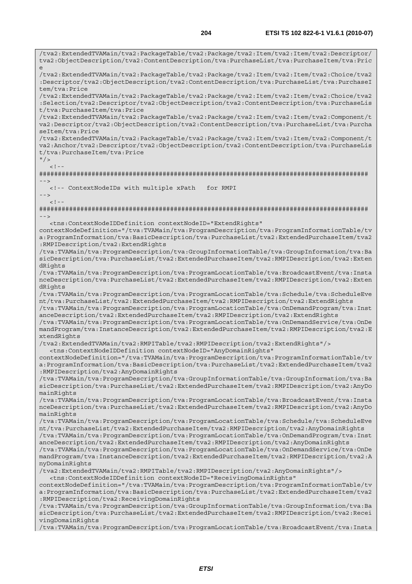/tva2:ExtendedTVAMain/tva2:PackageTable/tva2:Package/tva2:Item/tva2:Item/tva2:Descriptor/ tva2:ObjectDescription/tva2:ContentDescription/tva:PurchaseList/tva:PurchaseItem/tva:Pric e /tva2:ExtendedTVAMain/tva2:PackageTable/tva2:Package/tva2:Item/tva2:Item/tva2:Choice/tva2 :Descriptor/tva2:ObjectDescription/tva2:ContentDescription/tva:PurchaseList/tva:PurchaseI tem/tva:Price /tva2:ExtendedTVAMain/tva2:PackageTable/tva2:Package/tva2:Item/tva2:Item/tva2:Choice/tva2 :Selection/tva2:Descriptor/tva2:ObjectDescription/tva2:ContentDescription/tva:PurchaseLis t/tva:PurchaseItem/tva:Price /tva2:ExtendedTVAMain/tva2:PackageTable/tva2:Package/tva2:Item/tva2:Item/tva2:Component/t va2:Descriptor/tva2:ObjectDescription/tva2:ContentDescription/tva:PurchaseList/tva:Purcha seItem/tva:Price /tva2:ExtendedTVAMain/tva2:PackageTable/tva2:Package/tva2:Item/tva2:Item/tva2:Component/t va2:Anchor/tva2:Descriptor/tva2:ObjectDescription/tva2:ContentDescription/tva:PurchaseLis t/tva:PurchaseItem/tva:Price  $"$  / >  $\geq$   $\frac{1}{2}$ ######################################################################################## --> <!-- ContextNodeIDs with multiple xPath for RMPI -->  $<$ ! --######################################################################################## --> <tns:ContextNodeIDDefinition contextNodeID="ExtendRights" contextNodeDefinition="/tva:TVAMain/tva:ProgramDescription/tva:ProgramInformationTable/tv a:ProgramInformation/tva:BasicDescription/tva:PurchaseList/tva2:ExtendedPurchaseItem/tva2 :RMPIDescription/tva2:ExtendRights /tva:TVAMain/tva:ProgramDescription/tva:GroupInformationTable/tva:GroupInformation/tva:Ba sicDescription/tva:PurchaseList/tva2:ExtendedPurchaseItem/tva2:RMPIDescription/tva2:Exten dRights /tva:TVAMain/tva:ProgramDescription/tva:ProgramLocationTable/tva:BroadcastEvent/tva:Insta nceDescription/tva:PurchaseList/tva2:ExtendedPurchaseItem/tva2:RMPIDescription/tva2:Exten dRights /tva:TVAMain/tva:ProgramDescription/tva:ProgramLocationTable/tva:Schedule/tva:ScheduleEve nt/tva:PurchaseList/tva2:ExtendedPurchaseItem/tva2:RMPIDescription/tva2:ExtendRights /tva:TVAMain/tva:ProgramDescription/tva:ProgramLocationTable/tva:OnDemandProgram/tva:Inst anceDescription/tva2:ExtendedPurchaseItem/tva2:RMPIDescription/tva2:ExtendRights /tva:TVAMain/tva:ProgramDescription/tva:ProgramLocationTable/tva:OnDemandService/tva:OnDe mandProgram/tva:InstanceDescription/tva2:ExtendedPurchaseItem/tva2:RMPIDescription/tva2:E xtendRights /tva2:ExtendedTVAMain/tva2:RMPITable/tva2:RMPIDescription/tva2:ExtendRights"/> <tns:ContextNodeIDDefinition contextNodeID="AnyDomainRights" contextNodeDefinition="/tva:TVAMain/tva:ProgramDescription/tva:ProgramInformationTable/tv a:ProgramInformation/tva:BasicDescription/tva:PurchaseList/tva2:ExtendedPurchaseItem/tva2 :RMPIDescription/tva2:AnyDomainRights /tva:TVAMain/tva:ProgramDescription/tva:GroupInformationTable/tva:GroupInformation/tva:Ba sicDescription/tva:PurchaseList/tva2:ExtendedPurchaseItem/tva2:RMPIDescription/tva2:AnyDo mainRights /tva:TVAMain/tva:ProgramDescription/tva:ProgramLocationTable/tva:BroadcastEvent/tva:Insta nceDescription/tva:PurchaseList/tva2:ExtendedPurchaseItem/tva2:RMPIDescription/tva2:AnyDo mainRights /tva:TVAMain/tva:ProgramDescription/tva:ProgramLocationTable/tva:Schedule/tva:ScheduleEve nt/tva:PurchaseList/tva2:ExtendedPurchaseItem/tva2:RMPIDescription/tva2:AnyDomainRights /tva:TVAMain/tva:ProgramDescription/tva:ProgramLocationTable/tva:OnDemandProgram/tva:Inst anceDescription/tva2:ExtendedPurchaseItem/tva2:RMPIDescription/tva2:AnyDomainRights /tva:TVAMain/tva:ProgramDescription/tva:ProgramLocationTable/tva:OnDemandService/tva:OnDe mandProgram/tva:InstanceDescription/tva2:ExtendedPurchaseItem/tva2:RMPIDescription/tva2:A nyDomainRights /tva2:ExtendedTVAMain/tva2:RMPITable/tva2:RMPIDescription/tva2:AnyDomainRights"/> <tns:ContextNodeIDDefinition contextNodeID="ReceivingDomainRights" contextNodeDefinition="/tva:TVAMain/tva:ProgramDescription/tva:ProgramInformationTable/tv a:ProgramInformation/tva:BasicDescription/tva:PurchaseList/tva2:ExtendedPurchaseItem/tva2 :RMPIDescription/tva2:ReceivingDomainRights /tva:TVAMain/tva:ProgramDescription/tva:GroupInformationTable/tva:GroupInformation/tva:Ba sicDescription/tva:PurchaseList/tva2:ExtendedPurchaseItem/tva2:RMPIDescription/tva2:Recei vingDomainRights

/tva:TVAMain/tva:ProgramDescription/tva:ProgramLocationTable/tva:BroadcastEvent/tva:Insta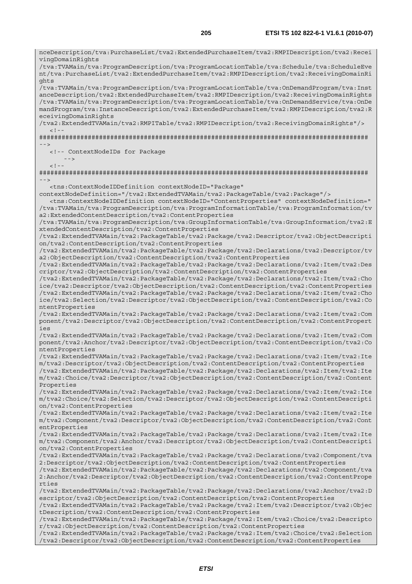nceDescription/tva:PurchaseList/tva2:ExtendedPurchaseItem/tva2:RMPIDescription/tva2:Recei vingDomainRights /tva:TVAMain/tva:ProgramDescription/tva:ProgramLocationTable/tva:Schedule/tva:ScheduleEve nt/tva:PurchaseList/tva2:ExtendedPurchaseItem/tva2:RMPIDescription/tva2:ReceivingDomainRi ghts /tva:TVAMain/tva:ProgramDescription/tva:ProgramLocationTable/tva:OnDemandProgram/tva:Inst anceDescription/tva2:ExtendedPurchaseItem/tva2:RMPIDescription/tva2:ReceivingDomainRights /tva:TVAMain/tva:ProgramDescription/tva:ProgramLocationTable/tva:OnDemandService/tva:OnDe mandProgram/tva:InstanceDescription/tva2:ExtendedPurchaseItem/tva2:RMPIDescription/tva2:R eceivingDomainRights /tva2:ExtendedTVAMain/tva2:RMPITable/tva2:RMPIDescription/tva2:ReceivingDomainRights"/>  $\lt$  ! -######################################################################################## --> <!-- ContextNodeIDs for Package  $-$  --- $-$  -->  $< ! - -$ ######################################################################################## --> <tns:ContextNodeIDDefinition contextNodeID="Package" contextNodeDefinition="/tva2:ExtendedTVAMain/tva2:PackageTable/tva2:Package"/> <tns:ContextNodeIDDefinition contextNodeID="ContentProperties" contextNodeDefinition=" /tva:TVAMain/tva:ProgramDescription/tva:ProgramInformationTable/tva:ProgramInformation/tv a2:ExtendedContentDescription/tva2:ContentProperties /tva:TVAMain/tva:ProgramDescription/tva:GroupInformationTable/tva:GroupInformation/tva2:E xtendedContentDescription/tva2:ContentProperties /tva2:ExtendedTVAMain/tva2:PackageTable/tva2:Package/tva2:Descriptor/tva2:ObjectDescripti on/tva2:ContentDescription/tva2:ContentProperties /tva2:ExtendedTVAMain/tva2:PackageTable/tva2:Package/tva2:Declarations/tva2:Descriptor/tv a2:ObjectDescription/tva2:ContentDescription/tva2:ContentProperties /tva2:ExtendedTVAMain/tva2:PackageTable/tva2:Package/tva2:Declarations/tva2:Item/tva2:Des criptor/tva2:ObjectDescription/tva2:ContentDescription/tva2:ContentProperties /tva2:ExtendedTVAMain/tva2:PackageTable/tva2:Package/tva2:Declarations/tva2:Item/tva2:Cho ice/tva2:Descriptor/tva2:ObjectDescription/tva2:ContentDescription/tva2:ContentProperties /tva2:ExtendedTVAMain/tva2:PackageTable/tva2:Package/tva2:Declarations/tva2:Item/tva2:Cho ice/tva2:Selection/tva2:Descriptor/tva2:ObjectDescription/tva2:ContentDescription/tva2:Co ntentProperties /tva2:ExtendedTVAMain/tva2:PackageTable/tva2:Package/tva2:Declarations/tva2:Item/tva2:Com ponent/tva2:Descriptor/tva2:ObjectDescription/tva2:ContentDescription/tva2:ContentPropert ies /tva2:ExtendedTVAMain/tva2:PackageTable/tva2:Package/tva2:Declarations/tva2:Item/tva2:Com ponent/tva2:Anchor/tva2:Descriptor/tva2:ObjectDescription/tva2:ContentDescription/tva2:Co ntentProperties /tva2:ExtendedTVAMain/tva2:PackageTable/tva2:Package/tva2:Declarations/tva2:Item/tva2:Ite m/tva2:Descriptor/tva2:ObjectDescription/tva2:ContentDescription/tva2:ContentProperties /tva2:ExtendedTVAMain/tva2:PackageTable/tva2:Package/tva2:Declarations/tva2:Item/tva2:Ite m/tva2:Choice/tva2:Descriptor/tva2:ObjectDescription/tva2:ContentDescription/tva2:Content Properties /tva2:ExtendedTVAMain/tva2:PackageTable/tva2:Package/tva2:Declarations/tva2:Item/tva2:Ite m/tva2:Choice/tva2:Selection/tva2:Descriptor/tva2:ObjectDescription/tva2:ContentDescripti on/tva2:ContentProperties /tva2:ExtendedTVAMain/tva2:PackageTable/tva2:Package/tva2:Declarations/tva2:Item/tva2:Ite m/tva2:Component/tva2:Descriptor/tva2:ObjectDescription/tva2:ContentDescription/tva2:Cont entProperties /tva2:ExtendedTVAMain/tva2:PackageTable/tva2:Package/tva2:Declarations/tva2:Item/tva2:Ite m/tva2:Component/tva2:Anchor/tva2:Descriptor/tva2:ObjectDescription/tva2:ContentDescripti on/tva2:ContentProperties /tva2:ExtendedTVAMain/tva2:PackageTable/tva2:Package/tva2:Declarations/tva2:Component/tva 2:Descriptor/tva2:ObjectDescription/tva2:ContentDescription/tva2:ContentProperties /tva2:ExtendedTVAMain/tva2:PackageTable/tva2:Package/tva2:Declarations/tva2:Component/tva 2:Anchor/tva2:Descriptor/tva2:ObjectDescription/tva2:ContentDescription/tva2:ContentPrope rties /tva2:ExtendedTVAMain/tva2:PackageTable/tva2:Package/tva2:Declarations/tva2:Anchor/tva2:D escriptor/tva2:ObjectDescription/tva2:ContentDescription/tva2:ContentProperties /tva2:ExtendedTVAMain/tva2:PackageTable/tva2:Package/tva2:Item/tva2:Descriptor/tva2:Objec tDescription/tva2:ContentDescription/tva2:ContentProperties /tva2:ExtendedTVAMain/tva2:PackageTable/tva2:Package/tva2:Item/tva2:Choice/tva2:Descripto r/tva2:ObjectDescription/tva2:ContentDescription/tva2:ContentProperties /tva2:ExtendedTVAMain/tva2:PackageTable/tva2:Package/tva2:Item/tva2:Choice/tva2:Selection /tva2:Descriptor/tva2:ObjectDescription/tva2:ContentDescription/tva2:ContentProperties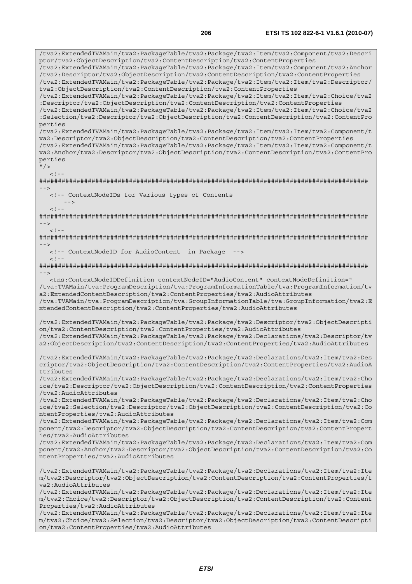/tva2:ExtendedTVAMain/tva2:PackageTable/tva2:Package/tva2:Item/tva2:Component/tva2:Descri ptor/tva2:ObjectDescription/tva2:ContentDescription/tva2:ContentProperties /tva2:ExtendedTVAMain/tva2:PackageTable/tva2:Package/tva2:Item/tva2:Component/tva2:Anchor /tva2:Descriptor/tva2:ObjectDescription/tva2:ContentDescription/tva2:ContentProperties /tva2:ExtendedTVAMain/tva2:PackageTable/tva2:Package/tva2:Item/tva2:Item/tva2:Descriptor/ tva2:ObjectDescription/tva2:ContentDescription/tva2:ContentProperties /tva2:ExtendedTVAMain/tva2:PackageTable/tva2:Package/tva2:Item/tva2:Item/tva2:Choice/tva2 :Descriptor/tva2:ObjectDescription/tva2:ContentDescription/tva2:ContentProperties /tva2:ExtendedTVAMain/tva2:PackageTable/tva2:Package/tva2:Item/tva2:Item/tva2:Choice/tva2 :Selection/tva2:Descriptor/tva2:ObjectDescription/tva2:ContentDescription/tva2:ContentPro perties /tva2:ExtendedTVAMain/tva2:PackageTable/tva2:Package/tva2:Item/tva2:Item/tva2:Component/t va2:Descriptor/tva2:ObjectDescription/tva2:ContentDescription/tva2:ContentProperties /tva2:ExtendedTVAMain/tva2:PackageTable/tva2:Package/tva2:Item/tva2:Item/tva2:Component/t va2:Anchor/tva2:Descriptor/tva2:ObjectDescription/tva2:ContentDescription/tva2:ContentPro perties  $"$  / >  $< 1 -$ ######################################################################################## --> <!-- ContextNodeIDs for Various types of Contents -->  $< 1 - -$ ######################################################################################## -->  $<$ ! --######################################################################################## --> <!-- ContextNodeID for AudioContent in Package -->  $<$ ! --######################################################################################## --> <tns:ContextNodeIDDefinition contextNodeID="AudioContent" contextNodeDefinition=" /tva:TVAMain/tva:ProgramDescription/tva:ProgramInformationTable/tva:ProgramInformation/tv a2:ExtendedContentDescription/tva2:ContentProperties/tva2:AudioAttributes /tva:TVAMain/tva:ProgramDescription/tva:GroupInformationTable/tva:GroupInformation/tva2:E xtendedContentDescription/tva2:ContentProperties/tva2:AudioAttributes /tva2:ExtendedTVAMain/tva2:PackageTable/tva2:Package/tva2:Descriptor/tva2:ObjectDescripti on/tva2:ContentDescription/tva2:ContentProperties/tva2:AudioAttributes /tva2:ExtendedTVAMain/tva2:PackageTable/tva2:Package/tva2:Declarations/tva2:Descriptor/tv a2:ObjectDescription/tva2:ContentDescription/tva2:ContentProperties/tva2:AudioAttributes /tva2:ExtendedTVAMain/tva2:PackageTable/tva2:Package/tva2:Declarations/tva2:Item/tva2:Des criptor/tva2:ObjectDescription/tva2:ContentDescription/tva2:ContentProperties/tva2:AudioA ttributes /tva2:ExtendedTVAMain/tva2:PackageTable/tva2:Package/tva2:Declarations/tva2:Item/tva2:Cho ice/tva2:Descriptor/tva2:ObjectDescription/tva2:ContentDescription/tva2:ContentProperties /tva2:AudioAttributes /tva2:ExtendedTVAMain/tva2:PackageTable/tva2:Package/tva2:Declarations/tva2:Item/tva2:Cho ice/tva2:Selection/tva2:Descriptor/tva2:ObjectDescription/tva2:ContentDescription/tva2:Co ntentProperties/tva2:AudioAttributes /tva2:ExtendedTVAMain/tva2:PackageTable/tva2:Package/tva2:Declarations/tva2:Item/tva2:Com ponent/tva2:Descriptor/tva2:ObjectDescription/tva2:ContentDescription/tva2:ContentPropert ies/tva2:AudioAttributes /tva2:ExtendedTVAMain/tva2:PackageTable/tva2:Package/tva2:Declarations/tva2:Item/tva2:Com ponent/tva2:Anchor/tva2:Descriptor/tva2:ObjectDescription/tva2:ContentDescription/tva2:Co ntentProperties/tva2:AudioAttributes /tva2:ExtendedTVAMain/tva2:PackageTable/tva2:Package/tva2:Declarations/tva2:Item/tva2:Ite m/tva2:Descriptor/tva2:ObjectDescription/tva2:ContentDescription/tva2:ContentProperties/t va2:AudioAttributes /tva2:ExtendedTVAMain/tva2:PackageTable/tva2:Package/tva2:Declarations/tva2:Item/tva2:Ite m/tva2:Choice/tva2:Descriptor/tva2:ObjectDescription/tva2:ContentDescription/tva2:Content Properties/tva2:AudioAttributes /tva2:ExtendedTVAMain/tva2:PackageTable/tva2:Package/tva2:Declarations/tva2:Item/tva2:Ite m/tva2:Choice/tva2:Selection/tva2:Descriptor/tva2:ObjectDescription/tva2:ContentDescripti on/tva2:ContentProperties/tva2:AudioAttributes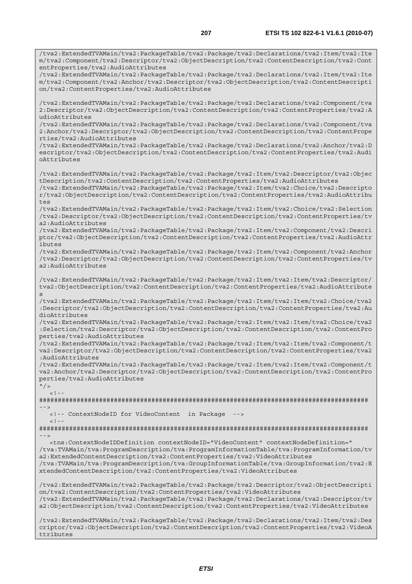/tva2:ExtendedTVAMain/tva2:PackageTable/tva2:Package/tva2:Declarations/tva2:Item/tva2:Ite m/tva2:Component/tva2:Descriptor/tva2:ObjectDescription/tva2:ContentDescription/tva2:Cont entProperties/tva2:AudioAttributes /tva2:ExtendedTVAMain/tva2:PackageTable/tva2:Package/tva2:Declarations/tva2:Item/tva2:Ite m/tva2:Component/tva2:Anchor/tva2:Descriptor/tva2:ObjectDescription/tva2:ContentDescripti on/tva2:ContentProperties/tva2:AudioAttributes /tva2:ExtendedTVAMain/tva2:PackageTable/tva2:Package/tva2:Declarations/tva2:Component/tva 2:Descriptor/tva2:ObjectDescription/tva2:ContentDescription/tva2:ContentProperties/tva2:A udioAttributes /tva2:ExtendedTVAMain/tva2:PackageTable/tva2:Package/tva2:Declarations/tva2:Component/tva 2:Anchor/tva2:Descriptor/tva2:ObjectDescription/tva2:ContentDescription/tva2:ContentPrope rties/tva2:AudioAttributes /tva2:ExtendedTVAMain/tva2:PackageTable/tva2:Package/tva2:Declarations/tva2:Anchor/tva2:D escriptor/tva2:ObjectDescription/tva2:ContentDescription/tva2:ContentProperties/tva2:Audi oAttributes /tva2:ExtendedTVAMain/tva2:PackageTable/tva2:Package/tva2:Item/tva2:Descriptor/tva2:Objec tDescription/tva2:ContentDescription/tva2:ContentProperties/tva2:AudioAttributes /tva2:ExtendedTVAMain/tva2:PackageTable/tva2:Package/tva2:Item/tva2:Choice/tva2:Descripto r/tva2:ObjectDescription/tva2:ContentDescription/tva2:ContentProperties/tva2:AudioAttribu tes /tva2:ExtendedTVAMain/tva2:PackageTable/tva2:Package/tva2:Item/tva2:Choice/tva2:Selection /tva2:Descriptor/tva2:ObjectDescription/tva2:ContentDescription/tva2:ContentProperties/tv a2:AudioAttributes /tva2:ExtendedTVAMain/tva2:PackageTable/tva2:Package/tva2:Item/tva2:Component/tva2:Descri ptor/tva2:ObjectDescription/tva2:ContentDescription/tva2:ContentProperties/tva2:AudioAttr ibutes /tva2:ExtendedTVAMain/tva2:PackageTable/tva2:Package/tva2:Item/tva2:Component/tva2:Anchor /tva2:Descriptor/tva2:ObjectDescription/tva2:ContentDescription/tva2:ContentProperties/tv a2:AudioAttributes /tva2:ExtendedTVAMain/tva2:PackageTable/tva2:Package/tva2:Item/tva2:Item/tva2:Descriptor/ tva2:ObjectDescription/tva2:ContentDescription/tva2:ContentProperties/tva2:AudioAttribute s /tva2:ExtendedTVAMain/tva2:PackageTable/tva2:Package/tva2:Item/tva2:Item/tva2:Choice/tva2 :Descriptor/tva2:ObjectDescription/tva2:ContentDescription/tva2:ContentProperties/tva2:Au dioAttributes /tva2:ExtendedTVAMain/tva2:PackageTable/tva2:Package/tva2:Item/tva2:Item/tva2:Choice/tva2 :Selection/tva2:Descriptor/tva2:ObjectDescription/tva2:ContentDescription/tva2:ContentPro perties/tva2:AudioAttributes /tva2:ExtendedTVAMain/tva2:PackageTable/tva2:Package/tva2:Item/tva2:Item/tva2:Component/t va2:Descriptor/tva2:ObjectDescription/tva2:ContentDescription/tva2:ContentProperties/tva2 :AudioAttributes /tva2:ExtendedTVAMain/tva2:PackageTable/tva2:Package/tva2:Item/tva2:Item/tva2:Component/t va2:Anchor/tva2:Descriptor/tva2:ObjectDescription/tva2:ContentDescription/tva2:ContentPro perties/tva2:AudioAttributes  $"$  / >  $\geq 1$  =  $-$ ######################################################################################## --> <!-- ContextNodeID for VideoContent in Package -->  $<$ ! --######################################################################################## --> <tns:ContextNodeIDDefinition contextNodeID="VideoContent" contextNodeDefinition=" /tva:TVAMain/tva:ProgramDescription/tva:ProgramInformationTable/tva:ProgramInformation/tv a2:ExtendedContentDescription/tva2:ContentProperties/tva2:VideoAttributes /tva:TVAMain/tva:ProgramDescription/tva:GroupInformationTable/tva:GroupInformation/tva2:E xtendedContentDescription/tva2:ContentProperties/tva2:VideoAttributes /tva2:ExtendedTVAMain/tva2:PackageTable/tva2:Package/tva2:Descriptor/tva2:ObjectDescripti on/tva2:ContentDescription/tva2:ContentProperties/tva2:VideoAttributes /tva2:ExtendedTVAMain/tva2:PackageTable/tva2:Package/tva2:Declarations/tva2:Descriptor/tv a2:ObjectDescription/tva2:ContentDescription/tva2:ContentProperties/tva2:VideoAttributes /tva2:ExtendedTVAMain/tva2:PackageTable/tva2:Package/tva2:Declarations/tva2:Item/tva2:Des criptor/tva2:ObjectDescription/tva2:ContentDescription/tva2:ContentProperties/tva2:VideoA

ttributes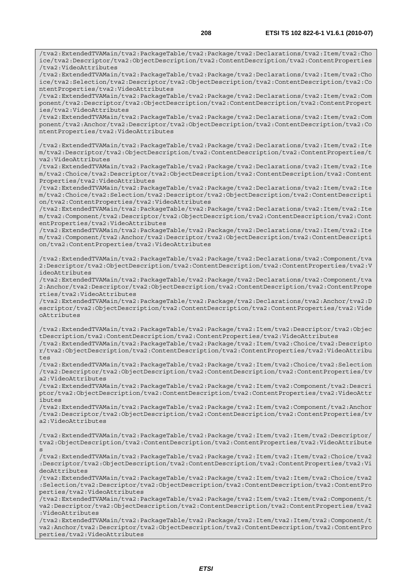/tva2:ExtendedTVAMain/tva2:PackageTable/tva2:Package/tva2:Declarations/tva2:Item/tva2:Cho ice/tva2:Descriptor/tva2:ObjectDescription/tva2:ContentDescription/tva2:ContentProperties /tva2:VideoAttributes

/tva2:ExtendedTVAMain/tva2:PackageTable/tva2:Package/tva2:Declarations/tva2:Item/tva2:Cho ice/tva2:Selection/tva2:Descriptor/tva2:ObjectDescription/tva2:ContentDescription/tva2:Co ntentProperties/tva2:VideoAttributes

/tva2:ExtendedTVAMain/tva2:PackageTable/tva2:Package/tva2:Declarations/tva2:Item/tva2:Com ponent/tva2:Descriptor/tva2:ObjectDescription/tva2:ContentDescription/tva2:ContentPropert ies/tva2:VideoAttributes

/tva2:ExtendedTVAMain/tva2:PackageTable/tva2:Package/tva2:Declarations/tva2:Item/tva2:Com ponent/tva2:Anchor/tva2:Descriptor/tva2:ObjectDescription/tva2:ContentDescription/tva2:Co ntentProperties/tva2:VideoAttributes

/tva2:ExtendedTVAMain/tva2:PackageTable/tva2:Package/tva2:Declarations/tva2:Item/tva2:Ite m/tva2:Descriptor/tva2:ObjectDescription/tva2:ContentDescription/tva2:ContentProperties/t va2:VideoAttributes

/tva2:ExtendedTVAMain/tva2:PackageTable/tva2:Package/tva2:Declarations/tva2:Item/tva2:Ite m/tva2:Choice/tva2:Descriptor/tva2:ObjectDescription/tva2:ContentDescription/tva2:Content Properties/tva2:VideoAttributes

/tva2:ExtendedTVAMain/tva2:PackageTable/tva2:Package/tva2:Declarations/tva2:Item/tva2:Ite m/tva2:Choice/tva2:Selection/tva2:Descriptor/tva2:ObjectDescription/tva2:ContentDescripti on/tva2:ContentProperties/tva2:VideoAttributes

/tva2:ExtendedTVAMain/tva2:PackageTable/tva2:Package/tva2:Declarations/tva2:Item/tva2:Ite m/tva2:Component/tva2:Descriptor/tva2:ObjectDescription/tva2:ContentDescription/tva2:Cont entProperties/tva2:VideoAttributes

/tva2:ExtendedTVAMain/tva2:PackageTable/tva2:Package/tva2:Declarations/tva2:Item/tva2:Ite m/tva2:Component/tva2:Anchor/tva2:Descriptor/tva2:ObjectDescription/tva2:ContentDescripti on/tva2:ContentProperties/tva2:VideoAttributes

/tva2:ExtendedTVAMain/tva2:PackageTable/tva2:Package/tva2:Declarations/tva2:Component/tva 2:Descriptor/tva2:ObjectDescription/tva2:ContentDescription/tva2:ContentProperties/tva2:V ideoAttributes

/tva2:ExtendedTVAMain/tva2:PackageTable/tva2:Package/tva2:Declarations/tva2:Component/tva 2:Anchor/tva2:Descriptor/tva2:ObjectDescription/tva2:ContentDescription/tva2:ContentPrope rties/tva2:VideoAttributes

/tva2:ExtendedTVAMain/tva2:PackageTable/tva2:Package/tva2:Declarations/tva2:Anchor/tva2:D escriptor/tva2:ObjectDescription/tva2:ContentDescription/tva2:ContentProperties/tva2:Vide oAttributes

/tva2:ExtendedTVAMain/tva2:PackageTable/tva2:Package/tva2:Item/tva2:Descriptor/tva2:Objec tDescription/tva2:ContentDescription/tva2:ContentProperties/tva2:VideoAttributes /tva2:ExtendedTVAMain/tva2:PackageTable/tva2:Package/tva2:Item/tva2:Choice/tva2:Descripto r/tva2:ObjectDescription/tva2:ContentDescription/tva2:ContentProperties/tva2:VideoAttribu

tes

/tva2:ExtendedTVAMain/tva2:PackageTable/tva2:Package/tva2:Item/tva2:Choice/tva2:Selection /tva2:Descriptor/tva2:ObjectDescription/tva2:ContentDescription/tva2:ContentProperties/tv a2:VideoAttributes

/tva2:ExtendedTVAMain/tva2:PackageTable/tva2:Package/tva2:Item/tva2:Component/tva2:Descri ptor/tva2:ObjectDescription/tva2:ContentDescription/tva2:ContentProperties/tva2:VideoAttr ibutes

/tva2:ExtendedTVAMain/tva2:PackageTable/tva2:Package/tva2:Item/tva2:Component/tva2:Anchor /tva2:Descriptor/tva2:ObjectDescription/tva2:ContentDescription/tva2:ContentProperties/tv a2:VideoAttributes

/tva2:ExtendedTVAMain/tva2:PackageTable/tva2:Package/tva2:Item/tva2:Item/tva2:Descriptor/ tva2:ObjectDescription/tva2:ContentDescription/tva2:ContentProperties/tva2:VideoAttribute s

/tva2:ExtendedTVAMain/tva2:PackageTable/tva2:Package/tva2:Item/tva2:Item/tva2:Choice/tva2 :Descriptor/tva2:ObjectDescription/tva2:ContentDescription/tva2:ContentProperties/tva2:Vi deoAttributes

/tva2:ExtendedTVAMain/tva2:PackageTable/tva2:Package/tva2:Item/tva2:Item/tva2:Choice/tva2 :Selection/tva2:Descriptor/tva2:ObjectDescription/tva2:ContentDescription/tva2:ContentPro perties/tva2:VideoAttributes

/tva2:ExtendedTVAMain/tva2:PackageTable/tva2:Package/tva2:Item/tva2:Item/tva2:Component/t va2:Descriptor/tva2:ObjectDescription/tva2:ContentDescription/tva2:ContentProperties/tva2 :VideoAttributes

/tva2:ExtendedTVAMain/tva2:PackageTable/tva2:Package/tva2:Item/tva2:Item/tva2:Component/t va2:Anchor/tva2:Descriptor/tva2:ObjectDescription/tva2:ContentDescription/tva2:ContentPro perties/tva2:VideoAttributes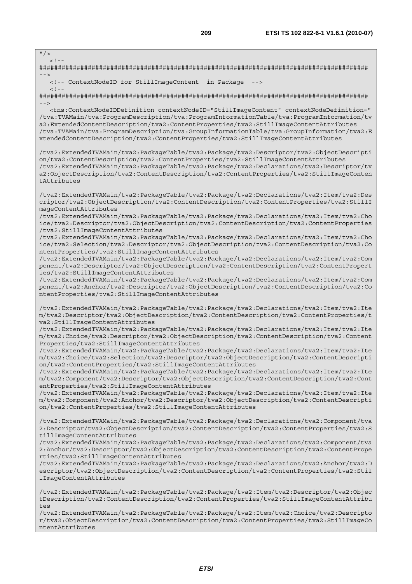$"$  />  $\leq$   $\perp$ ######################################################################################## --> <!-- ContextNodeID for StillImageContent in Package -->  $<$ ! --######################################################################################## --> <tns:ContextNodeIDDefinition contextNodeID="StillImageContent" contextNodeDefinition=" /tva:TVAMain/tva:ProgramDescription/tva:ProgramInformationTable/tva:ProgramInformation/tv a2:ExtendedContentDescription/tva2:ContentProperties/tva2:StillImageContentAttributes /tva:TVAMain/tva:ProgramDescription/tva:GroupInformationTable/tva:GroupInformation/tva2:E xtendedContentDescription/tva2:ContentProperties/tva2:StillImageContentAttributes /tva2:ExtendedTVAMain/tva2:PackageTable/tva2:Package/tva2:Descriptor/tva2:ObjectDescripti on/tva2:ContentDescription/tva2:ContentProperties/tva2:StillImageContentAttributes /tva2:ExtendedTVAMain/tva2:PackageTable/tva2:Package/tva2:Declarations/tva2:Descriptor/tv a2:ObjectDescription/tva2:ContentDescription/tva2:ContentProperties/tva2:StillImageConten tAttributes /tva2:ExtendedTVAMain/tva2:PackageTable/tva2:Package/tva2:Declarations/tva2:Item/tva2:Des criptor/tva2:ObjectDescription/tva2:ContentDescription/tva2:ContentProperties/tva2:StillI mageContentAttributes /tva2:ExtendedTVAMain/tva2:PackageTable/tva2:Package/tva2:Declarations/tva2:Item/tva2:Cho ice/tva2:Descriptor/tva2:ObjectDescription/tva2:ContentDescription/tva2:ContentProperties /tva2:StillImageContentAttributes /tva2:ExtendedTVAMain/tva2:PackageTable/tva2:Package/tva2:Declarations/tva2:Item/tva2:Cho ice/tva2:Selection/tva2:Descriptor/tva2:ObjectDescription/tva2:ContentDescription/tva2:Co ntentProperties/tva2:StillImageContentAttributes /tva2:ExtendedTVAMain/tva2:PackageTable/tva2:Package/tva2:Declarations/tva2:Item/tva2:Com ponent/tva2:Descriptor/tva2:ObjectDescription/tva2:ContentDescription/tva2:ContentPropert ies/tva2:StillImageContentAttributes /tva2:ExtendedTVAMain/tva2:PackageTable/tva2:Package/tva2:Declarations/tva2:Item/tva2:Com ponent/tva2:Anchor/tva2:Descriptor/tva2:ObjectDescription/tva2:ContentDescription/tva2:Co ntentProperties/tva2:StillImageContentAttributes /tva2:ExtendedTVAMain/tva2:PackageTable/tva2:Package/tva2:Declarations/tva2:Item/tva2:Ite m/tva2:Descriptor/tva2:ObjectDescription/tva2:ContentDescription/tva2:ContentProperties/t va2:StillImageContentAttributes /tva2:ExtendedTVAMain/tva2:PackageTable/tva2:Package/tva2:Declarations/tva2:Item/tva2:Ite m/tva2:Choice/tva2:Descriptor/tva2:ObjectDescription/tva2:ContentDescription/tva2:Content Properties/tva2:StillImageContentAttributes /tva2:ExtendedTVAMain/tva2:PackageTable/tva2:Package/tva2:Declarations/tva2:Item/tva2:Ite m/tva2:Choice/tva2:Selection/tva2:Descriptor/tva2:ObjectDescription/tva2:ContentDescripti on/tva2:ContentProperties/tva2:StillImageContentAttributes /tva2:ExtendedTVAMain/tva2:PackageTable/tva2:Package/tva2:Declarations/tva2:Item/tva2:Ite m/tva2:Component/tva2:Descriptor/tva2:ObjectDescription/tva2:ContentDescription/tva2:Cont entProperties/tva2:StillImageContentAttributes /tva2:ExtendedTVAMain/tva2:PackageTable/tva2:Package/tva2:Declarations/tva2:Item/tva2:Ite m/tva2:Component/tva2:Anchor/tva2:Descriptor/tva2:ObjectDescription/tva2:ContentDescripti on/tva2:ContentProperties/tva2:StillImageContentAttributes /tva2:ExtendedTVAMain/tva2:PackageTable/tva2:Package/tva2:Declarations/tva2:Component/tva 2:Descriptor/tva2:ObjectDescription/tva2:ContentDescription/tva2:ContentProperties/tva2:S tillImageContentAttributes /tva2:ExtendedTVAMain/tva2:PackageTable/tva2:Package/tva2:Declarations/tva2:Component/tva 2:Anchor/tva2:Descriptor/tva2:ObjectDescription/tva2:ContentDescription/tva2:ContentPrope rties/tva2:StillImageContentAttributes /tva2:ExtendedTVAMain/tva2:PackageTable/tva2:Package/tva2:Declarations/tva2:Anchor/tva2:D escriptor/tva2:ObjectDescription/tva2:ContentDescription/tva2:ContentProperties/tva2:Stil lImageContentAttributes /tva2:ExtendedTVAMain/tva2:PackageTable/tva2:Package/tva2:Item/tva2:Descriptor/tva2:Objec tDescription/tva2:ContentDescription/tva2:ContentProperties/tva2:StillImageContentAttribu tes /tva2:ExtendedTVAMain/tva2:PackageTable/tva2:Package/tva2:Item/tva2:Choice/tva2:Descripto

r/tva2:ObjectDescription/tva2:ContentDescription/tva2:ContentProperties/tva2:StillImageCo ntentAttributes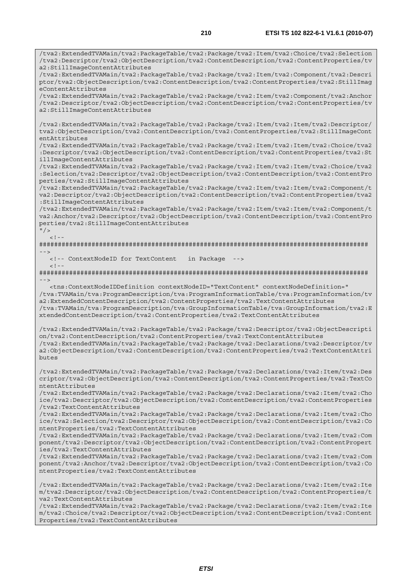/tva2:ExtendedTVAMain/tva2:PackageTable/tva2:Package/tva2:Item/tva2:Choice/tva2:Selection /tva2:Descriptor/tva2:ObjectDescription/tva2:ContentDescription/tva2:ContentProperties/tv a2:StillImageContentAttributes /tva2:ExtendedTVAMain/tva2:PackageTable/tva2:Package/tva2:Item/tva2:Component/tva2:Descri ptor/tva2:ObjectDescription/tva2:ContentDescription/tva2:ContentProperties/tva2:StillImag eContentAttributes /tva2:ExtendedTVAMain/tva2:PackageTable/tva2:Package/tva2:Item/tva2:Component/tva2:Anchor /tva2:Descriptor/tva2:ObjectDescription/tva2:ContentDescription/tva2:ContentProperties/tv a2:StillImageContentAttributes /tva2:ExtendedTVAMain/tva2:PackageTable/tva2:Package/tva2:Item/tva2:Item/tva2:Descriptor/ tva2:ObjectDescription/tva2:ContentDescription/tva2:ContentProperties/tva2:StillImageCont entAttributes /tva2:ExtendedTVAMain/tva2:PackageTable/tva2:Package/tva2:Item/tva2:Item/tva2:Choice/tva2 :Descriptor/tva2:ObjectDescription/tva2:ContentDescription/tva2:ContentProperties/tva2:St illImageContentAttributes /tva2:ExtendedTVAMain/tva2:PackageTable/tva2:Package/tva2:Item/tva2:Item/tva2:Choice/tva2 :Selection/tva2:Descriptor/tva2:ObjectDescription/tva2:ContentDescription/tva2:ContentPro perties/tva2:StillImageContentAttributes /tva2:ExtendedTVAMain/tva2:PackageTable/tva2:Package/tva2:Item/tva2:Item/tva2:Component/t va2:Descriptor/tva2:ObjectDescription/tva2:ContentDescription/tva2:ContentProperties/tva2 :StillImageContentAttributes /tva2:ExtendedTVAMain/tva2:PackageTable/tva2:Package/tva2:Item/tva2:Item/tva2:Component/t va2:Anchor/tva2:Descriptor/tva2:ObjectDescription/tva2:ContentDescription/tva2:ContentPro perties/tva2:StillImageContentAttributes  $^{\prime\prime}$  / >  $\lt$  ! -######################################################################################## --> <!-- ContextNodeID for TextContent in Package -->  $<$ ! --######################################################################################## --> <tns:ContextNodeIDDefinition contextNodeID="TextContent" contextNodeDefinition=" /tva:TVAMain/tva:ProgramDescription/tva:ProgramInformationTable/tva:ProgramInformation/tv a2:ExtendedContentDescription/tva2:ContentProperties/tva2:TextContentAttributes /tva:TVAMain/tva:ProgramDescription/tva:GroupInformationTable/tva:GroupInformation/tva2:E xtendedContentDescription/tva2:ContentProperties/tva2:TextContentAttributes /tva2:ExtendedTVAMain/tva2:PackageTable/tva2:Package/tva2:Descriptor/tva2:ObjectDescripti on/tva2:ContentDescription/tva2:ContentProperties/tva2:TextContentAttributes /tva2:ExtendedTVAMain/tva2:PackageTable/tva2:Package/tva2:Declarations/tva2:Descriptor/tv a2:ObjectDescription/tva2:ContentDescription/tva2:ContentProperties/tva2:TextContentAttri butes /tva2:ExtendedTVAMain/tva2:PackageTable/tva2:Package/tva2:Declarations/tva2:Item/tva2:Des criptor/tva2:ObjectDescription/tva2:ContentDescription/tva2:ContentProperties/tva2:TextCo ntentAttributes /tva2:ExtendedTVAMain/tva2:PackageTable/tva2:Package/tva2:Declarations/tva2:Item/tva2:Cho ice/tva2:Descriptor/tva2:ObjectDescription/tva2:ContentDescription/tva2:ContentProperties /tva2:TextContentAttributes /tva2:ExtendedTVAMain/tva2:PackageTable/tva2:Package/tva2:Declarations/tva2:Item/tva2:Cho ice/tva2:Selection/tva2:Descriptor/tva2:ObjectDescription/tva2:ContentDescription/tva2:Co ntentProperties/tva2:TextContentAttributes /tva2:ExtendedTVAMain/tva2:PackageTable/tva2:Package/tva2:Declarations/tva2:Item/tva2:Com ponent/tva2:Descriptor/tva2:ObjectDescription/tva2:ContentDescription/tva2:ContentPropert ies/tva2:TextContentAttributes /tva2:ExtendedTVAMain/tva2:PackageTable/tva2:Package/tva2:Declarations/tva2:Item/tva2:Com ponent/tva2:Anchor/tva2:Descriptor/tva2:ObjectDescription/tva2:ContentDescription/tva2:Co ntentProperties/tva2:TextContentAttributes /tva2:ExtendedTVAMain/tva2:PackageTable/tva2:Package/tva2:Declarations/tva2:Item/tva2:Ite m/tva2:Descriptor/tva2:ObjectDescription/tva2:ContentDescription/tva2:ContentProperties/t va2:TextContentAttributes

/tva2:ExtendedTVAMain/tva2:PackageTable/tva2:Package/tva2:Declarations/tva2:Item/tva2:Ite m/tva2:Choice/tva2:Descriptor/tva2:ObjectDescription/tva2:ContentDescription/tva2:Content Properties/tva2:TextContentAttributes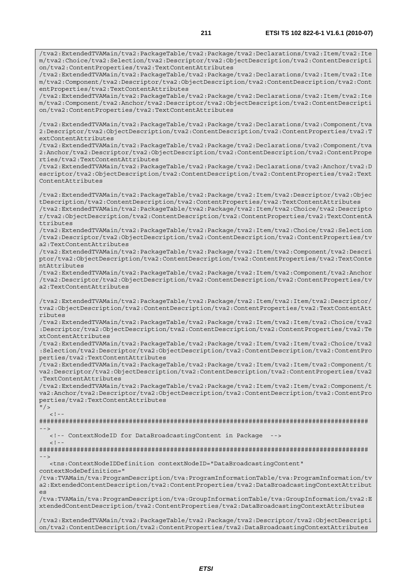/tva2:ExtendedTVAMain/tva2:PackageTable/tva2:Package/tva2:Declarations/tva2:Item/tva2:Ite

m/tva2:Choice/tva2:Selection/tva2:Descriptor/tva2:ObjectDescription/tva2:ContentDescripti on/tva2:ContentProperties/tva2:TextContentAttributes /tva2:ExtendedTVAMain/tva2:PackageTable/tva2:Package/tva2:Declarations/tva2:Item/tva2:Ite m/tva2:Component/tva2:Descriptor/tva2:ObjectDescription/tva2:ContentDescription/tva2:Cont entProperties/tva2:TextContentAttributes /tva2:ExtendedTVAMain/tva2:PackageTable/tva2:Package/tva2:Declarations/tva2:Item/tva2:Ite m/tva2:Component/tva2:Anchor/tva2:Descriptor/tva2:ObjectDescription/tva2:ContentDescripti on/tva2:ContentProperties/tva2:TextContentAttributes /tva2:ExtendedTVAMain/tva2:PackageTable/tva2:Package/tva2:Declarations/tva2:Component/tva 2:Descriptor/tva2:ObjectDescription/tva2:ContentDescription/tva2:ContentProperties/tva2:T extContentAttributes /tva2:ExtendedTVAMain/tva2:PackageTable/tva2:Package/tva2:Declarations/tva2:Component/tva 2:Anchor/tva2:Descriptor/tva2:ObjectDescription/tva2:ContentDescription/tva2:ContentPrope rties/tva2:TextContentAttributes /tva2:ExtendedTVAMain/tva2:PackageTable/tva2:Package/tva2:Declarations/tva2:Anchor/tva2:D escriptor/tva2:ObjectDescription/tva2:ContentDescription/tva2:ContentProperties/tva2:Text ContentAttributes /tva2:ExtendedTVAMain/tva2:PackageTable/tva2:Package/tva2:Item/tva2:Descriptor/tva2:Objec tDescription/tva2:ContentDescription/tva2:ContentProperties/tva2:TextContentAttributes /tva2:ExtendedTVAMain/tva2:PackageTable/tva2:Package/tva2:Item/tva2:Choice/tva2:Descripto r/tva2:ObjectDescription/tva2:ContentDescription/tva2:ContentProperties/tva2:TextContentA ttributes /tva2:ExtendedTVAMain/tva2:PackageTable/tva2:Package/tva2:Item/tva2:Choice/tva2:Selection /tva2:Descriptor/tva2:ObjectDescription/tva2:ContentDescription/tva2:ContentProperties/tv a2:TextContentAttributes /tva2:ExtendedTVAMain/tva2:PackageTable/tva2:Package/tva2:Item/tva2:Component/tva2:Descri ptor/tva2:ObjectDescription/tva2:ContentDescription/tva2:ContentProperties/tva2:TextConte ntAttributes /tva2:ExtendedTVAMain/tva2:PackageTable/tva2:Package/tva2:Item/tva2:Component/tva2:Anchor /tva2:Descriptor/tva2:ObjectDescription/tva2:ContentDescription/tva2:ContentProperties/tv a2:TextContentAttributes /tva2:ExtendedTVAMain/tva2:PackageTable/tva2:Package/tva2:Item/tva2:Item/tva2:Descriptor/ tva2:ObjectDescription/tva2:ContentDescription/tva2:ContentProperties/tva2:TextContentAtt ributes /tva2:ExtendedTVAMain/tva2:PackageTable/tva2:Package/tva2:Item/tva2:Item/tva2:Choice/tva2 :Descriptor/tva2:ObjectDescription/tva2:ContentDescription/tva2:ContentProperties/tva2:Te xtContentAttributes /tva2:ExtendedTVAMain/tva2:PackageTable/tva2:Package/tva2:Item/tva2:Item/tva2:Choice/tva2 :Selection/tva2:Descriptor/tva2:ObjectDescription/tva2:ContentDescription/tva2:ContentPro perties/tva2:TextContentAttributes /tva2:ExtendedTVAMain/tva2:PackageTable/tva2:Package/tva2:Item/tva2:Item/tva2:Component/t va2:Descriptor/tva2:ObjectDescription/tva2:ContentDescription/tva2:ContentProperties/tva2 :TextContentAttributes /tva2:ExtendedTVAMain/tva2:PackageTable/tva2:Package/tva2:Item/tva2:Item/tva2:Component/t va2:Anchor/tva2:Descriptor/tva2:ObjectDescription/tva2:ContentDescription/tva2:ContentPro perties/tva2:TextContentAttributes  $"$  />  $<$ ! --######################################################################################## --> <!-- ContextNodeID for DataBroadcastingContent in Package -->  $\lt$  !  $-$ ######################################################################################## --> <tns:ContextNodeIDDefinition contextNodeID="DataBroadcastingContent" contextNodeDefinition=" /tva:TVAMain/tva:ProgramDescription/tva:ProgramInformationTable/tva:ProgramInformation/tv a2:ExtendedContentDescription/tva2:ContentProperties/tva2:DataBroadcastingContextAttribut es /tva:TVAMain/tva:ProgramDescription/tva:GroupInformationTable/tva:GroupInformation/tva2:E xtendedContentDescription/tva2:ContentProperties/tva2:DataBroadcastingContextAttributes /tva2:ExtendedTVAMain/tva2:PackageTable/tva2:Package/tva2:Descriptor/tva2:ObjectDescripti on/tva2:ContentDescription/tva2:ContentProperties/tva2:DataBroadcastingContextAttributes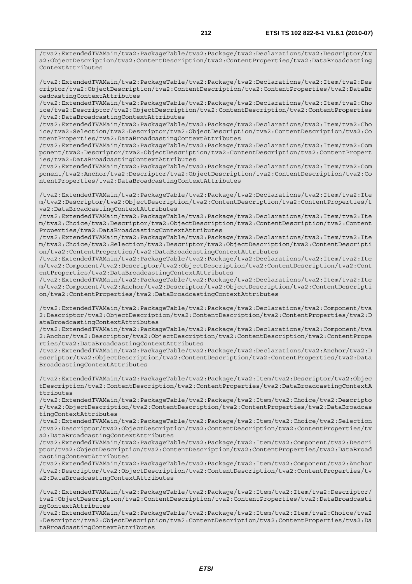/tva2:ExtendedTVAMain/tva2:PackageTable/tva2:Package/tva2:Declarations/tva2:Descriptor/tv a2:ObjectDescription/tva2:ContentDescription/tva2:ContentProperties/tva2:DataBroadcasting ContextAttributes

/tva2:ExtendedTVAMain/tva2:PackageTable/tva2:Package/tva2:Declarations/tva2:Item/tva2:Des criptor/tva2:ObjectDescription/tva2:ContentDescription/tva2:ContentProperties/tva2:DataBr oadcastingContextAttributes

/tva2:ExtendedTVAMain/tva2:PackageTable/tva2:Package/tva2:Declarations/tva2:Item/tva2:Cho ice/tva2:Descriptor/tva2:ObjectDescription/tva2:ContentDescription/tva2:ContentProperties /tva2:DataBroadcastingContextAttributes

/tva2:ExtendedTVAMain/tva2:PackageTable/tva2:Package/tva2:Declarations/tva2:Item/tva2:Cho ice/tva2:Selection/tva2:Descriptor/tva2:ObjectDescription/tva2:ContentDescription/tva2:Co ntentProperties/tva2:DataBroadcastingContextAttributes

/tva2:ExtendedTVAMain/tva2:PackageTable/tva2:Package/tva2:Declarations/tva2:Item/tva2:Com ponent/tva2:Descriptor/tva2:ObjectDescription/tva2:ContentDescription/tva2:ContentPropert ies/tva2:DataBroadcastingContextAttributes

/tva2:ExtendedTVAMain/tva2:PackageTable/tva2:Package/tva2:Declarations/tva2:Item/tva2:Com ponent/tva2:Anchor/tva2:Descriptor/tva2:ObjectDescription/tva2:ContentDescription/tva2:Co ntentProperties/tva2:DataBroadcastingContextAttributes

/tva2:ExtendedTVAMain/tva2:PackageTable/tva2:Package/tva2:Declarations/tva2:Item/tva2:Ite m/tva2:Descriptor/tva2:ObjectDescription/tva2:ContentDescription/tva2:ContentProperties/t va2:DataBroadcastingContextAttributes

/tva2:ExtendedTVAMain/tva2:PackageTable/tva2:Package/tva2:Declarations/tva2:Item/tva2:Ite m/tva2:Choice/tva2:Descriptor/tva2:ObjectDescription/tva2:ContentDescription/tva2:Content Properties/tva2:DataBroadcastingContextAttributes

/tva2:ExtendedTVAMain/tva2:PackageTable/tva2:Package/tva2:Declarations/tva2:Item/tva2:Ite m/tva2:Choice/tva2:Selection/tva2:Descriptor/tva2:ObjectDescription/tva2:ContentDescripti on/tva2:ContentProperties/tva2:DataBroadcastingContextAttributes

/tva2:ExtendedTVAMain/tva2:PackageTable/tva2:Package/tva2:Declarations/tva2:Item/tva2:Ite m/tva2:Component/tva2:Descriptor/tva2:ObjectDescription/tva2:ContentDescription/tva2:Cont entProperties/tva2:DataBroadcastingContextAttributes

/tva2:ExtendedTVAMain/tva2:PackageTable/tva2:Package/tva2:Declarations/tva2:Item/tva2:Ite m/tva2:Component/tva2:Anchor/tva2:Descriptor/tva2:ObjectDescription/tva2:ContentDescripti on/tva2:ContentProperties/tva2:DataBroadcastingContextAttributes

/tva2:ExtendedTVAMain/tva2:PackageTable/tva2:Package/tva2:Declarations/tva2:Component/tva 2:Descriptor/tva2:ObjectDescription/tva2:ContentDescription/tva2:ContentProperties/tva2:D ataBroadcastingContextAttributes

/tva2:ExtendedTVAMain/tva2:PackageTable/tva2:Package/tva2:Declarations/tva2:Component/tva 2:Anchor/tva2:Descriptor/tva2:ObjectDescription/tva2:ContentDescription/tva2:ContentPrope rties/tva2:DataBroadcastingContextAttributes

/tva2:ExtendedTVAMain/tva2:PackageTable/tva2:Package/tva2:Declarations/tva2:Anchor/tva2:D escriptor/tva2:ObjectDescription/tva2:ContentDescription/tva2:ContentProperties/tva2:Data BroadcastingContextAttributes

/tva2:ExtendedTVAMain/tva2:PackageTable/tva2:Package/tva2:Item/tva2:Descriptor/tva2:Objec tDescription/tva2:ContentDescription/tva2:ContentProperties/tva2:DataBroadcastingContextA ttributes

/tva2:ExtendedTVAMain/tva2:PackageTable/tva2:Package/tva2:Item/tva2:Choice/tva2:Descripto r/tva2:ObjectDescription/tva2:ContentDescription/tva2:ContentProperties/tva2:DataBroadcas tingContextAttributes

/tva2:ExtendedTVAMain/tva2:PackageTable/tva2:Package/tva2:Item/tva2:Choice/tva2:Selection /tva2:Descriptor/tva2:ObjectDescription/tva2:ContentDescription/tva2:ContentProperties/tv a2:DataBroadcastingContextAttributes

/tva2:ExtendedTVAMain/tva2:PackageTable/tva2:Package/tva2:Item/tva2:Component/tva2:Descri ptor/tva2:ObjectDescription/tva2:ContentDescription/tva2:ContentProperties/tva2:DataBroad castingContextAttributes

/tva2:ExtendedTVAMain/tva2:PackageTable/tva2:Package/tva2:Item/tva2:Component/tva2:Anchor /tva2:Descriptor/tva2:ObjectDescription/tva2:ContentDescription/tva2:ContentProperties/tv a2:DataBroadcastingContextAttributes

/tva2:ExtendedTVAMain/tva2:PackageTable/tva2:Package/tva2:Item/tva2:Item/tva2:Descriptor/ tva2:ObjectDescription/tva2:ContentDescription/tva2:ContentProperties/tva2:DataBroadcasti ngContextAttributes

/tva2:ExtendedTVAMain/tva2:PackageTable/tva2:Package/tva2:Item/tva2:Item/tva2:Choice/tva2 :Descriptor/tva2:ObjectDescription/tva2:ContentDescription/tva2:ContentProperties/tva2:Da taBroadcastingContextAttributes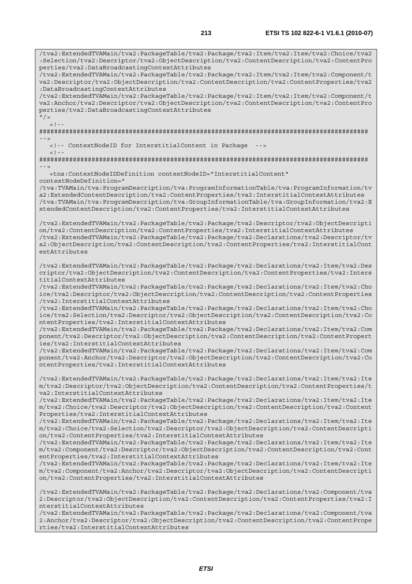/tva2:ExtendedTVAMain/tva2:PackageTable/tva2:Package/tva2:Item/tva2:Item/tva2:Choice/tva2 :Selection/tva2:Descriptor/tva2:ObjectDescription/tva2:ContentDescription/tva2:ContentPro perties/tva2:DataBroadcastingContextAttributes /tva2:ExtendedTVAMain/tva2:PackageTable/tva2:Package/tva2:Item/tva2:Item/tva2:Component/t va2:Descriptor/tva2:ObjectDescription/tva2:ContentDescription/tva2:ContentProperties/tva2 :DataBroadcastingContextAttributes /tva2:ExtendedTVAMain/tva2:PackageTable/tva2:Package/tva2:Item/tva2:Item/tva2:Component/t va2:Anchor/tva2:Descriptor/tva2:ObjectDescription/tva2:ContentDescription/tva2:ContentPro perties/tva2:DataBroadcastingContextAttributes  $''$  /  $>$  $\langle$  .  $|$  - -  $|$ ######################################################################################## --> <!-- ContextNodeID for InterstitialContent in Package -->  $< 1 - -$ ######################################################################################## --> <tns:ContextNodeIDDefinition contextNodeID="InterstitialContent" contextNodeDefinition=" /tva:TVAMain/tva:ProgramDescription/tva:ProgramInformationTable/tva:ProgramInformation/tv a2:ExtendedContentDescription/tva2:ContentProperties/tva2:InterstitialContextAttributes /tva:TVAMain/tva:ProgramDescription/tva:GroupInformationTable/tva:GroupInformation/tva2:E xtendedContentDescription/tva2:ContentProperties/tva2:InterstitialContextAttributes /tva2:ExtendedTVAMain/tva2:PackageTable/tva2:Package/tva2:Descriptor/tva2:ObjectDescripti on/tva2:ContentDescription/tva2:ContentProperties/tva2:InterstitialContextAttributes /tva2:ExtendedTVAMain/tva2:PackageTable/tva2:Package/tva2:Declarations/tva2:Descriptor/tv a2:ObjectDescription/tva2:ContentDescription/tva2:ContentProperties/tva2:InterstitialCont extAttributes /tva2:ExtendedTVAMain/tva2:PackageTable/tva2:Package/tva2:Declarations/tva2:Item/tva2:Des criptor/tva2:ObjectDescription/tva2:ContentDescription/tva2:ContentProperties/tva2:Inters titialContextAttributes /tva2:ExtendedTVAMain/tva2:PackageTable/tva2:Package/tva2:Declarations/tva2:Item/tva2:Cho ice/tva2:Descriptor/tva2:ObjectDescription/tva2:ContentDescription/tva2:ContentProperties /tva2:InterstitialContextAttributes /tva2:ExtendedTVAMain/tva2:PackageTable/tva2:Package/tva2:Declarations/tva2:Item/tva2:Cho ice/tva2:Selection/tva2:Descriptor/tva2:ObjectDescription/tva2:ContentDescription/tva2:Co ntentProperties/tva2:InterstitialContextAttributes /tva2:ExtendedTVAMain/tva2:PackageTable/tva2:Package/tva2:Declarations/tva2:Item/tva2:Com ponent/tva2:Descriptor/tva2:ObjectDescription/tva2:ContentDescription/tva2:ContentPropert ies/tva2:InterstitialContextAttributes /tva2:ExtendedTVAMain/tva2:PackageTable/tva2:Package/tva2:Declarations/tva2:Item/tva2:Com ponent/tva2:Anchor/tva2:Descriptor/tva2:ObjectDescription/tva2:ContentDescription/tva2:Co ntentProperties/tva2:InterstitialContextAttributes /tva2:ExtendedTVAMain/tva2:PackageTable/tva2:Package/tva2:Declarations/tva2:Item/tva2:Ite m/tva2:Descriptor/tva2:ObjectDescription/tva2:ContentDescription/tva2:ContentProperties/t va2:InterstitialContextAttributes /tva2:ExtendedTVAMain/tva2:PackageTable/tva2:Package/tva2:Declarations/tva2:Item/tva2:Ite m/tva2:Choice/tva2:Descriptor/tva2:ObjectDescription/tva2:ContentDescription/tva2:Content Properties/tva2:InterstitialContextAttributes /tva2:ExtendedTVAMain/tva2:PackageTable/tva2:Package/tva2:Declarations/tva2:Item/tva2:Ite m/tva2:Choice/tva2:Selection/tva2:Descriptor/tva2:ObjectDescription/tva2:ContentDescripti on/tva2:ContentProperties/tva2:InterstitialContextAttributes /tva2:ExtendedTVAMain/tva2:PackageTable/tva2:Package/tva2:Declarations/tva2:Item/tva2:Ite m/tva2:Component/tva2:Descriptor/tva2:ObjectDescription/tva2:ContentDescription/tva2:Cont entProperties/tva2:InterstitialContextAttributes /tva2:ExtendedTVAMain/tva2:PackageTable/tva2:Package/tva2:Declarations/tva2:Item/tva2:Ite m/tva2:Component/tva2:Anchor/tva2:Descriptor/tva2:ObjectDescription/tva2:ContentDescripti on/tva2:ContentProperties/tva2:InterstitialContextAttributes /tva2:ExtendedTVAMain/tva2:PackageTable/tva2:Package/tva2:Declarations/tva2:Component/tva 2:Descriptor/tva2:ObjectDescription/tva2:ContentDescription/tva2:ContentProperties/tva2:I nterstitialContextAttributes /tva2:ExtendedTVAMain/tva2:PackageTable/tva2:Package/tva2:Declarations/tva2:Component/tva 2:Anchor/tva2:Descriptor/tva2:ObjectDescription/tva2:ContentDescription/tva2:ContentPrope rties/tva2:InterstitialContextAttributes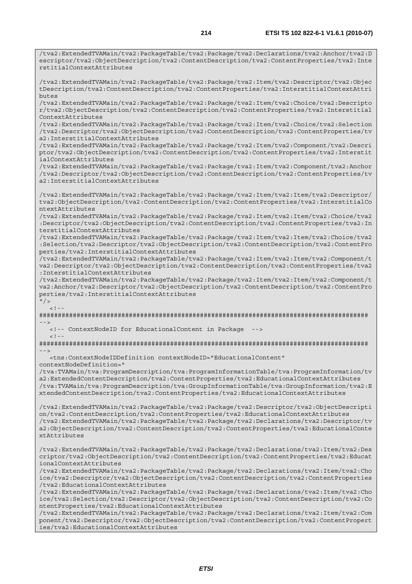/tva2:ExtendedTVAMain/tva2:PackageTable/tva2:Package/tva2:Declarations/tva2:Anchor/tva2:D escriptor/tva2:ObjectDescription/tva2:ContentDescription/tva2:ContentProperties/tva2:Inte rstitialContextAttributes /tva2:ExtendedTVAMain/tva2:PackageTable/tva2:Package/tva2:Item/tva2:Descriptor/tva2:Objec tDescription/tva2:ContentDescription/tva2:ContentProperties/tva2:InterstitialContextAttri butes /tva2:ExtendedTVAMain/tva2:PackageTable/tva2:Package/tva2:Item/tva2:Choice/tva2:Descripto r/tva2:ObjectDescription/tva2:ContentDescription/tva2:ContentProperties/tva2:Interstitial ContextAttributes /tva2:ExtendedTVAMain/tva2:PackageTable/tva2:Package/tva2:Item/tva2:Choice/tva2:Selection /tva2:Descriptor/tva2:ObjectDescription/tva2:ContentDescription/tva2:ContentProperties/tv a2:InterstitialContextAttributes /tva2:ExtendedTVAMain/tva2:PackageTable/tva2:Package/tva2:Item/tva2:Component/tva2:Descri ptor/tva2:ObjectDescription/tva2:ContentDescription/tva2:ContentProperties/tva2:Interstit ialContextAttributes /tva2:ExtendedTVAMain/tva2:PackageTable/tva2:Package/tva2:Item/tva2:Component/tva2:Anchor /tva2:Descriptor/tva2:ObjectDescription/tva2:ContentDescription/tva2:ContentProperties/tv a2:InterstitialContextAttributes /tva2:ExtendedTVAMain/tva2:PackageTable/tva2:Package/tva2:Item/tva2:Item/tva2:Descriptor/ tva2:ObjectDescription/tva2:ContentDescription/tva2:ContentProperties/tva2:InterstitialCo ntextAttributes /tva2:ExtendedTVAMain/tva2:PackageTable/tva2:Package/tva2:Item/tva2:Item/tva2:Choice/tva2 :Descriptor/tva2:ObjectDescription/tva2:ContentDescription/tva2:ContentProperties/tva2:In terstitialContextAttributes /tva2:ExtendedTVAMain/tva2:PackageTable/tva2:Package/tva2:Item/tva2:Item/tva2:Choice/tva2 :Selection/tva2:Descriptor/tva2:ObjectDescription/tva2:ContentDescription/tva2:ContentPro perties/tva2:InterstitialContextAttributes /tva2:ExtendedTVAMain/tva2:PackageTable/tva2:Package/tva2:Item/tva2:Item/tva2:Component/t va2:Descriptor/tva2:ObjectDescription/tva2:ContentDescription/tva2:ContentProperties/tva2 :InterstitialContextAttributes /tva2:ExtendedTVAMain/tva2:PackageTable/tva2:Package/tva2:Item/tva2:Item/tva2:Component/t va2:Anchor/tva2:Descriptor/tva2:ObjectDescription/tva2:ContentDescription/tva2:ContentPro perties/tva2:InterstitialContextAttributes  $"$  / >  $\lt$  ! -######################################################################################## --> <!-- ContextNodeID for EducationalContent in Package -->  $<$ ! - -######################################################################################## --> <tns:ContextNodeIDDefinition contextNodeID="EducationalContent" contextNodeDefinition=" /tva:TVAMain/tva:ProgramDescription/tva:ProgramInformationTable/tva:ProgramInformation/tv a2:ExtendedContentDescription/tva2:ContentProperties/tva2:EducationalContextAttributes /tva:TVAMain/tva:ProgramDescription/tva:GroupInformationTable/tva:GroupInformation/tva2:E xtendedContentDescription/tva2:ContentProperties/tva2:EducationalContextAttributes /tva2:ExtendedTVAMain/tva2:PackageTable/tva2:Package/tva2:Descriptor/tva2:ObjectDescripti on/tva2:ContentDescription/tva2:ContentProperties/tva2:EducationalContextAttributes /tva2:ExtendedTVAMain/tva2:PackageTable/tva2:Package/tva2:Declarations/tva2:Descriptor/tv a2:ObjectDescription/tva2:ContentDescription/tva2:ContentProperties/tva2:EducationalConte xtAttributes /tva2:ExtendedTVAMain/tva2:PackageTable/tva2:Package/tva2:Declarations/tva2:Item/tva2:Des criptor/tva2:ObjectDescription/tva2:ContentDescription/tva2:ContentProperties/tva2:Educat ionalContextAttributes /tva2:ExtendedTVAMain/tva2:PackageTable/tva2:Package/tva2:Declarations/tva2:Item/tva2:Cho ice/tva2:Descriptor/tva2:ObjectDescription/tva2:ContentDescription/tva2:ContentProperties /tva2:EducationalContextAttributes /tva2:ExtendedTVAMain/tva2:PackageTable/tva2:Package/tva2:Declarations/tva2:Item/tva2:Cho ice/tva2:Selection/tva2:Descriptor/tva2:ObjectDescription/tva2:ContentDescription/tva2:Co ntentProperties/tva2:EducationalContextAttributes

/tva2:ExtendedTVAMain/tva2:PackageTable/tva2:Package/tva2:Declarations/tva2:Item/tva2:Com ponent/tva2:Descriptor/tva2:ObjectDescription/tva2:ContentDescription/tva2:ContentPropert ies/tva2:EducationalContextAttributes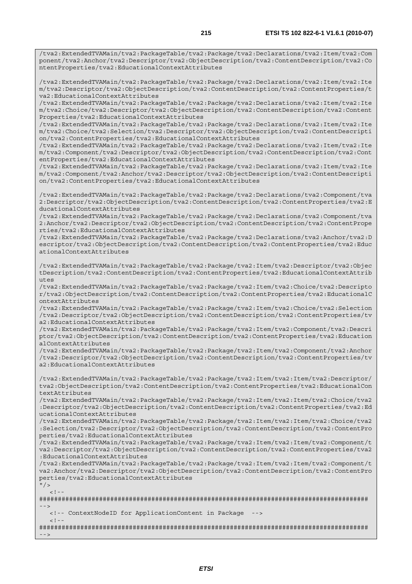/tva2:ExtendedTVAMain/tva2:PackageTable/tva2:Package/tva2:Declarations/tva2:Item/tva2:Com ponent/tva2:Anchor/tva2:Descriptor/tva2:ObjectDescription/tva2:ContentDescription/tva2:Co ntentProperties/tva2:EducationalContextAttributes

/tva2:ExtendedTVAMain/tva2:PackageTable/tva2:Package/tva2:Declarations/tva2:Item/tva2:Ite m/tva2:Descriptor/tva2:ObjectDescription/tva2:ContentDescription/tva2:ContentProperties/t va2:EducationalContextAttributes

/tva2:ExtendedTVAMain/tva2:PackageTable/tva2:Package/tva2:Declarations/tva2:Item/tva2:Ite m/tva2:Choice/tva2:Descriptor/tva2:ObjectDescription/tva2:ContentDescription/tva2:Content Properties/tva2:EducationalContextAttributes

/tva2:ExtendedTVAMain/tva2:PackageTable/tva2:Package/tva2:Declarations/tva2:Item/tva2:Ite m/tva2:Choice/tva2:Selection/tva2:Descriptor/tva2:ObjectDescription/tva2:ContentDescripti on/tva2:ContentProperties/tva2:EducationalContextAttributes

/tva2:ExtendedTVAMain/tva2:PackageTable/tva2:Package/tva2:Declarations/tva2:Item/tva2:Ite m/tva2:Component/tva2:Descriptor/tva2:ObjectDescription/tva2:ContentDescription/tva2:Cont entProperties/tva2:EducationalContextAttributes

/tva2:ExtendedTVAMain/tva2:PackageTable/tva2:Package/tva2:Declarations/tva2:Item/tva2:Ite m/tva2:Component/tva2:Anchor/tva2:Descriptor/tva2:ObjectDescription/tva2:ContentDescripti on/tva2:ContentProperties/tva2:EducationalContextAttributes

/tva2:ExtendedTVAMain/tva2:PackageTable/tva2:Package/tva2:Declarations/tva2:Component/tva 2:Descriptor/tva2:ObjectDescription/tva2:ContentDescription/tva2:ContentProperties/tva2:E ducationalContextAttributes

/tva2:ExtendedTVAMain/tva2:PackageTable/tva2:Package/tva2:Declarations/tva2:Component/tva 2:Anchor/tva2:Descriptor/tva2:ObjectDescription/tva2:ContentDescription/tva2:ContentPrope rties/tva2:EducationalContextAttributes

/tva2:ExtendedTVAMain/tva2:PackageTable/tva2:Package/tva2:Declarations/tva2:Anchor/tva2:D escriptor/tva2:ObjectDescription/tva2:ContentDescription/tva2:ContentProperties/tva2:Educ ationalContextAttributes

/tva2:ExtendedTVAMain/tva2:PackageTable/tva2:Package/tva2:Item/tva2:Descriptor/tva2:Objec tDescription/tva2:ContentDescription/tva2:ContentProperties/tva2:EducationalContextAttrib utes

/tva2:ExtendedTVAMain/tva2:PackageTable/tva2:Package/tva2:Item/tva2:Choice/tva2:Descripto r/tva2:ObjectDescription/tva2:ContentDescription/tva2:ContentProperties/tva2:EducationalC ontextAttributes

/tva2:ExtendedTVAMain/tva2:PackageTable/tva2:Package/tva2:Item/tva2:Choice/tva2:Selection /tva2:Descriptor/tva2:ObjectDescription/tva2:ContentDescription/tva2:ContentProperties/tv a2:EducationalContextAttributes

/tva2:ExtendedTVAMain/tva2:PackageTable/tva2:Package/tva2:Item/tva2:Component/tva2:Descri ptor/tva2:ObjectDescription/tva2:ContentDescription/tva2:ContentProperties/tva2:Education alContextAttributes

/tva2:ExtendedTVAMain/tva2:PackageTable/tva2:Package/tva2:Item/tva2:Component/tva2:Anchor /tva2:Descriptor/tva2:ObjectDescription/tva2:ContentDescription/tva2:ContentProperties/tv a2:EducationalContextAttributes

/tva2:ExtendedTVAMain/tva2:PackageTable/tva2:Package/tva2:Item/tva2:Item/tva2:Descriptor/ tva2:ObjectDescription/tva2:ContentDescription/tva2:ContentProperties/tva2:EducationalCon textAttributes

/tva2:ExtendedTVAMain/tva2:PackageTable/tva2:Package/tva2:Item/tva2:Item/tva2:Choice/tva2 :Descriptor/tva2:ObjectDescription/tva2:ContentDescription/tva2:ContentProperties/tva2:Ed ucationalContextAttributes

/tva2:ExtendedTVAMain/tva2:PackageTable/tva2:Package/tva2:Item/tva2:Item/tva2:Choice/tva2 :Selection/tva2:Descriptor/tva2:ObjectDescription/tva2:ContentDescription/tva2:ContentPro perties/tva2:EducationalContextAttributes

/tva2:ExtendedTVAMain/tva2:PackageTable/tva2:Package/tva2:Item/tva2:Item/tva2:Component/t va2:Descriptor/tva2:ObjectDescription/tva2:ContentDescription/tva2:ContentProperties/tva2 :EducationalContextAttributes

/tva2:ExtendedTVAMain/tva2:PackageTable/tva2:Package/tva2:Item/tva2:Item/tva2:Component/t va2:Anchor/tva2:Descriptor/tva2:ObjectDescription/tva2:ContentDescription/tva2:ContentPro perties/tva2:EducationalContextAttributes

 $''$  / >

 $<$ ! --

######################################################################################## -->

 <!-- ContextNodeID for ApplicationContent in Package -->  $\lt$  ! - -

######################################################################################## -->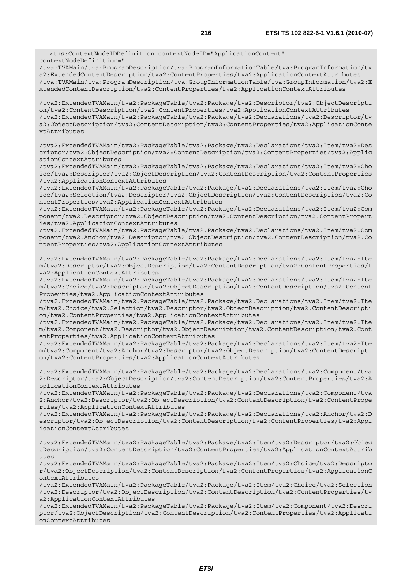<tns:ContextNodeIDDefinition contextNodeID="ApplicationContent" contextNodeDefinition=" /tva:TVAMain/tva:ProgramDescription/tva:ProgramInformationTable/tva:ProgramInformation/tv a2:ExtendedContentDescription/tva2:ContentProperties/tva2:ApplicationContextAttributes /tva:TVAMain/tva:ProgramDescription/tva:GroupInformationTable/tva:GroupInformation/tva2:E xtendedContentDescription/tva2:ContentProperties/tva2:ApplicationContextAttributes /tva2:ExtendedTVAMain/tva2:PackageTable/tva2:Package/tva2:Descriptor/tva2:ObjectDescripti on/tva2:ContentDescription/tva2:ContentProperties/tva2:ApplicationContextAttributes /tva2:ExtendedTVAMain/tva2:PackageTable/tva2:Package/tva2:Declarations/tva2:Descriptor/tv a2:ObjectDescription/tva2:ContentDescription/tva2:ContentProperties/tva2:ApplicationConte xtAttributes /tva2:ExtendedTVAMain/tva2:PackageTable/tva2:Package/tva2:Declarations/tva2:Item/tva2:Des criptor/tva2:ObjectDescription/tva2:ContentDescription/tva2:ContentProperties/tva2:Applic ationContextAttributes /tva2:ExtendedTVAMain/tva2:PackageTable/tva2:Package/tva2:Declarations/tva2:Item/tva2:Cho ice/tva2:Descriptor/tva2:ObjectDescription/tva2:ContentDescription/tva2:ContentProperties /tva2:ApplicationContextAttributes /tva2:ExtendedTVAMain/tva2:PackageTable/tva2:Package/tva2:Declarations/tva2:Item/tva2:Cho ice/tva2:Selection/tva2:Descriptor/tva2:ObjectDescription/tva2:ContentDescription/tva2:Co ntentProperties/tva2:ApplicationContextAttributes /tva2:ExtendedTVAMain/tva2:PackageTable/tva2:Package/tva2:Declarations/tva2:Item/tva2:Com ponent/tva2:Descriptor/tva2:ObjectDescription/tva2:ContentDescription/tva2:ContentPropert ies/tva2:ApplicationContextAttributes /tva2:ExtendedTVAMain/tva2:PackageTable/tva2:Package/tva2:Declarations/tva2:Item/tva2:Com ponent/tva2:Anchor/tva2:Descriptor/tva2:ObjectDescription/tva2:ContentDescription/tva2:Co ntentProperties/tva2:ApplicationContextAttributes /tva2:ExtendedTVAMain/tva2:PackageTable/tva2:Package/tva2:Declarations/tva2:Item/tva2:Ite m/tva2:Descriptor/tva2:ObjectDescription/tva2:ContentDescription/tva2:ContentProperties/t va2:ApplicationContextAttributes /tva2:ExtendedTVAMain/tva2:PackageTable/tva2:Package/tva2:Declarations/tva2:Item/tva2:Ite m/tva2:Choice/tva2:Descriptor/tva2:ObjectDescription/tva2:ContentDescription/tva2:Content Properties/tva2:ApplicationContextAttributes /tva2:ExtendedTVAMain/tva2:PackageTable/tva2:Package/tva2:Declarations/tva2:Item/tva2:Ite m/tva2:Choice/tva2:Selection/tva2:Descriptor/tva2:ObjectDescription/tva2:ContentDescripti on/tva2:ContentProperties/tva2:ApplicationContextAttributes /tva2:ExtendedTVAMain/tva2:PackageTable/tva2:Package/tva2:Declarations/tva2:Item/tva2:Ite m/tva2:Component/tva2:Descriptor/tva2:ObjectDescription/tva2:ContentDescription/tva2:Cont entProperties/tva2:ApplicationContextAttributes /tva2:ExtendedTVAMain/tva2:PackageTable/tva2:Package/tva2:Declarations/tva2:Item/tva2:Ite m/tva2:Component/tva2:Anchor/tva2:Descriptor/tva2:ObjectDescription/tva2:ContentDescripti on/tva2:ContentProperties/tva2:ApplicationContextAttributes /tva2:ExtendedTVAMain/tva2:PackageTable/tva2:Package/tva2:Declarations/tva2:Component/tva 2:Descriptor/tva2:ObjectDescription/tva2:ContentDescription/tva2:ContentProperties/tva2:A pplicationContextAttributes /tva2:ExtendedTVAMain/tva2:PackageTable/tva2:Package/tva2:Declarations/tva2:Component/tva 2:Anchor/tva2:Descriptor/tva2:ObjectDescription/tva2:ContentDescription/tva2:ContentPrope rties/tva2:ApplicationContextAttributes /tva2:ExtendedTVAMain/tva2:PackageTable/tva2:Package/tva2:Declarations/tva2:Anchor/tva2:D escriptor/tva2:ObjectDescription/tva2:ContentDescription/tva2:ContentProperties/tva2:Appl icationContextAttributes /tva2:ExtendedTVAMain/tva2:PackageTable/tva2:Package/tva2:Item/tva2:Descriptor/tva2:Objec tDescription/tva2:ContentDescription/tva2:ContentProperties/tva2:ApplicationContextAttrib utes /tva2:ExtendedTVAMain/tva2:PackageTable/tva2:Package/tva2:Item/tva2:Choice/tva2:Descripto r/tva2:ObjectDescription/tva2:ContentDescription/tva2:ContentProperties/tva2:ApplicationC ontextAttributes /tva2:ExtendedTVAMain/tva2:PackageTable/tva2:Package/tva2:Item/tva2:Choice/tva2:Selection /tva2:Descriptor/tva2:ObjectDescription/tva2:ContentDescription/tva2:ContentProperties/tv a2:ApplicationContextAttributes /tva2:ExtendedTVAMain/tva2:PackageTable/tva2:Package/tva2:Item/tva2:Component/tva2:Descri ptor/tva2:ObjectDescription/tva2:ContentDescription/tva2:ContentProperties/tva2:Applicati onContextAttributes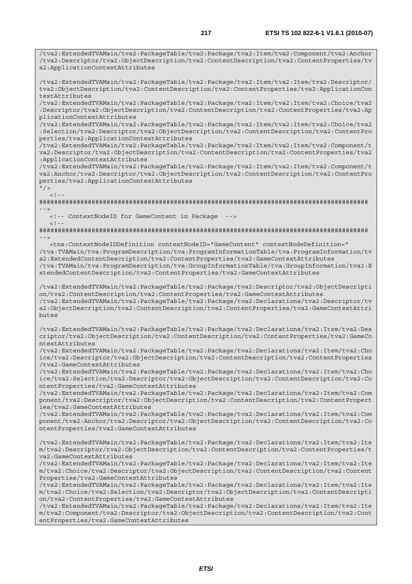/tva2:ExtendedTVAMain/tva2:PackageTable/tva2:Package/tva2:Item/tva2:Component/tva2:Anchor /tva2:Descriptor/tva2:ObjectDescription/tva2:ContentDescription/tva2:ContentProperties/tv a2:ApplicationContextAttributes

/tva2:ExtendedTVAMain/tva2:PackageTable/tva2:Package/tva2:Item/tva2:Item/tva2:Descriptor/ tva2:ObjectDescription/tva2:ContentDescription/tva2:ContentProperties/tva2:ApplicationCon textAttributes

/tva2:ExtendedTVAMain/tva2:PackageTable/tva2:Package/tva2:Item/tva2:Item/tva2:Choice/tva2 :Descriptor/tva2:ObjectDescription/tva2:ContentDescription/tva2:ContentProperties/tva2:Ap plicationContextAttributes

/tva2:ExtendedTVAMain/tva2:PackageTable/tva2:Package/tva2:Item/tva2:Item/tva2:Choice/tva2 :Selection/tva2:Descriptor/tva2:ObjectDescription/tva2:ContentDescription/tva2:ContentPro perties/tva2:ApplicationContextAttributes

/tva2:ExtendedTVAMain/tva2:PackageTable/tva2:Package/tva2:Item/tva2:Item/tva2:Component/t va2:Descriptor/tva2:ObjectDescription/tva2:ContentDescription/tva2:ContentProperties/tva2 :ApplicationContextAttributes

/tva2:ExtendedTVAMain/tva2:PackageTable/tva2:Package/tva2:Item/tva2:Item/tva2:Component/t va2:Anchor/tva2:Descriptor/tva2:ObjectDescription/tva2:ContentDescription/tva2:ContentPro perties/tva2:ApplicationContextAttributes

 $"$  />

 $\lt$  ! -

######################################################################################## -->

<!-- ContextNodeID for GameContent in Package -->

 $<$  ! <br>  $-\,$   $-$ ######################################################################################## -->

 <tns:ContextNodeIDDefinition contextNodeID="GameContent" contextNodeDefinition=" /tva:TVAMain/tva:ProgramDescription/tva:ProgramInformationTable/tva:ProgramInformation/tv a2:ExtendedContentDescription/tva2:ContentProperties/tva2:GameContextAttributes /tva:TVAMain/tva:ProgramDescription/tva:GroupInformationTable/tva:GroupInformation/tva2:E xtendedContentDescription/tva2:ContentProperties/tva2:GameContextAttributes

/tva2:ExtendedTVAMain/tva2:PackageTable/tva2:Package/tva2:Descriptor/tva2:ObjectDescripti on/tva2:ContentDescription/tva2:ContentProperties/tva2:GameContextAttributes /tva2:ExtendedTVAMain/tva2:PackageTable/tva2:Package/tva2:Declarations/tva2:Descriptor/tv a2:ObjectDescription/tva2:ContentDescription/tva2:ContentProperties/tva2:GameContextAttri butes

/tva2:ExtendedTVAMain/tva2:PackageTable/tva2:Package/tva2:Declarations/tva2:Item/tva2:Des criptor/tva2:ObjectDescription/tva2:ContentDescription/tva2:ContentProperties/tva2:GameCo ntextAttributes

/tva2:ExtendedTVAMain/tva2:PackageTable/tva2:Package/tva2:Declarations/tva2:Item/tva2:Cho ice/tva2:Descriptor/tva2:ObjectDescription/tva2:ContentDescription/tva2:ContentProperties /tva2:GameContextAttributes

/tva2:ExtendedTVAMain/tva2:PackageTable/tva2:Package/tva2:Declarations/tva2:Item/tva2:Cho ice/tva2:Selection/tva2:Descriptor/tva2:ObjectDescription/tva2:ContentDescription/tva2:Co ntentProperties/tva2:GameContextAttributes

/tva2:ExtendedTVAMain/tva2:PackageTable/tva2:Package/tva2:Declarations/tva2:Item/tva2:Com ponent/tva2:Descriptor/tva2:ObjectDescription/tva2:ContentDescription/tva2:ContentPropert ies/tva2:GameContextAttributes

/tva2:ExtendedTVAMain/tva2:PackageTable/tva2:Package/tva2:Declarations/tva2:Item/tva2:Com ponent/tva2:Anchor/tva2:Descriptor/tva2:ObjectDescription/tva2:ContentDescription/tva2:Co ntentProperties/tva2:GameContextAttributes

/tva2:ExtendedTVAMain/tva2:PackageTable/tva2:Package/tva2:Declarations/tva2:Item/tva2:Ite m/tva2:Descriptor/tva2:ObjectDescription/tva2:ContentDescription/tva2:ContentProperties/t va2:GameContextAttributes

/tva2:ExtendedTVAMain/tva2:PackageTable/tva2:Package/tva2:Declarations/tva2:Item/tva2:Ite m/tva2:Choice/tva2:Descriptor/tva2:ObjectDescription/tva2:ContentDescription/tva2:Content Properties/tva2:GameContextAttributes

/tva2:ExtendedTVAMain/tva2:PackageTable/tva2:Package/tva2:Declarations/tva2:Item/tva2:Ite m/tva2:Choice/tva2:Selection/tva2:Descriptor/tva2:ObjectDescription/tva2:ContentDescripti on/tva2:ContentProperties/tva2:GameContextAttributes

/tva2:ExtendedTVAMain/tva2:PackageTable/tva2:Package/tva2:Declarations/tva2:Item/tva2:Ite m/tva2:Component/tva2:Descriptor/tva2:ObjectDescription/tva2:ContentDescription/tva2:Cont entProperties/tva2:GameContextAttributes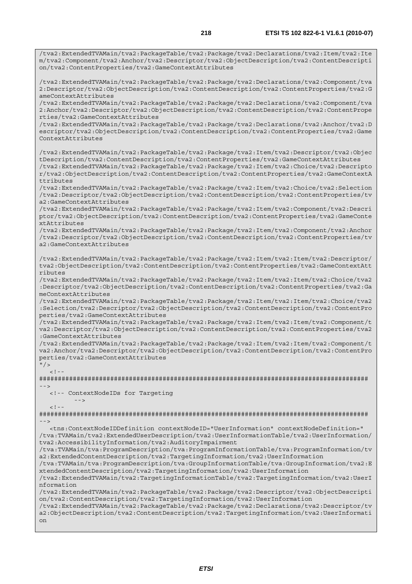/tva2:ExtendedTVAMain/tva2:PackageTable/tva2:Package/tva2:Declarations/tva2:Item/tva2:Ite m/tva2:Component/tva2:Anchor/tva2:Descriptor/tva2:ObjectDescription/tva2:ContentDescripti on/tva2:ContentProperties/tva2:GameContextAttributes

/tva2:ExtendedTVAMain/tva2:PackageTable/tva2:Package/tva2:Declarations/tva2:Component/tva 2:Descriptor/tva2:ObjectDescription/tva2:ContentDescription/tva2:ContentProperties/tva2:G ameContextAttributes

/tva2:ExtendedTVAMain/tva2:PackageTable/tva2:Package/tva2:Declarations/tva2:Component/tva 2:Anchor/tva2:Descriptor/tva2:ObjectDescription/tva2:ContentDescription/tva2:ContentPrope rties/tva2:GameContextAttributes

/tva2:ExtendedTVAMain/tva2:PackageTable/tva2:Package/tva2:Declarations/tva2:Anchor/tva2:D escriptor/tva2:ObjectDescription/tva2:ContentDescription/tva2:ContentProperties/tva2:Game ContextAttributes

/tva2:ExtendedTVAMain/tva2:PackageTable/tva2:Package/tva2:Item/tva2:Descriptor/tva2:Objec tDescription/tva2:ContentDescription/tva2:ContentProperties/tva2:GameContextAttributes /tva2:ExtendedTVAMain/tva2:PackageTable/tva2:Package/tva2:Item/tva2:Choice/tva2:Descripto r/tva2:ObjectDescription/tva2:ContentDescription/tva2:ContentProperties/tva2:GameContextA ttributes

/tva2:ExtendedTVAMain/tva2:PackageTable/tva2:Package/tva2:Item/tva2:Choice/tva2:Selection /tva2:Descriptor/tva2:ObjectDescription/tva2:ContentDescription/tva2:ContentProperties/tv a2:GameContextAttributes

/tva2:ExtendedTVAMain/tva2:PackageTable/tva2:Package/tva2:Item/tva2:Component/tva2:Descri ptor/tva2:ObjectDescription/tva2:ContentDescription/tva2:ContentProperties/tva2:GameConte xtAttributes

/tva2:ExtendedTVAMain/tva2:PackageTable/tva2:Package/tva2:Item/tva2:Component/tva2:Anchor /tva2:Descriptor/tva2:ObjectDescription/tva2:ContentDescription/tva2:ContentProperties/tv a2:GameContextAttributes

/tva2:ExtendedTVAMain/tva2:PackageTable/tva2:Package/tva2:Item/tva2:Item/tva2:Descriptor/ tva2:ObjectDescription/tva2:ContentDescription/tva2:ContentProperties/tva2:GameContextAtt ributes

/tva2:ExtendedTVAMain/tva2:PackageTable/tva2:Package/tva2:Item/tva2:Item/tva2:Choice/tva2 :Descriptor/tva2:ObjectDescription/tva2:ContentDescription/tva2:ContentProperties/tva2:Ga meContextAttributes

/tva2:ExtendedTVAMain/tva2:PackageTable/tva2:Package/tva2:Item/tva2:Item/tva2:Choice/tva2 :Selection/tva2:Descriptor/tva2:ObjectDescription/tva2:ContentDescription/tva2:ContentPro perties/tva2:GameContextAttributes

/tva2:ExtendedTVAMain/tva2:PackageTable/tva2:Package/tva2:Item/tva2:Item/tva2:Component/t va2:Descriptor/tva2:ObjectDescription/tva2:ContentDescription/tva2:ContentProperties/tva2 :GameContextAttributes

/tva2:ExtendedTVAMain/tva2:PackageTable/tva2:Package/tva2:Item/tva2:Item/tva2:Component/t va2:Anchor/tva2:Descriptor/tva2:ObjectDescription/tva2:ContentDescription/tva2:ContentPro perties/tva2:GameContextAttributes

#### $"$  / >  $\leq$ !

######################################################################################## -->

<!-- ContextNodeIDs for Targeting

```
 --> 
 <! --
```
######################################################################################## -->

 <tns:ContextNodeIDDefinition contextNodeID="UserInformation" contextNodeDefinition=" /tva:TVAMain/tva2:ExtendedUserDescription/tva2:UserInformationTable/tva2:UserInformation/ tva2:AccessibilityInformation/tva2:AuditoryImpairment

/tva:TVAMain/tva:ProgramDescription/tva:ProgramInformationTable/tva:ProgramInformation/tv a2:ExtendedContentDescription/tva2:TargetingInformation/tva2:UserInformation

/tva:TVAMain/tva:ProgramDescription/tva:GroupInformationTable/tva:GroupInformation/tva2:E xtendedContentDescription/tva2:TargetingInformation/tva2:UserInformation

/tva2:ExtendedTVAMain/tva2:TargetingInformationTable/tva2:TargetingInformation/tva2:UserI nformation

/tva2:ExtendedTVAMain/tva2:PackageTable/tva2:Package/tva2:Descriptor/tva2:ObjectDescripti on/tva2:ContentDescription/tva2:TargetingInformation/tva2:UserInformation

/tva2:ExtendedTVAMain/tva2:PackageTable/tva2:Package/tva2:Declarations/tva2:Descriptor/tv a2:ObjectDescription/tva2:ContentDescription/tva2:TargetingInformation/tva2:UserInformati on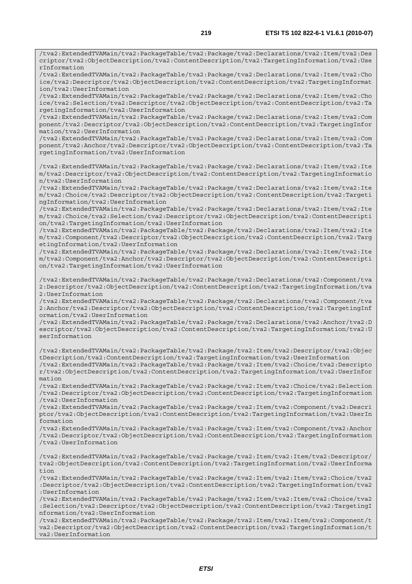/tva2:ExtendedTVAMain/tva2:PackageTable/tva2:Package/tva2:Declarations/tva2:Item/tva2:Des criptor/tva2:ObjectDescription/tva2:ContentDescription/tva2:TargetingInformation/tva2:Use rInformation

/tva2:ExtendedTVAMain/tva2:PackageTable/tva2:Package/tva2:Declarations/tva2:Item/tva2:Cho ice/tva2:Descriptor/tva2:ObjectDescription/tva2:ContentDescription/tva2:TargetingInformat ion/tva2:UserInformation

/tva2:ExtendedTVAMain/tva2:PackageTable/tva2:Package/tva2:Declarations/tva2:Item/tva2:Cho ice/tva2:Selection/tva2:Descriptor/tva2:ObjectDescription/tva2:ContentDescription/tva2:Ta rgetingInformation/tva2:UserInformation

/tva2:ExtendedTVAMain/tva2:PackageTable/tva2:Package/tva2:Declarations/tva2:Item/tva2:Com ponent/tva2:Descriptor/tva2:ObjectDescription/tva2:ContentDescription/tva2:TargetingInfor mation/tva2:UserInformation

/tva2:ExtendedTVAMain/tva2:PackageTable/tva2:Package/tva2:Declarations/tva2:Item/tva2:Com ponent/tva2:Anchor/tva2:Descriptor/tva2:ObjectDescription/tva2:ContentDescription/tva2:Ta rgetingInformation/tva2:UserInformation

/tva2:ExtendedTVAMain/tva2:PackageTable/tva2:Package/tva2:Declarations/tva2:Item/tva2:Ite m/tva2:Descriptor/tva2:ObjectDescription/tva2:ContentDescription/tva2:TargetingInformatio n/tva2:UserInformation

/tva2:ExtendedTVAMain/tva2:PackageTable/tva2:Package/tva2:Declarations/tva2:Item/tva2:Ite m/tva2:Choice/tva2:Descriptor/tva2:ObjectDescription/tva2:ContentDescription/tva2:Targeti ngInformation/tva2:UserInformation

/tva2:ExtendedTVAMain/tva2:PackageTable/tva2:Package/tva2:Declarations/tva2:Item/tva2:Ite m/tva2:Choice/tva2:Selection/tva2:Descriptor/tva2:ObjectDescription/tva2:ContentDescripti on/tva2:TargetingInformation/tva2:UserInformation

/tva2:ExtendedTVAMain/tva2:PackageTable/tva2:Package/tva2:Declarations/tva2:Item/tva2:Ite m/tva2:Component/tva2:Descriptor/tva2:ObjectDescription/tva2:ContentDescription/tva2:Targ etingInformation/tva2:UserInformation

/tva2:ExtendedTVAMain/tva2:PackageTable/tva2:Package/tva2:Declarations/tva2:Item/tva2:Ite m/tva2:Component/tva2:Anchor/tva2:Descriptor/tva2:ObjectDescription/tva2:ContentDescripti on/tva2:TargetingInformation/tva2:UserInformation

/tva2:ExtendedTVAMain/tva2:PackageTable/tva2:Package/tva2:Declarations/tva2:Component/tva 2:Descriptor/tva2:ObjectDescription/tva2:ContentDescription/tva2:TargetingInformation/tva 2:UserInformation

/tva2:ExtendedTVAMain/tva2:PackageTable/tva2:Package/tva2:Declarations/tva2:Component/tva 2:Anchor/tva2:Descriptor/tva2:ObjectDescription/tva2:ContentDescription/tva2:TargetingInf ormation/tva2:UserInformation

/tva2:ExtendedTVAMain/tva2:PackageTable/tva2:Package/tva2:Declarations/tva2:Anchor/tva2:D escriptor/tva2:ObjectDescription/tva2:ContentDescription/tva2:TargetingInformation/tva2:U serInformation

/tva2:ExtendedTVAMain/tva2:PackageTable/tva2:Package/tva2:Item/tva2:Descriptor/tva2:Objec tDescription/tva2:ContentDescription/tva2:TargetingInformation/tva2:UserInformation /tva2:ExtendedTVAMain/tva2:PackageTable/tva2:Package/tva2:Item/tva2:Choice/tva2:Descripto r/tva2:ObjectDescription/tva2:ContentDescription/tva2:TargetingInformation/tva2:UserInfor

mation /tva2:ExtendedTVAMain/tva2:PackageTable/tva2:Package/tva2:Item/tva2:Choice/tva2:Selection /tva2:Descriptor/tva2:ObjectDescription/tva2:ContentDescription/tva2:TargetingInformation /tva2:UserInformation

/tva2:ExtendedTVAMain/tva2:PackageTable/tva2:Package/tva2:Item/tva2:Component/tva2:Descri ptor/tva2:ObjectDescription/tva2:ContentDescription/tva2:TargetingInformation/tva2:UserIn formation

/tva2:ExtendedTVAMain/tva2:PackageTable/tva2:Package/tva2:Item/tva2:Component/tva2:Anchor /tva2:Descriptor/tva2:ObjectDescription/tva2:ContentDescription/tva2:TargetingInformation /tva2:UserInformation

/tva2:ExtendedTVAMain/tva2:PackageTable/tva2:Package/tva2:Item/tva2:Item/tva2:Descriptor/ tva2:ObjectDescription/tva2:ContentDescription/tva2:TargetingInformation/tva2:UserInforma tion

/tva2:ExtendedTVAMain/tva2:PackageTable/tva2:Package/tva2:Item/tva2:Item/tva2:Choice/tva2 :Descriptor/tva2:ObjectDescription/tva2:ContentDescription/tva2:TargetingInformation/tva2 :UserInformation

/tva2:ExtendedTVAMain/tva2:PackageTable/tva2:Package/tva2:Item/tva2:Item/tva2:Choice/tva2 :Selection/tva2:Descriptor/tva2:ObjectDescription/tva2:ContentDescription/tva2:TargetingI nformation/tva2:UserInformation

/tva2:ExtendedTVAMain/tva2:PackageTable/tva2:Package/tva2:Item/tva2:Item/tva2:Component/t va2:Descriptor/tva2:ObjectDescription/tva2:ContentDescription/tva2:TargetingInformation/t va2:UserInformation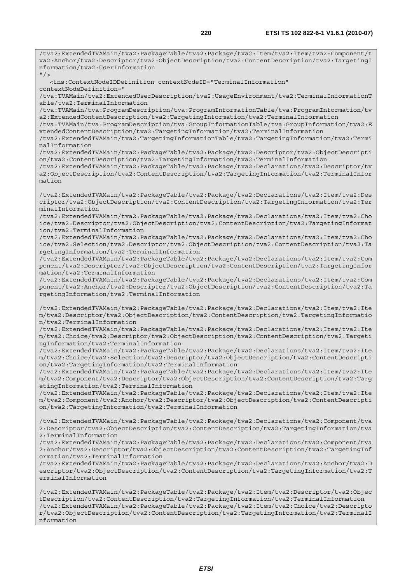/tva2:ExtendedTVAMain/tva2:PackageTable/tva2:Package/tva2:Item/tva2:Item/tva2:Component/t va2:Anchor/tva2:Descriptor/tva2:ObjectDescription/tva2:ContentDescription/tva2:TargetingI nformation/tva2:UserInformation  $''$  / > <tns:ContextNodeIDDefinition contextNodeID="TerminalInformation" contextNodeDefinition=" /tva:TVAMain/tva2:ExtendedUserDescription/tva2:UsageEnvironment/tva2:TerminalInformationT able/tva2:TerminalInformation /tva:TVAMain/tva:ProgramDescription/tva:ProgramInformationTable/tva:ProgramInformation/tv a2:ExtendedContentDescription/tva2:TargetingInformation/tva2:TerminalInformation /tva:TVAMain/tva:ProgramDescription/tva:GroupInformationTable/tva:GroupInformation/tva2:E xtendedContentDescription/tva2:TargetingInformation/tva2:TerminalInformation /tva2:ExtendedTVAMain/tva2:TargetingInformationTable/tva2:TargetingInformation/tva2:Termi nalInformation /tva2:ExtendedTVAMain/tva2:PackageTable/tva2:Package/tva2:Descriptor/tva2:ObjectDescripti on/tva2:ContentDescription/tva2:TargetingInformation/tva2:TerminalInformation /tva2:ExtendedTVAMain/tva2:PackageTable/tva2:Package/tva2:Declarations/tva2:Descriptor/tv a2:ObjectDescription/tva2:ContentDescription/tva2:TargetingInformation/tva2:TerminalInfor mation /tva2:ExtendedTVAMain/tva2:PackageTable/tva2:Package/tva2:Declarations/tva2:Item/tva2:Des criptor/tva2:ObjectDescription/tva2:ContentDescription/tva2:TargetingInformation/tva2:Ter minalInformation /tva2:ExtendedTVAMain/tva2:PackageTable/tva2:Package/tva2:Declarations/tva2:Item/tva2:Cho ice/tva2:Descriptor/tva2:ObjectDescription/tva2:ContentDescription/tva2:TargetingInformat ion/tva2:TerminalInformation /tva2:ExtendedTVAMain/tva2:PackageTable/tva2:Package/tva2:Declarations/tva2:Item/tva2:Cho ice/tva2:Selection/tva2:Descriptor/tva2:ObjectDescription/tva2:ContentDescription/tva2:Ta rgetingInformation/tva2:TerminalInformation /tva2:ExtendedTVAMain/tva2:PackageTable/tva2:Package/tva2:Declarations/tva2:Item/tva2:Com ponent/tva2:Descriptor/tva2:ObjectDescription/tva2:ContentDescription/tva2:TargetingInfor mation/tva2:TerminalInformation /tva2:ExtendedTVAMain/tva2:PackageTable/tva2:Package/tva2:Declarations/tva2:Item/tva2:Com ponent/tva2:Anchor/tva2:Descriptor/tva2:ObjectDescription/tva2:ContentDescription/tva2:Ta rgetingInformation/tva2:TerminalInformation /tva2:ExtendedTVAMain/tva2:PackageTable/tva2:Package/tva2:Declarations/tva2:Item/tva2:Ite m/tva2:Descriptor/tva2:ObjectDescription/tva2:ContentDescription/tva2:TargetingInformatio n/tva2:TerminalInformation /tva2:ExtendedTVAMain/tva2:PackageTable/tva2:Package/tva2:Declarations/tva2:Item/tva2:Ite m/tva2:Choice/tva2:Descriptor/tva2:ObjectDescription/tva2:ContentDescription/tva2:Targeti ngInformation/tva2:TerminalInformation /tva2:ExtendedTVAMain/tva2:PackageTable/tva2:Package/tva2:Declarations/tva2:Item/tva2:Ite m/tva2:Choice/tva2:Selection/tva2:Descriptor/tva2:ObjectDescription/tva2:ContentDescripti on/tva2:TargetingInformation/tva2:TerminalInformation /tva2:ExtendedTVAMain/tva2:PackageTable/tva2:Package/tva2:Declarations/tva2:Item/tva2:Ite m/tva2:Component/tva2:Descriptor/tva2:ObjectDescription/tva2:ContentDescription/tva2:Targ etingInformation/tva2:TerminalInformation /tva2:ExtendedTVAMain/tva2:PackageTable/tva2:Package/tva2:Declarations/tva2:Item/tva2:Ite m/tva2:Component/tva2:Anchor/tva2:Descriptor/tva2:ObjectDescription/tva2:ContentDescripti on/tva2:TargetingInformation/tva2:TerminalInformation /tva2:ExtendedTVAMain/tva2:PackageTable/tva2:Package/tva2:Declarations/tva2:Component/tva 2:Descriptor/tva2:ObjectDescription/tva2:ContentDescription/tva2:TargetingInformation/tva 2:TerminalInformation /tva2:ExtendedTVAMain/tva2:PackageTable/tva2:Package/tva2:Declarations/tva2:Component/tva 2:Anchor/tva2:Descriptor/tva2:ObjectDescription/tva2:ContentDescription/tva2:TargetingInf ormation/tva2:TerminalInformation /tva2:ExtendedTVAMain/tva2:PackageTable/tva2:Package/tva2:Declarations/tva2:Anchor/tva2:D escriptor/tva2:ObjectDescription/tva2:ContentDescription/tva2:TargetingInformation/tva2:T erminalInformation /tva2:ExtendedTVAMain/tva2:PackageTable/tva2:Package/tva2:Item/tva2:Descriptor/tva2:Objec tDescription/tva2:ContentDescription/tva2:TargetingInformation/tva2:TerminalInformation /tva2:ExtendedTVAMain/tva2:PackageTable/tva2:Package/tva2:Item/tva2:Choice/tva2:Descripto r/tva2:ObjectDescription/tva2:ContentDescription/tva2:TargetingInformation/tva2:TerminalI

nformation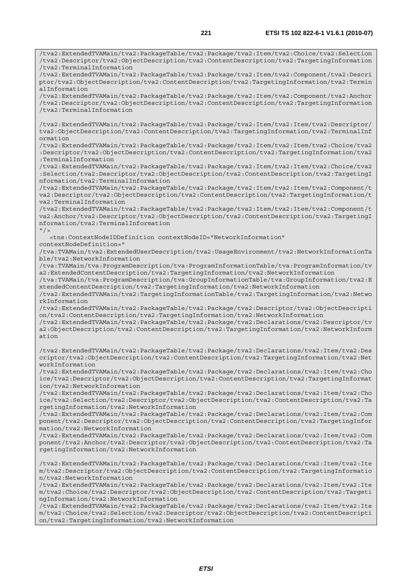/tva2:ExtendedTVAMain/tva2:PackageTable/tva2:Package/tva2:Item/tva2:Choice/tva2:Selection /tva2:Descriptor/tva2:ObjectDescription/tva2:ContentDescription/tva2:TargetingInformation /tva2:TerminalInformation /tva2:ExtendedTVAMain/tva2:PackageTable/tva2:Package/tva2:Item/tva2:Component/tva2:Descri ptor/tva2:ObjectDescription/tva2:ContentDescription/tva2:TargetingInformation/tva2:Termin alInformation /tva2:ExtendedTVAMain/tva2:PackageTable/tva2:Package/tva2:Item/tva2:Component/tva2:Anchor /tva2:Descriptor/tva2:ObjectDescription/tva2:ContentDescription/tva2:TargetingInformation /tva2:TerminalInformation /tva2:ExtendedTVAMain/tva2:PackageTable/tva2:Package/tva2:Item/tva2:Item/tva2:Descriptor/ tva2:ObjectDescription/tva2:ContentDescription/tva2:TargetingInformation/tva2:TerminalInf ormation /tva2:ExtendedTVAMain/tva2:PackageTable/tva2:Package/tva2:Item/tva2:Item/tva2:Choice/tva2 :Descriptor/tva2:ObjectDescription/tva2:ContentDescription/tva2:TargetingInformation/tva2 :TerminalInformation /tva2:ExtendedTVAMain/tva2:PackageTable/tva2:Package/tva2:Item/tva2:Item/tva2:Choice/tva2 :Selection/tva2:Descriptor/tva2:ObjectDescription/tva2:ContentDescription/tva2:TargetingI nformation/tva2:TerminalInformation /tva2:ExtendedTVAMain/tva2:PackageTable/tva2:Package/tva2:Item/tva2:Item/tva2:Component/t va2:Descriptor/tva2:ObjectDescription/tva2:ContentDescription/tva2:TargetingInformation/t va2:TerminalInformation /tva2:ExtendedTVAMain/tva2:PackageTable/tva2:Package/tva2:Item/tva2:Item/tva2:Component/t va2:Anchor/tva2:Descriptor/tva2:ObjectDescription/tva2:ContentDescription/tva2:TargetingI nformation/tva2:TerminalInformation  $''$  /> <tns:ContextNodeIDDefinition contextNodeID="NetworkInformation" contextNodeDefinition=" /tva:TVAMain/tva2:ExtendedUserDescription/tva2:UsageEnvironment/tva2:NetworkInformationTa ble/tva2:NetworkInformation /tva:TVAMain/tva:ProgramDescription/tva:ProgramInformationTable/tva:ProgramInformation/tv a2:ExtendedContentDescription/tva2:TargetingInformation/tva2:NetworkInformation /tva:TVAMain/tva:ProgramDescription/tva:GroupInformationTable/tva:GroupInformation/tva2:E xtendedContentDescription/tva2:TargetingInformation/tva2:NetworkInformation /tva2:ExtendedTVAMain/tva2:TargetingInformationTable/tva2:TargetingInformation/tva2:Netwo rkInformation /tva2:ExtendedTVAMain/tva2:PackageTable/tva2:Package/tva2:Descriptor/tva2:ObjectDescripti on/tva2:ContentDescription/tva2:TargetingInformation/tva2:NetworkInformation /tva2:ExtendedTVAMain/tva2:PackageTable/tva2:Package/tva2:Declarations/tva2:Descriptor/tv a2:ObjectDescription/tva2:ContentDescription/tva2:TargetingInformation/tva2:NetworkInform ation /tva2:ExtendedTVAMain/tva2:PackageTable/tva2:Package/tva2:Declarations/tva2:Item/tva2:Des criptor/tva2:ObjectDescription/tva2:ContentDescription/tva2:TargetingInformation/tva2:Net workInformation /tva2:ExtendedTVAMain/tva2:PackageTable/tva2:Package/tva2:Declarations/tva2:Item/tva2:Cho ice/tva2:Descriptor/tva2:ObjectDescription/tva2:ContentDescription/tva2:TargetingInformat ion/tva2:NetworkInformation /tva2:ExtendedTVAMain/tva2:PackageTable/tva2:Package/tva2:Declarations/tva2:Item/tva2:Cho ice/tva2:Selection/tva2:Descriptor/tva2:ObjectDescription/tva2:ContentDescription/tva2:Ta rgetingInformation/tva2:NetworkInformation /tva2:ExtendedTVAMain/tva2:PackageTable/tva2:Package/tva2:Declarations/tva2:Item/tva2:Com ponent/tva2:Descriptor/tva2:ObjectDescription/tva2:ContentDescription/tva2:TargetingInfor mation/tva2:NetworkInformation /tva2:ExtendedTVAMain/tva2:PackageTable/tva2:Package/tva2:Declarations/tva2:Item/tva2:Com ponent/tva2:Anchor/tva2:Descriptor/tva2:ObjectDescription/tva2:ContentDescription/tva2:Ta rgetingInformation/tva2:NetworkInformation /tva2:ExtendedTVAMain/tva2:PackageTable/tva2:Package/tva2:Declarations/tva2:Item/tva2:Ite m/tva2:Descriptor/tva2:ObjectDescription/tva2:ContentDescription/tva2:TargetingInformatio n/tva2:NetworkInformation /tva2:ExtendedTVAMain/tva2:PackageTable/tva2:Package/tva2:Declarations/tva2:Item/tva2:Ite m/tva2:Choice/tva2:Descriptor/tva2:ObjectDescription/tva2:ContentDescription/tva2:Targeti ngInformation/tva2:NetworkInformation /tva2:ExtendedTVAMain/tva2:PackageTable/tva2:Package/tva2:Declarations/tva2:Item/tva2:Ite

m/tva2:Choice/tva2:Selection/tva2:Descriptor/tva2:ObjectDescription/tva2:ContentDescripti on/tva2:TargetingInformation/tva2:NetworkInformation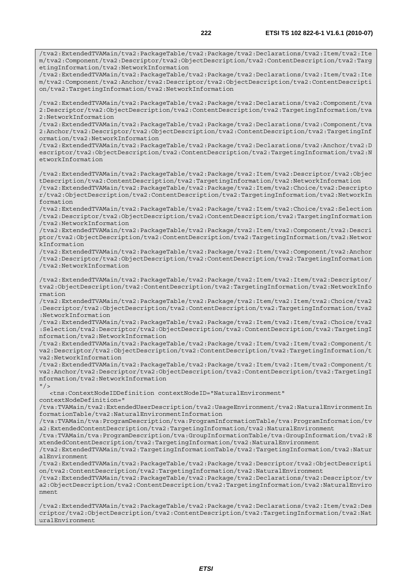/tva2:ExtendedTVAMain/tva2:PackageTable/tva2:Package/tva2:Declarations/tva2:Item/tva2:Ite m/tva2:Component/tva2:Descriptor/tva2:ObjectDescription/tva2:ContentDescription/tva2:Targ

/tva2:ExtendedTVAMain/tva2:PackageTable/tva2:Package/tva2:Declarations/tva2:Item/tva2:Ite m/tva2:Component/tva2:Anchor/tva2:Descriptor/tva2:ObjectDescription/tva2:ContentDescripti

/tva2:ExtendedTVAMain/tva2:PackageTable/tva2:Package/tva2:Declarations/tva2:Component/tva

etingInformation/tva2:NetworkInformation

on/tva2:TargetingInformation/tva2:NetworkInformation

2:Descriptor/tva2:ObjectDescription/tva2:ContentDescription/tva2:TargetingInformation/tva 2:NetworkInformation /tva2:ExtendedTVAMain/tva2:PackageTable/tva2:Package/tva2:Declarations/tva2:Component/tva 2:Anchor/tva2:Descriptor/tva2:ObjectDescription/tva2:ContentDescription/tva2:TargetingInf ormation/tva2:NetworkInformation /tva2:ExtendedTVAMain/tva2:PackageTable/tva2:Package/tva2:Declarations/tva2:Anchor/tva2:D escriptor/tva2:ObjectDescription/tva2:ContentDescription/tva2:TargetingInformation/tva2:N etworkInformation /tva2:ExtendedTVAMain/tva2:PackageTable/tva2:Package/tva2:Item/tva2:Descriptor/tva2:Objec tDescription/tva2:ContentDescription/tva2:TargetingInformation/tva2:NetworkInformation /tva2:ExtendedTVAMain/tva2:PackageTable/tva2:Package/tva2:Item/tva2:Choice/tva2:Descripto r/tva2:ObjectDescription/tva2:ContentDescription/tva2:TargetingInformation/tva2:NetworkIn formation /tva2:ExtendedTVAMain/tva2:PackageTable/tva2:Package/tva2:Item/tva2:Choice/tva2:Selection /tva2:Descriptor/tva2:ObjectDescription/tva2:ContentDescription/tva2:TargetingInformation /tva2:NetworkInformation /tva2:ExtendedTVAMain/tva2:PackageTable/tva2:Package/tva2:Item/tva2:Component/tva2:Descri ptor/tva2:ObjectDescription/tva2:ContentDescription/tva2:TargetingInformation/tva2:Networ kInformation /tva2:ExtendedTVAMain/tva2:PackageTable/tva2:Package/tva2:Item/tva2:Component/tva2:Anchor /tva2:Descriptor/tva2:ObjectDescription/tva2:ContentDescription/tva2:TargetingInformation /tva2:NetworkInformation /tva2:ExtendedTVAMain/tva2:PackageTable/tva2:Package/tva2:Item/tva2:Item/tva2:Descriptor/ tva2:ObjectDescription/tva2:ContentDescription/tva2:TargetingInformation/tva2:NetworkInfo rmation /tva2:ExtendedTVAMain/tva2:PackageTable/tva2:Package/tva2:Item/tva2:Item/tva2:Choice/tva2 :Descriptor/tva2:ObjectDescription/tva2:ContentDescription/tva2:TargetingInformation/tva2 :NetworkInformation /tva2:ExtendedTVAMain/tva2:PackageTable/tva2:Package/tva2:Item/tva2:Item/tva2:Choice/tva2 :Selection/tva2:Descriptor/tva2:ObjectDescription/tva2:ContentDescription/tva2:TargetingI nformation/tva2:NetworkInformation /tva2:ExtendedTVAMain/tva2:PackageTable/tva2:Package/tva2:Item/tva2:Item/tva2:Component/t va2:Descriptor/tva2:ObjectDescription/tva2:ContentDescription/tva2:TargetingInformation/t va2:NetworkInformation /tva2:ExtendedTVAMain/tva2:PackageTable/tva2:Package/tva2:Item/tva2:Item/tva2:Component/t va2:Anchor/tva2:Descriptor/tva2:ObjectDescription/tva2:ContentDescription/tva2:TargetingI nformation/tva2:NetworkInformation  $''$  / > <tns:ContextNodeIDDefinition contextNodeID="NaturalEnvironment" contextNodeDefinition=" /tva:TVAMain/tva2:ExtendedUserDescription/tva2:UsageEnvironment/tva2:NaturalEnvironmentIn formationTable/tva2:NaturalEnvironmentInformation /tva:TVAMain/tva:ProgramDescription/tva:ProgramInformationTable/tva:ProgramInformation/tv a2:ExtendedContentDescription/tva2:TargetingInformation/tva2:NaturalEnvironment /tva:TVAMain/tva:ProgramDescription/tva:GroupInformationTable/tva:GroupInformation/tva2:E xtendedContentDescription/tva2:TargetingInformation/tva2:NaturalEnvironment /tva2:ExtendedTVAMain/tva2:TargetingInformationTable/tva2:TargetingInformation/tva2:Natur alEnvironment /tva2:ExtendedTVAMain/tva2:PackageTable/tva2:Package/tva2:Descriptor/tva2:ObjectDescripti on/tva2:ContentDescription/tva2:TargetingInformation/tva2:NaturalEnvironment /tva2:ExtendedTVAMain/tva2:PackageTable/tva2:Package/tva2:Declarations/tva2:Descriptor/tv a2:ObjectDescription/tva2:ContentDescription/tva2:TargetingInformation/tva2:NaturalEnviro nment /tva2:ExtendedTVAMain/tva2:PackageTable/tva2:Package/tva2:Declarations/tva2:Item/tva2:Des criptor/tva2:ObjectDescription/tva2:ContentDescription/tva2:TargetingInformation/tva2:Nat uralEnvironment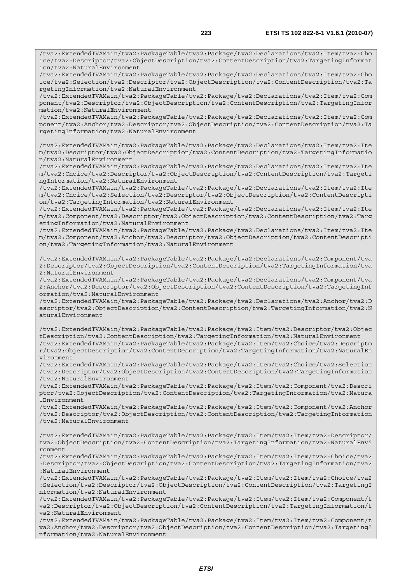/tva2:ExtendedTVAMain/tva2:PackageTable/tva2:Package/tva2:Declarations/tva2:Item/tva2:Cho ice/tva2:Descriptor/tva2:ObjectDescription/tva2:ContentDescription/tva2:TargetingInformat ion/tva2:NaturalEnvironment

/tva2:ExtendedTVAMain/tva2:PackageTable/tva2:Package/tva2:Declarations/tva2:Item/tva2:Cho ice/tva2:Selection/tva2:Descriptor/tva2:ObjectDescription/tva2:ContentDescription/tva2:Ta rgetingInformation/tva2:NaturalEnvironment

/tva2:ExtendedTVAMain/tva2:PackageTable/tva2:Package/tva2:Declarations/tva2:Item/tva2:Com ponent/tva2:Descriptor/tva2:ObjectDescription/tva2:ContentDescription/tva2:TargetingInfor mation/tva2:NaturalEnvironment

/tva2:ExtendedTVAMain/tva2:PackageTable/tva2:Package/tva2:Declarations/tva2:Item/tva2:Com ponent/tva2:Anchor/tva2:Descriptor/tva2:ObjectDescription/tva2:ContentDescription/tva2:Ta rgetingInformation/tva2:NaturalEnvironment

/tva2:ExtendedTVAMain/tva2:PackageTable/tva2:Package/tva2:Declarations/tva2:Item/tva2:Ite m/tva2:Descriptor/tva2:ObjectDescription/tva2:ContentDescription/tva2:TargetingInformatio n/tva2:NaturalEnvironment

/tva2:ExtendedTVAMain/tva2:PackageTable/tva2:Package/tva2:Declarations/tva2:Item/tva2:Ite m/tva2:Choice/tva2:Descriptor/tva2:ObjectDescription/tva2:ContentDescription/tva2:Targeti ngInformation/tva2:NaturalEnvironment

/tva2:ExtendedTVAMain/tva2:PackageTable/tva2:Package/tva2:Declarations/tva2:Item/tva2:Ite m/tva2:Choice/tva2:Selection/tva2:Descriptor/tva2:ObjectDescription/tva2:ContentDescripti on/tva2:TargetingInformation/tva2:NaturalEnvironment

/tva2:ExtendedTVAMain/tva2:PackageTable/tva2:Package/tva2:Declarations/tva2:Item/tva2:Ite m/tva2:Component/tva2:Descriptor/tva2:ObjectDescription/tva2:ContentDescription/tva2:Targ etingInformation/tva2:NaturalEnvironment

/tva2:ExtendedTVAMain/tva2:PackageTable/tva2:Package/tva2:Declarations/tva2:Item/tva2:Ite m/tva2:Component/tva2:Anchor/tva2:Descriptor/tva2:ObjectDescription/tva2:ContentDescripti on/tva2:TargetingInformation/tva2:NaturalEnvironment

/tva2:ExtendedTVAMain/tva2:PackageTable/tva2:Package/tva2:Declarations/tva2:Component/tva 2:Descriptor/tva2:ObjectDescription/tva2:ContentDescription/tva2:TargetingInformation/tva 2:NaturalEnvironment

/tva2:ExtendedTVAMain/tva2:PackageTable/tva2:Package/tva2:Declarations/tva2:Component/tva 2:Anchor/tva2:Descriptor/tva2:ObjectDescription/tva2:ContentDescription/tva2:TargetingInf ormation/tva2:NaturalEnvironment

/tva2:ExtendedTVAMain/tva2:PackageTable/tva2:Package/tva2:Declarations/tva2:Anchor/tva2:D escriptor/tva2:ObjectDescription/tva2:ContentDescription/tva2:TargetingInformation/tva2:N aturalEnvironment

/tva2:ExtendedTVAMain/tva2:PackageTable/tva2:Package/tva2:Item/tva2:Descriptor/tva2:Objec tDescription/tva2:ContentDescription/tva2:TargetingInformation/tva2:NaturalEnvironment /tva2:ExtendedTVAMain/tva2:PackageTable/tva2:Package/tva2:Item/tva2:Choice/tva2:Descripto r/tva2:ObjectDescription/tva2:ContentDescription/tva2:TargetingInformation/tva2:NaturalEn vironment

/tva2:ExtendedTVAMain/tva2:PackageTable/tva2:Package/tva2:Item/tva2:Choice/tva2:Selection /tva2:Descriptor/tva2:ObjectDescription/tva2:ContentDescription/tva2:TargetingInformation /tva2:NaturalEnvironment

/tva2:ExtendedTVAMain/tva2:PackageTable/tva2:Package/tva2:Item/tva2:Component/tva2:Descri ptor/tva2:ObjectDescription/tva2:ContentDescription/tva2:TargetingInformation/tva2:Natura lEnvironment

/tva2:ExtendedTVAMain/tva2:PackageTable/tva2:Package/tva2:Item/tva2:Component/tva2:Anchor /tva2:Descriptor/tva2:ObjectDescription/tva2:ContentDescription/tva2:TargetingInformation /tva2:NaturalEnvironment

/tva2:ExtendedTVAMain/tva2:PackageTable/tva2:Package/tva2:Item/tva2:Item/tva2:Descriptor/ tva2:ObjectDescription/tva2:ContentDescription/tva2:TargetingInformation/tva2:NaturalEnvi ronment

/tva2:ExtendedTVAMain/tva2:PackageTable/tva2:Package/tva2:Item/tva2:Item/tva2:Choice/tva2 :Descriptor/tva2:ObjectDescription/tva2:ContentDescription/tva2:TargetingInformation/tva2 :NaturalEnvironment

/tva2:ExtendedTVAMain/tva2:PackageTable/tva2:Package/tva2:Item/tva2:Item/tva2:Choice/tva2 :Selection/tva2:Descriptor/tva2:ObjectDescription/tva2:ContentDescription/tva2:TargetingI nformation/tva2:NaturalEnvironment

/tva2:ExtendedTVAMain/tva2:PackageTable/tva2:Package/tva2:Item/tva2:Item/tva2:Component/t va2:Descriptor/tva2:ObjectDescription/tva2:ContentDescription/tva2:TargetingInformation/t va2:NaturalEnvironment

/tva2:ExtendedTVAMain/tva2:PackageTable/tva2:Package/tva2:Item/tva2:Item/tva2:Component/t va2:Anchor/tva2:Descriptor/tva2:ObjectDescription/tva2:ContentDescription/tva2:TargetingI nformation/tva2:NaturalEnvironment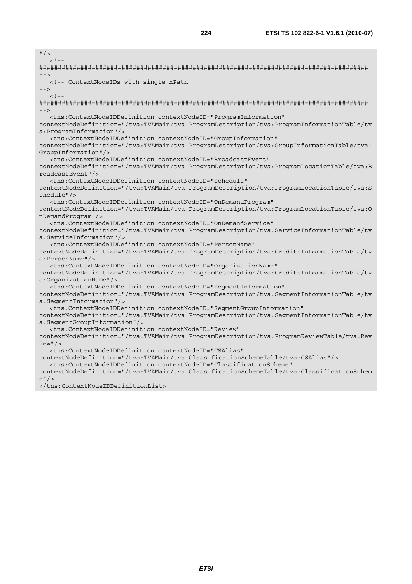| $\frac{11}{2}$                                                                                                                                                                                            |
|-----------------------------------------------------------------------------------------------------------------------------------------------------------------------------------------------------------|
| $< 1 - -$                                                                                                                                                                                                 |
|                                                                                                                                                                                                           |
| $--$                                                                                                                                                                                                      |
| <!-- ContextNodeIDs with single xPath</td>                                                                                                                                                                |
| $--$                                                                                                                                                                                                      |
| $<$ ! --                                                                                                                                                                                                  |
|                                                                                                                                                                                                           |
| $--$                                                                                                                                                                                                      |
| <tns:contextnodeiddefinition <="" contextnodeid="ProgramInformation" td=""></tns:contextnodeiddefinition>                                                                                                 |
| contextNodeDefinition="/tva:TVAMain/tva:ProgramDescription/tva:ProgramInformationTable/tv                                                                                                                 |
| a: ProgramInformation"/>                                                                                                                                                                                  |
| <tns:contextnodeiddefinition <="" contextnodeid="GroupInformation" td=""></tns:contextnodeiddefinition>                                                                                                   |
| contextNodeDefinition="/tva:TVAMain/tva:ProgramDescription/tva:GroupInformationTable/tva:                                                                                                                 |
| $GroupInformation$ "/>                                                                                                                                                                                    |
| <tns:contextnodeiddefinition <="" contextnodeid="BroadcastEvent" td=""></tns:contextnodeiddefinition>                                                                                                     |
| contextNodeDefinition="/tva:TVAMain/tva:ProgramDescription/tva:ProgramLocationTable/tva:B                                                                                                                 |
| roadcastEvent"/>                                                                                                                                                                                          |
| <tns:contextnodeiddefinition <="" contextnodeid="Schedule" td=""></tns:contextnodeiddefinition>                                                                                                           |
| contextNodeDefinition="/tva:TVAMain/tva:ProgramDescription/tva:ProgramLocationTable/tva:S                                                                                                                 |
| chedule''/>                                                                                                                                                                                               |
| <tns:contextnodeiddefinition <="" contextnodeid="OnDemandProgram" td=""></tns:contextnodeiddefinition>                                                                                                    |
| contextNodeDefinition="/tva:TVAMain/tva:ProgramDescription/tva:ProgramLocationTable/tva:O                                                                                                                 |
| nDemandProgram"/>                                                                                                                                                                                         |
| <tns:contextnodeiddefinition <="" contextnodeid="OnDemandService" td=""></tns:contextnodeiddefinition>                                                                                                    |
| contextNodeDefinition="/tva:TVAMain/tva:ProgramDescription/tva:ServiceInformationTable/tv                                                                                                                 |
| a:ServiceInformation"/>                                                                                                                                                                                   |
| <tns:contextnodeiddefinition <="" contextnodeid="PersonName" td=""></tns:contextnodeiddefinition>                                                                                                         |
| contextNodeDefinition="/tva:TVAMain/tva:ProgramDescription/tva:CreditsInformationTable/tv                                                                                                                 |
| a:PersonName''/                                                                                                                                                                                           |
| <tns:contextnodeiddefinition <="" contextnodeid="OrganizationName" td=""></tns:contextnodeiddefinition>                                                                                                   |
| contextNodeDefinition="/tva:TVAMain/tva:ProgramDescription/tva:CreditsInformationTable/tv                                                                                                                 |
| a:OrganizationName"/>                                                                                                                                                                                     |
| <tns:contextnodeiddefinition <="" contextnodeid="SegmentInformation" td=""></tns:contextnodeiddefinition>                                                                                                 |
| contextNodeDefinition="/tva:TVAMain/tva:ProgramDescription/tva:SegmentInformationTable/tv                                                                                                                 |
| a: Segment Information" />                                                                                                                                                                                |
| <tns:contextnodeiddefinition <="" contextnodeid="SegmentGroupInformation" td=""></tns:contextnodeiddefinition>                                                                                            |
| contextNodeDefinition="/tva:TVAMain/tva:ProgramDescription/tva:SegmentInformationTable/tv                                                                                                                 |
| a:SegmentGroupInformation"/>                                                                                                                                                                              |
| <tns:contextnodeiddefinition <="" contextnodeid="Review" td=""></tns:contextnodeiddefinition>                                                                                                             |
| contextNodeDefinition="/tva:TVAMain/tva:ProgramDescription/tva:ProgramReviewTable/tva:Rev                                                                                                                 |
| $iew"$ /><br><tns:contextnodeiddefinition <="" contextnodeid="CSAlias" td=""></tns:contextnodeiddefinition>                                                                                               |
| contextNodeDefinition="/tva:TVAMain/tva:ClassificationSchemeTable/tva:CSAlias"/>                                                                                                                          |
|                                                                                                                                                                                                           |
|                                                                                                                                                                                                           |
|                                                                                                                                                                                                           |
| <tns:contextnodeiddefinition <br="" contextnodeid="ClassificationScheme">contextNodeDefinition="/tva:TVAMain/tva:ClassificationSchemeTable/tva:ClassificationSchem<br/>e''/</tns:contextnodeiddefinition> |

</tns:ContextNodeIDDefinitionList>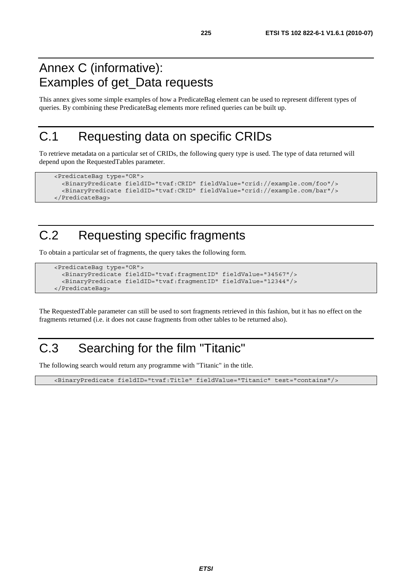#### Annex C (informative): Examples of get\_Data requests

This annex gives some simple examples of how a PredicateBag element can be used to represent different types of queries. By combining these PredicateBag elements more refined queries can be built up.

#### C.1 Requesting data on specific CRIDs

To retrieve metadata on a particular set of CRIDs, the following query type is used. The type of data returned will depend upon the RequestedTables parameter.

```
 <PredicateBag type="OR"> 
   <BinaryPredicate fieldID="tvaf:CRID" fieldValue="crid://example.com/foo"/> 
   <BinaryPredicate fieldID="tvaf:CRID" fieldValue="crid://example.com/bar"/> 
 </PredicateBag>
```
### C.2 Requesting specific fragments

To obtain a particular set of fragments, the query takes the following form.

```
 <PredicateBag type="OR"> 
   <BinaryPredicate fieldID="tvaf:fragmentID" fieldValue="34567"/> 
   <BinaryPredicate fieldID="tvaf:fragmentID" fieldValue="12344"/> 
 </PredicateBag>
```
The RequestedTable parameter can still be used to sort fragments retrieved in this fashion, but it has no effect on the fragments returned (i.e. it does not cause fragments from other tables to be returned also).

#### C.3 Searching for the film "Titanic"

The following search would return any programme with "Titanic" in the title.

<BinaryPredicate fieldID="tvaf:Title" fieldValue="Titanic" test="contains"/>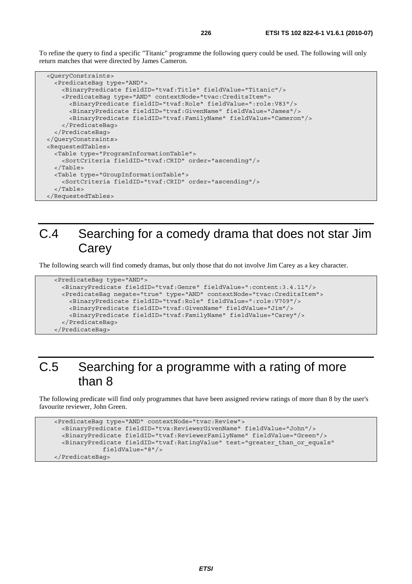To refine the query to find a specific "Titanic" programme the following query could be used. The following will only return matches that were directed by James Cameron.

```
 <QueryConstraints> 
   <PredicateBag type="AND"> 
     <BinaryPredicate fieldID="tvaf:Title" fieldValue="Titanic"/> 
     <PredicateBag type="AND" contextNode="tvac:CreditsItem"> 
       <BinaryPredicate fieldID="tvaf:Role" fieldValue=":role:V83"/> 
       <BinaryPredicate fieldID="tvaf:GivenName" fieldValue="James"/> 
       <BinaryPredicate fieldID="tvaf:FamilyName" fieldValue="Cameron"/> 
     </PredicateBag> 
   </PredicateBag> 
 </QueryConstraints> 
 <RequestedTables> 
   <Table type="ProgramInformationTable"> 
     <SortCriteria fieldID="tvaf:CRID" order="ascending"/> 
   </Table> 
   <Table type="GroupInformationTable"> 
     <SortCriteria fieldID="tvaf:CRID" order="ascending"/> 
   </Table> 
 </RequestedTables>
```
#### C.4 Searching for a comedy drama that does not star Jim **Carey**

The following search will find comedy dramas, but only those that do not involve Jim Carey as a key character.

```
 <PredicateBag type="AND"> 
   <BinaryPredicate fieldID="tvaf:Genre" fieldValue=":content:3.4.11"/> 
   <PredicateBag negate="true" type="AND" contextNode="tvac:CreditsItem"> 
     <BinaryPredicate fieldID="tvaf:Role" fieldValue=":role:V709"/> 
     <BinaryPredicate fieldID="tvaf:GivenName" fieldValue="Jim"/> 
     <BinaryPredicate fieldID="tvaf:FamilyName" fieldValue="Carey"/> 
   </PredicateBag> 
 </PredicateBag>
```
#### C.5 Searching for a programme with a rating of more than 8

The following predicate will find only programmes that have been assigned review ratings of more than 8 by the user's favourite reviewer, John Green.

```
 <PredicateBag type="AND" contextNode="tvac:Review"> 
   <BinaryPredicate fieldID="tva:ReviewerGivenName" fieldValue="John"/> 
   <BinaryPredicate fieldID="tvaf:ReviewerFamilyName" fieldValue="Green"/> 
   <BinaryPredicate fieldID="tvaf:RatingValue" test="greater_than_or_equals" 
              fieldValue="8"/> 
 </PredicateBag>
```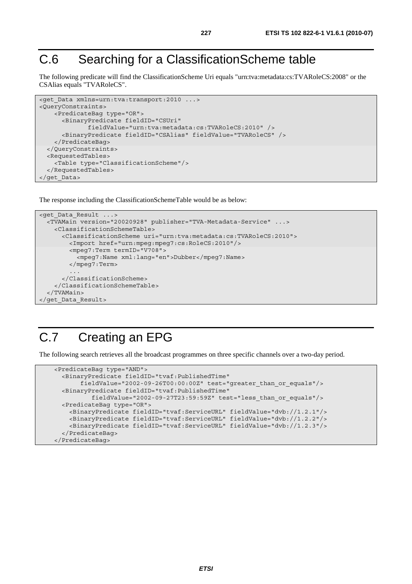#### C.6 Searching for a ClassificationScheme table

The following predicate will find the ClassificationScheme Uri equals "urn:tva:metadata:cs:TVARoleCS:2008" or the CSAlias equals "TVARoleCS".

```
<get Data xmlns=urn:tva:transport:2010 ...>
<QueryConstraints> 
     <PredicateBag type="OR"> 
       <BinaryPredicate fieldID="CSUri" 
               fieldValue="urn:tva:metadata:cs:TVARoleCS:2010" /> 
       <BinaryPredicate fieldID="CSAlias" fieldValue="TVARoleCS" /> 
     </PredicateBag> 
   </QueryConstraints> 
   <RequestedTables> 
     <Table type="ClassificationScheme"/> 
   </RequestedTables> 
</get_Data>
```
The response including the ClassificationSchemeTable would be as below:

```
<get_Data_Result ...> 
   <TVAMain version="20020928" publisher="TVA-Metadata-Service" ...> 
     <ClassificationSchemeTable> 
       <ClassificationScheme uri="urn:tva:metadata:cs:TVARoleCS:2010"> 
         <Import href="urn:mpeg:mpeg7:cs:RoleCS:2010"/> 
         <mpeg7:Term termID="V708"> 
           <mpeg7:Name xml:lang="en">Dubber</mpeg7:Name> 
         </mpeg7:Term> 
 ... 
       </ClassificationScheme> 
     </ClassificationSchemeTable> 
   </TVAMain> 
</get_Data_Result>
```
#### C.7 Creating an EPG

The following search retrieves all the broadcast programmes on three specific channels over a two-day period.

```
 <PredicateBag type="AND"> 
   <BinaryPredicate fieldID="tvaf:PublishedTime" 
        fieldValue="2002-09-26T00:00:00Z" test="greater_than_or_equals"/> 
   <BinaryPredicate fieldID="tvaf:PublishedTime" 
           fieldValue="2002-09-27T23:59:59Z" test="less_than_or_equals"/> 
   <PredicateBag type="OR"> 
     <BinaryPredicate fieldID="tvaf:ServiceURL" fieldValue="dvb://1.2.1"/> 
     <BinaryPredicate fieldID="tvaf:ServiceURL" fieldValue="dvb://1.2.2"/> 
     <BinaryPredicate fieldID="tvaf:ServiceURL" fieldValue="dvb://1.2.3"/> 
   </PredicateBag> 
 </PredicateBag>
```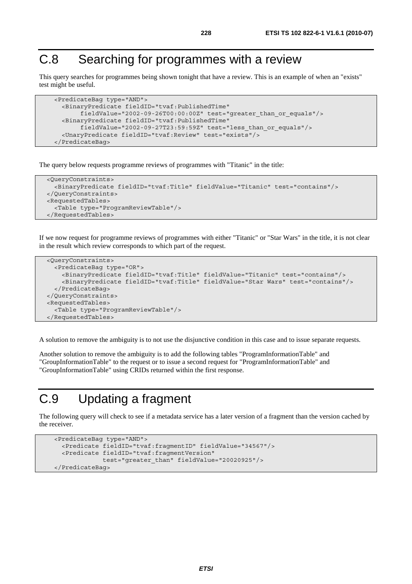#### C.8 Searching for programmes with a review

This query searches for programmes being shown tonight that have a review. This is an example of when an "exists" test might be useful.

```
 <PredicateBag type="AND"> 
   <BinaryPredicate fieldID="tvaf:PublishedTime" 
        fieldValue="2002-09-26T00:00:00Z" test="greater_than_or_equals"/> 
   <BinaryPredicate fieldID="tvaf:PublishedTime" 
        fieldValue="2002-09-27T23:59:59Z" test="less_than_or_equals"/> 
   <UnaryPredicate fieldID="tvaf:Review" test="exists"/> 
 </PredicateBag>
```
The query below requests programme reviews of programmes with "Titanic" in the title:

```
 <QueryConstraints> 
   <BinaryPredicate fieldID="tvaf:Title" fieldValue="Titanic" test="contains"/> 
 </QueryConstraints> 
 <RequestedTables> 
   <Table type="ProgramReviewTable"/> 
 </RequestedTables>
```
If we now request for programme reviews of programmes with either "Titanic" or "Star Wars" in the title, it is not clear in the result which review corresponds to which part of the request.

```
 <QueryConstraints> 
   <PredicateBag type="OR"> 
     <BinaryPredicate fieldID="tvaf:Title" fieldValue="Titanic" test="contains"/> 
     <BinaryPredicate fieldID="tvaf:Title" fieldValue="Star Wars" test="contains"/> 
   </PredicateBag> 
 </QueryConstraints> 
 <RequestedTables> 
   <Table type="ProgramReviewTable"/> 
 </RequestedTables>
```
A solution to remove the ambiguity is to not use the disjunctive condition in this case and to issue separate requests.

Another solution to remove the ambiguity is to add the following tables "ProgramInformationTable" and "GroupInformationTable" to the request or to issue a second request for "ProgramInformationTable" and "GroupInformationTable" using CRIDs returned within the first response.

#### C.9 Updating a fragment

The following query will check to see if a metadata service has a later version of a fragment than the version cached by the receiver.

```
 <PredicateBag type="AND"> 
   <Predicate fieldID="tvaf:fragmentID" fieldValue="34567"/> 
   <Predicate fieldID="tvaf:fragmentVersion" 
              test="greater_than" fieldValue="20020925"/> 
 </PredicateBag>
```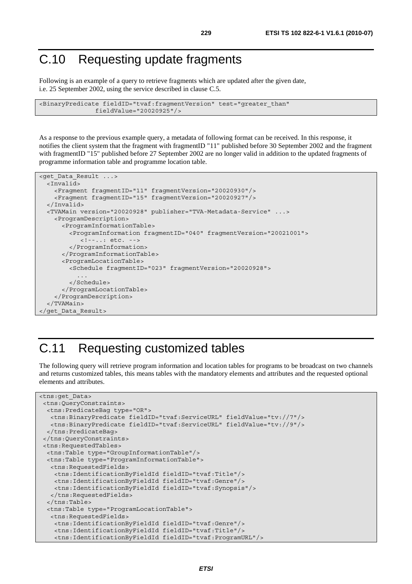#### C.10 Requesting update fragments

Following is an example of a query to retrieve fragments which are updated after the given date, i.e. 25 September 2002, using the service described in clause C.5.

```
<BinaryPredicate fieldID="tvaf:fragmentVersion" test="greater_than" 
                fieldValue="20020925"/>
```
As a response to the previous example query, a metadata of following format can be received. In this response, it notifies the client system that the fragment with fragmentID "11" published before 30 September 2002 and the fragment with fragmentID "15" published before 27 September 2002 are no longer valid in addition to the updated fragments of programme information table and programme location table.

```
<get_Data_Result ...> 
   <Invalid> 
     <Fragment fragmentID="11" fragmentVersion="20020930"/> 
     <Fragment fragmentID="15" fragmentVersion="20020927"/> 
   </Invalid> 
   <TVAMain version="20020928" publisher="TVA-Metadata-Service" ...> 
     <ProgramDescription> 
       <ProgramInformationTable> 
         <ProgramInformation fragmentID="040" fragmentVersion="20021001"> 
            <!--..: etc. --> 
         </ProgramInformation> 
       </ProgramInformationTable> 
       <ProgramLocationTable> 
         <Schedule fragmentID="023" fragmentVersion="20020928"> 
 ... 
         </Schedule> 
       </ProgramLocationTable> 
     </ProgramDescription> 
   </TVAMain> 
</get_Data_Result>
```
#### C.11 Requesting customized tables

The following query will retrieve program information and location tables for programs to be broadcast on two channels and returns customized tables, this means tables with the mandatory elements and attributes and the requested optional elements and attributes.

```
<tns:get_Data> 
 <tns:QueryConstraints> 
  <tns:PredicateBag type="OR"> 
   <tns:BinaryPredicate fieldID="tvaf:ServiceURL" fieldValue="tv://7"/> 
   <tns:BinaryPredicate fieldID="tvaf:ServiceURL" fieldValue="tv://9"/> 
   </tns:PredicateBag> 
 </tns:QueryConstraints> 
  <tns:RequestedTables> 
  <tns:Table type="GroupInformationTable"/> 
  <tns:Table type="ProgramInformationTable"> 
   <tns:RequestedFields> 
     <tns:IdentificationByFieldId fieldID="tvaf:Title"/> 
     <tns:IdentificationByFieldId fieldID="tvaf:Genre"/> 
     <tns:IdentificationByFieldId fieldID="tvaf:Synopsis"/> 
   </tns:RequestedFields> 
   </tns:Table> 
   <tns:Table type="ProgramLocationTable"> 
    <tns:RequestedFields> 
     <tns:IdentificationByFieldId fieldID="tvaf:Genre"/> 
     <tns:IdentificationByFieldId fieldID="tvaf:Title"/> 
     <tns:IdentificationByFieldId fieldID="tvaf:ProgramURL"/>
```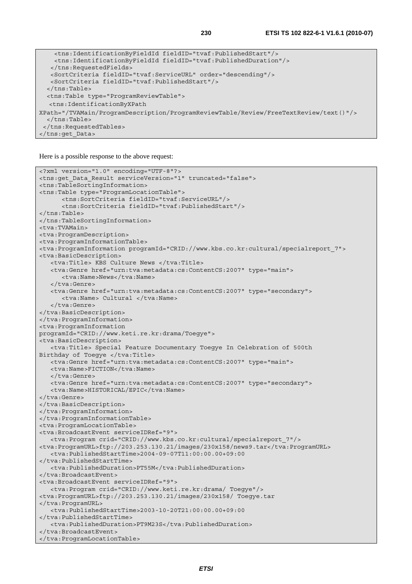```
 <tns:IdentificationByFieldId fieldID="tvaf:PublishedStart"/> 
    <tns:IdentificationByFieldId fieldID="tvaf:PublishedDuration"/> 
    </tns:RequestedFields> 
   <SortCriteria fieldID="tvaf:ServiceURL" order="descending"/> 
   <SortCriteria fieldID="tvaf:PublishedStart"/> 
   </tns:Table> 
   <tns:Table type="ProgramReviewTable"> 
   <tns:IdentificationByXPath 
XPath="/TVAMain/ProgramDescription/ProgramReviewTable/Review/FreeTextReview/text()"/> 
   </tns:Table> 
  </tns:RequestedTables> 
</tns:get_Data>
```
Here is a possible response to the above request:

```
<?xml version="1.0" encoding="UTF-8"?> 
<tns:get_Data_Result serviceVersion="1" truncated="false"> 
<tns:TableSortingInformation> 
<tns:Table type="ProgramLocationTable"> 
       <tns:SortCriteria fieldID="tvaf:ServiceURL"/> 
       <tns:SortCriteria fieldID="tvaf:PublishedStart"/> 
</tns:Table> 
</tns:TableSortingInformation> 
<tva:TVAMain> 
<tva:ProgramDescription> 
<tva:ProgramInformationTable> 
<tva:ProgramInformation programId="CRID://www.kbs.co.kr:cultural/specialreport_7"> 
<tva:BasicDescription> 
    <tva:Title> KBS Culture News </tva:Title> 
    <tva:Genre href="urn:tva:metadata:cs:ContentCS:2007" type="main"> 
      <tva:Name>News</tva:Name>
    </tva:Genre> 
    <tva:Genre href="urn:tva:metadata:cs:ContentCS:2007" type="secondary"> 
       <tva:Name> Cultural </tva:Name> 
    </tva:Genre> 
</tva:BasicDescription> 
</tva:ProgramInformation> 
<tva:ProgramInformation 
programId="CRID://www.keti.re.kr:drama/Toegye"> 
<tva:BasicDescription> 
    <tva:Title> Special Feature Documentary Toegye In Celebration of 500th 
Birthday of Toegye </tva:Title>
   <tva:Genre href="urn:tva:metadata:cs:ContentCS:2007" type="main"> 
   <tva:Name>FICTION</tva:Name>
    </tva:Genre> 
    <tva:Genre href="urn:tva:metadata:cs:ContentCS:2007" type="secondary"> 
   <tva:Name>HISTORICAL/EPIC</tva:Name>
</tva:Genre> 
</tva:BasicDescription> 
</tva:ProgramInformation> 
</tva:ProgramInformationTable> 
<tva:ProgramLocationTable> 
<tva:BroadcastEvent serviceIDRef="9"> 
    <tva:Program crid="CRID://www.kbs.co.kr:cultural/specialreport_7"/> 
<tva:ProgramURL>ftp://203.253.130.21/images/230x158/news9.tar</tva:ProgramURL> 
    <tva:PublishedStartTime>2004-09-07T11:00:00.00+09:00 
</tva:PublishedStartTime> 
    <tva:PublishedDuration>PT55M</tva:PublishedDuration> 
</tva:BroadcastEvent> 
<tva:BroadcastEvent serviceIDRef="9"> 
    <tva:Program crid="CRID://www.keti.re.kr:drama/ Toegye"/> 
<tva:ProgramURL>ftp://203.253.130.21/images/230x158/ Toegye.tar 
</tva:ProgramURL> 
    <tva:PublishedStartTime>2003-10-20T21:00:00.00+09:00 
</tva:PublishedStartTime> 
    <tva:PublishedDuration>PT9M23S</tva:PublishedDuration> 
</tva:BroadcastEvent> 
</tva:ProgramLocationTable>
```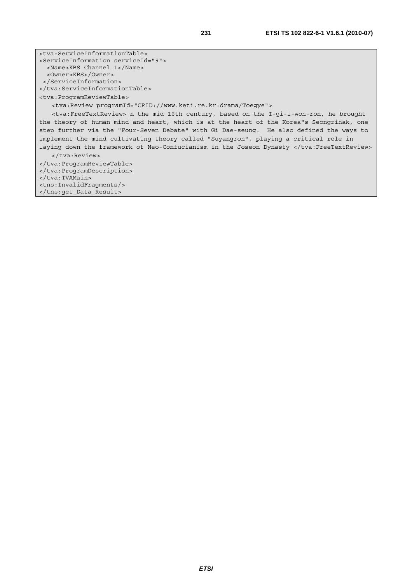<tva:ServiceInformationTable> <ServiceInformation serviceId="9"> <Name>KBS Channel 1</Name> <Owner>KBS</Owner> </ServiceInformation> </tva:ServiceInformationTable> <tva:ProgramReviewTable> <tva:Review programId="CRID://www.keti.re.kr:drama/Toegye"> <tva:FreeTextReview> n the mid 16th century, based on the I-gi-i-won-ron, he brought the theory of human mind and heart, which is at the heart of the Korea"s Seongrihak, one step further via the "Four-Seven Debate" with Gi Dae-seung. He also defined the ways to implement the mind cultivating theory called "Suyangron", playing a critical role in laying down the framework of Neo-Confucianism in the Joseon Dynasty </tva:FreeTextReview> </tva:Review> </tva:ProgramReviewTable> </tva:ProgramDescription> </tva:TVAMain> <tns:InvalidFragments/> </tns:get\_Data\_Result>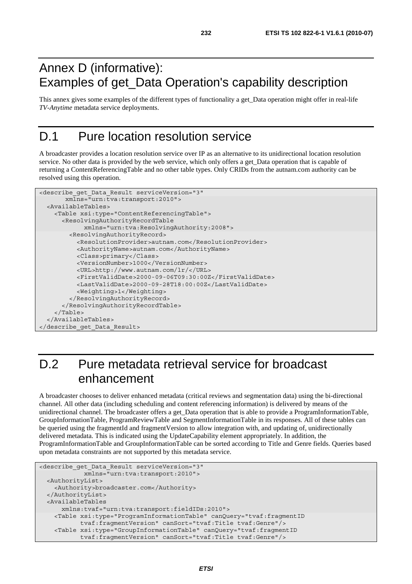#### Annex D (informative): Examples of get\_Data Operation's capability description

This annex gives some examples of the different types of functionality a get\_Data operation might offer in real-life *TV-Anytime* metadata service deployments.

#### D.1 Pure location resolution service

A broadcaster provides a location resolution service over IP as an alternative to its unidirectional location resolution service. No other data is provided by the web service, which only offers a get Data operation that is capable of returning a ContentReferencingTable and no other table types. Only CRIDs from the autnam.com authority can be resolved using this operation.

```
<describe_get_Data_Result serviceVersion="3" 
        xmlns="urn:tva:transport:2010"> 
   <AvailableTables> 
     <Table xsi:type="ContentReferencingTable"> 
       <ResolvingAuthorityRecordTable 
             xmlns="urn:tva:ResolvingAuthority:2008"> 
         <ResolvingAuthorityRecord> 
           <ResolutionProvider>autnam.com</ResolutionProvider> 
           <AuthorityName>autnam.com</AuthorityName> 
           <Class>primary</Class> 
           <VersionNumber>1000</VersionNumber> 
           <URL>http://www.autnam.com/lr/</URL> 
           <FirstValidDate>2000-09-06T09:30:00Z</FirstValidDate> 
           <LastValidDate>2000-09-28T18:00:00Z</LastValidDate> 
           <Weighting>1</Weighting> 
         </ResolvingAuthorityRecord> 
       </ResolvingAuthorityRecordTable> 
     </Table> 
   </AvailableTables> 
</describe_get_Data_Result>
```
### D.2 Pure metadata retrieval service for broadcast enhancement

A broadcaster chooses to deliver enhanced metadata (critical reviews and segmentation data) using the bi-directional channel. All other data (including scheduling and content referencing information) is delivered by means of the unidirectional channel. The broadcaster offers a get\_Data operation that is able to provide a ProgramInformationTable, GroupInformationTable, ProgramReviewTable and SegmentInformationTable in its responses. All of these tables can be queried using the fragmentId and fragmentVersion to allow integration with, and updating of, unidirectionally delivered metadata. This is indicated using the UpdateCapability element appropriately. In addition, the ProgramInformationTable and GroupInformationTable can be sorted according to Title and Genre fields. Queries based upon metadata constraints are not supported by this metadata service.

```
<describe_get_Data_Result serviceVersion="3" 
             xmlns="urn:tva:transport:2010"> 
  <AuthorityList> 
    <Authority>broadcaster.com</Authority> 
  </AuthorityList> 
  <AvailableTables 
      xmlns:tvaf="urn:tva:transport:fieldIDs:2010"> 
    <Table xsi:type="ProgramInformationTable" canQuery="tvaf:fragmentID 
            tvaf:fragmentVersion" canSort="tvaf:Title tvaf:Genre"/> 
    <Table xsi:type="GroupInformationTable" canQuery="tvaf:fragmentID 
            tvaf:fragmentVersion" canSort="tvaf:Title tvaf:Genre"/>
```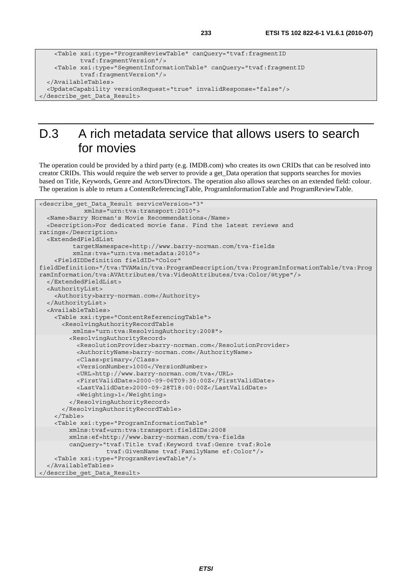```
 <Table xsi:type="ProgramReviewTable" canQuery="tvaf:fragmentID 
            tvaf:fragmentVersion"/> 
    <Table xsi:type="SegmentInformationTable" canQuery="tvaf:fragmentID 
            tvaf:fragmentVersion"/> 
  </AvailableTables> 
  <UpdateCapability versionRequest="true" invalidResponse="false"/> 
</describe_get_Data_Result>
```
### D.3 A rich metadata service that allows users to search for movies

The operation could be provided by a third party (e.g. IMDB.com) who creates its own CRIDs that can be resolved into creator CRIDs. This would require the web server to provide a get\_Data operation that supports searches for movies based on Title, Keywords, Genre and Actors/Directors. The operation also allows searches on an extended field: colour. The operation is able to return a ContentReferencingTable, ProgramInformationTable and ProgramReviewTable.

```
<describe_get_Data_Result serviceVersion="3" 
             xmlns="urn:tva:transport:2010"> 
   <Name>Barry Norman's Movie Recommendations</Name> 
   <Description>For dedicated movie fans. Find the latest reviews and 
ratings</Description> 
   <ExtendedFieldList 
          targetNamespace=http://www.barry-norman.com/tva-fields 
          xmlns:tva="urn:tva:metadata:2010"> 
     <FieldIDDefinition fieldID="Color" 
fieldDefinition="/tva:TVAMain/tva:ProgramDescription/tva:ProgramInformationTable/tva:Prog
ramInformation/tva:AVAttributes/tva:VideoAttributes/tva:Color/@type"/> 
   </ExtendedFieldList> 
   <AuthorityList> 
     <Authority>barry-norman.com</Authority> 
   </AuthorityList> 
   <AvailableTables> 
     <Table xsi:type="ContentReferencingTable"> 
       <ResolvingAuthorityRecordTable 
          xmlns="urn:tva:ResolvingAuthority:2008"> 
         <ResolvingAuthorityRecord> 
           <ResolutionProvider>barry-norman.com</ResolutionProvider> 
           <AuthorityName>barry-norman.com</AuthorityName> 
           <Class>primary</Class> 
           <VersionNumber>1000</VersionNumber> 
           <URL>http://www.barry-norman.com/tva</URL> 
           <FirstValidDate>2000-09-06T09:30:00Z</FirstValidDate> 
           <LastValidDate>2000-09-28T18:00:00Z</LastValidDate> 
           <Weighting>1</Weighting> 
         </ResolvingAuthorityRecord> 
       </ResolvingAuthorityRecordTable> 
     </Table> 
     <Table xsi:type="ProgramInformationTable" 
         xmlns:tvaf=urn:tva:transport:fieldIDs:2008 
         xmlns:ef=http://www.barry-norman.com/tva-fields 
         canQuery="tvaf:Title tvaf:Keyword tvaf:Genre tvaf:Role 
                    tvaf:GivenName tvaf:FamilyName ef:Color"/> 
     <Table xsi:type="ProgramReviewTable"/> 
   </AvailableTables> 
</describe_get_Data_Result>
```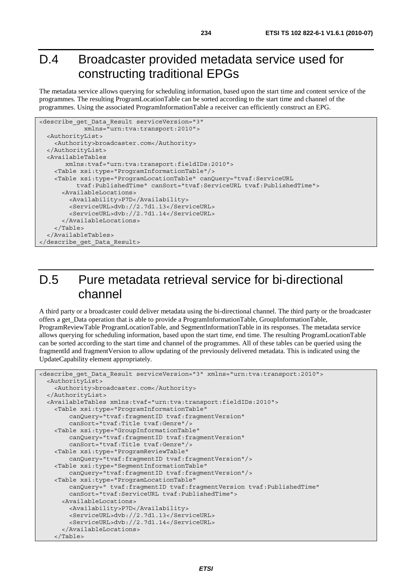#### D.4 Broadcaster provided metadata service used for constructing traditional EPGs

The metadata service allows querying for scheduling information, based upon the start time and content service of the programmes. The resulting ProgramLocationTable can be sorted according to the start time and channel of the programmes. Using the associated ProgramInformationTable a receiver can efficiently construct an EPG.

```
<describe_get_Data_Result serviceVersion="3" 
             xmlns="urn:tva:transport:2010"> 
   <AuthorityList> 
     <Authority>broadcaster.com</Authority> 
   </AuthorityList> 
   <AvailableTables 
        xmlns:tvaf="urn:tva:transport:fieldIDs:2010"> 
     <Table xsi:type="ProgramInformationTable"/> 
     <Table xsi:type="ProgramLocationTable" canQuery="tvaf:ServiceURL 
           tvaf:PublishedTime" canSort="tvaf:ServiceURL tvaf:PublishedTime"> 
       <AvailableLocations> 
         <Availability>P7D</Availability> 
         <ServiceURL>dvb://2.7d1.13</ServiceURL> 
         <ServiceURL>dvb://2.7d1.14</ServiceURL> 
       </AvailableLocations> 
     </Table> 
   </AvailableTables> 
</describe_get_Data_Result>
```
### D.5 Pure metadata retrieval service for bi-directional channel

A third party or a broadcaster could deliver metadata using the bi-directional channel. The third party or the broadcaster offers a get\_Data operation that is able to provide a ProgramInformationTable, GroupInformationTable, ProgramReviewTable ProgramLocationTable, and SegmentInformationTable in its responses. The metadata service allows querying for scheduling information, based upon the start time, end time. The resulting ProgramLocationTable can be sorted according to the start time and channel of the programmes. All of these tables can be queried using the fragmentId and fragmentVersion to allow updating of the previously delivered metadata. This is indicated using the UpdateCapability element appropriately.

```
<describe get Data Result serviceVersion="3" xmlns="urn:tva:transport:2010">
   <AuthorityList> 
     <Authority>broadcaster.com</Authority> 
   </AuthorityList> 
   <AvailableTables xmlns:tvaf="urn:tva:transport:fieldIDs:2010"> 
     <Table xsi:type="ProgramInformationTable" 
         canQuery="tvaf:fragmentID tvaf:fragmentVersion" 
         canSort="tvaf:Title tvaf:Genre"/> 
     <Table xsi:type="GroupInformationTable" 
         canQuery="tvaf:fragmentID tvaf:fragmentVersion" 
         canSort="tvaf:Title tvaf:Genre"/> 
     <Table xsi:type="ProgramReviewTable" 
         canQuery="tvaf:fragmentID tvaf:fragmentVersion"/> 
     <Table xsi:type="SegmentInformationTable" 
         canQuery="tvaf:fragmentID tvaf:fragmentVersion"/> 
     <Table xsi:type="ProgramLocationTable" 
         canQuery=" tvaf:fragmentID tvaf:fragmentVersion tvaf:PublishedTime" 
         canSort="tvaf:ServiceURL tvaf:PublishedTime"> 
       <AvailableLocations> 
         <Availability>P7D</Availability> 
         <ServiceURL>dvb://2.7d1.13</ServiceURL> 
         <ServiceURL>dvb://2.7d1.14</ServiceURL> 
       </AvailableLocations> 
     </Table>
```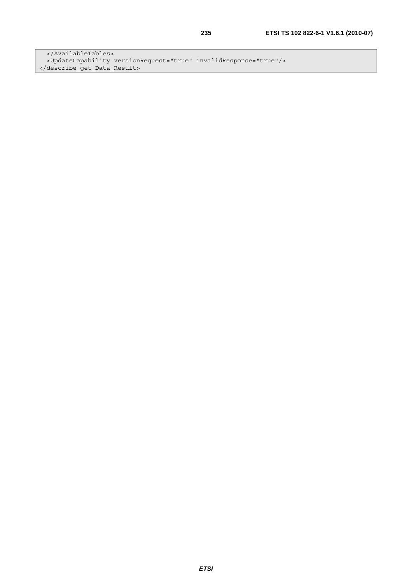</AvailableTables> <UpdateCapability versionRequest="true" invalidResponse="true"/> </describe\_get\_Data\_Result>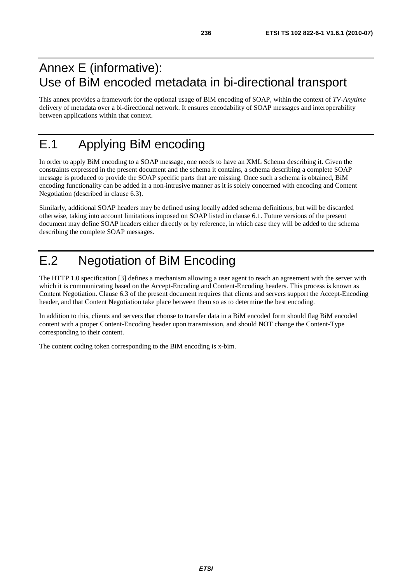#### Annex E (informative): Use of BiM encoded metadata in bi-directional transport

This annex provides a framework for the optional usage of BiM encoding of SOAP, within the context of *TV-Anytime* delivery of metadata over a bi-directional network. It ensures encodability of SOAP messages and interoperability between applications within that context.

# E.1 Applying BiM encoding

In order to apply BiM encoding to a SOAP message, one needs to have an XML Schema describing it. Given the constraints expressed in the present document and the schema it contains, a schema describing a complete SOAP message is produced to provide the SOAP specific parts that are missing. Once such a schema is obtained, BiM encoding functionality can be added in a non-intrusive manner as it is solely concerned with encoding and Content Negotiation (described in clause 6.3).

Similarly, additional SOAP headers may be defined using locally added schema definitions, but will be discarded otherwise, taking into account limitations imposed on SOAP listed in clause 6.1. Future versions of the present document may define SOAP headers either directly or by reference, in which case they will be added to the schema describing the complete SOAP messages.

# E.2 Negotiation of BiM Encoding

The HTTP 1.0 specification [3] defines a mechanism allowing a user agent to reach an agreement with the server with which it is communicating based on the Accept-Encoding and Content-Encoding headers. This process is known as Content Negotiation. Clause 6.3 of the present document requires that clients and servers support the Accept-Encoding header, and that Content Negotiation take place between them so as to determine the best encoding.

In addition to this, clients and servers that choose to transfer data in a BiM encoded form should flag BiM encoded content with a proper Content-Encoding header upon transmission, and should NOT change the Content-Type corresponding to their content.

The content coding token corresponding to the BiM encoding is x-bim.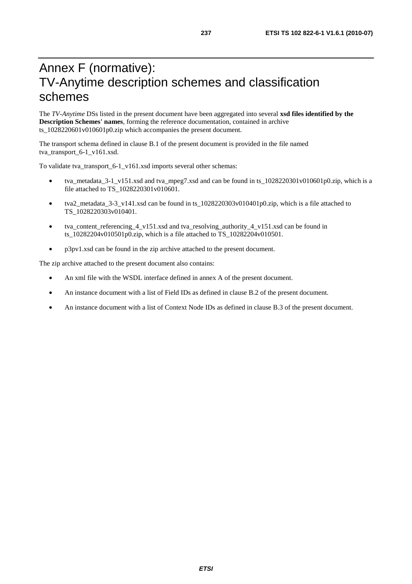#### Annex F (normative): TV-Anytime description schemes and classification schemes

The *TV-Anytime* DSs listed in the present document have been aggregated into several **xsd files identified by the Description Schemes' names**, forming the reference documentation, contained in archive ts\_1028220601v010601p0.zip which accompanies the present document.

The transport schema defined in clause B.1 of the present document is provided in the file named tva\_transport\_6-1\_v161.xsd.

To validate tva\_transport\_6-1\_v161.xsd imports several other schemas:

- tva\_metadata\_3-1\_v151.xsd and tva\_mpeg7.xsd and can be found in ts\_1028220301v010601p0.zip, which is a file attached to TS\_1028220301v010601.
- tva2\_metadata\_3-3\_v141.xsd can be found in ts\_1028220303v010401p0.zip, which is a file attached to TS\_1028220303v010401.
- tva\_content\_referencing\_4\_v151.xsd and tva\_resolving\_authority\_4\_v151.xsd can be found in ts\_10282204v010501p0.zip, which is a file attached to TS\_10282204v010501.
- p3pv1.xsd can be found in the zip archive attached to the present document.

The zip archive attached to the present document also contains:

- An xml file with the WSDL interface defined in annex A of the present document.
- An instance document with a list of Field IDs as defined in clause B.2 of the present document.
- An instance document with a list of Context Node IDs as defined in clause B.3 of the present document.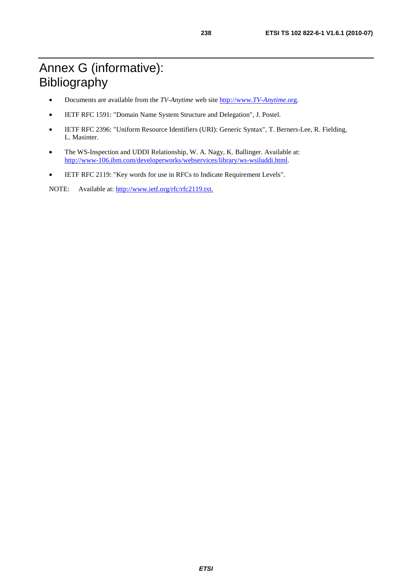## Annex G (informative): Bibliography

- Documents are available from the *TV-Anytime* web site [http://www.](http://www.tv-anytime.org/)*TV-Anytime*.org.
- IETF RFC 1591: "Domain Name System Structure and Delegation", J. Postel.
- IETF RFC 2396: "Uniform Resource Identifiers (URI): Generic Syntax", T. Berners-Lee, R. Fielding, L. Masinter.
- The WS-Inspection and UDDI Relationship, W. A. Nagy, K. Ballinger. Available at: <http://www-106.ibm.com/developerworks/webservices/library/ws-wsiluddi.html>.
- IETF RFC 2119: "Key words for use in RFCs to Indicate Requirement Levels".

NOTE: Available at: [http://www.ietf.org/rfc/rfc2119.txt.](http://www.ietf.org/rfc/rfc2119.txt)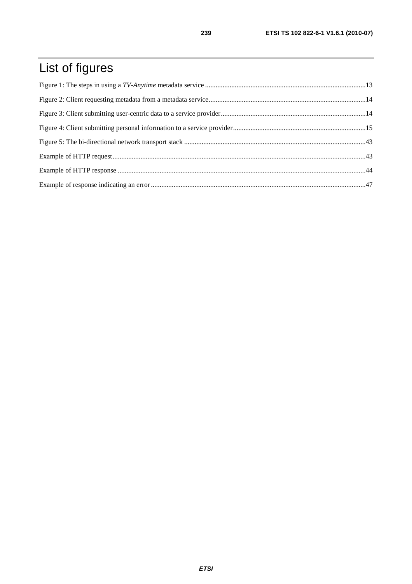# List of figures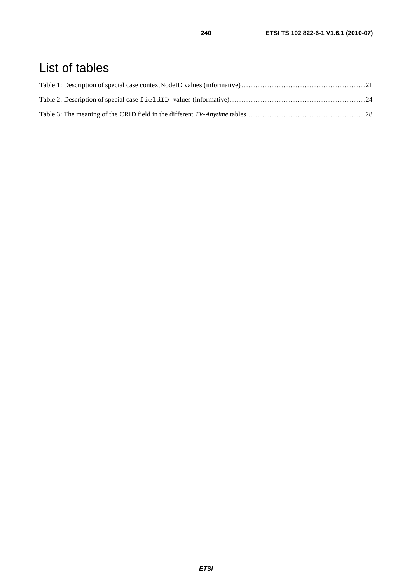## List of tables